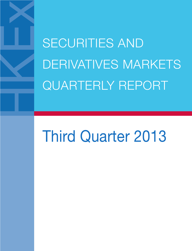SECURITIES AND DERIVATIVES MARKETS QUARTERLY REPORT

# Third Quarter 2013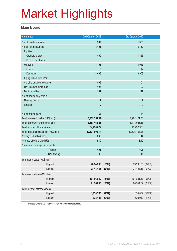#### **Main Board**

| <b>Highlights</b>                       | 3rd Quarter 2013   | 3rd Quarter 2012   |  |
|-----------------------------------------|--------------------|--------------------|--|
| No. of listed companies                 | 1,399              | 1,355              |  |
| No. of listed securities                | 8,196              | 6,732              |  |
| <b>Equities</b>                         |                    |                    |  |
| Ordinary shares                         | 1,400              | 1,356              |  |
| Preference shares                       | 3                  | $\mathfrak{Z}$     |  |
| <b>Warrants</b>                         | 4,705              | 3,915              |  |
| Equity                                  | 9                  | 12                 |  |
| Derivative                              | 4,696              | 3,903              |  |
| Equity linked instrument                | $\mathbf{0}$       | $\theta$           |  |
| Callable bull/bear contracts            | 1,596              | 1104               |  |
| Unit trusts/mutual funds                | 125                | 107                |  |
| Debt securities                         | 367                | 247                |  |
| No. of trading only stocks              |                    |                    |  |
| Nasdaq stocks                           | $\overline{7}$     | $\overline{7}$     |  |
| <b>iShares</b>                          | $\overline{2}$     | $\overline{2}$     |  |
|                                         |                    |                    |  |
| No. of trading days                     | 63                 | 64                 |  |
| Total turnover in value (HK\$ mil.) *   | 3,459,754.47       | 2,962,121.73       |  |
| Total turnover in shares (Mil. shs)     | 8,188,462.26       | 8,118,023.55       |  |
| Total number of trades (deals)          | 54,790,872         | 43,732,903         |  |
| Total market capitalisation (HK\$ mil.) | 22,697,506.14      | 19,575,154.28      |  |
| Average P/E ratio (times)               | 10.69              | 9.44               |  |
| Average dividend yield (%)              | 3.10               | 3.12               |  |
| Number of exchange participants         | 506                | 506                |  |
| $-$ Trading                             | 40                 | 41                 |  |
| - Non-trading                           |                    |                    |  |
| Turnover in value (HK\$ mil.)           |                    |                    |  |
| Highest                                 | 78,240.06 (10/09)  | 93,238.05 (07/09)  |  |
| Lowest                                  | 38,487.85 (22/07)  | 34,404.53 (04/09)  |  |
| Turnover in shares (Mil. shs)           |                    |                    |  |
| Highest                                 | 167,566.30 (15/08) | 161,881.87 (01/08) |  |
| Lowest                                  | 91,264.00 (19/09)  | 90,344.67 (26/09)  |  |
| Total number of trades (deals)          |                    |                    |  |
| Highest                                 | 1,178,750 (02/07)  | 1,135,852 (14/09)  |  |
| Lowest                                  | 628,186 (22/07)    | 523,912 (13/08)    |  |

\* Included turnover value traded in non-HKD currency securities.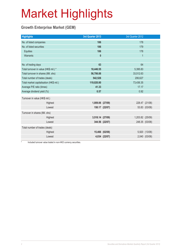### **Growth Enterprise Market (GEM)**

| <b>Highlights</b>                       |         | 3rd Quarter 2013 |                | 3rd Quarter 2012 |                |
|-----------------------------------------|---------|------------------|----------------|------------------|----------------|
| No. of listed companies                 |         | 186              |                | 178              |                |
| No. of listed securities                |         | 186              |                | 179              |                |
| Equities                                |         | 186              |                | 178              |                |
| Warrants                                |         | $\mathbf{0}$     |                | 1                |                |
|                                         |         |                  |                |                  |                |
| No. of trading days                     |         | 63               |                | 64               |                |
| Total turnover in value (HK\$ mil.) *   |         | 18,446.55        |                | 5,395.83         |                |
| Total turnover in shares (Mil. shs)     |         | 56,706.88        |                | 33,512.63        |                |
| Total number of trades (deals)          |         | 542,526          |                | 206,627          |                |
| Total market capitalisation (HK\$ mil.) |         | 119,020.80       |                | 73,436.35        |                |
| Average P/E ratio (times)               |         | 41.33<br>17.17   |                |                  |                |
| Average dividend yield (%)              |         | 0.57             |                | 0.92             |                |
| Turnover in value (HK\$ mil.)           |         |                  |                |                  |                |
|                                         | Highest | 1,009.06 (27/09) |                |                  | 228.47 (21/08) |
|                                         | Lowest  |                  | 150.17 (22/07) |                  | 53.83 (03/08)  |
|                                         |         |                  |                |                  |                |
| Turnover in shares (Mil. shs)           |         |                  |                |                  |                |
|                                         | Highest | 3,518.14 (27/09) |                | 1,203.82 (25/09) |                |
|                                         | Lowest  |                  | 344.56 (22/07) |                  | 248.35 (03/08) |
| Total number of trades (deals)          |         |                  |                |                  |                |
|                                         | Highest |                  | 15,466 (02/08) |                  | 5,920 (13/08)  |
|                                         | Lowest  |                  | 4,034 (22/07)  |                  | 2,040 (03/08)  |

Included turnover value traded in non-HKD currency securities.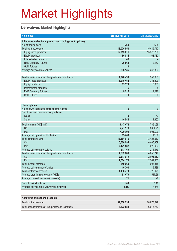### **Derivatives Market Highlights**

| <b>Highlights</b>                                          | 3rd Quarter 2013 | 3rd Quarter 2012 |
|------------------------------------------------------------|------------------|------------------|
| All futures and options products (excluding stock options) |                  |                  |
| No. of trading days                                        | 63.0             | 63.5             |
| Total contract volume                                      | 18,026,558       | 15,449,717       |
| Equity index products                                      | 17,913,611       | 15,378,758       |
| <b>Equity products</b>                                     | 86,034           | 68,787           |
| Interest rates products                                    | 45               |                  |
| <b>RMB Currency Futures</b>                                | 26,868           | 2,172            |
| <b>Gold Futures</b>                                        | $\mathbf{0}$     |                  |
| Average daily contract volume                              | 286,136          | 243,303          |
|                                                            |                  |                  |
| Total open interest as at the quarter end (contracts)      | 1,940,499        | 1,357,033        |
| Equity index products                                      | 1,915,454        | 1,345,599        |
| <b>Equity products</b>                                     | 15,524           | 10,353           |
| Interest rates products                                    | 6                | 5                |
| <b>RMB Currency Futures</b>                                | 9,515            | 1,076            |
| <b>Gold Futures</b>                                        | 0                | $\mathbf{0}$     |
|                                                            |                  |                  |
| <b>Stock options</b>                                       |                  |                  |
| No. of newly introduced stock options classes              | 5                | $\mathbf{0}$     |
| No. of stock options as at the quarter end                 |                  |                  |
| <b>Class</b>                                               | 70               | 63               |
| <b>Series</b>                                              | 16,546           | 14,352           |
| Total premium (HK\$ mil.)                                  | 8,479.72         | 7,354.69         |
| Call                                                       | 4,272.73         | 3,304.71         |
| Put                                                        | 4,206.99         | 4,049.99         |
| Average daily premium (HK\$ mil.)                          | 134.60           | 115.82           |
| Total contract volume                                      | 13,681,676       | 13,428,912       |
| Call                                                       | 6,560,094        | 6,406,909        |
| Put                                                        | 7,121,582        | 7,022,003        |
| Average daily contract volume                              | 217,169          | 211,479          |
| Total open interest as at the quarter end (contracts)      | 4,882,089        | 4,658,740        |
| Call                                                       | 2,217,919        | 2,096,887        |
| Put                                                        | 2,664,170        | 2,561,853        |
| Total number of trades                                     | 649,069          | 608,815          |
| Average daily number of trades                             | 10,303           | 9,588            |
| <b>Total contracts exercised</b>                           | 1,498,774        | 1,722,979        |
| Average premium per contract (HK\$)                        | 619.79           | 547.68           |
| Average contract per trade (contracts)                     | 21               | 22               |
|                                                            |                  |                  |
| Put volume/call volume                                     | 1.09             | 1.10             |
| Average daily contract volume/open interest                | 4.4%             | 4.5%             |
|                                                            |                  |                  |
| All futures and options products                           |                  |                  |
| Total contract volume                                      | 31,708,234       | 28,878,629       |
| Total open interest as at the quarter end (contracts)      | 6,822,588        | 6,015,773        |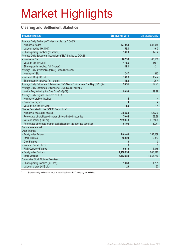### **Clearing and Settlement Statistics**

| <b>Securities Market</b>                                                        | 3rd Quarter 2013        | 3rd Quarter 2012 |
|---------------------------------------------------------------------------------|-------------------------|------------------|
| Average Daily Exchange Trades Handled by CCASS                                  |                         |                  |
| - Number of trades                                                              | 877,568                 | 686,075          |
| - Value of trades (HK\$ bil.)                                                   | 55.1                    | 46.3             |
| - Share quantity Involved (bil shares)                                          | 130.9                   | 127.4            |
| Average Daily Settlement Instructions ("SIs") Settled by CCASS                  |                         |                  |
| - Number of SIs                                                                 | 76,390                  | 66,152           |
| - Value of SIs (HK\$ bil.)                                                      | 176.6                   | 156.1            |
| - Share quantity involved (bil. Shares)                                         | 49.1                    | 42.1             |
| Average Daily Investor SIs ("ISIs") Settled by CCASS                            |                         |                  |
| - Number of ISIs                                                                | 347                     | 313              |
| - Value of ISIs (HK\$ mil.)                                                     | 139.6                   | 164.4            |
| - Share quantity involved (mil. shares)                                         | 46.6                    | 96.4             |
| Average Daily Settlement Efficiency of CNS Stock Positions on Due Day (T+2) (%) | 99.91                   | 99.91            |
| Average Daily Settlement Efficiency of CNS Stock Positions                      |                         |                  |
| on the Day following the Due Day (T+3) (%)                                      | 99.99                   | 99.99            |
| Average Daily Buy-ins Executed on T+3                                           |                         |                  |
| - Number of brokers involved                                                    | 4                       | 4                |
| - Number of buy-ins                                                             | $\overline{\mathbf{4}}$ | $\overline{4}$   |
| - Value of buy-ins (HK\$ mil)                                                   | 1.0                     | 1.4              |
| Shares Deposited in the CCASS Depository *                                      |                         |                  |
| - Number of shares (bil shares)                                                 | 3,839.0                 | 3,672.0          |
| - Percentage of total issued shares of the admitted securities                  | 70.64                   | 69.98            |
| - Value of shares (HK\$ bil)                                                    | 12,905.3                | 10,816.8         |
| - Percentage of the total market capitalisation of the admitted securities      | 51.98                   | 50.71            |
| <b>Derivatives Market</b>                                                       |                         |                  |
| Open Interest                                                                   |                         |                  |
| - Equity Index Futures                                                          | 446,460                 | 357,089          |
| - Stock Futures                                                                 | 15,524                  | 10,353           |
| - Gold Futures                                                                  | $\boldsymbol{0}$        | $\mathbf 0$      |
| - Interest Rates Futures                                                        | 6                       | 5                |
| - RMB Currency Futures                                                          | 9,515                   | 1,076            |
| - Equity Index Options                                                          | 1,468,994               | 988,510          |
| - Stock Options                                                                 | 4,882,089               | 4,658,740        |
| <b>Cumulative Stock Options Exercised</b>                                       |                         |                  |
| - Share quantity involved (mil. shs)                                            | 1,663                   | 1,781            |
| - Value of shares (HK\$ bil.)                                                   | 29                      | 27               |

Share quantity and market value of securities in non-HKD currency are included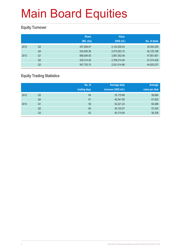### **Equity Turnover**

|      |                | <b>Share</b><br>(Mil. shs) | <b>Value</b><br>(HK\$ mil.) | No. of deals |
|------|----------------|----------------------------|-----------------------------|--------------|
| 2012 | Q3             | 437,269.47                 | 2,123,255.03                | 35,393,350   |
|      | Q <sub>4</sub> | 524,830.38                 | 2,473,053.10                | 40,125,188   |
| 2013 | Q1             | 668,094.05                 | 3,081,052.48                | 47,851,601   |
|      | Q <sub>2</sub> | 535,314.29                 | 2,706,214.49                | 47,274,428   |
|      | Q3             | 547,703.15                 | 2,531,014.96                | 44,925,237   |

### **Equity Trading Statistics**

|      |                | No. of<br>trading days | <b>Average daily</b><br>turnover (HK\$ mil.) | Average<br>value per deal |
|------|----------------|------------------------|----------------------------------------------|---------------------------|
| 2012 | Q <sub>3</sub> | 64                     | 33,175.86                                    | 59,990                    |
|      | Q4             | 61                     | 40,541.85                                    | 61,633                    |
| 2013 | Q <sub>1</sub> | 59                     | 52,221.23                                    | 64,388                    |
|      | Q2             | 60                     | 45,103.57                                    | 57,245                    |
|      | Q3             | 63                     | 40,174.84                                    | 56,338                    |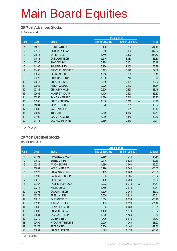#### **20 Most Advanced Stocks**

for 3rd quarter 2013

|                |       |                        |                 | <b>Closing price</b> |                          |
|----------------|-------|------------------------|-----------------|----------------------|--------------------------|
| Rank           | Code  | <b>Stock</b>           | End of Sep 2013 | End of Jun 2013      | $%$ up                   |
| 1              | 01076 | <b>FIRST NATURAL</b>   | 5.100           | 0.830                | 514.46                   |
| $\overline{2}$ | 00145 | HK BLDG & LOAN         | 0.850           | 0.190                | 347.37                   |
| 3              | 01613 | <b>SYNERTONE</b>       | 1.740           | 0.520                | 234.62                   |
| 4              | 01043 | <b>COSLIGHT TECH</b>   | 5.610           | 1.980                | 183.33                   |
| 5              | 00395 | <b>SINO DRAGON</b>     | 0.285           | 0.101                | 182.18                   |
| $6\phantom{.}$ | 01165 | SHUNFENG PV            | 3.170           | 1.160                | 173.28                   |
| $\overline{7}$ | 00487 | <b>SUCCESSUNIVERSE</b> | 0.475           | 0.176                | 169.89                   |
| $\bf 8$        | 00859 | <b>HENRY GROUP</b>     | 1.750           | 0.660                | 165.15                   |
| 9              | 00329 | <b>DRAGONITE INT'L</b> | 1.900           | 0.740                | 156.76                   |
| 10             | 01046 | UNIVERSE INT'L         | 0.310           | 0.124                | 150.00                   |
| 11             | 00862 | <b>VISION VALUES</b>   | 0.275           | 0.112                | 145.54                   |
| 12             | 00132 | CHINA INV HOLD         | 0.620           | 0.260                | 138.46                   |
| 13             | 00566 | <b>HANERGY SOLAR</b>   | 1.400           | 0.600                | 133.33                   |
| 14             | 00556 | PAN ASIA ENVIRO        | 1.380           | 0.610                | 126.23                   |
| 15             | 00986 | CH ENV ENERGY          | 1.810           | 0.810                | $\overline{A}$<br>123.46 |
| 16             | 01004 | <b>RISING DEV HOLD</b> | 0.670           | 0.305                | 119.67                   |
| 17             | 00680 | <b>NAN HAI CORP</b>    | 0.067           | 0.031                | 116.13                   |
| 18             | 01009 | <b>INT'L ENT</b>       | 2.360           | 1.110                | 112.61                   |
| 19             | 00102 | <b>SUMMIT ASCENT</b>   | 7.280           | 3.460                | 110.40                   |
| 20             | 01145 | COURAGEMARINE          | 0.560           | 0.270                | 107.41                   |

A Adjusted

#### **20 Most Declined Stocks**

for 3rd quarter 2013

|                |       |                        |                 | <b>Closing price</b>    |          |  |
|----------------|-------|------------------------|-----------------|-------------------------|----------|--|
| Rank           | Code  | <b>Stock</b>           | End of Sep 2013 | End of Jun 2013         | $%$ down |  |
| 1              | 01195 | KINGWELL GROUP         | 0.560           | 1.240                   | $-54.84$ |  |
| $\overline{2}$ | 01080 | <b>SHENGLI PIPE</b>    | 0.415           | 0.820                   | $-49.39$ |  |
| 3              | 02236 | <b>WISON ENGRG</b>     | 1.980           | 3.600                   | $-45.00$ |  |
| 4              | 00061 | <b>NORTH ASIA RES</b>  | 0.190           | 0.300                   | $-36.67$ |  |
| 5              | 00326 | <b>CHINA STAR ENT</b>  | 0.133           | 0.208                   | $-36.06$ |  |
| 6              | 00996 | <b>CARNIVAL GROUP</b>  | 0.235           | 0.365                   | $-35.62$ |  |
| $\overline{7}$ | 00542 | <b>CENERIC</b>         | 0.130           | 0.200                   | $-35.00$ |  |
| 8              | 00767 | PACIFIC PLYWOOD        | 0.222           | $\overline{A}$<br>0.340 | $-34.71$ |  |
| 9              | 02218 | <b>ANDRE JUICE</b>     | 1.750           | 2.640                   | $-33.71$ |  |
| 10             | 01296 | <b>GUODIAN TECH</b>    | 1.570           | 2.360                   | $-33.47$ |  |
| 11             | 00279 | <b>FREEMAN FIN</b>     | 0.620           | 0.920                   | $-32.61$ |  |
| 12             | 00616 | <b>EASYKNIT ENT</b>    | 0.064           | 0.093                   | $-31.18$ |  |
| 13             | 00397 | <b>JUNYANG SOLAR</b>   | 0.135           | 0.196                   | $-31.12$ |  |
| 14             | 00632 | PEARLORIENT OIL        | 0.335           | 0.480                   | $-30.21$ |  |
| 15             | 00603 | CHINA OIL & GAS        | 1.100           | 1.570                   | $-29.94$ |  |
| 16             | 00531 | <b>SAMSON HOLDING</b>  | 1.020           | 1.450                   | $-29.66$ |  |
| 17             | 00210 | <b>DAPHNE INT'L</b>    | 4.730           | 6.640                   | $-28.77$ |  |
| 18             | 00499 | <b>HYCOMM WIRELESS</b> | 0.900           | 1.260                   | $-28.57$ |  |
| 19             | 02178 | PETRO-KING             | 3.720           | 5.100                   | $-27.06$ |  |
| 20             | 00651 | <b>CHI O SHIPBLDG</b>  | 0.095           | 0.130                   | $-26.92$ |  |

A Adjusted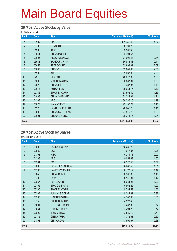#### **20 Most Active Stocks by Value**

for 3rd quarter 2013

| Rank             | Code  | <b>Stock</b>           | Turnover (HK\$ mil.) | % of total |
|------------------|-------|------------------------|----------------------|------------|
| 1                | 00939 | <b>CCB</b>             | 103,445.40           | 4.09       |
| $\overline{2}$   | 00700 | <b>TENCENT</b>         | 90,791.29            | 3.59       |
| $\mathfrak{S}$   | 01398 | <b>ICBC</b>            | 83,508.45            | 3.30       |
| $\overline{4}$   | 00941 | <b>CHINA MOBILE</b>    | 82,404.57            | 3.26       |
| $\overline{5}$   | 00005 | <b>HSBC HOLDINGS</b>   | 71,902.43            | 2.84       |
| $6\phantom{.}$   | 03988 | <b>BANK OF CHINA</b>   | 60,888.48            | 2.41       |
| $\overline{7}$   | 00857 | <b>PETROCHINA</b>      | 52,898.91            | 2.09       |
| 8                | 00883 | <b>CNOOC</b>           | 52,601.86            | 2.08       |
| $\boldsymbol{9}$ | 01299 | <b>AIA</b>             | 52,237.96            | 2.06       |
| 10               | 02318 | <b>PING AN</b>         | 48,077.30            | 1.90       |
| 11               | 01988 | <b>MINSHENG BANK</b>   | 39,587.34            | 1.56       |
| 12               | 02628 | <b>CHINA LIFE</b>      | 37,387.37            | 1.48       |
| 13               | 00013 | <b>HUTCHISON</b>       | 35,954.17            | 1.42       |
| 14               | 00386 | SINOPEC CORP           | 33,552.49            | 1.33       |
| 15               | 01088 | <b>CHINA SHENHUA</b>   | 31,312.34            | 1.24       |
| 16               | 01288 | ABC                    | 30,236.16            | 1.19       |
| 17               | 00027 | <b>GALAXY ENT</b>      | 29,190.27            | 1.15       |
| 18               | 01928 | <b>SANDS CHINA LTD</b> | 28,049.23            | 1.11       |
| 19               | 00688 | CHINA OVERSEAS         | 27,570.78            | 1.09       |
| 20               | 00001 | <b>CHEUNG KONG</b>     | 26,345.16            | 1.04       |
| <b>Total</b>     |       |                        | 1,017,941.95         | 40.22      |

#### **20 Most Active Stock by Shares**

for 3rd quarter 2013

| Rank           | Code  | <b>Stock</b>           | <b>Turnover (Mil. shs)</b> | % of total |
|----------------|-------|------------------------|----------------------------|------------|
| 1              | 03988 | <b>BANK OF CHINA</b>   | 18,232.20                  | 3.33       |
| $\overline{2}$ | 00939 | <b>CCB</b>             | 17,947.36                  | 3.28       |
| 3              | 01398 | <b>ICBC</b>            | 16,241.11                  | 2.97       |
| $\overline{4}$ | 01288 | <b>ABC</b>             | 9,052.69                   | 1.65       |
| 5              | 00981 | <b>SMIC</b>            | 8,326.48                   | 1.52       |
| 6              | 03800 | <b>GCL-POLY ENERGY</b> | 8,288.50                   | 1.51       |
| $\overline{7}$ | 00566 | <b>HANERGY SOLAR</b>   | 8,178.19                   | 1.49       |
| 8              | 00648 | <b>CHINA RENJI</b>     | 6,306.36                   | 1.15       |
| 9              | 00493 | <b>GOME</b>            | 6,142.84                   | 1.12       |
| 10             | 00857 | <b>PETROCHINA</b>      | 5,984.24                   | 1.09       |
| 11             | 00702 | SINO OIL & GAS         | 5,962.22                   | 1.09       |
| 12             | 00386 | SINOPEC CORP           | 5,784.59                   | 1.06       |
| 13             | 00397 | <b>JUNYANG SOLAR</b>   | 5,342.61                   | 0.98       |
| 14             | 01988 | <b>MINSHENG BANK</b>   | 4,700.36                   | 0.86       |
| 15             | 00152 | SHENZHEN INT'L         | 4,527.48                   | 0.83       |
| 16             | 01094 | C P PROCUREMENT        | 4,237.38                   | 0.77       |
| 17             | 01051 | <b>G-RESOURCES</b>     | 4,204.22                   | 0.77       |
| 18             | 02899 | <b>ZIJIN MINING</b>    | 3,889.79                   | 0.71       |
| 19             | 00175 | <b>GEELY AUTO</b>      | 3,782.63                   | 0.69       |
| 20             | 01898 | CHINA COAL             | 3,699.67                   | 0.68       |
| <b>Total</b>   |       |                        | 150,830.90                 | 27.54      |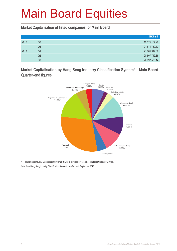**Market Capitalisation of listed companies for Main Board**

|      |                | HK\$ mil.     |
|------|----------------|---------------|
| 2012 | Q <sub>3</sub> | 19,575,154.28 |
|      | Q4             | 21,871,730.17 |
| 2013 | Q1             | 21,865,919.62 |
|      | Q2             | 20,607,719.38 |
|      | Q <sub>3</sub> | 22,697,506.14 |

**Market Capitalisation by Hang Seng Industry Classification System\* – Main Board**  Quarter-end figures



\* Hang Seng Industry Classification System (HSICS) is provided by Hang Seng Indexes Company Limited. Note: New Hang Seng Industry Classification System took effect on 9 September 2013.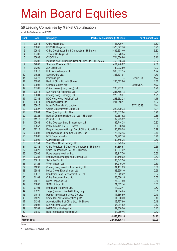#### **50 Leading Companies by Market Capitalisation**

as at the 3rd quarter end 2013

| 00941<br>China Mobile Ltd.<br>$\mathbf{1}$<br>1,741,770.47<br>7.67<br>$\overline{2}$<br>00005<br>6.93<br><b>HSBC Holdings plc</b><br>1,573,627.70<br>3<br>00939<br>China Construction Bank Corporation - H Shares<br>1,435,291.40<br>6.32<br>4<br>00700<br>Tencent Holdings Ltd.<br>3.33<br>756,026.85<br>5<br>00883<br>CNOOC Ltd.<br>3.10<br>704,536.86<br>$6\phantom{a}$<br>01398<br>Industrial and Commercial Bank of China Ltd. - H Shares<br>2.07<br>469,555.78<br>$\overline{7}$<br>02888<br>2.00<br><b>Standard Chartered PLC</b><br>454,248.97<br>8<br>01299<br>1.93<br>AIA Group Ltd.<br>439,003.80<br>9<br>00013<br>Hutchison Whampoa Ltd.<br>396,067.15<br>1.74<br>10<br>01928<br>Sands China Ltd.<br>386,491.97<br>1.70<br>11<br>02378<br>Prudential plc *<br>N.A.<br>372,378.64<br>12<br>03988<br>Bank of China Ltd. - H Shares<br>296,022.86<br>1.30<br>13<br>00805<br>Glencore Xstrata plc *<br>290,061.70<br>N.A.<br>14<br>00762<br>China Unicom (Hong Kong) Ltd.<br>286,907.01<br>1.26<br>15<br>00016<br>Sun Hung Kai Properties Ltd.<br>1.24<br>281,786.13<br>16<br>00001<br>Cheung Kong (Holdings) Ltd.<br>1.21<br>273,539.01<br>17<br>02388<br>BOC Hong Kong (Holdings) Ltd.<br>1.16<br>263,262.23<br>18<br>00011<br>Hang Seng Bank Ltd.<br>1.07<br>241,848.11<br>19<br>00945<br>Manulife Financial Corporation *<br>N.A.<br>237,226.48<br>20<br>00027<br>Galaxy Entertainment Group Ltd.<br>229,329.73<br>1.01<br>21<br>00004<br>Wharf (Holdings) Ltd., The<br>203,617.84<br>0.90<br>22<br>03328<br>Bank of Communications Co., Ltd. - H Shares<br>199,567.62<br>0.88<br>23<br>01913<br>PRADA S.p.A.<br>192,295.62<br>0.85<br>24<br>China Overseas Land & Investment Ltd.<br>00688<br>0.82<br>186,744.28<br>25<br>00857<br>PetroChina Co. Ltd. - H Shares<br>0.80<br>180,606.58<br>26<br>02318<br>Ping An Insurance (Group) Co. of China Ltd. - H Shares<br>0.79<br>180,429.08<br>27<br>00003<br>Hong Kong and China Gas Co. Ltd., The<br>0.79<br>178,383.45<br>28<br>00066<br>MTR Corporation Ltd.<br>0.78<br>177,992.10<br>29<br>00002<br>CLP Holdings Ltd.<br>0.70<br>159,545.35<br>30<br>00151<br>Want Want China Holdings Ltd.<br>0.69<br>155,775.65<br>31<br>00386<br>China Petroleum & Chemical Corporation - H Shares<br>154,866.57<br>0.68<br>32<br>02628<br>China Life Insurance Co. Ltd. - H Shares<br>149,567.62<br>0.66<br>33<br>00006<br>Power Assets Holdings Ltd.<br>0.65<br>148,117.76<br>34<br>00388<br>Hong Kong Exchanges and Clearing Ltd.<br>143,440.02<br>0.63<br>35<br>00019<br>Swire Pacific Ltd.<br>0.61<br>138,042.20<br>36<br>01128<br>0.60<br>Wynn Macau, Ltd.<br>137,210.70<br>37<br>01038<br>Cheung Kong Infrastructure Holdings Ltd.<br>0.59<br>134, 151.69<br>06883<br>133,635.10<br>38<br>0.59<br>Melco Crown Entertainment Ltd.<br>39<br>00012<br>128,542.22<br>0.57<br>Henderson Land Development Co. Ltd.<br>40<br>01109<br>China Resources Land Ltd.<br>0.57<br>128,536.15<br>Swire Properties Ltd.<br>41<br>01972<br>0.56<br>127,237.50<br>42<br>SJM Holdings Ltd.<br>00880<br>121,062.14<br>0.53<br>43<br>00101<br>Hang Lung Properties Ltd.<br>0.52<br>118,232.47<br>44<br>00322<br>Tingyi (Cayman Islands) Holding Corp.<br>114,964.25<br>0.51<br>45<br>01044<br>Hengan International Group Co. Ltd.<br>111,686.59<br>0.49<br>46<br>01929<br>Chow Tai Fook Jewellery Group Ltd.<br>111,000.00<br>0.49<br>47<br>01288<br>Agricultural Bank of China Ltd. - H Shares<br>0.48<br>109,737.60<br>48<br>06808<br>Sun Art Retail Group Ltd.<br>0.47<br>106,081.52<br>49<br>02282<br>MGM China Holdings Ltd.<br>0.43<br>97,850.00<br>50<br>01880<br>Belle International Holdings Ltd.<br>0.42<br>94,969.46<br>64.12<br>14,553,205.15<br><b>Total</b><br><b>Market Total</b><br>22,697,506.14<br>100.00 | Rank | Code | Company | Market capitalisation (HK\$ mil.) | % of market total |
|---------------------------------------------------------------------------------------------------------------------------------------------------------------------------------------------------------------------------------------------------------------------------------------------------------------------------------------------------------------------------------------------------------------------------------------------------------------------------------------------------------------------------------------------------------------------------------------------------------------------------------------------------------------------------------------------------------------------------------------------------------------------------------------------------------------------------------------------------------------------------------------------------------------------------------------------------------------------------------------------------------------------------------------------------------------------------------------------------------------------------------------------------------------------------------------------------------------------------------------------------------------------------------------------------------------------------------------------------------------------------------------------------------------------------------------------------------------------------------------------------------------------------------------------------------------------------------------------------------------------------------------------------------------------------------------------------------------------------------------------------------------------------------------------------------------------------------------------------------------------------------------------------------------------------------------------------------------------------------------------------------------------------------------------------------------------------------------------------------------------------------------------------------------------------------------------------------------------------------------------------------------------------------------------------------------------------------------------------------------------------------------------------------------------------------------------------------------------------------------------------------------------------------------------------------------------------------------------------------------------------------------------------------------------------------------------------------------------------------------------------------------------------------------------------------------------------------------------------------------------------------------------------------------------------------------------------------------------------------------------------------------------------------------------------------------------------------------------------------------------------------------------------------------------------------------------------------------------------------------------------------------------------------------------------------------------------------------------------------------------------------------------------------------------------------------------------------------------------------------------------------------------------------------------------------------------------------------------------------------------------------------------------------------------------------------------------------------------------------------------------------------|------|------|---------|-----------------------------------|-------------------|
|                                                                                                                                                                                                                                                                                                                                                                                                                                                                                                                                                                                                                                                                                                                                                                                                                                                                                                                                                                                                                                                                                                                                                                                                                                                                                                                                                                                                                                                                                                                                                                                                                                                                                                                                                                                                                                                                                                                                                                                                                                                                                                                                                                                                                                                                                                                                                                                                                                                                                                                                                                                                                                                                                                                                                                                                                                                                                                                                                                                                                                                                                                                                                                                                                                                                                                                                                                                                                                                                                                                                                                                                                                                                                                                                                               |      |      |         |                                   |                   |
|                                                                                                                                                                                                                                                                                                                                                                                                                                                                                                                                                                                                                                                                                                                                                                                                                                                                                                                                                                                                                                                                                                                                                                                                                                                                                                                                                                                                                                                                                                                                                                                                                                                                                                                                                                                                                                                                                                                                                                                                                                                                                                                                                                                                                                                                                                                                                                                                                                                                                                                                                                                                                                                                                                                                                                                                                                                                                                                                                                                                                                                                                                                                                                                                                                                                                                                                                                                                                                                                                                                                                                                                                                                                                                                                                               |      |      |         |                                   |                   |
|                                                                                                                                                                                                                                                                                                                                                                                                                                                                                                                                                                                                                                                                                                                                                                                                                                                                                                                                                                                                                                                                                                                                                                                                                                                                                                                                                                                                                                                                                                                                                                                                                                                                                                                                                                                                                                                                                                                                                                                                                                                                                                                                                                                                                                                                                                                                                                                                                                                                                                                                                                                                                                                                                                                                                                                                                                                                                                                                                                                                                                                                                                                                                                                                                                                                                                                                                                                                                                                                                                                                                                                                                                                                                                                                                               |      |      |         |                                   |                   |
|                                                                                                                                                                                                                                                                                                                                                                                                                                                                                                                                                                                                                                                                                                                                                                                                                                                                                                                                                                                                                                                                                                                                                                                                                                                                                                                                                                                                                                                                                                                                                                                                                                                                                                                                                                                                                                                                                                                                                                                                                                                                                                                                                                                                                                                                                                                                                                                                                                                                                                                                                                                                                                                                                                                                                                                                                                                                                                                                                                                                                                                                                                                                                                                                                                                                                                                                                                                                                                                                                                                                                                                                                                                                                                                                                               |      |      |         |                                   |                   |
|                                                                                                                                                                                                                                                                                                                                                                                                                                                                                                                                                                                                                                                                                                                                                                                                                                                                                                                                                                                                                                                                                                                                                                                                                                                                                                                                                                                                                                                                                                                                                                                                                                                                                                                                                                                                                                                                                                                                                                                                                                                                                                                                                                                                                                                                                                                                                                                                                                                                                                                                                                                                                                                                                                                                                                                                                                                                                                                                                                                                                                                                                                                                                                                                                                                                                                                                                                                                                                                                                                                                                                                                                                                                                                                                                               |      |      |         |                                   |                   |
|                                                                                                                                                                                                                                                                                                                                                                                                                                                                                                                                                                                                                                                                                                                                                                                                                                                                                                                                                                                                                                                                                                                                                                                                                                                                                                                                                                                                                                                                                                                                                                                                                                                                                                                                                                                                                                                                                                                                                                                                                                                                                                                                                                                                                                                                                                                                                                                                                                                                                                                                                                                                                                                                                                                                                                                                                                                                                                                                                                                                                                                                                                                                                                                                                                                                                                                                                                                                                                                                                                                                                                                                                                                                                                                                                               |      |      |         |                                   |                   |
|                                                                                                                                                                                                                                                                                                                                                                                                                                                                                                                                                                                                                                                                                                                                                                                                                                                                                                                                                                                                                                                                                                                                                                                                                                                                                                                                                                                                                                                                                                                                                                                                                                                                                                                                                                                                                                                                                                                                                                                                                                                                                                                                                                                                                                                                                                                                                                                                                                                                                                                                                                                                                                                                                                                                                                                                                                                                                                                                                                                                                                                                                                                                                                                                                                                                                                                                                                                                                                                                                                                                                                                                                                                                                                                                                               |      |      |         |                                   |                   |
|                                                                                                                                                                                                                                                                                                                                                                                                                                                                                                                                                                                                                                                                                                                                                                                                                                                                                                                                                                                                                                                                                                                                                                                                                                                                                                                                                                                                                                                                                                                                                                                                                                                                                                                                                                                                                                                                                                                                                                                                                                                                                                                                                                                                                                                                                                                                                                                                                                                                                                                                                                                                                                                                                                                                                                                                                                                                                                                                                                                                                                                                                                                                                                                                                                                                                                                                                                                                                                                                                                                                                                                                                                                                                                                                                               |      |      |         |                                   |                   |
|                                                                                                                                                                                                                                                                                                                                                                                                                                                                                                                                                                                                                                                                                                                                                                                                                                                                                                                                                                                                                                                                                                                                                                                                                                                                                                                                                                                                                                                                                                                                                                                                                                                                                                                                                                                                                                                                                                                                                                                                                                                                                                                                                                                                                                                                                                                                                                                                                                                                                                                                                                                                                                                                                                                                                                                                                                                                                                                                                                                                                                                                                                                                                                                                                                                                                                                                                                                                                                                                                                                                                                                                                                                                                                                                                               |      |      |         |                                   |                   |
|                                                                                                                                                                                                                                                                                                                                                                                                                                                                                                                                                                                                                                                                                                                                                                                                                                                                                                                                                                                                                                                                                                                                                                                                                                                                                                                                                                                                                                                                                                                                                                                                                                                                                                                                                                                                                                                                                                                                                                                                                                                                                                                                                                                                                                                                                                                                                                                                                                                                                                                                                                                                                                                                                                                                                                                                                                                                                                                                                                                                                                                                                                                                                                                                                                                                                                                                                                                                                                                                                                                                                                                                                                                                                                                                                               |      |      |         |                                   |                   |
|                                                                                                                                                                                                                                                                                                                                                                                                                                                                                                                                                                                                                                                                                                                                                                                                                                                                                                                                                                                                                                                                                                                                                                                                                                                                                                                                                                                                                                                                                                                                                                                                                                                                                                                                                                                                                                                                                                                                                                                                                                                                                                                                                                                                                                                                                                                                                                                                                                                                                                                                                                                                                                                                                                                                                                                                                                                                                                                                                                                                                                                                                                                                                                                                                                                                                                                                                                                                                                                                                                                                                                                                                                                                                                                                                               |      |      |         |                                   |                   |
|                                                                                                                                                                                                                                                                                                                                                                                                                                                                                                                                                                                                                                                                                                                                                                                                                                                                                                                                                                                                                                                                                                                                                                                                                                                                                                                                                                                                                                                                                                                                                                                                                                                                                                                                                                                                                                                                                                                                                                                                                                                                                                                                                                                                                                                                                                                                                                                                                                                                                                                                                                                                                                                                                                                                                                                                                                                                                                                                                                                                                                                                                                                                                                                                                                                                                                                                                                                                                                                                                                                                                                                                                                                                                                                                                               |      |      |         |                                   |                   |
|                                                                                                                                                                                                                                                                                                                                                                                                                                                                                                                                                                                                                                                                                                                                                                                                                                                                                                                                                                                                                                                                                                                                                                                                                                                                                                                                                                                                                                                                                                                                                                                                                                                                                                                                                                                                                                                                                                                                                                                                                                                                                                                                                                                                                                                                                                                                                                                                                                                                                                                                                                                                                                                                                                                                                                                                                                                                                                                                                                                                                                                                                                                                                                                                                                                                                                                                                                                                                                                                                                                                                                                                                                                                                                                                                               |      |      |         |                                   |                   |
|                                                                                                                                                                                                                                                                                                                                                                                                                                                                                                                                                                                                                                                                                                                                                                                                                                                                                                                                                                                                                                                                                                                                                                                                                                                                                                                                                                                                                                                                                                                                                                                                                                                                                                                                                                                                                                                                                                                                                                                                                                                                                                                                                                                                                                                                                                                                                                                                                                                                                                                                                                                                                                                                                                                                                                                                                                                                                                                                                                                                                                                                                                                                                                                                                                                                                                                                                                                                                                                                                                                                                                                                                                                                                                                                                               |      |      |         |                                   |                   |
|                                                                                                                                                                                                                                                                                                                                                                                                                                                                                                                                                                                                                                                                                                                                                                                                                                                                                                                                                                                                                                                                                                                                                                                                                                                                                                                                                                                                                                                                                                                                                                                                                                                                                                                                                                                                                                                                                                                                                                                                                                                                                                                                                                                                                                                                                                                                                                                                                                                                                                                                                                                                                                                                                                                                                                                                                                                                                                                                                                                                                                                                                                                                                                                                                                                                                                                                                                                                                                                                                                                                                                                                                                                                                                                                                               |      |      |         |                                   |                   |
|                                                                                                                                                                                                                                                                                                                                                                                                                                                                                                                                                                                                                                                                                                                                                                                                                                                                                                                                                                                                                                                                                                                                                                                                                                                                                                                                                                                                                                                                                                                                                                                                                                                                                                                                                                                                                                                                                                                                                                                                                                                                                                                                                                                                                                                                                                                                                                                                                                                                                                                                                                                                                                                                                                                                                                                                                                                                                                                                                                                                                                                                                                                                                                                                                                                                                                                                                                                                                                                                                                                                                                                                                                                                                                                                                               |      |      |         |                                   |                   |
|                                                                                                                                                                                                                                                                                                                                                                                                                                                                                                                                                                                                                                                                                                                                                                                                                                                                                                                                                                                                                                                                                                                                                                                                                                                                                                                                                                                                                                                                                                                                                                                                                                                                                                                                                                                                                                                                                                                                                                                                                                                                                                                                                                                                                                                                                                                                                                                                                                                                                                                                                                                                                                                                                                                                                                                                                                                                                                                                                                                                                                                                                                                                                                                                                                                                                                                                                                                                                                                                                                                                                                                                                                                                                                                                                               |      |      |         |                                   |                   |
|                                                                                                                                                                                                                                                                                                                                                                                                                                                                                                                                                                                                                                                                                                                                                                                                                                                                                                                                                                                                                                                                                                                                                                                                                                                                                                                                                                                                                                                                                                                                                                                                                                                                                                                                                                                                                                                                                                                                                                                                                                                                                                                                                                                                                                                                                                                                                                                                                                                                                                                                                                                                                                                                                                                                                                                                                                                                                                                                                                                                                                                                                                                                                                                                                                                                                                                                                                                                                                                                                                                                                                                                                                                                                                                                                               |      |      |         |                                   |                   |
|                                                                                                                                                                                                                                                                                                                                                                                                                                                                                                                                                                                                                                                                                                                                                                                                                                                                                                                                                                                                                                                                                                                                                                                                                                                                                                                                                                                                                                                                                                                                                                                                                                                                                                                                                                                                                                                                                                                                                                                                                                                                                                                                                                                                                                                                                                                                                                                                                                                                                                                                                                                                                                                                                                                                                                                                                                                                                                                                                                                                                                                                                                                                                                                                                                                                                                                                                                                                                                                                                                                                                                                                                                                                                                                                                               |      |      |         |                                   |                   |
|                                                                                                                                                                                                                                                                                                                                                                                                                                                                                                                                                                                                                                                                                                                                                                                                                                                                                                                                                                                                                                                                                                                                                                                                                                                                                                                                                                                                                                                                                                                                                                                                                                                                                                                                                                                                                                                                                                                                                                                                                                                                                                                                                                                                                                                                                                                                                                                                                                                                                                                                                                                                                                                                                                                                                                                                                                                                                                                                                                                                                                                                                                                                                                                                                                                                                                                                                                                                                                                                                                                                                                                                                                                                                                                                                               |      |      |         |                                   |                   |
|                                                                                                                                                                                                                                                                                                                                                                                                                                                                                                                                                                                                                                                                                                                                                                                                                                                                                                                                                                                                                                                                                                                                                                                                                                                                                                                                                                                                                                                                                                                                                                                                                                                                                                                                                                                                                                                                                                                                                                                                                                                                                                                                                                                                                                                                                                                                                                                                                                                                                                                                                                                                                                                                                                                                                                                                                                                                                                                                                                                                                                                                                                                                                                                                                                                                                                                                                                                                                                                                                                                                                                                                                                                                                                                                                               |      |      |         |                                   |                   |
|                                                                                                                                                                                                                                                                                                                                                                                                                                                                                                                                                                                                                                                                                                                                                                                                                                                                                                                                                                                                                                                                                                                                                                                                                                                                                                                                                                                                                                                                                                                                                                                                                                                                                                                                                                                                                                                                                                                                                                                                                                                                                                                                                                                                                                                                                                                                                                                                                                                                                                                                                                                                                                                                                                                                                                                                                                                                                                                                                                                                                                                                                                                                                                                                                                                                                                                                                                                                                                                                                                                                                                                                                                                                                                                                                               |      |      |         |                                   |                   |
|                                                                                                                                                                                                                                                                                                                                                                                                                                                                                                                                                                                                                                                                                                                                                                                                                                                                                                                                                                                                                                                                                                                                                                                                                                                                                                                                                                                                                                                                                                                                                                                                                                                                                                                                                                                                                                                                                                                                                                                                                                                                                                                                                                                                                                                                                                                                                                                                                                                                                                                                                                                                                                                                                                                                                                                                                                                                                                                                                                                                                                                                                                                                                                                                                                                                                                                                                                                                                                                                                                                                                                                                                                                                                                                                                               |      |      |         |                                   |                   |
|                                                                                                                                                                                                                                                                                                                                                                                                                                                                                                                                                                                                                                                                                                                                                                                                                                                                                                                                                                                                                                                                                                                                                                                                                                                                                                                                                                                                                                                                                                                                                                                                                                                                                                                                                                                                                                                                                                                                                                                                                                                                                                                                                                                                                                                                                                                                                                                                                                                                                                                                                                                                                                                                                                                                                                                                                                                                                                                                                                                                                                                                                                                                                                                                                                                                                                                                                                                                                                                                                                                                                                                                                                                                                                                                                               |      |      |         |                                   |                   |
|                                                                                                                                                                                                                                                                                                                                                                                                                                                                                                                                                                                                                                                                                                                                                                                                                                                                                                                                                                                                                                                                                                                                                                                                                                                                                                                                                                                                                                                                                                                                                                                                                                                                                                                                                                                                                                                                                                                                                                                                                                                                                                                                                                                                                                                                                                                                                                                                                                                                                                                                                                                                                                                                                                                                                                                                                                                                                                                                                                                                                                                                                                                                                                                                                                                                                                                                                                                                                                                                                                                                                                                                                                                                                                                                                               |      |      |         |                                   |                   |
|                                                                                                                                                                                                                                                                                                                                                                                                                                                                                                                                                                                                                                                                                                                                                                                                                                                                                                                                                                                                                                                                                                                                                                                                                                                                                                                                                                                                                                                                                                                                                                                                                                                                                                                                                                                                                                                                                                                                                                                                                                                                                                                                                                                                                                                                                                                                                                                                                                                                                                                                                                                                                                                                                                                                                                                                                                                                                                                                                                                                                                                                                                                                                                                                                                                                                                                                                                                                                                                                                                                                                                                                                                                                                                                                                               |      |      |         |                                   |                   |
|                                                                                                                                                                                                                                                                                                                                                                                                                                                                                                                                                                                                                                                                                                                                                                                                                                                                                                                                                                                                                                                                                                                                                                                                                                                                                                                                                                                                                                                                                                                                                                                                                                                                                                                                                                                                                                                                                                                                                                                                                                                                                                                                                                                                                                                                                                                                                                                                                                                                                                                                                                                                                                                                                                                                                                                                                                                                                                                                                                                                                                                                                                                                                                                                                                                                                                                                                                                                                                                                                                                                                                                                                                                                                                                                                               |      |      |         |                                   |                   |
|                                                                                                                                                                                                                                                                                                                                                                                                                                                                                                                                                                                                                                                                                                                                                                                                                                                                                                                                                                                                                                                                                                                                                                                                                                                                                                                                                                                                                                                                                                                                                                                                                                                                                                                                                                                                                                                                                                                                                                                                                                                                                                                                                                                                                                                                                                                                                                                                                                                                                                                                                                                                                                                                                                                                                                                                                                                                                                                                                                                                                                                                                                                                                                                                                                                                                                                                                                                                                                                                                                                                                                                                                                                                                                                                                               |      |      |         |                                   |                   |
|                                                                                                                                                                                                                                                                                                                                                                                                                                                                                                                                                                                                                                                                                                                                                                                                                                                                                                                                                                                                                                                                                                                                                                                                                                                                                                                                                                                                                                                                                                                                                                                                                                                                                                                                                                                                                                                                                                                                                                                                                                                                                                                                                                                                                                                                                                                                                                                                                                                                                                                                                                                                                                                                                                                                                                                                                                                                                                                                                                                                                                                                                                                                                                                                                                                                                                                                                                                                                                                                                                                                                                                                                                                                                                                                                               |      |      |         |                                   |                   |
|                                                                                                                                                                                                                                                                                                                                                                                                                                                                                                                                                                                                                                                                                                                                                                                                                                                                                                                                                                                                                                                                                                                                                                                                                                                                                                                                                                                                                                                                                                                                                                                                                                                                                                                                                                                                                                                                                                                                                                                                                                                                                                                                                                                                                                                                                                                                                                                                                                                                                                                                                                                                                                                                                                                                                                                                                                                                                                                                                                                                                                                                                                                                                                                                                                                                                                                                                                                                                                                                                                                                                                                                                                                                                                                                                               |      |      |         |                                   |                   |
|                                                                                                                                                                                                                                                                                                                                                                                                                                                                                                                                                                                                                                                                                                                                                                                                                                                                                                                                                                                                                                                                                                                                                                                                                                                                                                                                                                                                                                                                                                                                                                                                                                                                                                                                                                                                                                                                                                                                                                                                                                                                                                                                                                                                                                                                                                                                                                                                                                                                                                                                                                                                                                                                                                                                                                                                                                                                                                                                                                                                                                                                                                                                                                                                                                                                                                                                                                                                                                                                                                                                                                                                                                                                                                                                                               |      |      |         |                                   |                   |
|                                                                                                                                                                                                                                                                                                                                                                                                                                                                                                                                                                                                                                                                                                                                                                                                                                                                                                                                                                                                                                                                                                                                                                                                                                                                                                                                                                                                                                                                                                                                                                                                                                                                                                                                                                                                                                                                                                                                                                                                                                                                                                                                                                                                                                                                                                                                                                                                                                                                                                                                                                                                                                                                                                                                                                                                                                                                                                                                                                                                                                                                                                                                                                                                                                                                                                                                                                                                                                                                                                                                                                                                                                                                                                                                                               |      |      |         |                                   |                   |
|                                                                                                                                                                                                                                                                                                                                                                                                                                                                                                                                                                                                                                                                                                                                                                                                                                                                                                                                                                                                                                                                                                                                                                                                                                                                                                                                                                                                                                                                                                                                                                                                                                                                                                                                                                                                                                                                                                                                                                                                                                                                                                                                                                                                                                                                                                                                                                                                                                                                                                                                                                                                                                                                                                                                                                                                                                                                                                                                                                                                                                                                                                                                                                                                                                                                                                                                                                                                                                                                                                                                                                                                                                                                                                                                                               |      |      |         |                                   |                   |
|                                                                                                                                                                                                                                                                                                                                                                                                                                                                                                                                                                                                                                                                                                                                                                                                                                                                                                                                                                                                                                                                                                                                                                                                                                                                                                                                                                                                                                                                                                                                                                                                                                                                                                                                                                                                                                                                                                                                                                                                                                                                                                                                                                                                                                                                                                                                                                                                                                                                                                                                                                                                                                                                                                                                                                                                                                                                                                                                                                                                                                                                                                                                                                                                                                                                                                                                                                                                                                                                                                                                                                                                                                                                                                                                                               |      |      |         |                                   |                   |
|                                                                                                                                                                                                                                                                                                                                                                                                                                                                                                                                                                                                                                                                                                                                                                                                                                                                                                                                                                                                                                                                                                                                                                                                                                                                                                                                                                                                                                                                                                                                                                                                                                                                                                                                                                                                                                                                                                                                                                                                                                                                                                                                                                                                                                                                                                                                                                                                                                                                                                                                                                                                                                                                                                                                                                                                                                                                                                                                                                                                                                                                                                                                                                                                                                                                                                                                                                                                                                                                                                                                                                                                                                                                                                                                                               |      |      |         |                                   |                   |
|                                                                                                                                                                                                                                                                                                                                                                                                                                                                                                                                                                                                                                                                                                                                                                                                                                                                                                                                                                                                                                                                                                                                                                                                                                                                                                                                                                                                                                                                                                                                                                                                                                                                                                                                                                                                                                                                                                                                                                                                                                                                                                                                                                                                                                                                                                                                                                                                                                                                                                                                                                                                                                                                                                                                                                                                                                                                                                                                                                                                                                                                                                                                                                                                                                                                                                                                                                                                                                                                                                                                                                                                                                                                                                                                                               |      |      |         |                                   |                   |
|                                                                                                                                                                                                                                                                                                                                                                                                                                                                                                                                                                                                                                                                                                                                                                                                                                                                                                                                                                                                                                                                                                                                                                                                                                                                                                                                                                                                                                                                                                                                                                                                                                                                                                                                                                                                                                                                                                                                                                                                                                                                                                                                                                                                                                                                                                                                                                                                                                                                                                                                                                                                                                                                                                                                                                                                                                                                                                                                                                                                                                                                                                                                                                                                                                                                                                                                                                                                                                                                                                                                                                                                                                                                                                                                                               |      |      |         |                                   |                   |
|                                                                                                                                                                                                                                                                                                                                                                                                                                                                                                                                                                                                                                                                                                                                                                                                                                                                                                                                                                                                                                                                                                                                                                                                                                                                                                                                                                                                                                                                                                                                                                                                                                                                                                                                                                                                                                                                                                                                                                                                                                                                                                                                                                                                                                                                                                                                                                                                                                                                                                                                                                                                                                                                                                                                                                                                                                                                                                                                                                                                                                                                                                                                                                                                                                                                                                                                                                                                                                                                                                                                                                                                                                                                                                                                                               |      |      |         |                                   |                   |
|                                                                                                                                                                                                                                                                                                                                                                                                                                                                                                                                                                                                                                                                                                                                                                                                                                                                                                                                                                                                                                                                                                                                                                                                                                                                                                                                                                                                                                                                                                                                                                                                                                                                                                                                                                                                                                                                                                                                                                                                                                                                                                                                                                                                                                                                                                                                                                                                                                                                                                                                                                                                                                                                                                                                                                                                                                                                                                                                                                                                                                                                                                                                                                                                                                                                                                                                                                                                                                                                                                                                                                                                                                                                                                                                                               |      |      |         |                                   |                   |
|                                                                                                                                                                                                                                                                                                                                                                                                                                                                                                                                                                                                                                                                                                                                                                                                                                                                                                                                                                                                                                                                                                                                                                                                                                                                                                                                                                                                                                                                                                                                                                                                                                                                                                                                                                                                                                                                                                                                                                                                                                                                                                                                                                                                                                                                                                                                                                                                                                                                                                                                                                                                                                                                                                                                                                                                                                                                                                                                                                                                                                                                                                                                                                                                                                                                                                                                                                                                                                                                                                                                                                                                                                                                                                                                                               |      |      |         |                                   |                   |
|                                                                                                                                                                                                                                                                                                                                                                                                                                                                                                                                                                                                                                                                                                                                                                                                                                                                                                                                                                                                                                                                                                                                                                                                                                                                                                                                                                                                                                                                                                                                                                                                                                                                                                                                                                                                                                                                                                                                                                                                                                                                                                                                                                                                                                                                                                                                                                                                                                                                                                                                                                                                                                                                                                                                                                                                                                                                                                                                                                                                                                                                                                                                                                                                                                                                                                                                                                                                                                                                                                                                                                                                                                                                                                                                                               |      |      |         |                                   |                   |
|                                                                                                                                                                                                                                                                                                                                                                                                                                                                                                                                                                                                                                                                                                                                                                                                                                                                                                                                                                                                                                                                                                                                                                                                                                                                                                                                                                                                                                                                                                                                                                                                                                                                                                                                                                                                                                                                                                                                                                                                                                                                                                                                                                                                                                                                                                                                                                                                                                                                                                                                                                                                                                                                                                                                                                                                                                                                                                                                                                                                                                                                                                                                                                                                                                                                                                                                                                                                                                                                                                                                                                                                                                                                                                                                                               |      |      |         |                                   |                   |
|                                                                                                                                                                                                                                                                                                                                                                                                                                                                                                                                                                                                                                                                                                                                                                                                                                                                                                                                                                                                                                                                                                                                                                                                                                                                                                                                                                                                                                                                                                                                                                                                                                                                                                                                                                                                                                                                                                                                                                                                                                                                                                                                                                                                                                                                                                                                                                                                                                                                                                                                                                                                                                                                                                                                                                                                                                                                                                                                                                                                                                                                                                                                                                                                                                                                                                                                                                                                                                                                                                                                                                                                                                                                                                                                                               |      |      |         |                                   |                   |
|                                                                                                                                                                                                                                                                                                                                                                                                                                                                                                                                                                                                                                                                                                                                                                                                                                                                                                                                                                                                                                                                                                                                                                                                                                                                                                                                                                                                                                                                                                                                                                                                                                                                                                                                                                                                                                                                                                                                                                                                                                                                                                                                                                                                                                                                                                                                                                                                                                                                                                                                                                                                                                                                                                                                                                                                                                                                                                                                                                                                                                                                                                                                                                                                                                                                                                                                                                                                                                                                                                                                                                                                                                                                                                                                                               |      |      |         |                                   |                   |
|                                                                                                                                                                                                                                                                                                                                                                                                                                                                                                                                                                                                                                                                                                                                                                                                                                                                                                                                                                                                                                                                                                                                                                                                                                                                                                                                                                                                                                                                                                                                                                                                                                                                                                                                                                                                                                                                                                                                                                                                                                                                                                                                                                                                                                                                                                                                                                                                                                                                                                                                                                                                                                                                                                                                                                                                                                                                                                                                                                                                                                                                                                                                                                                                                                                                                                                                                                                                                                                                                                                                                                                                                                                                                                                                                               |      |      |         |                                   |                   |
|                                                                                                                                                                                                                                                                                                                                                                                                                                                                                                                                                                                                                                                                                                                                                                                                                                                                                                                                                                                                                                                                                                                                                                                                                                                                                                                                                                                                                                                                                                                                                                                                                                                                                                                                                                                                                                                                                                                                                                                                                                                                                                                                                                                                                                                                                                                                                                                                                                                                                                                                                                                                                                                                                                                                                                                                                                                                                                                                                                                                                                                                                                                                                                                                                                                                                                                                                                                                                                                                                                                                                                                                                                                                                                                                                               |      |      |         |                                   |                   |
|                                                                                                                                                                                                                                                                                                                                                                                                                                                                                                                                                                                                                                                                                                                                                                                                                                                                                                                                                                                                                                                                                                                                                                                                                                                                                                                                                                                                                                                                                                                                                                                                                                                                                                                                                                                                                                                                                                                                                                                                                                                                                                                                                                                                                                                                                                                                                                                                                                                                                                                                                                                                                                                                                                                                                                                                                                                                                                                                                                                                                                                                                                                                                                                                                                                                                                                                                                                                                                                                                                                                                                                                                                                                                                                                                               |      |      |         |                                   |                   |
|                                                                                                                                                                                                                                                                                                                                                                                                                                                                                                                                                                                                                                                                                                                                                                                                                                                                                                                                                                                                                                                                                                                                                                                                                                                                                                                                                                                                                                                                                                                                                                                                                                                                                                                                                                                                                                                                                                                                                                                                                                                                                                                                                                                                                                                                                                                                                                                                                                                                                                                                                                                                                                                                                                                                                                                                                                                                                                                                                                                                                                                                                                                                                                                                                                                                                                                                                                                                                                                                                                                                                                                                                                                                                                                                                               |      |      |         |                                   |                   |
|                                                                                                                                                                                                                                                                                                                                                                                                                                                                                                                                                                                                                                                                                                                                                                                                                                                                                                                                                                                                                                                                                                                                                                                                                                                                                                                                                                                                                                                                                                                                                                                                                                                                                                                                                                                                                                                                                                                                                                                                                                                                                                                                                                                                                                                                                                                                                                                                                                                                                                                                                                                                                                                                                                                                                                                                                                                                                                                                                                                                                                                                                                                                                                                                                                                                                                                                                                                                                                                                                                                                                                                                                                                                                                                                                               |      |      |         |                                   |                   |
|                                                                                                                                                                                                                                                                                                                                                                                                                                                                                                                                                                                                                                                                                                                                                                                                                                                                                                                                                                                                                                                                                                                                                                                                                                                                                                                                                                                                                                                                                                                                                                                                                                                                                                                                                                                                                                                                                                                                                                                                                                                                                                                                                                                                                                                                                                                                                                                                                                                                                                                                                                                                                                                                                                                                                                                                                                                                                                                                                                                                                                                                                                                                                                                                                                                                                                                                                                                                                                                                                                                                                                                                                                                                                                                                                               |      |      |         |                                   |                   |
|                                                                                                                                                                                                                                                                                                                                                                                                                                                                                                                                                                                                                                                                                                                                                                                                                                                                                                                                                                                                                                                                                                                                                                                                                                                                                                                                                                                                                                                                                                                                                                                                                                                                                                                                                                                                                                                                                                                                                                                                                                                                                                                                                                                                                                                                                                                                                                                                                                                                                                                                                                                                                                                                                                                                                                                                                                                                                                                                                                                                                                                                                                                                                                                                                                                                                                                                                                                                                                                                                                                                                                                                                                                                                                                                                               |      |      |         |                                   |                   |

Notes:

\* not included in Market Total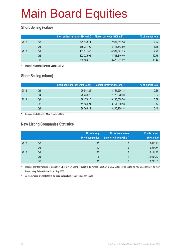### **Short Selling (value)**

|      |    | Short selling turnover (HK\$ mil.) | Market turnover (HK\$ mil.) * | % of market total |
|------|----|------------------------------------|-------------------------------|-------------------|
| 2012 | Q3 | 295,053.14                         | 2,967,517.56                  | 9.94              |
|      | Q4 | 285,387.99                         | 3,416,543.59                  | 8.35              |
| 2013 | Q1 | 407,011.47                         | 4,387,021.75                  | 9.28              |
|      | Q2 | 402,326.06                         | 3,738,340.40                  | 10.76             |
|      | Q3 | 362,504.10                         | 3,478,201.02                  | 10.42             |

Included Market total for Main Board and GEM

### **Short Selling (share)**

|      |    | <b>Short selling turnover (Mil. shs)</b> | Market turnover (Mil. shs) * | % of market total |
|------|----|------------------------------------------|------------------------------|-------------------|
| 2012 | Q3 | 29.541.26                                | 8,151,536.18                 | 0.36              |
|      | Q4 | 28,450.72                                | 7,779,826.30                 | 0.37              |
| 2013 | Q1 | 39.479.17                                | 10,186,659.76                | 0.39              |
|      | Q2 | 41,554.24                                | 8,751,359.18                 | 0.47              |
|      | Q3 | 38,306.44                                | 8,245,169.14                 | 0.46              |

Included Market total for Main Board and GEM

#### **New Listing Companies Statistics**

|      |                | No. of newly<br>listed companies | No. of companies<br>transferred from GEM* | <b>Funds raised</b><br>(HK\$ mil.) # |
|------|----------------|----------------------------------|-------------------------------------------|--------------------------------------|
| 2012 | Q <sub>3</sub> | 12                               | $\mathcal{D}$                             | 13,628.71                            |
|      | Q4             | 13                               | 0                                         | 45,234.54                            |
| 2013 | Q1             | 10                               | $\mathbf{0}$                              | 8,124.40                             |
|      | Q <sub>2</sub> | 6                                |                                           | 30,624.47                            |
|      | Q3             | 15                               | C                                         | 18,210.31                            |

Included only the transfers of listing from GEM to Main Board pursuant to the revised Rule 9.24 of GEM Listing Rules and to the new Chapter 9A of the Main Board Listing Rules effective from 1 July 2008

# All funds raised are attributed to the initial public offers of newly listed companies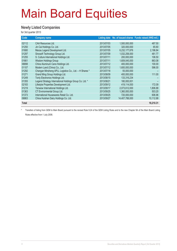#### **Newly Listed Companies**

for 3rd quarter 2013

| Code         | <b>Company name</b>                                     |            |                | Listing date No. of issued shares Funds raised (HK\$ mil.) |
|--------------|---------------------------------------------------------|------------|----------------|------------------------------------------------------------|
| 02112        | <b>CAA Resources Ltd.</b>                               | 2013/07/03 | 1,500,000,000  | 487.50                                                     |
| 01250        | Jin Cai Holdings Co. Ltd.                               | 2013/07/05 | 320,000,000    | 65.60                                                      |
| 01680        | Macau Legend Development Ltd.                           | 2013/07/05 | 6,232,177,876  | 2,196.84                                                   |
| 01297        | Sinosoft Technology Group Ltd.                          | 2013/07/09 | 1,032,258,000  | 481.77                                                     |
| 01255        | S. Culture International Holdings Ltd.                  | 2013/07/11 | 200,000,000    | 106.50                                                     |
| 01661        | <b>Wisdom Holdings Group</b>                            | 2013/07/11 | 1,609,045,000  | 863.08                                                     |
| 06898        | China Aluminum Cans Holdings Ltd.                       | 2013/07/12 | 400.000.000    | 100.00                                                     |
| 01107        | Modern Land (China) Co., Ltd.                           | 2013/07/12 | 1,600,000,000  | 596.00                                                     |
| 01292        | Changan Minsheng APLL Logistics Co., Ltd. - H Shares *  | 2013/07/18 | 55.000.000     |                                                            |
| 01271        | Grand Ming Group Holdings Ltd.                          | 2013/08/09 | 400,000,000    | 111.00                                                     |
| 01249        | Tonly Electronics Holdings Ltd.                         | 2013/08/15 | 133,316,234    |                                                            |
| 01355        | Legend Strategy International Holdings Group Co. Ltd. * | 2013/08/21 | 180,000,001    |                                                            |
| 02183        | Lifestyle Properties Development Ltd.                   | 2013/09/12 | 419,114,000    | 172.09                                                     |
| 01219        | Tenwow International Holdings Ltd.                      | 2013/09/17 | 2,073,612,000  | 1,806.88                                                   |
| 01363        | CT Environmental Group Ltd.                             | 2013/09/25 | 1,360,000,000  | 503.20                                                     |
| 01373        | International Housewares Retail Co. Ltd.                | 2013/09/25 | 720,000,000    | 606.96                                                     |
| 06863        | China Huishan Dairy Holdings Co. Ltd.                   | 2013/09/27 | 14,407,788,000 | 10,112.88                                                  |
| <b>Total</b> |                                                         |            |                | 18,210.31                                                  |

\* Transfers of listing from GEM to Main Board pursuant to the revised Rule 9.24 of the GEM Listing Rules and to the new Chapter 9A of the Main Board Listing Rules effective from 1 July 2008.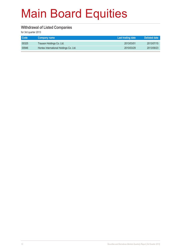#### **Withdrawal of Listed Companies**

for 3rd quarter 2013

| <b>Code</b> | <b>Company name</b>                    | Last trading date | Delisted date |
|-------------|----------------------------------------|-------------------|---------------|
| 00325       | Trauson Holdings Co. Ltd.              | 2013/03/01        | 2013/07/15    |
| 00946       | Hontex International Holdings Co. Ltd. | 2010/03/29        | 2013/09/23    |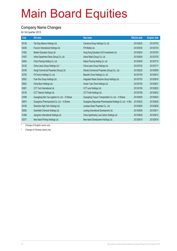#### **Company Name Changes**

for 3rd quarter 2013

| Code  | Old name                                        | New name                                                      | <b>Effective date</b> | <b>Adoption date</b> |
|-------|-------------------------------------------------|---------------------------------------------------------------|-----------------------|----------------------|
| 00126 | Tak Sing Alliance Holdings Ltd.                 | Carrianna Group Holdings Co. Ltd.                             | 2013/05/20            | 2013/07/02           |
| 02038 | Foxconn International Holdings Ltd.             | FIH Mobile Ltd.                                               | 2013/05/30            | 2013/07/03           |
| 01082 | Modern Education Group Ltd.                     | Hong Kong Education (Int'l) Investments Ltd.                  | 2013/06/24            | 2013/07/04           |
| 01833 | Intime Department Store (Group) Co. Ltd.        | Intime Retail (Group) Co. Ltd.                                | 2013/06/04            | 2013/07/05           |
| 02083 | China Flooring Holding Co. Ltd.                 | Nature Flooring Holding Co. Ltd.                              | 2013/06/05            | 2013/07/10           |
| 02128 | China Liansu Group Holdings Ltd. *              | China Lesso Group Holdings Ltd.                               | 2013/07/02            | 2013/07/17           |
| 00169 | Hengli Commercial Properties (Group) Ltd.       | Wanda Commercial Properties (Group) Co., Ltd.                 | 2013/06/25            | 2013/08/09           |
| 00706 | FinTronics Holdings Co. Ltd.                    | Beautiful China Holdings Co. Ltd.                             | 2013/07/09            | 2013/08/14           |
| 00923 | Fook Woo Group Holdings Ltd.                    | Integrated Waste Solutions Group Holdings Ltd.                | 2013/07/03            | 2013/08/16           |
| 00922 | China Boon Holdings Ltd.                        | Anxian Yuan China Holdings Ltd.                               | 2013/07/04            | 2013/08/21           |
| 00261 | <b>CCT Tech International Ltd.</b>              | CCT Land Holdings Ltd.                                        | 2013/07/08            | 2013/08/23           |
| 00138 | CCT Telecom Holdings Ltd.                       | CCT Fortis Holdings Ltd.                                      | 2013/07/08            | 2013/08/23           |
| 03399 | Guangdong Nan Yue Logistics Co. Ltd. - H Shares | Guangdong Yueyun Transportation Co. Ltd. - H Shares           | 2013/08/05            | 2013/08/23           |
| 00874 | Guangzhou Pharmaceutical Co. Ltd. - H Shares    | Guangzhou Baiyunshan Pharmaceutical Holdings Co. Ltd. - H Shs | 2013/08/23            | 2013/08/29           |
| 00106 | Shenzhen High-Tech Holdings Ltd.                | Landsea Green Properties Co., Ltd.                            | 2013/08/05            | 2013/08/29           |
| 00582 | Greenfield Chemical Holdings Ltd.               | Landing International Development Ltd.                        | 2013/08/08            | 2013/09/11           |
| 01069 | Jiangchen International Holdings Ltd.           | China Agroforestry Low-Carbon Holdings Ltd.                   | 2013/08/28            | 2013/09/12           |
| 00377 | New Island Printing Holdings Ltd.               | New Island Development Holdings Ltd.                          | 2013/08/19            | 2013/09/18           |

\* Change of English name only

# Change of Chinese name only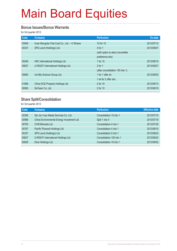#### **Bonus Issues/Bonus Warrants**

for 3rd quarter 2013

| Code  | <b>Company</b>                                 | <b>Particulars</b>                | Ex-date    |
|-------|------------------------------------------------|-----------------------------------|------------|
| 03948 | Inner Mongolia Yitai Coal Co., Ltd. - H Shares | 10 for 10                         | 2013/07/12 |
| 00337 | SPG Land (Holdings) Ltd.                       | 4 for 1                           | 2013/08/07 |
|       |                                                | (with option to elect convertible |            |
|       |                                                | preference shs)                   |            |
| 00248 | HKC International Holdings Ltd.                | 1 for 10                          | 2013/08/15 |
| 00627 | U-RIGHT International Holdings Ltd.            | $2$ for 1                         | 2013/08/27 |
|       |                                                | (after consolidation 100 into 1)  |            |
| 00690 | Uni-Bio Science Group Ltd.                     | 1 for 1 offer sh                  | 2013/09/02 |
|       |                                                | 1 wt for 2 offer shs              |            |
| 01966 | China SCE Property Holdings Ltd.               | 2 for 10                          | 2013/09/13 |
| 00065 | DeTeam Co. Ltd.                                | 2 for 10                          | 2013/09/19 |
|       |                                                |                                   |            |

### **Share Split/Consolidation**

for 3rd quarter 2013

| Code  | <b>Company</b>                             | <b>Particulars</b>       | <b>Effective date</b> |
|-------|--------------------------------------------|--------------------------|-----------------------|
| 02366 | Qin Jia Yuan Media Services Co. Ltd.       | Consolidation 10 into 1  | 2013/07/10            |
| 00986 | China Environmental Energy Investment Ltd. | Split 1 into 4           | 2013/07/18            |
| 00705 | CVM Minerals Ltd.                          | Consolidation 4 into 1   | 2013/07/30            |
| 00767 | Pacific Plywood Holdings Ltd.              | Consolidation 4 into 1   | 2013/08/15            |
| 00337 | SPG Land (Holdings) Ltd.                   | Consolidation 5 into 1   | 2013/08/23            |
| 00627 | U-RIGHT International Holdings Ltd.        | Consolidation 100 into 1 | 2013/08/23            |
| 00628 | Dore Holdings Ltd.                         | Consolidation 10 into 1  | 2013/09/02            |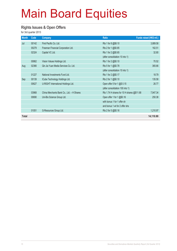#### **Rights Issues & Open Offers**

for 3rd quarter 2013

| <b>Month</b> | Code  | <b>Company</b>                            | <b>Ratio</b>                               | Funds raised (HK\$ mil.) |
|--------------|-------|-------------------------------------------|--------------------------------------------|--------------------------|
| Jul          | 00142 | First Pacific Co. Ltd.                    | Rts 1 for 8 @\$8.10                        | 3,889.58                 |
|              | 00279 | Freeman Financial Corporation Ltd.        | Rts 2 for 1 @\$0.85                        | 162.51                   |
|              | 02324 | Capital VC Ltd.                           | Rts 1 for 2 @\$0.65                        | 32.80                    |
|              |       |                                           | (after consolidation 10 into 1)            |                          |
|              | 00862 | Vision Values Holdings Ltd.               | Rts 1 for 2 @\$0.10                        | 70.52                    |
| Aug          | 02366 | Qin Jia Yuan Media Services Co. Ltd.      | Rts 5 for 1 @\$0.78                        | 365.66                   |
|              |       |                                           | (after consolidation 10 into 1)            |                          |
|              | 01227 | National Investments Fund Ltd.            | Rts 1 for 2 @\$0.17                        | 18.79                    |
| Sep          | 00139 | ICube Technology Holdings Ltd.            | Rts 2 for 1 @\$0.10                        | 135.58                   |
|              | 00627 | U-RIGHT International Holdings Ltd.       | Open offer 5 for 1 @\$ 0.15                | 26.77                    |
|              |       |                                           | (after consolidation 100 into 1)           |                          |
|              | 03968 | China Merchants Bank Co., Ltd. - H Shares | Rts 1.74 H shares for 10 H shares @\$11.68 | 7,947.34                 |
|              | 00690 | Uni-Bio Science Group Ltd.                | Open offer 1 for 1 @\$0.16                 | 250.38                   |
|              |       |                                           | with bonus 1 for 1 offer sh                |                          |
|              |       |                                           | and bonus 1 wt for 2 offer shs             |                          |
|              | 01051 | G-Resources Group Ltd.                    | Rts 2 for 5 @\$0.16                        | 1,210.97                 |
| <b>Total</b> |       |                                           |                                            | 14,110.90                |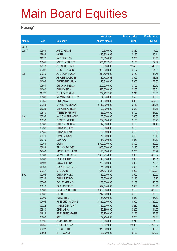#### **Placing\***

|              |       |                        | No. of new    | <b>Placing price</b> | <b>Funds raised</b> |
|--------------|-------|------------------------|---------------|----------------------|---------------------|
| <b>Month</b> | Code  | <b>Company</b>         | shares placed | (HKS)                | (HK\$ mil.)         |
| 2013         |       |                        |               |                      |                     |
| Jun **       | 00959 | <b>AMAX HLDGS</b>      | 9,600,000     | 0.830                | 7.97                |
|              | 02882 | <b>HKRH</b>            | 196,908,603   | 0.180                | 35.44               |
|              | 01227 | <b>NATIONAL INV</b>    | 36,850,000    | 0.285                | 10.50               |
|              | 00061 | <b>NORTH ASIA RES</b>  | 351, 122, 243 | 0.170                | 59.69               |
|              | 02313 | SHENZHOU INTL          | 69,000,000    | 22.400               | 1,545.60            |
|              | 00702 | SINO OIL & GAS         | 928,000,000   | 0.167                | 154.98              |
| Jul          | 00030 | ABC COM (HOLD)         | 211,660,000   | 0.150                | 31.75               |
|              | 00899 | <b>ASIA RESOURCES</b>  | 30,772,661    | 0.600                | 18.46               |
|              | 01006 | CHANGSHOUHUA           | 26,310,000    | 5.800                | 152.60              |
|              | 00651 | CHI O SHIPBLDG         | 200,000,000   | 0.102                | 20.40               |
|              | 01060 | <b>CHINAVISION</b>     | 582,630,000   | 0.460                | 268.01              |
|              | 01175 | FU JI CATERING         | 202,702,703   | 0.740                | 150.00              |
|              | 00166 | <b>NEWTIMES ENERGY</b> | 34,370,000    | 0.580                | 19.93               |
|              | 03366 | OCT (ASIA)             | 140,000,000   | 4.050                | 567.00              |
|              | 00755 | SHANGHAI ZENDAI        | 2,442,000,000 | 0.140                | 341.88              |
|              | 01026 | <b>UNIVERSAL TECH</b>  | 192,000,000   | 0.580                | 111.36              |
|              | 00570 | <b>WINTEAM PHARMA</b>  | 125,000,000   | 3.100                | 387.50              |
| Aug          | 00595 | AV CONCEPT HOLD        | 72,600,000    | 0.600                | 43.56               |
|              | 00290 | C FORTUNE FIN          | 252,300,000   | 0.100                | 25.23               |
|              | 00986 | CH ENV ENERGY          | 12,800,000    | 1.130                | 14.46               |
|              | 00736 | <b>CHINA PPT INV</b>   | 50,000,000    | 0.136                | 6.80                |
|              | 00155 | <b>CHINA SOLAR</b>     | 122,380,000   | 0.168                | 20.56               |
|              | 00471 | <b>CMMB VISION</b>     | 72,000,000    | 0.465                | 33.48               |
|              | 01019 | <b>CONVOY</b>          | 44,000,000    | 1.850                | 81.40               |
|              | 00269 | <b>CRTG</b>            | 2,500,000,000 | 0.300                | 750.00              |
|              | 00689 | EPI (HOLDINGS)         | 650,000,000   | 0.190                | 123.50              |
|              | 02700 | <b>GREEN INTL HLDG</b> | 126,800,000   | 0.205                | 25.99               |
|              | 00360 | <b>NEW FOCUS AUTO</b>  | 2,323,235,000 | 0.300                | 696.97              |
|              | 02668 | PAK TAK INT'L          | 46,598,000    | 0.880                | 41.01               |
|              | 01198 | <b>ROYALE FURN</b>     | 232,000,000   | 0.339                | 78.65               |
|              | 01166 | <b>SOLARTECH INT'L</b> | 75,000,000    | 0.300                | 22.50               |
|              | 00337 | <b>SPG LAND</b>        | 685,374,853   | 1.900                | 1,302.21            |
| Sep          | 00204 | CHINA INV DEV          | 40,000,000    | 0.500                | 20.00               |
|              | 00736 | <b>CHINA PPT INV</b>   | 58,000,000    | 0.140                | 8.12                |
|              | 00705 | <b>CVM MINERALS</b>    | 268,030,000   | 0.168                | 45.03               |
|              | 00616 | <b>EASYKNIT ENT</b>    | 329,540,000   | 0.063                | 20.76               |
|              | 00566 | <b>HANERGY SOLAR</b>   | 6,000,000,000 | 0.100                | 600.00              |
|              | 02882 | <b>HKRH</b>            | 217,000,000   | 0.180                | 39.06               |
|              | 02200 | <b>HOSA INT'L</b>      | 54,500,000    | 2.850                | 155.33              |
|              | 00404 | HSIN CHONG CONS        | 1,350,000,000 | 1.000                | 1,350.00            |
|              | 02322 | <b>NOBLE CENTURY</b>   | 120,000,000   | 0.280                | 33.60               |
|              | 00810 | <b>OPES ASIA</b>       | 59,860,000    | 0.200                | 11.97               |
|              | 01822 | <b>PERCEPTIONDIGIT</b> | 186,750,000   | 0.176                | 32.87               |
|              | 00802 | <b>RCG</b>             | 139,230,000   | 0.250                | 34.81               |
|              | 00395 | <b>SINO DRAGON</b>     | 100,000,000   | 0.215                | 21.50               |
|              | 01666 | <b>TONG REN TANG</b>   | 52,392,000    | 23.000               | 1,205.02            |
|              | 00627 | <b>U-RIGHT INT'L</b>   | 970,000,000   | 0.150                | 145.50              |
|              | 00868 | XINYI GLASS            | 120,000,000   | 6.700                | 804.00              |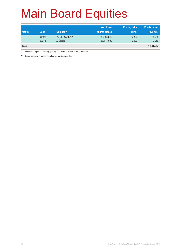|              |       |             | No. of new    | <b>Placing price</b> | <b>Funds raised</b> |
|--------------|-------|-------------|---------------|----------------------|---------------------|
| <b>Month</b> | Code  | Company     | shares placed | (HK\$)               | (HK\$ mil.)         |
|              | 01191 | YUESHOU ENV | 169,385,540   | 0.200                | 33.88               |
|              | 00948 | Z-OBEE      | 127,114,000   | 0.800                | 101.69              |
| <b>Total</b> |       |             |               |                      | 11,812.53           |

Due to the reporting time-lag, placing figures for the quarter are provisional.

\*\* Supplementary information update for previous quarters.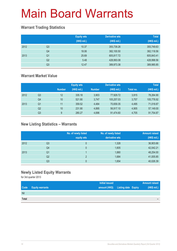### **Warrant Trading Statistics**

|      |                | <b>Equity wts</b><br>(HK\$ mil.) | <b>Derivative wts</b><br>(HK\$ mil.) | <b>Total</b><br>(HK\$ mil.) |
|------|----------------|----------------------------------|--------------------------------------|-----------------------------|
| 2012 | Q <sub>3</sub> | 10.37                            | 355,739.26                           | 355,749.63                  |
|      | Q <sub>4</sub> | 18.06                            | 382,100.50                           | 382,118.56                  |
| 2013 | Q1             | 25.69                            | 605,817.72                           | 605,843.41                  |
|      | Q2             | 5.48                             | 428,993.08                           | 428,998.56                  |
|      | Q <sub>3</sub> | 12.47                            | 389,973.38                           | 389,985.85                  |

### **Warrant Market Value**

|      |                |               | <b>Equity wts</b> |               | <b>Derivative wts</b> |           | <b>Total</b> |
|------|----------------|---------------|-------------------|---------------|-----------------------|-----------|--------------|
|      |                | <b>Number</b> | (HK\$ mil.)       | <b>Number</b> | (HK\$ mil.)           | Total no. | (HK\$ mil.)  |
| 2012 | Q3             | 12            | 335.18            | 3.903         | 77.929.72             | 3.915     | 78,264.90    |
|      | Q4             | 10            | 521.90            | 3.747         | 105.257.03            | 3.757     | 105,778.92   |
| 2013 | Q <sub>1</sub> | 11            | 359.52            | 4.484         | 70,659.35             | 4,495     | 71,018.87    |
|      | Q <sub>2</sub> | 10            | 231.90            | 4,895         | 56,917.10             | 4,905     | 57,149.00    |
|      | Q3             | 9             | 280.27            | 4.696         | 91,474.60             | 4,705     | 91,754.87    |

### **New Listing Statistics – Warrants**

|      |                | No. of newly listed<br>equity wts | No. of newly listed<br>derivative wts | <b>Amount raised</b><br>(HK\$ mil.) |
|------|----------------|-----------------------------------|---------------------------------------|-------------------------------------|
| 2012 | Q <sub>3</sub> | 0                                 | 1,328                                 | 36,903.66                           |
|      | Q4             | 0                                 | 1,605                                 | 42,042.21                           |
| 2013 | Q1             |                                   | 1,880                                 | 48,254.00                           |
|      | Q <sub>2</sub> | C                                 | 1,684                                 | 41,005.85                           |
|      | Q <sub>3</sub> | 0                                 | 1,654                                 | 40,026.39                           |

### **Newly Listed Equity Warrants**

for 3rd quarter 2013

|              |                        | <b>Initial issued</b>             |  | Amount raised            |
|--------------|------------------------|-----------------------------------|--|--------------------------|
| Code         | <b>Equity warrants</b> | amount (HK\$) Listing date Expiry |  | (HK\$ mil.)              |
| <b>Nil</b>   |                        |                                   |  |                          |
| <b>Total</b> |                        |                                   |  | $\overline{\phantom{a}}$ |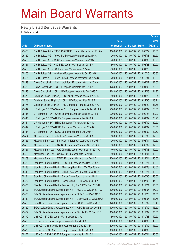### **Newly Listed Derivative Warrants**

for 3rd quarter 2013

|       |                                                                |               |                            | <b>Amount</b> |
|-------|----------------------------------------------------------------|---------------|----------------------------|---------------|
|       |                                                                | No. of        |                            | raised        |
| Code  | <b>Derivative warrants</b>                                     | issue (units) | <b>Listing date Expiry</b> | (HK\$ mil.)   |
| 25460 | Credit Suisse AG - CSOP A50 ETF European Warrants Jun 2015 A   | 100,000,000   | 2013/07/02 2015/06/29      | 15.00         |
| 25462 | Credit Suisse AG - A50 China European Warrants Jan 2014 A      | 70,000,000    | 2013/07/02 2014/01/03      | 25.20         |
| 25463 | Credit Suisse AG - A50 China European Warrants Jan 2014 B      | 70,000,000    | 2013/07/02 2014/01/03      | 18.20         |
| 25467 | Credit Suisse AG - HSCEI European Warrants Mar 2014 A          | 80,000,000    | 2013/07/02 2014/03/28      | 20.00         |
| 25466 | Credit Suisse AG - HSI European Warrants Jan 2014 A            | 200,000,000   | 2013/07/02 2014/01/29      | 50.00         |
| 25465 | Credit Suisse AG - Hutchison European Warrants Oct 2013 B      | 70,000,000    | 2013/07/02 2013/10/16      | 20.30         |
| 25461 | Credit Suisse AG - Sands China European Warrants Oct 2013 B    | 70,000,000    | 2013/07/02 2013/10/31      | 10.50         |
| 25429 | Daiwa Capital Mkt - Agricultural Bank European Wts Jan 2014 A  | 128,000,000   | 2013/07/02 2014/01/02      | 32.00         |
| 25430 | Daiwa Capital Mkt - BOCL European Warrants Jan 2014 A          | 128,000,000   | 2013/07/02 2014/01/02      | 33.28         |
| 25428 | Daiwa Capital Mkt – China Life European Warrants Dec 2013 A    | 168,000,000   | 2013/07/02 2013/12/23      | 31.92         |
| 25476 | Goldman Sachs SP (Asia) – CC Bank European Wts Jan 2014 B      | 80,000,000    | 2013/07/02 2014/01/29      | 26.64         |
| 25478 | Goldman Sachs SP (Asia) - China Life Euro Wts Dec 2013 B       | 120,000,000   | 2013/07/02 2013/12/30      | 18.24         |
| 25475 | Goldman Sachs SP (Asia) - HSI European Warrants Jan 2014 A     | 150,000,000   | 2013/07/02 2014/01/29      | 37.65         |
| 25447 | J P Morgan SP BV - Sinopec Corp European Warrants Jan 2014 A   | 200,000,000   | 2013/07/02 2014/01/02      | 50.00         |
| 25446 | J P Morgan SP BV - China Shenhua European Wts Feb 2014 B       | 200,000,000   | 2013/07/02 2014/02/28      | 50.00         |
| 25445 | J P Morgan SP BV - HKEx European Warrants Jan 2014 A           | 100,000,000   | 2013/07/02 2014/01/02      | 33.90         |
| 25441 | J P Morgan SP BV - HSBC European Warrants Jan 2014 A           | 200,000,000   | 2013/07/02 2014/01/02      | 52.20         |
| 25442 | J P Morgan SP BV - HSBC European Warrants Jan 2014 B           | 200,000,000   | 2013/07/02 2014/01/02      | 50.00         |
| 25444 | J P Morgan SP BV - KECL European Warrants Jan 2014 A           | 50,000,000    | 2013/07/02 2014/01/02      | 12.50         |
| 25424 | Macquarie Bank Ltd. - Belle Int'l European Wts Oct 2014 A      | 50,000,000    | 2013/07/02 2014/10/06      | 12.50         |
| 25455 | Macquarie Bank Ltd. - BankComm European Warrants Mar 2014 A    | 70,000,000    | 2013/07/02 2014/03/04      | 10.50         |
| 25456 | Macquarie Bank Ltd. - CM Bank European Warrants Sep 2014 A     | 80,000,000    | 2013/07/02 2014/09/02      | 12.00         |
| 25457 | Macquarie Bank Ltd. - A50 China European Warrants Jan 2014 C   | 40,000,000    | 2013/07/02 2014/01/03      | 10.00         |
| 25458 | Macquarie Bank Ltd. - Galaxy Ent European Wts Nov 2013 B       | 50,000,000    | 2013/07/02 2013/11/04      | 10.00         |
| 25459 | Macquarie Bank Ltd. - MTRC European Warrants Nov 2014 A        | 100,000,000   | 2013/07/02 2014/11/04      | 25.00         |
| 25438 | Standard Chartered Bank - BOC HK European Wts Dec 2013 A       | 80,000,000    | 2013/07/02 2013/12/24      | 16.00         |
| 25433 | Standard Chartered Bank - Minsheng Bank Euro Wts Mar 2014 A    | 50,000,000    | 2013/07/02 2014/03/03      | 20.00         |
| 25440 | Standard Chartered Bank - China Overseas Euro Wt Dec 2013 A    | 100,000,000   | 2013/07/02 2013/12/24      | 15.00         |
| 25431 | Standard Chartered Bank - Sands China Euro Wts May 2014 A      | 100,000,000   | 2013/07/02 2014/05/30      | 48.00         |
| 25432 | Standard Chartered Bank - Sands China Eu Put Wts Jul 2014 A    | 100,000,000   | 2013/07/02 2014/07/03      | 44.00         |
| 25435 | Standard Chartered Bank - Tencent Hidg Eu Put Wts Dec 2013 D   | 100,000,000   | 2013/07/02 2013/12/24      | 15.00         |
| 25427 | SGA Societe Generale Acceptance N.V. - AGBK Eu Wt Jan 2014 A   | 100,000,000   | 2013/07/02 2014/01/06      | 15.00         |
| 25453 | SGA Societe Generale Acceptance N.V. - CLife Eu Wt Dec2013 B   | 120,000,000   | 2013/07/02 2013/12/23      | 21.00         |
| 25449 | SGA Societe Generale Acceptance N.V. - Geely Auto Eu Wt Jan14A | 50,000,000    | 2013/07/02 2014/01/06      | 17.75         |
| 25425 | SGA Societe Generale Acceptance N.V. - HSBC Eu Wt Dec 2013 B   | 120,000,000   | 2013/07/02 2013/12/02      | 20.40         |
| 25450 | SGA Societe Generale Acceptance N.V. - ICBC Eu Wt Dec 2013 B   | 100,000,000   | 2013/07/02 2013/12/02      | 16.50         |
| 25452 | SGA Societe Generale Acceptance N.V. - Ping An Eu Wt Dec 13 B  | 100,000,000   | 2013/07/02 2013/12/09      | 25.00         |
| 25470 | UBS AG - BYD European Warrants Oct 2013 A                      | 80,000,000    | 2013/07/02 2013/10/28      | 19.20         |
| 25483 | UBS AG - CC Bank European Warrants Jan 2014 A                  | 100,000,000   | 2013/07/02 2014/01/09      | 40.00         |
| 25471 | UBS AG - China Mobile European Warrants Dec 2013 D             | 100,000,000   | 2013/07/02 2013/12/02      | 15.00         |
| 25473 | UBS AG - CSOP A50 ETF European Warrants Jan 2014 A             | 100,000,000   | 2013/07/02 2014/01/09      | 50.00         |
| 25472 | UBS AG - CSOP A50 ETF European Warrants Jun 2015 A             | 300,000,000   | 2013/07/02 2015/06/24      | 45.00         |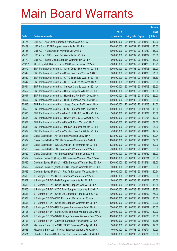|        |                                                              |               |                            | <b>Amount</b> |
|--------|--------------------------------------------------------------|---------------|----------------------------|---------------|
|        |                                                              | No. of        |                            | raised        |
| Code   | <b>Derivative warrants</b>                                   | issue (units) | <b>Listing date Expiry</b> | (HK\$ mil.)   |
| 25474  | UBS AG - A50 China European Warrants Jan 2014 A              | 100,000,000   | 2013/07/02 2014/01/09      | 40.00         |
| 25469  | UBS AG - HSCEI European Warrants Jan 2014 A                  | 100,000,000   | 2013/07/02 2014/01/29      | 25.00         |
| 25486  | UBS AG - HSI European Warrants Dec 2013 J                    | 300,000,000   | 2013/07/02 2013/12/30      | 45.00         |
| 25485  | UBS AG - HSI European Put Warrants Jan 2014 A                | 300,000,000   | 2013/07/02 2014/01/29      | 75.00         |
| 25479  | UBS AG - Sands China European Warrants Jan 2014 A            | 60,000,000    | 2013/07/02 2014/01/09      | 18.00         |
| 21970# | Merrill Lynch Int'l & Co. C.V. - A50 China Eur Wt Apr 2014 A | 250,000,000   | 2013/07/02 2014/04/29      | 10.25         |
| 25570  | BNP Paribas Arbit Issu B.V. - Anhui Conch Euro Wt Jan 2014 B | 100,000,000   | 2013/07/03 2014/01/03      | 25.00         |
| 25549  | BNP Paribas Arbit Issu B.V. - China Coal Euro Wts Jan 2014 B | 60,000,000    | 2013/07/03 2014/01/03      | 21.60         |
| 25550  | BNP Paribas Arbit Issu B.V. - CITIC Bank Euro Wts Jan 2014 B | 60,000,000    | 2013/07/03 2014/01/03      | 18.60         |
| 25547  | BNP Paribas Arbit Issu B.V. - CITIC Sec Euro Wts Apr 2014 A  | 100,000,000   | 2013/07/03 2014/04/02      | 25.00         |
| 25554  | BNP Paribas Arbit Issu B.V. - Sinopec Corp Eu Wts Jan 2014 A | 100,000,000   | 2013/07/03 2014/01/03      | 29.00         |
| 25552  | BNP Paribas Arbit Issu B.V. - HKEx European Wts Jan 2016 A   | 100,000,000   | 2013/07/03 2016/01/05      | 16.00         |
| 25517  | BNP Paribas Arbit Issu B.V. - Hang Lung Ppt Eu Wt Dec 2014 A | 100,000,000   | 2013/07/03 2014/12/02      | 25.00         |
| 25557  | BNP Paribas Arbit Issu B.V. - HSBC European Wts Jan 2014 C   | 100,000,000   | 2013/07/03 2014/01/03      | 28.00         |
| 25513  | BNP Paribas Arbit Issu B.V. - Jiangxi Copper Eu Wt Nov 2014A | 100,000,000   | 2013/07/03 2014/11/03      | 21.00         |
| 25555  | BNP Paribas Arbit Issu B.V. - KECL European Wts Sep 2014 A   | 100,000,000   | 2013/07/03 2014/09/01      | 15.00         |
| 25515  | BNP Paribas Arbit Issu B.V. - Luk Fook Hold Eu Wt Nov 2014 A | 36,000,000    | 2013/07/03 2014/11/04      | 10.08         |
| 25556  | BNP Paribas Arbit Issu B.V. - New World Dev Eu Wt Oct 2014 A | 100,000,000   | 2013/07/03 2014/10/06      | 17.00         |
| 25551  | BNP Paribas Arbit Issu B.V. - PetroCh Euro Wts Jan 2014 C    | 100,000,000   | 2013/07/03 2014/01/03      | 32.00         |
| 25548  | BNP Paribas Arbit Issu B.V. - Ping An European Wt Jan 2014 B | 100,000,000   | 2013/07/03 2014/01/03      | 25.00         |
| 25509  | BNP Paribas Arbit Issu B.V. - Yanzhou Coal Eur Wt Jan 2014 A | 43,000,000    | 2013/07/03 2014/01/03      | 12.04         |
| 25523  | Daiwa Capital Mkt - AIA European Warrants Jan 2014 A         | 108,000,000   | 2013/07/03 2014/01/02      | 30.24         |
| 25522  | Daiwa Capital Mkt - BOC HK European Warrants Apr 2014 A      | 128,000,000   | 2013/07/03 2014/04/25      | 32.00         |
| 25524  | Daiwa Capital Mkt - BOCL European Put Warrants Jan 2014 B    | 128,000,000   | 2013/07/03 2014/01/08      | 32.00         |
| 25525  | Daiwa Capital Mkt - HSI European Put Warrants Jan 2014 A     | 200,000,000   | 2013/07/03 2014/01/29      | 50.00         |
| 25529  | Daiwa Capital Mkt - HSI European Put Warrants Jan 2014 B     | 200,000,000   | 2013/07/03 2014/01/29      | 56.00         |
| 25567  | Goldman Sachs SP (Asia) - AIA European Warrants Mar 2014 A   | 100,000,000   | 2013/07/03 2014/03/31      | 25.00         |
| 25565  | Goldman Sachs SP (Asia) - HKEx European Warrants Dec 2015 A  | 120,000,000   | 2013/07/03 2015/12/24      | 18.00         |
| 25562  | Goldman Sachs Sp (Asia) - ICBC European Warrants Jan 2014 A  | 80,000,000    | 2013/07/03 2014/01/29      | 20.00         |
| 25566  | Goldman Sachs SP (Asia) - Ping An European Wts Jan 2014 A    | 80,000,000    | 2013/07/03 2014/01/24      | 20.24         |
| 25508  | J P Morgan SP BV - BOCL European Warrants Jan 2014 A         | 200,000,000   | 2013/07/03 2014/01/02      | 50.00         |
| 25507  | J P Morgan SP BV - BYD European Warrants Jan 2014 B          | 60,000,000    | 2013/07/03 2014/01/02      | 15.00         |
| 25505  | J P Morgan SP BV - China EB Int'l European Wts Mar 2014 A    | 50,000,000    | 2013/07/03 2014/03/03      | 15.55         |
| 25506  | J P Morgan SP BV - CITIC Bank European Warrants Jul 2014 A   | 100,000,000   | 2013/07/03 2014/07/02      | 26.30         |
| 25561  | J P Morgan SP BV - China Life European Warrants Jan 2014 C   | 300,000,000   | 2013/07/03 2014/01/02      | 75.00         |
| 25504  | J P Morgan SP BV - CPIC European Warrants Jan 2014 A         | 100,000,000   | 2013/07/03 2014/01/02      | 25.00         |
| 25501  | J P Morgan SP BV - China Tel European Warrants Jan 2014 A    | 100,000,000   | 2013/07/03 2014/01/02      | 29.20         |
| 25498  | J P Morgan SP BV - HSI European Put Warrants Feb 2014 A      | 500,000,000   | 2013/07/03 2014/02/27      | 125.00        |
| 25496  | J P Morgan SP BV - Sands China European Warrants Jan 2014 B  | 200,000,000   | 2013/07/03 2014/01/02      | 50.00         |
| 25494  | J P Morgan SP BV - SJM Holdings European Warrants Feb 2014 A | 100,000,000   | 2013/07/03 2014/02/05      | 25.00         |
| 25493  | J P Morgan SP BV - Zoomlion European Warrants Mar 2014 A     | 50,000,000    | 2013/07/03 2014/03/03      | 13.75         |
| 25491  | Macquarie Bank Ltd. - CAM CSI300 European Wts Apr 2014 A     | 50,000,000    | 2013/07/03 2014/04/02      | 12.50         |
| 25536  | Macquarie Bank Ltd. - Ping An European Warrants Feb 2014 A   | 40,000,000    | 2013/07/03 2014/02/04      | 10.00         |
| 25521  | Standard Chartered Bank - Chi Res Power Euro Wts Feb 2014 A  | 80,000,000    | 2013/07/03 2014/02/05      | 20.00         |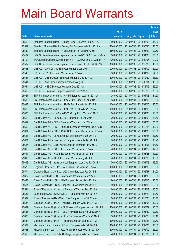|       |                                                                |               |                            |            | <b>Amount</b> |
|-------|----------------------------------------------------------------|---------------|----------------------------|------------|---------------|
|       |                                                                | No. of        |                            |            | raised        |
| Code  | <b>Derivative warrants</b>                                     | issue (units) | <b>Listing date Expiry</b> |            | (HK\$ mil.)   |
| 25520 | Standard Chartered Bank - Datang Power Euro Wts Aug 2014 A     | 50,000,000    | 2013/07/03 2014/08/08      |            | 15.00         |
| 25519 | Standard Chartered Bank - Galaxy Ent European Wts Jun 2014 A   | 100,000,000   | 2013/07/03 2014/06/30      |            | 40.00         |
| 25530 | Standard Chartered Bank - HSI European Put Wts May 2014 A      | 150,000,000   | 2013/07/03 2014/05/29      |            | 22.50         |
| 25487 | SGA Societe Generale Acceptance N.V. - CAM CSI300 Eu Wt Jan14A | 300,000,000   | 2013/07/03 2014/01/06      |            | 75.00         |
| 25490 | SGA Societe Generale Acceptance N.V. - CAM CSI300 Eu Wt Feb14A | 300,000,000   | 2013/07/03 2014/02/05      |            | 99.00         |
| 25532 | SGA Societe Generale Acceptance N.V. - Galaxy Ent Eu Wt Dec13B | 100,000,000   | 2013/07/03 2013/12/30      |            | 40.50         |
| 25518 | UBS AG - CAM CSI300 European Warrants Jan 2014 A               | 200,000,000   | 2013/07/03 2014/01/09      |            | 50.00         |
| 25545 | UBS AG - BYD European Warrants Jan 2014 A                      | 80,000,000    | 2013/07/03 2014/01/09      |            | 24.00         |
| 25537 | UBS AG - China Unicom European Warrants Dec 2014 A             | 100,000,000   | 2013/07/03 2014/12/22      |            | 16.50         |
| 25541 | UBS AG - A50 China European Warrants Aug 2016 B                | 300,000,000   | 2013/07/03 2016/08/01      |            | 48.00         |
| 25544 | UBS AG - HSBC European Warrants Dec 2013 A                     | 100,000,000   | 2013/07/03 2013/12/16      |            | 29.50         |
| 25538 | UBS AG - Hutchison European Warrants Dec 2013 A                | 200,000,000   | 2013/07/03 2013/12/23      |            | 79.00         |
| 25627 | BNP Paribas Arbit Issu B.V. - CNBM European Wts Jan 2014 A     | 75,000,000    | 2013/07/04 2014/01/03      |            | 34.50         |
| 25633 | BNP Paribas Arbit Issu B.V. - Geely Auto Euro Wts Jan 2014 B   | 85,000,000    | 2013/07/04 2014/01/03      |            | 28.90         |
| 25632 | BNP Paribas Arbit Issu B.V. - HKEx Euro Put Wts Jan 2015 B     | 100,000,000   | 2013/07/04 2015/01/05      |            | 25.00         |
| 25629 | BNP Paribas Arbit Issu B.V. - Link Reit Eu Put Wt Jan 2014 A   | 100,000,000   | 2013/07/04 2014/01/03      |            | 25.00         |
| 25625 | BNP Paribas Arbit Issu B.V. - PICC Group Euro Wts Jan 2014 B   | 80,000,000    | 2013/07/04 2014/01/03      |            | 28.80         |
| 25620 | Credit Suisse AG - China EB Int'l European Wts Jan 2014 A      | 70,000,000    | 2013/07/04 2014/01/03      |            | 31.50         |
| 25619 | Credit Suisse AG - CNBM European Warrants Jan 2014 A           | 70,000,000    | 2013/07/04 2014/01/03      |            | 35.00         |
| 25602 | Credit Suisse AG - CSOP A50 ETF European Warrants Oct 2013 B   | 80,000,000    | 2013/07/04 2013/10/16      |            | 12.00         |
| 25604 | Credit Suisse AG - CSOP A50 ETF European Warrants Jan 2014 A   | 80,000,000    | 2013/07/04 2014/01/03      |            | 28.00         |
| 25617 | Credit Suisse AG - China Shenhua European Wts Jan 2014 B       | 70,000,000    | 2013/07/04 2014/01/27      |            | 17.50         |
| 25621 | Credit Suisse AG - Geely Auto European Warrants Jan 2014 A     | 70,000,000    | 2013/07/04 2014/01/03      |            | 18.20         |
| 25616 | Credit Suisse AG - Galaxy Ent European Warrants Nov 2013 C     | 70,000,000    | 2013/07/04 2013/11/01      |            | 14.70         |
| 25606 | Credit Suisse AG - HSCEI European Warrants Jan 2014 A          | 70,000,000    | 2013/07/04 2014/01/29      |            | 17.50         |
| 25611 | Credit Suisse AG - HSCEI European Warrants Mar 2014 B          | 70,000,000    | 2013/07/04 2014/03/28      |            | 10.50         |
| 25615 | Credit Suisse AG - KECL European Warrants Aug 2014 A           | 70,000,000    | 2013/07/04 2014/08/18      |            | 13.30         |
| 25618 | Credit Suisse AG - Yanzhou Coal European Warrants Jan 2014 A   | 70,000,000    | 2013/07/04 2014/01/03      |            | 19.60         |
| 25575 | Citigroup Global Mkt H Inc. - A50 China Euro Wts Jan 2014 A    | 100,000,000   | 2013/07/04 2014/01/30      |            | 50.00         |
| 25574 | Citigroup Global Mkt H Inc. - A50 China Euro Wts Feb 2014 B    | 100,000,000   | 2013/07/04 2014/02/27      |            | 34.00         |
| 25622 | Daiwa Capital Mkt - CCB European Put Warrants Jan 2014 A       | 80,000,000    | 2013/07/04 2014/01/03      |            | 20.00         |
| 25623 | Daiwa Capital Mkt - China Life European Put Wts Mar 2014 A     | 80,000,000    | 2013/07/04 2014/03/18      |            | 20.00         |
| 25624 | Daiwa Capital Mkt - ICBC European Put Warrants Jan 2014 A      | 80,000,000    | 2013/07/04                 | 2014/01/15 | 20.00         |
| 25591 | Bank of East Asia - China Life European Warrants Dec 2014 A    | 60,000,000    | 2013/07/04 2014/12/19      |            | 15.00         |
| 25587 | Bank of East Asia - CSOP A50 ETF European Wts Jun 2015 A       | 90,000,000    | 2013/07/04 2015/06/29      |            | 13.50         |
| 25592 | Bank of East Asia - New World Dev European Wts Oct 2014 A      | 60,000,000    | 2013/07/04 2014/10/06      |            | 11.40         |
| 25636 | Goldman Sachs SP (Asia) - Agri Bk European Wts Jan 2014 A      | 80,000,000    | 2013/07/04                 | 2014/01/06 | 12.00         |
| 25637 | Goldman Sachs SP (Asia) - Ch Overseas European Wts Aug 2014 A  | 100,000,000   | 2013/07/04 2014/08/29      |            | 25.00         |
| 25638 | Goldman Sachs SP (Asia) - CSOP A50 ETF Euro Wts Jan 2014 A     | 80,000,000    | 2013/07/04 2014/01/30      |            | 22.80         |
| 25635 | Goldman Sachs SP (Asia) - China Tel European Wts Feb 2014 A    | 80,000,000    | 2013/07/04 2014/02/28      |            | 23.12         |
| 25634 | Goldman Sachs SP (Asia) - Tencent European Wt Feb 2014 A       | 100,000,000   | 2013/07/04                 | 2014/02/28 | 27.70         |
| 25584 | Macquarie Bank Ltd. - Anhui Conch European Wts Feb 2014 A      | 100,000,000   | 2013/07/04 2014/02/05      |            | 15.00         |
| 25583 | Macquarie Bank Ltd. - Chi Res Power European Wts Apr 2014 A    | 100,000,000   | 2013/07/04 2014/04/02      |            | 25.00         |
| 25586 | Macquarie Bank Ltd. - SJM Holdings European Wts Oct 2014 A     | 40,000,000    | 2013/07/04 2014/10/06      |            | 10.00         |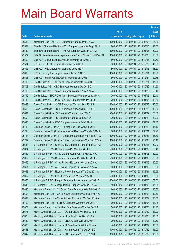|       |                                                                |               |                            |                       | <b>Amount</b> |
|-------|----------------------------------------------------------------|---------------|----------------------------|-----------------------|---------------|
|       |                                                                | No. of        |                            |                       | raised        |
| Code  | <b>Derivative warrants</b>                                     | issue (units) | <b>Listing date Expiry</b> |                       | (HK\$ mil.)   |
| 25582 | Macquarie Bank Ltd. - ZTE European Warrants Mar 2015 A         | 100,000,000   |                            | 2013/07/04 2015/03/03 | 25.00         |
| 25581 | Standard Chartered Bank - KECL European Warrants Aug 2014 A    | 80,000,000    | 2013/07/04 2014/08/18      |                       | 12.00         |
| 25580 | Standard Chartered Bank - Ping An European Wts Jan 2014 A      | 100,000,000   | 2013/07/04 2014/01/06      |                       | 30.00         |
| 25577 | SGA Societe Generale Acceptance N.V - Sands China Eu Wt Dec13A | 100,000,000   |                            | 2013/07/04 2013/12/23 | 23.00         |
| 25599 | UBS AG - Cheung Kong European Warrants Dec 2013 C              | 50,000,000    |                            | 2013/07/04 2013/12/27 | 10.50         |
| 25594 | UBS AG - HKEx European Warrants Dec 2015 A                     | 300,000,000   |                            | 2013/07/04 2015/12/23 | 45.00         |
| 25595 | UBS AG - KECL European Warrants Dec 2013 A                     | 50,000,000    | 2013/07/04 2013/12/13      |                       | 18.50         |
| 25600 | UBS AG - Ping An European Warrants Dec 2013 C                  | 100,000,000   | 2013/07/04 2013/12/11      |                       | 15.00         |
| 25598 | UBS AG - Yurun Food European Warrants Dec 2013 A               | 50,000,000    |                            | 2013/07/04 2013/12/24 | 20.75         |
| 25706 | Credit Suisse AG - CC Bank European Warrants Dec 2013 C        | 70,000,000    |                            | 2013/07/05 2013/12/24 | 11.20         |
| 25708 | Credit Suisse AG - ICBC European Warrants Oct 2013 C           | 70,000,000    | 2013/07/05 2013/10/29      |                       | 11.20         |
| 25709 | Credit Suisse AG - Lenovo European Warrants Nov 2013 A         | 70,000,000    | 2013/07/05 2013/11/26      |                       | 29.40         |
| 25710 | Credit Suisse - SPDR Gold Trust European Warrants Jan 2014 A   | 70,000,000    |                            | 2013/07/05 2014/01/06 | 22.40         |
| 25712 | Credit Suisse AG - SPDR Gold Trust Euro Put Wts Jan 2014 B     | 70,000,000    |                            | 2013/07/05 2014/01/06 | 19.60         |
| 25689 | Daiwa Capital Mkt - HSCEI European Warrants Mar 2014 B         | 100,000,000   | 2013/07/05 2014/03/28      |                       | 25.00         |
| 25690 | Daiwa Capital Mkt - HSCEI European Warrants Mar 2014 C         | 100,000,000   | 2013/07/05 2014/03/28      |                       | 18.00         |
| 25691 | Daiwa Capital Mkt - HSI European Warrants Jan 2014 C           | 200,000,000   |                            | 2013/07/05 2014/01/29 | 50.00         |
| 25692 | Daiwa Capital Mkt - HSI European Warrants Jan 2014 D           | 200,000,000   |                            | 2013/07/05 2014/01/29 | 50.00         |
| 25693 | Daiwa Capital Mkt - ICBC European Warrants Feb 2014 A          | 128,000,000   |                            | 2013/07/05 2014/02/12 | 32.00         |
| 25718 | Goldman Sachs SP (Asia) - Haitong Sec Euro Wts Aug 2014 A      | 100,000,000   |                            | 2013/07/05 2014/08/28 | 15.10         |
| 25713 | Goldman Sachs SP (Asia) - New World Dev Euro Wts Mar 2014 A    | 68,000,000    | 2013/07/05 2014/03/31      |                       | 39.98         |
| 25714 | Goldman Sachs SP (Asia) - Sinopharm European Wts Feb 2014 A    | 100,000,000   |                            | 2013/07/05 2014/02/28 | 15.70         |
| 25717 | Goldman Sachs SP (Asia) - Shimao Ppt European Wts Dec 2014 A   | 100,000,000   |                            | 2013/07/05 2014/12/30 | 25.10         |
| 25654 | J P Morgan SP BV - CAM CSI300 European Warrants Feb 2014 A     | 200,000,000   | 2013/07/05 2014/02/17      |                       | 50.00         |
| 25664 | J P Morgan SP BV - CC Bank Euro Put Wts Jan 2014 C             | 200,000,000   |                            | 2013/07/05 2014/01/06 | 86.40         |
| 25662 | J P Morgan SP BV - China Life European Put Wts Mar 2014 A      | 200,000,000   | 2013/07/05 2014/03/03      |                       | 50.00         |
| 25659 | J P Morgan SP BV - China Mob European Put Wts Jan 2014 C       | 200,000,000   |                            | 2013/07/05 2014/01/06 | 68.60         |
| 25655 | J P Morgan SP BV - China Railway European Wts Jan 2014 A       | 50,000,000    | 2013/07/05 2014/01/06      |                       | 12.50         |
| 25651 | J P Morgan SP BV - A50 China European Put Wts Jan 2014 A       | 200,000,000   |                            | 2013/07/05 2014/01/06 | 128.80        |
| 25653 | J P Morgan SP BV - Huaneng Power European Wts Dec 2013 A       | 50,000,000    | 2013/07/05 2013/12/31      |                       | 15.55         |
| 25652 | J P Morgan SP BV - ICBC European Put Wts Jan 2014 C            | 200,000,000   | 2013/07/05 2014/01/06      |                       | 50.00         |
| 25650 | J P Morgan SP BV - Ping An European Put Warrants Jan 2014 A    | 200,000,000   | 2013/07/05 2014/01/06      |                       | 68.60         |
| 25645 | J P Morgan SP BV - Zhaojin Mining European Wts Jan 2014 A      | 40,000,000    | 2013/07/05 2014/01/06      |                       | 11.88         |
| 25695 | Macquarie Bank Ltd. - Ch Comm Cons European Wts Feb 2014 A     | 60,000,000    | 2013/07/05 2014/02/05      |                       | 15.00         |
| 25698 | Macquarie Bank Ltd. - Ch Oil & Gas European Warrants Mar14 A   | 50,000,000    | 2013/07/05 2014/03/04      |                       | 12.50         |
| 25694 | Macquarie Bank Ltd. - China Railway European Wts Dec 2013 A    | 70,000,000    |                            | 2013/07/05 2013/12/02 | 10.50         |
| 25702 | Macquarie Bank Ltd. - SUNAC European Warrants Jan 2014 A       | 60,000,000    | 2013/07/05 2014/01/06      |                       | 16.38         |
| 25671 | Macquarie Bank Ltd. - Yanzhou Coal European Wts Jan 2014 A     | 50,000,000    |                            | 2013/07/05 2014/01/03 | 11.45         |
| 25675 | Merrill Lynch Int'l & Co. C.V. - CC Bank Euro Wts Dec 2013 B   | 40,000,000    | 2013/07/05 2013/12/20      |                       | 13.20         |
| 25673 | Merrill Lynch Int'l & Co. C.V. - China Life Eu Wt Dec 2013 A   | 70,000,000    | 2013/07/05 2013/12/30      |                       | 11.06         |
| 25682 | Merrill Lynch Int'l & Co. C.V. - CNOOC Euro Wts Dec 2014 A     | 70,000,000    | 2013/07/05 2014/12/01      |                       | 10.50         |
| 25686 | Merrill Lynch Int'l & Co. C.V. - Ch Shenhua Eu Wt Apr 2014 A   | 40,000,000    | 2013/07/05 2014/04/29      |                       | 10.00         |
| 25643 | Merrill Lynch Int'l & Co. C.V. - HSI European Wts Oct 2013 G   | 100,000,000   | 2013/07/05 2013/10/30      |                       | 15.00         |
| 25642 | Merrill Lynch Int'l & Co. C.V. - HSI European Wts Dec 2013 F   | 100,000,000   | 2013/07/05 2013/12/30      |                       | 15.80         |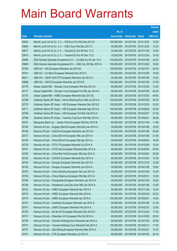|       |                                                              |               |                            | <b>Amount</b> |
|-------|--------------------------------------------------------------|---------------|----------------------------|---------------|
|       |                                                              | No. of        |                            | raised        |
| Code  | <b>Derivative warrants</b>                                   | issue (units) | <b>Listing date Expiry</b> | (HK\$ mil.)   |
| 25639 | Merrill Lynch Int'l & Co. C.V. - HSI Euro Put Wts Dec 2013 E | 100,000,000   | 2013/07/05 2013/12/30      | 19.20         |
| 25684 | Merrill Lynch Int'l & Co. C.V. - ICBC Euro Wts Dec 2013 C    | 40,000,000    | 2013/07/05 2013/12/23      | 12.20         |
| 25677 | Merrill Lynch Int'l & Co. C.V. - Tencent Eu Put Wt Nov 13 C  | 70,000,000    | 2013/07/05 2013/11/26      | 10.50         |
| 25679 | Merrill Lynch Int'l & Co. C.V. - Tencent Eu Put Wt Dec 13 D  | 70,000,000    | 2013/07/05 2013/12/24      | 10.50         |
| 25688 | SGA Societe Generale Acceptance N.V. - Ch Mob Eu Wt Jan 14 A | 150,000,000   | 2013/07/05 2014/01/08      | 22.50         |
| 25669 | SGA Societe Generale Acceptance N.V. - HWL Eur Wt Dec 2013 A | 100,000,000   | 2013/07/05 2013/12/02      | 18.50         |
| 25700 | UBS AG - AIA European Warrants Jan 2014 B                    | 100,000,000   | 2013/07/05 2014/01/07      | 25.00         |
| 25701 | UBS AG - CC Bank European Warrants Dec 2013 C                | 100,000,000   | 2013/07/05 2013/12/06      | 15.00         |
| 89011 | UBS AG - CSOP A50 ETF European Warrants Jan 2014 A           | 20,000,000    | 2013/07/05 2014/01/09      | 12.62         |
| 25699 | UBS AG - HSCEI European Warrants Jan 2014 B                  | 100,000,000   | 2013/07/05 2014/01/29      | 21.00         |
| 25776 | Daiwa Capital Mkt – Sinopec Corp European Wts Dec 2013 A     | 80,000,000    | 2013/07/08 2013/12/20      | 12.00         |
| 25777 | Daiwa Capital Mkt – Sinopec Corp European Put Wts Jan 2014 A | 68,000,000    | 2013/07/08 2014/01/08      | 20.40         |
| 25775 | Daiwa Capital Mkt - HSBC European Warrants Dec 2013 B        | 128,000,000   | 2013/07/08 2013/12/02      | 44.80         |
| 25768 | Goldman Sachs SP (Asia) - China Shenhua Euro Wts Jul 2014 A  | 100,000,000   | 2013/07/08 2014/07/28      | 25.30         |
| 25770 | Goldman Sachs SP (Asia) - HSI European Warrants Dec 2013 E   | 150,000,000   | 2013/07/08 2013/12/30      | 22.50         |
| 25771 | Goldman Sachs SP (Asia) - HSI European Warrants Sep 2014 A   | 150,000,000   | 2013/07/08 2014/09/29      | 22.50         |
| 25769 | Goldman Sachs SP (Asia) – HSI European Put Wts Feb 2014 A    | 150,000,000   | 2013/07/08 2014/02/27      | 37.50         |
| 25766 | Goldman Sachs SP (Asia) - Yanzhou Coal Euro Wts Mar 2014 C   | 68,000,000    | 2013/07/08 2014/03/31      | 38.28         |
| 25781 | Macquarie Bank Ltd. - Sands China European Wts Nov 2013 B    | 60,000,000    | 2013/07/08 2013/11/04      | 11.88         |
| 25740 | Nomura Int'l plc - Angang Steel European Warrants Jan 2014 A | 50,000,000    | 2013/07/08 2014/01/08      | 16.50         |
| 25756 | Nomura Int'l plc - AviChina European Warrants Jan 2014 A     | 80,000,000    | 2013/07/08 2014/01/08      | 20.80         |
| 25737 | Nomura Int'l plc - China EB Int'l European Wts Jan 2014 A    | 50,000,000    | 2013/07/08 2014/01/08      | 21.50         |
| 25734 | Nomura Int'l plc - China EB Int'l European Wts Apr 2014 A    | 50,000,000    | 2013/07/08 2014/04/02      | 19.00         |
| 25738 | Nomura Int'l plc – CITIC P European Warrants Oct 2014 A      | 80,000,000    | 2013/07/08 2014/10/28      | 12.00         |
| 25761 | Nomura Int'l plc - CITIC Sec European Warrants May 2014 A    | 80,000,000    | 2013/07/08 2014/05/05      | 20.40         |
| 25728 | Nomura Int'l plc - China Mer Hold European Wts Apr 2014 A    | 80,000,000    | 2013/07/08 2014/04/02      | 20.08         |
| 25752 | Nomura Int'l plc - CNOOC European Warrants Dec 2014 A        | 80,000,000    | 2013/07/08 2014/12/24      | 12.00         |
| 25742 | Nomura Int'l plc - Sinopec European Warrants Dec 2013 A      | 80,000,000    | 2013/07/08 2013/12/18      | 12.08         |
| 25745 | Nomura Int'l plc - Sinopec European Warrants Jan 2014 A      | 50,000,000    | 2013/07/08 2014/01/08      | 18.80         |
| 25753 | Nomura Int'l plc - China Shenhua European Wts Jan 2014 A     | 50,000,000    | 2013/07/08 2014/01/08      | 13.05         |
| 25754 | Nomura Int'l plc - China Shenhua European Wts Mar 2014 A     | 50,000,000    | 2013/07/08 2014/03/31      | 12.55         |
| 25760 | Nomura Int'l plc - Evergrande European Warrants Jan 2014 A   | 50,000,000    | 2013/07/08 2014/01/08      | 16.00         |
| 25726 | Nomura Int'l plc - Henderson Land Dev Euro Wts Jan 2014 A    | 50,000,000    | 2013/07/08 2014/01/08      | 12.90         |
| 25722 | Nomura Int'l plc - HSBC European Warrants Nov 2013 A         | 80,000,000    | 2013/07/08 2013/11/26      | 12.40         |
| 25723 | Nomura Int'l plc - HSBC European Warrants Mar 2014 A         | 50,000,000    | 2013/07/08 2014/03/28      | 22.25         |
| 25774 | Nomura Int'l plc - HSBC European Warrants Apr 2016 A         | 100,000,000   | 2013/07/08 2016/04/01      | 15.00         |
| 25727 | Nomura Int'l plc - Hutchison European Warrants Jan 2014 A    | 50,000,000    | 2013/07/08 2014/01/08      | 21.35         |
| 25741 | Nomura Int'l plc - JIANC European Warrants Feb 2014 A        | 80,000,000    | 2013/07/08 2014/02/18      | 12.00         |
| 25733 | Nomura Int'l plc - Sa Sa Int'l European Warrants Dec 2014 A  | 80,000,000    | 2013/07/08 2014/12/24      | 17.44         |
| 25731 | Nomura Int'l plc - Shenzhen Int'l European Wts Oct 2014 A    | 80,000,000    | 2013/07/08 2014/10/03      | 20.00         |
| 25749 | Nomura Int'l plc - Tencent Holdings Euro Warrants Jan 2014 A | 80,000,000    | 2013/07/08 2014/01/08      | 20.08         |
| 25747 | Nomura Int'l plc - Tencent Holdings Euro Warrants Feb 2014 A | 100,000,000   | 2013/07/08 2014/02/12      | 17.50         |
| 25757 | Nomura Int'l plc - Zijin Mining European Warrants Mar 2014 A | 50,000,000    | 2013/07/08 2014/03/31      | 12.70         |
| 25751 | Nomura Int'l plc - ZTE European Warrants Jul 2014 A          | 80,000,000    | 2013/07/08 2014/07/02      | 20.16         |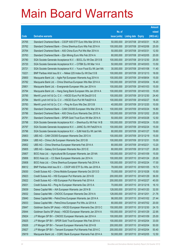|       |                                                                |               |                       | <b>Amount</b> |
|-------|----------------------------------------------------------------|---------------|-----------------------|---------------|
|       |                                                                | No. of        |                       | raised        |
| Code  | <b>Derivative warrants</b>                                     | issue (units) | Listing date Expiry   | (HK\$ mil.)   |
| 25765 | Standard Chartered Bank - CSOP A50 ETF Euro Wts Mar 2014 A     | 50,000,000    | 2013/07/08 2014/03/31 | 18.25         |
| 25762 | Standard Chartered Bank - China Shenhua Euro Wts Feb 2014 A    | 100,000,000   | 2013/07/08 2014/02/06 | 25.00         |
| 25764 | Standard Chartered Bank - A50 China Euro Put Wts Mar 2014 A    | 50,000,000    | 2013/07/08 2014/03/31 | 12.50         |
| 25763 | Standard Chartered Bank - Zijin Mining Euro Wts Feb 2014 A     | 80,000,000    | 2013/07/08 2014/02/05 | 20.00         |
| 25780 | SGA Societe Generale Acceptance N.V. - BOCL Eu Wt Dec 2013 B   | 100,000,000   | 2013/07/08 2013/12/30 | 25.00         |
| 25720 | SGA Societe Generale Acceptance N.V. - CITBK Eu Wt Mar 14 A    | 50,000,000    | 2013/07/08 2014/03/03 | 13.50         |
| 25721 | SGA Societe Generale Acceptance N.V. - Yurun Food Eu Wt Jan14A | 30,000,000    | 2013/07/08 2014/01/08 | 11.40         |
| 10221 | BNP Paribas Arbit Issu B.V. - Nikkei 225 Index Eu Wt Dec13 B   | 100,000,000   | 2013/07/09 2013/12/13 | 18.00         |
| 25800 | Macquarie Bank Ltd. - Agile Ppt European Warrants Aug 2014 A   | 100,000,000   | 2013/07/09 2014/08/04 | 15.00         |
| 25782 | Macquarie Bank Ltd. - China Shenhua European Wts Mar 2014 A    | 100,000,000   | 2013/07/09 2014/03/04 | 16.40         |
| 25801 | Macquarie Bank Ltd. - Evergrande European Wts Jan 2014 A       | 100,000,000   | 2013/07/09 2014/01/03 | 15.00         |
| 25794 | Macquarie Bank Ltd. - Hang Seng Bank European Wts Jan 2014 A   | 100,000,000   | 2013/07/09 2014/01/03 | 15.00         |
| 25785 | Merrill Lynch Int'l & Co. C.V. - HSCEI Euro Put Wt Dec2013 E   | 100,000,000   | 2013/07/09 2013/12/30 | 24.40         |
| 25784 | Merrill Lynch Int'l & Co. C.V. - HSCEI Euro Put Wt Feb2014 A   | 100,000,000   | 2013/07/09 2014/02/27 | 18.40         |
| 25783 | Merrill Lynch Int'l & Co. C.V. - Ping An Euro Wts Dec 2013 B   | 40,000,000    | 2013/07/09 2013/12/20 | 10.00         |
| 25790 | Standard Chartered Bank - CAM CSI300 European Wts Mar 2014 A   | 100,000,000   | 2013/07/09 2014/03/24 | 16.80         |
| 25786 | Standard Chartered Bank - A50 China Euro Warrants Dec 2015 A   | 100,000,000   | 2013/07/09 2015/12/02 | 25.00         |
| 25791 | Standard Chartered Bank - SPDR Gold Trust Euro Wt Mar 2014 A   | 50,000,000    | 2013/07/09 2014/03/28 | 12.50         |
| 25798 | SGA Societe Generale Acceptance N.V. - Shenhua Eu Wt Feb 14 B  | 100,000,000   | 2013/07/09 2014/02/24 | 15.00         |
| 25797 | SGA Societe Generale Acceptance N.V. - JIANC Eu Wt Feb2014 A   | 100,000,000   | 2013/07/09 2014/02/24 | 15.00         |
| 25796 | SGA Societe Generale Acceptance N.V. - SJM Hold Eu Wt Jan14A   | 80,000,000    | 2013/07/09 2014/01/27 | 19.60         |
| 25803 | UBS AG - CAM CSI300 European Warrants Dec 2013 A               | 100,000,000   | 2013/07/09 2013/12/19 | 15.00         |
| 25804 | UBS AG - China Life European Warrants Dec 2013 B               | 100,000,000   | 2013/07/09 2013/12/31 | 15.00         |
| 25802 | UBS AG - China Shenhua European Warrants Feb 2014 A            | 80,000,000    | 2013/07/09 2014/02/21 | 13.20         |
| 25805 | UBS AG - Galaxy Ent European Warrants Nov 2013 E               | 80,000,000    | 2013/07/09 2013/11/27 | 29.20         |
| 25807 | BOCI Asia Ltd. - Agricultural Bk European Warrants Jan 2014A   | 100,000,000   | 2013/07/10 2014/01/09 | 15.00         |
| 25806 | BOCI Asia Ltd. - CC Bank European Warrants Jan 2014 A          | 100,000,000   | 2013/07/10 2014/01/24 | 25.00         |
| 25808 | BOCI Asia Ltd. - China Shenhua European Warrants Feb 2014 A    | 100,000,000   | 2013/07/10 2014/02/24 | 17.00         |
| 89012 | BNP Paribas Arbit Issu B.V. - CSOP A50 ETF Eu Wts Jan 2016 A   | 78,000,000    | 2013/07/10 2016/01/05 | 19.72         |
| 25830 | Credit Suisse AG - China Mobile European Warrants Oct 2013 D   | 70,000,000    | 2013/07/10 2013/10/28 | 10.50         |
| 25823 | Credit Suisse AG - HSI European Put Warrants Jan 2014 B        | 200,000,000   | 2013/07/10 2014/01/29 | 36.00         |
| 25822 | Credit Suisse AG - HSI European Put Warrants Feb 2014 A        | 200,000,000   | 2013/07/10 2014/02/27 | 40.00         |
| 25831 | Credit Suisse AG - Ping An European Warrants Dec 2013 A        | 70,000,000    | 2013/07/10 2013/12/18 | 16.10         |
| 25839 | Daiwa Capital Mkt - AIA European Warrants Jan 2014 B           | 128,000,000   | 2013/07/10 2014/01/20 | 32.00         |
| 25832 | Daiwa Capital Mkt - CNOOC European Warrants Dec 2014 A         | 128,000,000   | 2013/07/10 2014/12/01 | 21.76         |
| 25840 | Daiwa Capital Mkt - PetroChina European Warrants Jan 2014 A    | 98,000,000    | 2013/07/10 2014/01/02 | 27.44         |
| 25833 | Daiwa Capital Mkt - PetroChina European Put Wts Jul 2014 A     | 80,000,000    | 2013/07/10 2014/07/02 | 20.00         |
| 25847 | Goldman Sachs SP (Asia) - HSCEI European Warrants Dec 2013 C   | 150,000,000   | 2013/07/10 2013/12/30 | 24.15         |
| 25844 | Goldman Sachs SP (Asia) - HSCEI European Warrants Jan 2014 A   | 150,000,000   | 2013/07/10 2014/01/29 | 22.95         |
| 25824 | J P Morgan SP BV - CNOOC European Warrants Jan 2014 A          | 100,000,000   | 2013/07/10 2014/01/09 | 25.00         |
| 25825 | J P Morgan SP BV - SPDR Gold Trust European Wts Feb 2014 A     | 100,000,000   | 2013/07/10 2014/02/04 | 33.00         |
| 25826 | J P Morgan SP BV - Tencent European Warrants Feb 2014 B        | 200,000,000   | 2013/07/10 2014/02/04 | 50.00         |
| 25827 | J P Morgan SP BV - Tencent European Put Warrants Feb 2014 C    | 200,000,000   | 2013/07/10 2014/02/04 | 50.40         |
| 25819 | Macquarie Bank Ltd. - CQRC Bank European Warrants Feb 2014 A   | 50,000,000    | 2013/07/10 2014/02/05 | 12.50         |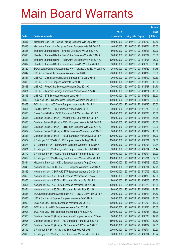|       |                                                                |               |                            |            | <b>Amount</b> |
|-------|----------------------------------------------------------------|---------------|----------------------------|------------|---------------|
|       |                                                                | No. of        |                            |            | raised        |
| Code  | <b>Derivative warrants</b>                                     | issue (units) | <b>Listing date Expiry</b> |            | (HK\$ mil.)   |
| 25817 | Macquarie Bank Ltd. - China Taiping European Wts Sep 2014 A    | 50,000,000    | 2013/07/10 2014/09/02      |            | 12.50         |
| 25818 | Macquarie Bank Ltd. - Dongyue Group European Wts Feb 2014 A    | 40,000,000    | 2013/07/10 2014/02/04      |            | 10.00         |
| 25815 | Standard Chartered Bank – Sinopec Corp Euro Wts Jun 2014 A     | 80,000,000    | 2013/07/10 2014/06/03      |            | 32.00         |
| 25810 | Standard Chartered Bank – PetroChina European Wts Mar 2014 A   | 80,000,000    | 2013/07/10 2014/03/07      |            | 30.80         |
| 25811 | Standard Chartered Bank - PetroChina European Wts Nov 2014 A   | 100,000,000   | 2013/07/10 2014/11/07      |            | 25.00         |
| 25812 | Standard Chartered Bank - PetroChina Euro Put Wts Jun 2014 A   | 80,000,000    | 2013/07/10 2014/06/10      |            | 38.40         |
| 25820 | SGA Societe Generale Acceptance NV - Yanzhou Coal Eu Wt Jan14A | 25,000,000    | 2013/07/10 2014/01/29      |            | 11.75         |
| 25842 | UBS AG - China Life European Warrants Jan 2014 B               | 200,000,000   | 2013/07/10 2014/01/09      |            | 50.00         |
| 25841 | UBS AG - China National Building European Wts Jan 2014 B       | 30,000,000    | 2013/07/10 2014/01/09      |            | 10.50         |
| 25809 | UBS AG - KECL European Warrants Nov 2013 B                     | 100,000,000   | 2013/07/10 2013/11/15      |            | 16.00         |
| 25843 | UBS AG - PetroChina European Warrants Dec 2013 C               | 70,000,000    | 2013/07/10 2013/12/27      |            | 21.70         |
| 25821 | UBS AG - Tencent Holdings European Warrants Jan 2014 B         | 100,000,000   | 2013/07/10 2014/01/24      |            | 15.00         |
| 25816 | UBS AG - ZTE European Warrants Jun 2014 A                      | 100,000,000   | 2013/07/10 2014/06/16      |            | 25.00         |
| 25859 | BOCI Asia Ltd. - Sinopec Corp European Warrants Jan 2014 A     | 100,000,000   | 2013/07/11 2014/01/27      |            | 26.00         |
| 25858 | BOCI Asia Ltd. - A50 China European Warrants Jan 2014 A        | 100,000,000   | 2013/07/11                 | 2014/01/20 | 30.00         |
| 25861 | Credit Suisse AG - HSI European Warrants Dec 2013 H            | 200,000,000   | 2013/07/11 2013/12/30      |            | 30.00         |
| 25860 | Daiwa Capital Mkt - HSCEI European Put Warrants Mar 2014 D     | 100,000,000   | 2013/07/11                 | 2014/03/28 | 25.00         |
| 25864 | Goldman Sachs SP (Asia) - Angang Steel Euro Wts Jun 2014 A     | 80,000,000    | 2013/07/11                 | 2014/06/27 | 34.48         |
| 25866 | Goldman Sachs SP (Asia) – BOCL European Warrants Feb 2014 A    | 80,000,000    | 2013/07/11                 | 2014/02/28 | 20.00         |
| 25865 | Goldman Sachs SP (Asia) – CITIC Sec European Wts May 2014 A    | 80,000,000    | 2013/07/11                 | 2014/05/29 | 20.00         |
| 25862 | Goldman Sachs SP (Asia) – CNBM European Warrants Jan 2014 B    | 80,000,000    | 2013/07/11                 | 2014/01/29 | 40.88         |
| 25863 | Goldman Sachs SP (Asia) - KECL European Warrants Aug 2014 A    | 120,000,000   | 2013/07/11                 | 2014/08/18 | 18.00         |
| 25872 | J P Morgan SP BV - BOC HK European Warrants Aug 2014 A         | 150,000,000   | 2013/07/11                 | 2014/08/01 | 37.50         |
| 25874 | J P Morgan SP BV - BankComm European Warrants Feb 2014 A       | 60,000,000    | 2013/07/11                 | 2014/02/04 | 21.84         |
| 25871 | J P Morgan SP BV - Evergrande European Warrants Feb 2014 A     | 80,000,000    | 2013/07/11                 | 2014/02/04 | 21.44         |
| 25870 | J P Morgan SP BV - Geely Auto European Warrants Feb 2014 A     | 100,000,000   | 2013/07/11                 | 2014/02/04 | 27.20         |
| 25869 | J P Morgan SP BV - Haitong Sec European Warrants Dec 2014 A    | 150,000,000   | 2013/07/11 2014/12/01      |            | 37.50         |
| 25884 | Macquarie Bank Ltd. - KECL European Warrants Aug 2014 A        | 100,000,000   | 2013/07/11 2014/08/18      |            | 15.00         |
| 25848 | Nomura Int'l plc - CSOP A50 ETF European Warrants Feb 2014 A   | 50,000,000    | 2013/07/11                 | 2014/02/04 | 17.75         |
| 25849 | Nomura Int'l plc - CSOP A50 ETF European Warrants Oct 2015 A   | 100,000,000   | 2013/07/11 2015/10/02      |            | 15.40         |
| 25853 | Nomura Int'l plc - A50 China European Warrants Jan 2014 A      | 50,000,000    | 2013/07/11                 | 2014/01/13 | 17.50         |
| 25850 | Nomura Int'l plc - A50 China European Warrants Feb 2014 A      | 80,000,000    | 2013/07/11 2014/02/05      |            | 20.80         |
| 25851 | Nomura Int'l plc - A50 China European Warrants Oct 2014 B      | 100,000,000   | 2013/07/11                 | 2014/10/28 | 15.50         |
| 25854 | Nomura Int'l plc - A50 China European Put Wts Mar 2014 B       | 80,000,000    | 2013/07/11 2014/03/31      |            | 21.20         |
| 25856 | SGA Societe Generale Acceptance N.V. - CNBM Eu Wt Jan 2014 A   | 30,000,000    | 2013/07/11                 | 2014/01/13 | 14.70         |
| 25885 | UBS AG - Jiangxi Copper European Warrants Feb 2014 A           | 70,000,000    | 2013/07/11 2014/02/17      |            | 10.50         |
| 25909 | BOCI Asia Ltd. - HSBC European Warrants Dec 2013 B             | 100,000,000   | 2013/07/12 2013/12/09      |            | 16.00         |
| 25908 | BOCI Asia Ltd. - HSI European Warrants Dec 2013 E              | 100,000,000   | 2013/07/12 2013/12/30      |            | 25.00         |
| 25907 | BOCI Asia Ltd. - HSI European Put Warrants Feb 2014 A          | 100,000,000   | 2013/07/12 2014/02/27      |            | 18.00         |
| 25925 | Goldman Sachs SP (Asia) - Geely Auto European Wts Jun 2014 A   | 60,000,000    | 2013/07/12 2014/06/30      |            | 17.70         |
| 25905 | Goldman Sachs SP (Asia) - HSI European Warrants Jan 2014 B     | 150,000,000   | 2013/07/12 2014/01/29      |            | 39.60         |
| 25906 | Goldman Sachs SP (Asia) - HSI European Put Wts Jan 2014 C      | 150,000,000   | 2013/07/12 2014/01/29      |            | 22.65         |
| 25892 | J P Morgan SP BV - China Mob European Wts Feb 2014 A           | 200,000,000   | 2013/07/12 2014/02/04      |            | 50.20         |
| 25890 | J P Morgan SP BV - Xinyi Glass European Warrants Feb 2014 A    | 30,000,000    | 2013/07/12 2014/02/04      |            | 10.74         |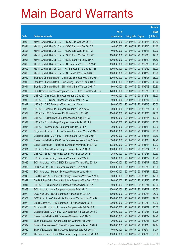|       |                                                               |               |                            |                       | <b>Amount</b> |
|-------|---------------------------------------------------------------|---------------|----------------------------|-----------------------|---------------|
|       |                                                               | No. of        |                            |                       | raised        |
| Code  | <b>Derivative warrants</b>                                    | issue (units) | <b>Listing date Expiry</b> |                       | (HK\$ mil.)   |
| 25903 | Merrill Lynch Int'l & Co. C.V. - HSBC Euro Wts Nov 2013 C     | 70,000,000    |                            | 2013/07/12 2013/11/26 | 11.69         |
| 25894 | Merrill Lynch Int'l & Co. C.V. - HSBC Euro Wts Dec 2013 B     | 40,000,000    |                            | 2013/07/12 2013/12/16 | 11.40         |
| 25893 | Merrill Lynch Int'l & Co. C.V. - HSBC Euro Wts Jan 2014 A     | 40,000,000    |                            | 2013/07/12 2014/01/13 | 10.00         |
| 25898 | Merrill Lynch Int'l & Co. C.V. - HSCEI Euro Wts Dec 2013 F    | 100,000,000   |                            | 2013/07/12 2013/12/30 | 17.30         |
| 25901 | Merrill Lynch Int'l & Co. C.V. - HSCEI Euro Wts Jan 2014 A    | 100,000,000   |                            | 2013/07/12 2014/01/29 | 15.70         |
| 25895 | Merrill Lynch Int'l & Co. C.V. - HSI European Wts Dec 2013 G  | 100,000,000   |                            | 2013/07/12 2013/12/30 | 15.20         |
| 25902 | Merrill Lynch Int'l & Co. C.V. - HSI European Wts Dec 2013 H  | 100,000,000   |                            | 2013/07/12 2013/12/30 | 15.20         |
| 25896 | Merrill Lynch Int'l & Co. C.V. - HSI Euro Put Wts Jan 2014 B  | 100,000,000   |                            | 2013/07/12 2014/01/29 | 16.90         |
| 25912 | Standard Chartered Bank - China Life European Wts Mar 2014 A  | 100,000,000   |                            | 2013/07/12 2014/03/07 | 28.00         |
| 25910 | Standard Chartered Bank - Zijin Mining Euro Wts Jan 2014 A    | 60,000,000    |                            | 2013/07/12 2014/01/27 | 10.74         |
| 25911 | Standard Chartered Bank - Zijin Mining Euro Wts Jun 2014 A    | 60,000,000    | 2013/07/12 2014/06/03      |                       | 22.80         |
| 25913 | SGA Societe Generale Acceptance N.V. - CLife Eu Wt Dec 2013C  | 120,000,000   |                            | 2013/07/12 2013/12/30 | 18.00         |
| 25916 | UBS AG - China Coal European Warrants Dec 2013 A              | 40,000,000    |                            | 2013/07/12 2013/12/24 | 16.00         |
| 25919 | UBS AG - CITIC Sec European Warrants Mar 2014 A               | 80,000,000    |                            | 2013/07/12 2014/03/17 | 20.00         |
| 25917 | UBS AG - CPIC European Warrants Jan 2014 A                    | 80,000,000    |                            | 2013/07/12 2014/01/13 | 20.00         |
| 25922 | UBS AG - Geely Auto European Warrants Dec 2013 A              | 60,000,000    |                            | 2013/07/12 2013/12/24 | 10.80         |
| 25924 | UBS AG - HSBC European Put Warrants Nov 2013 D                | 100,000,000   |                            | 2013/07/12 2013/11/25 | 29.00         |
| 25920 | UBS AG - Haitong Sec European Warrants Aug 2014 A             | 80,000,000    |                            | 2013/07/12 2014/08/25 | 12.00         |
| 25921 | UBS AG - SJM Holdings European Warrants Jan 2014 A            | 80,000,000    |                            | 2013/07/12 2014/01/13 | 20.00         |
| 25915 | UBS AG - Yanzhou Coal European Wts Jan 2014 A                 | 30,000,000    |                            | 2013/07/12 2014/01/13 | 12.00         |
| 25928 | Citigroup Global Mkt H Inc. - Tencent European Wts Jan 2014 B | 100,000,000   |                            | 2013/07/15 2014/01/17 | 25.00         |
| 25927 | Citigroup Global Mkt H Inc. - Tencent Euro Put Wt Jan 2014 A  | 70,000,000    |                            | 2013/07/15 2014/01/17 | 23.80         |
| 25934 | Daiwa Capital Mkt - A50 China European Warrants Nov 2014 A    | 308,000,000   | 2013/07/15 2014/11/03      |                       | 49.28         |
| 25933 | Daiwa Capital Mkt - Hutchison European Warrants Jan 2014 A    | 128,000,000   | 2013/07/15 2014/01/14      |                       | 49.92         |
| 25931 | UBS AG - Anhui Conch European Warrants Dec 2013 A             | 100,000,000   |                            | 2013/07/15 2013/12/24 | 21.00         |
| 25929 | UBS AG - Zhaojin Mining European Warrants Dec 2013 A          | 35,000,000    |                            | 2013/07/15 2013/12/27 | 10.50         |
| 25926 | UBS AG - Zijin Mining European Warrants Jan 2014 A            | 60,000,000    |                            | 2013/07/15 2014/01/27 | 10.20         |
| 25936 | BOCI Asia Ltd. - CAM CSI300 European Warrants Feb 2014 A      | 100,000,000   | 2013/07/16 2014/02/17      |                       | 16.00         |
| 25935 | BOCI Asia Ltd. - HSI European Warrants Dec 2013 F             | 100,000,000   |                            | 2013/07/16 2013/12/30 | 15.00         |
| 25940 | BOCI Asia Ltd. - Ping An European Warrants Jan 2014 A         | 100,000,000   | 2013/07/16 2014/01/27      |                       | 25.00         |
| 25943 | Credit Suisse AG - Tencent Holdings European Wts Nov 2013 E   | 80,000,000    |                            | 2013/07/16 2013/11/25 | 12.80         |
| 25947 | Credit Suisse AG - Tencent Holdings European Wts Dec 2013 C   | 80,000,000    |                            | 2013/07/16 2013/12/20 | 13.20         |
| 25941 | UBS AG - China Shenhua European Warrants Dec 2013 A           | 80,000,000    | 2013/07/16 2013/12/31      |                       | 12.80         |
| 25969 | BOCI Asia Ltd. - AIA European Warrants Feb 2014 A             | 100,000,000   | 2013/07/17 2014/02/07      |                       | 15.00         |
| 25970 | BOCI Asia Ltd. - BOCL European Warrants Feb 2014 A            | 100,000,000   |                            | 2013/07/17 2014/02/24 | 25.00         |
| 25971 | BOCI Asia Ltd. - China Mobile European Warrants Jan 2014 B    | 100,000,000   |                            | 2013/07/17 2014/01/20 | 17.00         |
| 25978 | Credit Suisse AG - HSI European Put Warrants Dec 2013 I       | 200,000,000   |                            | 2013/07/17 2013/12/30 | 30.00         |
| 25956 | Citigroup Global Mkt H Inc. - AIA European Wts Feb 2014 A     | 100,000,000   | 2013/07/17 2014/02/27      |                       | 25.00         |
| 25953 | Citigroup Global Mkt H Inc. - AIA European Put Wt Dec 2013 C  | 70,000,000    |                            | 2013/07/17 2013/12/27 | 11.06         |
| 25983 | Daiwa Capital Mkt - AIA European Warrants Jan 2014 C          | 128,000,000   |                            | 2013/07/17 2014/01/02 | 19.20         |
| 25981 | Bank of East Asia - CNBM European Warrants Feb 2014 A         | 20,000,000    | 2013/07/17 2014/02/21      |                       | 10.34         |
| 25982 | Bank of East Asia - A50 China European Warrants Nov 2014 A    | 120,000,000   | 2013/07/17 2014/11/03      |                       | 19.44         |
| 25980 | Bank of East Asia - Nine Dragons European Wts Feb 2014 A      | 40,000,000    |                            | 2013/07/17 2014/02/04 | 11.44         |
| 25976 | Macquarie Bank Ltd. - AAC Acoustic European Wts Feb 2014 A    | 100,000,000   | 2013/07/17 2014/02/05      |                       | 28.30         |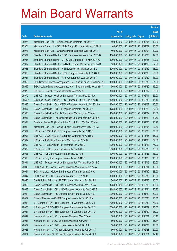|        |                                                                |               |                            | <b>Amount</b> |
|--------|----------------------------------------------------------------|---------------|----------------------------|---------------|
|        |                                                                | No. of        |                            | raised        |
| Code   | <b>Derivative warrants</b>                                     | issue (units) | <b>Listing date Expiry</b> | (HK\$ mil.)   |
| 25975  | Macquarie Bank Ltd. - BYD European Warrants Feb 2014 A         | 40,000,000    | 2013/07/17 2014/02/04      | 10.00         |
| 25974  | Macquarie Bank Ltd. - GCL-Poly Energy European Wts Apr 2014 A  | 40,000,000    | 2013/07/17 2014/04/02      | 10.00         |
| 25977  | Macquarie Bank Ltd. - Greatwall Motor European Wts Feb 2014 A  | 40,000,000    | 2013/07/17 2014/02/04      | 10.00         |
| 25964  | Standard Chartered Bank - BOCL European Warrants Dec 2013 B    | 100,000,000   | 2013/07/17 2013/12/20      | 17.00         |
| 25965  | Standard Chartered Bank - CITIC Sec European Wts Mar 2014 A    | 100,000,000   | 2013/07/17 2014/03/26      | 20.00         |
| 25967  | Standard Chartered Bank - CNBM European Warrants Jan 2014 B    | 50,000,000    | 2013/07/17 2014/01/16      | 22.00         |
| 25968  | Standard Chartered Bank - HSI European Put Wts Dec 2013 C      | 100,000,000   | 2013/07/17 2013/12/30      | 18.00         |
| 25963  | Standard Chartered Bank - KECL European Warrants Jul 2014 A    | 100,000,000   | 2013/07/17 2014/07/03      | 25.00         |
| 25957  | Standard Chartered Bank - Ping An European Wts Dec 2013 A      | 100,000,000   | 2013/07/17 2013/12/20      | 15.00         |
| 25950  | SGA Societe Generale Acceptance N.V - Anhui Conch Eu Wt Dec13C | 100,000,000   | 2013/07/17 2013/12/30      | 21.50         |
| 25952  | SGA Societe Generale Acceptance N.V - Evergrande Eu Wt Jan14 A | 50,000,000    | 2013/07/17 2014/01/20      | 13.00         |
| 25973  | UBS AG - Esprit European Warrants May 2014 A                   | 100,000,000   | 2013/07/17 2014/05/12      | 25.00         |
| 25972  | UBS AG - Tencent Holdings European Warrants Feb 2014 A         | 100,000,000   | 2013/07/17 2014/02/11      | 25.00         |
| 25502# | Goldman Sachs SP (Asia) - HSI European Put Wts Dec 2013 B      | 100,000,000   | 2013/07/17 2013/12/30      | 11.10         |
| 25985  | Daiwa Capital Mkt - CAM CSI300 European Warrants Jan 2014 A    | 100,000,000   | 2013/07/18 2014/01/02      | 15.00         |
| 25997  | Daiwa Capital Mkt - BOCL European Warrants Feb 2014 A          | 128,000,000   | 2013/07/18 2014/02/20      | 32.00         |
| 25986  | Daiwa Capital Mkt - Ping An European Warrants Jan 2014 A       | 108,000,000   | 2013/07/18 2014/01/02      | 18.36         |
| 25987  | Daiwa Capital Mkt - Tencent Holdings European Wts Jun 2014 A   | 158,000,000   | 2013/07/18 2014/06/18      | 39.50         |
| 25984  | Goldman Sachs SP (Asia) - Anhui Conch Euro Wts Feb 2014 A      | 80,000,000    | 2013/07/18 2014/02/28      | 16.96         |
| 25988  | Macquarie Bank Ltd. - China Unicom European Wts May 2014 A     | 150,000,000   | 2013/07/18 2014/05/05      | 22.50         |
| 25994  | UBS AG - CSOP A50 ETF European Warrants Dec 2013 B             | 100,000,000   | 2013/07/18 2013/12/20      | 35.00         |
| 25993  | UBS AG - CSOP A50 ETF European Warrants Nov 2015 B             | 300,000,000   | 2013/07/18 2015/11/26      | 45.00         |
| 25992  | UBS AG - A50 China European Warrants Jan 2014 B                | 100,000,000   | 2013/07/18 2014/01/06      | 34.00         |
| 25990  | UBS AG - HSI European Put Warrants Nov 2013 C                  | 300,000,000   | 2013/07/18 2013/11/28      | 75.00         |
| 25989  | UBS AG - HSI European Put Warrants Dec 2013 K                  | 300,000,000   | 2013/07/18 2013/12/30      | 78.00         |
| 25995  | UBS AG - ICBC European Warrants Nov 2013 B                     | 100,000,000   | 2013/07/18 2013/11/25      | 15.00         |
| 25996  | UBS AG - Ping An European Warrants Nov 2013 C                  | 100,000,000   | 2013/07/18 2013/11/28      | 15.00         |
| 25991  | UBS AG - Tencent Holdings European Put Warrants Dec 2013 C     | 100,000,000   | 2013/07/18 2013/12/19      | 22.00         |
| 26049  | BOCI Asia Ltd. - Anhui Conch European Warrants Feb 2014 A      | 100,000,000   | 2013/07/19 2014/02/04      | 16.00         |
| 26051  | BOCI Asia Ltd. - Galaxy Ent European Warrants Jan 2014 A       | 100,000,000   | 2013/07/19 2014/01/30      | 28.00         |
| 26047  | BOCI Asia Ltd. - HSI European Warrants Dec 2013 G              | 100,000,000   | 2013/07/19 2013/12/30      | 15.00         |
| 26045  | Credit Suisse AG - Link REIT European Warrants Feb 2014 A      | 70,000,000    | 2013/07/19 2014/02/28      | 10.50         |
| 26068  | Daiwa Capital Mkt - BOC HK European Warrants Dec 2014 A        | 108,000,000   | 2013/07/19 2014/12/15      | 16.20         |
| 26063  | Daiwa Capital Mkt - China Life European Warrants Dec 2013 B    | 168,000,000   | 2013/07/19 2013/12/24      | 25.20         |
| 26069  | Daiwa Capital Mkt - HSI European Put Warrants Jan 2014 E       | 200,000,000   | 2013/07/19 2014/01/29      | 50.00         |
| 26062  | Bank of East Asia - CNBM European Warrants Oct 2015 A          | 100,000,000   | 2013/07/19 2015/10/26      | 25.00         |
| 26059  | J P Morgan SP BV - HSI European Put Warrants Dec 2013 I        | 500,000,000   | 2013/07/19 2013/12/30      | 78.00         |
| 26060  | J P Morgan SP BV - HSI European Put Warrants Jan 2014 C        | 500,000,000   | 2013/07/19 2014/01/29      | 125.00        |
| 26061  | J P Morgan SP BV - HSI European Put Warrants Jan 2014 D        | 500,000,000   | 2013/07/19 2014/01/29      | 125.00        |
| 26044  | Nomura Int'l plc - BOCL European Warrants Mar 2014 A           | 80,000,000    | 2013/07/19 2014/03/31      | 20.16         |
| 26043  | Nomura Int'l plc - BOCL European Warrants Apr 2014 A           | 80,000,000    | 2013/07/19 2014/04/30      | 15.84         |
| 26027  | Nomura Int'l plc - BYD European Warrants Feb 2014 A            | 50,000,000    | 2013/07/19 2014/02/05      | 14.00         |
| 26023  | Nomura Int'l plc - CITIC Bank European Warrants Feb 2014 A     | 80,000,000    | 2013/07/19 2014/02/28      | 22.00         |
| 26024  | Nomura Int'l plc - CITIC Bank European Warrants Mar 2014 A     | 80,000,000    | 2013/07/19 2014/03/21      | 12.40         |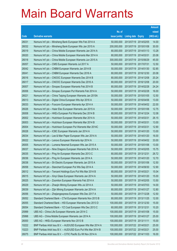|       |                                                               |               |                            | <b>Amount</b> |
|-------|---------------------------------------------------------------|---------------|----------------------------|---------------|
|       |                                                               | No. of        |                            | raised        |
| Code  | <b>Derivative warrants</b>                                    | issue (units) | <b>Listing date Expiry</b> | (HK\$ mil.)   |
| 26031 | Nomura Int'l plc - Minsheng Bank European Wts Feb 2014 A      | 50,000,000    | 2013/07/19 2014/02/05      | 14.00         |
| 26032 | Nomura Int'l plc - Minsheng Bank European Wts Jan 2015 A      | 200,000,000   | 2013/07/19 2015/01/08      | 30.00         |
| 26019 | Nomura Int'l plc - China Mobile European Warrants Jan 2014 A  | 80,000,000    | 2013/07/19 2014/01/13      | 13.28         |
| 26020 | Nomura Int'l plc - China Mobile European Warrants Mar 2014 A  | 80,000,000    | 2013/07/19 2014/03/31      | 20.08         |
| 26018 | Nomura Int'l plc - China Mobile European Warrants Jun 2015 A  | 300,000,000   | 2013/07/19 2015/06/29      | 45.00         |
| 26057 | Nomura Int'l plc - CMS European Warrants Jul 2017 A           | 50,000,000    | 2013/07/19 2017/07/31      | 12.50         |
| 26042 | Nomura Int'l plc - CNBM European Warrants Jan 2014 B          | 50,000,000    | 2013/07/19 2014/01/30      | 52.85         |
| 26041 | Nomura Int'l plc - CNBM European Warrants Dec 2016 A          | 80,000,000    | 2013/07/19 2016/12/30      | 20.08         |
| 26016 | Nomura Int'l plc - CNOOC European Warrants Dec 2014 B         | 80,000,000    | 2013/07/19 2014/12/08      | 20.24         |
| 26017 | Nomura Int'l plc - CNOOC European Warrants Dec 2016 A         | 80,000,000    | 2013/07/19 2016/12/08      | 20.00         |
| 26007 | Nomura Int'l plc - Sinopec European Warrants Feb 2014 B       | 80,000,000    | 2013/07/19 2014/02/28      | 24.24         |
| 26006 | Nomura Int'l plc - Sinopec European Put Warrants Feb 2014 A   | 50,000,000    | 2013/07/19 2014/02/28      | 16.00         |
| 26021 | Nomura Int'l plc - China Taiping European Warrants Jan 2015A  | 50,000,000    | 2013/07/19 2015/01/05      | 12.50         |
| 26013 | Nomura Int'l plc - Digital China European Wts Apr 2016 A      | 50,000,000    | 2013/07/19 2016/04/06      | 13.00         |
| 26033 | Nomura Int'l plc - Foxconn European Warrants Apr 2014 A       | 50,000,000    | 2013/07/19 2014/04/02      | 22.00         |
| 26026 | Nomura Int'l plc - Haier Elec European Warrants Jan 2015 A    | 50,000,000    | 2013/07/19 2015/01/06      | 12.75         |
| 26008 | Nomura Int'l plc - HKEx European Put Warrants Dec 2014 B      | 80,000,000    | 2013/07/19 2014/12/24      | 12.08         |
| 26002 | Nomura Int'l plc - Hutchison European Warrants Mar 2014 A     | 50,000,000    | 2013/07/19 2014/03/31      | 26.15         |
| 26003 | Nomura Int'l plc - Hutchison European Warrants Mar 2014 B     | 50,000,000    | 2013/07/19 2014/03/31      | 13.00         |
| 26004 | Nomura Int'l plc - Hutchison European Put Warrants Mar 2014C  | 50,000,000    | 2013/07/19 2014/03/31      | 12.90         |
| 26028 | Nomura Int'l plc - ICBC European Warrants Jan 2014 A          | 50,000,000    | 2013/07/19 2014/01/20      | 13.00         |
| 26034 | Nomura Int'l plc - Lee & Man Paper European Wts Jan 2014 A    | 50,000,000    | 2013/07/19 2014/01/20      | 16.00         |
| 26022 | Nomura Int'l plc - Lenovo European Warrants Apr 2014 A        | 50,000,000    | 2013/07/19 2014/04/02      | 33.00         |
| 26005 | Nomura Int'l plc - Lumena Newmat European Wts Jan 2015 A      | 50,000,000    | 2013/07/19 2015/01/06      | 13.00         |
| 26037 | Nomura Int'l plc - Nine Dragons European Warrants Feb 2014 A  | 50,000,000    | 2013/07/19 2014/02/05      | 15.75         |
| 26035 | Nomura Int'l plc - Ping An European Warrants Dec 2013 C       | 80,000,000    | 2013/07/19 2013/12/31      | 26.72         |
| 26036 | Nomura Int'l plc - Ping An European Warrants Jan 2014 A       | 50,000,000    | 2013/07/19 2014/01/20      | 12.70         |
| 26038 | Nomura Int'l plc - Sh Electric European Warrants Jan 2015 A   | 50,000,000    | 2013/07/19 2015/01/06      | 12.50         |
| 26058 | Nomura Int'l plc - Stanchart European Put Wts Sep 2014 A      | 50,000,000    | 2013/07/19 2014/09/30      | 12.90         |
| 26012 | Nomura Int'l plc - Tencent Holdings Euro Put Wts Mar 2014 B   | 80,000,000    | 2013/07/19 2014/03/21      | 15.04         |
| 26015 | Nomura Int'l plc - Xinyi Glass European Warrants Jan 2014 A   | 50,000,000    | 2013/07/19 2014/01/20      | 15.00         |
| 26025 | Nomura Int'l plc - Zoomlion European Warrants Feb 2014 A      | 50,000,000    | 2013/07/19 2014/02/05      | 13.50         |
| 26029 | Nomura Int'l plc - Zhaojin Mining European Wts Jul 2014 A     | 50,000,000    | 2013/07/19 2014/07/03      | 14.00         |
| 26039 | Nomura Int'l plc - Zijin Mining European Warrants Jan 2014 A  | 80,000,000    | 2013/07/19 2014/01/27      | 12.80         |
| 26056 | Nomura Int'l plc - Zhejiangexpress European Wts Dec 2017 A    | 50,000,000    | 2013/07/19 2017/12/28      | 12.50         |
| 26052 | Standard Chartered Bank - CTel European Warrants Nov 2013 B   | 80,000,000    | 2013/07/19 2013/11/25      | 12.00         |
| 26055 | Standard Chartered Bank - HSI European Warrants Dec 2013 D    | 100,000,000   | 2013/07/19 2013/12/30      | 15.00         |
| 26054 | Standard Chartered Bank - YZ Coal European Wts Dec 2013 C     | 60,000,000    | 2013/07/19 2013/12/31      | 10.20         |
| 25999 | UBS AG - China Life European Warrants Jan 2014 C              | 100,000,000   | 2013/07/19 2014/01/08      | 15.00         |
| 25998 | UBS AG - China Mobile European Warrants Jan 2014 A            | 100,000,000   | 2013/07/19 2014/01/27      | 25.00         |
| 26000 | UBS AG - HKEx European Warrants Nov 2013 B                    | 100,000,000   | 2013/07/19 2013/11/11      | 15.00         |
| 10222 | BNP Paribas Arbit Issu B.V. - AUD/USD European Wts Mar 2014 A | 100,000,000   | 2013/07/22 2014/03/21      | 25.00         |
| 10223 | BNP Paribas Arbit Issu B.V. - AUD/USD Euro Put Wts Mar 2014 B | 100,000,000   | 2013/07/22 2014/03/21      | 25.00         |
| 26075 | BNP Paribas Arbit Issu B.V. - CITIC Pacific Eu Wt Nov 2014 A  | 100,000,000   | 2013/07/22 2014/11/03      | 16.00         |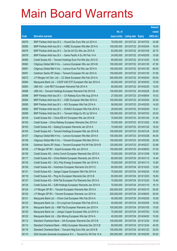|       |                                                               |               |                            |                       | <b>Amount</b> |
|-------|---------------------------------------------------------------|---------------|----------------------------|-----------------------|---------------|
|       |                                                               | No. of        |                            |                       | raised        |
| Code  | <b>Derivative warrants</b>                                    | issue (units) | <b>Listing date Expiry</b> |                       | (HK\$ mil.)   |
| 26079 | BNP Paribas Arbit Issu B.V. - HLand Dev Euro Wts Jul 2014 A   | 78,000,000    |                            | 2013/07/22 2014/07/03 | 24.96         |
| 26080 | BNP Paribas Arbit Issu B.V. - HSBC European Wts Mar 2014 A    | 100,000,000   | 2013/07/22 2014/03/04      |                       | 16.00         |
| 26076 | BNP Paribas Arbit Issu B.V. - Sa Sa Int'l Eu Wts Jan 2015 A   | 83,000,000    | 2013/07/22 2015/01/05      |                       | 20.75         |
| 26078 | BNP Paribas Arbit Issu B.V. - Swire Pacific A Eu Wt Feb 14 A  | 24,000,000    |                            | 2013/07/22 2014/02/05 | 10.08         |
| 26085 | Credit Suisse AG - Tencent Holdings Euro Put Wts Dec 2013 D   | 80,000,000    |                            | 2013/07/22 2013/12/03 | 14.40         |
| 26082 | Citigroup Global Mkt H Inc. - Lenovo European Wts Jan 2014 B  | 100,000,000   |                            | 2013/07/22 2014/01/30 | 47.00         |
| 26081 | Citigroup Global Mkt H Inc. - Lenovo Euro Put Wts Jan 2014 A  | 100,000,000   | 2013/07/22 2014/01/30      |                       | 69.00         |
| 26091 | Goldman Sachs SP (Asia) - Tencent European Wt Jan 2014 A      | 150,000,000   |                            | 2013/07/22 2014/01/30 | 37.65         |
| 26072 | J P Morgan Int'l Der. Ltd. - CC Bank European Wts Feb 2014 A  | 200,000,000   | 2013/07/22 2014/02/04      |                       | 50.00         |
| 26084 | Macquarie Bank Ltd. - CSOP A50 ETF European Wts Apr 2014 A    | 40,000,000    |                            | 2013/07/22 2014/04/02 | 10.00         |
| 26083 | UBS AG - Link REIT European Warrants Feb 2014 A               | 80,000,000    | 2013/07/22 2014/02/25      |                       | 12.00         |
| 26088 | UBS AG - Tencent Holdings European Warrants Feb 2014 B        | 100,000,000   | 2013/07/22 2014/02/28      |                       | 25.00         |
| 26096 | BNP Paribas Arbit Issu B.V. - Ch Railway Euro Wts Aug 2014 A  | 27,000,000    | 2013/07/23 2014/08/04      |                       | 10.53         |
| 26094 | BNP Paribas Arbit Issu B.V. - ICBC European Wts Mar 2014 A    | 100,000,000   | 2013/07/23 2014/03/04      |                       | 25.00         |
| 26095 | BNP Paribas Arbit Issu B.V. - NCI European Wts Feb 2014 A     | 58,000,000    | 2013/07/23 2014/02/05      |                       | 14.50         |
| 26092 | BNP Paribas Arbit Issu B.V. - SUNAC European Wts Feb 2014 A   | 29,000,000    |                            | 2013/07/23 2014/02/05 | 14.21         |
| 26099 | BNP Paribas Arbit Issu B.V. - Tencent HIdgs Eu Wt Jul 2014 A  | 100,000,000   |                            | 2013/07/23 2014/07/03 | 25.00         |
| 26104 | Credit Suisse AG - China EB Int'l European Wts Jan 2014 B     | 70,000,000    | 2013/07/23 2014/01/24      |                       | 31.50         |
| 26102 | Credit Suisse - China Railway European Warrants Dec 2013 A    | 70,000,000    |                            | 2013/07/23 2013/12/02 | 10.50         |
| 26103 | Credit Suisse AG - Datang European Warrants Jan 2014 A        | 70,000,000    | 2013/07/23 2014/01/24      |                       | 18.20         |
| 26105 | Credit Suisse AG - Tencent Holdings European Wts Jan 2014 B   | 100,000,000   | 2013/07/23 2014/01/24      |                       | 25.00         |
| 26107 | Citigroup Global Mkt H Inc. - Lenovo European Wts Mar 2014 A  | 100,000,000   | 2013/07/23 2014/03/28      |                       | 44.00         |
| 26106 | Citigroup Global Mkt H Inc. - Tencent European Wts Mar 2014 A | 100,000,000   | 2013/07/23 2014/03/28      |                       | 25.00         |
| 26108 | Goldman Sachs SP (Asia) - Tencent European Put Wt Feb 2014 B  | 120,000,000   | 2013/07/23 2014/02/27      |                       | 32.88         |
| 26100 | J P Morgan SP BV - Esprit European Wts Jun 2014 A             | 150,000,000   |                            | 2013/07/23 2014/06/03 | 37.50         |
| 26136 | Credit Suisse AG - Anhui Conch European Warrants Dec 2013 A   | 70,000,000    | 2013/07/24 2013/12/09      |                       | 10.50         |
| 26117 | Credit Suisse AG - China Mobile European Warrants Jan 2014 A  | 80,000,000    | 2013/07/24 2014/01/13      |                       | 14.40         |
| 26135 | Credit Suisse AG - GCL-Poly Energy European Wts Jan 2014 A    | 70,000,000    | 2013/07/24 2014/01/13      |                       | 12.60         |
| 26129 | Credit Suisse AG - Hutchison European Warrants Oct 2013 C     | 80,000,000    | 2013/07/24 2013/10/25      |                       | 12.80         |
| 26131 | Credit Suisse AG - Jiangxi Copper European Wts Feb 2014 A     | 70,000,000    | 2013/07/24 2014/02/24      |                       | 10.50         |
| 26118 | Credit Suisse AG - Ping An European Warrants Dec 2013 B       | 80,000,000    | 2013/07/24 2013/12/03      |                       | 16.80         |
| 26137 | Credit Suisse AG - SHK Ppt European Put Warrants Dec 2013 A   | 70,000,000    | 2013/07/24 2013/12/24      |                       | 15.40         |
| 26134 | Credit Suisse AG - SJM Holdings European Warrants Jan 2014 A  | 70,000,000    | 2013/07/24 2014/01/10      |                       | 16.10         |
| 26124 | J P Morgan SP BV - Tencent European Warrants Mar 2014 A       | 200,000,000   | 2013/07/24 2014/03/10      |                       | 50.00         |
| 26125 | J P Morgan SP BV - Tencent European Warrants Jun 2014 A       | 200,000,000   | 2013/07/24 2014/06/03      |                       | 50.00         |
| 26121 | Macquarie Bank Ltd. - China Coal European Wts Feb 2014 A      | 40,000,000    | 2013/07/24 2014/02/05      |                       | 10.00         |
| 26123 | Macquarie Bank Ltd. - Ch LongYuan European Wts Feb 2014 A     | 40,000,000    | 2013/07/24 2014/02/05      |                       | 10.00         |
| 26119 | Macquarie Bank Ltd. - R&F Ppt European Warrants Jan 2015 A    | 100,000,000   | 2013/07/24 2015/01/05      |                       | 15.00         |
| 26120 | Macquarie Bank Ltd. - Jiangxi Copper European Wts Jul 2014 A  | 70,000,000    | 2013/07/24 2014/07/03      |                       | 10.50         |
| 26122 | Macquarie Bank Ltd. - Zijin Mining European Wts Apr 2014 A    | 40,000,000    |                            | 2013/07/24 2014/04/02 | 10.00         |
| 26112 | Standard Chartered Bank - AIA European Warrants Dec 2013 B    | 100,000,000   | 2013/07/24                 | 2013/12/24            | 19.00         |
| 26114 | Standard Chartered Bank - HKEx European Warrants Dec 2013 B   | 80,000,000    | 2013/07/24 2013/12/24      |                       | 40.00         |
| 26116 | Standard Chartered Bank - Tencent Hldg Euro Wts Jan 2014 B    | 100,000,000   | 2013/07/24 2014/01/23      |                       | 25.00         |
| 26110 | SGA Societe Generale Acceptance N.V. - Tencent Eu Wt Feb 14 A | 200,000,000   | 2013/07/24 2014/02/05      |                       | 50.00         |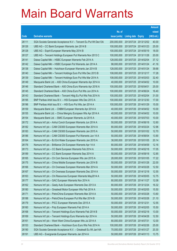|       |                                                                |               |                       |                       | <b>Amount</b> |
|-------|----------------------------------------------------------------|---------------|-----------------------|-----------------------|---------------|
|       |                                                                | No. of        |                       |                       | raised        |
| Code  | <b>Derivative warrants</b>                                     | issue (units) | Listing date Expiry   |                       | (HK\$ mil.)   |
| 26111 | SGA Societe Generale Acceptance N.V - Tencent Eu Put Wt Dec13A | 200,000,000   |                       | 2013/07/24 2013/12/02 | 40.00         |
| 26126 | UBS AG - CC Bank European Warrants Jan 2014 B                  | 100,000,000   |                       | 2013/07/24 2014/01/23 | 25.00         |
| 26128 | UBS AG - Esprit European Warrants May 2014 B                   | 100,000,000   | 2013/07/24 2014/05/19 |                       | 18.00         |
| 26127 | UBS AG - Tencent Holdings European Put Warrants Nov 2013 C     | 100,000,000   |                       | 2013/07/24 2013/11/28 | 20.00         |
| 26141 | Daiwa Capital Mkt - HSBC European Warrants Feb 2014 A          | 128,000,000   |                       | 2013/07/25 2014/02/04 | 37.12         |
| 26142 | Daiwa Capital Mkt - HSBC European Put Warrants Jan 2014 A      | 98,000,000    | 2013/07/25 2014/01/24 |                       | 41.16         |
| 26138 | Daiwa Capital Mkt - Hutchison European Warrants Jan 2014 B     | 128,000,000   | 2013/07/25 2014/01/24 |                       | 39.68         |
| 26140 | Daiwa Capital Mkt - Tencent Holdings Euro Put Wts Dec 2013 B   | 108,000,000   | 2013/07/25 2013/12/17 |                       | 17.28         |
| 26139 | Daiwa Capital Mkt - Tencent Holdings Euro Put Wts Mar 2014 A   | 108,000,000   |                       | 2013/07/25 2014/03/03 | 32.40         |
| 26149 | Macquarie Bank Ltd. - A50 China European Warrants Apr 2014 A   | 40,000,000    |                       | 2013/07/25 2014/04/02 | 10.00         |
| 26146 | Standard Chartered Bank - A50 China Euro Warrants Apr 2016 A   | 100,000,000   | 2013/07/25 2016/04/01 |                       | 25.00         |
| 26145 | Standard Chartered Bank - A50 China Euro Put Wts Jun 2014 A    | 100,000,000   |                       | 2013/07/25 2014/06/24 | 16.40         |
| 26143 | Standard Chartered Bank - Tencent Hidg Eu Put Wts Feb 2014 A   | 100,000,000   | 2013/07/25 2014/02/04 |                       | 31.00         |
| 26195 | BNP Paribas Arbit Issu B.V. - HSI European Wts Dec 2013 A      | 100,000,000   |                       | 2013/07/26 2013/12/30 | 17.00         |
| 26196 | BNP Paribas Arbit Issu B.V. - HSI Euro Put Wts Jan 2014 A      | 100,000,000   | 2013/07/26 2014/01/29 |                       | 15.00         |
| 26159 | Macquarie Bank Ltd. - CNBM European Warrants Apr 2014 A        | 40,000,000    |                       | 2013/07/26 2014/04/02 | 10.00         |
| 26155 | Macquarie Bank Ltd. - China Mengniu European Wts Apr 2014 A    | 40,000,000    |                       | 2013/07/26 2014/04/02 | 10.00         |
| 26154 | Macquarie Bank Ltd. - SMIC European Warrants Jul 2015 A        | 40,000,000    |                       | 2013/07/26 2015/07/03 | 10.00         |
| 26172 | Nomura Int'l plc - Anhui Conch European Warrants Jun 2014 A    | 50,000,000    | 2013/07/26 2014/06/18 |                       | 12.60         |
| 26182 | Nomura Int'l plc - CAM CSI300 European Warrants Mar 2014 A     | 80,000,000    | 2013/07/26 2014/03/24 |                       | 12.96         |
| 26183 | Nomura Int'l plc - CAM CSI300 European Warrants Jan 2015 A     | 50,000,000    |                       | 2013/07/26 2015/01/02 | 12.70         |
| 26186 | Nomura Int'l plc - CAM CSI300 European Put Warrants Jun 14 A   | 50,000,000    | 2013/07/26 2014/06/04 |                       | 13.90         |
| 26164 | Nomura Int'l plc - BJ Ent Water European Warrants Jan 2015 A   | 38,000,000    | 2013/07/26 2015/01/05 |                       | 20.14         |
| 26176 | Nomura Int'l plc - Brilliance Chi European Warrants Apr 14 A   | 80,000,000    |                       | 2013/07/26 2014/04/09 | 12.16         |
| 26173 | Nomura Int'l plc - CC Bank European Warrants Feb 2014 A        | 50,000,000    | 2013/07/26 2014/02/18 |                       | 17.05         |
| 26189 | Nomura Int'l plc - CC Bank European Warrants Sep 2014 A        | 50,000,000    | 2013/07/26 2014/09/18 |                       | 12.85         |
| 26165 | Nomura Int'l plc – Ch Com Service European Wts Jan 2015 A      | 28,000,000    | 2013/07/26 2015/01/05 |                       | 17.22         |
| 26175 | Nomura Int'l plc - China Mobile European Warrants Jan 2014 B   | 50,000,000    | 2013/07/26 2014/01/28 |                       | 22.00         |
| 26166 | Nomura Int'l plc - Ch Overseas European Warrants Mar 2014 A    | 50,000,000    | 2013/07/26 2014/03/28 |                       | 12.50         |
| 26167 | Nomura Int'l plc - Ch Overseas European Warrants Dec 2014 A    | 50,000,000    | 2013/07/26 2014/12/18 |                       | 12.55         |
| 26163 | Nomura Int'l plc - Chi Resources European Warrants May2014 A   | 50,000,000    | 2013/07/26 2014/05/05 |                       | 12.75         |
| 26177 | Nomura Int'l plc - GAC European Warrants Nov 2014 A            | 80,000,000    | 2013/07/26 2014/11/27 |                       | 12.08         |
| 26162 | Nomura Int'l plc - Geely Auto European Warrants Dec 2013 A     | 80,000,000    | 2013/07/26 2013/12/24 |                       | 16.32         |
| 26180 | Nomura Int'l plc - Greatwall Motor European Wts Feb 2014 A     | 50,000,000    |                       | 2013/07/26 2014/02/05 | 15.50         |
| 26171 | Nomura Int'l plc - PetroChina European Warrants Mar 2014 A     | 50,000,000    | 2013/07/26 2014/03/28 |                       | 13.60         |
| 26188 | Nomura Int'l plc - PetroChina European Put Wts Mar 2014 B      | 50,000,000    | 2013/07/26 2014/03/28 |                       | 21.10         |
| 26179 | Nomura Int'l plc - PICC European Warrants Dec 2015 A           | 50,000,000    | 2013/07/26 2015/12/31 |                       | 12.55         |
| 26160 | Nomura Int'l plc - Poly European Warrants Feb 2014 A           | 50,000,000    |                       | 2013/07/26 2014/02/05 | 15.50         |
| 26168 | Nomura Int'l plc - Tencent Holdings Euro Warrants Feb 2014 B   | 50,000,000    | 2013/07/26 2014/02/18 |                       | 13.00         |
| 26169 | Nomura Int'l plc - Tencent Holdings Euro Warrants Apr 2014 A   | 50,000,000    | 2013/07/26 2014/04/28 |                       | 12.50         |
| 26161 | Nomura Int'l plc - Want Want China European Wts Jul 2014 A     | 80,000,000    | 2013/07/26 2014/07/31 |                       | 12.00         |
| 26153 | Standard Chartered Bank - Hutchison Euro Euro Wts Feb 2014 A   | 100,000,000   | 2013/07/26 2014/02/26 |                       | 25.00         |
| 26190 | SGA Societe Generale Acceptance N.V. - Greatwall Eu Wt Jan14A  | 70,000,000    | 2013/07/26 2014/01/27 |                       | 20.30         |
| 26191 | UBS AG - Evergrande European Warrants Jan 2014 A               | 50,000,000    | 2013/07/26 2014/01/13 |                       | 13.75         |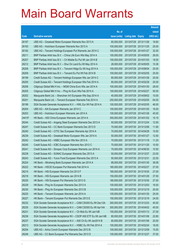|        |                                                                |               |                            |                       | <b>Amount</b> |
|--------|----------------------------------------------------------------|---------------|----------------------------|-----------------------|---------------|
|        |                                                                | No. of        |                            |                       | raised        |
| Code   | <b>Derivative warrants</b>                                     | issue (units) | <b>Listing date Expiry</b> |                       | (HK\$ mil.)   |
| 26197  | UBS AG - Greatwall Motor European Warrants Nov 2013 A          | 60,000,000    | 2013/07/26 2013/11/26      |                       | 18.60         |
| 26193  | UBS AG - Hutchison European Warrants Nov 2013 A                | 100,000,000   | 2013/07/26 2013/11/25      |                       | 25.00         |
| 26192  | UBS AG - Tencent Holdings European Put Warrants Jan 2014 C     | 100,000,000   | 2013/07/26 2014/01/27      |                       | 32.00         |
| 26211  | BNP Paribas Arbit Issu B.V. - China Life Euro Wts May 2014 A   | 100,000,000   |                            | 2013/07/29 2014/05/05 | 26.00         |
| 26207  | BNP Paribas Arbit Issu B.V. - Ch Mobile Eu Put Wt Jan 2014 B   | 100,000,000   |                            | 2013/07/29 2014/01/03 | 18.00         |
| 26212  | BNP Paribas Arbit Issu B.V. - Shui On Land Eu Wt May 2014 A    | 28,000,000    |                            | 2013/07/29 2014/05/05 | 10.36         |
| 26208  | BNP Paribas Arbit Issu B.V. - Tencent HIdgs Eu Wt Aug 2014 A   | 100,000,000   | 2013/07/29                 | 2014/08/04            | 25.00         |
| 26209  | BNP Paribas Arbit Issu B.V. - Tencent Eu Put Wt Feb 2014 B     | 100,000,000   |                            | 2013/07/29 2014/02/05 | 25.00         |
| 26199  | Credit Suisse AG - Tencent Holdings European Wts Jan 2014 C    | 80,000,000    | 2013/07/29 2014/01/28      |                       | 20.00         |
| 26200  | Credit Suisse AG - Tencent Holdings European Wts Feb 2014 A    | 80,000,000    |                            | 2013/07/29 2014/02/28 | 20.00         |
| 26206  | Citigroup Global Mkt H Inc. - MGM China Euro Wts Jan 2014 A    | 100,000,000   | 2013/07/29                 | 2014/01/30            | 28.00         |
| 26205  | Citigroup Global Mkt H Inc. - Ping An Euro Wts Feb 2014 A      | 100,000,000   | 2013/07/29 2014/02/27      |                       | 50.00         |
| 26202  | Macquarie Bank Ltd. - Shenzhen Int'l European Wts Sep 2014 A   | 40,000,000    |                            | 2013/07/29 2014/09/02 | 10.00         |
| 26201  | Macquarie Bank Ltd. - Tencent European Warrants Feb 2014 A     | 250,000,000   |                            | 2013/07/29 2014/02/05 | 64.00         |
| 26198  | SGA Societe Generale Acceptance N.V. - HWL Eur Wt Feb 2014 A   | 100,000,000   | 2013/07/29                 | 2014/02/05            | 46.00         |
| 26204  | UBS AG - AIA European Warrants Jan 2014 C                      | 100,000,000   |                            | 2013/07/29 2014/01/20 | 16.00         |
| 26203  | UBS AG - Hutchison European Warrants Jan 2014 A                | 100,000,000   | 2013/07/29 2014/01/28      |                       | 45.00         |
| 24415# | HK Bank - A50 China European Warrants Jan 2014 A               | 350,000,000   |                            | 2013/07/29 2014/01/02 | 10.15         |
| 26244  | Credit Suisse AG - Angang Steel European Warrants Dec 2013 A   | 50,000,000    | 2013/07/30 2013/12/24      |                       | 12.50         |
| 26247  | Credit Suisse AG - CC Bank European Warrants Dec 2013 D        | 70,000,000    | 2013/07/30 2013/12/06      |                       | 11.90         |
| 26240  | Credit Suisse AG - CITIC Sec European Warrants Apr 2014 A      | 70,000,000    | 2013/07/30 2014/04/28      |                       | 10.50         |
| 26239  | Credit Suisse AG - Greatwall Motor European Wts Jan 2014 A     | 50,000,000    |                            | 2013/07/30 2014/01/27 | 12.50         |
| 26242  | Credit Suisse AG - HSBC European Wts Nov 2013 A                | 70,000,000    | 2013/07/30 2013/11/18      |                       | 11.20         |
| 26245  | Credit Suisse AG - ICBC European Warrants Nov 2013 C           | 70,000,000    |                            | 2013/07/30 2013/11/25 | 10.50         |
| 26241  | Credit Suisse AG - Sinopec Corp European Warrants Jun 2014 A   | 70,000,000    |                            | 2013/07/30 2014/06/30 | 10.50         |
| 26238  | Credit Suisse AG - SUNAC European Warrants Dec 2013 A          | 50,000,000    | 2013/07/30 2013/12/27      |                       | 23.00         |
| 26243  | Credit Suisse AG - Yurun Food European Warrants Dec 2013 A     | 50,000,000    | 2013/07/30 2013/12/31      |                       | 22.50         |
| 26224  | HK Bank - Minsheng Bank European Warrants Jan 2014 A           | 68,000,000    | 2013/07/30 2014/01/30      |                       | 38.08         |
| 26222  | HK Bank - HSCEI European Put Warrants Feb 2014 A               | 180,000,000   | 2013/07/30 2014/02/27      |                       | 27.00         |
| 26215  | HK Bank - HSI European Warrants Oct 2013 F                     | 180,000,000   | 2013/07/30 2013/10/30      |                       | 27.00         |
| 26218  | HK Bank - HSI European Warrants Jan 2014 B                     | 150,000,000   | 2013/07/30 2014/01/29      |                       | 37.50         |
| 26220  | HK Bank - HSI European Put Warrants Oct 2013 G                 | 180,000,000   | 2013/07/30 2013/10/30      |                       | 27.00         |
| 26229  | HK Bank - Ping An European Warrants Dec 2013 A                 | 100,000,000   | 2013/07/30 2013/12/03      |                       | 16.00         |
| 26230  | HK Bank - Ping An European Warrants Dec 2013 B                 | 100,000,000   | 2013/07/30 2013/12/19      |                       | 20.00         |
| 26225  | HK Bank - Tencent European Warrants Jan 2014 A                 | 100,000,000   | 2013/07/30 2014/01/30      |                       | 25.00         |
| 26227  | HK Bank - Tencent European Put Warrants Dec 2013 E             | 150,000,000   | 2013/07/30 2013/12/19      |                       | 24.00         |
| 26232  | SGA Societe Generale Acceptance N.V. - CAM CSI300 Eu Wt Dec13A | 300,000,000   | 2013/07/30 2013/12/23      |                       | 45.00         |
| 26235  | SGA Societe Generale Acceptance N.V. - CAM CSI300 Eu Wt Apr14A | 300,000,000   |                            | 2013/07/30 2014/04/02 | 45.00         |
| 26231  | SGA Societe Generale Acceptance N.V. - Ch Mob Eu Wt Jan14B     | 150,000,000   | 2013/07/30 2014/01/13      |                       | 27.00         |
| 26236  | SGA Societe Generale Acceptance NV - CSOP A50 ETF Eu Wt Jan14B | 80,000,000    | 2013/07/30 2014/01/06      |                       | 22.80         |
| 26237  | SGA Societe Generale Acceptance N.V. - A50 Ch Eu Wt Jan2014 B  | 80,000,000    | 2013/07/30 2014/01/06      |                       | 20.00         |
| 26213  | SGA Societe Generale Acceptance N.V. - HSBC Eu Wt Feb 2014 A   | 100,000,000   | 2013/07/30 2014/02/24      |                       | 18.00         |
| 26254  | UBS AG - Anhui Conch European Warrants Dec 2013 B              | 100,000,000   | 2013/07/30 2013/12/09      |                       | 15.00         |
| 26248  | UBS AG - CC Bank European Put Warrants Dec 2013 D              | 100,000,000   | 2013/07/30 2013/12/27      |                       | 37.00         |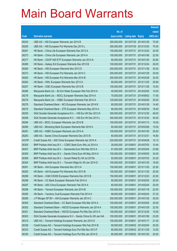|        |                                                                |               |                            |            | <b>Amount</b> |
|--------|----------------------------------------------------------------|---------------|----------------------------|------------|---------------|
|        |                                                                | No. of        |                            |            | raised        |
| Code   | <b>Derivative warrants</b>                                     | issue (units) | <b>Listing date Expiry</b> |            | (HK\$ mil.)   |
| 26253  | UBS AG - HSI European Warrants Jan 2014 B                      | 300,000,000   | 2013/07/30 2014/01/29      |            | 75.00         |
| 26250  | UBS AG - HSI European Put Warrants Dec 2013 L                  | 300,000,000   | 2013/07/30 2013/12/30      |            | 75.00         |
| 26261  | HK Bank - China Life European Warrants Dec 2013 A              | 150,000,000   | 2013/07/31                 | 2013/12/20 | 24.00         |
| 26273  | HK Bank - China Life European Warrants Jan 2014 A              | 150,000,000   | 2013/07/31 2014/01/06      |            | 22.50         |
| 26277  | HK Bank - CSOP A50 ETF European Warrants Jan 2014 A            | 80,000,000    | 2013/07/31                 | 2014/01/30 | 20.80         |
| 26269  | HK Bank - Galaxy Ent European Warrants Dec 2013 B              | 100,000,000   | 2013/07/31 2013/12/24      |            | 26.00         |
| 26265  | HK Bank - HSI European Warrants Nov 2013 D                     | 200,000,000   | 2013/07/31                 | 2013/11/28 | 30.00         |
| 26272  | HK Bank – HSI European Put Warrants Jan 2014 C                 | 200,000,000   | 2013/07/31 2014/01/29      |            | 30.00         |
| 26263  | HK Bank – HSI European Put Warrants Mar 2014 B                 | 200,000,000   | 2013/07/31                 | 2014/03/28 | 32.00         |
| 26262  | HK Bank - HWL European Warrants Nov 2013 A                     | 80,000,000    | 2013/07/31 2013/11/25      |            | 20.80         |
| 26257  | HK Bank - ICBC European Warrants Nov 2013 B                    | 100,000,000   | 2013/07/31                 | 2013/11/26 | 15.00         |
| 26280  | Macquarie Bank Ltd. - BJ Ent Water European Wts Feb 2014 A     | 40,000,000    | 2013/07/31 2014/02/05      |            | 10.00         |
| 26278  | Macquarie Bank Ltd. - BOCL European Warrants Sep 2014 A        | 70,000,000    | 2013/07/31                 | 2014/09/02 | 17.50         |
| 26279  | Macquarie Bank Ltd. - HSBC European Warrants Feb 2014 A        | 120,000,000   | 2013/07/31 2014/02/05      |            | 30.00         |
| 26276  | Standard Chartered Bank - NCI European Warrants Jan 2014 B     | 80,000,000    | 2013/07/31                 | 2014/01/29 | 14.40         |
| 26275  | Standard Chartered Bank - ZTE European Warrants May 2014 A     | 80,000,000    | 2013/07/31 2014/05/30      |            | 18.40         |
| 26255  | SGA Societe Generale Acceptance N.V. - HSI Eur Wt Dec 2013 K   | 300,000,000   | 2013/07/31                 | 2013/12/30 | 48.00         |
| 26256  | SGA Societe Generale Acceptance N.V. - HSI Eur Wt Dec 2013 L   | 300,000,000   | 2013/07/31 2013/12/30      |            | 45.00         |
| 26284  | UBS AG - BOCL European Warrants Jan 2014 B                     | 100,000,000   | 2013/07/31                 | 2014/01/13 | 15.00         |
| 26285  | UBS AG - Minsheng Bank European Warrants Mar 2016 A            | 60,000,000    | 2013/07/31 2016/03/08      |            | 15.00         |
| 26281  | UBS AG - HSBC European Warrants Jan 2014 A                     | 100,000,000   | 2013/07/31                 | 2014/01/30 | 25.00         |
| 26283  | UBS AG - Sands China European Warrants Dec 2013 B              | 60,000,000    | 2013/07/31 2013/12/31      |            | 16.80         |
| 24376# | Credit Suisse AG - A50 China European Warrants Apr 2014 A      | 220,000,000   | 2013/07/31                 | 2014/04/28 | 10.12         |
| 26305  | BNP Paribas Arbit Issu B.V. - CQRC Bank Euro Wts Jul 2014 A    | 29,000,000    | 2013/08/01 2014/07/03      |            | 10.44         |
| 26307  | BNP Paribas Arbit Issu B.V. - Samsonite Euro Wts Mar 2014 A    | 91,000,000    | 2013/08/01                 | 2014/03/04 | 23.66         |
| 26309  | BNP Paribas Arbit Issu B.V. - Sands China Euro Wt May 2014 A   | 100,000,000   | 2013/08/01                 | 2014/05/05 | 34.00         |
| 26306  | BNP Paribas Arbit Issu B.V. – Sunart Retail Eu Wt Jul 2015A    | 93,000,000    | 2013/08/01 2015/07/03      |            | 23.25         |
| 26304  | BNP Paribas Arbit Issu B.V. - Tencent HIdgs Eu Wt Jan 2014 D   | 100,000,000   | 2013/08/01 2014/01/30      |            | 18.00         |
| 26291  | HK Bank - AIA European Warrants Nov 2013 A                     | 150,000,000   | 2013/08/01                 | 2013/11/25 | 22.50         |
| 26292  | HK Bank – AIA European Put Warrants Nov 2013 B                 | 100,000,000   | 2013/08/01 2013/11/25      |            | 20.00         |
| 26296  | HK Bank - CAM CSI300 European Warrants Dec 2013 B              | 150,000,000   | 2013/08/01                 | 2013/12/23 | 22.50         |
| 26299  | HK Bank - CC Bank European Warrants Feb 2014 A                 | 80,000,000    | 2013/08/01                 | 2014/02/04 | 20.00         |
| 26297  | HK Bank - A50 China European Warrants Feb 2014 A               | 80,000,000    | 2013/08/01                 | 2014/02/04 | 20.00         |
| 26298  | HK Bank - Tencent European Warrants Jan 2014 B                 | 150,000,000   | 2013/08/01                 | 2014/01/16 | 22.50         |
| 26295  | HK Bank - Yanzhou Coal European Warrants Feb 2014 A            | 68,000,000    | 2013/08/01                 | 2014/02/04 | 27.20         |
| 26289  | J P Morgan SP BV - AIA European Warrants Jan 2014 C            | 200,000,000   | 2013/08/01                 | 2014/01/20 | 30.00         |
| 26300  | Standard Chartered Bank - CC Bank European Wts Mar 2014 A      | 100,000,000   | 2013/08/01                 | 2014/03/05 | 25.00         |
| 26302  | Standard Chartered Bank - HSCEI European Warrants Jan 2014 A   | 100,000,000   | 2013/08/01                 | 2014/01/29 | 22.50         |
| 26301  | Standard Chartered Bank - HSCEI European Put Wts Dec 2013 A    | 100,000,000   | 2013/08/01                 | 2013/12/30 | 15.00         |
| 26303  | SGA Societe Generale Acceptance N.V - Sands China Eu Wt Jan14A | 100,000,000   | 2013/08/01                 | 2014/01/06 | 23.00         |
| 26310  | UBS AG - Tencent Holdings European Warrants Jan 2014 D         | 100,000,000   | 2013/08/01                 | 2014/01/17 | 21.00         |
| 26336  | Credit Suisse AG - Tencent Holdings European Wts Feb 2014 B    | 80,000,000    | 2013/08/02 2014/02/04      |            | 20.00         |
| 26333  | Credit Suisse AG - Tencent Holdings Euro Put Wts Nov 2013 F    | 80,000,000    | 2013/08/02 2013/11/29      |            | 12.00         |
| 26335  | Credit Suisse AG - Tencent Holdings Euro Put Wts Jan 2014 D    | 80,000,000    | 2013/08/02 2014/01/20      |            | 20.00         |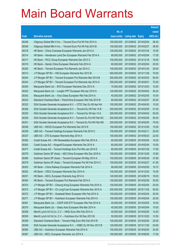|       |                                                                |               |                            | <b>Amount</b> |
|-------|----------------------------------------------------------------|---------------|----------------------------|---------------|
|       |                                                                | No. of        |                            | raised        |
| Code  | <b>Derivative warrants</b>                                     | issue (units) | <b>Listing date Expiry</b> | (HK\$ mil.)   |
| 26346 | Citigroup Global Mkt H Inc. - Tencent Euro Put Wt Feb 2014 A   | 100,000,000   | 2013/08/02 2014/02/04      | 26.40         |
| 26348 | Citigroup Global Mkt H Inc. - Tencent Euro Put Wt Feb 2014 B   | 100,000,000   | 2013/08/02 2014/02/27      | 38.00         |
| 26318 | HK Bank – China Overseas European Warrants Jan 2014 A          | 100,000,000   | 2013/08/02 2014/01/24      | 15.00         |
| 26314 | HK Bank – Henderson Land Dev European Warrants Feb 2014 A      | 68,000,000    | 2013/08/02 2014/02/04      | 17.00         |
| 26317 | HK Bank - PICC Group European Warrants Dec 2013 C              | 100,000,000   | 2013/08/02 2013/12/18      | 16.00         |
| 26319 | HK Bank - Sands China European Warrants Feb 2014 A             | 80,000,000    | 2013/08/02 2014/02/04      | 20.00         |
| 26320 | HK Bank - Tencent European Put Warrants Jan 2014 C             | 100,000,000   | 2013/08/02 2014/01/24      | 29.00         |
| 26313 | J P Morgan SP BV - HSI European Warrants Nov 2013 B            | 500,000,000   | 2013/08/02 2013/11/28      | 75.00         |
| 26344 | J P Morgan SP BV - Tencent European Put Warrants Mar 2014 B    | 200,000,000   | 2013/08/02 2014/03/03      | 50.00         |
| 26343 | J P Morgan SP BV - Tencent European Put Warrants Apr 2014 A    | 200,000,000   | 2013/08/02 2014/04/01      | 70.00         |
| 26340 | Macquarie Bank Ltd. - BYD European Warrants Dec 2013 A         | 70,000,000    | 2013/08/02 2013/12/03      | 10.50         |
| 26322 | Macquarie Bank Ltd. - Longfor PPT European Wts Apr 2015 A      | 120,000,000   | 2013/08/02 2015/04/02      | 30.24         |
| 26342 | Macquarie Bank Ltd. - Xinyi Glass European Wts Feb 2014 A      | 40,000,000    | 2013/08/02 2014/02/05      | 10.04         |
| 26323 | Standard Chartered Bank – PetroChina European Wts Feb 2014 B   | 80,000,000    | 2013/08/02 2014/02/07      | 20.00         |
| 26332 | SGA Societe Generale Acceptance N.V. - CITIC Sec Eu Wt Apr14A  | 100,000,000   | 2013/08/02 2014/04/30      | 15.50         |
| 26326 | SGA Societe Generale Acceptance N.V. - Tencent Eu Wt Feb 14 B  | 200,000,000   | 2013/08/02 2014/02/05      | 51.00         |
| 26325 | SGA Societe Generale Acceptance N.V. - Tencent Eu Wt Apr 14 A  | 200,000,000   | 2013/08/02 2014/04/02      | 50.00         |
| 26329 | SGA Societe Generale Acceptance N.V - Tencent Eu Put Wt Feb14C | 200,000,000   | 2013/08/02 2014/02/05      | 55.00         |
| 26331 | SGA Societe Generale Acceptance N.V - Tencent Eu Put Wt Feb14D | 200,000,000   | 2013/08/02 2014/02/05      | 75.00         |
| 26338 | UBS AG - HSCEI European Put Warrants Dec 2013 E                | 100,000,000   | 2013/08/02 2013/12/30      | 15.00         |
| 26339 | UBS AG – Tencent Holdings European Warrants Feb 2014 C         | 100,000,000   | 2013/08/02 2014/02/11      | 25.00         |
| 26337 | UBS AG - ZTE European Warrants May 2014 A                      | 100,000,000   | 2013/08/02 2014/05/23      | 22.00         |
| 26362 | Credit Suisse AG - HN Renewables European Wts Feb 2014 A       | 60,000,000    | 2013/08/05 2014/02/04      | 19.20         |
| 26363 | Credit Suisse AG - Kingsoft European Warrants Feb 2014 A       | 60,000,000    | 2013/08/05 2014/02/04      | 15.00         |
| 26377 | Credit Suisse AG - Tencent Holdings Euro Put Wts Jan 2014 E    | 80,000,000    | 2013/08/05 2014/01/20      | 17.60         |
| 26378 | Goldman Sachs SP (Asia) - A50 China European Wts Dec 2016 A    | 100,000,000   | 2013/08/05 2016/12/28      | 15.80         |
| 26380 | Goldman Sachs SP (Asia) - Tencent European Wt May 2014 A       | 150,000,000   | 2013/08/05 2014/05/29      | 37.80         |
| 26379 | Goldman Sachs SP (Asia) - Tencent European Put Wt Feb 2014 C   | 150,000,000   | 2013/08/05 2014/02/27      | 41.55         |
| 26353 | HK Bank - China Railway European Warrants Feb 2014 A           | 68,000,000    | 2013/08/05 2014/02/05      | 19.72         |
| 26352 | HK Bank - CRCC European Warrants Dec 2014 A                    | 100,000,000   | 2013/08/05 2014/12/24      | 15.00         |
| 26351 | HK Bank - KECL European Warrants Aug 2014 A                    | 120,000,000   | 2013/08/05 2014/08/19      | 18.00         |
| 26354 | HK Bank - Tencent European Put Warrants Feb 2014 A             | 100,000,000   | 2013/08/05 2014/02/28      | 35.00         |
| 26374 | J P Morgan SP BV - Cheung Kong European Warrants Feb 2014 A    | 100,000,000   | 2013/08/05 2014/02/04      | 25.00         |
| 26373 | J P Morgan SP BV - Ch LongYuan European Warrants Nov 2015 A    | 200,000,000   | 2013/08/05 2015/11/02      | 50.00         |
| 26372 | J P Morgan SP BV - Greatwall Motor European Wts Feb 2014 A     | 100,000,000   | 2013/08/05 2014/02/04      | 25.00         |
| 26371 | J P Morgan SP BV - Hutchison European Warrants Feb 2014 A      | 100,000,000   | 2013/08/05 2014/02/04      | 25.00         |
| 26361 | Macquarie Bank Ltd. - CSOP A50 ETF European Wts Feb 2014 A     | 40,000,000    | 2013/08/05 2014/02/05      | 10.04         |
| 26370 | Macquarie Bank Ltd. - Geely Auto European Wts Mar 2014 A       | 40,000,000    | 2013/08/05 2014/03/04      | 10.00         |
| 26358 | Merrill Lynch Int'l & Co. C.V. - HKEx Euro Wts Feb 2014 A      | 40,000,000    | 2013/08/05 2014/02/05      | 14.20         |
| 26355 | Merrill Lynch Int'l & Co. C.V. - Hutchison Eur Wt Dec 2013 B   | 50,000,000    | 2013/08/05 2013/12/02      | 12.50         |
| 26359 | Standard Chartered Bank - Tencent Hidg Euro Wts Feb 2014 B     | 100,000,000   | 2013/08/05 2014/02/04      | 25.00         |
| 26349 | SGA Societe Generale Acceptance N.V. - HSBC Eu Wt Nov 2013 B   | 120,000,000   | 2013/08/05 2013/11/20      | 24.60         |
| 26365 | UBS AG - Hutchison European Warrants Feb 2014 A                | 100,000,000   | 2013/08/05 2014/02/04      | 30.00         |
| 26367 | UBS AG - KECL European Warrants Jun 2014 A                     | 100,000,000   | 2013/08/05 2014/06/25      | 17.00         |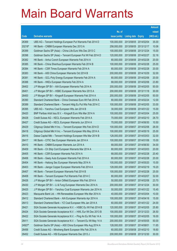|        |                                                               |               |                            |            | <b>Amount</b> |
|--------|---------------------------------------------------------------|---------------|----------------------------|------------|---------------|
|        |                                                               | No. of        |                            |            | raised        |
| Code   | <b>Derivative warrants</b>                                    | issue (units) | <b>Listing date Expiry</b> |            | (HK\$ mil.)   |
| 26369  | UBS AG - Tencent Holdings European Put Warrants Feb 2014 D    | 100,000,000   | 2013/08/05 2014/02/04      |            | 35.00         |
| 20218# | HK Bank - CNBM European Warrants Dec 2013 A                   | 258,000,000   | 2013/08/05 2013/12/17      |            | 10.06         |
| 26399  | Goldman Sachs SP (Asia) - China Life Euro Wts Dec 2013 C      | 100,000,000   | 2013/08/06 2013/12/24      |            | 15.00         |
| 26398  | Goldman Sachs SP (Asia) - Tencent European Put Wt Feb 2014 D  | 120,000,000   | 2013/08/06 2014/02/27      |            | 32.16         |
| 26382  | HK Bank - Anhui Conch European Warrants Feb 2014 A            | 80,000,000    | 2013/08/06 2014/02/28      |            | 20.00         |
| 26385  | HK Bank - China Shenhua European Warrants Feb 2014 B          | 100,000,000   | 2013/08/06 2014/02/28      |            | 25.00         |
| 26384  | HK Bank - CSR Times European Warrants Feb 2014 A              | 80,000,000    | 2013/08/06 2014/02/28      |            | 20.00         |
| 26383  | HK Bank - A50 China European Warrants Oct 2014 B              | 200,000,000   | 2013/08/06 2014/10/29      |            | 32.00         |
| 26381  | HK Bank - GCL-Poly Energy European Warrants Feb 2014 A        | 80,000,000    | 2013/08/06 2014/02/06      |            | 20.00         |
| 26388  | HK Bank - HKEx European Warrants Feb 2014 A                   | 68,000,000    | 2013/08/06 2014/02/06      |            | 23.80         |
| 26402  | J P Morgan SP BV - AIA European Warrants Feb 2014 A           | 200,000,000   | 2013/08/06 2014/02/05      |            | 50.00         |
| 26401  | J P Morgan SP BV - HSBC European Warrants Nov 2013 A          | 200,000,000   | 2013/08/06 2013/11/18      |            | 30.00         |
| 26400  | J P Morgan SP BV - Kingsoft European Warrants Feb 2014 A      | 200,000,000   | 2013/08/06 2014/02/05      |            | 50.00         |
| 26390  | Standard Chartered Bank - China Overseas Euro Wt Feb 2014 A   | 80,000,000    | 2013/08/06 2014/02/24      |            | 12.00         |
| 26389  | Standard Chartered Bank - Tencent Hidg Eu Put Wts Feb 2014 C  | 100,000,000   | 2013/08/06 2014/02/05      |            | 33.00         |
| 26395  | UBS AG - Yanzhou Coal European Wts Jan 2014 B                 | 30,000,000    | 2013/08/06 2014/01/22      |            | 15.00         |
| 26420  | BNP Paribas Arbit Issu B.V. - Kingsoft Euro Wts Mar 2014 A    | 100,000,000   | 2013/08/07 2014/03/04      |            | 25.00         |
| 26428  | Credit Suisse AG - KECL European Warrants Feb 2014 A          | 70,000,000    | 2013/08/07 2014/02/10      |            | 28.70         |
| 26427  | Credit Suisse AG - KECL European Warrants Jun 2014 A          | 70,000,000    | 2013/08/07 2014/06/30      |            | 10.50         |
| 26429  | Citigroup Global Mkt H Inc. - Tencent European Wts Feb 2014 D | 100,000,000   | 2013/08/07 2014/02/06      |            | 26.00         |
| 26418  | Citigroup Global Mkt H Inc. - Tencent European Wts May 2014 A | 100,000,000   | 2013/08/07 2014/05/19      |            | 25.00         |
| 26416  | Daiwa Capital Mkt - Tencent Holdings European Wts Mar 2014 B  | 128,000,000   | 2013/08/07 2014/03/03      |            | 32.00         |
| 26417  | HK Bank - CITIC Sec European Warrants Jan 2014 A              | 100,000,000   | 2013/08/07 2014/01/06      |            | 15.00         |
| 26410  | HK Bank - CNBM European Warrants Jun 2014 A                   | 68,000,000    | 2013/08/07 2014/06/30      |            | 34.00         |
| 26409  | HK Bank - Ch Ship Cont European Warrants Mar 2014 A           | 80,000,000    | 2013/08/07 2014/03/03      |            | 20.00         |
| 26405  | HK Bank - CSR European Warrants Feb 2014 A                    | 68,000,000    | 2013/08/07 2014/02/28      |            | 20.40         |
| 26406  | HK Bank – Geely Auto European Warrants Feb 2014 A             | 80,000,000    | 2013/08/07 2014/02/28      |            | 20.00         |
| 26404  | HK Bank - Haitong Sec European Warrants May 2014 A            | 100,000,000   | 2013/08/07 2014/05/20      |            | 15.00         |
| 26403  | HK Bank - Jiangxi Copper European Warrants Feb 2014 A         | 128,000,000   | 2013/08/07 2014/02/19      |            | 19.20         |
| 26407  | HK Bank - Tencent European Warrants Feb 2014 B                | 100,000,000   | 2013/08/07 2014/02/28      |            | 25.00         |
| 26408  | HK Bank - Tencent European Put Warrants Feb 2014 C            | 80,000,000    | 2013/08/07 2014/02/07      |            | 32.00         |
| 26426  | J P Morgan SP BV - Anton Oilfield European Wts Feb 2014 A     | 50,000,000    | 2013/08/07 2014/02/06      |            | 23.70         |
| 26430  | J P Morgan SP BV - Li & Fung European Warrants Dec 2014 A     | 200,000,000   | 2013/08/07                 | 2014/12/24 | 30.00         |
| 26425  | J P Morgan SP BV - Yanzhou Coal European Warrants Jan 2014 A  | 50,000,000    | 2013/08/07 2014/01/22      |            | 15.45         |
| 26423  | Macquarie Bank Ltd. - HN Renewables European Wts Mar 2014 A   | 40,000,000    | 2013/08/07 2014/03/04      |            | 10.00         |
| 26412  | Standard Chartered Bank - AIA European Warrants Apr 2014 A    | 100,000,000   | 2013/08/07 2014/04/16      |            | 15.00         |
| 26413  | Standard Chartered Bank - YZ Coal European Wts Jan 2014 A     | 60,000,000    | 2013/08/07                 | 2014/01/22 | 24.00         |
| 26421  | SGA Societe Generale Acceptance N.V. - HSBC Eu Wt Feb 2014 B  | 120,000,000   | 2013/08/07 2014/02/05      |            | 25.80         |
| 26424  | SGA Societe Generale Acceptance N.V. - HWL Eur Wt Dec 2013 B  | 100,000,000   | 2013/08/07 2013/12/23      |            | 26.50         |
| 26422  | SGA Societe Generale Acceptance N.V. - Ping An Eu Wt Feb 14 A | 100,000,000   | 2013/08/07 2014/02/05      |            | 16.00         |
| 26411  | SGA Societe Generale Acceptance N.V. - Tencent Eu Wt May 14 A | 200,000,000   | 2013/08/07                 | 2014/05/05 | 50.00         |
| 24927# | Goldman Sachs SP (Asia) - A50 China European Wts Aug 2014 A   | 128,000,000   | 2013/08/07 2014/08/01      |            | 11.65         |
| 26456  | Credit Suisse AG - Minsheng Bank European Wts Feb 2014 A      | 60,000,000    | 2013/08/08 2014/02/10      |            | 18.60         |
| 26452  | Credit Suisse AG - HSI European Warrants Dec 2013 J           | 200,000,000   | 2013/08/08 2013/12/30      |            | 30.00         |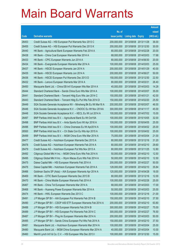|       |                                                                |               |                            |            | <b>Amount</b> |
|-------|----------------------------------------------------------------|---------------|----------------------------|------------|---------------|
|       |                                                                | No. of        |                            |            | raised        |
| Code  | <b>Derivative warrants</b>                                     | issue (units) | <b>Listing date Expiry</b> |            | (HK\$ mil.)   |
| 26453 | Credit Suisse AG - HSI European Put Warrants Nov 2013 C        | 200,000,000   | 2013/08/08 2013/11/28      |            | 36.00         |
| 26455 | Credit Suisse AG - HSI European Put Warrants Dec 2013 K        | 200,000,000   | 2013/08/08 2013/12/30      |            | 30.00         |
| 26440 | HK Bank - Agricultural Bank European Warrants Feb 2014 A       | 80,000,000    | 2013/08/08 2014/02/28      |            | 20.00         |
| 26438 | HK Bank - China Coal European Warrants Mar 2014 A              | 68,000,000    | 2013/08/08 2014/03/03      |            | 17.68         |
| 26433 | HK Bank - CPIC European Warrants Jun 2014 A                    | 80,000,000    | 2013/08/08 2014/06/30      |            | 20.00         |
| 26434 | HK Bank - Evergrande European Warrants Mar 2014 A              | 100,000,000   | 2013/08/08 2014/03/03      |            | 25.00         |
| 26437 | HK Bank - HSCEI European Warrants Jan 2014 A                   | 200,000,000   | 2013/08/08 2014/01/29      |            | 40.00         |
| 26435 | HK Bank - HSCEI European Warrants Jun 2014 A                   | 200,000,000   | 2013/08/08 2014/06/27      |            | 50.00         |
| 26436 | HK Bank - HSCEI European Put Warrants Dec 2013 D               | 150,000,000   | 2013/08/08 2013/12/30      |            | 22.50         |
| 26432 | HK Bank - Lenovo European Warrants Mar 2014 A                  | 80,000,000    | 2013/08/08 2014/03/31      |            | 26.40         |
| 26450 | Macquarie Bank Ltd. - China EB Int'l European Wts Mar 2014 A   | 40,000,000    | 2013/08/08 2014/03/03      |            | 14.28         |
| 26444 | Standard Chartered Bank - Sands China Euro Wts Mar 2014 A      | 100,000,000   | 2013/08/08 2014/03/07      |            | 35.00         |
| 26441 | Standard Chartered Bank - Tencent Hidg Euro Wts Jan 2014 C     | 150,000,000   | 2013/08/08 2014/01/21      |            | 42.00         |
| 26443 | Standard Chartered Bank - Tencent Hldg Eu Put Wts Feb 2014 D   | 150,000,000   | 2013/08/08 2014/02/20      |            | 25.50         |
| 26449 | SGA Societe Generale Acceptance NV - Minsheng Bk Eu Wt Mar16 A | 200,000,000   | 2013/08/08 2016/03/07      |            | 46.00         |
| 26446 | SGA Societe Generale Acceptance N.V. - CNOOC Eu Wt Nov 2014A   | 300,000,000   | 2013/08/08 2014/11/17      |            | 45.00         |
| 26448 | SGA Societe Generale Acceptance N.V. - KECL Eu Wt Jul 2014 A   | 100,000,000   | 2013/08/08 2014/07/02      |            | 15.00         |
| 26497 | BNP Paribas Arbit Issu B.V. - Agricultural Bank Eu Wt Oct15A   | 100,000,000   | 2013/08/09 2015/10/05      |            | 32.00         |
| 26498 | BNP Paribas Arbit Issu B.V. - Anta Sports Euro Wt Apr 2016 A   | 100,000,000   | 2013/08/09                 | 2016/04/05 | 25.00         |
| 26496 | BNP Paribas Arbit Issu B.V. - China Overseas Eu Wt Apr2014 A   | 100,000,000   | 2013/08/09 2014/04/02      |            | 25.00         |
| 26500 | BNP Paribas Arbit Issu B.V. - Ch State Con Eu Wts Apr 2015 A   | 100,000,000   | 2013/08/09 2015/04/02      |            | 25.00         |
| 26499 | BNP Paribas Arbit Issu B.V. - MGM China Euro Wts Mar 2014 A    | 75,000,000    | 2013/08/09 2014/03/04      |            | 21.00         |
| 26477 | Credit Suisse AG - Hutchison European Warrants Dec 2013 A      | 80,000,000    | 2013/08/09                 | 2013/12/16 | 31.20         |
| 26478 | Credit Suisse AG - Hutchison European Warrants Feb 2014 A      | 80,000,000    | 2013/08/09 2014/02/10      |            | 29.60         |
| 26479 | Credit Suisse AG - Hutchison European Put Wts Nov 2013 A       | 80,000,000    | 2013/08/09 2013/11/25      |            | 12.80         |
| 26492 | Citigroup Global Mkt H Inc. - MGM China Euro Wts Feb 2014 A    | 50,000,000    | 2013/08/09 2014/02/10      |            | 12.50         |
| 26495 | Citigroup Global Mkt H Inc. – Wynn Macau Euro Wts Feb 2014 A   | 50,000,000    | 2013/08/09 2014/02/10      |            | 12.50         |
| 26475 | Daiwa Capital Mkt - HSI European Warrants Feb 2014 A           | 200,000,000   | 2013/08/09 2014/02/27      |            | 50.00         |
| 26476 | Daiwa Capital Mkt - Hutchison European Warrants Feb 2014 A     | 128,000,000   | 2013/08/09 2014/02/10      |            | 35.84         |
| 26466 | Goldman Sachs SP (Asia) - AIA European Warrants Apr 2014 A     | 120,000,000   | 2013/08/09 2014/04/28      |            | 18.00         |
| 26469 | HK Bank - CITIC Bank European Warrants Dec 2013 B              | 80,000,000    | 2013/08/09 2013/12/16      |            | 12.00         |
| 26470 | HK Bank - China Mobile European Warrants Feb 2014 A            | 100,000,000   | 2013/08/09 2014/02/28      |            | 25.00         |
| 26467 | HK Bank - China Tel European Warrants Mar 2014 A               | 68,000,000    | 2013/08/09                 | 2014/03/03 | 17.00         |
| 26468 | HK Bank - Huaneng Power European Warrants Mar 2014 A           | 50,000,000    | 2013/08/09 2014/03/03      |            | 25.00         |
| 26474 | HK Bank - HWL European Warrants Dec 2013 C                     | 100,000,000   | 2013/08/09                 | 2013/12/16 | 21.00         |
| 26491 | J P Morgan SP BV - AIA European Put Warrants Feb 2014 B        | 150,000,000   | 2013/08/09 2014/02/10      |            | 37.50         |
| 26490 | J P Morgan SP BV - CSOP A50 ETF European Warrants Feb 2014 A   | 200,000,000   | 2013/08/09                 | 2014/02/10 | 63.80         |
| 26488 | J P Morgan SP BV - HSI European Warrants Feb 2014 B            | 300,000,000   | 2013/08/09 2014/02/27      |            | 75.00         |
| 26489 | J P Morgan SP BV - HSI European Put Warrants Feb 2014 C        | 300,000,000   | 2013/08/09 2014/02/27      |            | 76.50         |
| 26487 | J P Morgan SP BV - Ping An European Warrants Mar 2014 A        | 200,000,000   | 2013/08/09 2014/03/03      |            | 50.00         |
| 26485 | J P Morgan SP BV - Sands China European Put Wts Feb 2014 A     | 150,000,000   | 2013/08/09                 | 2014/02/10 | 37.50         |
| 26481 | Macquarie Bank Ltd. - Hutchison European Warrants Mar 2014 A   | 100,000,000   | 2013/08/09 2014/03/04      |            | 25.00         |
| 26480 | Macquarie Bank Ltd. - MGM China European Warrants Mar 2014 A   | 40,000,000    | 2013/08/09 2014/03/04      |            | 10.00         |
| 26460 | Merrill Lynch Int'l & Co. C.V. - HSI European Wts Dec 2013 I   | 100,000,000   | 2013/08/09 2013/12/30      |            | 15.00         |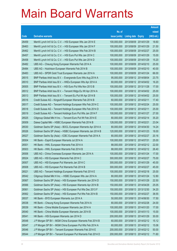|       |                                                              |               |                            |                       | <b>Amount</b> |
|-------|--------------------------------------------------------------|---------------|----------------------------|-----------------------|---------------|
|       |                                                              | No. of        |                            |                       | raised        |
| Code  | <b>Derivative warrants</b>                                   | issue (units) | <b>Listing date Expiry</b> |                       | (HK\$ mil.)   |
| 26459 | Merrill Lynch Int'l & Co. C.V. - HSI European Wts Jan 2014 E | 100,000,000   | 2013/08/09 2014/01/29      |                       | 18.60         |
| 26463 | Merrill Lynch Int'l & Co. C.V. - HSI European Wts Jan 2014 F | 100,000,000   | 2013/08/09 2014/01/29      |                       | 21.50         |
| 26462 | Merrill Lynch Int'l & Co. C.V. - HSI European Wts Feb 2014 B | 100,000,000   | 2013/08/09 2014/02/27      |                       | 25.00         |
| 26457 | Merrill Lynch Int'l & Co. C.V. - HSI Euro Put Wts Jan 2014 C | 100,000,000   | 2013/08/09 2014/01/29      |                       | 15.00         |
| 26458 | Merrill Lynch Int'l & Co. C.V. - HSI Euro Put Wts Jan 2014 D | 100,000,000   |                            | 2013/08/09 2014/01/29 | 15.20         |
| 26482 | UBS AG - Cheung Kong European Warrants Feb 2014 A            | 100,000,000   | 2013/08/09 2014/02/10      |                       | 25.00         |
| 26484 | UBS AG - Hutchison European Warrants Feb 2014 B              | 100,000,000   |                            | 2013/08/09 2014/02/10 | 40.00         |
| 26483 | UBS AG - SPDR Gold Trust European Warrants Jan 2014 A        | 100,000,000   | 2013/08/09 2014/01/24      |                       | 66.00         |
| 26515 | BNP Paribas Arbit Issu B.V. - Evergrande Euro Wts Aug 2014 A | 95,000,000    |                            | 2013/08/12 2014/08/04 | 23.75         |
| 26510 | BNP Paribas Arbit Issu B.V. - HKEx European Wts Apr 2014 A   | 60,000,000    |                            | 2013/08/12 2014/04/02 | 16.20         |
| 26505 | BNP Paribas Arbit Issu B.V. - HSI Euro Put Wts Nov 2013 B    | 100,000,000   | 2013/08/12 2013/11/28      |                       | 17.00         |
| 26512 | BNP Paribas Arbit Issu B.V. - Tencent HIdgs Eu Wt Apr 2014 A | 100,000,000   | 2013/08/12 2014/04/02      |                       | 25.00         |
| 26513 | BNP Paribas Arbit Issu B.V. - Tencent Eu Put Wt Apr 2014 B   | 100,000,000   |                            | 2013/08/12 2014/04/02 | 25.00         |
| 26516 | Credit Suisse AG - Kingsoft European Warrants Feb 2014 B     | 60,000,000    | 2013/08/12 2014/02/11      |                       | 17.40         |
| 26517 | Credit Suisse AG - Tencent Holdings European Wts Feb 2014 C  | 100,000,000   | 2013/08/12 2014/02/24      |                       | 25.00         |
| 26518 | Credit Suisse AG - Tencent Holdings European Wts Feb 2014 D  | 100,000,000   | 2013/08/12 2014/02/11      |                       | 25.00         |
| 26519 | Credit Suisse AG - Tencent Holdings Euro Put Wts Jan 2014 F  | 100,000,000   |                            | 2013/08/12 2014/01/27 | 27.00         |
| 26525 | Citigroup Global Mkt H Inc. - Tencent Euro Put Wt Feb 2014 E | 80,000,000    | 2013/08/12 2014/02/14      |                       | 35.20         |
| 26509 | Daiwa Capital Mkt - HSBC European Warrants Feb 2014 B        | 128,000,000   | 2013/08/12 2014/02/21      |                       | 23.04         |
| 26530 | Goldman Sachs SP (Asia) - BOCL European Warrants Apr 2014 A  | 80,000,000    | 2013/08/12 2014/04/30      |                       | 14.24         |
| 26526 | Goldman Sachs SP (Asia) - HSBC European Warrants Jan 2014 B  | 120,000,000   | 2013/08/12 2014/01/23      |                       | 18.00         |
| 26527 | Goldman Sachs Sp (Asia) - ICBC European Warrants Feb 2014 A  | 80,000,000    | 2013/08/12 2014/02/27      |                       | 20.16         |
| 26504 | HK Bank - Esprit European Warrants Jul 2014 A                | 100,000,000   | 2013/08/12 2014/07/31      |                       | 25.00         |
| 26501 | HK Bank - HWL European Warrants Feb 2014 A                   | 88,000,000    |                            | 2013/08/12 2014/02/12 | 22.00         |
| 26503 | HK Bank - HWL European Warrants Feb 2014 B                   | 88,000,000    |                            | 2013/08/12 2014/02/12 | 26.40         |
| 26506 | UBS AG - China Overseas European Warrants Jan 2014 A         | 100,000,000   | 2013/08/12 2014/01/24      |                       | 17.00         |
| 26524 | UBS AG - HSI European Warrants Feb 2014 C                    | 300,000,000   | 2013/08/12 2014/02/27      |                       | 75.00         |
| 26507 | UBS AG - HSI European Put Warrants Jan 2014 C                | 300,000,000   | 2013/08/12 2014/01/29      |                       | 45.00         |
| 26508 | UBS AG - HSI European Put Warrants Feb 2014 B                | 300,000,000   | 2013/08/12 2014/02/27      |                       | 45.00         |
| 26521 | UBS AG - Tencent Holdings European Warrants Feb 2014 E       | 100,000,000   | 2013/08/12 2014/02/18      |                       | 25.00         |
| 26542 | Citigroup Global Mkt H Inc. - HSBC European Wts Jan 2014 A   | 80,000,000    | 2013/08/13 2014/01/24      |                       | 12.80         |
| 26567 | Goldman Sachs SP (Asia) - HSI European Warrants Jan 2014 D   | 150,000,000   | 2013/08/13 2014/01/29      |                       | 22.50         |
| 26566 | Goldman Sachs SP (Asia) - HSI European Warrants Apr 2014 B   | 150,000,000   | 2013/08/13 2014/04/29      |                       | 25.05         |
| 26561 | Goldman Sachs SP (Asia) - HSI European Put Wts Dec 2013 F    | 150,000,000   | 2013/08/13 2013/12/30      |                       | 34.20         |
| 26562 | Goldman Sachs SP (Asia) - HSI European Put Wts Feb 2014 B    | 150,000,000   | 2013/08/13 2014/02/27      |                       | 38.55         |
| 26537 | HK Bank - BYD European Warrants Jun 2014 A                   | 50,000,000    |                            | 2013/08/13 2014/06/30 | 17.50         |
| 26538 | HK Bank - Cheung Kong European Warrants Feb 2014 A           | 80,000,000    | 2013/08/13 2014/02/28      |                       | 24.00         |
| 26539 | HK Bank - China Mobile European Warrants Jan 2014 A          | 100,000,000   | 2013/08/13 2014/01/20      |                       | 17.00         |
| 26540 | HK Bank - China Mobile European Warrants Jan 2014 B          | 100,000,000   | 2013/08/13 2014/01/13      |                       | 15.00         |
| 26541 | HK Bank - HSI European Warrants Jan 2014 D                   | 200,000,000   | 2013/08/13 2014/01/29      |                       | 30.00         |
| 26548 | J P Morgan SP BV - MGM China European Warrants Feb 2014 B    | 60,000,000    |                            | 2013/08/13 2014/02/12 | 15.12         |
| 26547 | J P Morgan SP BV - MGM China European Put Wts Feb 2014 A     | 60,000,000    | 2013/08/13 2014/02/12      |                       | 15.06         |
| 26546 | J P Morgan SP BV - Tencent European Warrants Feb 2014 E      | 200,000,000   |                            | 2013/08/13 2014/02/12 | 50.00         |
| 26544 | J P Morgan SP BV - Tencent European Put Warrants Feb 2014 D  | 200,000,000   |                            | 2013/08/13 2014/02/12 | 71.60         |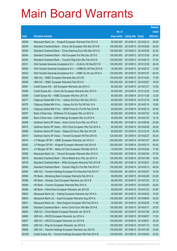|        |                                                              |               |                       |            | <b>Amount</b> |
|--------|--------------------------------------------------------------|---------------|-----------------------|------------|---------------|
|        |                                                              | No. of        |                       |            | raised        |
| Code   | <b>Derivative warrants</b>                                   | issue (units) | Listing date Expiry   |            | (HK\$ mil.)   |
| 26558  | Macquarie Bank Ltd. - Kingsoft European Warrants Feb 2014 A  | 80,000,000    | 2013/08/13 2014/02/13 |            | 20.00         |
| 26549  | Standard Chartered Bank - China Life European Wts Mar 2014 B | 100,000,000   | 2013/08/13 2014/03/28 |            | 25.00         |
| 26550  | Standard Chartered Bank - China Shenhua Euro Wts Mar 2014 A  | 100,000,000   | 2013/08/13 2014/03/05 |            | 25.00         |
| 26554  | Standard Chartered Bank - HSI European Put Wts Dec 2013 E    | 100,000,000   | 2013/08/13 2013/12/30 |            | 20.00         |
| 26553  | Standard Chartered Bank - Tencent Hidg Euro Wts Feb 2014 E   | 150,000,000   | 2013/08/13 2014/02/12 |            | 37.50         |
| 26531  | SGA Societe Generale Acceptance N.V. - CLife Eu Wt Dec2013 D | 120,000,000   | 2013/08/13 2013/12/30 |            | 20.40         |
| 26559  | SGA Societe Generale Acceptance N.V. - CNBM Eu Wt Feb 2014 B | 30,000,000    | 2013/08/13 2014/02/12 |            | 13.95         |
| 26532  | SGA Societe Generale Acceptance N.V. - HSBC Eu Wt Jan 2014 A | 120,000,000   | 2013/08/13 2014/01/27 |            | 62.40         |
| 26555  | UBS AG - HSBC European Warrants Dec 2013 B                   | 100,000,000   | 2013/08/13 2013/12/24 |            | 17.00         |
| 26556  | UBS AG - HSBC European Warrants Feb 2014 A                   | 100,000,000   | 2013/08/13 2014/02/07 |            | 16.00         |
| 26591  | Credit Suisse AG - AIA European Warrants Jan 2014 C          | 80,000,000    | 2013/08/14 2014/01/27 |            | 12.80         |
| 26590  | Credit Suisse AG - China Life European Warrants Dec 2013 A   | 80,000,000    | 2013/08/14 2013/12/23 |            | 12.00         |
| 26589  | Credit Suisse AG - HSBC European Wts Nov 2013 B              | 80,000,000    | 2013/08/14 2013/11/29 |            | 12.00         |
| 26577  | Citigroup Global Mkt H Inc. - Galaxy Ent Euro Wts Dec 2013 C | 80,000,000    | 2013/08/14 2013/12/16 |            | 16.96         |
| 26576  | Citigroup Global Mkt H Inc. - Galaxy Ent Eu Put Wt Feb 14 A  | 60,000,000    | 2013/08/14 2014/02/14 |            | 19.80         |
| 26575  | Citigroup Global Mkt H Inc. - MGM China Eu Put Wt Feb 2014 B | 80,000,000    | 2013/08/14 2014/02/13 |            | 20.00         |
| 26587  | Bank of East Asia - Brilliance Chi European Wts Jul 2014 A   | 60,000,000    | 2013/08/14 2014/07/22 |            | 15.48         |
| 26584  | Bank of East Asia - SJM Holdings European Wts Jul 2014 A     | 40,000,000    | 2013/08/14 2014/07/22 |            | 10.16         |
| 26568  | Goldman Sachs SP (Asia) - Anhui Conch Euro Wts Jun 2014 A    | 80,000,000    | 2013/08/14            | 2014/06/30 | 20.08         |
| 26572  | Goldman Sachs SP (Asia) - A50 China European Wts Feb 2014 A  | 80,000,000    | 2013/08/14 2014/02/28 |            | 20.08         |
| 26569  | Goldman Sachs SP (Asia) - Galaxy Ent Euro Wts Dec 2013 B     | 80,000,000    | 2013/08/14 2013/12/16 |            | 20.08         |
| 26570  | Goldman Sachs SP (Asia) - Tencent European Wt Feb 2014 E     | 120,000,000   | 2013/08/14 2014/02/27 |            | 30.24         |
| 26574  | J P Morgan SP BV - HSBC European Warrants Jan 2014 C         | 200,000,000   | 2013/08/14 2014/01/27 |            | 30.00         |
| 26582  | J P Morgan SP BV - Kingsoft European Warrants Feb 2014 B     | 200,000,000   | 2013/08/14 2014/02/13 |            | 50.00         |
| 26573  | J P Morgan SP BV - Melco Int'l Dev European Wts Mar 2014 A   | 70,000,000    | 2013/08/14 2014/03/04 |            | 17.50         |
| 26585  | Macquarie Bank Ltd. - Tencent European Warrants Mar 2014 A   | 150,000,000   | 2013/08/14 2014/03/04 |            | 37.50         |
| 26578  | Standard Chartered Bank - China Mobile Euro Wts Jan 2014 A   | 100,000,000   | 2013/08/14 2014/01/06 |            | 19.00         |
| 26579  | Standard Chartered Bank - HKEx European Warrants Feb 2014 B  | 100,000,000   | 2013/08/14 2014/02/21 |            | 25.00         |
| 26580  | Standard Chartered Bank - Tencent Hidg Eu Put Wts Feb 2014 F | 150,000,000   | 2013/08/14            | 2014/02/13 | 46.50         |
| 26592  | UBS AG - Tencent Holdings European Put Warrants Feb 2014 F   | 100,000,000   | 2013/08/14 2014/02/07 |            | 15.00         |
| 26595  | HK Bank - Minsheng Bank European Warrants Feb 2014 A         | 68,000,000    | 2013/08/15 2014/02/28 |            | 23.80         |
| 26596  | HK Bank - Sinopec Corp European Warrants Jan 2014 B          | 68,000,000    | 2013/08/15 2014/01/20 |            | 23.12         |
| 26594  | HK Bank - Foxconn European Warrants Mar 2014 A               | 50,000,000    | 2013/08/15            | 2014/03/03 | 20.00         |
| 26598  | HK Bank - PetroChina European Warrants Jan 2014 B            | 68,000,000    | 2013/08/15 2014/01/23 |            | 23.80         |
| 26602  | Macquarie Bank Ltd. - Datang European Warrants Apr 2014 A    | 40,000,000    | 2013/08/15 2014/04/02 |            | 10.00         |
| 26603  | Macquarie Bank Ltd. - Esprit European Warrants Aug 2014 A    | 100,000,000   | 2013/08/15 2014/08/04 |            | 25.00         |
| 26601  | Macquarie Bank Ltd. - Nine Dragons European Wts Feb 2014 A   | 50,000,000    | 2013/08/15 2014/02/05 |            | 11.00         |
| 26599  | Standard Chartered Bank - Anhui Conch Euro Wts Mar 2014 B    | 100,000,000   | 2013/08/15 2014/03/17 |            | 25.00         |
| 26604  | UBS AG - China Mobile European Warrants Jan 2014 B           | 100,000,000   | 2013/08/15 2014/01/06 |            | 20.00         |
| 26600  | UBS AG - HSCEI European Warrants Jun 2014 A                  | 100,000,000   | 2013/08/15 2014/06/27 |            | 17.00         |
| 26607  | UBS AG - HSCEI European Warrants Jun 2014 B                  | 100,000,000   | 2013/08/15 2014/06/27 |            | 25.00         |
| 26605  | UBS AG - Ping An European Warrants Jan 2014 A                | 100,000,000   | 2013/08/15 2014/01/13 |            | 15.00         |
| 26606  | UBS AG - Tencent Holdings European Warrants Jan 2014 E       | 100,000,000   | 2013/08/15 2014/01/30 |            | 33.00         |
| 26336# | Credit Suisse AG - Tencent Holdings European Wts Feb 2014 B  | 120,000,000   | 2013/08/15 2014/02/04 |            | 23.52         |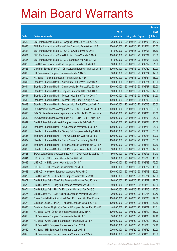|       |                                                                |               |                            |            | <b>Amount</b> |
|-------|----------------------------------------------------------------|---------------|----------------------------|------------|---------------|
|       |                                                                | No. of        |                            |            | raised        |
| Code  | <b>Derivative warrants</b>                                     | issue (units) | <b>Listing date Expiry</b> |            | $(HK$$ mil.)  |
| 26622 | BNP Paribas Arbit Issu B.V. - Angang Steel Eur Wt Jul 2014 A   | 26,000,000    | 2013/08/16 2014/07/03      |            | 14.82         |
| 26623 | BNP Paribas Arbit Issu B.V. - China Gas Hold Euro Wt Nov14 A   | 100,000,000   | 2013/08/16 2014/11/04      |            | 16.00         |
| 26624 | BNP Paribas Arbit Issu B.V. - Ch Oil & Gas Eur Wt Jul 2014 A   | 57,000,000    | 2013/08/16 2014/07/03      |            | 15.39         |
| 26621 | BNP Paribas Arbit Issu B.V. - Hutchison Euro Wts Mar 2014 A    | 100,000,000   | 2013/08/16 2014/03/04      |            | 26.00         |
| 26625 | BNP Paribas Arbit Issu B.V. - ZTE European Wts Aug 2014 A      | 87,000,000    | 2013/08/16 2014/08/04      |            | 23.49         |
| 26620 | Credit Suisse - Yanzhou Coal European Put Wts Feb 2014 A       | 50,000,000    | 2013/08/16 2014/02/17      |            | 21.50         |
| 26626 | Goldman Sachs SP (Asia) - Ch Overseas European Wts Sep 2014 A  | 120,000,000   | 2013/08/16 2014/09/29      |            | 30.00         |
| 26608 | HK Bank – AIA European Put Warrants Mar 2014 C                 | 80,000,000    | 2013/08/16 2014/03/24      |            | 12.00         |
| 26609 | HK Bank – Tencent European Warrants Jan 2014 D                 | 100,000,000   | 2013/08/16 2014/01/24      |            | 18.00         |
| 26615 | Standard Chartered Bank - Agricultural Bk Eur Wts Feb 2014 A   | 80,000,000    | 2013/08/16 2014/02/21      |            | 13.60         |
| 26614 | Standard Chartered Bank - China Mobile Eur Put Wt Feb 2014 A   | 100,000,000   | 2013/08/16 2014/02/27      |            | 25.00         |
| 26613 | Standard Chartered Bank - Kingsoft European Wts Feb 2014 A     | 50,000,000    | 2013/08/16 2014/02/17      |            | 12.50         |
| 26617 | Standard Chartered Bank – Tencent Hidg Euro Wts Apr 2014 A     | 100,000,000   | 2013/08/16 2014/04/25      |            | 21.20         |
| 26618 | Standard Chartered Bank - Tencent Hldg Euro Wts Aug 2014 A     | 100,000,000   | 2013/08/16 2014/08/08      |            | 25.00         |
| 26619 | Standard Chartered Bank - Tencent Hidg Eu Put Wts Jun 2014 A   | 100,000,000   | 2013/08/16 2014/06/03      |            | 35.50         |
| 26611 | SGA Societe Generale Acceptance N.V. - ICBC Eu Wt Feb 2014 A   | 100,000,000   | 2013/08/16 2014/02/05      |            | 20.00         |
| 26610 | SGA Societe Generale Acceptance N.V. - Ping An Eu Wt Jan 14 A  | 100,000,000   | 2013/08/16 2014/01/06      |            | 23.50         |
| 26612 | SGA Societe Generale Acceptance N.V. - SHK P Eu Wt Mar 14 A    | 100,000,000   | 2013/08/16 2014/03/03      |            | 25.00         |
| 26647 | Credit Suisse AG - Kingsoft European Warrants Feb 2014 C       | 60,000,000    | 2013/08/19 2014/02/24      |            | 15.60         |
| 26638 | Standard Chartered Bank - AIA European Warrants Jul 2014 A     | 100,000,000   | 2013/08/19 2014/07/18      |            | 25.00         |
| 26633 | Standard Chartered Bank - Galaxy Ent European Wts Aug 2014 A   | 100,000,000   | 2013/08/19 2014/08/08      |            | 38.00         |
| 26636 | Standard Chartered Bank - Ping An European Wts Feb 2014 B      | 100,000,000   | 2013/08/19 2014/02/24      |            | 19.00         |
| 26632 | Standard Chartered Bank - Sands China Euro Wts Aug 2014 A      | 100,000,000   | 2013/08/19                 | 2014/08/08 | 38.00         |
| 26634 | Standard Chartered Bank – SHK P European Warrants Jan 2014 A   | 80,000,000    | 2013/08/19 2014/01/13      |            | 12.40         |
| 26635 | Standard Chartered Bank – SHK P European Warrants Jun 2014 A   | 50,000,000    | 2013/08/19 2014/06/30      |            | 12.50         |
| 26628 | SGA Societe Generale Acceptance N.V. - Geely Auto Eu Wt Feb14A | 60,000,000    | 2013/08/19 2014/02/05      |            | 11.40         |
| 26641 | UBS AG – HSI European Warrants Dec 2013 M                      | 300,000,000   | 2013/08/19 2013/12/30      |            | 45.00         |
| 26639 | UBS AG - HSI European Warrants Mar 2014 A                      | 300,000,000   | 2013/08/19 2014/03/28      |            | 75.00         |
| 26631 | UBS AG - HSI European Put Warrants Feb 2014 D                  | 300,000,000   | 2013/08/19 2014/02/27      |            | 45.00         |
| 26643 | UBS AG - Hutchison European Warrants Feb 2014 C                | 100,000,000   | 2013/08/19 2014/02/18      |            | 30.00         |
| 26676 | Credit Suisse AG - China Life European Warrants Dec 2013 B     | 80,000,000    | 2013/08/20 2013/12/24      |            | 12.00         |
| 26677 | Credit Suisse AG - A50 China European Warrants Dec 2013 A      | 80,000,000    | 2013/08/20 2013/12/27      |            | 17.60         |
| 26673 | Credit Suisse AG - Ping An European Warrants Nov 2013 A        | 80,000,000    | 2013/08/20 2013/11/25      |            | 12.00         |
| 26674 | Credit Suisse AG - Ping An European Warrants Dec 2013 C        | 80,000,000    | 2013/08/20 2013/12/16      |            | 12.00         |
| 26675 | Credit Suisse AG - SJM Holdings European Warrants Dec 2013 A   | 70,000,000    | 2013/08/20 2013/12/16      |            | 10.50         |
| 26668 | Daiwa Capital Mkt - Agricultural Bank European Wts Mar 2014 A  | 108,000,000   | 2013/08/20 2014/03/03      |            | 27.00         |
| 26678 | Goldman Sachs SP (Asia) - Tencent European Wt Jan 2014 B       | 120,000,000   | 2013/08/20 2014/01/30      |            | 32.40         |
| 26680 | Goldman Sachs SP (Asia) - Tencent European Put Wt Feb 2014 F   | 48,000,000    | 2013/08/20 2014/02/07      |            | 21.31         |
| 26657 | HK Bank - Anhui Conch European Warrants Jan 2014 A             | 100,000,000   | 2013/08/20 2014/01/10      |            | 15.00         |
| 26653 | HK Bank - AIA European Put Warrants Jan 2014 B                 | 80,000,000    | 2013/08/20 2014/01/30      |            | 14.40         |
| 26655 | HK Bank - China Unicom European Warrants Sep 2014 A            | 100,000,000   | 2013/08/20 2014/09/29      |            | 15.00         |
| 26650 | HK Bank - HSI European Put Warrants Dec 2013 I                 | 180,000,000   | 2013/08/20 2013/12/30      |            | 32.40         |
| 26649 | HK Bank - HSI European Put Warrants Jan 2014 E                 | 200,000,000   | 2013/08/20 2014/01/29      |            | 30.00         |
| 26656 | HK Bank - Jiangxi Copper European Warrants Jan 2014 A          | 100,000,000   | 2013/08/20 2014/01/20      |            | 15.00         |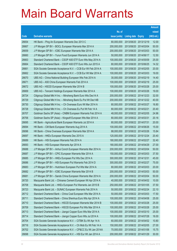|       |                                                              |               |                            | <b>Amount</b> |
|-------|--------------------------------------------------------------|---------------|----------------------------|---------------|
|       |                                                              | No. of        |                            | raised        |
| Code  | <b>Derivative warrants</b>                                   | issue (units) | <b>Listing date Expiry</b> | (HK\$ mil.)   |
| 26654 | HK Bank – Ping An European Warrants Dec 2013 C               | 80,000,000    | 2013/08/20 2013/12/19      | 12.00         |
| 26667 | J P Morgan SP BV - BOCL European Warrants Mar 2014 A         | 200,000,000   | 2013/08/20 2014/03/04      | 50.00         |
| 26659 | J P Morgan SP BV - ICBC European Warrants Mar 2014 A         | 200,000,000   | 2013/08/20 2014/03/03      | 50.00         |
| 26660 | J P Morgan SP BV - Yurun Food European Warrants Jun 2014 A   | 50,000,000    | 2013/08/20 2014/06/17      | 12.50         |
| 26663 | Standard Chartered Bank - CSOP A50 ETF Euro Wts May 2014 A   | 100,000,000   | 2013/08/20 2014/05/09      | 25.00         |
| 26664 | Standard Chartered Bank - CSOP A50 ETF Euro Wts Jun 2015 A   | 80,000,000    | 2013/08/20 2015/06/25      | 14.32         |
| 26661 | SGA Societe Generale Acceptance N.V. - CCB Eur Wt Feb 2014 A | 100,000,000   | 2013/08/20 2014/02/05      | 20.00         |
| 26662 | SGA Societe Generale Acceptance N.V. - CCB Eur Wt Mar 2014 A | 100,000,000   | 2013/08/20 2014/03/03      | 19.00         |
| 26670 | UBS AG - China National Building European Wts Feb 2014 A     | 30,000,000    | 2013/08/20 2014/02/19      | 14.40         |
| 26671 | UBS AG - A50 China European Warrants Feb 2014 A              | 100,000,000   | 2013/08/20 2014/02/19      | 25.00         |
| 26672 | UBS AG - HSCEI European Warrants Mar 2014 B                  | 100,000,000   | 2013/08/20 2014/03/28      | 25.00         |
| 26669 | UBS AG - Tencent Holdings European Warrants Mar 2014 A       | 100,000,000   | 2013/08/20 2014/03/26      | 19.00         |
| 26724 | Citigroup Global Mkt H Inc. - Minsheng Bank Euro Wts Dec14 A | 200,000,000   | 2013/08/22 2014/12/23      | 32.00         |
| 26729 | Citigroup Global Mkt H Inc. - Minsheng Bank Eu Put Wt Dec14B | 200,000,000   | 2013/08/22 2014/12/22      | 40.00         |
| 26730 | Citigroup Global Mkt H Inc. - Ch Overseas Euro Wt Mar 2014 A | 80,000,000    | 2013/08/22 2014/03/27      | 16.80         |
| 26728 | Citigroup Global Mkt H Inc. - Ch Overseas Eu Put Wt Feb 14 A | 80,000,000    | 2013/08/22 2014/02/21      | 20.40         |
| 26707 | Goldman Sachs SP (Asia) - CNBM European Warrants Feb 2014 A  | 48,000,000    | 2013/08/22 2014/02/05      | 24.96         |
| 26706 | Goldman Sachs SP (Asia) - Kingsoft European Wts Mar 2014 A   | 80,000,000    | 2013/08/22 2014/03/31      | 20.16         |
| 26695 | HK Bank - Agricultural Bank European Warrants Jul 2014 A     | 80,000,000    | 2013/08/22 2014/07/31      | 20.00         |
| 26694 | HK Bank – CM Bank European Warrants Aug 2014 A               | 100,000,000   | 2013/08/22 2014/08/26      | 15.00         |
| 26696 | HK Bank – China Overseas European Warrants Mar 2014 A        | 88,000,000    | 2013/08/22 2014/03/26      | 15.84         |
| 26697 | HK Bank - HKEx European Warrants Dec 2015 A                  | 120,000,000   | 2013/08/22 2015/12/24      | 20.40         |
| 26689 | HK Bank - HSI European Warrants Feb 2014 A                   | 180,000,000   | 2013/08/22 2014/02/27      | 32.40         |
| 26693 | HK Bank - HSI European Warrants Apr 2014 A                   | 180,000,000   | 2013/08/22 2014/04/29      | 27.00         |
| 26688 | J P Morgan SP BV - Anhui Conch European Warrants Mar 2014 A  | 200,000,000   | 2013/08/22 2014/03/04      | 50.00         |
| 26687 | J P Morgan SP BV - CPIC European Warrants Mar 2014 A         | 150,000,000   | 2013/08/22 2014/03/03      | 37.50         |
| 26685 | J P Morgan SP BV - HKEx European Put Wts Dec 2014 A          | 300,000,000   | 2013/08/22 2014/12/31      | 45.00         |
| 26686 | J P Morgan SP BV - HSI European Put Warrants Feb 2014 D      | 300,000,000   | 2013/08/22 2014/02/27      | 75.00         |
| 26683 | J P Morgan SP BV - Hutchison European Put Wts Mar 2014 A     | 80,000,000    | 2013/08/22 2014/03/03      | 20.00         |
| 26682 | J P Morgan SP BV - ICBC European Warrants Mar 2014 B         | 200,000,000   | 2013/08/22 2014/03/03      | 50.00         |
| 26681 | J P Morgan SP BV - Sands China European Warrants Mar 2014 A  | 200,000,000   | 2013/08/22 2014/03/04      | 50.00         |
| 26720 | Macquarie Bank Ltd. - Chinares Cement European Wt Apr 2014 A | 40,000,000    | 2013/08/22 2014/04/02      | 10.00         |
| 26708 | Macquarie Bank Ltd. - HKEx European Put Warrants Jan 2015 B  | 250,000,000   | 2013/08/22 2015/01/05      | 37.50         |
| 26723 | Macquarie Bank Ltd. - SUNAC European Warrants Feb 2014 A     | 50,000,000    | 2013/08/22 2014/02/24      | 22.10         |
| 26712 | Standard Chartered Bank - China Coal European Wts Mar 2014 A | 50,000,000    | 2013/08/22 2014/03/03      | 17.50         |
| 26711 | Standard Chartered Bank - China Shenhua Euro Wts Apr 2014 A  | 100,000,000   | 2013/08/22 2014/04/08      | 25.00         |
| 26710 | Standard Chartered Bank - HSCEI European Warrants Mar 2014 B | 100,000,000   | 2013/08/22 2014/03/28      | 25.00         |
| 26709 | Standard Chartered Bank - HSCEI European Put Wts Mar 2014 A  | 100,000,000   | 2013/08/22 2014/03/28      | 25.00         |
| 26713 | Standard Chartered Bank - Jiangxi Copper Euro Wts Mar 2014 A | 100,000,000   | 2013/08/22 2014/03/10      | 25.00         |
| 26714 | Standard Chartered Bank - Jiangxi Copper Euro Wts Jul 2014 A | 100,000,000   | 2013/08/22 2014/07/28      | 16.00         |
| 26704 | SGA Societe Generale Acceptance N.V. - CITBK Eu Wt Apr 14 A  | 60,000,000    | 2013/08/22 2014/04/02      | 10.80         |
| 26716 | SGA Societe Generale Acceptance N.V. - Ch Mob Eu Wt Feb 14 A | 150,000,000   | 2013/08/22 2014/02/05      | 27.00         |
| 26702 | SGA Societe Generale Acceptance N.V. - CP&CC Eu Wt Jan 2014A | 70,000,000    | 2013/08/22 2014/01/06      | 15.75         |
| 26698 | SGA Societe Generale Acceptance N.V. - HSI Eur Wt Jan 2014 A | 200,000,000   | 2013/08/22 2014/01/29      | 30.00         |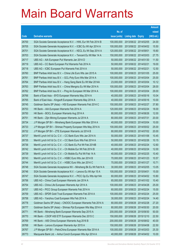|       |                                                                |               |                            |                       | <b>Amount</b> |
|-------|----------------------------------------------------------------|---------------|----------------------------|-----------------------|---------------|
|       |                                                                | No. of        |                            |                       | raised        |
| Code  | <b>Derivative warrants</b>                                     | issue (units) | <b>Listing date Expiry</b> |                       | (HK\$ mil.)   |
| 26700 | SGA Societe Generale Acceptance N.V. - HWL Eur Wt Feb 2014 B   | 100,000,000   |                            | 2013/08/22 2014/02/05 | 24.00         |
| 26705 | SGA Societe Generale Acceptance N.V. - ICBC Eu Wt Apr 2014 A   | 100,000,000   |                            | 2013/08/22 2014/04/02 | 15.50         |
| 26701 | SGA Societe Generale Acceptance N.V. - KECL Eu Wt Sep 2014 A   | 120,000,000   | 2013/08/22 2014/09/01      |                       | 19.80         |
| 26703 | SGA Societe Generale Acceptance N.V. - Tencent Eu Wt Mar 14 A  | 150,000,000   |                            | 2013/08/22 2014/03/03 | 27.75         |
| 26717 | UBS AG - AIA European Put Warrants Jan 2014 D                  | 50,000,000    |                            | 2013/08/22 2014/01/30 | 11.50         |
| 26719 | UBS AG - CC Bank European Put Warrants Feb 2014 A              | 50,000,000    | 2013/08/22 2014/02/21      |                       | 19.00         |
| 26718 | UBS AG - ICBC European Put Warrants Feb 2014 A                 | 50,000,000    | 2013/08/22 2014/02/21      |                       | 12.50         |
| 26760 | BNP Paribas Arbit Issu B.V. - China Life Euro Wts Jan 2015 A   | 100,000,000   |                            | 2013/08/23 2015/01/05 | 25.00         |
| 26761 | BNP Paribas Arbit Issu B.V. - GCL-Poly Euro Wts Mar 2014 A     | 100,000,000   |                            | 2013/08/23 2014/03/04 | 25.00         |
| 26764 | BNP Paribas Arbit Issu B.V. - Hang Seng Bank Eu Wt Mar 2014A   | 23,000,000    |                            | 2013/08/23 2014/03/04 | 10.12         |
| 26763 | BNP Paribas Arbit Issu B.V. - China Mengniu Eu Wt Mar 2014 A   | 100,000,000   | 2013/08/23 2014/03/04      |                       | 28.00         |
| 26762 | BNP Paribas Arbit Issu B.V. - Ping An European Wt Mar 2014 A   | 100,000,000   |                            | 2013/08/23 2014/03/04 | 29.00         |
| 26766 | Bank of East Asia - BYD European Warrants May 2014 A           | 40,000,000    |                            | 2013/08/23 2014/05/16 | 10.04         |
| 26765 | Bank of East Asia - Kingsoft European Warrants May 2014 A      | 40,000,000    |                            | 2013/08/23 2014/05/16 | 10.00         |
| 26745 | Goldman Sachs SP (Asia) - HSI European Warrants Feb 2014 C     | 150,000,000   | 2013/08/23 2014/02/27      |                       | 37.80         |
| 26753 | HK Bank - AIA European Warrants Feb 2014 A                     | 120,000,000   |                            | 2013/08/23 2014/02/24 | 18.00         |
| 26750 | HK Bank - BOCL European Warrants Aug 2014 A                    | 80,000,000    |                            | 2013/08/23 2014/08/26 | 12.00         |
| 26751 | HK Bank - Zijin Mining European Warrants Jul 2014 A            | 80,000,000    | 2013/08/23 2014/07/31      |                       | 20.00         |
| 26734 | J P Morgan SP BV - Minsheng Bank European Wts Mar 2014 A       | 40,000,000    |                            | 2013/08/23 2014/03/04 | 10.00         |
| 26733 | J P Morgan SP BV - Shimao Property European Wts May 2014 A     | 100,000,000   |                            | 2013/08/23 2014/05/02 | 25.00         |
| 26732 | J P Morgan SP BV - ZTE European Warrants Jul 2014 B            | 80,000,000    |                            | 2013/08/23 2014/07/02 | 20.00         |
| 26737 | Merrill Lynch Int'l & Co. C.V. - CC Bank Euro Wts Jan 2014 A   | 50,000,000    |                            | 2013/08/23 2014/01/06 | 10.45         |
| 26735 | Merrill Lynch Int'l & Co. C.V. - CC Bank Euro Wts Feb 2014 A   | 50,000,000    |                            | 2013/08/23 2014/02/26 | 10.15         |
| 26736 | Merrill Lynch Int'l & Co. C.V. - CC Bank Eu Put Wt Feb 2014B   | 40,000,000    |                            | 2013/08/23 2014/02/24 | 12.60         |
| 26742 | Merrill Lynch Int'l & Co. C.V. - Ch Mobile Eur Wt Feb 2014 B   | 40,000,000    |                            | 2013/08/23 2014/02/24 | 12.00         |
| 26739 | Merrill Lynch Int'l & Co. C.V. - Ch Mobile Eu Put Wt Feb 14 A  | 40,000,000    |                            | 2013/08/23 2014/02/25 | 10.40         |
| 26743 | Merrill Lynch Int'l & Co. C.V. - HSBC Euro Wts Jan 2014 B      | 70,000,000    | 2013/08/23 2014/01/23      |                       | 10.57         |
| 26744 | Merrill Lynch Int'l & Co. C.V. - HSBC Euro Wts Jan 2014 C      | 70,000,000    | 2013/08/23 2014/01/27      |                       | 10.71         |
| 26748 | SGA Societe Generale Acceptance NV - Minsheng Bk Eu Wt Feb14 A | 30,000,000    | 2013/08/23 2014/02/05      |                       | 13.05         |
| 26746 | SGA Societe Generale Acceptance N.V. - Lenovo Eu Wt Apr 15 A   | 100,000,000   | 2013/08/23 2015/04/01      |                       | 15.00         |
| 26747 | SGA Societe Generale Acceptance N.V. - PICC Gp Eu Wts Apr14A   | 60,000,000    |                            | 2013/08/23 2014/04/02 | 10.80         |
| 26756 | UBS AG - China Coal European Warrants Jan 2014 A               | 65,000,000    |                            | 2013/08/23 2014/01/02 | 10.40         |
| 26754 | UBS AG - China Life European Warrants Apr 2014 A               | 100,000,000   | 2013/08/23 2014/04/28      |                       | 25.00         |
| 26757 | UBS AG - PICC Group European Warrants Feb 2014 A               | 60,000,000    |                            | 2013/08/23 2014/02/24 | 15.00         |
| 26759 | UBS AG - SPDR Gold Trust European Warrants Feb 2014 A          | 100,000,000   | 2013/08/23 2014/02/24      |                       | 25.00         |
| 26758 | UBS AG - Yanzhou Coal European Wts Feb 2014 A                  | 30,000,000    | 2013/08/23 2014/02/24      |                       | 14.40         |
| 26778 | Goldman Sachs SP (Asia) - CNOOC European Warrants Feb 2014 A   | 80,000,000    | 2013/08/26 2014/02/28      |                       | 27.20         |
| 26777 | Goldman Sachs SP (Asia) - Shimao Ppt European Wts May 2014 A   | 80,000,000    |                            | 2013/08/26 2014/05/30 | 20.00         |
| 26771 | HK Bank - Minsheng Bank European Warrants Sep 2015 A           | 200,000,000   |                            | 2013/08/26 2015/09/30 | 50.00         |
| 26770 | HK Bank - CSOP A50 ETF European Warrants Dec 2015 C            | 150,000,000   |                            | 2013/08/26 2015/12/10 | 22.50         |
| 26769 | HK Bank - A50 China European Warrants Aug 2016 B               | 200,000,000   | 2013/08/26 2016/08/02      |                       | 40.00         |
| 26768 | HK Bank - Lenovo European Warrants Apr 2015 A                  | 150,000,000   | 2013/08/26 2015/04/08      |                       | 22.50         |
| 26767 | J P Morgan SP BV - PetroChina European Warrants Mar 2014 A     | 100,000,000   | 2013/08/26 2014/03/03      |                       | 25.30         |
| 26773 | Macquarie Bank Ltd. - Anhui Conch European Wts Apr 2014 A      | 40,000,000    |                            | 2013/08/26 2014/04/02 | 10.00         |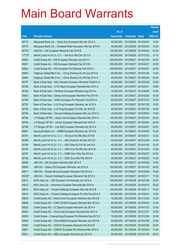|        |                                                               |               |                            |                       | <b>Amount</b> |
|--------|---------------------------------------------------------------|---------------|----------------------------|-----------------------|---------------|
|        |                                                               | No. of        |                            |                       | raised        |
| Code   | <b>Derivative warrants</b>                                    | issue (units) | <b>Listing date Expiry</b> |                       | (HK\$ mil.)   |
| 26775  | Macquarie Bank Ltd. - Geely Auto European Wts Apr 2014 A      | 40,000,000    |                            | 2013/08/26 2014/04/02 | 10.00         |
| 26774  | Macquarie Bank Ltd. - Greatwall Motor European Wts Apr 2014 A | 40,000,000    |                            | 2013/08/26 2014/04/02 | 10.00         |
| 26779  | UBS AG - AIA European Warrants Feb 2014 B                     | 100,000,000   |                            | 2013/08/26 2014/02/25 | 25.00         |
| 17773# | Merrill Lynch Int'l & Co. C.V. - AIA Euro Wts Dec 2013 D      | 260,000,000   | 2013/08/26 2013/12/23      |                       | 10.14         |
| 26800  | Credit Suisse AG - HSI European Warrants Jan 2014 C           | 200,000,000   |                            | 2013/08/27 2014/01/29 | 30.00         |
| 26801  | Credit Suisse AG - HSI European Warrants Feb 2014 B           | 200,000,000   |                            | 2013/08/27 2014/02/27 | 30.00         |
| 26802  | Credit Suisse AG - HSI European Put Warrants Feb 2014 C       | 200,000,000   | 2013/08/27 2014/02/27      |                       | 30.00         |
| 26805  | Citigroup Global Mkt H Inc. - China Shenhua Eu Wt Jan 2014 A  | 80,000,000    | 2013/08/27 2014/01/28      |                       | 12.00         |
| 26804  | Citigroup Global Mkt H Inc. - China Shenhua Eu Wt Feb 2014 A  | 80,000,000    |                            | 2013/08/27 2014/02/26 | 20.00         |
| 26797  | Bank of East Asia - AAC Acoustic European Warrants Feb2014 A  | 40,000,000    | 2013/08/27 2014/02/26      |                       | 10.60         |
| 26795  | Bank of East Asia - CITIC Bank European Warrants Mar 2014 A   | 60,000,000    | 2013/08/27 2014/03/21      |                       | 10.80         |
| 26794  | Bank of East Asia - CM Bank European Warrants Aug 2014 A      | 70,000,000    | 2013/08/27 2014/08/26      |                       | 10.50         |
| 26803  | Bank of East Asia - Galaxy Ent European Warrants Feb 2014 B   | 40,000,000    |                            | 2013/08/27 2014/02/26 | 10.00         |
| 26798  | Bank of East Asia - JIANC European Put Warrants Oct 2014 A    | 60,000,000    | 2013/08/27 2014/10/10      |                       | 15.00         |
| 26792  | Bank of East Asia - Li & Fung European Warrants Jan 2015 A    | 60,000,000    | 2013/08/27 2015/01/29      |                       | 15.00         |
| 26793  | Bank of East Asia - Li & Fung European Put Wts Jan 2015 B     | 60,000,000    | 2013/08/27 2015/01/29      |                       | 15.00         |
| 26799  | Bank of East Asia - Tencent Holdings European Wts Jun 2014 A  | 40,000,000    |                            | 2013/08/27 2014/06/20 | 10.00         |
| 26790  | J P Morgan SP BV - Geely Auto European Warrants Mar 2014 A    | 100,000,000   | 2013/08/27 2014/03/03      |                       | 25.00         |
| 26789  | J P Morgan SP BV - Lenovo European Warrants Mar 2014 A        | 100,000,000   | 2013/08/27                 | 2014/03/04            | 25.00         |
| 26788  | J P Morgan SP BV - Link Reit European Warrants Apr 2014 A     | 80,000,000    | 2013/08/27 2014/04/01      |                       | 20.00         |
| 26807  | Macquarie Bank Ltd. - CNBM European Warrants Apr 2014 B       | 40,000,000    | 2013/08/27 2014/04/02      |                       | 10.00         |
| 26781  | Merrill Lynch Int'l & Co. C.V. - AIA Euro Put Wts Mar 2014 B  | 80,000,000    | 2013/08/27 2014/03/21      |                       | 12.32         |
| 26780  | Merrill Lynch Int'l & Co. C.V. - A50 China Eur Wt Dec 2013 D  | 50,000,000    |                            | 2013/08/27 2013/12/30 | 10.05         |
| 26784  | Merrill Lynch Int'l & Co. C.V. - A50 China Eu Put Wt Jan14 A  | 40,000,000    |                            | 2013/08/27 2014/01/02 | 10.20         |
| 26782  | Merrill Lynch Int'l & Co. C.V. - HKEx Eur Put Wts Dec 2014 B  | 80,000,000    |                            | 2013/08/27 2014/12/24 | 12.08         |
| 26787  | Merrill Lynch Int'l & Co. C.V. - HSBC Euro Wts Feb 2014 A     | 40,000,000    | 2013/08/27 2014/02/27      |                       | 24.00         |
| 26785  | Merrill Lynch Int'l & Co. C.V. - ICBC Euro Wts Feb 2014 A     | 50,000,000    | 2013/08/27 2014/02/20      |                       | 14.25         |
| 26806  | UBS AG - AIA European Warrants Mar 2014 A                     | 100,000,000   | 2013/08/27 2014/03/26      |                       | 15.00         |
| 26808  | UBS AG - Galaxy Ent European Warrants Jan 2014 A              | 100,000,000   | 2013/08/27 2014/01/03      |                       | 38.00         |
| 26811  | UBS AG - Zhaojin Mining European Warrants Feb 2014 A          | 35,000,000    | 2013/08/27 2014/02/26      |                       | 18.55         |
| 26339# | UBS AG - Tencent Holdings European Warrants Feb 2014 C        | 100,000,000   | 2013/08/27 2014/02/11      |                       | 17.20         |
| 26812  | BOCI Asia Ltd. - HSI European Put Warrants Jan 2014 A         | 100,000,000   | 2013/08/28 2014/01/29      |                       | 15.00         |
| 26813  | BOCI Asia Ltd. - Hutchison European Warrants Mar 2014 A       | 100,000,000   | 2013/08/28 2014/03/10      |                       | 25.00         |
| 26815  | BOCI Asia Ltd. - Tencent Holdings European Wts Feb 2014 B     | 100,000,000   | 2013/08/28 2014/02/11      |                       | 15.00         |
| 26814  | BOCI Asia Ltd. - Tencent Holdings European Put Wts Feb 2014 A | 100,000,000   | 2013/08/28 2014/02/24      |                       | 15.00         |
| 26834  | Credit Suisse AG - Anhui Conch European Warrants Dec 2013 B   | 70,000,000    | 2013/08/28 2013/12/24      |                       | 10.50         |
| 26836  | Credit Suisse AG - CAM CSI300 European Warrants Mar 2014 A    | 80,000,000    | 2013/08/28 2014/03/24      |                       | 12.00         |
| 26822  | Credit Suisse AG - CC Bank European Warrants Jan 2014 A       | 80,000,000    | 2013/08/28 2014/01/27      |                       | 12.00         |
| 26824  | Credit Suisse AG - China Coal European Warrants Dec 2013 A    | 70,000,000    | 2013/08/28 2013/12/27      |                       | 10.50         |
| 26833  | Credit Suisse - Cheung Kong European Put Warrants Dec 2013 C  | 70,000,000    | 2013/08/28 2013/12/24      |                       | 10.50         |
| 26829  | Credit Suisse AG - China Mobile European Warrants Jan 2014 B  | 80,000,000    | 2013/08/28 2014/01/06      |                       | 12.80         |
| 26825  | Credit Suisse AG - CNOOC European Warrants Feb 2014 B         | 80,000,000    | 2013/08/28 2014/02/28      |                       | 34.40         |
| 26827  | Credit Suisse AG - CNOOC European Put Warrants Mar 2014 A     | 80,000,000    | 2013/08/28 2014/03/24      |                       | 12.00         |
| 26831  | Credit Suisse AG - HKEx European Warrants Jan 2014 B          | 80,000,000    | 2013/08/28 2014/01/30      |                       | 28.00         |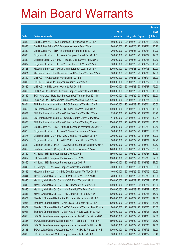|       |                                                               |               |                            |            | <b>Amount</b> |
|-------|---------------------------------------------------------------|---------------|----------------------------|------------|---------------|
|       |                                                               | No. of        |                            |            | raised        |
| Code  | <b>Derivative warrants</b>                                    | issue (units) | <b>Listing date Expiry</b> |            | $(HK$$ mil.)  |
| 26832 | Credit Suisse AG - HKEx European Put Warrants Feb 2014 A      | 80,000,000    | 2013/08/28 2014/02/28      |            | 26.40         |
| 26823 | Credit Suisse AG - ICBC European Warrants Feb 2014 A          | 80,000,000    | 2013/08/28 2014/02/24      |            | 15.20         |
| 26830 | Credit Suisse AG - SHK Ppt European Warrants Feb 2014 A       | 70,000,000    | 2013/08/28 2014/02/24      |            | 11.20         |
| 26838 | Citigroup Global Mkt H Inc. - AIA European Put Wt Feb 2014 B  | 50,000,000    | 2013/08/28 2014/02/27      |            | 12.50         |
| 26840 | Citigroup Global Mkt H Inc. - Yanzhou Coal Eur Wts Feb 2014 B | 30,000,000    | 2013/08/28 2014/02/27      |            | 10.80         |
| 26837 | Citigroup Global Mkt H Inc. - YZ Coal Euro Put Wt Feb 2014 A  | 30,000,000    | 2013/08/28 2014/02/27      |            | 10.20         |
| 26828 | Macquarie Bank Ltd. - Digital China European Wts Jul 2015 A   | 120,000,000   | 2013/08/28                 | 2015/07/03 | 30.00         |
| 26821 | Macquarie Bank Ltd. - Henderson Land Dev Euro Wts Feb 2014 A  | 80,000,000    | 2013/08/28 2014/02/05      |            | 12.00         |
| 26819 | UBS AG - AIA European Warrants Mar 2014 B                     | 100,000,000   | 2013/08/28 2014/03/04      |            | 26.00         |
| 26818 | UBS AG - China Life European Warrants Feb 2014 A              | 100,000,000   | 2013/08/28 2014/02/27      |            | 25.00         |
| 26820 | UBS AG - HSI European Warrants Feb 2014 E                     | 300,000,000   | 2013/08/28 2014/02/27      |            | 75.00         |
| 26866 | BOCI Asia Ltd. – China Shenhua European Warrants Mar 2014 A   | 100,000,000   | 2013/08/29 2014/03/03      |            | 15.00         |
| 26869 | BOCI Asia Ltd. - Hutchison European Put Warrants Mar 2014 B   | 100,000,000   | 2013/08/29 2014/03/10      |            | 25.00         |
| 26867 | BOCI Asia Ltd. - Sands China European Warrants Feb 2014 A     | 100,000,000   | 2013/08/29 2014/02/24      |            | 25.00         |
| 26864 | BNP Paribas Arbit Issu B.V. - BOCL European Wts Mar 2014 B    | 100,000,000   | 2013/08/29                 | 2014/03/04 | 15.00         |
| 26860 | BNP Paribas Arbit Issu B.V. - CC Bank Euro Wts Feb 2014 A     | 100,000,000   | 2013/08/29 2014/02/05      |            | 15.00         |
| 26861 | BNP Paribas Arbit Issu B.V. - China Coal Euro Wts Mar 2014 A  | 73,000,000    | 2013/08/29 2014/03/04      |            | 21.90         |
| 26862 | BNP Paribas Arbit Issu B.V. - Country Garden Eu Wt Mar 2014A  | 41,000,000    | 2013/08/29 2014/03/04      |            | 13.94         |
| 26863 | BNP Paribas Arbit Issu B.V. - China Life Euro Wts Aug 2014 A  | 100,000,000   | 2013/08/29                 | 2014/08/04 | 25.00         |
| 26874 | Credit Suisse AG - CSOP A50 ETF European Warrants Dec 2013 A  | 70,000,000    | 2013/08/29 2013/12/20      |            | 10.50         |
| 26878 | Citigroup Global Mkt H Inc. - A50 China Euro Wts Apr 2014 A   | 50,000,000    | 2013/08/29 2014/04/25      |            | 23.50         |
| 26876 | Citigroup Global Mkt H Inc. - A50 China Eu Put Wt Nov 2014 A  | 200,000,000   | 2013/08/29 2014/11/25      |            | 50.00         |
| 26879 | Citigroup Global Mkt H Inc. - HSBC European Wts Jan 2014 B    | 80,000,000    | 2013/08/29 2014/01/24      |            | 19.20         |
| 26889 | Goldman Sachs SP (Asia) – CAM CSI300 European Wts May 2014 A  | 120,000,000   | 2013/08/29 2014/05/29      |            | 30.72         |
| 26859 | Goldman Sachs SP (Asia) – China Life Euro Wts Jun 2014 A      | 120,000,000   | 2013/08/29 2014/06/27      |            | 30.00         |
| 26849 | HK Bank - HSI European Warrants Feb 2014 B                    | 180,000,000   | 2013/08/29 2014/02/27      |            | 30.60         |
| 26852 | HK Bank – HSI European Put Warrants Dec 2013 J                | 180,000,000   | 2013/08/29 2013/12/30      |            | 27.00         |
| 26850 | HK Bank - HSI European Put Warrants Jan 2014 F                | 180,000,000   | 2013/08/29 2014/01/29      |            | 27.00         |
| 26843 | J P Morgan SP BV - AIA European Warrants Mar 2014 A           | 200,000,000   | 2013/08/29                 | 2014/03/03 | 50.00         |
| 26865 | Macquarie Bank Ltd. - Ch Ship Cont European Wts May 2014 A    | 40,000,000    | 2013/08/29 2014/05/05      |            | 10.00         |
| 26844 | Merrill Lynch Int'l & Co. C.V. - Ch Mobile Eur Wt Dec 2013 C  | 40,000,000    | 2013/08/29                 | 2013/12/30 | 10.00         |
| 26845 | Merrill Lynch Int'l & Co. C.V. - HSCEI Euro Wts Jun 2014 A    | 100,000,000   | 2013/08/29 2014/06/27      |            | 15.20         |
| 26848 | Merrill Lynch Int'l & Co. C.V. - HSI European Wts Feb 2014 E  | 100,000,000   | 2013/08/29                 | 2014/02/27 | 15.00         |
| 26846 | Merrill Lynch Int'l & Co. C.V. - HSI Euro Put Wts Feb 2014 C  | 100,000,000   | 2013/08/29 2014/02/27      |            | 25.50         |
| 26847 | Merrill Lynch Int'l & Co. C.V. - HSI Euro Put Wts Feb 2014 D  | 100,000,000   | 2013/08/29                 | 2014/02/27 | 15.80         |
| 26871 | Standard Chartered Bank - AIA European Warrants Mar 2014 B    | 100,000,000   | 2013/08/29 2014/03/28      |            | 17.00         |
| 89014 | Standard Chartered Bank - CAM CSI300 Euro Wts Apr 2014 A      | 100,000,000   | 2013/08/29                 | 2014/04/08 | 31.65         |
| 26872 | Standard Chartered Bank - CNOOC European Warrants Mar 2014 A  | 80,000,000    | 2013/08/29 2014/03/05      |            | 20.00         |
| 89013 | Standard Chartered Bank - CSOP A50 ETF Euro Wts Jan 2016 A    | 100,000,000   | 2013/08/29                 | 2016/01/08 | 25.45         |
| 26856 | SGA Societe Generale Acceptance N.V. - CMob Eu Put Wt Jan14C  | 150,000,000   | 2013/08/29                 | 2014/01/06 | 22.50         |
| 26855 | SGA Societe Generale Acceptance N.V. - Esprit Eu Wt Aug 14 A  | 150,000,000   | 2013/08/29                 | 2014/08/04 | 28.50         |
| 26857 | SGA Societe Generale Acceptance N.V. - Greatwall Eu Wt Mar14A | 70,000,000    | 2013/08/29                 | 2014/03/05 | 17.50         |
| 26853 | SGA Societe Generale Acceptance N.V. - HSBC Eu Put Wt Jan14 B | 100,000,000   | 2013/08/29                 | 2014/01/06 | 15.00         |
| 26886 | UBS AG - Greatwall Motor European Warrants Jan 2014 A         | 60,000,000    | 2013/08/29                 | 2014/01/27 | 20.40         |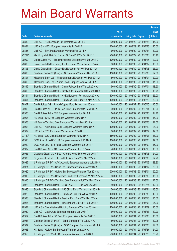|        |                                                              |               |                       |                       | <b>Amount</b> |
|--------|--------------------------------------------------------------|---------------|-----------------------|-----------------------|---------------|
|        |                                                              | No. of        |                       |                       | raised        |
| Code   | <b>Derivative warrants</b>                                   | issue (units) | <b>Listing date</b>   | <b>Expiry</b>         | (HK\$ mil.)   |
| 26880  | UBS AG - HSI European Put Warrants Mar 2014 B                | 300,000,000   | 2013/08/29 2014/03/28 |                       | 45.00         |
| 26881  | UBS AG - KECL European Warrants Jul 2014 B                   | 100,000,000   |                       | 2013/08/29 2014/07/28 | 25.00         |
| 26885  | UBS AG - SHK Ppt European Warrants Feb 2014 A                | 60,000,000    |                       | 2013/08/29 2014/02/24 | 10.20         |
| 23794# | Merrill Lynch Int'l & Co. C.V. - HSI Euro Put Wts Oct 2013 C | 200,000,000   |                       | 2013/08/29 2013/10/30 | 10.40         |
| 26902  | Credit Suisse AG - Tencent Holdings European Wts Jan 2014 G  | 100,000,000   |                       | 2013/08/30 2014/01/16 | 22.00         |
| 26895  | Daiwa Capital Mkt - Galaxy Ent European Warrants Jan 2014 A  | 80,000,000    |                       | 2013/08/30 2014/01/02 | 16.80         |
| 26896  | Daiwa Capital Mkt - Galaxy Ent European Put Wts Mar 2014 A   | 80,000,000    |                       | 2013/08/30 2014/03/03 | 23.20         |
| 26890  | Goldman Sachs SP (Asia) - HSI European Warrants Dec 2013 G   | 150,000,000   |                       | 2013/08/30 2013/12/30 | 22.50         |
| 26897  | Macquarie Bank Ltd. - Minsheng Bank European Wts Mar 2014 A  | 80,000,000    |                       | 2013/08/30 2014/03/04 | 20.00         |
| 26899  | Macquarie Bank Ltd. - Yurun Food European Wts Mar 2014 A     | 40,000,000    |                       | 2013/08/30 2014/03/04 | 11.80         |
| 26892  | Standard Chartered Bank - China Railway Euro Wts Jul 2014 A  | 50,000,000    |                       | 2013/08/30 2014/07/04 | 18.50         |
| 26893  | Standard Chartered Bank - Geely Auto European Wts Mar 2014 A | 50,000,000    |                       | 2013/08/30 2014/03/10 | 16.75         |
| 26894  | Standard Chartered Bank - HKEx European Put Wts Apr 2014 A   | 100,000,000   |                       | 2013/08/30 2014/04/03 | 25.00         |
| 26891  | Standard Chartered Bank - Hutchison Euro Euro Wts Mar 2014 A | 100,000,000   |                       | 2013/08/30 2014/03/28 | 30.00         |
| 26907  | Credit Suisse AG - Jiangxi Copper Euro Put Wts Jun 2014 A    | 60,000,000    |                       | 2013/09/02 2014/06/06 | 15.00         |
| 26905  | Credit Suisse AG - SPDR Gold Trust Euro Put Wts Dec 2013 A   | 60,000,000    | 2013/09/02 2013/12/11 |                       | 10.20         |
| 26906  | Credit Suisse AG - ZTE European Warrants Jun 2014 A          | 60,000,000    |                       | 2013/09/02 2014/06/30 | 14.40         |
| 26904  | HK Bank - SHK Ppt European Warrants Mar 2014 A               | 60,000,000    | 2013/09/02 2014/03/31 |                       | 15.00         |
| 26903  | HK Bank - Yanzhou Coal European Warrants Mar 2014 A          | 50,000,000    | 2013/09/02 2014/03/03 |                       | 22.50         |
| 26908  | UBS AG - Agricultural Bank European Warrants Mar 2014 A      | 100,000,000   |                       | 2013/09/02 2014/03/10 | 25.00         |
| 26909  | UBS AG - BYD European Warrants Jan 2014 B                    | 80,000,000    |                       | 2013/09/02 2014/01/27 | 12.00         |
| 27149# | HK Bank - A50 China European Warrants Aug 2014 A             | 180,000,000   | 2013/09/02 2014/08/01 |                       | 18.90         |
| 26913  | BOCI Asia Ltd. - BOC HK European Warrants Jul 2014 A         | 100,000,000   |                       | 2013/09/03 2014/07/28 | 17.00         |
| 26910  | BOCI Asia Ltd. - Li & Fung European Warrants Jun 2014 A      | 100,000,000   |                       | 2013/09/03 2014/06/09 | 15.00         |
| 26932  | Credit Suisse AG - AIA European Warrants Feb 2014 A          | 70,000,000    |                       | 2013/09/03 2014/02/18 | 10.50         |
| 26935  | Citigroup Global Mkt H Inc. - Cheung Kong Euro Wt Mar 2014 A | 60,000,000    | 2013/09/03 2014/03/03 |                       | 24.00         |
| 26933  | Citigroup Global Mkt H Inc. – Hutchison Euro Wts Mar 2014 A  | 80,000,000    | 2013/09/03 2014/03/03 |                       | 27.20         |
| 26922  | J P Morgan SP BV - AAC Acoustic European Warrants Jul 2014 A | 80,000,000    |                       | 2013/09/03 2014/07/02 | 28.80         |
| 26921  | J P Morgan SP BV - China Life European Warrants Apr 2014 A   | 200,000,000   |                       | 2013/09/03 2014/04/17 | 30.00         |
| 26920  | J P Morgan SP BV - Galaxy Ent European Warrants Mar 2014 A   | 200,000,000   | 2013/09/03 2014/03/04 |                       | 50.00         |
| 26919  | J P Morgan SP BV - Henderson Land Dev European Wt Mar 2014 A | 60,000,000    |                       | 2013/09/03 2014/03/03 | 15.00         |
| 26915  | J P Morgan SP BV - Yanzhou Coal European Put Wts Mar 2014 A  | 50,000,000    |                       | 2013/09/03 2014/03/04 | 12.50         |
| 26925  | Standard Chartered Bank - CSOP A50 ETF Euro Wts Dec 2013 B   | 80,000,000    |                       | 2013/09/03 2013/12/24 | 12.00         |
| 26926  | Standard Chartered Bank - A50 China Euro Warrants Jan 2014 B | 50,000,000    | 2013/09/03 2014/01/24 |                       | 13.50         |
| 26929  | Standard Chartered Bank - Hutchison Euro Put Wt May 2014 A   | 100,000,000   |                       | 2013/09/03 2014/05/30 | 40.00         |
| 26923  | Standard Chartered Bank - Tracker Fund Euro Wts Mar 2014 A   | 100,000,000   |                       | 2013/09/03 2014/03/18 | 25.00         |
| 26924  | Standard Chartered Bank - Tracker Fund Eu Put Wt Jun 2014 A  | 100,000,000   |                       | 2013/09/03 2014/06/03 | 25.00         |
| 26931  | UBS AG - China National Building European Wts Nov 2015 A     | 100,000,000   | 2013/09/03 2015/11/09 |                       | 25.00         |
| 26930  | UBS AG - Geely Auto European Warrants Jan 2014 A             | 60,000,000    |                       | 2013/09/03 2014/01/23 | 19.20         |
| 26957  | Credit Suisse AG - CC Bank European Warrants Dec 2013 E      | 70,000,000    |                       | 2013/09/04 2013/12/30 | 10.50         |
| 26938  | Goldman Sachs SP (Asia) - Esprit European Wts Jul 2014 A     | 80,000,000    |                       | 2013/09/04 2014/07/24 | 12.08         |
| 26937  | Goldman Sachs SP (Asia) - HSBC European Put Wts Mar 2014 A   | 80,000,000    | 2013/09/04 2014/03/28 |                       | 24.88         |
| 26936  | HK Bank - Galaxy Ent European Warrants Jan 2014 A            | 80,000,000    | 2013/09/04 2014/01/27 |                       | 24.00         |
| 26955  | J P Morgan SP BV - KECL European Warrants Jun 2014 A         | 200,000,000   | 2013/09/04 2014/06/25 |                       | 30.20         |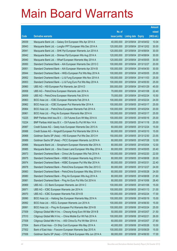|       |                                                               |               |                            |            | <b>Amount</b> |
|-------|---------------------------------------------------------------|---------------|----------------------------|------------|---------------|
|       |                                                               | No. of        |                            |            | raised        |
| Code  | <b>Derivative warrants</b>                                    | issue (units) | <b>Listing date Expiry</b> |            | (HK\$ mil.)   |
| 26939 | Macquarie Bank Ltd. - Galaxy Ent European Wts Apr 2014 A      | 40,000,000    | 2013/09/04                 | 2014/04/02 | 10.04         |
| 26943 | Macquarie Bank Ltd. - Longfor PPT European Wts Dec 2014 A     | 120,000,000   | 2013/09/04 2014/12/02      |            | 30.00         |
| 26941 | Macquarie Bank Ltd. - SHK Ppt European Warrants Jun 2014 A    | 120,000,000   | 2013/09/04                 | 2014/06/04 | 30.00         |
| 26942 | Macquarie Bank Ltd. - Shimao Ppt European Wts Aug 2014 A      | 120,000,000   | 2013/09/04 2014/08/04      |            | 30.00         |
| 26940 | Macquarie Bank Ltd. - Wharf European Warrants May 2014 A      | 120,000,000   | 2013/09/04 2014/05/05      |            | 30.00         |
| 26950 | Standard Chartered Bank - AIA European Warrants Dec 2013 C    | 100,000,000   | 2013/09/04 2013/12/27      |            | 20.00         |
| 26951 | Standard Chartered Bank - AIA European Warrants Apr 2014 B    | 100,000,000   | 2013/09/04                 | 2014/04/30 | 30.00         |
| 26944 | Standard Chartered Bank – HKEx European Put Wts May 2014 A    | 100,000,000   | 2013/09/04 2014/05/05      |            | 25.00         |
| 26952 | Standard Chartered Bank - Li & Fung European Wts Nov 2014 A   | 100,000,000   | 2013/09/04 2014/11/03      |            | 25.00         |
| 26953 | Standard Chartered Bank - Li & Fung Euro Put Wts May 2014 A   | 100,000,000   | 2013/09/04 2014/05/30      |            | 25.00         |
| 26960 | UBS AG - HSI European Put Warrants Jan 2014 D                 | 300,000,000   | 2013/09/04                 | 2014/01/29 | 45.00         |
| 26958 | UBS AG - PetroChina European Warrants Jan 2014 A              | 70,000,000    | 2013/09/04 2014/01/08      |            | 22.40         |
| 26959 | UBS AG - PetroChina European Warrants Feb 2014 A              | 70,000,000    | 2013/09/04 2014/02/24      |            | 10.50         |
| 26963 | BOCI Asia Ltd. - ICBC European Warrants Feb 2014 A            | 100,000,000   | 2013/09/05 2014/02/24      |            | 24.00         |
| 26962 | BOCI Asia Ltd. - ICBC European Put Warrants Mar 2014 A        | 100,000,000   | 2013/09/05 2014/03/17      |            | 25.00         |
| 26964 | BOCI Asia Ltd. - PetroChina European Warrants Feb 2014 A      | 100,000,000   | 2013/09/05 2014/02/04      |            | 20.00         |
| 26961 | BOCI Asia Ltd. - Ping An European Warrants Mar 2014 A         | 100,000,000   | 2013/09/05 2014/03/17      |            | 25.00         |
| 10225 | BNP Paribas Arbit Issu B.V. - Oil Futures Euro Wt May 2014 A  | 100,000,000   | 2013/09/05 2014/05/16      |            | 25.00         |
| 10224 | BNP Paribas Arbit Issu B.V. - Oil Futures Eu Put Wt Nov 14 A  | 100,000,000   | 2013/09/05 2014/11/18      |            | 25.00         |
| 26987 | Credit Suisse AG - Geely Auto European Warrants Dec 2013 A    | 60,000,000    | 2013/09/05 2013/12/24      |            | 15.00         |
| 26988 | Credit Suisse AG – Kingsoft European Put Warrants Mar 2014 A  | 60,000,000    | 2013/09/05 2014/03/10      |            | 15.00         |
| 26968 | Goldman Sachs SP (Asia) - HSI European Put Wts Dec 2013 H     | 150,000,000   | 2013/09/05 2013/12/30      |            | 23.55         |
| 26989 | Goldman Sachs SP (Asia) - PICC European Warrants Jul 2014 A   | 80,000,000    | 2013/09/05 2014/07/28      |            | 12.00         |
| 26966 | Macquarie Bank Ltd. - Sinopharm European Warrants Mar 2014 A  | 80,000,000    | 2013/09/05 2014/03/04      |            | 12.00         |
| 26985 | Macquarie Bank Ltd. - Sino Ocean Land European Wts May 2014 A | 80,000,000    | 2013/09/05 2014/05/05      |            | 20.40         |
| 26973 | Standard Chartered Bank - China Life European Wts Feb 2014 A  | 100,000,000   | 2013/09/05 2014/02/20      |            | 22.00         |
| 26975 | Standard Chartered Bank - HSBC European Warrants Aug 2014 A   | 80,000,000    | 2013/09/05 2014/08/08      |            | 20.00         |
| 26974 | Standard Chartered Bank - HSBC European Put Wts Mar 2014 A    | 80,000,000    | 2013/09/05 2014/03/31      |            | 22.40         |
| 26978 | Standard Chartered Bank - PetroChina European Wts Dec 2013 C  | 80,000,000    | 2013/09/05 2013/12/27      |            | 24.00         |
| 26983 | Standard Chartered Bank - PetroChina European Wts May 2014 A  | 60,000,000    | 2013/09/05 2014/05/28      |            | 24.00         |
| 26980 | Standard Chartered Bank - Ping An European Wts Aug 2014 A     | 80,000,000    | 2013/09/05 2014/08/08      |            | 21.60         |
| 26981 | Standard Chartered Bank - Ping An Euro Put Wts Oct 2014 A     | 80,000,000    | 2013/09/05 2014/10/06      |            | 28.40         |
| 26969 | UBS AG - CC Bank European Warrants Jan 2014 C                 | 100,000,000   | 2013/09/05 2014/01/06      |            | 15.00         |
| 26971 | UBS AG - ICBC European Warrants Jan 2014 A                    | 100,000,000   | 2013/09/05 2014/01/13      |            | 21.00         |
| 26970 | UBS AG - ICBC European Warrants Feb 2014 B                    | 100,000,000   | 2013/09/05 2014/02/24      |            | 17.00         |
| 26990 | BOCI Asia Ltd. - Haitong Sec European Warrants May 2014 A     | 100,000,000   | 2013/09/06 2014/05/19      |            | 15.00         |
| 26992 | BOCI Asia Ltd. - KECL European Warrants Jun 2014 A            | 100,000,000   | 2013/09/06 2014/06/30      |            | 15.00         |
| 26991 | BOCI Asia Ltd. - Ping An European Put Warrants Mar 2014 B     | 100,000,000   | 2013/09/06 2014/03/24      |            | 25.00         |
| 27009 | Citigroup Global Mkt H Inc. - Cheung Kong Euro Wt Mar 2014 B  | 50,000,000    | 2013/09/06 2014/03/07      |            | 21.50         |
| 27010 | Citigroup Global Mkt H Inc. - China Mobile Eur Wt Feb 2014 A  | 100,000,000   | 2013/09/06 2014/02/21      |            | 26.00         |
| 27008 | Citigroup Global Mkt H Inc. - A50 China Eu Put Wt Mar 2014 A  | 60,000,000    | 2013/09/06 2014/03/07      |            | 27.60         |
| 27004 | Bank of East Asia - Ch Ship Cont European Wts May 2014 A      | 40,000,000    | 2013/09/06 2014/05/26      |            | 10.00         |
| 27002 | Bank of East Asia - Foxconn European Warrants Sep 2015 A      | 100,000,000   | 2013/09/06 2015/09/29      |            | 15.00         |
| 27006 | Goldman Sachs SP (Asia) - CITIC Bank European Wts Jun 2014 A  | 68,000,000    | 2013/09/06 2014/06/30      |            | 17.00         |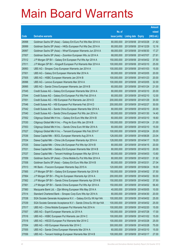|       |                                                                |               |                            |            | <b>Amount</b> |
|-------|----------------------------------------------------------------|---------------|----------------------------|------------|---------------|
|       |                                                                | No. of        |                            |            | raised        |
| Code  | <b>Derivative warrants</b>                                     | issue (units) | <b>Listing date Expiry</b> |            | (HK\$ mil.)   |
| 26998 | Goldman Sachs SP (Asia) - Galaxy Ent Euro Put Wts Mar 2014 A   | 80,000,000    | 2013/09/06 2014/03/28      |            | 21.92         |
| 26999 | Goldman Sachs SP (Asia) - HKEx European Put Wts Dec 2014 A     | 80,000,000    | 2013/09/06 2014/12/29      |            | 12.16         |
| 26997 | Goldman Sachs SP (Asia) - Wharf European Warrants Jun 2014 A   | 68,000,000    | 2013/09/06 2014/06/30      |            | 17.27         |
| 27007 | Goldman Sachs SP (Asia) - Zoomlion European Wts Jul 2014 A     | 68,000,000    | 2013/09/06 2014/07/07      |            | 27.61         |
| 27012 | J P Morgan SP BV - Galaxy Ent European Put Wts Apr 2014 A      | 150,000,000   | 2013/09/06 2014/04/02      |            | 37.50         |
| 27011 | J P Morgan SP BV - Kingsoft European Put Warrants Mar 2014 A   | 100,000,000   | 2013/09/06 2014/03/10      |            | 25.00         |
| 26993 | UBS AG - Sinopec Corp European Warrants Jan 2014 A             | 100,000,000   | 2013/09/06 2014/01/03      |            | 15.00         |
| 27001 | UBS AG - Galaxy Ent European Warrants Mar 2014 A               | 80,000,000    | 2013/09/06 2014/03/05      |            | 20.00         |
| 27005 | UBS AG - HSBC European Warrants Jan 2014 B                     | 100,000,000   | 2013/09/06 2014/01/23      |            | 20.00         |
| 26996 | UBS AG - Lenovo European Warrants Mar 2014 A                   | 100,000,000   | 2013/09/06 2014/03/05      |            | 32.00         |
| 26995 | UBS AG - Sands China European Warrants Jan 2014 B              | 60,000,000    | 2013/09/06 2014/01/24      |            | 21.00         |
| 27045 | Credit Suisse AG - Galaxy Ent European Warrants Mar 2014 A     | 80,000,000    | 2013/09/09 2014/03/10      |            | 20.00         |
| 27044 | Credit Suisse AG - Galaxy Ent European Put Wts Feb 2014 A      | 80,000,000    | 2013/09/09 2014/02/10      |            | 12.00         |
| 27051 | Credit Suisse AG - HSI European Put Warrants Jan 2014 D        | 200,000,000   | 2013/09/09 2014/01/29      |            | 30.00         |
| 27046 | Credit Suisse AG - HSI European Put Warrants Feb 2014 D        | 200,000,000   | 2013/09/09 2014/02/27      |            | 30.00         |
| 27042 | Credit Suisse AG - Sands China European Warrants Mar 2014 A    | 80,000,000    | 2013/09/09 2014/03/10      |            | 20.00         |
| 27040 | Credit Suisse AG - Sands China European Put Wts Jan 2014 A     | 80,000,000    | 2013/09/09 2014/01/30      |            | 14.40         |
| 27052 | Citigroup Global Mkt H Inc. - Galaxy Ent Euro Wts Mar 2014 B   | 60,000,000    | 2013/09/09 2014/03/10      |            | 18.60         |
| 27030 | Citigroup Global Mkt H Inc. - Ping An Euro Wts Jan 2014 B      | 100,000,000   | 2013/09/09                 | 2014/01/24 | 21.00         |
| 27053 | Citigroup Global Mkt H Inc. - Sands China Euro Wt Mar 2014 A   | 60,000,000    | 2013/09/09 2014/03/10      |            | 15.00         |
| 27027 | Citigroup Global Mkt H Inc. - Tencent European Wts Feb 2014 F  | 100,000,000   | 2013/09/09 2014/02/24      |            | 20.00         |
| 27036 | Daiwa Capital Mkt - BOCL European Warrants Aug 2014 A          | 128,000,000   | 2013/09/09 2014/08/26      |            | 23.04         |
| 27034 | Daiwa Capital Mkt - China Life European Warrants Apr 2014 A    | 128,000,000   | 2013/09/09                 | 2014/04/17 | 19.20         |
| 27035 | Daiwa Capital Mkt - China Life European Put Wts Apr 2014 B     | 80,000,000    | 2013/09/09 2014/04/15      |            | 20.00         |
| 27031 | Daiwa Capital Mkt - Galaxy Ent European Warrants Mar 2014 B    | 80,000,000    | 2013/09/09 2014/03/10      |            | 20.00         |
| 27037 | Daiwa Capital Mkt - Tencent Holdings European Wts Apr 2014 A   | 80,000,000    | 2013/09/09 2014/04/03      |            | 13.60         |
| 27059 | Goldman Sachs SP (Asia) - China Mobile Eu Put Wts Mar 2014 A   | 80,000,000    | 2013/09/09 2014/03/31      |            | 31.92         |
| 27058 | Goldman Sachs SP (Asia) - Galaxy Ent Euro Wts Mar 2014 B       | 80,000,000    | 2013/09/09 2014/03/31      |            | 27.04         |
| 27013 | HK Bank - Foxconn European Warrants Sep 2015 A                 | 120,000,000   | 2013/09/09                 | 2015/09/24 | 18.00         |
| 27065 | J P Morgan SP BV - Galaxy Ent European Warrants Apr 2014 B     | 150,000,000   | 2013/09/09 2014/04/02      |            | 37.50         |
| 27064 | J P Morgan SP BV - Ping An European Warrants Apr 2014 A        | 200,000,000   | 2013/09/09 2014/04/02      |            | 50.00         |
| 27062 | J P Morgan SP BV - Sands China European Warrants Apr 2014 B    | 150,000,000   | 2013/09/09 2014/04/02      |            | 37.50         |
| 27061 | J P Morgan SP BV - Sands China European Put Wts Apr 2014 A     | 150,000,000   | 2013/09/09                 | 2014/04/02 | 56.40         |
| 27060 | Macquarie Bank Ltd. - Zijin Mining European Wts May 2014 A     | 40,000,000    | 2013/09/09 2014/05/05      |            | 10.00         |
| 27014 | Standard Chartered Bank - Sinopec Corp Euro Wts Apr 2014 A     | 80,000,000    | 2013/09/09 2014/04/30      |            | 20.00         |
| 27038 | SGA Societe Generale Acceptance N.V. - Galaxy Ent Eu Wt Apr14A | 100,000,000   | 2013/09/09 2014/04/02      |            | 25.00         |
| 27039 | SGA Societe Generale Acceptance N.V - Sands China Eu Wt Apr14A | 100,000,000   | 2013/09/09                 | 2014/04/02 | 25.00         |
| 27017 | UBS AG - China Mobile European Put Warrants Feb 2014 A         | 100,000,000   | 2013/09/09 2014/02/20      |            | 15.00         |
| 27057 | UBS AG - Esprit European Warrants Jul 2014 A                   | 100,000,000   | 2013/09/09 2014/07/28      |            | 17.00         |
| 27016 | UBS AG - HSBC European Put Warrants Jan 2014 C                 | 100,000,000   | 2013/09/09 2014/01/02      |            | 15.00         |
| 27018 | UBS AG - HSCEI European Put Warrants Mar 2014 C                | 100,000,000   | 2013/09/09                 | 2014/03/28 | 25.00         |
| 27054 | UBS AG - HSI European Warrants Mar 2014 C                      | 300,000,000   | 2013/09/09 2014/03/28      |            | 75.00         |
| 27055 | UBS AG - Sands China European Warrants Mar 2014 A              | 60,000,000    | 2013/09/09 2014/03/10      |            | 15.00         |
| 27056 | UBS AG - Tencent Holdings European Warrants Mar 2014 B         | 100,000,000   | 2013/09/09 2014/03/17      |            | 27.00         |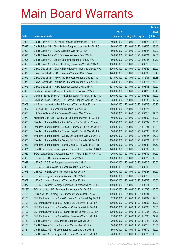|        |                                                               |               |                            |                       | <b>Amount</b> |
|--------|---------------------------------------------------------------|---------------|----------------------------|-----------------------|---------------|
|        |                                                               | No. of        |                            |                       | raised        |
| Code   | <b>Derivative warrants</b>                                    | issue (units) | <b>Listing date Expiry</b> |                       | (HK\$ mil.)   |
| 27090  | Credit Suisse AG - CC Bank European Warrants Jan 2014 B       | 80,000,000    |                            | 2013/09/10 2014/01/20 | 12.80         |
| 27092  | Credit Suisse AG - China Mobile European Warrants Jan 2014 C  | 80,000,000    |                            | 2013/09/10 2014/01/20 | 18.40         |
| 27093  | Credit Suisse AG - HSBC European Wts Jan 2014 A               | 80,000,000    | 2013/09/10 2014/01/27      |                       | 12.00         |
| 27091  | Credit Suisse AG - ICBC European Warrants Feb 2014 B          | 80,000,000    |                            | 2013/09/10 2014/02/24 | 12.00         |
| 27095  | Credit Suisse AG - Lenovo European Warrants Feb 2014 A        | 80,000,000    |                            | 2013/09/10 2014/02/25 | 30.40         |
| 27096  | Credit Suisse AG - Tencent Holdings European Wts Mar 2014 A   | 100,000,000   |                            | 2013/09/10 2014/03/10 | 25.00         |
| 27074  | Daiwa Capital Mkt - CAM CSI300 European Warrants May 2014 A   | 100,000,000   |                            | 2013/09/10 2014/05/22 | 25.00         |
| 27076  | Daiwa Capital Mkt - CCB European Warrants Mar 2014 A          | 128,000,000   | 2013/09/10 2014/03/05      |                       | 20.48         |
| 27072  | Daiwa Capital Mkt - A50 China European Warrants Dec 2013 A    | 128,000,000   | 2013/09/10 2013/12/31      |                       | 26.88         |
| 27073  | Daiwa Capital Mkt - A50 China European Warrants Feb 2014 A    | 208,000,000   | 2013/09/10 2014/02/17      |                       | 31.20         |
| 27075  | Daiwa Capital Mkt - ICBC European Warrants Mar 2014 A         | 128,000,000   | 2013/09/10 2014/03/03      |                       | 19.20         |
| 27066  | Goldman Sachs SP (Asia) - China Life Euro Wts Apr 2014 A      | 100,000,000   |                            | 2013/09/10 2014/04/25 | 15.10         |
| 27101  | Goldman Sachs SP (Asia) - KECL European Warrants Jun 2014 A   | 100,000,000   |                            | 2013/09/10 2014/06/25 | 15.00         |
| 27102  | Goldman Sachs SP (Asia) - Sh Pharma European Wts Jun 2014 A   | 68,000,000    |                            | 2013/09/10 2014/06/30 | 17.07         |
| 27069  | HK Bank - Agricultural Bank European Warrants Mar 2014 A      | 80,000,000    | 2013/09/10 2014/03/03      |                       | 15.20         |
| 27067  | HK Bank - HSI European Put Warrants Feb 2014 C                | 180,000,000   | 2013/09/10 2014/02/27      |                       | 28.80         |
| 27068  | HK Bank - Sands China European Warrants Mar 2014 A            | 68,000,000    |                            | 2013/09/10 2014/03/10 | 17.00         |
| 27070  | Macquarie Bank Ltd. - Galaxy Ent European Put Wts Apr 2014 B  | 40,000,000    |                            | 2013/09/10 2014/04/02 | 10.00         |
| 27083  | Standard Chartered Bank - Anhui Conch Eur Put Wt Jul 2014 A   | 100,000,000   |                            | 2013/09/10 2014/07/02 | 25.00         |
| 27085  | Standard Chartered Bank - CNOOC European Put Wts Oct 2014 A   | 100,000,000   | 2013/09/10 2014/10/31      |                       | 15.00         |
| 27088  | Standard Chartered Bank - Sinopec Corp Eu Put Wt May 2014 A   | 50,000,000    |                            | 2013/09/10 2014/05/30 | 14.25         |
| 27084  | Standard Chartered Bank - Galaxy Ent European Wts Mar 2014 B  | 100,000,000   |                            | 2013/09/10 2014/03/25 | 25.00         |
| 27081  | Standard Chartered Bank - Galaxy Ent Euro Put Wts Feb 2014 A  | 100,000,000   | 2013/09/10 2014/02/24      |                       | 16.00         |
| 27082  | Standard Chartered Bank - Sands China Eu Put Wts Jan 2014 B   | 100,000,000   |                            | 2013/09/10 2014/01/30 | 16.50         |
| 27071  | SGA Societe Generale Acceptance N.V. - CLife Eu Wt May 2014 A | 120,000,000   |                            | 2013/09/10 2014/05/05 | 18.00         |
| 27080  | SGA Societe Generale Acceptance N.V. - Ping An Eu Wt Apr 14 A | 70,000,000    |                            | 2013/09/10 2014/04/02 | 17.50         |
| 27098  | UBS AG - BOCL European Warrants Feb 2014 A                    | 100,000,000   |                            | 2013/09/10 2014/02/25 | 16.00         |
| 27097  | UBS AG - CC Bank European Warrants Mar 2014 A                 | 100,000,000   | 2013/09/10 2014/03/10      |                       | 25.00         |
| 27099  | UBS AG - China Mobile European Warrants Feb 2014 B            | 100,000,000   | 2013/09/10 2014/02/05      |                       | 20.00         |
| 27078  | UBS AG - HSI European Put Warrants Feb 2014 F                 | 300,000,000   | 2013/09/10 2014/02/27      |                       | 57.00         |
| 27100  | UBS AG - Kingsoft European Warrants Mar 2014 A                | 100,000,000   | 2013/09/10 2014/03/10      |                       | 25.00         |
| 27079  | UBS AG - Lenovo European Warrants Mar 2015 A                  | 100,000,000   | 2013/09/10 2015/03/23      |                       | 15.00         |
| 27077  | UBS AG - Tencent Holdings European Put Warrants Feb 2014 G    | 100,000,000   | 2013/09/10 2014/02/11      |                       | 28.50         |
| 25188# | BOCI Asia Ltd. - HSI European Put Warrants Oct 2013 B         | 245,000,000   | 2013/09/10 2013/10/30      |                       | 10.05         |
| 27121  | BOCI Asia Ltd. - Galaxy Ent European Warrants Mar 2014 A      | 100,000,000   | 2013/09/11                 | 2014/03/31            | 25.00         |
| 27108  | BNP Paribas Arbit Issu B.V. - Ch Comm Cons Eur Wt Sep 2014 A  | 37,000,000    | 2013/09/11                 | 2014/09/02            | 19.61         |
| 27103  | BNP Paribas Arbit Issu B.V. - Galaxy Ent Euro Wts Apr 2014 A  | 100,000,000   | 2013/09/11                 | 2014/04/02            | 32.00         |
| 27104  | BNP Paribas Arbit Issu B.V. - Sands China Euro Wt Jul 2014 A  | 100,000,000   | 2013/09/11                 | 2014/07/03            | 34.00         |
| 27107  | BNP Paribas Arbit Issu B.V. - SJM Holdings Eu Wts Oct 2014 A  | 100,000,000   | 2013/09/11                 | 2014/10/06            | 26.00         |
| 27106  | BNP Paribas Arbit Issu B.V. - Wharf European Wts Oct 2014 A   | 79,000,000    | 2013/09/11                 | 2014/10/06            | 37.92         |
| 27130  | Credit Suisse AG - CITIC Pacific European Wts Dec 2013 A      | 70,000,000    | 2013/09/11                 | 2013/12/24            | 10.50         |
| 27133  | Credit Suisse - Foxconn European Warrants Mar 2014 A          | 60,000,000    | 2013/09/11                 | 2014/03/10            | 28.80         |
| 27131  | Credit Suisse AG - Kingsoft European Warrants Mar 2014 B      | 60,000,000    | 2013/09/11                 | 2014/03/10            | 15.00         |
| 27129  | Credit Suisse AG - Sinopharm European Warrants Feb 2014 A     | 70,000,000    | 2013/09/11                 | 2014/02/25            | 10.50         |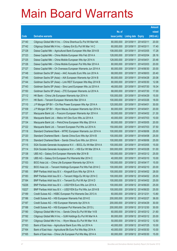|       |                                                               |               |                            |            | <b>Amount</b> |
|-------|---------------------------------------------------------------|---------------|----------------------------|------------|---------------|
|       |                                                               | No. of        |                            |            | raised        |
| Code  | <b>Derivative warrants</b>                                    | issue (units) | <b>Listing date Expiry</b> |            | (HK\$ mil.)   |
| 27140 | Citigroup Global Mkt H Inc. - China Shenhua Eu Put Wt Mar14A  | 80,000,000    | 2013/09/11                 | 2014/03/11 | 20.00         |
| 27142 | Citigroup Global Mkt H Inc. - Galaxy Ent Eu Put Wt Mar 14 C   | 60,000,000    | 2013/09/11                 | 2014/03/11 | 17.40         |
| 27128 | Daiwa Capital Mkt - Agricultural Bank European Wts Mar 2014 B | 108,000,000   | 2013/09/11                 | 2014/03/05 | 17.28         |
| 27123 | Daiwa Capital Mkt - China Mobile European Wts Feb 2014 A      | 128,000,000   | 2013/09/11                 | 2014/02/04 | 28.16         |
| 27125 | Daiwa Capital Mkt - China Mobile European Wts Apr 2014 A      | 128,000,000   | 2013/09/11                 | 2014/04/01 | 20.48         |
| 27126 | Daiwa Capital Mkt - China Mobile European Put Wts Mar 2014 A  | 80,000,000    | 2013/09/11                 | 2014/03/03 | 20.00         |
| 27127 | Daiwa Capital Mkt - Ch Overseas European Warrants Jun 2014 A  | 80,000,000    | 2013/09/11                 | 2014/06/30 | 20.00         |
| 27148 | Goldman Sachs SP (Asia) – AAC Acoustic Euro Wts Jun 2014 A    | 68,000,000    | 2013/09/11                 | 2014/06/03 | 20.40         |
| 27145 | Goldman Sachs SP (Asia) – AIA European Warrants Apr 2014 B    | 80,000,000    | 2013/09/11                 | 2014/04/28 | 20.08         |
| 27144 | Goldman Sachs SP (Asia) - Link REIT European Wts May 2014 B   | 80,000,000    | 2013/09/11                 | 2014/05/30 | 12.08         |
| 27143 | Goldman Sachs SP (Asia) - Sino Land European Wts Jul 2014 A   | 48,000,000    | 2013/09/11                 | 2014/07/30 | 19.34         |
| 27150 | Goldman Sachs SP (Asia) - ZTE European Warrants Jul 2014 A    | 68,000,000    | 2013/09/11                 | 2014/07/30 | 17.00         |
| 27112 | HK Bank – China Life European Warrants Apr 2014 A             | 100,000,000   | 2013/09/11                 | 2014/04/29 | 15.00         |
| 27111 | HK Bank - Tencent European Warrants Mar 2014 A                | 100,000,000   | 2013/09/11                 | 2014/03/26 | 18.00         |
| 27110 | J P Morgan SP BV - Chi Res Power European Wts Apr 2014 A      | 120,000,000   | 2013/09/11                 | 2014/04/01 | 30.00         |
| 27109 | J P Morgan SP BV - Wynn Macau European Warrants Apr 2014 A    | 80,000,000    | 2013/09/11                 | 2014/04/01 | 20.00         |
| 27137 | Macquarie Bank Ltd. - Foxconn European Warrants Apr 2014 A    | 50,000,000    | 2013/09/11                 | 2014/04/02 | 21.30         |
| 27135 | Macquarie Bank Ltd. - Melco Int'l Dev Euro Wts Jul 2014 A     | 40,000,000    | 2013/09/11                 | 2014/07/03 | 10.00         |
| 27134 | Macquarie Bank Ltd. - PetroChina European Wts May 2014 A      | 80,000,000    | 2013/09/11                 | 2014/05/05 | 20.00         |
| 27122 | Macquarie Bank Ltd. - Tencent European Put Wts Jul 2014 A     | 150,000,000   | 2013/09/11                 | 2014/07/03 | 37.50         |
| 27118 | Standard Chartered Bank – MTRC European Warrants Jun 2014 A   | 100,000,000   | 2013/09/11                 | 2014/06/06 | 25.00         |
| 27120 | Standard Chartered Bank - Sands China Euro Wts Apr 2014 B     | 100,000,000   | 2013/09/11                 | 2014/04/08 | 25.00         |
| 27116 | Standard Chartered Bank - Sands China Euro Wts Jun 2014 A     | 100,000,000   | 2013/09/11                 | 2014/06/06 | 25.00         |
| 27115 | SGA Societe Generale Acceptance N.V. - BOCL Eu Wt Mar 2014 A  | 100,000,000   | 2013/09/11                 | 2014/03/05 | 15.00         |
| 27114 | SGA Societe Generale Acceptance N.V. - HSI Eur Wt Mar 2014 A  | 300,000,000   | 2013/09/11                 | 2014/03/28 | 51.00         |
| 27138 | UBS AG - Galaxy Ent European Warrants Mar 2014 B              | 100,000,000   | 2013/09/11                 | 2014/03/12 | 25.00         |
| 27139 | UBS AG - Galaxy Ent European Put Warrants Mar 2014 C          | 40,000,000    | 2013/09/11 2014/03/10      |            | 10.00         |
| 27153 | BOCI Asia Ltd. - China Life European Warrants Apr 2014 A      | 100,000,000   | 2013/09/12 2014/04/17      |            | 15.00         |
| 27152 | BOCI Asia Ltd. - Tencent Holdings European Put Wts Feb 2014 C | 100,000,000   | 2013/09/12 2014/02/10      |            | 20.00         |
| 27185 | BNP Paribas Arbit Issu B.V. - Kingsoft Euro Wts Apr 2014 A    | 100,000,000   | 2013/09/12 2014/04/02      |            | 28.00         |
| 27183 | BNP Paribas Arbit Issu B.V. - Tencent HIdgs Eu Wt Apr 2014 C  | 100,000,000   | 2013/09/12 2014/04/02      |            | 25.00         |
| 27184 | BNP Paribas Arbit Issu B.V. - Tencent Eu Put Wt Apr 2014 D    | 100,000,000   | 2013/09/12 2014/04/02      |            | 25.00         |
| 10226 | BNP Paribas Arbit Issu B.V. - USD/YEN Euro Wts Jun 2014 A     | 100,000,000   | 2013/09/12 2014/06/20      |            | 25.00         |
| 10227 | BNP Paribas Arbit Issu B.V. - USD/YEN Eur Put Wts Jun 2014 B  | 100,000,000   | 2013/09/12 2014/06/20      |            | 25.00         |
| 27189 | Credit Suisse AG - HSBC European Put Warrants Dec 2013 A      | 60,000,000    | 2013/09/12 2013/12/31      |            | 13.80         |
| 27186 | Credit Suisse AG - HSI European Warrants Feb 2014 E           | 200,000,000   | 2013/09/12 2014/02/27      |            | 36.00         |
| 27187 | Credit Suisse AG - HSI European Warrants Apr 2014 A           | 200,000,000   | 2013/09/12 2014/04/29      |            | 30.00         |
| 27188 | Credit Suisse AG - HSI European Put Warrants Dec 2013 L       | 200,000,000   | 2013/09/12 2013/12/30      |            | 30.00         |
| 27190 | Citigroup Global Mkt H Inc. - Sands China Eu Put Wt Mar 14 B  | 60,000,000    | 2013/09/12 2014/03/12      |            | 21.60         |
| 27192 | Citigroup Global Mkt H Inc. - SJM Holdings Eu Put Wt Mar14 A  | 80,000,000    | 2013/09/12 2014/03/12      |            | 20.00         |
| 27191 | Citigroup Global Mkt H Inc. - Wynn Macau Eu Put Wt Mar 14 A   | 50,000,000    | 2013/09/12 2014/03/12      |            | 12.50         |
| 27163 | Bank of East Asia - Agricultural Bank Euro Wts Jul 2014 A     | 40,000,000    | 2013/09/12 2014/07/25      |            | 10.00         |
| 27164 | Bank of East Asia - Agricultural Bk Euro Put Wts May 2014 A   | 40,000,000    | 2013/09/12 2014/05/30      |            | 10.00         |
| 27165 | Bank of East Asia - China Life European Put Wts May 2014 A    | 60,000,000    | 2013/09/12 2014/05/30      |            | 15.00         |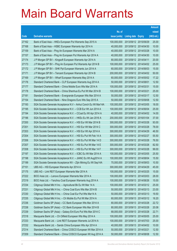|       |                                                                |               |                            | <b>Amount</b> |
|-------|----------------------------------------------------------------|---------------|----------------------------|---------------|
|       |                                                                | No. of        |                            | raised        |
| Code  | <b>Derivative warrants</b>                                     | issue (units) | <b>Listing date Expiry</b> | (HK\$ mil.)   |
| 27162 | Bank of East Asia - HKEx European Put Warrants Sep 2015 A      | 100,000,000   | 2013/09/12 2015/09/29      | 25.00         |
| 27168 | Bank of East Asia – HSBC European Warrants Apr 2014 A          | 40,000,000    | 2013/09/12 2014/04/30      | 10.00         |
| 27159 | Bank of East Asia - Ping An European Warrants Mar 2014 A       | 40,000,000    | 2013/09/12 2014/03/28      | 10.00         |
| 27157 | Bank of East Asia – Ping An European Put Warrants Apr 2014 A   | 40,000,000    | 2013/09/12 2014/04/30      | 10.00         |
| 27174 | J P Morgan SP BV - Kingsoft European Warrants Apr 2014 A       | 80,000,000    | 2013/09/12 2014/04/11      | 20.00         |
| 27173 | J P Morgan SP BV - Ping An European Put Warrants Apr 2014 B    | 100,000,000   | 2013/09/12 2014/04/02      | 25.00         |
| 27172 | J P Morgan SP BV - SHK Ppt European Warrants Jun 2014 A        | 60,000,000    | 2013/09/12 2014/06/03      | 15.00         |
| 27171 | J P Morgan SP BV - Tencent European Warrants Apr 2014 B        | 200,000,000   | 2013/09/12 2014/04/02      | 50.00         |
| 27169 | J P Morgan SP BV - Wharf European Warrants May 2014 A          | 60,000,000    | 2013/09/12 2014/05/02      | 17.22         |
| 27176 | Standard Chartered Bank - CLP European Warrants Aug 2014 A     | 50,000,000    | 2013/09/12 2014/08/01      | 12.50         |
| 27177 | Standard Chartered Bank - China Mobile Euro Wts Mar 2014 A     | 100,000,000   | 2013/09/12 2014/03/31      | 15.00         |
| 27178 | Standard Chartered Bank - China Shenhua Eu Put Wt Mar 2014 B   | 100,000,000   | 2013/09/12 2014/03/21      | 25.00         |
| 27181 | Standard Chartered Bank – Evergrande European Wts Mar 2014 A   | 50,000,000    | 2013/09/12 2014/03/17      | 12.50         |
| 27154 | Standard Chartered Bank - Nine Dragons Euro Wts Sep 2015 A     | 50,000,000    | 2013/09/12 2015/09/08      | 12.50         |
| 27193 | SGA Societe Generale Acceptance N.V - Anhui Conch Eu Wt Mar14A | 100,000,000   | 2013/09/12 2014/03/05      | 18.00         |
| 27195 | SGA Societe Generale Acceptance N.V. - CCB Eur Wt Jun 2014 A   | 100,000,000   | 2013/09/12 2014/06/04      | 25.00         |
| 27194 | SGA Societe Generale Acceptance N.V. - CCoal Eu Wt Apr 2014 A  | 40,000,000    | 2013/09/12 2014/04/02      | 14.00         |
| 27196 | SGA Societe Generale Acceptance N.V. - HKEx Eu Wt Jan 2016 A   | 200,000,000   | 2013/09/12 2016/01/04      | 37.00         |
| 27200 | SGA Societe Generale Acceptance N.V. - HSI Eur Wt Mar 2014 B   | 300,000,000   | 2013/09/12 2014/03/28      | 93.00         |
| 27201 | SGA Societe Generale Acceptance N.V. - HSI Eur Wt Mar 2014 C   | 300,000,000   | 2013/09/12 2014/03/28      | 78.00         |
| 27203 | SGA Societe Generale Acceptance N.V. - HSI Eur Wt Apr 2014 A   | 300,000,000   | 2013/09/12 2014/04/29      | 46.50         |
| 27204 | SGA Societe Generale Acceptance N.V. - HSI Eu Put Wt Feb 14 A  | 300,000,000   | 2013/09/12 2014/02/27      | 55.50         |
| 27206 | SGA Societe Generale Acceptance N.V. - HSI Eu Put Wt Mar 14 D  | 300,000,000   | 2013/09/12 2014/03/28      | 76.50         |
| 27207 | SGA Societe Generale Acceptance N.V. - HSI Eu Put Wt Mar 14 E  | 300,000,000   | 2013/09/12 2014/03/28      | 82.50         |
| 27208 | SGA Societe Generale Acceptance N.V. - HSI Eu Put Wt Mar 14 F  | 300,000,000   | 2013/09/12 2014/03/28      | 99.00         |
| 27197 | SGA Societe Generale Acceptance N.V. - ICBC Eu Wt Mar 2014 A   | 100,000,000   | 2013/09/12 2014/03/05      | 25.50         |
| 27198 | SGA Societe Generale Acceptance N.V. - JIANC Eu Wt Aug2014 A   | 100,000,000   | 2013/09/12 2014/08/04      | 15.50         |
| 27199 | SGA Societe Generale Acceptance NV - Zijin Mining Eu Wt Sep14A | 70,000,000    | 2013/09/12 2014/09/03      | 10.50         |
| 27151 | UBS AG - HSI European Warrants Apr 2014 A                      | 300,000,000   | 2013/09/12 2014/04/29      | 45.00         |
| 27175 | UBS AG - Link REIT European Warrants Mar 2014 A                | 100,000,000   | 2013/09/12 2014/03/25      | 15.00         |
| 27222 | BOCI Asia Ltd. - Lenovo European Warrants Mar 2014 A           | 100,000,000   | 2013/09/13 2014/03/03      | 28.00         |
| 27219 | BOCI Asia Ltd. - Yanzhou Coal European Warrants Aug 2014 A     | 100,000,000   | 2013/09/13 2014/08/26      | 15.00         |
| 27234 | Citigroup Global Mkt H Inc. - Agricultural Bk Eu Wt Mar 14 A   | 100,000,000   | 2013/09/13 2014/03/12      | 25.00         |
| 27231 | Citigroup Global Mkt H Inc. - China Coal Euro Wts Mar 2014 B   | 50,000,000    | 2013/09/13 2014/03/13      | 23.00         |
| 27230 | Citigroup Global Mkt H Inc. - China Coal Eur Put Wts Mar14 A   | 50,000,000    | 2013/09/13 2014/03/13      | 19.50         |
| 27235 | Citigroup Global Mkt H Inc. - Ch Mobile Eu Put Wt Mar 2014 A   | 60,000,000    | 2013/09/13 2014/03/12      | 16.20         |
| 27236 | Goldman Sachs SP (Asia) - CC Bank European Wts Mar 2014 A      | 80,000,000    | 2013/09/13 2014/03/28      | 22.72         |
| 27238 | Goldman Sachs SP (Asia) - CC Bank European Wts Mar 2014 B      | 80,000,000    | 2013/09/13 2014/03/28      | 20.08         |
| 27239 | Goldman Sachs SP (Asia) - Galaxy Ent Euro Put Wts Mar 2014 C   | 68,000,000    | 2013/09/13 2014/03/28      | 22.71         |
| 27218 | Macquarie Bank Ltd. - Ch Oilfield European Wts May 2014 A      | 100,000,000   | 2013/09/13 2014/05/05      | 25.00         |
| 27233 | Macquarie Bank Ltd. - Link REIT European Warrants Jul 2014 A   | 100,000,000   | 2013/09/13 2014/07/03      | 25.00         |
| 27232 | Macquarie Bank Ltd. - Sands China European Wts Apr 2014 A      | 40,000,000    | 2013/09/13 2014/04/02      | 10.00         |
| 27214 | Standard Chartered Bank - China COSCO European Wt Mar 2014 A   | 50,000,000    | 2013/09/13 2014/03/21      | 12.50         |
| 27209 | Standard Chartered Bank - China COSCO European Wt Aug 2014 A   | 50,000,000    | 2013/09/13 2014/08/08      | 12.50         |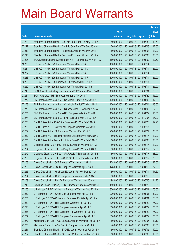|       |                                                              |               |                       |                       | <b>Amount</b> |
|-------|--------------------------------------------------------------|---------------|-----------------------|-----------------------|---------------|
|       |                                                              | No. of        |                       |                       | raised        |
| Code  | <b>Derivative warrants</b>                                   | issue (units) | Listing date Expiry   |                       | (HK\$ mil.)   |
| 27229 | Standard Chartered Bank - Ch Ship Cont Euro Wts May 2014 A   | 50,000,000    |                       | 2013/09/13 2014/05/30 | 12.50         |
| 27227 | Standard Chartered Bank - Ch Ship Cont Euro Wts Sep 2014 A   | 50,000,000    |                       | 2013/09/13 2014/09/08 | 12.50         |
| 27213 | Standard Chartered Bank - Foxconn European Wts May 2014 A    | 50,000,000    | 2013/09/13 2014/05/08 |                       | 23.00         |
| 27210 | Standard Chartered Bank - Foxconn European Wts Aug 2014 A    | 50,000,000    |                       | 2013/09/13 2014/08/08 | 20.00         |
| 27225 | SGA Societe Generale Acceptance N.V. - Ch Mob Eu Wt Apr 14 A | 150,000,000   |                       | 2013/09/13 2014/04/02 | 22.50         |
| 10230 | UBS AG - Nikkei 225 European Warrants Mar 2014 C             | 100,000,000   | 2013/09/13 2014/03/14 |                       | 25.00         |
| 10231 | UBS AG - Nikkei 225 European Warrants Mar 2014 D             | 100,000,000   | 2013/09/13 2014/03/14 |                       | 25.00         |
| 10232 | UBS AG - Nikkei 225 European Warrants Mar 2014 E             | 100,000,000   | 2013/09/13 2014/03/14 |                       | 25.00         |
| 10233 | UBS AG - Nikkei 225 European Warrants Mar 2014 F             | 100,000,000   | 2013/09/13 2014/03/14 |                       | 25.00         |
| 10228 | UBS AG - Nikkei 225 European Put Warrants Mar 2014 A         | 100,000,000   | 2013/09/13 2014/03/14 |                       | 25.00         |
| 10229 | UBS AG - Nikkei 225 European Put Warrants Mar 2014 B         | 100,000,000   | 2013/09/13 2014/03/14 |                       | 25.00         |
| 27243 | BOCI Asia Ltd. - Galaxy Ent European Put Warrants Mar 2014 B | 100,000,000   | 2013/09/16 2014/03/31 |                       | 25.00         |
| 27241 | BOCI Asia Ltd. - HSI European Warrants Apr 2014 A            | 100,000,000   |                       | 2013/09/16 2014/04/29 | 15.00         |
| 27272 | BNP Paribas Arbit Issu B.V. - Ch Mobile Euro Wts Apr 2014 A  | 100,000,000   |                       | 2013/09/16 2014/04/02 | 17.00         |
| 27273 | BNP Paribas Arbit Issu B.V. - Ch Mobile Eu Put Wt Mar 2014 A | 100,000,000   | 2013/09/16 2014/03/04 |                       | 18.00         |
| 27275 | BNP Paribas Arbit Issu B.V. - Sinopec Corp Eu Wts Apr 2014 A | 100,000,000   |                       | 2013/09/16 2014/04/02 | 27.00         |
| 27271 | BNP Paribas Arbit Issu B.V. - HSI European Wts Apr 2014 B    | 100,000,000   |                       | 2013/09/16 2014/04/29 | 15.00         |
| 27274 | BNP Paribas Arbit Issu B.V. - Link REIT Euro Wts Oct 2014 A  | 100,000,000   |                       | 2013/09/16 2014/10/06 | 26.00         |
| 27280 | Credit Suisse AG - A50 China European Put Wts Feb 2014 A     | 80,000,000    | 2013/09/16 2014/02/28 |                       | 19.20         |
| 27283 | Credit Suisse AG - Galaxy Ent European Warrants Mar 2014 B   | 80,000,000    | 2013/09/16 2014/03/17 |                       | 20.80         |
| 27279 | Credit Suisse AG - HSI European Warrants Feb 2014 F          | 200,000,000   | 2013/09/16 2014/02/27 |                       | 30.00         |
| 27282 | Credit Suisse AG - Tencent Holdings European Wts Mar 2014 B  | 80,000,000    | 2013/09/16 2014/03/17 |                       | 20.00         |
| 27281 | Credit Suisse AG - Tencent Holdings Euro Put Wts Feb 2014 E  | 80,000,000    | 2013/09/16 2014/02/06 |                       | 20.80         |
| 27263 | Citigroup Global Mkt H Inc. - HSBC European Wts Mar 2014 A   | 80,000,000    | 2013/09/16 2014/03/17 |                       | 20.00         |
| 27264 | Citigroup Global Mkt H Inc. - Ping An Euro Put Wt Mar 2014 A | 80,000,000    | 2013/09/16 2014/03/17 |                       | 22.80         |
| 27270 | Citigroup Global Mkt H Inc. - SPDR Gold T Euro Wt Mar 2014 B | 60,000,000    | 2013/09/16 2014/03/17 |                       | 33.00         |
| 27266 | Citigroup Global Mkt H Inc. - SPDR Gold T Eu Put Wts Mar14 A | 60,000,000    |                       | 2013/09/16 2014/03/17 | 30.00         |
| 27253 | Daiwa Capital Mkt - CCB European Warrants Apr 2014 A         | 128,000,000   | 2013/09/16 2014/04/15 |                       | 32.00         |
| 27258 | Daiwa Capital Mkt - HSBC European Warrants Apr 2014 A        | 128,000,000   | 2013/09/16 2014/04/15 |                       | 32.00         |
| 27256 | Daiwa Capital Mkt - Hutchison European Put Wts Mar 2014 A    | 80,000,000    | 2013/09/16 2014/03/14 |                       | 17.60         |
| 27254 | Daiwa Capital Mkt - ICBC European Put Warrants Mar 2014 B    | 80,000,000    | 2013/09/16 2014/03/18 |                       | 20.00         |
| 27259 | Daiwa Capital Mkt - Ping An European Warrants Jun 2014 A     | 98,000,000    | 2013/09/16 2014/06/25 |                       | 14.70         |
| 27240 | Goldman Sachs SP (Asia) - HSI European Warrants Apr 2014 C   | 150,000,000   | 2013/09/16 2014/04/29 |                       | 22.65         |
| 27260 | J P Morgan SP BV - China Life European Warrants Sep 2014 A   | 300,000,000   | 2013/09/16 2014/09/01 |                       | 75.00         |
| 27262 | J P Morgan SP BV - China Mob European Wts Apr 2014 B         | 200,000,000   | 2013/09/16 2014/04/01 |                       | 50.00         |
| 27261 | J P Morgan SP BV - China Mob European Put Wts Apr 2014 A     | 200,000,000   | 2013/09/16 2014/04/01 |                       | 50.00         |
| 27289 | J P Morgan SP BV - HSI European Warrants Apr 2014 D          | 300,000,000   | 2013/09/16 2014/04/29 |                       | 75.90         |
| 27290 | J P Morgan SP BV - HSI European Warrants Apr 2014 E          | 300,000,000   | 2013/09/16 2014/04/29 |                       | 75.00         |
| 27286 | J P Morgan SP BV - HSI European Put Warrants Apr 2014 B      | 300,000,000   | 2013/09/16 2014/04/29 |                       | 75.00         |
| 27287 | J P Morgan SP BV - HSI European Put Warrants Apr 2014 C      | 300,000,000   | 2013/09/16 2014/04/29 |                       | 75.00         |
| 27277 | Macquarie Bank Ltd. - A50 China European Warrants Feb 2014 A | 50,000,000    | 2013/09/16 2014/02/05 |                       | 10.10         |
| 27276 | Macquarie Bank Ltd. - Sh Electric European Wts Jul 2014 A    | 40,000,000    | 2013/09/16 2014/07/03 |                       | 10.00         |
| 27247 | Standard Chartered Bank - BYD European Warrants Feb 2014 A   | 50,000,000    | 2013/09/16 2014/02/05 |                       | 10.00         |
| 27252 | Standard Chartered Bank - Greatwall Motor Euro Wt Mar 2014 A | 50,000,000    | 2013/09/16 2014/03/05 |                       | 16.75         |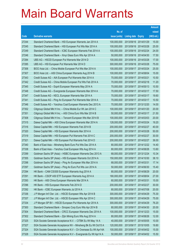|       |                                                                |               |                            |            | <b>Amount</b> |
|-------|----------------------------------------------------------------|---------------|----------------------------|------------|---------------|
|       |                                                                | No. of        |                            |            | raised        |
| Code  | <b>Derivative warrants</b>                                     | issue (units) | <b>Listing date Expiry</b> |            | (HK\$ mil.)   |
| 27244 | Standard Chartered Bank - HSI European Warrants Jan 2014 A     | 100,000,000   | 2013/09/16 2014/01/29      |            | 15.00         |
| 27245 | Standard Chartered Bank – HSI European Put Wts Mar 2014 A      | 100,000,000   | 2013/09/16 2014/03/28      |            | 25.00         |
| 27249 | Standard Chartered Bank - ICBC European Warrants Feb 2014 A    | 100,000,000   | 2013/09/16 2014/02/24      |            | 24.00         |
| 27246 | Standard Chartered Bank - Xinyi Glass Euro Wts Apr 2014 A      | 50,000,000    | 2013/09/16 2014/04/30      |            | 17.50         |
| 27284 | UBS AG - HSCEI European Put Warrants Mar 2014 D                | 100,000,000   | 2013/09/16 2014/03/28      |            | 17.00         |
| 27285 | UBS AG - HSI European Put Warrants Mar 2014 D                  | 300,000,000   | 2013/09/16 2014/03/28      |            | 75.00         |
| 27306 | BOCI Asia Ltd. - China Mobile European Put Wts Mar 2014 A      | 100,000,000   | 2013/09/17                 | 2014/03/24 | 25.00         |
| 27307 | BOCI Asia Ltd. - A50 China European Warrants Aug 2014 B        | 100,000,000   | 2013/09/17 2014/08/04      |            | 15.00         |
| 27343 | Credit Suisse AG - AIA European Put Warrants Mar 2014 A        | 70,000,000    | 2013/09/17 2014/03/21      |            | 10.50         |
| 27342 | Credit Suisse AG - China Mobile European Put Wts Feb 2014 A    | 70,000,000    | 2013/09/17 2014/02/18      |            | 11.20         |
| 27345 | Credit Suisse AG - Esprit European Warrants May 2014 A         | 70,000,000    | 2013/09/17                 | 2014/05/13 | 10.50         |
| 27348 | Credit Suisse AG - Evergrande European Warrants Mar 2014 A     | 70,000,000    | 2013/09/17 2014/03/17      |            | 17.50         |
| 27347 | Credit Suisse AG - KECL European Warrants Mar 2014 A           | 70,000,000    | 2013/09/17 2014/03/17      |            | 19.60         |
| 27341 | Credit Suisse AG - Ping An European Put Warrants Mar 2014 A    | 70,000,000    | 2013/09/17 2014/03/17      |            | 10.50         |
| 27346 | Credit Suisse AG - Yanzhou Coal European Warrants Dec 2013 A   | 70,000,000    | 2013/09/17                 | 2013/12/20 | 14.00         |
| 27352 | Citigroup Global Mkt H Inc. - China Mobile Eur Wt Jan 2014 C   | 100,000,000   | 2013/09/17 2014/01/20      |            | 20.00         |
| 27351 | Citigroup Global Mkt H Inc. - A50 China Euro Wts Mar 2014 B    | 50,000,000    | 2013/09/17 2014/03/17      |            | 21.50         |
| 27308 | Citigroup Global Mkt H Inc. - Tencent European Wts Mar 2014 B  | 100,000,000   | 2013/09/17 2014/03/03      |            | 20.00         |
| 27315 | Daiwa Capital Mkt - A50 China European Warrants Mar 2014 A     | 128,000,000   | 2013/09/17                 | 2014/03/24 | 19.20         |
| 27316 | Daiwa Capital Mkt - HSI European Warrants Feb 2014 B           | 200,000,000   | 2013/09/17 2014/02/27      |            | 40.00         |
| 27320 | Daiwa Capital Mkt - HSI European Warrants Mar 2014 A           | 200,000,000   | 2013/09/17 2014/03/28      |            | 50.00         |
| 27319 | Daiwa Capital Mkt - HSI European Put Warrants Feb 2014 C       | 200,000,000   | 2013/09/17 2014/02/27      |            | 30.00         |
| 27321 | Daiwa Capital Mkt - HSI European Put Warrants Feb 2014 D       | 200,000,000   | 2013/09/17                 | 2014/02/27 | 36.00         |
| 27340 | Bank of East Asia - Minsheng Bank Euro Put Wts Dec 2014 A      | 80,000,000    | 2013/09/17 2014/12/22      |            | 14.40         |
| 27338 | Bank of East Asia - Yanzhou Coal European Wts Aug 2014 A       | 80,000,000    | 2013/09/17 2014/08/26      |            | 13.60         |
| 27299 | Goldman Sachs SP (Asia) - HSBC European Warrants Dec 2013 A    | 68,000,000    | 2013/09/17 2013/12/24      |            | 10.34         |
| 27355 | Goldman Sachs SP (Asia) - HSI European Warrants Oct 2014 A     | 150,000,000   | 2013/09/17 2014/10/30      |            | 38.10         |
| 27298 | Goldman Sachs SP (Asia) - Ping An European Wts Mar 2014 A      | 68,000,000    | 2013/09/17 2014/03/31      |            | 17.14         |
| 27297 | Goldman Sachs SP (Asia) - Ping An Euro Put Wts Jun 2014 A      | 50,000,000    | 2013/09/17                 | 2014/06/30 | 15.40         |
| 27294 | HK Bank - CAM CSI300 European Warrants Aug 2014 A              | 80,000,000    | 2013/09/17 2014/08/29      |            | 20.00         |
| 27291 | HK Bank - CSOP A50 ETF European Warrants Aug 2014 A            | 180,000,000   | 2013/09/17 2014/08/04      |            | 27.00         |
| 27293 | HK Bank - A50 China European Warrants Mar 2014 A               | 60,000,000    | 2013/09/17 2014/03/31      |            | 15.00         |
| 27296 | HK Bank - HSI European Warrants Feb 2014 D                     | 200,000,000   | 2013/09/17                 | 2014/02/27 | 30.00         |
| 27292 | HK Bank - ICBC European Warrants Jul 2014 A                    | 80,000,000    | 2013/09/17 2014/07/08      |            | 20.00         |
| 27336 | J P Morgan Int'l Der. Ltd. - HSCEI European Wts Apr 2014 B     | 300,000,000   | 2013/09/17                 | 2014/04/29 | 75.30         |
| 27337 | J P Morgan Int'l Der. Ltd. - HSCEI European Wts Apr 2014 C     | 300,000,000   | 2013/09/17 2014/04/29      |            | 75.00         |
| 27334 | J P Morgan SP BV - HSCEI European Put Warrants Apr 2014 A      | 300,000,000   | 2013/09/17                 | 2014/04/29 | 76.20         |
| 27300 | Standard Chartered Bank - Sinopec Corp Euro Wts Apr 2014 B     | 80,000,000    | 2013/09/17 2014/04/30      |            | 20.00         |
| 27304 | Standard Chartered Bank - CRCC European Warrants Dec 2014 A    | 100,000,000   | 2013/09/17                 | 2014/12/23 | 15.00         |
| 27302 | Standard Chartered Bank - Zijin Mining Euro Wts Aug 2014 A     | 80,000,000    | 2013/09/17 2014/08/26      |            | 12.00         |
| 27325 | SGA Societe Generale Acceptance N.V. - CITBK Eu Wt May 14 A    | 40,000,000    | 2013/09/17                 | 2014/05/05 | 10.00         |
| 27327 | SGA Societe Generale Acceptance NV - Minsheng Bk Eu Wt Oct15 A | 120,000,000   | 2013/09/17 2015/10/05      |            | 19.80         |
| 27324 | SGA Societe Generale Acceptance N.V - Ch Overseas Eu Wt Apr14A | 100,000,000   | 2013/09/17                 | 2014/04/02 | 15.00         |
| 27328 | SGA Societe Generale Acceptance N.V - Evergrande Eu Wt Apr14 A | 50,000,000    | 2013/09/17 2014/04/02      |            | 15.50         |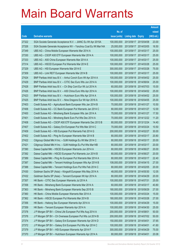|       |                                                                |               |                            |            | <b>Amount</b> |
|-------|----------------------------------------------------------------|---------------|----------------------------|------------|---------------|
|       |                                                                | No. of        |                            |            | raised        |
| Code  | <b>Derivative warrants</b>                                     | issue (units) | <b>Listing date Expiry</b> |            | (HK\$ mil.)   |
| 27322 | SGA Societe Generale Acceptance N.V. - JIANC Eu Wt Apr 2015A   | 100,000,000   | 2013/09/17                 | 2015/04/08 | 23.00         |
| 27326 | SGA Societe Generale Acceptance NV - Yanzhou Coal Eu Wt Mar14A | 25,000,000    | 2013/09/17 2014/03/05      |            | 16.50         |
| 27349 | UBS AG - China Mobile European Warrants Mar 2014 A             | 100,000,000   | 2013/09/17                 | 2014/03/17 | 25.00         |
| 27330 | UBS AG - CSOP A50 ETF European Warrants Mar 2014 A             | 100,000,000   | 2013/09/17 2014/03/17      |            | 25.00         |
| 27333 | UBS AG - A50 China European Warrants Mar 2014 A                | 100,000,000   | 2013/09/17 2014/03/17      |            | 25.00         |
| 27314 | UBS AG - HSCEI European Put Warrants Mar 2014 E                | 100,000,000   | 2013/09/17 2014/03/28      |            | 25.00         |
| 27329 | UBS AG - HSI European Warrants Mar 2014 E                      | 300,000,000   | 2013/09/17                 | 2014/03/28 | 75.00         |
| 27309 | UBS AG - Link REIT European Warrants Mar 2014 B                | 100,000,000   | 2013/09/17 2014/03/17      |            | 25.00         |
| 27424 | BNP Paribas Arbit Issu B.V. - Anhui Conch Euro Wt Apr 2014 A   | 100,000,000   | 2013/09/18 2014/04/02      |            | 25.00         |
| 27429 | BNP Paribas Arbit Issu B.V. - CITIC Sec Euro Wts Jun 2014 A    | 100,000,000   | 2013/09/18 2014/06/04      |            | 25.00         |
| 27428 | BNP Paribas Arbit Issu B.V. - Ch Ship Cont Eur Wt Jul 2014 A   | 60,000,000    | 2013/09/18 2014/07/03      |            | 15.00         |
| 27426 | BNP Paribas Arbit Issu B.V. - A50 China Euro Wts Apr 2014 A    | 100,000,000   | 2013/09/18 2014/04/02      |            | 25.00         |
| 27423 | BNP Paribas Arbit Issu B.V. - Hutchison Euro Wts Apr 2014 A    | 100,000,000   | 2013/09/18 2014/04/02      |            | 25.00         |
| 27425 | BNP Paribas Arbit Issu B.V. - Nine Dragons Eur Wt Apr 2016 A   | 100,000,000   | 2013/09/18 2016/04/05      |            | 25.00         |
| 27403 | Credit Suisse AG - Agricultural Bank European Wts Jan 2014 B   | 70,000,000    | 2013/09/18 2014/01/27      |            | 10.50         |
| 27406 | Credit Suisse AG - CC Bank European Put Warrants Jan 2014 C    | 80,000,000    | 2013/09/18 2014/01/27      |            | 12.00         |
| 27400 | Credit Suisse AG - Minsheng Bank European Wts Jan 2014 A       | 70,000,000    | 2013/09/18 2014/01/27      |            | 17.50         |
| 27401 | Credit Suisse AG - Minsheng Bank Euro Put Wts Dec 2014 A       | 70,000,000    | 2013/09/18 2014/12/22      |            | 11.20         |
| 27408 | Credit Suisse AG - CSOP A50 ETF European Warrants Dec 2013 B   | 80,000,000    | 2013/09/18 2013/12/24      |            | 14.40         |
| 27407 | Credit Suisse AG - Galaxy Ent European Put Wts Mar 2014 C      | 70,000,000    | 2013/09/18 2014/03/24      |            | 10.50         |
| 27409 | Credit Suisse AG - HSI European Put Warrants Feb 2014 G        | 200,000,000   | 2013/09/18 2014/02/27      |            | 30.00         |
| 27402 | Credit Suisse AG - Ping An European Warrants Mar 2014 B        | 80,000,000    | 2013/09/18 2014/03/17      |            | 20.80         |
| 27422 | Citigroup Global Mkt H Inc. - SJM Holdings Eu Wt Mar 2014 C    | 80,000,000    | 2013/09/18 2014/03/17      |            | 20.00         |
| 27421 | Citigroup Global Mkt H Inc. - SJM Holdings Eu Put Wts Mar14B   | 80,000,000    | 2013/09/18 2014/03/17      |            | 20.00         |
| 27390 | Daiwa Capital Mkt - HSCEI European Warrants Jun 2014 A         | 80,000,000    | 2013/09/18 2014/06/27      |            | 20.00         |
| 27392 | Daiwa Capital Mkt - HSCEI European Put Warrants Jun 2014 B     | 80,000,000    | 2013/09/18 2014/06/27      |            | 20.00         |
| 27389 | Daiwa Capital Mkt - Ping An European Put Warrants Mar 2014 A   | 80,000,000    | 2013/09/18 2014/03/17      |            | 22.40         |
| 27387 | Daiwa Capital Mkt - Tencent Holdings European Wts Apr 2014 B   | 108,000,000   | 2013/09/18 2014/04/15      |            | 27.00         |
| 27388 | Daiwa Capital Mkt - Tencent Holdings Euro Put Wts Feb 2014 C   | 80,000,000    | 2013/09/18 2014/02/05      |            | 20.00         |
| 27430 | Goldman Sachs SP (Asia) - Kingsoft European Wts May 2014 A     | 48,000,000    | 2013/09/18 2014/05/30      |            | 12.05         |
| 27432 | Goldman Sachs SP (Asia) - Tencent European Wt Apr 2014 A       | 80,000,000    | 2013/09/18 2014/04/29      |            | 20.00         |
| 27357 | HK Bank - CITIC Sec European Warrants Jul 2014 A               | 100,000,000   | 2013/09/18 2014/07/31      |            | 25.00         |
| 27358 | HK Bank - Minsheng Bank European Warrants Mar 2014 A           | 60,000,000    | 2013/09/18 2014/03/17      |            | 40.80         |
| 27363 | HK Bank - Minsheng Bank European Warrants Sep 2015 B           | 180,000,000   | 2013/09/18 2015/09/29      |            | 27.00         |
| 27360 | HK Bank - China Mobile European Warrants Mar 2014 A            | 100,000,000   | 2013/09/18 2014/03/24      |            | 15.00         |
| 27362 | HK Bank - HSCEI European Put Warrants Mar 2014 B               | 180,000,000   | 2013/09/18 2014/03/28      |            | 27.00         |
| 27356 | HK Bank - Haitong Sec European Warrants Apr 2014 A             | 100,000,000   | 2013/09/18 2014/04/29      |            | 15.00         |
| 27359 | HK Bank - Tencent European Warrants Apr 2014 A                 | 100,000,000   | 2013/09/18 2014/04/30      |            | 25.00         |
| 27378 | J P Morgan SP BV - China Life European Put Wts Aug 2014 A      | 200,000,000   | 2013/09/18 2014/08/01      |            | 50.00         |
| 27376 | J P Morgan SP BV - Ch Overseas European Put Wts Jul 2014 B     | 200,000,000   | 2013/09/18 2014/07/02      |            | 50.00         |
| 27374 | J P Morgan SP BV - Galaxy Ent European Warrants Apr 2014 D     | 150,000,000   | 2013/09/18 2014/04/01      |            | 37.65         |
| 27372 | J P Morgan SP BV - Galaxy Ent European Put Wts Apr 2014 C      | 100,000,000   | 2013/09/18 2014/04/01      |            | 41.60         |
| 27379 | J P Morgan SP BV - HSI European Warrants Apr 2014 F            | 300,000,000   | 2013/09/18 2014/04/29      |            | 75.00         |
| 27370 | J P Morgan SP BV - Hutchison European Warrants Apr 2014 A      | 80,000,000    | 2013/09/18 2014/04/01      |            | 20.08         |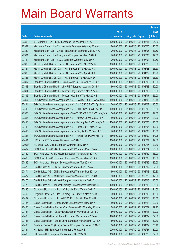|        |                                                                |               |                            |            | <b>Amount</b> |
|--------|----------------------------------------------------------------|---------------|----------------------------|------------|---------------|
|        |                                                                | No. of        |                            |            | raised        |
| Code   | <b>Derivative warrants</b>                                     | issue (units) | <b>Listing date Expiry</b> |            | (HK\$ mil.)   |
| 27369  | J P Morgan SP BV - ICBC European Put Wts Mar 2014 C            | 100,000,000   | 2013/09/18 2014/03/17      |            | 25.00         |
| 27382  | Macquarie Bank Ltd. - Ch Merchants European Wts May 2014 A     | 80,000,000    | 2013/09/18 2014/05/05      |            | 20.00         |
| 27380  | Macquarie Bank Ltd. - China Tel European Warrants May 2014 A   | 70,000,000    | 2013/09/18 2014/05/05      |            | 17.50         |
| 27381  | Macquarie Bank Ltd. - Evergrande European Wts May 2014 A       | 70,000,000    | 2013/09/18 2014/05/05      |            | 17.50         |
| 27419  | Macquarie Bank Ltd. - KECL European Warrants Jul 2014 A        | 70,000,000    | 2013/09/18 2014/07/03      |            | 10.50         |
| 27383  | Merrill Lynch Int'l & Co. C.V. - HSI European Wts Mar 2014 B   | 100,000,000   | 2013/09/18 2014/03/28      |            | 26.00         |
| 27384  | Merrill Lynch Int'l & Co. C.V. - HSI European Wts Mar 2014 C   | 100,000,000   | 2013/09/18 2014/03/28      |            | 26.50         |
| 27386  | Merrill Lynch Int'l & Co. C.V. - HSI European Wts Apr 2014 A   | 100,000,000   | 2013/09/18 2014/04/29      |            | 15.90         |
| 27385  | Merrill Lynch Int'l & Co. C.V. - HSI Euro Put Wts Mar 2014 D   | 100,000,000   | 2013/09/18 2014/03/28      |            | 25.50         |
| 27397  | Standard Chartered Bank – China Mobile Eur Put Wt Feb 2014 B   | 100,000,000   | 2013/09/18 2014/02/18      |            | 19.00         |
| 27398  | Standard Chartered Bank - Link REIT European Wts Mar 2014 A    | 80,000,000    | 2013/09/18 2014/03/28      |            | 20.00         |
| 27394  | Standard Chartered Bank - Tencent Hidg Euro Wts Mar 2014 A     | 100,000,000   | 2013/09/18 2014/03/03      |            | 28.00         |
| 27396  | Standard Chartered Bank - Tencent Hidg Euro Wts Mar 2014 B     | 100,000,000   | 2013/09/18 2014/03/17      |            | 25.00         |
| 27367  | SGA Societe Generale Acceptance N.V. - CAM CSI300 Eu Wt Jan15A | 150,000,000   | 2013/09/18 2015/01/05      |            | 30.75         |
| 27414  | SGA Societe Generale Acceptance N.V – Chi COSCO Eu Wt Apr 14 A | 50,000,000    | 2013/09/18 2014/04/02      |            | 15.00         |
| 27416  | SGA Societe Generale Acceptance N.V. - CITIC Sec Eu Wt Dec14A  | 100,000,000   | 2013/09/18 2014/12/03      |            | 25.00         |
| 27365  | SGA Societe Generale Acceptance NV – CSOP A50 ETF Eu Wt May14A | 50,000,000    | 2013/09/18 2014/05/05      |            | 12.50         |
| 27364  | SGA Societe Generale Acceptance N.V. - A50 Ch Eu Wt May2014 A  | 80,000,000    | 2013/09/18 2014/05/05      |            | 21.20         |
| 27418  | SGA Societe Generale Acceptance N.V - Haitong Sec Eu Wt May14B | 100,000,000   | 2013/09/18 2014/05/05      |            | 15.00         |
| 27413  | SGA Societe Generale Acceptance N.V. - Petch Eu Wt Mar2014 A   | 60,000,000    | 2013/09/18 2014/03/05      |            | 12.90         |
| 27415  | SGA Societe Generale Acceptance N.V. - Ping An Eu Wt Feb 14 B  | 70,000,000    | 2013/09/18 2014/02/05      |            | 10.50         |
| 27368  | SGA Societe Generale Acceptance N.V - Tencent Eu Put Wt Apr14B | 150,000,000   | 2013/09/18 2014/04/02      |            | 44.25         |
| 27411  | UBS AG - ZTE European Warrants Jun 2014 B                      | 100,000,000   | 2013/09/18 2014/06/24      |            | 19.00         |
| 22007# | HK Bank - A50 China European Warrants Sep 2014 A               | 280,000,000   | 2013/09/18 2014/09/15      |            | 23.80         |
| 27437  | BOCI Asia Ltd. - CC Bank European Put Warrants Mar 2014 A      | 100,000,000   | 2013/09/19 2014/03/24      |            | 25.00         |
| 27439  | BOCI Asia Ltd. - China Mobile European Warrants Jan 2014 C     | 100,000,000   | 2013/09/19 2014/01/30      |            | 16.00         |
| 27438  | BOCI Asia Ltd. – Ch Overseas European Warrants Mar 2014 A      | 100,000,000   | 2013/09/19 2014/03/03      |            | 15.00         |
| 27436  | BOCI Asia Ltd. - Ping An European Warrants Mar 2014 C          | 100,000,000   | 2013/09/19 2014/03/26      |            | 25.00         |
| 27473  | Credit Suisse AG - CNBM European Warrants Feb 2014 A           | 60,000,000    | 2013/09/19 2014/02/12      |            | 22.80         |
| 27474  | Credit Suisse AG - CNBM European Put Warrants Mar 2014 A       | 60,000,000    | 2013/09/19 2014/03/18      |            | 22.80         |
| 27477  | Credit Suisse AG - A50 China European Warrants Dec 2013 B      | 80,000,000    | 2013/09/19 2013/12/23      |            | 12.80         |
| 27476  | Credit Suisse AG - Kingsoft European Warrants Mar 2014 C       | 60,000,000    | 2013/09/19 2014/03/18      |            | 15.00         |
| 27475  | Credit Suisse AG - Tencent Holdings European Wts Mar 2014 C    | 100,000,000   | 2013/09/19                 | 2014/03/18 | 25.00         |
| 27490  | Citigroup Global Mkt H Inc. - China Life Euro Wts Apr 2014 A   | 120,000,000   | 2013/09/19 2014/04/17      |            | 24.60         |
| 27492  | Citigroup Global Mkt H Inc. - Galaxy Ent Euro Wts Mar 2014 D   | 60,000,000    | 2013/09/19 2014/03/05      |            | 15.60         |
| 27489  | Citigroup Global Mkt H Inc. - HSBC Euro Put Wts Mar 2014 B     | 50,000,000    | 2013/09/19 2014/03/18      |            | 13.50         |
| 27485  | Daiwa Capital Mkt - Sinopec Corp European Wts Mar 2014 A       | 80,000,000    | 2013/09/19                 | 2014/03/18 | 20.00         |
| 27486  | Daiwa Capital Mkt - Sinopec Corp European Put Wts May 2014 A   | 68,000,000    | 2013/09/19 2014/05/02      |            | 19.72         |
| 27484  | Daiwa Capital Mkt - Galaxy Ent European Warrants Mar 2014 C    | 80,000,000    | 2013/09/19                 | 2014/03/18 | 20.00         |
| 27483  | Daiwa Capital Mkt - Hutchison European Warrants Apr 2014 A     | 128,000,000   | 2013/09/19                 | 2014/04/02 | 32.00         |
| 27487  | Daiwa Capital Mkt - Sands China European Warrants Mar 2014 A   | 80,000,000    | 2013/09/19                 | 2014/03/03 | 12.80         |
| 27493  | Goldman Sachs SP (Asia) - Tencent European Put Wt Apr 2014 B   | 80,000,000    | 2013/09/19 2014/04/29      |            | 30.48         |
| 27434  | HK Bank - HSI European Put Warrants Feb 2014 E                 | 200,000,000   | 2013/09/19                 | 2014/02/27 | 30.00         |
| 27433  | HK Bank - HSI European Put Warrants Mar 2014 C                 | 150,000,000   | 2013/09/19 2014/03/28      |            | 37.50         |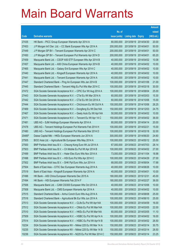|        |                                                                |               |                       |               | <b>Amount</b> |
|--------|----------------------------------------------------------------|---------------|-----------------------|---------------|---------------|
|        |                                                                | No. of        |                       |               | raised        |
| Code   | <b>Derivative warrants</b>                                     | issue (units) | <b>Listing date</b>   | <b>Expiry</b> | (HK\$ mil.)   |
| 27435  | HK Bank – PICC Group European Warrants Apr 2014 A              | 80,000,000    | 2013/09/19            | 2014/04/30    | 20.00         |
| 27453  | J P Morgan Int'l Der. Ltd. - CC Bank European Wts Apr 2014 A   | 200,000,000   | 2013/09/19            | 2014/04/01    | 50.00         |
| 27449  | J P Morgan SP BV - Tencent European Warrants Apr 2014 C        | 200,000,000   | 2013/09/19            | 2014/04/01    | 50.00         |
| 27450  | J P Morgan SP BV - Tencent European Put Warrants Apr 2014 D    | 200,000,000   | 2013/09/19 2014/04/01 |               | 65.20         |
| 27459  | Macquarie Bank Ltd. - CSOP A50 ETF European Wts Apr 2014 B     | 40,000,000    | 2013/09/19            | 2014/04/02    | 10.08         |
| 27457  | Macquarie Bank Ltd. - A50 China European Warrants Apr 2014 B   | 40,000,000    | 2013/09/19 2014/04/02 |               | 10.00         |
| 27465  | Macquarie Bank Ltd. - Galaxy Ent European Wts Apr 2014 C       | 40,000,000    | 2013/09/19            | 2014/04/02    | 10.00         |
| 27440  | Macquarie Bank Ltd. - Kingsoft European Warrants Apr 2014 A    | 40,000,000    | 2013/09/19 2014/04/02 |               | 10.00         |
| 27441  | Macquarie Bank Ltd. - Tencent European Warrants Apr 2014 A     | 40,000,000    | 2013/09/19 2014/04/02 |               | 10.00         |
| 27447  | Standard Chartered Bank - Ping An European Wts Jan 2014 B      | 100,000,000   | 2013/09/19            | 2014/01/06    | 21.00         |
| 27445  | Standard Chartered Bank – Tencent Hidg Eu Put Wts Mar 2014 C   | 100,000,000   | 2013/09/19            | 2014/03/18    | 30.00         |
| 27472  | SGA Societe Generale Acceptance N.V. - CPIC Eur Wt Aug 2014 A  | 100,000,000   | 2013/09/19 2014/08/04 |               | 25.00         |
| 27443  | SGA Societe Generale Acceptance N.V. - CTel Eu Wt Mar 2014 A   | 60,000,000    | 2013/09/19            | 2014/03/03    | 15.30         |
| 27442  | SGA Societe Generale Acceptance N.V. - CTel Eu Wt Oct 2014 A   | 60,000,000    | 2013/09/19 2014/10/06 |               | 15.00         |
| 27444  | SGA Societe Generale Acceptance N.V. - ChiUnicom Eu Wt Oct14 A | 150,000,000   | 2013/09/19            | 2014/10/06    | 26.25         |
| 27469  | SGA Societe Generale Acceptance N.V. - Dongfeng Eu Wt Dec14A   | 150,000,000   | 2013/09/19 2014/12/03 |               | 24.75         |
| 27467  | SGA Societe Generale Acceptance N.V. - Geely Auto Eu Wt Apr14A | 50,000,000    | 2013/09/19            | 2014/04/02    | 10.00         |
| 27471  | SGA Societe Generale Acceptance N.V. - Tencent Eu Wt Apr 14 C  | 150,000,000   | 2013/09/19            | 2014/04/02    | 36.00         |
| 27481  | UBS AG - SJM Holdings European Warrants Apr 2014 A             | 80,000,000    | 2013/09/19            | 2014/04/14    | 20.00         |
| 27478  | UBS AG – Tencent Holdings European Put Warrants Feb 2014 H     | 100,000,000   | 2013/09/19 2014/02/21 |               | 15.00         |
| 27480  | UBS AG – Tencent Holdings European Put Warrants Mar 2014 D     | 100,000,000   | 2013/09/19            | 2014/03/18    | 32.00         |
| 20485# | Daiwa Capital Mkt - HKEx European Warrants Jun 2014 A          | 300,000,000   | 2013/09/19            | 2014/06/20    | 24.60         |
| 27505  | BOCI Asia Ltd. - Agricultural Bk European Wts May 2014 A       | 100,000,000   | 2013/09/23            | 2014/05/12    | 25.00         |
| 27500  | BNP Paribas Arbit Issu B.V. - Cheung Kong Euro Wt Jul 2014 A   | 67,000,000    | 2013/09/23 2014/07/03 |               | 28.14         |
| 27503  | BNP Paribas Arbit Issu B.V. - Ch Mobile Eu Put Wt Apr 2014 B   | 100,000,000   | 2013/09/23 2014/04/02 |               | 27.00         |
| 27499  | BNP Paribas Arbit Issu B.V. - Haier Elec Euro Wts Nov 2014 A   | 73,000,000    | 2013/09/23 2014/11/04 |               | 18.98         |
| 27498  | BNP Paribas Arbit Issu B.V. - HSI Euro Put Wts Apr 2014 C      | 100,000,000   | 2013/09/23 2014/04/29 |               | 27.00         |
| 27502  | BNP Paribas Arbit Issu B.V. - SHK Ppt Euro Wts Jun 2014 A      | 68,000,000    | 2013/09/23 2014/06/04 |               | 17.68         |
| 27504  | Bank of East Asia - CITIC Sec European Warrants Aug 2014 A     | 40,000,000    | 2013/09/23 2014/08/26 |               | 10.00         |
| 27519  | Bank of East Asia - Kingsoft European Warrants Apr 2014 A      | 40,000,000    | 2013/09/23 2014/04/01 |               | 10.00         |
| 27496  | HK Bank - A50 China European Warrants Dec 2015 A               | 180,000,000   | 2013/09/23 2015/12/31 |               | 45.00         |
| 27494  | HK Bank - HSI European Warrants Feb 2014 F                     | 180,000,000   | 2013/09/23 2014/02/27 |               | 36.00         |
| 27506  | Macquarie Bank Ltd. - CAM CSI300 European Wts Oct 2014 A       | 40,000,000    | 2013/09/23 2014/10/06 |               | 10.00         |
| 27508  | Macquarie Bank Ltd. - CMS European Warrants Apr 2014 A         | 40,000,000    | 2013/09/23 2014/04/02 |               | 10.00         |
| 27515  | Standard Chartered Bank - Anhui Conch Euro Wts Aug 2014 A      | 100,000,000   | 2013/09/23 2014/08/08 |               | 25.00         |
| 27516  | Standard Chartered Bank - Agricultural Bk Eur Wts Jun 2014 A   | 100,000,000   | 2013/09/23 2014/06/10 |               | 25.00         |
| 27513  | SGA Societe Generale Acceptance N.V. - CLife Eu Put Wt Apr14A  | 100,000,000   | 2013/09/23 2014/04/09 |               | 16.00         |
| 27512  | SGA Societe Generale Acceptance N.V. - CMob Eu Put Wt Mar14A   | 100,000,000   | 2013/09/23 2014/03/05 |               | 22.00         |
| 27510  | SGA Societe Generale Acceptance N.V. - HKEx Eu Put Wt Mar14A   | 60,000,000    | 2013/09/23 2014/03/05 |               | 11.10         |
| 27509  | SGA Societe Generale Acceptance N.V. - HSBC Eu Put Wt Apr14 A  | 100,000,000   | 2013/09/23 2014/04/02 |               | 16.00         |
| 27514  | SGA Societe Generale Acceptance N.V. - HSBC Eu Put Wt Apr14 B  | 100,000,000   | 2013/09/23 2014/04/02 |               | 26.50         |
| 10234  | SGA Societe Generale Acceptance NV - Nikkei 225 Eu Wt Mar 14 A | 150,000,000   | 2013/09/23 2014/03/14 |               | 30.75         |
| 10235  | SGA Societe Generale Acceptance NV - Nikkei 225 Eu Wt Mar 14 B | 150,000,000   | 2013/09/23            | 2014/03/14    | 28.50         |
| 10236  | SGA Societe Generale Acceptance NV - N225 Eu Put Wt Mar 2014 C | 150,000,000   | 2013/09/23 2014/03/14 |               | 23.25         |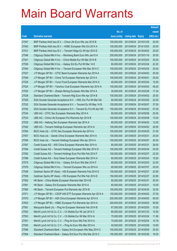|       |                                                                |               |                            |            | <b>Amount</b> |
|-------|----------------------------------------------------------------|---------------|----------------------------|------------|---------------|
|       |                                                                | No. of        |                            |            | raised        |
| Code  | <b>Derivative warrants</b>                                     | issue (units) | <b>Listing date Expiry</b> |            | (HK\$ mil.)   |
| 27547 | BNP Paribas Arbit Issu B.V. - China Life Euro Wts Jan 2015 B   | 100,000,000   | 2013/09/24                 | 2015/01/05 | 25.00         |
| 27543 | BNP Paribas Arbit Issu B.V. - HSBC European Wts Oct 2014 A     | 100,000,000   | 2013/09/24 2014/10/03      |            | 25.00         |
| 27531 | BNP Paribas Arbit Issu B.V. - Tencent HIdgs Eu Wt Apr 2014 E   | 100,000,000   | 2013/09/24                 | 2014/04/02 | 25.00         |
| 27548 | Citigroup Global Mkt H Inc. - Minsheng Bank Euro Wts Jan15 A   | 200,000,000   | 2013/09/24 2015/01/19      |            | 30.00         |
| 27541 | Citigroup Global Mkt H Inc. - China Mobile Eur Wt Mar 2014 B   | 100,000,000   | 2013/09/24 2014/03/24      |            | 25.00         |
| 27536 | Citigroup Global Mkt H Inc. - Galaxy Ent Eu Put Wt Mar 14 E    | 60,000,000    | 2013/09/24 2014/03/24      |            | 22.20         |
| 27540 | Citigroup Global Mkt H Inc. - Tencent European Wts Mar 2014 C  | 100,000,000   | 2013/09/24                 | 2014/03/24 | 25.00         |
| 27527 | J P Morgan SP BV - CITIC Bank European Warrants Apr 2014 A     | 100,000,000   | 2013/09/24 2014/04/02      |            | 25.00         |
| 27549 | J P Morgan SP BV - China Tel European Warrants Apr 2014 A      | 100,000,000   | 2013/09/24 2014/04/01      |            | 25.00         |
| 27525 | J P Morgan SP BV - Yurun Food European Warrants Mar 2014 A     | 40,000,000    | 2013/09/24 2014/03/24      |            | 10.00         |
| 27524 | J P Morgan SP BV - Yanzhou Coal European Warrants Apr 2014 A   | 100,000,000   | 2013/09/24                 | 2014/04/02 | 48.20         |
| 27520 | J P Morgan SP BV - Zhaojin Mining European Wts Mar 2014 A      | 30,000,000    | 2013/09/24 2014/03/28      |            | 17.34         |
| 27528 | Standard Chartered Bank - Tencent Hidg Euro Wts Apr 2014 B     | 100,000,000   | 2013/09/24 2014/04/02      |            | 25.00         |
| 27529 | SGA Societe Generale Acceptance N.V. - HWL Eur Put Wt Mar14A   | 80,000,000    | 2013/09/24 2014/03/05      |            | 22.00         |
| 27532 | SGA Societe Generale Acceptance N.V. - Tencent Eu Wt May 14 B  | 150,000,000   | 2013/09/24                 | 2014/05/07 | 37.50         |
| 27530 | SGA Societe Generale Acceptance N.V - Tencent Eu Put Wt Apr14D | 150,000,000   | 2013/09/24 2014/04/02      |            | 57.00         |
| 27534 | UBS AG – CITIC Sec European Warrants May 2014 A                | 80,000,000    | 2013/09/24 2014/05/08      |            | 20.00         |
| 27533 | UBS AG – China Life European Put Warrants Apr 2014 B           | 100,000,000   | 2013/09/24 2014/04/08      |            | 15.00         |
| 27535 | UBS AG - Haitong Sec European Warrants Apr 2014 A              | 80,000,000    | 2013/09/24                 | 2014/04/25 | 12.00         |
| 27542 | UBS AG - Tencent Holdings European Warrants Apr 2014 A         | 100,000,000   | 2013/09/24 2014/04/02      |            | 25.00         |
| 27554 | BOCI Asia Ltd. - CITIC Sec European Warrants Apr 2014 A        | 100,000,000   | 2013/09/25 2014/04/29      |            | 21.00         |
| 27557 | BOCI Asia Ltd. - Sands China European Warrants Mar 2014 A      | 100,000,000   | 2013/09/25 2014/03/31      |            | 25.00         |
| 27556 | BOCI Asia Ltd. - Tencent Holdings European Wts Apr 2014 A      | 100,000,000   | 2013/09/25 2014/04/07      |            | 25.00         |
| 27597 | Credit Suisse AG - A50 China European Warrants Mar 2014 A      | 80,000,000    | 2013/09/25 2014/03/31      |            | 28.00         |
| 27594 | Credit Suisse AG - Tencent Holdings European Wts Mar 2014 D    | 100,000,000   | 2013/09/25 2014/03/24      |            | 25.00         |
| 27592 | Credit Suisse AG - Tencent Holdings Euro Put Wts Feb 2014 F    | 100,000,000   | 2013/09/25 2014/02/07      |            | 22.00         |
| 27596 | Credit Suisse AG - Xinyi Glass European Warrants Mar 2014 A    | 60,000,000    | 2013/09/25 2014/03/24      |            | 19.20         |
| 27575 | Citigroup Global Mkt H Inc. - Galaxy Ent Euro Wts Mar 2014 F   | 60,000,000    | 2013/09/25 2014/03/03      |            | 22.50         |
| 27576 | Citigroup Global Mkt H Inc. - Tencent European Wts Jul 2014 A  | 80,000,000    | 2013/09/25 2014/07/07      |            | 20.00         |
| 27558 | Goldman Sachs SP (Asia) - HSI European Warrants Feb 2014 D     | 150,000,000   | 2013/09/25 2014/02/27      |            | 22.95         |
| 27559 | Goldman Sachs SP (Asia) - HSI European Put Wts Feb 2014 E      | 150,000,000   | 2013/09/25 2014/02/27      |            | 22.80         |
| 27562 | HK Bank - China Mobile European Warrants Mar 2014 B            | 80,000,000    | 2013/09/25 2014/03/31      |            | 20.00         |
| 27561 | HK Bank - Galaxy Ent European Warrants Mar 2014 A              | 60,000,000    | 2013/09/25 2014/03/31      |            | 15.00         |
| 27560 | HK Bank - Tencent European Put Warrants Apr 2014 B             | 100,000,000   | 2013/09/25 2014/04/30      |            | 32.00         |
| 27571 | J P Morgan SP BV - CSOP A50 ETF European Warrants Apr 2014 A   | 150,000,000   | 2013/09/25 2014/04/02      |            | 37.50         |
| 27570 | J P Morgan SP BV - A50 China European Warrants Apr 2014 A      | 200,000,000   | 2013/09/25 2014/04/02      |            | 50.00         |
| 27602 | J P Morgan SP BV - HSBC European Put Warrants Apr 2014 A       | 200,000,000   | 2013/09/25 2014/04/02      |            | 95.80         |
| 27591 | Macquarie Bank Ltd. - Ping An European Warrants Feb 2014 B     | 67,000,000    | 2013/09/25 2014/02/05      |            | 10.05         |
| 27552 | Merrill Lynch Int'l & Co. C.V. - Ch Mobile Eur Wt Jan 2014 C   | 60,000,000    | 2013/09/25 2014/01/23      |            | 10.50         |
| 27553 | Merrill Lynch Int'l & Co. C.V. - Ch Mobile Eur Wt Mar 2014 A   | 70,000,000    | 2013/09/25 2014/03/24      |            | 11.06         |
| 27551 | Merrill Lynch Int'l & Co. C.V. - Ping An Euro Wts Feb 2014 A   | 70,000,000    | 2013/09/25 2014/02/04      |            | 10.78         |
| 27550 | Merrill Lynch Int'l & Co. C.V. - Ping An Euro Wts Mar 2014 A   | 40,000,000    | 2013/09/25 2014/03/26      |            | 10.60         |
| 27566 | Standard Chartered Bank - Galaxy Ent European Wts May 2014 C   | 100,000,000   | 2013/09/25 2014/05/09      |            | 25.00         |
| 27564 | Standard Chartered Bank - Galaxy Ent Euro Put Wts Mar 2014 C   | 100,000,000   | 2013/09/25 2014/03/26      |            | 16.00         |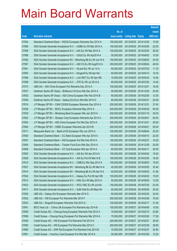|       |                                                                |               |                            |            | <b>Amount</b> |
|-------|----------------------------------------------------------------|---------------|----------------------------|------------|---------------|
|       |                                                                | No. of        |                            |            | raised        |
| Code  | <b>Derivative warrants</b>                                     | issue (units) | <b>Listing date Expiry</b> |            | (HK\$ mil.)   |
| 27563 | Standard Chartered Bank – HSCEI European Warrants Dec 2014 A   | 100,000,000   | 2013/09/25 2014/12/30      |            | 15.00         |
| 27589 | SGA Societe Generale Acceptance N.V. - AGBK Eu Wt Mar 2014 A   | 100,000,000   | 2013/09/25 2014/03/05      |            | 22.00         |
| 27569 | SGA Societe Generale Acceptance N.V. - AIA Eur Wt Mar 2014 A   | 100,000,000   | 2013/09/25                 | 2014/03/03 | 26.50         |
| 27588 | SGA Societe Generale Acceptance N.V. - CK(H) Eu Wt Apr2014 A   | 50,000,000    | 2013/09/25 2014/04/02      |            | 15.50         |
| 27582 | SGA Societe Generale Acceptance NV - Minsheng Bk Eu Wt Jun15 A | 150,000,000   | 2013/09/25 2015/06/03      |            | 24.00         |
| 27567 | SGA Societe Generale Acceptance N.V. - A50 Ch Eu Wt Aug2014 A  | 300,000,000   | 2013/09/25 2014/08/04      |            | 46.50         |
| 27601 | SGA Societe Generale Acceptance N.V. - HLand Eur Wt Jul 14 A   | 60,000,000    | 2013/09/25 2014/07/02      |            | 11.70         |
| 27600 | SGA Societe Generale Acceptance N.V. - Kingsoft Eu Wt Apr14A   | 60,000,000    | 2013/09/25 2014/04/14      |            | 15.30         |
| 27599 | SGA Societe Generale Acceptance N.V. - Link REIT Eu Wt Apr14B  | 70,000,000    | 2013/09/25 2014/04/02      |            | 10.50         |
| 27598 | SGA Societe Generale Acceptance N.V. - ZTE Eu Wt Jul 2014 A    | 80,000,000    | 2013/09/25 2014/07/02      |            | 14.40         |
| 27573 | UBS AG - A50 China European Put Warrants Dec 2014 A            | 100,000,000   | 2013/09/25 2014/12/01      |            | 16.00         |
| 27637 | Goldman Sachs SP (Asia) – Brilliance Chi Euro Wts Dec 2014 A   | 80,000,000    | 2013/09/26 2014/12/30      |            | 20.00         |
| 27635 | Goldman Sachs SP (Asia) - A50 China European Wts Feb 2014 B    | 80,000,000    | 2013/09/26 2014/02/05      |            | 12.00         |
| 27636 | Goldman Sachs SP (Asia) - Galaxy Ent Euro Wts Mar 2014 D       | 80,000,000    | 2013/09/26 2014/03/31      |            | 20.08         |
| 27619 | J P Morgan SP BV - CAM CSI300 European Warrants Dec 2014 A     | 200,000,000   | 2013/09/26 2014/12/31      |            | 37.40         |
| 27638 | J P Morgan SP BV - BOCL European Warrants May 2014 A           | 200,000,000   | 2013/09/26 2014/05/30      |            | 50.00         |
| 27639 | J P Morgan SP BV - Minsheng Bank European Wts Jan 2015 A       | 200,000,000   | 2013/09/26 2015/01/19      |            | 30.00         |
| 27622 | J P Morgan SP BV - Sinopec Corp European Warrants Apr 2014 A   | 200,000,000   | 2013/09/26 2014/04/01      |            | 50.00         |
| 27603 | J P Morgan SP BV - A50 China European Put Wts Dec 2014 A       | 200,000,000   | 2013/09/26 2014/12/01      |            | 30.00         |
| 27604 | J P Morgan SP BV - HSBC European Warrants Apr 2014 B           | 200,000,000   | 2013/09/26 2014/04/01      |            | 50.40         |
| 27611 | Macquarie Bank Ltd. - Bank of EA European Wts Jun 2014 A       | 100,000,000   | 2013/09/26 2014/06/04      |            | 25.00         |
| 27609 | Standard Chartered Bank - CC Bank European Wts Apr 2014 A      | 100,000,000   | 2013/09/26 2014/04/15      |            | 22.00         |
| 27607 | Standard Chartered Bank - HSI European Put Wts Feb 2014 A      | 100,000,000   | 2013/09/26 2014/02/27      |            | 15.00         |
| 27605 | Standard Chartered Bank - Tracker Fund Euro Wts Dec 2014 A     | 100,000,000   | 2013/09/26 2014/12/29      |            | 25.00         |
| 27608 | Standard Chartered Bank - YZ Coal European Wts Apr 2014 A      | 60,000,000    | 2013/09/26 2014/04/11      |            | 30.00         |
| 27625 | SGA Societe Generale Acceptance N.V. - AIA Eur Wt Apr 2014 A   | 100,000,000   | 2013/09/26 2014/04/02      |            | 18.00         |
| 27626 | SGA Societe Generale Acceptance N.V. - AIA Eu Put Wt Mar14 B   | 100,000,000   | 2013/09/26 2014/03/05      |            | 16.50         |
| 27615 | SGA Societe Generale Acceptance N.V. - CMB Eu Wts Sep 2014 A   | 100,000,000   | 2013/09/26 2014/09/03      |            | 19.50         |
| 27627 | SGA Societe Generale Acceptance NV - Minsheng Bk Eu Wt Mar14 A | 40,000,000    | 2013/09/26 2014/03/05      |            | 32.40         |
| 27614 | SGA Societe Generale Acceptance NV - Minsheng Bk Eu Wt Apr14 A | 60,000,000    | 2013/09/26 2014/04/02      |            | 31.80         |
| 27624 | SGA Societe Generale Acceptance N.V. - Galaxy Eu Put Wt Apr14B | 100,000,000   | 2013/09/26 2014/04/02      |            | 15.00         |
| 27613 | SGA Societe Generale Acceptance N.V. - HWL Eur Wt May 2014 A   | 50,000,000    | 2013/09/26 2014/05/05      |            | 12.50         |
| 27623 | SGA Societe Generale Acceptance N.V. - PICC P&C Eu Wt Jul14A   | 150,000,000   | 2013/09/26 2014/07/02      |            | 22.50         |
| 27617 | SGA Societe Generale Acceptance N.V. - SJM Hold Eu Wt May14A   | 80,000,000    | 2013/09/26 2014/05/05      |            | 20.00         |
| 27629 | UBS AG - Galaxy Ent European Warrants Mar 2014 D               | 80,000,000    | 2013/09/26 2014/03/25      |            | 32.00         |
| 27632 | UBS AG - HSI European Put Warrants Mar 2014 F                  | 300,000,000   | 2013/09/26 2014/03/28      |            | 75.00         |
| 27633 | UBS AG - Kingsoft European Warrants Feb 2014 A                 | 100,000,000   | 2013/09/26 2014/02/17      |            | 31.00         |
| 27641 | BOCI Asia Ltd. - China Life European Put Warrants Apr 2014 B   | 100,000,000   | 2013/09/27 2014/04/08      |            | 15.00         |
| 27659 | Credit Suisse AG - Cheung Kong European Warrants Feb 2014 A    | 70,000,000    | 2013/09/27 2014/02/10      |            | 23.80         |
| 27658 | Credit Suisse - Cheung Kong European Put Warrants Mar 2014 A   | 70,000,000    | 2013/09/27 2014/03/26      |            | 17.50         |
| 27649 | Credit Suisse AG - HSI European Put Warrants Feb 2014 H        | 200,000,000   | 2013/09/27                 | 2014/02/27 | 30.00         |
| 27650 | Credit Suisse AG - HSI European Put Warrants Mar 2014 C        | 200,000,000   | 2013/09/27 2014/03/28      |            | 38.80         |
| 27660 | Credit Suisse AG - SHK Ppt European Put Warrants Feb 2014 B    | 70,000,000    | 2013/09/27 2014/02/07      |            | 30.80         |
| 27661 | Credit Suisse - Yanzhou Coal European Put Wts Mar 2014 A       | 50,000,000    | 2013/09/27 2014/03/26      |            | 12.50         |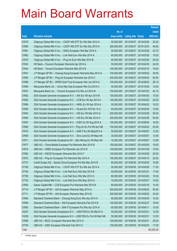|       |                                                                |               |                            |            | <b>Amount</b> |
|-------|----------------------------------------------------------------|---------------|----------------------------|------------|---------------|
|       |                                                                | No. of        |                            |            | raised        |
| Code  | <b>Derivative warrants</b>                                     | issue (units) | <b>Listing date Expiry</b> |            | (HK\$ mil.)   |
| 27679 | Citigroup Global Mkt H Inc. - CSOP A50 ETF Eu Wts Mar 2014 A   | 50,000,000    | 2013/09/27 2014/03/26      |            | 20.25         |
| 27680 | Citigroup Global Mkt H Inc. - CSOP A50 ETF Eu Wts Dec 2015 A   | 300,000,000   | 2013/09/27 2015/12/03      |            | 46.50         |
| 27681 | Citigroup Global Mkt H Inc. - HKEx European Wts Mar 2014 A     | 50,000,000    | 2013/09/27                 | 2014/03/26 | 20.75         |
| 27682 | Citigroup Global Mkt H Inc. - Link Reit Euro Wts Mar 2014 A    | 60,000,000    | 2013/09/27 2014/03/26      |            | 15.00         |
| 27678 | Citigroup Global Mkt H Inc. - Ping An Euro Wts Mar 2014 B      | 80,000,000    | 2013/09/27 2014/03/26      |            | 20.00         |
| 27643 | HK Bank - Foxconn European Warrants Apr 2014 A                 | 50,000,000    | 2013/09/27 2014/04/30      |            | 24.00         |
| 27644 | HK Bank - Tencent European Warrants Mar 2014 B                 | 100,000,000   | 2013/09/27                 | 2014/03/10 | 19.00         |
| 27691 | J P Morgan SP BV - Cheung Kong European Warrants May 2014 A    | 100,000,000   | 2013/09/27 2014/05/02      |            | 30.00         |
| 27690 | J P Morgan SP BV - Ping An European Warrants Apr 2014 C        | 200,000,000   | 2013/09/27 2014/04/02      |            | 50.00         |
| 27689 | J P Morgan SP BV - SPDR Gold Trust European Wts Jun 2014 A     | 100,000,000   | 2013/09/27 2014/06/03      |            | 26.10         |
| 27648 | Macquarie Bank Ltd. - China Res Gas European Wts Oct 2014 A    | 40,000,000    | 2013/09/27                 | 2014/10/06 | 10.00         |
| 27647 | Macquarie Bank Ltd. - Tencent European Put Wts Jul 2014 B      | 150,000,000   | 2013/09/27 2014/07/03      |            | 42.15         |
| 27662 | SGA Societe Generale Acceptance N.V. - AIA Eur Wt Apr 2014 B   | 100,000,000   | 2013/09/27 2014/04/30      |            | 15.50         |
| 27663 | SGA Societe Generale Acceptance N.V. - CCB Eur Wt Apr 2014 A   | 100,000,000   | 2013/09/27 2014/04/02      |            | 20.50         |
| 27666 | SGA Societe Generale Acceptance N.V. - HKEx Eu Wt Apr 2014 A   | 50,000,000    | 2013/09/27                 | 2014/04/02 | 16.25         |
| 27665 | SGA Societe Generale Acceptance N.V. - HLand Eur Wt Feb 14 A   | 60,000,000    | 2013/09/27 2014/02/05      |            | 10.50         |
| 27645 | SGA Societe Generale Acceptance N.V. - HSI Eur Wt Mar 2014 G   | 200,000,000   | 2013/09/27 2014/03/28      |            | 50.00         |
| 27664 | SGA Societe Generale Acceptance N.V. - HSI Eur Wt Mar 2014 H   | 200,000,000   | 2013/09/27 2014/03/28      |            | 50.00         |
| 27667 | SGA Societe Generale Acceptance N.V. - ICBC Eu Wt Aug 2014 A   | 100,000,000   | 2013/09/27                 | 2014/08/04 | 18.50         |
| 27668 | SGA Societe Generale Acceptance N.V - Ping An Eu Put Wt Apr14B | 100,000,000   | 2013/09/27 2014/04/02      |            | 25.00         |
| 27670 | SGA Societe Generale Acceptance N.V. - SHK P Eu Wt May2014 A   | 50,000,000    | 2013/09/27 2014/05/07      |            | 12.50         |
| 27669 | SGA Societe Generale Acceptance N.V. - Sino Land Eu Wt May14A  | 30,000,000    | 2013/09/27 2014/05/07      |            | 12.45         |
| 27671 | SGA Societe Generale Acceptance NV - Zijin Mining Eu Wt May14A | 70,000,000    | 2013/09/27                 | 2014/05/07 | 12.95         |
| 27677 | UBS AG - China Mobile European Put Warrants Mar 2014 B         | 100,000,000   | 2013/09/27 2014/03/05      |            | 19.50         |
| 27674 | UBS AG - HSBC European Put Warrants Jan 2014 D                 | 100,000,000   | 2013/09/27 2014/01/09      |            | 15.00         |
| 27683 | UBS AG - HSCEI European Warrants Mar 2014 F                    | 100,000,000   | 2013/09/27 2014/03/28      |            | 25.00         |
| 27672 | UBS AG – Ping An European Put Warrants Mar 2014 A              | 100,000,000   | 2013/09/27 2014/03/10      |            | 23.00         |
| 27701 | Credit Suisse AG - Sands China European Put Wts Mar 2014 B     | 60,000,000    | 2013/09/30 2014/03/05      |            | 16.80         |
| 27709 | Citigroup Global Mkt H Inc. - CSOP A50 ETF Eu Wts Apr 2014 A   | 50,000,000    | 2013/09/30 2014/04/28      |            | 11.50         |
| 27706 | Citigroup Global Mkt H Inc. - Link Reit Euro Wts Mar 2014 B    | 50,000,000    | 2013/09/30 2014/03/31      |            | 17.00         |
| 27708 | Citigroup Global Mkt H Inc. - Link Reit Euro Wts Mar 2014 C    | 60,000,000    | 2013/09/30 2014/03/25      |            | 10.50         |
| 27702 | Citigroup Global Mkt H Inc. - Link Reit Euro Wts May 2014 A    | 70,000,000    | 2013/09/30 2014/05/27      |            | 10.50         |
| 27692 | Daiwa Capital Mkt - CCB European Put Warrants Mar 2014 B       | 80,000,000    | 2013/09/30 2014/03/18      |            | 14.40         |
| 27710 | J P Morgan SP BV - AIA European Warrants May 2014 A            | 200,000,000   | 2013/09/30 2014/05/02      |            | 50.00         |
| 27711 | J P Morgan SP BV - AIA European Warrants May 2014 B            | 200,000,000   | 2013/09/30 2014/05/02      |            | 30.00         |
| 27694 | Standard Chartered Bank - Cheung Kong Euro Wts Apr 2014 A      | 60,000,000    | 2013/09/30 2014/04/30      |            | 15.00         |
| 27696 | Standard Chartered Bank - HSI European Warrants Feb 2014 B     | 100,000,000   | 2013/09/30 2014/02/27      |            | 18.00         |
| 27693 | Standard Chartered Bank - SHK P European Put Wts Apr 2014 A    | 60,000,000    | 2013/09/30 2014/04/11      |            | 15.00         |
| 10237 | SGA Societe Generale Acceptance N.V. - USD/YEN Eu Wt Mar14 A   | 50,000,000    | 2013/09/30 2014/03/31      |            | 12.50         |
| 10238 | SGA Societe Generale Acceptance N.V - USD/YEN Eu Put Wt Mar14B | 50,000,000    | 2013/09/30 2014/03/31      |            | 12.50         |
| 27699 | UBS AG - BOCL European Warrants Mar 2014 A                     | 100,000,000   | 2013/09/30 2014/03/31      |            | 25.00         |
| 27700 |                                                                | 100,000,000   |                            |            | 17.00         |
|       | UBS AG - ICBC European Warrants Feb 2014 C                     |               | 2013/09/30 2014/02/24      |            |               |
| Total |                                                                |               |                            |            | 40,026.39     |

# Further issue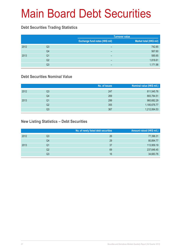# Main Board Debt Securities

### **Debt Securities Trading Statistics**

|      |                |                                | <b>Turnover value</b>   |
|------|----------------|--------------------------------|-------------------------|
|      |                | Exchange fund notes (HK\$ mil) | Market total (HK\$ mil) |
| 2012 | Q3             | -                              | 742.85                  |
|      | Q4             | -                              | 567.60                  |
| 2013 | Q1             | -                              | 585.65                  |
|      | Q <sub>2</sub> | -                              | 1,818.61                |
|      | Q3             | -                              | 1,171.98                |

### **Debt Securities Nominal Value**

|      |    | No. of issues | Nominal value (HK\$ mil.) |
|------|----|---------------|---------------------------|
| 2012 | Q3 | 247           | 811,545.76                |
|      | Q4 | 269           | 883,784.51                |
| 2013 | Q1 | 299           | 960,682.29                |
|      | Q2 | 355           | 1,185,676.77              |
|      | Q3 | 367           | 1,212,064.53              |

### **New Listing Statistics – Debt Securities**

|      |    | No. of newly listed debt securities | Amount raised (HK\$ mil.) |
|------|----|-------------------------------------|---------------------------|
| 2012 | Q3 | 26                                  | 77,396.31                 |
|      | Q4 | 29                                  | 80,894.77                 |
| 2013 | Q1 | 37                                  | 113,959.19                |
|      | Q2 | 69                                  | 237,646.45                |
|      | Q3 | 16                                  | 34,683.76                 |
|      |    |                                     |                           |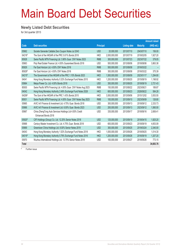# Main Board Debt Securities

#### **Newly Listed Debt Securities**

for 3rd quarter 2013

|               |                                                                 |                  |               |                     |                 | <b>Amount raised</b> |
|---------------|-----------------------------------------------------------------|------------------|---------------|---------------------|-----------------|----------------------|
| Code          | <b>Debt securities</b>                                          | <b>Principal</b> |               | <b>Listing date</b> | <b>Maturity</b> | (HK\$ mil.)          |
| 05962         | Societe Generale Callable Zero Coupon Notes Jul 2043            | <b>USD</b>       | 20,000,000    | 2013/07/10          | 2043/07/10      | 156.00               |
| 04216#        | The Govt of the HKSAR of the PRC 0.61% Bonds 2018               | <b>HKD</b>       | 2,000,000,000 | 2013/07/19          | 2018/02/05      | 1,927.20             |
| 85928         | Swire Pacific MTN Financing Ltd. 3.90% Guar. CNY Notes 2023     | <b>RMB</b>       | 300,000,000   | 2013/07/23          | 2023/07/22      | 379.05               |
| 05963         | Poly Real Estate Finance Ltd. 4.50% Guaranteed Bonds 2018       | <b>USD</b>       | 500,000,000   | 2013/08/06          | 2018/08/06      | 3,863.38             |
| 85929         | Far East Horizon Ltd. 4.50% CNY Notes 2016                      | <b>RMB</b>       | 500,000,000   | 2013/08/08          | 2016/03/22      |                      |
| 85929#        | Far East Horizon Ltd. 4.50% CNY Notes 2016                      | <b>RMB</b>       | 300,000,000   | 2013/08/08          | 2016/03/22      | 375.39               |
| 04215#        | The Government of the HKSAR of the PRC 1.10% Bonds 2023         | <b>HKD</b>       | 1,500,000,000 | 2013/08/09          | 2023/01/17      | 1,294.80             |
| 04041         | Hong Kong Monetary Authority 0.32% Exchange Fund Notes 2015     | <b>HKD</b>       | 1,200,000,000 | 2013/08/20          | 2015/08/19      | 1,198.92             |
| 05964         | Meiya Power Co. Ltd. 4.00% Bonds 2018                           | <b>USD</b>       | 350,000,000   | 2013/08/20          | 2018/08/19      | 2,721.43             |
| 85930         | Swire Pacific MTN Financing Ltd. 4.00% Guar. CNY Notes Aug 2023 | <b>RMB</b>       | 150,000,000   | 2013/08/22          | 2023/08/21      | 189.87               |
| 04042         | Hong Kong Monetary Authority 2.49% Exchange Fund Notes 2028     | <b>HKD</b>       | 600,000,000   | 2013/08/23          | 2028/08/22      | 584.28               |
| 04206#        | The Govt of the HKSAR of the PRC 1.43% Bonds 2015               | <b>HKD</b>       | 3,500,000,000 | 2013/09/06          | 2015/12/02      | 3,553.55             |
| 85931         | Swire Pacific MTN Financing Ltd. 4.00% Guar. CNY Notes Sep 2023 | <b>RMB</b>       | 100,000,000   | 2013/09/10          | 2023/09/09      | 126.80               |
| 05965         | AVIC Int'l Finance & Investment Ltd. 4.75% Guar, Bonds 2018     | <b>USD</b>       | 300,000,000   | 2013/09/13          | 2018/09/12      | 2,333.73             |
| 05966         | AVIC Int'l Finance & Investment Ltd. 6.00% Guar, Bonds 2023     | <b>USD</b>       | 200,000,000   | 2013/09/13          | 2023/09/12      | 1,560.00             |
| 05967         | China ZhengTong Auto Services Holdings Ltd 4.50% Credit         | <b>USD</b>       | 335,000,000   | 2013/09/17          | 2018/06/16      | 2.606.41             |
|               | Enhanced Bonds 2018                                             |                  |               |                     |                 |                      |
| 05920#        | CIFI Holdings (Group) Co. Ltd. 12.25% Senior Notes 2018         | <b>USD</b>       | 125,000,000   | 2013/09/19          | 2018/04/15      | 1,825.20             |
| 05968         | Century Master Investment Co. Ltd. 4.75% Guar. Bonds 2018       | <b>USD</b>       | 600,000,000   | 2013/09/23          | 2018/09/19      | 4,653.09             |
| 05969         | Greentown China Holdings Ltd. 8.00% Senior Notes 2019           | <b>USD</b>       | 300,000,000   | 2013/09/25          | 2019/03/24      | 2,340.00             |
| 04043         | Hong Kong Monetary Authority 1.52% Exchange Fund Notes 2018     | <b>HKD</b>       | 1,000,000,000 | 2013/09/26          | 2018/09/25      | 1,014.30             |
| 04019#        | Hong Kong Monetary Authority 0.79% Exchange Fund Notes 2016     | <b>HKD</b>       | 1,200,000,000 | 2013/09/26          | 2016/09/19      | 1,207.20             |
| 05970         | Wuzhou International Holdings Ltd. 13.75% Senior Notes 2018     | <b>USD</b>       | 100,000,000   | 2013/09/27          | 2018/09/26      | 773.15               |
| Total         |                                                                 |                  |               |                     |                 | 34,683.76            |
| Eurthor ionus |                                                                 |                  |               |                     |                 |                      |

Further issue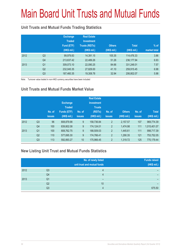# Main Board Unit Trusts and Mutual Funds

### **Unit Trusts and Mutual Funds Trading Statistics**

|      |                | <b>Exchange</b><br><b>Traded</b><br>Fund (ETF)<br>(HK\$ mil.) | <b>Real Estate</b><br><b>Investment</b><br><b>Trusts (REITs)</b><br>(HK\$ mil.) | <b>Others</b><br>(HK\$ mil.) | <b>Total</b><br>(HK\$ mil.) | $%$ of<br>market total |
|------|----------------|---------------------------------------------------------------|---------------------------------------------------------------------------------|------------------------------|-----------------------------|------------------------|
| 2012 | Q <sub>3</sub> | 99,979.83                                                     | 14,391.15                                                                       | 105.35                       | 114,476.33                  | 3.86                   |
|      | Q4             | 213,637.42                                                    | 22,489.26                                                                       | 51.26                        | 236,177.94                  | 6.93                   |
| 2013 | Q <sub>1</sub> | 309,073.10                                                    | 22,090.25                                                                       | 84.66                        | 331,248.01                  | 7.57                   |
|      | Q <sub>2</sub> | 232,045.35                                                    | 27,829.00                                                                       | 41.10                        | 259,915.45                  | 6.98                   |
|      | Q <sub>3</sub> | 187,460.35                                                    | 19,308.78                                                                       | 32.94                        | 206,802.07                  | 5.98                   |

Note: Turnover value traded in non-HKD currency securities have been included

### **Unit Trusts and Mutual Funds Market Value**

|      |                | No. of<br><b>issues</b> | <b>Exchange</b><br><b>Traded</b><br>Funds (ETF)<br>(HK\$ mil.) | No. of<br><b>issues</b> | <b>Real Estate</b><br><b>Investment</b><br><b>Trusts</b><br>(REITs)<br>(HK\$ mil.) | No. of<br><b>issues</b> | <b>Others</b><br>(HK\$ mil.) | No. of<br><b>issues</b> | <b>Total</b><br>(HK\$ mil.) |
|------|----------------|-------------------------|----------------------------------------------------------------|-------------------------|------------------------------------------------------------------------------------|-------------------------|------------------------------|-------------------------|-----------------------------|
| 2012 | Q <sub>3</sub> | 96                      | 808,879.98                                                     | 9                       | 158,736.84                                                                         | $\overline{2}$          | 2,157.57                     | 107                     | 969,774.39                  |
|      | Q4             | 100                     | 839,802.08                                                     | 9                       | 174,124.01                                                                         | $\overline{2}$          | 1,474.98                     | 111                     | 1,015,401.07                |
| 2013 | Q <sub>1</sub> | 100                     | 808,762.75                                                     | 9                       | 188,509.03                                                                         | $\overline{2}$          | 1,445.61                     | 111                     | 998,717.39                  |
|      | Q <sub>2</sub> | 110                     | 577,695.30                                                     | 9                       | 174,766.41                                                                         | $\overline{2}$          | 1,290.35                     | 121                     | 753,752.05                  |
|      | Q <sub>3</sub> | 113                     | 592,893.27                                                     | 10                      | 175,966.45                                                                         | $\overline{2}$          | 1,319.72                     | 125                     | 770,179.44                  |

### **New Listing Unit Trust and Mutual Funds Statistics**

|      |    | No. of newly listed<br>unit trust and mutual funds | <b>Funds raised</b><br>(HK\$ mil.) |
|------|----|----------------------------------------------------|------------------------------------|
| 2012 | Q3 |                                                    |                                    |
|      | Q4 |                                                    |                                    |
| 2013 | Q1 |                                                    |                                    |
|      | Q2 | 10                                                 |                                    |
|      | Q3 |                                                    | 675.50                             |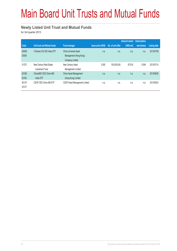# Main Board Unit Trusts and Mutual Funds

#### **Newly Listed Unit Trust and Mutual Funds**

for 3rd quarter 2013

|                 |                                                    |                                                                           |                           |                   | <b>Amount raised</b> | <b>Subscription</b> |              |
|-----------------|----------------------------------------------------|---------------------------------------------------------------------------|---------------------------|-------------------|----------------------|---------------------|--------------|
| Code            | Unit trust and Mutual funds                        | <b>Fund manager</b>                                                       | <b>Issue price (HK\$)</b> | No. of unit offer | (HK\$ mil)           | rate (times)        | Listing date |
| 83008/<br>03008 | C-Shares CSI 300 Index ETF                         | China Universal Asset<br>Management (Hong Kong)<br><b>Company Limited</b> | n.a.                      | n.a.              | n.a.                 | n.a.                | 2013/07/08   |
| 01275           | New Century Real Estate<br><b>Investment Trust</b> | New Century Asset<br>Management Limited                                   | 3.500                     | 193,000,000       | 675.50               | 0.584               | 2013/07/10   |
| 83180/<br>03180 | ChinaAMC CES China A80<br>Index ETF                | China Asset Management<br>(Hong Kong) Limited                             | n.a.                      | n.a.              | n.a.                 | n.a.                | 2013/08/26   |
| 83137/<br>03137 | CSOP CES China A80 ETF                             | CSOP Asset Management Limited                                             | n.a.                      | n.a.              | n.a.                 | n.a.                | 2013/09/23   |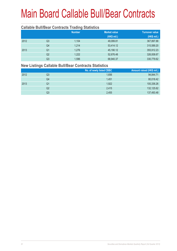#### **Callable Bull/Bear Contracts Trading Statistics**

|      |                | <b>Number</b> | <b>Market value</b> | <b>Turnover value</b> |
|------|----------------|---------------|---------------------|-----------------------|
|      |                |               | (HK\$ mil.)         | (HK\$ mil.)           |
| 2012 | Q <sub>3</sub> | 1,104         | 49,099.81           | 367,897.88            |
|      | Q4             | 1,214         | 53,414.12           | 315,589.20            |
| 2013 | Q <sub>1</sub> | 1.276         | 45,190.12           | 355,912.23            |
|      | Q <sub>2</sub> | 1,222         | 52,676.48           | 326,008.67            |
|      | Q3             | 1,596         | 68,940.37           | 330,779.62            |

#### **New Listings Callable Bull/Bear Contracts Statistics**

|      |    | No. of newly listed CBBC | Amount raised (HK\$ mil.) |
|------|----|--------------------------|---------------------------|
| 2012 | Q3 | 1,656                    | 94,844.71                 |
|      | Q4 | 1,451                    | 80,018.42                 |
| 2013 | Q1 | 1,922                    | 100,336.26                |
|      | Q2 | 2.415                    | 132,125.62                |
|      | Q3 | 2,455                    | 137,493.48                |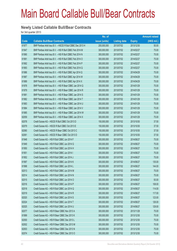#### **Newly Listed Callable Bull/Bear Contracts**

for 3rd quarter 2013

|       |                                                            | No. of        |                     |               | <b>Amount raised</b> |
|-------|------------------------------------------------------------|---------------|---------------------|---------------|----------------------|
| Code  | <b>Callable Bull/Bear Contracts</b>                        | issue (units) | <b>Listing date</b> | <b>Expiry</b> | (HK\$ mil.)          |
| 61977 | BNP Paribas Arbit Issu B.V. - HSCEI R Bull CBBC Dec 2013 H | 200,000,000   | 2013/07/02          | 2013/12/30    | 50.00                |
| 61947 | BNP Paribas Arbit Issu B.V. - HSI R Bull CBBC Feb 2014 M   | 300,000,000   | 2013/07/02          | 2014/02/27    | 75.00                |
| 61990 | BNP Paribas Arbit Issu B.V. - HSI R Bull CBBC Feb 2014 N   | 300,000,000   | 2013/07/02          | 2014/02/27    | 75.00                |
| 61991 | BNP Paribas Arbit Issu B.V. - HSI R Bull CBBC Feb 2014 O   | 300,000,000   | 2013/07/02          | 2014/02/27    | 75.00                |
| 61992 | BNP Paribas Arbit Issu B.V. - HSI R Bull CBBC Feb 2014 P   | 300,000,000   | 2013/07/02          | 2014/02/27    | 75.00                |
| 61993 | BNP Paribas Arbit Issu B.V. - HSI R Bull CBBC Feb 2014 Q   | 300,000,000   | 2013/07/02          | 2014/02/27    | 75.00                |
| 61986 | BNP Paribas Arbit Issu B.V. - HSI R Bull CBBC Apr 2014 Q   | 300,000,000   | 2013/07/02          | 2014/04/29    | 75.00                |
| 61987 | BNP Paribas Arbit Issu B.V. - HSI R Bull CBBC Apr 2014 W   | 300,000,000   | 2013/07/02          | 2014/04/29    | 75.00                |
| 61989 | BNP Paribas Arbit Issu B.V. - HSI R Bull CBBC Apr 2014 X   | 300,000,000   | 2013/07/02          | 2014/04/29    | 75.00                |
| 61978 | BNP Paribas Arbit Issu B.V. - HSI R Bear CBBC Jan 2014 Q   | 300,000,000   | 2013/07/02          | 2014/01/29    | 75.00                |
| 61979 | BNP Paribas Arbit Issu B.V. - HSI R Bear CBBC Jan 2014 R   | 300,000,000   | 2013/07/02          | 2014/01/29    | 75.00                |
| 61981 | BNP Paribas Arbit Issu B.V. - HSI R Bear CBBC Jan 2014 S   | 300,000,000   | 2013/07/02          | 2014/01/29    | 75.00                |
| 61982 | BNP Paribas Arbit Issu B.V. - HSI R Bear CBBC Jan 2014 T   | 300,000,000   | 2013/07/02          | 2014/01/29    | 75.00                |
| 61983 | BNP Paribas Arbit Issu B.V. - HSI R Bear CBBC Jan 2014 U   | 300,000,000   | 2013/07/02          | 2014/01/29    | 75.00                |
| 61984 | BNP Paribas Arbit Issu B.V. - HSI R Bear CBBC Jan 2014 V   | 300,000,000   | 2013/07/02          | 2014/01/29    | 75.00                |
| 61985 | BNP Paribas Arbit Issu B.V. - HSI R Bear CBBC Jan 2014 W   | 300,000,000   | 2013/07/02          | 2014/01/29    | 75.00                |
| 62059 | BNP Paribas Arbit Issu B.V. - HSI R Bear CBBC Jan 2014 X   | 300,000,000   | 2013/07/02          | 2014/01/29    | 75.00                |
| 62078 | Credit Suisse AG - HSCEI R Bull CBBC Oct 2013 D            | 150,000,000   | 2013/07/02          | 2013/10/30    | 37.50                |
| 62079 | Credit Suisse AG - HSCEI R Bull CBBC Oct 2013 E            | 150,000,000   | 2013/07/02          | 2013/10/30    | 37.50                |
| 62080 | Credit Suisse AG - HSCEI R Bear CBBC Oct 2013 C            | 150,000,000   | 2013/07/02          | 2013/10/30    | 37.50                |
| 62081 | Credit Suisse AG - HSCEI R Bear CBBC Oct 2013 D            | 150,000,000   | 2013/07/02          | 2013/10/30    | 37.50                |
| 61948 | Credit Suisse AG - HSI R Bull CBBC Jun 2014 F              | 300,000,000   | 2013/07/02          | 2014/06/27    | 75.00                |
| 61949 | Credit Suisse AG - HSI R Bull CBBC Jun 2014 G              | 300,000,000   | 2013/07/02          | 2014/06/27    | 75.00                |
| 61950 | Credit Suisse AG - HSI R Bull CBBC Jun 2014 H              | 300,000,000   | 2013/07/02          | 2014/06/27    | 75.00                |
| 61951 | Credit Suisse AG - HSI R Bull CBBC Jun 2014 I              | 300,000,000   | 2013/07/02          | 2014/06/27    | 75.00                |
| 61952 | Credit Suisse AG - HSI R Bull CBBC Jun 2014 J              | 300,000,000   | 2013/07/02          | 2014/06/27    | 75.00                |
| 61997 | Credit Suisse AG - HSI R Bull CBBC Jun 2014 K              | 300,000,000   | 2013/07/02          | 2014/06/27    | 135.00               |
| 61998 | Credit Suisse AG - HSI R Bull CBBC Jun 2014 L              | 300,000,000   | 2013/07/02          | 2014/06/27    | 144.00               |
| 62013 | Credit Suisse AG - HSI R Bull CBBC Jun 2014 M              | 300,000,000   | 2013/07/02          | 2014/06/27    | 75.00                |
| 62014 | Credit Suisse AG - HSI R Bull CBBC Jun 2014 N              | 300,000,000   | 2013/07/02          | 2014/06/27    | 75.00                |
| 62015 | Credit Suisse AG - HSI R Bull CBBC Jun 2014 O              | 300,000,000   | 2013/07/02          | 2014/06/27    | 93.00                |
| 62016 | Credit Suisse AG - HSI R Bull CBBC Jun 2014 P              | 300,000,000   | 2013/07/02          | 2014/06/27    | 108.00               |
| 62018 | Credit Suisse AG - HSI R Bull CBBC Jun 2014 Q              | 300,000,000   | 2013/07/02          | 2014/06/27    | 114.00               |
| 62019 | Credit Suisse AG - HSI R Bull CBBC Jun 2014 R              | 300,000,000   | 2013/07/02          | 2014/06/27    | 117.00               |
| 62020 | Credit Suisse AG - HSI R Bull CBBC Jun 2014 S              | 300,000,000   | 2013/07/02          | 2014/06/27    | 123.00               |
| 62024 | Credit Suisse AG - HSI R Bull CBBC Jun 2014 T              | 300,000,000   | 2013/07/02          | 2014/06/27    | 126.00               |
| 62025 | Credit Suisse AG - HSI R Bull CBBC Jun 2014 U              | 300,000,000   | 2013/07/02          | 2014/06/27    | 129.00               |
| 62077 | Credit Suisse AG - HSI R Bear CBBC Nov 2013 A              | 300,000,000   | 2013/07/02          | 2013/11/28    | 75.00                |
| 61999 | Credit Suisse AG - HSI R Bear CBBC Dec 2013 K              | 300,000,000   | 2013/07/02          | 2013/12/30    | 75.00                |
| 62000 | Credit Suisse AG - HSI R Bear CBBC Dec 2013 L              | 300,000,000   | 2013/07/02          | 2013/12/30    | 75.00                |
| 62002 | Credit Suisse AG - HSI R Bear CBBC Dec 2013 M              | 300,000,000   | 2013/07/02          | 2013/12/30    | 75.00                |
| 62003 | Credit Suisse AG - HSI R Bear CBBC Dec 2013 N              | 300,000,000   | 2013/07/02          | 2013/12/30    | 75.00                |
| 62074 | Credit Suisse AG - HSI R Bear CBBC Dec 2013 O              | 300,000,000   | 2013/07/02          | 2013/12/30    | 75.00                |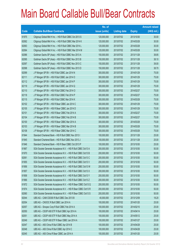|       |                                                                | No. of        |                     |               | <b>Amount raised</b> |
|-------|----------------------------------------------------------------|---------------|---------------------|---------------|----------------------|
| Code  | <b>Callable Bull/Bear Contracts</b>                            | issue (units) | <b>Listing date</b> | <b>Expiry</b> | (HK\$ mil.)          |
| 61975 | Citigroup Global Mkt H Inc. - HSI R Bull CBBC Oct 2013 S       | 120,000,000   | 2013/07/02          | 2013/10/30    | 30.00                |
| 62062 | Citigroup Global Mkt H Inc. - HSI R Bull CBBC Mar 2014 K       | 120,000,000   | 2013/07/02          | 2014/03/28    | 30.00                |
| 62063 | Citigroup Global Mkt H Inc. - HSI R Bull CBBC Mar 2014 L       | 120,000,000   | 2013/07/02          | 2014/03/28    | 30.00                |
| 62064 | Citigroup Global Mkt H Inc. - HSI R Bull CBBC Mar 2014 M       | 120,000,000   | 2013/07/02          | 2014/03/28    | 30.00                |
| 62086 | Goldman Sachs SP (Asia) - HSI R Bull CBBC Nov 2013 A           | 150,000,000   | 2013/07/02          | 2013/11/28    | 38.85                |
| 62095 | Goldman Sachs SP (Asia) - HSI R Bull CBBC Nov 2013 B           | 150,000,000   | 2013/07/02          | 2013/11/28    | 38.10                |
| 62097 | Goldman Sachs SP (Asia) - HSI R Bull CBBC Nov 2013 C           | 150,000,000   | 2013/07/02          | 2013/11/28    | 39.00                |
| 62098 | Goldman Sachs SP (Asia) - HSI R Bull CBBC Nov 2013 D           | 150,000,000   | 2013/07/02          | 2013/11/28    | 38.70                |
| 62099 | J P Morgan SP BV - HSI R Bull CBBC Jan 2014 N                  | 300,000,000   | 2013/07/02          | 2014/01/29    | 75.00                |
| 62111 | J P Morgan SP BV - HSI R Bull CBBC Jan 2014 O                  | 300,000,000   | 2013/07/02          | 2014/01/29    | 75.00                |
| 62112 | J P Morgan SP BV - HSI R Bull CBBC Jan 2014 P                  | 300,000,000   | 2013/07/02          | 2014/01/29    | 75.00                |
| 62119 | J P Morgan SP BV - HSI R Bull CBBC Jan 2014 Q                  | 300,000,000   | 2013/07/02          | 2014/01/29    | 75.00                |
| 62110 | J P Morgan SP BV - HSI R Bull CBBC Feb 2014 O                  | 300,000,000   | 2013/07/02          | 2014/02/27    | 75.00                |
| 62118 | J P Morgan SP BV - HSI R Bull CBBC Feb 2014 P                  | 300,000,000   | 2013/07/02          | 2014/02/27    | 75.00                |
| 62115 | J P Morgan SP BV - HSI R Bull CBBC Mar 2014 K                  | 300,000,000   | 2013/07/02          | 2014/03/28    | 75.00                |
| 62102 | J P Morgan SP BV - HSI R Bear CBBC Jan 2014 C                  | 300,000,000   | 2013/07/02          | 2014/01/29    | 75.00                |
| 62105 | J P Morgan SP BV - HSI R Bear CBBC Jan 2014 D                  | 300,000,000   | 2013/07/02          | 2014/01/29    | 75.00                |
| 62101 | J P Morgan SP BV - HSI R Bear CBBC Feb 2014 A                  | 300,000,000   | 2013/07/02          | 2014/02/27    | 75.00                |
| 62104 | J P Morgan SP BV - HSI R Bear CBBC Feb 2014 B                  | 300,000,000   | 2013/07/02          | 2014/02/27    | 75.00                |
| 62100 | J P Morgan SP BV - HSI R Bear CBBC Mar 2014 A                  | 300,000,000   | 2013/07/02          | 2014/03/28    | 75.00                |
| 62103 | J P Morgan SP BV - HSI R Bear CBBC Mar 2014 B                  | 300,000,000   | 2013/07/02          | 2014/03/28    | 75.00                |
| 62108 | J P Morgan SP BV - HSI R Bear CBBC Mar 2014 C                  | 300,000,000   | 2013/07/02          | 2014/03/28    | 75.00                |
| 61944 | Standard Chartered Bank - HSI R Bull CBBC Nov 2013 I           | 100,000,000   | 2013/07/02          | 2013/11/28    | 25.00                |
| 61945 | Standard Chartered Bank - HSI R Bull CBBC Nov 2013 J           | 100,000,000   | 2013/07/02          | 2013/11/28    | 25.00                |
| 61946 | Standard Chartered Bank - HSI R Bear CBBC Oct 2013 P           | 100,000,000   | 2013/07/02          | 2013/10/30    | 25.00                |
| 61967 | SGA Societe Generale Acceptance N.V. - HSI R Bull CBBC Oct13 A | 200,000,000   | 2013/07/02          | 2013/10/30    | 50.00                |
| 61970 | SGA Societe Generale Acceptance N.V. - HSI R Bull CBBC Oct13 B | 200,000,000   | 2013/07/02          | 2013/10/30    | 50.00                |
| 62061 | SGA Societe Generale Acceptance N.V. - HSI R Bull CBBC Oct13 C | 200,000,000   | 2013/07/02          | 2013/10/30    | 50.00                |
| 61955 | SGA Societe Generale Acceptance N.V. - HSI R Bull CBBC Oct13 V | 200,000,000   | 2013/07/02          | 2013/10/30    | 50.00                |
| 61956 | SGA Societe Generale Acceptance N.V. - HSI R Bull CBBC Oct13 W | 200,000,000   | 2013/07/02          | 2013/10/30    | 50.00                |
| 61957 | SGA Societe Generale Acceptance N.V. - HSI R Bull CBBC Oct13 X | 200,000,000   | 2013/07/02          | 2013/10/30    | 50.00                |
| 61958 | SGA Societe Generale Acceptance N.V. - HSI R Bull CBBC Oct13 Y | 200,000,000   | 2013/07/02          | 2013/10/30    | 50.00                |
| 61966 | SGA Societe Generale Acceptance N.V. - HSI R Bull CBBC Oct13 Z | 200,000,000   | 2013/07/02          | 2013/10/30    | 50.00                |
| 61972 | SGA Societe Generale Acceptance N.V. - HSI R Bear CBBC Oct13 Q | 200,000,000   | 2013/07/02          | 2013/10/30    | 50.00                |
| 61974 | SGA Societe Generale Acceptance N.V. - HSI R Bear CBBC Oct13 R | 200,000,000   | 2013/07/02          | 2013/10/30    | 50.00                |
| 62060 | SGA Societe Generale Acceptance N.V. - HSI R Bear CBBC Oct13 S | 200,000,000   | 2013/07/02          | 2013/10/30    | 50.00                |
| 62044 | UBS AG - CAM CSI300 R Bull CBBC Dec 2013 B                     | 40,000,000    | 2013/07/02          | 2013/12/09    | 18.20                |
| 62054 | UBS AG - CNOOC R Bull CBBC Jan 2014 A                          | 100,000,000   | 2013/07/02          | 2014/01/20    | 25.00                |
| 62057 | UBS AG - Sinopec Corp R Bull CBBC Feb 2014 A                   | 100,000,000   | 2013/07/02          | 2014/02/10    | 25.00                |
| 62050 | UBS AG - CSOP A50 ETF R Bull CBBC Apr 2014 A                   | 100,000,000   | 2013/07/02          | 2014/04/14    | 25.00                |
| 62051 | UBS AG - CSOP A50 ETF R Bull CBBC May 2014 A                   | 100,000,000   | 2013/07/02          | 2014/05/12    | 25.00                |
| 62049 | UBS AG - CSOP A50 ETF R Bear CBBC Jan 2014 A                   | 100,000,000   | 2013/07/02          | 2014/01/27    | 25.00                |
| 62047 | UBS AG - A50 China R Bull CBBC Apr 2014 B                      | 100,000,000   | 2013/07/02          | 2014/04/28    | 25.00                |
| 62048 | UBS AG - A50 China R Bull CBBC Apr 2014 C                      | 100,000,000   | 2013/07/02          | 2014/04/28    | 25.00                |
| 62045 | UBS AG - A50 China R Bear CBBC Jan 2014 A                      | 100,000,000   | 2013/07/02          | 2014/01/20    | 25.00                |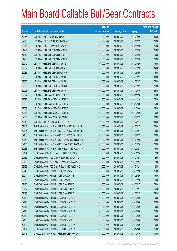|       |                                                          | No. of        |                     |               | <b>Amount raised</b> |
|-------|----------------------------------------------------------|---------------|---------------------|---------------|----------------------|
| Code  | <b>Callable Bull/Bear Contracts</b>                      | issue (units) | <b>Listing date</b> | <b>Expiry</b> | (HK\$ mil.)          |
| 62055 | UBS AG - HKEx R Bull CBBC Jan 2014 A                     | 100,000,000   | 2013/07/02          | 2014/01/20    | 25.00                |
| 62043 | UBS AG - HSCEI R Bull CBBC Jun 2014 C                    | 100,000,000   | 2013/07/02          | 2014/06/27    | 25.00                |
| 62041 | UBS AG - HSCEI R Bear CBBC Nov 2013 B                    | 100,000,000   | 2013/07/02          | 2013/11/28    | 25.00                |
| 61961 | UBS AG - HSI R Bull CBBC Mar 2014 H                      | 300,000,000   | 2013/07/02          | 2014/03/28    | 75.00                |
| 61962 | UBS AG - HSI R Bull CBBC Mar 2014 I                      | 300,000,000   | 2013/07/02          | 2014/03/28    | 75.00                |
| 61963 | UBS AG - HSI R Bull CBBC Mar 2014 N                      | 300,000,000   | 2013/07/02          | 2014/03/28    | 75.00                |
| 62040 | UBS AG - HSI R Bull CBBC Apr 2014 L                      | 300,000,000   | 2013/07/02          | 2014/04/29    | 75.00                |
| 62032 | UBS AG - HSI R Bull CBBC May 2014 G                      | 300,000,000   | 2013/07/02          | 2014/05/29    | 84.00                |
| 62036 | UBS AG - HSI R Bull CBBC May 2014 H                      | 300,000,000   | 2013/07/02          | 2014/05/29    | 75.00                |
| 62030 | UBS AG - HSI R Bull CBBC Jun 2014 E                      | 300,000,000   | 2013/07/02          | 2014/06/27    | 90.00                |
| 62033 | UBS AG - HSI R Bull CBBC Jun 2014 F                      | 300,000,000   | 2013/07/02          | 2014/06/27    | 75.00                |
| 62039 | UBS AG - HSI R Bull CBBC Jun 2014 G                      | 300,000,000   | 2013/07/02          | 2014/06/27    | 75.00                |
| 62026 | UBS AG - HSI R Bull CBBC Oct 2014 A                      | 300,000,000   | 2013/07/02          | 2014/10/30    | 126.00               |
| 62072 | UBS AG - HSI R Bear CBBC Nov 2013 Y                      | 300,000,000   | 2013/07/02          | 2013/11/28    | 75.00                |
| 62073 | UBS AG - HSI R Bear CBBC Nov 2013 Z                      | 300,000,000   | 2013/07/02          | 2013/11/28    | 75.00                |
| 62066 | UBS AG - HSI R Bear CBBC Dec 2013 S                      | 300,000,000   | 2013/07/02          | 2013/12/30    | 75.00                |
| 62069 | UBS AG - HSI R Bear CBBC Dec 2013 T                      | 300,000,000   | 2013/07/02          | 2013/12/30    | 75.00                |
| 62071 | UBS AG - HSI R Bear CBBC Dec 2013 U                      | 300,000,000   | 2013/07/02          | 2013/12/30    | 75.00                |
| 62065 | UBS AG - HSI R Bear CBBC Feb 2014 C                      | 300,000,000   | 2013/07/02          | 2014/02/27    | 75.00                |
| 62053 | UBS AG - Ping An R Bull CBBC Jul 2014 A                  | 100,000,000   | 2013/07/02          | 2014/07/14    | 25.00                |
| 62142 | BNP Paribas Arbit Issu B.V. - HSI R Bull CBBC Feb 2014 R | 300,000,000   | 2013/07/03          | 2014/02/27    | 75.00                |
| 62145 | BNP Paribas Arbit Issu B.V. - HSI R Bull CBBC Feb 2014 S | 300,000,000   | 2013/07/03          | 2014/02/27    | 75.00                |
| 62183 | BNP Paribas Arbit Issu B.V. - HSI R Bull CBBC Feb 2014 T | 300,000,000   | 2013/07/03          | 2014/02/27    | 75.00                |
| 62164 | BNP Paribas Arbit Issu B.V. - HSI R Bear CBBC Jan 2014 Y | 300,000,000   | 2013/07/03          | 2014/01/29    | 75.00                |
| 62165 | BNP Paribas Arbit Issu B.V. - HSI R Bear CBBC Jan 2014 Z | 300,000,000   | 2013/07/03          | 2014/01/29    | 75.00                |
| 62233 | BNP Paribas Arbit Issu B.V. - HSI R Bear CBBC Feb 2014 A | 300,000,000   | 2013/07/03          | 2014/02/27    | 75.00                |
| 62184 | Credit Suisse AG - A50 China R Bull CBBC Jan 2014 C      | 50,000,000    | 2013/07/03          | 2014/01/24    | 12.50                |
| 62185 | Credit Suisse AG - A50 China R Bull CBBC Jan 2014 D      | 50,000,000    | 2013/07/03          | 2014/01/24    | 12.50                |
| 62188 | Credit Suisse AG - A50 China R Bear CBBC Jan 2014 C      | 50,000,000    | 2013/07/03          | 2014/01/24    | 12.50                |
| 62189 | Credit Suisse AG - A50 China R Bear CBBC Jan 2014 D      | 50,000,000    | 2013/07/03          | 2014/01/24    | 12.50                |
| 62240 | Credit Suisse AG - HSI R Bull CBBC May 2014 D            | 300,000,000   | 2013/07/03          | 2014/05/29    | 75.00                |
| 62244 | Credit Suisse AG - HSI R Bull CBBC May 2014 E            | 300,000,000   | 2013/07/03          | 2014/05/29    | 75.00                |
| 62245 | Credit Suisse AG - HSI R Bull CBBC May 2014 F            | 300,000,000   | 2013/07/03          | 2014/05/29    | 75.00                |
| 62135 | Credit Suisse AG - HSI R Bull CBBC Jun 2014 V            | 300,000,000   | 2013/07/03          | 2014/06/27    | 75.00                |
| 62137 | Credit Suisse AG - HSI R Bull CBBC Jun 2014 W            | 300,000,000   | 2013/07/03          | 2014/06/27    | 75.00                |
| 62138 | Credit Suisse AG - HSI R Bull CBBC Jun 2014 X            | 300,000,000   | 2013/07/03          | 2014/06/27    | 75.00                |
| 62173 | Credit Suisse AG - HSI R Bear CBBC Dec 2013 P            | 300,000,000   | 2013/07/03          | 2013/12/30    | 75.00                |
| 62174 | Credit Suisse AG - HSI R Bear CBBC Dec 2013 Q            | 300,000,000   | 2013/07/03          | 2013/12/30    | 75.00                |
| 62177 | Credit Suisse AG - HSI R Bear CBBC Dec 2013 R            | 300,000,000   | 2013/07/03          | 2013/12/30    | 75.00                |
| 62178 | Credit Suisse AG - HSI R Bear CBBC Dec 2013 S            | 300,000,000   | 2013/07/03          | 2013/12/30    | 75.00                |
| 62179 | Credit Suisse AG - HSI R Bear CBBC Dec 2013 T            | 300,000,000   | 2013/07/03          | 2013/12/30    | 75.00                |
| 62180 | Credit Suisse AG - HSI R Bear CBBC Dec 2013 U            | 300,000,000   | 2013/07/03          | 2013/12/30    | 75.00                |
| 62181 | Credit Suisse AG - HSI R Bear CBBC Dec 2013 V            | 300,000,000   | 2013/07/03          | 2013/12/30    | 75.00                |
| 62182 | Credit Suisse AG - HSI R Bear CBBC Dec 2013 W            | 300,000,000   | 2013/07/03          | 2013/12/30    | 75.00                |
| 62146 | Citigroup Global Mkt H Inc. - HSI R Bull CBBC Oct 2013 T | 120,000,000   | 2013/07/03          | 2013/10/30    | 30.00                |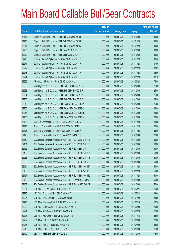|       |                                                                | No. of        |                     |               | <b>Amount raised</b> |
|-------|----------------------------------------------------------------|---------------|---------------------|---------------|----------------------|
| Code  | <b>Callable Bull/Bear Contracts</b>                            | issue (units) | <b>Listing date</b> | <b>Expiry</b> | (HK\$ mil.)          |
| 62147 | Citigroup Global Mkt H Inc. - HSI R Bull CBBC Oct 2013 U       | 120,000,000   | 2013/07/03          | 2013/10/30    | 30.00                |
| 62246 | Citigroup Global Mkt H Inc. - HSI R Bull CBBC Jan 2014 I       | 120,000,000   | 2013/07/03          | 2014/01/29    | 30.00                |
| 62247 | Citigroup Global Mkt H Inc. - HSI R Bull CBBC Jan 2014 J       | 120,000,000   | 2013/07/03          | 2014/01/29    | 30.00                |
| 62235 | Citigroup Global Mkt H Inc. - HSI R Bear CBBC Oct 2013 Q       | 120,000,000   | 2013/07/03          | 2013/10/30    | 30.00                |
| 62239 | Citigroup Global Mkt H Inc. - HSI R Bear CBBC Oct 2013 R       | 120,000,000   | 2013/07/03          | 2013/10/30    | 30.00                |
| 62270 | Goldman Sachs SP (Asia) - HSI R Bull CBBC Nov 2013 E           | 150,000,000   | 2013/07/03          | 2013/11/28    | 38.40                |
| 62271 | Goldman Sachs SP (Asia) - HSI R Bull CBBC Nov 2013 F           | 150,000,000   | 2013/07/03          | 2013/11/28    | 37.95                |
| 62272 | Goldman Sachs SP (Asia) - HSI R Bull CBBC Nov 2013 G           | 150,000,000   | 2013/07/03          | 2013/11/28    | 38.85                |
| 62273 | Goldman Sachs SP (Asia) - HSI R Bull CBBC Nov 2013 H           | 150,000,000   | 2013/07/03          | 2013/11/28    | 38.55                |
| 62274 | Goldman Sachs SP (Asia) - HSI R Bull CBBC Nov 2013 I           | 150,000,000   | 2013/07/03          | 2013/11/28    | 38.10                |
| 62269 | J P Morgan SP BV - HSI R Bull CBBC Mar 2014 L                  | 300,000,000   | 2013/07/03          | 2014/03/28    | 75.00                |
| 62259 | Merrill Lynch Int'l & Co. C.V. - HSI R Bull CBBC Dec 2013 Q    | 100,000,000   | 2013/07/03          | 2013/12/30    | 25.00                |
| 62263 | Merrill Lynch Int'l & Co. C.V. - HSI R Bull CBBC Dec 2013 R    | 100,000,000   | 2013/07/03          | 2013/12/30    | 25.00                |
| 62264 | Merrill Lynch Int'l & Co. C.V. - HSI R Bull CBBC Dec 2013 S    | 100,000,000   | 2013/07/03          | 2013/12/30    | 25.00                |
| 62265 | Merrill Lynch Int'l & Co. C.V. - HSI R Bull CBBC Dec 2013 T    | 100,000,000   | 2013/07/03          | 2013/12/30    | 25.00                |
| 62248 | Merrill Lynch Int'l & Co. C.V. - HSI R Bear CBBC Dec 2013 P    | 100,000,000   | 2013/07/03          | 2013/12/30    | 25.00                |
| 62255 | Merrill Lynch Int'l & Co. C.V. - HSI R Bear CBBC Dec 2013 Q    | 100,000,000   | 2013/07/03          | 2013/12/30    | 25.00                |
| 62257 | Merrill Lynch Int'l & Co. C.V. - HSI R Bear CBBC Dec 2013 R    | 100,000,000   | 2013/07/03          | 2013/12/30    | 25.00                |
| 62258 | Merrill Lynch Int'l & Co. C.V. - HSI R Bear CBBC Dec 2013 S    | 100,000,000   | 2013/07/03          | 2013/12/30    | 25.00                |
| 62123 | Standard Chartered Bank - HSI R Bull CBBC Nov 2013 K           | 100,000,000   | 2013/07/03          | 2013/11/28    | 25.00                |
| 62125 | Standard Chartered Bank - HSI R Bull CBBC Nov 2013 L           | 100,000,000   | 2013/07/03          | 2013/11/28    | 25.00                |
| 62126 | Standard Chartered Bank - HSI R Bull CBBC Nov 2013 M           | 100,000,000   | 2013/07/03          | 2013/11/28    | 25.00                |
| 62120 | Standard Chartered Bank - HSI R Bear CBBC Oct 2013 Q           | 100,000,000   | 2013/07/03          | 2013/10/30    | 25.00                |
| 62150 | SGA Societe Generale Acceptance N.V. - HSI R Bull CBBC Oct 13D | 200,000,000   | 2013/07/03          | 2013/10/30    | 50.00                |
| 62151 | SGA Societe Generale Acceptance N.V. - HSI R Bull CBBC Oct 13E | 200,000,000   | 2013/07/03          | 2013/10/30    | 50.00                |
| 62152 | SGA Societe Generale Acceptance N.V. - HSI R Bull CBBC Oct 13F | 200,000,000   | 2013/07/03          | 2013/10/30    | 50.00                |
| 62153 | SGA Societe Generale Acceptance N.V. - HSI R Bull CBBC Oct 13G | 200,000,000   | 2013/07/03          | 2013/10/30    | 50.00                |
| 62266 | SGA Societe Generale Acceptance N.V. - HSI R Bull CBBC Oct 13H | 200,000,000   | 2013/07/03          | 2013/10/30    | 50.00                |
| 62268 | SGA Societe Generale Acceptance N.V. - HSI R Bull CBBC Oct 131 | 200,000,000   | 2013/07/03          | 2013/10/30    | 50.00                |
| 62154 | SGA Societe Generale Acceptance N.V. - HSI R Bull CBBC Nov 13A | 200,000,000   | 2013/07/03          | 2013/11/28    | 50.00                |
| 62155 | SGA Societe Generale Acceptance N.V. - HSI R Bull CBBC Nov 13B | 200,000,000   | 2013/07/03          | 2013/11/28    | 50.00                |
| 62157 | SGA Societe Generale Acceptance N.V. - HSI R Bull CBBC Nov 13C | 200,000,000   | 2013/07/03          | 2013/11/28    | 50.00                |
| 62159 | SGA Societe Generale Acceptance N.V. - HSI R Bear CBBC Oct 13T | 200,000,000   | 2013/07/03          | 2013/10/30    | 50.00                |
| 62162 | SGA Societe Generale Acceptance N.V. - HSI R Bear CBBC Oct 13U | 200,000,000   | 2013/07/03          | 2013/10/30    | 50.00                |
| 62231 | UBS AG - CC Bank R Bull CBBC Jul 2014 A                        | 100,000,000   | 2013/07/03          | 2014/07/21    | 25.00                |
| 62226 | UBS AG - China Life R Bull CBBC Jul 2014 A                     | 100,000,000   | 2013/07/03          | 2014/07/14    | 42.00                |
| 62225 | UBS AG - China Life R Bear CBBC Jan 2014 B                     | 100,000,000   | 2013/07/03          | 2014/01/20    | 28.50                |
| 62228 | UBS AG - Minsheng Bank R Bull CBBC Mar 2014 A                  | 50,000,000    | 2013/07/03          | 2014/03/10    | 12.50                |
| 62222 | UBS AG - CSOP A50 ETF R Bull CBBC Jun 2014 A                   | 100,000,000   | 2013/07/03          | 2014/06/09    | 25.00                |
| 62221 | UBS AG - A50 China R Bull CBBC Jun 2014 A                      | 100,000,000   | 2013/07/03          | 2014/06/23    | 25.00                |
| 62217 | UBS AG - A50 China R Bear CBBC Nov 2013 B                      | 100,000,000   | 2013/07/03          | 2013/11/18    | 25.00                |
| 62232 | UBS AG - HKEx R Bull CBBC Jun 2014 A                           | 100,000,000   | 2013/07/03          | 2014/06/09    | 25.00                |
| 62216 | UBS AG - HSCEI R Bull CBBC Apr 2014 B                          | 100,000,000   | 2013/07/03          | 2014/04/29    | 25.00                |
| 62215 | UBS AG - HSCEIR Bear CBBC Oct 2013 E                           | 100,000,000   | 2013/07/03          | 2013/10/30    | 25.00                |
| 62149 | UBS AG - HSI R Bull CBBC Dec 2013 O                            | 300,000,000   | 2013/07/03          | 2013/12/30    | 75.00                |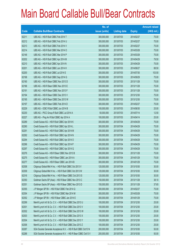|       |                                                                | No. of        |                     |               | <b>Amount raised</b> |
|-------|----------------------------------------------------------------|---------------|---------------------|---------------|----------------------|
| Code  | <b>Callable Bull/Bear Contracts</b>                            | issue (units) | <b>Listing date</b> | <b>Expiry</b> | (HK\$ mil.)          |
| 62211 | UBS AG - HSI R Bull CBBC Feb 2014 T                            | 300,000,000   | 2013/07/03          | 2014/02/27    | 75.00                |
| 62212 | UBS AG - HSI R Bull CBBC Feb 2014 U                            | 300,000,000   | 2013/07/03          | 2014/02/27    | 75.00                |
| 62213 | UBS AG - HSI R Bull CBBC Feb 2014 V                            | 300,000,000   | 2013/07/03          | 2014/02/27    | 75.00                |
| 62214 | UBS AG - HSI R Bull CBBC Mar 2014 O                            | 300,000,000   | 2013/07/03          | 2014/03/28    | 75.00                |
| 62148 | UBS AG - HSI R Bull CBBC Mar 2014 P                            | 300,000,000   | 2013/07/03          | 2014/03/28    | 75.00                |
| 62202 | UBS AG - HSI R Bull CBBC Apr 2014 M                            | 300,000,000   | 2013/07/03          | 2014/04/29    | 79.50                |
| 62210 | UBS AG - HSI R Bull CBBC Apr 2014 N                            | 300,000,000   | 2013/07/03          | 2014/04/29    | 75.00                |
| 62201 | UBS AG - HSI R Bull CBBC Jun 2014 H                            | 300,000,000   | 2013/07/03          | 2014/06/27    | 88.50                |
| 62200 | UBS AG - HSI R Bull CBBC Jul 2014 E                            | 300,000,000   | 2013/07/03          | 2014/07/30    | 103.50               |
| 62198 | UBS AG - HSI R Bull CBBC Sep 2014 G                            | 300,000,000   | 2013/07/03          | 2014/09/29    | 75.00                |
| 62190 | UBS AG - HSI R Bear CBBC Nov 2013 D                            | 300,000,000   | 2013/07/03          | 2013/11/28    | 75.00                |
| 62196 | UBS AG - HSI R Bear CBBC Nov 2013 E                            | 300,000,000   | 2013/07/03          | 2013/11/28    | 75.00                |
| 62191 | UBS AG - HSI R Bear CBBC Nov 2013 F                            | 300,000,000   | 2013/07/03          | 2013/11/28    | 75.00                |
| 62194 | UBS AG - HSI R Bear CBBC Dec 2013 V                            | 300,000,000   | 2013/07/03          | 2013/12/30    | 75.00                |
| 62195 | UBS AG - HSI R Bear CBBC Dec 2013 W                            | 300,000,000   | 2013/07/03          | 2013/12/30    | 75.00                |
| 62197 | UBS AG - HSI R Bear CBBC Feb 2014 D                            | 300,000,000   | 2013/07/03          | 2014/02/27    | 75.00                |
| 62229 | UBS AG - ICBC R Bull CBBC Jun 2014 B                           | 100,000,000   | 2013/07/03          | 2014/06/30    | 25.00                |
| 62230 | UBS AG - PICC Group R Bull CBBC Jul 2014 A                     | 50,000,000    | 2013/07/03          | 2014/07/14    | 12.50                |
| 62227 | UBS AG - Ping An R Bull CBBC Apr 2014 A                        | 100,000,000   | 2013/07/03          | 2014/04/14    | 25.00                |
| 62289 | Credit Suisse AG - HSI R Bull CBBC Apr 2014 K                  | 300,000,000   | 2013/07/04          | 2014/04/29    | 75.00                |
| 62290 | Credit Suisse AG - HSI R Bull CBBC Apr 2014 L                  | 300,000,000   | 2013/07/04          | 2014/04/29    | 75.00                |
| 62291 | Credit Suisse AG - HSI R Bull CBBC Apr 2014 M                  | 300,000,000   | 2013/07/04          | 2014/04/29    | 75.00                |
| 62292 | Credit Suisse AG - HSI R Bull CBBC Apr 2014 N                  | 300,000,000   | 2013/07/04          | 2014/04/29    | 75.00                |
| 62294 | Credit Suisse AG - HSI R Bull CBBC Apr 2014 O                  | 300,000,000   | 2013/07/04          | 2014/04/29    | 75.00                |
| 62296 | Credit Suisse AG - HSI R Bull CBBC Apr 2014 P                  | 300,000,000   | 2013/07/04          | 2014/04/29    | 75.00                |
| 62297 | Credit Suisse AG - HSI R Bull CBBC Apr 2014 Q                  | 300,000,000   | 2013/07/04          | 2014/04/29    | 75.00                |
| 62276 | Credit Suisse AG - HSI R Bear CBBC Nov 2013 B                  | 300,000,000   | 2013/07/04          | 2013/11/28    | 75.00                |
| 62275 | Credit Suisse AG - HSI R Bear CBBC Jan 2014 A                  | 300,000,000   | 2013/07/04          | 2014/01/29    | 75.00                |
| 62277 | Credit Suisse AG - HSI R Bear CBBC Jan 2014 B                  | 300,000,000   | 2013/07/04          | 2014/01/29    | 75.00                |
| 62308 | Citigroup Global Mkt H Inc. - HSI R Bull CBBC Oct 2013 V       | 120,000,000   | 2013/07/04          | 2013/10/30    | 30.00                |
| 62309 | Citigroup Global Mkt H Inc. - HSI R Bull CBBC Oct 2013 W       | 120,000,000   | 2013/07/04          | 2013/10/30    | 30.00                |
| 62316 | Citigroup Global Mkt H Inc. - HSI R Bear CBBC Oct 2013 S       | 120,000,000   | 2013/07/04          | 2013/10/30    | 30.00                |
| 62350 | Goldman Sachs SP (Asia) - HSI R Bear CBBC Nov 2013 C           | 150,000,000   | 2013/07/04          | 2013/11/28    | 38.10                |
| 62351 | Goldman Sachs SP (Asia) - HSI R Bear CBBC Nov 2013 D           | 150,000,000   | 2013/07/04          | 2013/11/28    | 37.65                |
| 62355 | J P Morgan SP BV - HSI R Bull CBBC Feb 2014 Q                  | 300,000,000   | 2013/07/04          | 2014/02/27    | 75.00                |
| 62354 | J P Morgan SP BV - HSI R Bull CBBC Mar 2014 M                  | 300,000,000   | 2013/07/04          | 2014/03/28    | 75.00                |
| 62352 | J P Morgan SP BV - HSI R Bear CBBC Jan 2014 E                  | 300,000,000   | 2013/07/04          | 2014/01/29    | 75.00                |
| 62299 | Merrill Lynch Int'l & Co. C.V. - HSI R Bull CBBC Dec 2013 U    | 100,000,000   | 2013/07/04          | 2013/12/30    | 25.00                |
| 62301 | Merrill Lynch Int'l & Co. C.V. - HSI R Bull CBBC Dec 2013 V    | 100,000,000   | 2013/07/04          | 2013/12/30    | 25.00                |
| 62302 | Merrill Lynch Int'l & Co. C.V. - HSI R Bull CBBC Dec 2013 W    | 100,000,000   | 2013/07/04          | 2013/12/30    | 25.00                |
| 62303 | Merrill Lynch Int'l & Co. C.V. - HSI R Bull CBBC Dec 2013 X    | 100,000,000   | 2013/07/04          | 2013/12/30    | 25.00                |
| 62304 | Merrill Lynch Int'l & Co. C.V. - HSI R Bull CBBC Dec 2013 Y    | 100,000,000   | 2013/07/04          | 2013/12/30    | 25.00                |
| 62306 | Merrill Lynch Int'l & Co. C.V. - HSI R Bull CBBC Dec 2013 Z    | 100,000,000   | 2013/07/04          | 2013/12/30    | 25.00                |
| 62287 | SGA Societe Generale Acceptance N.V. - HSI R Bull CBBC Oct13 N | 200,000,000   | 2013/07/04          | 2013/10/30    | 50.00                |
| 62288 | SGA Societe Generale Acceptance N.V. - HSI R Bear CBBC Oct13 V | 200,000,000   | 2013/07/04          | 2013/10/30    | 50.00                |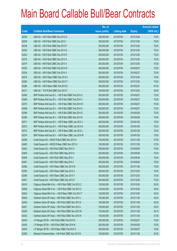|       |                                                          | No. of        |                     |               | <b>Amount raised</b> |
|-------|----------------------------------------------------------|---------------|---------------------|---------------|----------------------|
| Code  | <b>Callable Bull/Bear Contracts</b>                      | issue (units) | <b>Listing date</b> | <b>Expiry</b> | (HK\$ mil.)          |
| 62326 | UBS AG - HSI R Bull CBBC Dec 2013 G                      | 300,000,000   | 2013/07/04          | 2013/12/30    | 75.00                |
| 62328 | UBS AG - HSI R Bull CBBC Dec 2013 I                      | 300,000,000   | 2013/07/04          | 2013/12/30    | 75.00                |
| 62339 | UBS AG - HSI R Bull CBBC Dec 2013 P                      | 300,000,000   | 2013/07/04          | 2013/12/30    | 75.00                |
| 62320 | UBS AG - HSI R Bull CBBC Dec 2013 Q                      | 300,000,000   | 2013/07/04          | 2013/12/30    | 75.00                |
| 62323 | UBS AG - HSI R Bull CBBC Dec 2013 R                      | 300,000,000   | 2013/07/04          | 2013/12/30    | 75.00                |
| 62318 | UBS AG - HSI R Bull CBBC Dec 2013 S                      | 300,000,000   | 2013/07/04          | 2013/12/30    | 75.00                |
| 62319 | UBS AG - HSI R Bull CBBC Dec 2013 X                      | 300,000,000   | 2013/07/04          | 2013/12/30    | 75.00                |
| 62325 | UBS AG - HSI R Bull CBBC Feb 2014 W                      | 300,000,000   | 2013/07/04          | 2014/02/27    | 75.00                |
| 62338 | UBS AG - HSI R Bull CBBC Feb 2014 X                      | 300,000,000   | 2013/07/04          | 2014/02/27    | 75.00                |
| 62279 | UBS AG - HSI R Bear CBBC Dec 2013 X                      | 300,000,000   | 2013/07/04          | 2013/12/30    | 75.00                |
| 62280 | UBS AG - HSI R Bear CBBC Dec 2013 Y                      | 300,000,000   | 2013/07/04          | 2013/12/30    | 75.00                |
| 62286 | UBS AG - HSI R Bear CBBC Feb 2014 E                      | 350,000,000   | 2013/07/04          | 2014/02/27    | 87.50                |
| 62317 | UBS AG - TCH R Bull CBBC Dec 2013 F                      | 100,000,000   | 2013/07/04          | 2013/12/02    | 29.00                |
| 62368 | BNP Paribas Arbit Issu B.V. - HSI R Bull CBBC Feb 2014 U | 300,000,000   | 2013/07/05          | 2014/02/27    | 75.00                |
| 62369 | BNP Paribas Arbit Issu B.V. - HSI R Bull CBBC Feb 2014 V | 300,000,000   | 2013/07/05          | 2014/02/27    | 75.00                |
| 62370 | BNP Paribas Arbit Issu B.V. - HSI R Bull CBBC Feb 2014 W | 300,000,000   | 2013/07/05          | 2014/02/27    | 75.00                |
| 62408 | BNP Paribas Arbit Issu B.V. - HSI R Bull CBBC Feb 2014 X | 300,000,000   | 2013/07/05          | 2014/02/27    | 75.00                |
| 62396 | BNP Paribas Arbit Issu B.V. - HSI R Bull CBBC Mar 2014 Q | 300,000,000   | 2013/07/05          | 2014/03/28    | 75.00                |
| 62398 | BNP Paribas Arbit Issu B.V. - HSI R Bull CBBC Mar 2014 R | 300,000,000   | 2013/07/05          | 2014/03/28    | 75.00                |
| 62371 | BNP Paribas Arbit Issu B.V. - HSI R Bear CBBC Jan 2014 J | 300,000,000   | 2013/07/05          | 2014/01/29    | 75.00                |
| 62372 | BNP Paribas Arbit Issu B.V. - HSI R Bear CBBC Jan 2014 K | 300,000,000   | 2013/07/05          | 2014/01/29    | 75.00                |
| 62373 | BNP Paribas Arbit Issu B.V. - HSI R Bear CBBC Jan 2014 L | 300,000,000   | 2013/07/05          | 2014/01/29    | 75.00                |
| 62374 | BNP Paribas Arbit Issu B.V. - HSI R Bear CBBC Jan 2014 M | 300,000,000   | 2013/07/05          | 2014/01/29    | 75.00                |
| 62399 | Credit Suisse AG - HSCEI R Bull CBBC Nov 2013 A          | 150,000,000   | 2013/07/05          | 2013/11/28    | 37.50                |
| 62400 | Credit Suisse AG - HSCEI R Bear CBBC Nov 2013 A          | 150,000,000   | 2013/07/05          | 2013/11/28    | 37.50                |
| 62402 | Credit Suisse AG - HSI R Bull CBBC May 2014 G            | 300,000,000   | 2013/07/05          | 2014/05/29    | 75.00                |
| 62405 | Credit Suisse AG - HSI R Bull CBBC May 2014 H            | 300,000,000   | 2013/07/05          | 2014/05/29    | 75.00                |
| 62406 | Credit Suisse AG - HSI R Bull CBBC May 2014 I            | 300,000,000   | 2013/07/05          | 2014/05/29    | 75.00                |
| 62407 | Credit Suisse AG - HSI R Bull CBBC May 2014 J            | 300,000,000   | 2013/07/05          | 2014/05/29    | 75.00                |
| 62382 | Credit Suisse AG - HSI R Bear CBBC Nov 2013 W            | 300,000,000   | 2013/07/05          | 2013/11/28    | 75.00                |
| 62383 | Credit Suisse AG - HSI R Bear CBBC Dec 2013 X            | 300,000,000   | 2013/07/05          | 2013/12/30    | 75.00                |
| 62385 | Credit Suisse AG - HSI R Bear CBBC Dec 2013 Y            | 300,000,000   | 2013/07/05          | 2013/12/30    | 75.00                |
| 62401 | Credit Suisse AG - HSI R Bear CBBC Dec 2013 Z            | 300,000,000   | 2013/07/05          | 2013/12/30    | 75.00                |
| 62410 | Citigroup Global Mkt H Inc. - HSI R Bull CBBC Oct 2013 C | 120,000,000   | 2013/07/05          | 2013/10/30    | 30.00                |
| 62409 | Citigroup Global Mkt H Inc. - HSI R Bull CBBC Oct 2013 Z | 120,000,000   | 2013/07/05          | 2013/10/30    | 30.00                |
| 62422 | Citigroup Global Mkt H Inc. - HSI R Bear CBBC Oct 2013 T | 120,000,000   | 2013/07/05          | 2013/10/30    | 30.00                |
| 62425 | Goldman Sachs SP (Asia) - HSI R Bull CBBC Nov 2013 J     | 150,000,000   | 2013/07/05          | 2013/11/28    | 38.25                |
| 62426 | Goldman Sachs SP (Asia) - HSI R Bull CBBC Nov 2013 K     | 150,000,000   | 2013/07/05          | 2013/11/28    | 38.25                |
| 62427 | Goldman Sachs SP (Asia) - HSI R Bull CBBC Nov 2013 L     | 150,000,000   | 2013/07/05          | 2013/11/28    | 38.25                |
| 62429 | Goldman Sachs SP (Asia) - HSI R Bull CBBC Nov 2013 M     | 150,000,000   | 2013/07/05          | 2013/11/28    | 38.10                |
| 62432 | Goldman Sachs SP (Asia) - HSI R Bull CBBC Nov 2013 N     | 150,000,000   | 2013/07/05          | 2013/11/28    | 37.95                |
| 62435 | J P Morgan SP BV - HSI R Bull CBBC Feb 2014 R            | 300,000,000   | 2013/07/05          | 2014/02/27    | 75.00                |
| 62434 | J P Morgan SP BV - HSI R Bull CBBC Mar 2014 N            | 300,000,000   | 2013/07/05          | 2014/03/28    | 75.00                |
| 62433 | J P Morgan SP BV - HSI R Bear CBBC Feb 2014 C            | 300,000,000   | 2013/07/05          | 2014/02/27    | 75.00                |
| 62356 | Standard Chartered Bank - HSI R Bull CBBC Nov 2013 N     | 100,000,000   | 2013/07/05          | 2013/11/28    | 25.00                |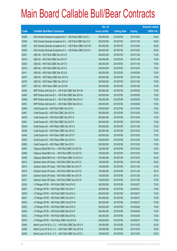|       |                                                                | No. of        |                     |               | <b>Amount raised</b> |
|-------|----------------------------------------------------------------|---------------|---------------------|---------------|----------------------|
| Code  | <b>Callable Bull/Bear Contracts</b>                            | issue (units) | <b>Listing date</b> | <b>Expiry</b> | $(HK$$ mil.)         |
| 62389 | SGA Societe Generale Acceptance N.V. - HSI R Bull CBBC Oct13 J | 200,000,000   | 2013/07/05          | 2013/10/30    | 50.00                |
| 62394 | SGA Societe Generale Acceptance N.V. - HSI R Bull CBBC Nov13 D | 200,000,000   | 2013/07/05          | 2013/11/28    | 50.00                |
| 62357 | SGA Societe Generale Acceptance N.V. - HSI R Bear CBBC Oct13 W | 200,000,000   | 2013/07/05          | 2013/10/30    | 50.00                |
| 62365 | SGA Societe Generale Acceptance N.V. - HSI R Bear CBBC Oct13 X | 200,000,000   | 2013/07/05          | 2013/10/30    | 50.00                |
| 62421 | UBS AG - HSI R Bull CBBC Nov 2013 D                            | 300,000,000   | 2013/07/05          | 2013/11/28    | 75.00                |
| 62419 | UBS AG - HSI R Bull CBBC Nov 2013 P                            | 300,000,000   | 2013/07/05          | 2013/11/28    | 75.00                |
| 62420 | UBS AG - HSI R Bull CBBC Nov 2013 S                            | 300,000,000   | 2013/07/05          | 2013/11/28    | 75.00                |
| 62418 | UBS AG - HSI R Bull CBBC Dec 2013 U                            | 300,000,000   | 2013/07/05          | 2013/12/30    | 75.00                |
| 62411 | UBS AG - HSI R Bull CBBC Mar 2014 Q                            | 300,000,000   | 2013/07/05          | 2014/03/28    | 75.00                |
| 62375 | UBS AG - HSI R Bear CBBC Nov 2013 G                            | 300,000,000   | 2013/07/05          | 2013/11/28    | 75.00                |
| 62376 | UBS AG - HSI R Bear CBBC Nov 2013 H                            | 300,000,000   | 2013/07/05          | 2013/11/28    | 75.00                |
| 62377 | UBS AG - HSI R Bear CBBC Jan 2014 B                            | 300,000,000   | 2013/07/05          | 2014/01/29    | 75.00                |
| 62493 | BNP Paribas Arbit Issu B.V. - HSI R Bull CBBC Mar 2014 M       | 300,000,000   | 2013/07/08          | 2014/03/28    | 75.00                |
| 62494 | BNP Paribas Arbit Issu B.V. - HSI R Bull CBBC Mar 2014 N       | 300,000,000   | 2013/07/08          | 2014/03/28    | 75.00                |
| 62499 | BNP Paribas Arbit Issu B.V. - HSI R Bull CBBC Mar 2014 O       | 300,000,000   | 2013/07/08          | 2014/03/28    | 75.00                |
| 62501 | BNP Paribas Arbit Issu B.V. - HSI R Bull CBBC Mar 2014 U       | 300,000,000   | 2013/07/08          | 2014/03/28    | 75.00                |
| 62460 | Credit Suisse AG - HSI R Bull CBBC Dec 2013 L                  | 300,000,000   | 2013/07/08          | 2013/12/30    | 75.00                |
| 62461 | Credit Suisse AG - HSI R Bull CBBC Dec 2013 N                  | 300,000,000   | 2013/07/08          | 2013/12/30    | 75.00                |
| 62476 | Credit Suisse AG - HSI R Bull CBBC Dec 2013 O                  | 300,000,000   | 2013/07/08          | 2013/12/30    | 75.00                |
| 62481 | Credit Suisse AG - HSI R Bull CBBC Dec 2013 P                  | 300,000,000   | 2013/07/08          | 2013/12/30    | 75.00                |
| 62439 | Credit Suisse AG - HSI R Bear CBBC Nov 2013 X                  | 300,000,000   | 2013/07/08          | 2013/11/28    | 75.00                |
| 62436 | Credit Suisse AG - HSI R Bear CBBC Dec 2013 E                  | 300,000,000   | 2013/07/08          | 2013/12/30    | 75.00                |
| 62440 | Credit Suisse AG - HSI R Bear CBBC Dec 2013 F                  | 300,000,000   | 2013/07/08          | 2013/12/30    | 75.00                |
| 62454 | Credit Suisse AG - HSI R Bear CBBC Dec 2013 H                  | 300,000,000   | 2013/07/08          | 2013/12/30    | 75.00                |
| 62482 | Credit Suisse AG - HSI R Bear CBBC Dec 2013 I                  | 300,000,000   | 2013/07/08          | 2013/12/30    | 75.00                |
| 62487 | Citigroup Global Mkt H Inc. - HSI R Bull CBBC Oct 2013 B       | 120,000,000   | 2013/07/08          | 2013/10/30    | 30.00                |
| 62488 | Citigroup Global Mkt H Inc. - HSI R Bull CBBC Oct 2013 D       | 120,000,000   | 2013/07/08          | 2013/10/30    | 30.00                |
| 62492 | Citigroup Global Mkt H Inc. - HSI R Bear CBBC Oct 2013 U       | 120,000,000   | 2013/07/08          | 2013/10/30    | 30.00                |
| 62513 | Goldman Sachs SP (Asia) - HSI R Bull CBBC Nov 2013 O           | 150,000,000   | 2013/07/08          | 2013/11/28    | 38.25                |
| 62514 | Goldman Sachs SP (Asia) - HSI R Bull CBBC Nov 2013 P           | 150,000,000   | 2013/07/08          | 2013/11/28    | 37.95                |
| 62515 | Goldman Sachs SP (Asia) - HSI R Bull CBBC Nov 2013 Q           | 150,000,000   | 2013/07/08          | 2013/11/28    | 38.70                |
| 62516 | Goldman Sachs SP (Asia) - HSI R Bull CBBC Nov 2013 R           | 150,000,000   | 2013/07/08          | 2013/11/28    | 38.10                |
| 62517 | Goldman Sachs SP (Asia) - HSI R Bull CBBC Nov 2013 S           | 150,000,000   | 2013/07/08          | 2013/11/28    | 37.80                |
| 62524 | J P Morgan SP BV - HSI R Bull CBBC Feb 2014 S                  | 300,000,000   | 2013/07/08          | 2014/02/27    | 75.00                |
| 62527 | J P Morgan SP BV - HSI R Bull CBBC Feb 2014 T                  | 300,000,000   | 2013/07/08          | 2014/02/27    | 75.00                |
| 62530 | J P Morgan SP BV - HSI R Bull CBBC Feb 2014 U                  | 300,000,000   | 2013/07/08          | 2014/02/27    | 75.00                |
| 62531 | J P Morgan SP BV - HSI R Bull CBBC Feb 2014 V                  | 300,000,000   | 2013/07/08          | 2014/02/27    | 75.00                |
| 62533 | J P Morgan SP BV - HSI R Bull CBBC Feb 2014 W                  | 300,000,000   | 2013/07/08          | 2014/02/27    | 75.00                |
| 62523 | J P Morgan SP BV - HSI R Bull CBBC Mar 2014 O                  | 300,000,000   | 2013/07/08          | 2014/03/28    | 75.00                |
| 62529 | J P Morgan SP BV - HSI R Bull CBBC Mar 2014 P                  | 300,000,000   | 2013/07/08          | 2014/03/28    | 75.00                |
| 62532 | J P Morgan SP BV - HSI R Bull CBBC Mar 2014 Q                  | 300,000,000   | 2013/07/08          | 2014/03/28    | 75.00                |
| 62518 | J P Morgan SP BV - HSI R Bear CBBC Feb 2014 D                  | 300,000,000   | 2013/07/08          | 2014/02/27    | 75.00                |
| 62484 | Merrill Lynch Int'l & Co. C.V. - HSI R Bull CBBC Dec 2013 A    | 100,000,000   | 2013/07/08          | 2013/12/30    | 25.00                |
| 62485 | Merrill Lynch Int'l & Co. C.V. - HSI R Bull CBBC Dec 2013 B    | 100,000,000   | 2013/07/08          | 2013/12/30    | 25.00                |
| 62483 | Merrill Lynch Int'l & Co. C.V. - HSI R Bull CBBC Dec 2013 C    | 100,000,000   | 2013/07/08          | 2013/12/30    | 25.00                |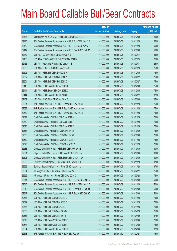|       |                                                                | No. of        |                     |               | <b>Amount raised</b> |
|-------|----------------------------------------------------------------|---------------|---------------------|---------------|----------------------|
| Code  | <b>Callable Bull/Bear Contracts</b>                            | issue (units) | <b>Listing date</b> | <b>Expiry</b> | $(HK$$ mil.)         |
| 62486 | Merrill Lynch Int'l & Co. C.V. - HSI R Bull CBBC Dec 2013 G    | 100,000,000   | 2013/07/08          | 2013/12/30    | 25.00                |
| 62445 | SGA Societe Generale Acceptance N.V. - HSI R Bull CBBC Nov13 E | 200,000,000   | 2013/07/08          | 2013/11/28    | 50.00                |
| 62450 | SGA Societe Generale Acceptance N.V. - HSI R Bull CBBC Nov13 F | 200,000,000   | 2013/07/08          | 2013/11/28    | 50.00                |
| 62447 | SGA Societe Generale Acceptance N.V. - HSI R Bear CBBC Oct13 Y | 200,000,000   | 2013/07/08          | 2013/10/30    | 50.00                |
| 62472 | UBS AG - CC Bank R Bull CBBC Mar 2014 B                        | 100,000,000   | 2013/07/08          | 2014/03/17    | 25.00                |
| 62468 | UBS AG - CSOP A50 ETF R Bull CBBC Mar 2014 B                   | 100,000,000   | 2013/07/08          | 2014/03/24    | 25.00                |
| 62466 | UBS AG - A50 China R Bull CBBC Mar 2014 B                      | 100,000,000   | 2013/07/08          | 2014/03/17    | 25.00                |
| 62506 | UBS AG - HSCEI R Bull CBBC Mar 2014 A                          | 100,000,000   | 2013/07/08          | 2014/03/28    | 25.00                |
| 62505 | UBS AG - HSI R Bull CBBC Dec 2013 V                            | 300,000,000   | 2013/07/08          | 2013/12/30    | 75.00                |
| 62502 | UBS AG - HSI R Bull CBBC Feb 2014 Y                            | 300,000,000   | 2013/07/08          | 2014/02/27    | 75.00                |
| 62504 | UBS AG - HSI R Bull CBBC Feb 2014 Z                            | 300,000,000   | 2013/07/08          | 2014/02/27    | 75.00                |
| 62443 | UBS AG - HSI R Bear CBBC Dec 2013 D                            | 300,000,000   | 2013/07/08          | 2013/12/30    | 75.00                |
| 62441 | UBS AG - HSI R Bear CBBC Dec 2013 Z                            | 300,000,000   | 2013/07/08          | 2013/12/30    | 75.00                |
| 62444 | UBS AG - HSI R Bear CBBC Feb 2014 F                            | 350,000,000   | 2013/07/08          | 2014/02/27    | 87.50                |
| 62469 | UBS AG - ICBC R Bull CBBC Mar 2014 A                           | 100,000,000   | 2013/07/08          | 2014/03/03    | 25.00                |
| 62534 | BNP Paribas Arbit Issu B.V. - HSI R Bear CBBC Nov 2013 V       | 300,000,000   | 2013/07/09          | 2013/11/28    | 75.00                |
| 62538 | BNP Paribas Arbit Issu B.V. - HSI R Bear CBBC Nov 2013 W       | 300,000,000   | 2013/07/09          | 2013/11/28    | 75.00                |
| 62572 | BNP Paribas Arbit Issu B.V. - HSI R Bear CBBC Nov 2013 X       | 300,000,000   | 2013/07/09          | 2013/11/28    | 75.00                |
| 62571 | Credit Suisse AG - HSI R Bull CBBC Jan 2014 A                  | 300,000,000   | 2013/07/09          | 2014/01/29    | 75.00                |
| 62569 | Credit Suisse AG - HSI R Bull CBBC Jan 2014 Y                  | 300,000,000   | 2013/07/09          | 2014/01/29    | 75.00                |
| 62570 | Credit Suisse AG - HSI R Bull CBBC Jan 2014 Z                  | 300,000,000   | 2013/07/09          | 2014/01/29    | 75.00                |
| 62587 | Credit Suisse AG - HSI R Bear CBBC Oct 2013 P                  | 300,000,000   | 2013/07/09          | 2013/10/30    | 75.00                |
| 62586 | Credit Suisse AG - HSI R Bear CBBC Oct 2013 R                  | 300,000,000   | 2013/07/09          | 2013/10/30    | 75.00                |
| 62589 | Credit Suisse AG - HSI R Bear CBBC Nov 2013 Y                  | 300,000,000   | 2013/07/09          | 2013/11/28    | 75.00                |
| 62590 | Credit Suisse AG - HSI R Bear CBBC Nov 2013 Z                  | 300,000,000   | 2013/07/09          | 2013/11/28    | 75.00                |
| 62583 | Citigroup Global Mkt H Inc. - HSI R Bull CBBC Oct 2013 E       | 120,000,000   | 2013/07/09          | 2013/10/30    | 30.00                |
| 62591 | Citigroup Global Mkt H Inc. - HSI R Bear CBBC Oct 2013 V       | 120,000,000   | 2013/07/09          | 2013/10/30    | 30.00                |
| 62593 | Citigroup Global Mkt H Inc. - HSI R Bear CBBC Oct 2013 W       | 120,000,000   | 2013/07/09          | 2013/10/30    | 30.00                |
| 62598 | Goldman Sachs SP (Asia) - HSI R Bull CBBC Nov 2013 T           | 150,000,000   | 2013/07/09          | 2013/11/28    | 37.80                |
| 62599 | Goldman Sachs SP (Asia) - HSI R Bull CBBC Nov 2013 U           | 150,000,000   | 2013/07/09          | 2013/11/28    | 37.95                |
| 62594 | J P Morgan SP BV - HSI R Bear CBBC Feb 2014 E                  | 300,000,000   | 2013/07/09          | 2014/02/27    | 75.00                |
| 62595 | J P Morgan SP BV - HSI R Bear CBBC Mar 2014 D                  | 300,000,000   | 2013/07/09          | 2014/03/28    | 75.00                |
| 62544 | SGA Societe Generale Acceptance N.V. - HSI R Bull CBBC Oct13 K | 200,000,000   | 2013/07/09          | 2013/10/30    | 50.00                |
| 62545 | SGA Societe Generale Acceptance N.V. - HSI R Bull CBBC Nov13 G | 200,000,000   | 2013/07/09          | 2013/11/28    | 50.00                |
| 62548 | SGA Societe Generale Acceptance N.V. - HSI R Bear CBBC Oct13 K | 200,000,000   | 2013/07/09          | 2013/10/30    | 50.00                |
| 62547 | SGA Societe Generale Acceptance N.V. - HSI R Bear CBBC Oct13 Z | 200,000,000   | 2013/07/09          | 2013/10/30    | 50.00                |
| 62567 | UBS AG - HSI R Bull CBBC Nov 2013 E                            | 300,000,000   | 2013/07/09          | 2013/11/28    | 75.00                |
| 62549 | UBS AG - HSI R Bull CBBC Nov 2013 Q                            | 300,000,000   | 2013/07/09          | 2013/11/28    | 75.00                |
| 62566 | UBS AG - HSI R Bull CBBC Nov 2013 T                            | 300,000,000   | 2013/07/09          | 2013/11/28    | 75.00                |
| 62553 | UBS AG - HSI R Bull CBBC Apr 2014 O                            | 300,000,000   | 2013/07/09          | 2014/04/29    | 75.00                |
| 62568 | UBS AG - HSI R Bull CBBC Apr 2014 P                            | 350,000,000   | 2013/07/09          | 2014/04/29    | 87.50                |
| 62573 | UBS AG - HSI R Bear CBBC Dec 2013 E                            | 300,000,000   | 2013/07/09          | 2013/12/30    | 75.00                |
| 62574 | UBS AG - HSI R Bear CBBC Dec 2013 F                            | 300,000,000   | 2013/07/09          | 2013/12/30    | 75.00                |
| 62584 | UBS AG - HSI R Bear CBBC Dec 2013 G                            | 350,000,000   | 2013/07/09          | 2013/12/30    | 87.50                |
| 62618 | BNP Paribas Arbit Issu B.V. - HSI R Bull CBBC Feb 2014 Y       | 300,000,000   | 2013/07/10          | 2014/02/27    | 75.00                |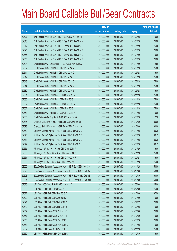|       |                                                                | No. of        |                     |               | <b>Amount raised</b> |
|-------|----------------------------------------------------------------|---------------|---------------------|---------------|----------------------|
| Code  | <b>Callable Bull/Bear Contracts</b>                            | issue (units) | <b>Listing date</b> | <b>Expiry</b> | (HK\$ mil.)          |
| 62627 | BNP Paribas Arbit Issu B.V. - HSI R Bull CBBC Mar 2014 K       | 300,000,000   | 2013/07/10          | 2014/03/28    | 75.00                |
| 62616 | BNP Paribas Arbit Issu B.V. - HSI R Bear CBBC Jan 2014 N       | 300,000,000   | 2013/07/10          | 2014/01/29    | 75.00                |
| 62617 | BNP Paribas Arbit Issu B.V. - HSI R Bear CBBC Jan 2014 O       | 300,000,000   | 2013/07/10          | 2014/01/29    | 75.00                |
| 62625 | BNP Paribas Arbit Issu B.V. - HSI R Bear CBBC Jan 2014 P       | 300,000,000   | 2013/07/10          | 2014/01/29    | 75.00                |
| 62655 | BNP Paribas Arbit Issu B.V. - HSI R Bear CBBC Jan 2014 Q       | 300,000,000   | 2013/07/10          | 2014/01/29    | 75.00                |
| 62656 | BNP Paribas Arbit Issu B.V. - HSI R Bear CBBC Jan 2014 R       | 300,000,000   | 2013/07/10          | 2014/01/29    | 75.00                |
| 62604 | Credit Suisse AG - China Mobile R Bull CBBC Nov 2013 A         | 50,000,000    | 2013/07/10          | 2013/11/29    | 12.50                |
| 62607 | Credit Suisse AG - HSI R Bull CBBC Mar 2014 N                  | 300,000,000   | 2013/07/10          | 2014/03/28    | 75.00                |
| 62611 | Credit Suisse AG - HSI R Bull CBBC Mar 2014 O                  | 300,000,000   | 2013/07/10          | 2014/03/28    | 75.00                |
| 62612 | Credit Suisse AG - HSI R Bull CBBC Mar 2014 P                  | 300,000,000   | 2013/07/10          | 2014/03/28    | 75.00                |
| 62613 | Credit Suisse AG - HSI R Bull CBBC Mar 2014 Q                  | 300,000,000   | 2013/07/10          | 2014/03/28    | 75.00                |
| 62614 | Credit Suisse AG - HSI R Bull CBBC Mar 2014 R                  | 300,000,000   | 2013/07/10          | 2014/03/28    | 75.00                |
| 62630 | Credit Suisse AG - HSI R Bull CBBC Mar 2014 S                  | 300,000,000   | 2013/07/10          | 2014/03/28    | 75.00                |
| 62631 | Credit Suisse AG - HSI R Bear CBBC Nov 2013 A                  | 300,000,000   | 2013/07/10          | 2013/11/28    | 75.00                |
| 62636 | Credit Suisse AG - HSI R Bear CBBC Nov 2013 J                  | 300,000,000   | 2013/07/10          | 2013/11/28    | 75.00                |
| 62637 | Credit Suisse AG - HSI R Bear CBBC Nov 2013 K                  | 300,000,000   | 2013/07/10          | 2013/11/28    | 75.00                |
| 62652 | Credit Suisse AG - HSI R Bear CBBC Nov 2013 L                  | 300,000,000   | 2013/07/10          | 2013/11/28    | 75.00                |
| 62653 | Credit Suisse AG - HSI R Bear CBBC Nov 2013 P                  | 300,000,000   | 2013/07/10          | 2013/11/28    | 75.00                |
| 62606 | Credit Suisse AG - Ping An R Bull CBBC Nov 2013 A              | 50,000,000    | 2013/07/10          | 2013/11/29    | 12.50                |
| 62685 | Citigroup Global Mkt H Inc. - HSI R Bull CBBC Oct 2013 F       | 120,000,000   | 2013/07/10          | 2013/10/30    | 30.00                |
| 62673 | Citigroup Global Mkt H Inc. - HSI R Bear CBBC Oct 2013 X       | 120,000,000   | 2013/07/10          | 2013/10/30    | 30.00                |
| 62669 | Goldman Sachs SP (Asia) - HSI R Bear CBBC Nov 2013 E           | 120,000,000   | 2013/07/10          | 2013/11/28    | 30.36                |
| 62670 | Goldman Sachs SP (Asia) - HSI R Bear CBBC Nov 2013 F           | 120,000,000   | 2013/07/10          | 2013/11/28    | 30.12                |
| 62671 | Goldman Sachs SP (Asia) - HSI R Bear CBBC Nov 2013 G           | 120,000,000   | 2013/07/10          | 2013/11/28    | 30.36                |
| 62672 | Goldman Sachs SP (Asia) - HSI R Bear CBBC Nov 2013 H           | 120,000,000   | 2013/07/10          | 2013/11/28    | 30.12                |
| 62665 | J P Morgan SP BV - HSI R Bear CBBC Jan 2014 F                  | 300,000,000   | 2013/07/10          | 2014/01/29    | 75.00                |
| 62666 | J P Morgan SP BV - HSI R Bear CBBC Jan 2014 G                  | 300,000,000   | 2013/07/10          | 2014/01/29    | 75.00                |
| 62667 | J P Morgan SP BV - HSI R Bear CBBC Feb 2014 F                  | 300,000,000   | 2013/07/10          | 2014/02/27    | 75.00                |
| 62668 | J P Morgan SP BV - HSI R Bear CBBC Mar 2014 E                  | 300,000,000   | 2013/07/10          | 2014/03/28    | 75.00                |
| 62600 | SGA Societe Generale Acceptance N.V. - HSI R Bull CBBC Nov13 H | 200,000,000   | 2013/07/10          | 2013/11/28    | 50.00                |
| 62623 | SGA Societe Generale Acceptance N.V. - HSI R Bear CBBC Oct13 A | 200,000,000   | 2013/07/10          | 2013/10/30    | 50.00                |
| 62603 | SGA Societe Generale Acceptance N.V. - HSI R Bear CBBC Oct13 L | 200,000,000   | 2013/07/10          | 2013/10/30    | 50.00                |
| 62624 | SGA Societe Generale Acceptance N.V. - HSI R Bear CBBC Oct13 M | 200,000,000   | 2013/07/10          | 2013/10/30    | 50.00                |
| 62626 | UBS AG - A50 China R Bull CBBC Mar 2014 C                      | 100,000,000   | 2013/07/10          | 2014/03/03    | 25.00                |
| 62638 | UBS AG - HSI R Bull CBBC Dec 2013 C                            | 300,000,000   | 2013/07/10          | 2013/12/30    | 75.00                |
| 62622 | UBS AG - HSI R Bull CBBC Dec 2013 W                            | 350,000,000   | 2013/07/10          | 2013/12/30    | 87.50                |
| 62620 | UBS AG - HSI R Bull CBBC Jan 2014 J                            | 300,000,000   | 2013/07/10          | 2014/01/29    | 75.00                |
| 62621 | UBS AG - HSI R Bull CBBC Feb 2014 C                            | 300,000,000   | 2013/07/10          | 2014/02/27    | 75.00                |
| 62640 | UBS AG - HSI R Bull CBBC Mar 2014 R                            | 300,000,000   | 2013/07/10          | 2014/03/28    | 75.00                |
| 62659 | UBS AG - HSI R Bear CBBC Oct 2013 R                            | 300,000,000   | 2013/07/10          | 2013/10/30    | 75.00                |
| 62657 | UBS AG - HSI R Bear CBBC Oct 2013 T                            | 300,000,000   | 2013/07/10          | 2013/10/30    | 75.00                |
| 62658 | UBS AG - HSI R Bear CBBC Nov 2013 I                            | 300,000,000   | 2013/07/10          | 2013/11/28    | 75.00                |
| 62661 | UBS AG - HSI R Bear CBBC Nov 2013 S                            | 300,000,000   | 2013/07/10          | 2013/11/28    | 75.00                |
| 62662 | UBS AG - HSI R Bear CBBC Nov 2013 T                            | 300,000,000   | 2013/07/10          | 2013/11/28    | 75.00                |
| 62660 | UBS AG - HSI R Bear CBBC Dec 2013 C                            | 300,000,000   | 2013/07/10          | 2013/12/30    | 75.00                |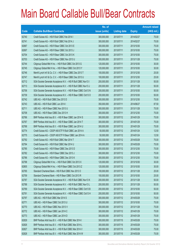|       |                                                                | No. of        |                     |               | <b>Amount raised</b> |
|-------|----------------------------------------------------------------|---------------|---------------------|---------------|----------------------|
| Code  | <b>Callable Bull/Bear Contracts</b>                            | issue (units) | <b>Listing date</b> | <b>Expiry</b> | (HK\$ mil.)          |
| 62740 | Credit Suisse AG - HSI R Bull CBBC Feb 2014 I                  | 300,000,000   | 2013/07/11          | 2014/02/27    | 75.00                |
| 62741 | Credit Suisse AG - HSI R Bull CBBC Feb 2014 J                  | 300,000,000   | 2013/07/11          | 2014/02/27    | 75.00                |
| 62687 | Credit Suisse AG - HSI R Bear CBBC Oct 2013 E                  | 300,000,000   | 2013/07/11          | 2013/10/30    | 75.00                |
| 62697 | Credit Suisse AG - HSI R Bear CBBC Oct 2013 J                  | 300,000,000   | 2013/07/11          | 2013/10/30    | 75.00                |
| 62704 | Credit Suisse AG - HSI R Bear CBBC Oct 2013 K                  | 300,000,000   | 2013/07/11          | 2013/10/30    | 75.00                |
| 62703 | Credit Suisse AG - HSI R Bear CBBC Nov 2013 U                  | 300,000,000   | 2013/07/11          | 2013/11/28    | 75.00                |
| 62744 | Citigroup Global Mkt H Inc. - HSI R Bull CBBC Oct 2013 G       | 120,000,000   | 2013/07/11          | 2013/10/30    | 30.00                |
| 62745 | Citigroup Global Mkt H Inc. - HSI R Bear CBBC Oct 2013 Y       | 120,000,000   | 2013/07/11          | 2013/10/30    | 30.00                |
| 62746 | Merrill Lynch Int'l & Co. C.V. - HSI R Bear CBBC Dec 2013 T    | 100,000,000   | 2013/07/11          | 2013/12/30    | 25.00                |
| 62747 | Merrill Lynch Int'l & Co. C.V. - HSI R Bear CBBC Dec 2013 U    | 100,000,000   | 2013/07/11          | 2013/12/30    | 25.00                |
| 62712 | SGA Societe Generale Acceptance N.V. - HSI R Bull CBBC Nov13 I | 200,000,000   | 2013/07/11          | 2013/11/28    | 50.00                |
| 62713 | SGA Societe Generale Acceptance N.V. - HSI R Bull CBBC Nov13 J | 200,000,000   | 2013/07/11          | 2013/11/28    | 50.00                |
| 62706 | SGA Societe Generale Acceptance N.V. - HSI R Bear CBBC Oct13 N | 200,000,000   | 2013/07/11          | 2013/10/30    | 50.00                |
| 62739 | SGA Societe Generale Acceptance N.V. - HSI R Bear CBBC Oct13 O | 200,000,000   | 2013/07/11          | 2013/10/30    | 50.00                |
| 62742 | UBS AG - HSI R Bull CBBC Dec 2013 D                            | 300,000,000   | 2013/07/11          | 2013/12/30    | 75.00                |
| 62743 | UBS AG - HSI R Bull CBBC Jun 2014 I                            | 350,000,000   | 2013/07/11          | 2014/06/27    | 87.50                |
| 62711 | UBS AG - HSI R Bear CBBC Nov 2013 U                            | 300,000,000   | 2013/07/11          | 2013/11/28    | 75.00                |
| 62708 | UBS AG - HSI R Bear CBBC Dec 2013 H                            | 300,000,000   | 2013/07/11          | 2013/12/30    | 75.00                |
| 62766 | BNP Paribas Arbit Issu B.V. - HSI R Bear CBBC Jan 2014 S       | 300,000,000   | 2013/07/12          | 2014/01/29    | 75.00                |
| 62767 | BNP Paribas Arbit Issu B.V. - HSI R Bear CBBC Jan 2014 T       | 300,000,000   | 2013/07/12          | 2014/01/29    | 75.00                |
| 62768 | BNP Paribas Arbit Issu B.V. - HSI R Bear CBBC Jan 2014 U       | 300,000,000   | 2013/07/12          | 2014/01/29    | 75.00                |
| 62774 | Credit Suisse AG - CSOP A50 ETF R Bull CBBC Jan 2014 A         | 50,000,000    | 2013/07/12          | 2014/01/24    | 12.50                |
| 62775 | Credit Suisse AG - CSOP A50 ETF R Bear CBBC Jan 2014 A         | 50,000,000    | 2013/07/12          | 2014/01/24    | 12.50                |
| 62792 | Credit Suisse AG - HSI R Bull CBBC Mar 2014 T                  | 300,000,000   | 2013/07/12          | 2014/03/28    | 75.00                |
| 62794 | Credit Suisse AG - HSI R Bull CBBC Mar 2014 U                  | 300,000,000   | 2013/07/12          | 2014/03/28    | 75.00                |
| 62785 | Credit Suisse AG - HSI R Bear CBBC Dec 2013 D                  | 300,000,000   | 2013/07/12          | 2013/12/30    | 75.00                |
| 62782 | Credit Suisse AG - HSI R Bear CBBC Dec 2013 J                  | 300,000,000   | 2013/07/12          | 2013/12/30    | 75.00                |
| 62786 | Credit Suisse AG - HSI R Bear CBBC Dec 2013 K                  | 300,000,000   | 2013/07/12          | 2013/12/30    | 75.00                |
| 62798 | Citigroup Global Mkt H Inc. - HSI R Bull CBBC Oct 2013 X       | 120,000,000   | 2013/07/12          | 2013/10/30    | 30.00                |
| 62805 | Citigroup Global Mkt H Inc. - HSI R Bear CBBC Oct 2013 Z       | 120,000,000   | 2013/07/12          | 2013/10/30    | 30.00                |
| 62765 | Standard Chartered Bank - HSI R Bull CBBC Nov 2013 O           | 100,000,000   | 2013/07/12          | 2013/11/28    | 25.00                |
| 62759 | Standard Chartered Bank - HSI R Bear CBBC Oct 2013 R           | 100,000,000   | 2013/07/12          | 2013/10/30    | 25.00                |
| 62787 | SGA Societe Generale Acceptance N.V. - HSI R Bull CBBC Nov13 K | 200,000,000   | 2013/07/12          | 2013/11/28    | 50.00                |
| 62788 | SGA Societe Generale Acceptance N.V. - HSI R Bull CBBC Nov13 L | 200,000,000   | 2013/07/12          | 2013/11/28    | 50.00                |
| 62769 | SGA Societe Generale Acceptance N.V. - HSI R Bear CBBC Oct13 B | 200,000,000   | 2013/07/12          | 2013/10/30    | 50.00                |
| 62791 | SGA Societe Generale Acceptance N.V. - HSI R Bear CBBC Oct13 H | 200,000,000   | 2013/07/12          | 2013/10/30    | 50.00                |
| 62797 | UBS AG - HSI R Bull CBBC Mar 2014 S                            | 300,000,000   | 2013/07/12          | 2014/03/28    | 75.00                |
| 62771 | UBS AG - HSI R Bear CBBC Oct 2013 U                            | 300,000,000   | 2013/07/12          | 2013/10/30    | 75.00                |
| 62770 | UBS AG - HSI R Bear CBBC Nov 2013 V                            | 300,000,000   | 2013/07/12          | 2013/11/28    | 75.00                |
| 62772 | UBS AG - HSI R Bear CBBC Jan 2014 C                            | 300,000,000   | 2013/07/12          | 2014/01/29    | 75.00                |
| 62773 | UBS AG - HSI R Bear CBBC Jan 2014 D                            | 300,000,000   | 2013/07/12          | 2014/01/29    | 75.00                |
| 62829 | BNP Paribas Arbit Issu B.V. - HSI R Bull CBBC Mar 2014 I       | 300,000,000   | 2013/07/15          | 2014/03/28    | 75.00                |
| 62826 | BNP Paribas Arbit Issu B.V. - HSI R Bull CBBC Mar 2014 L       | 300,000,000   | 2013/07/15          | 2014/03/28    | 75.00                |
| 62827 | BNP Paribas Arbit Issu B.V. - HSI R Bull CBBC Mar 2014 V       | 300,000,000   | 2013/07/15          | 2014/03/28    | 75.00                |
| 62828 | BNP Paribas Arbit Issu B.V. - HSI R Bull CBBC Mar 2014 W       | 300,000,000   | 2013/07/15          | 2014/03/28    | 75.00                |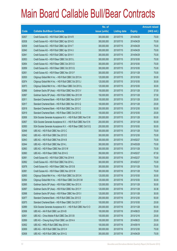|       |                                                                | No. of        |                     |               | <b>Amount raised</b> |
|-------|----------------------------------------------------------------|---------------|---------------------|---------------|----------------------|
| Code  | <b>Callable Bull/Bear Contracts</b>                            | issue (units) | <b>Listing date</b> | <b>Expiry</b> | (HK\$ mil.)          |
| 62837 | Credit Suisse AG - HSI R Bull CBBC Apr 2014 R                  | 300,000,000   | 2013/07/15          | 2014/04/29    | 75.00                |
| 62838 | Credit Suisse AG - HSI R Bull CBBC Apr 2014 S                  | 300,000,000   | 2013/07/15          | 2014/04/29    | 75.00                |
| 62839 | Credit Suisse AG - HSI R Bull CBBC Apr 2014 T                  | 300,000,000   | 2013/07/15          | 2014/04/29    | 75.00                |
| 62840 | Credit Suisse AG - HSI R Bull CBBC Apr 2014 U                  | 300,000,000   | 2013/07/15          | 2014/04/29    | 75.00                |
| 62841 | Credit Suisse AG - HSI R Bull CBBC Apr 2014 V                  | 300,000,000   | 2013/07/15          | 2014/04/29    | 75.00                |
| 62853 | Credit Suisse AG - HSI R Bear CBBC Oct 2013 L                  | 300,000,000   | 2013/07/15          | 2013/10/30    | 75.00                |
| 62854 | Credit Suisse AG - HSI R Bear CBBC Oct 2013 O                  | 300,000,000   | 2013/07/15          | 2013/10/30    | 75.00                |
| 62859 | Credit Suisse AG - HSI R Bear CBBC Oct 2013 Q                  | 300,000,000   | 2013/07/15          | 2013/10/30    | 75.00                |
| 62851 | Credit Suisse AG - HSI R Bear CBBC Nov 2013 F                  | 300,000,000   | 2013/07/15          | 2013/11/28    | 75.00                |
| 62830 | Citigroup Global Mkt H Inc. - HSI R Bull CBBC Oct 2013 A       | 120,000,000   | 2013/07/15          | 2013/10/30    | 30.00                |
| 62874 | Citigroup Global Mkt H Inc. - HSI R Bull CBBC Oct 2013 J       | 120,000,000   | 2013/07/15          | 2013/10/30    | 30.00                |
| 62873 | Citigroup Global Mkt H Inc. - HSI R Bear CBBC Oct 2013 L       | 120,000,000   | 2013/07/15          | 2013/10/30    | 30.00                |
| 62866 | Goldman Sachs SP (Asia) - HSI R Bull CBBC Nov 2013 V           | 150,000,000   | 2013/07/15          | 2013/11/28    | 37.50                |
| 62867 | Goldman Sachs SP (Asia) - HSI R Bull CBBC Nov 2013 W           | 150,000,000   | 2013/07/15          | 2013/11/28    | 37.50                |
| 62811 | Standard Chartered Bank - HSI R Bull CBBC Nov 2013 P           | 100,000,000   | 2013/07/15          | 2013/11/28    | 25.00                |
| 62817 | Standard Chartered Bank - HSI R Bull CBBC Nov 2013 Q           | 100,000,000   | 2013/07/15          | 2013/11/28    | 25.00                |
| 62818 | Standard Chartered Bank - HSI R Bull CBBC Dec 2013 C           | 200,000,000   | 2013/07/15          | 2013/12/30    | 50.00                |
| 62819 | Standard Chartered Bank - HSI R Bear CBBC Oct 2013 S           | 100,000,000   | 2013/07/15          | 2013/10/30    | 25.00                |
| 62806 | SGA Societe Generale Acceptance N.V. - HSI R Bull CBBC Nov13 M | 200,000,000   | 2013/07/15          | 2013/11/28    | 50.00                |
| 62807 | SGA Societe Generale Acceptance N.V. - HSI R Bull CBBC Nov13 N | 200,000,000   | 2013/07/15          | 2013/11/28    | 50.00                |
| 62850 | SGA Societe Generale Acceptance N.V. - HSI R Bear CBBC Oct13 Q | 200,000,000   | 2013/07/15          | 2013/10/30    | 50.00                |
| 62848 | UBS AG - HSI R Bull CBBC Nov 2013 C                            | 300,000,000   | 2013/07/15          | 2013/11/28    | 75.00                |
| 62842 | UBS AG - HSI R Bull CBBC Dec 2013 E                            | 300,000,000   | 2013/07/15          | 2013/12/30    | 75.00                |
| 62843 | UBS AG - HSI R Bull CBBC Feb 2014 B                            | 300,000,000   | 2013/07/15          | 2014/02/27    | 75.00                |
| 62844 | UBS AG - HSI R Bull CBBC Mar 2014 L                            | 300,000,000   | 2013/07/15          | 2014/03/28    | 75.00                |
| 62863 | UBS AG - HSI R Bear CBBC Nov 2013 W                            | 300,000,000   | 2013/07/15          | 2013/11/28    | 75.00                |
| 62860 | UBS AG - HSI R Bear CBBC Feb 2014 G                            | 350,000,000   | 2013/07/15          | 2014/02/27    | 87.50                |
| 62891 | Credit Suisse AG - HSI R Bull CBBC Feb 2014 K                  | 300,000,000   | 2013/07/16          | 2014/02/27    | 75.00                |
| 62892 | Credit Suisse AG - HSI R Bull CBBC Feb 2014 L                  | 300,000,000   | 2013/07/16          | 2014/02/27    | 75.00                |
| 62878 | Credit Suisse AG - HSI R Bear CBBC Nov 2013 B                  | 300,000,000   | 2013/07/16          | 2013/11/28    | 75.00                |
| 62881 | Credit Suisse AG - HSI R Bear CBBC Nov 2013 W                  | 300,000,000   | 2013/07/16          | 2013/11/28    | 75.00                |
| 62893 | Citigroup Global Mkt H Inc. - HSI R Bull CBBC Oct 2013 K       | 120,000,000   | 2013/07/16          | 2013/10/30    | 30.00                |
| 62894 | Citigroup Global Mkt H Inc. - HSI R Bear CBBC Oct 2013 M       | 120,000,000   | 2013/07/16          | 2013/10/30    | 30.00                |
| 62895 | Goldman Sachs SP (Asia) - HSI R Bull CBBC Nov 2013 X           | 120,000,000   | 2013/07/16          | 2013/11/28    | 30.00                |
| 62897 | Goldman Sachs SP (Asia) - HSI R Bull CBBC Nov 2013 Y           | 120,000,000   | 2013/07/16          | 2013/11/28    | 30.36                |
| 62898 | Goldman Sachs SP (Asia) - HSI R Bear CBBC Nov 2013 I           | 120,000,000   | 2013/07/16          | 2013/11/28    | 30.00                |
| 62877 | Standard Chartered Bank - HSI R Bull CBBC Dec 2013 D           | 200,000,000   | 2013/07/16          | 2013/12/30    | 50.00                |
| 62875 | Standard Chartered Bank - HSI R Bear CBBC Oct 2013 T           | 100,000,000   | 2013/07/16          | 2013/10/30    | 25.00                |
| 62889 | SGA Societe Generale Acceptance N.V. - HSI R Bull CBBC Nov13 O | 200,000,000   | 2013/07/16          | 2013/11/28    | 50.00                |
| 62906 | UBS AG - AIA R Bull CBBC Jun 2014 B                            | 100,000,000   | 2013/07/16          | 2014/06/23    | 25.00                |
| 62901 | UBS AG - China Mobile R Bull CBBC Dec 2013 B                   | 100,000,000   | 2013/07/16          | 2013/12/16    | 25.00                |
| 62899 | UBS AG - Cheung Kong R Bull CBBC Jun 2014 A                    | 100,000,000   | 2013/07/16          | 2014/06/23    | 25.00                |
| 62902 | UBS AG - HKEx R Bull CBBC May 2014 A                           | 100,000,000   | 2013/07/16          | 2014/05/19    | 25.00                |
| 62909 | UBS AG - HSI R Bull CBBC Dec 2013 H                            | 300,000,000   | 2013/07/16          | 2013/12/30    | 75.00                |
| 62908 | UBS AG - HSI R Bull CBBC Apr 2014 Q                            | 300,000,000   | 2013/07/16          | 2014/04/29    | 75.00                |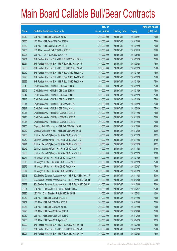|       |                                                                | No. of        |                     |               | <b>Amount raised</b> |
|-------|----------------------------------------------------------------|---------------|---------------------|---------------|----------------------|
| Code  | <b>Callable Bull/Bear Contracts</b>                            | issue (units) | <b>Listing date</b> | <b>Expiry</b> | $(HK$$ mil.)         |
| 62910 | UBS AG - HSI R Bull CBBC Jun 2014 J                            | 300,000,000   | 2013/07/16          | 2014/06/27    | 75.00                |
| 62886 | UBS AG - HSI R Bear CBBC Dec 2013 B                            | 300,000,000   | 2013/07/16          | 2013/12/30    | 75.00                |
| 62882 | UBS AG - HSI R Bear CBBC Jan 2014 E                            | 300,000,000   | 2013/07/16          | 2014/01/29    | 75.00                |
| 62903 | UBS AG - Lenovo R Bull CBBC Dec 2013 E                         | 100,000,000   | 2013/07/16          | 2013/12/16    | 25.00                |
| 62904 | UBS AG - TCH R Bull CBBC Jun 2014 A                            | 100,000,000   | 2013/07/16          | 2014/06/23    | 30.00                |
| 62951 | BNP Paribas Arbit Issu B.V. - HSI R Bull CBBC Mar 2014 J       | 300,000,000   | 2013/07/17          | 2014/03/28    | 75.00                |
| 62954 | BNP Paribas Arbit Issu B.V. - HSI R Bull CBBC Mar 2014 P       | 300,000,000   | 2013/07/17          | 2014/03/28    | 75.00                |
| 62956 | BNP Paribas Arbit Issu B.V. - HSI R Bull CBBC Mar 2014 X       | 300,000,000   | 2013/07/17          | 2014/03/28    | 75.00                |
| 62919 | BNP Paribas Arbit Issu B.V. - HSI R Bear CBBC Jan 2014 V       | 300,000,000   | 2013/07/17          | 2014/01/29    | 75.00                |
| 62920 | BNP Paribas Arbit Issu B.V. - HSI R Bear CBBC Jan 2014 W       | 300,000,000   | 2013/07/17          | 2014/01/29    | 75.00                |
| 62926 | BNP Paribas Arbit Issu B.V. - HSI R Bear CBBC Jan 2014 X       | 300,000,000   | 2013/07/17          | 2014/01/29    | 75.00                |
| 62946 | Credit Suisse AG - HSI R Bull CBBC Jan 2014 B                  | 300,000,000   | 2013/07/17          | 2014/01/29    | 75.00                |
| 62942 | Credit Suisse AG - HSI R Bull CBBC Jan 2014 D                  | 300,000,000   | 2013/07/17          | 2014/01/29    | 75.00                |
| 62947 | Credit Suisse AG - HSI R Bull CBBC Jan 2014 E                  | 300,000,000   | 2013/07/17          | 2014/01/29    | 75.00                |
| 62943 | Credit Suisse AG - HSI R Bull CBBC Jan 2014 X                  | 300,000,000   | 2013/07/17          | 2014/01/29    | 75.00                |
| 62911 | Credit Suisse AG - HSI R Bull CBBC May 2014 K                  | 300,000,000   | 2013/07/17          | 2014/05/29    | 75.00                |
| 62912 | Credit Suisse AG - HSI R Bull CBBC May 2014 L                  | 300,000,000   | 2013/07/17          | 2014/05/29    | 75.00                |
| 62917 | Credit Suisse AG - HSI R Bear CBBC Nov 2013 A                  | 300,000,000   | 2013/07/17          | 2013/11/28    | 75.00                |
| 62913 | Credit Suisse AG - HSI R Bear CBBC Nov 2013 X                  | 300,000,000   | 2013/07/17          | 2013/11/28    | 75.00                |
| 62916 | Credit Suisse AG - HSI R Bear CBBC Nov 2013 Z                  | 300,000,000   | 2013/07/17          | 2013/11/28    | 75.00                |
| 62950 | Citigroup Global Mkt H Inc. - HSI R Bull CBBC Oct 2013 H       | 120,000,000   | 2013/07/17          | 2013/10/30    | 30.00                |
| 62949 | Citigroup Global Mkt H Inc. - HSI R Bull CBBC Oct 2013 L       | 120,000,000   | 2013/07/17          | 2013/10/30    | 30.00                |
| 62968 | Goldman Sachs SP (Asia) - HSI R Bull CBBC Nov 2013 J           | 150,000,000   | 2013/07/17          | 2013/11/28    | 38.25                |
| 62969 | Goldman Sachs SP (Asia) - HSI R Bull CBBC Nov 2013 O           | 150,000,000   | 2013/07/17          | 2013/11/28    | 37.95                |
| 62971 | Goldman Sachs SP (Asia) - HSI R Bull CBBC Nov 2013 P           | 150,000,000   | 2013/07/17          | 2013/11/28    | 38.55                |
| 62972 | Goldman Sachs SP (Asia) - HSI R Bull CBBC Nov 2013 R           | 150,000,000   | 2013/07/17          | 2013/11/28    | 37.50                |
| 62965 | Goldman Sachs SP (Asia) - HSI R Bull CBBC Nov 2013 Z           | 150,000,000   | 2013/07/17          | 2013/11/28    | 37.80                |
| 62974 | J P Morgan SP BV - HSI R Bull CBBC Jan 2014 R                  | 300,000,000   | 2013/07/17          | 2014/01/29    | 75.00                |
| 62975 | J P Morgan SP BV - HSI R Bull CBBC Jan 2014 S                  | 300,000,000   | 2013/07/17          | 2014/01/29    | 75.00                |
| 62976 | J P Morgan SP BV - HSI R Bull CBBC Feb 2014 X                  | 300,000,000   | 2013/07/17          | 2014/02/27    | 75.00                |
| 62977 | J P Morgan SP BV - HSI R Bull CBBC Mar 2014 R                  | 300,000,000   | 2013/07/17          | 2014/03/28    | 75.00                |
| 62948 | SGA Societe Generale Acceptance N.V. - HSI R Bull CBBC Nov13 P | 200,000,000   | 2013/07/17          | 2013/11/28    | 50.00                |
| 62938 | SGA Societe Generale Acceptance N.V. - HSI R Bear CBBC Oct13 R | 200,000,000   | 2013/07/17          | 2013/10/30    | 50.00                |
| 62939 | SGA Societe Generale Acceptance N.V. - HSI R Bear CBBC Oct13 S | 200,000,000   | 2013/07/17          | 2013/10/30    | 50.00                |
| 62964 | UBS AG - CSOP A50 ETF R Bull CBBC Feb 2014 A                   | 100,000,000   | 2013/07/17          | 2014/02/17    | 25.00                |
| 62936 | UBS AG - China Shenhua R Bull CBBC Jul 2014 B                  | 30,000,000    | 2013/07/17          | 2014/07/21    | 10.80                |
| 62960 | UBS AG - HSI R Bull CBBC Nov 2013 R                            | 300,000,000   | 2013/07/17          | 2013/11/28    | 75.00                |
| 62957 | UBS AG - HSI R Bull CBBC Dec 2013 B                            | 300,000,000   | 2013/07/17          | 2013/12/30    | 75.00                |
| 62963 | UBS AG - HSI R Bull CBBC Jan 2014 K                            | 300,000,000   | 2013/07/17          | 2014/01/29    | 75.00                |
| 62928 | UBS AG - HSI R Bear CBBC Dec 2013 N                            | 300,000,000   | 2013/07/17          | 2013/12/30    | 75.00                |
| 62932 | UBS AG - HSI R Bear CBBC Dec 2013 O                            | 300,000,000   | 2013/07/17          | 2013/12/30    | 75.00                |
| 62933 | UBS AG - HSI R Bear CBBC Apr 2014 B                            | 350,000,000   | 2013/07/17          | 2014/04/29    | 87.50                |
| 62999 | BNP Paribas Arbit Issu B.V. - HSI R Bull CBBC Mar 2014 M       | 300,000,000   | 2013/07/18          | 2014/03/28    | 75.00                |
| 63000 | BNP Paribas Arbit Issu B.V. - HSI R Bull CBBC Mar 2014 N       | 300,000,000   | 2013/07/18          | 2014/03/28    | 75.00                |
| 63001 | BNP Paribas Arbit Issu B.V. - HSI R Bull CBBC Mar 2014 O       | 300,000,000   | 2013/07/18          | 2014/03/28    | 75.00                |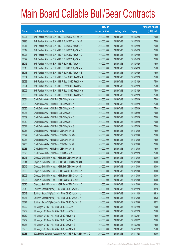|       |                                                                | No. of        |                     |               | <b>Amount raised</b> |
|-------|----------------------------------------------------------------|---------------|---------------------|---------------|----------------------|
| Code  | <b>Callable Bull/Bear Contracts</b>                            | issue (units) | <b>Listing date</b> | <b>Expiry</b> | (HK\$ mil.)          |
| 62997 | BNP Paribas Arbit Issu B.V. - HSI R Bull CBBC Mar 2014 Y       | 300,000,000   | 2013/07/18          | 2014/03/28    | 75.00                |
| 62998 | BNP Paribas Arbit Issu B.V. - HSI R Bull CBBC Mar 2014 Z       | 300,000,000   | 2013/07/18          | 2014/03/28    | 75.00                |
| 63017 | BNP Paribas Arbit Issu B.V. - HSI R Bull CBBC Apr 2014 A       | 300,000,000   | 2013/07/18          | 2014/04/29    | 75.00                |
| 63019 | BNP Paribas Arbit Issu B.V. - HSI R Bull CBBC Apr 2014 F       | 300,000,000   | 2013/07/18          | 2014/04/29    | 75.00                |
| 63021 | BNP Paribas Arbit Issu B.V. - HSI R Bull CBBC Apr 2014 G       | 300,000,000   | 2013/07/18          | 2014/04/29    | 75.00                |
| 63022 | BNP Paribas Arbit Issu B.V. - HSI R Bull CBBC Apr 2014 H       | 300,000,000   | 2013/07/18          | 2014/04/29    | 75.00                |
| 63046 | BNP Paribas Arbit Issu B.V. - HSI R Bull CBBC Apr 2014 I       | 300,000,000   | 2013/07/18          | 2014/04/29    | 75.00                |
| 63016 | BNP Paribas Arbit Issu B.V. - HSI R Bull CBBC Apr 2014 Y       | 300,000,000   | 2013/07/18          | 2014/04/29    | 75.00                |
| 63018 | BNP Paribas Arbit Issu B.V. - HSI R Bull CBBC Apr 2014 Z       | 300,000,000   | 2013/07/18          | 2014/04/29    | 75.00                |
| 63004 | BNP Paribas Arbit Issu B.V. - HSI R Bear CBBC Jan 2014 J       | 300,000,000   | 2013/07/18          | 2014/01/29    | 75.00                |
| 63023 | BNP Paribas Arbit Issu B.V. - HSI R Bear CBBC Jan 2014 K       | 300,000,000   | 2013/07/18          | 2014/01/29    | 75.00                |
| 63024 | BNP Paribas Arbit Issu B.V. - HSI R Bear CBBC Jan 2014 L       | 300,000,000   | 2013/07/18          | 2014/01/29    | 75.00                |
| 63002 | BNP Paribas Arbit Issu B.V. - HSI R Bear CBBC Jan 2014 Y       | 300,000,000   | 2013/07/18          | 2014/01/29    | 75.00                |
| 63003 | BNP Paribas Arbit Issu B.V. - HSI R Bear CBBC Jan 2014 Z       | 300,000,000   | 2013/07/18          | 2014/01/29    | 75.00                |
| 63034 | Credit Suisse AG - HSI R Bull CBBC May 2014 M                  | 300,000,000   | 2013/07/18          | 2014/05/29    | 75.00                |
| 63035 | Credit Suisse AG - HSI R Bull CBBC May 2014 N                  | 300,000,000   | 2013/07/18          | 2014/05/29    | 75.00                |
| 63036 | Credit Suisse AG - HSI R Bull CBBC May 2014 O                  | 300,000,000   | 2013/07/18          | 2014/05/29    | 75.00                |
| 63037 | Credit Suisse AG - HSI R Bull CBBC May 2014 P                  | 300,000,000   | 2013/07/18          | 2014/05/29    | 75.00                |
| 63039 | Credit Suisse AG - HSI R Bull CBBC May 2014 Q                  | 300,000,000   | 2013/07/18          | 2014/05/29    | 75.00                |
| 63040 | Credit Suisse AG - HSI R Bull CBBC May 2014 R                  | 300,000,000   | 2013/07/18          | 2014/05/29    | 75.00                |
| 63041 | Credit Suisse AG - HSI R Bull CBBC May 2014 S                  | 300,000,000   | 2013/07/18          | 2014/05/29    | 75.00                |
| 62987 | Credit Suisse AG - HSI R Bear CBBC Oct 2013 E                  | 300,000,000   | 2013/07/18          | 2013/10/30    | 75.00                |
| 63027 | Credit Suisse AG - HSI R Bear CBBC Oct 2013 G                  | 300,000,000   | 2013/07/18          | 2013/10/30    | 75.00                |
| 62984 | Credit Suisse AG - HSI R Bear CBBC Oct 2013 P                  | 300,000,000   | 2013/07/18          | 2013/10/30    | 75.00                |
| 62986 | Credit Suisse AG - HSI R Bear CBBC Oct 2013 R                  | 300,000,000   | 2013/07/18          | 2013/10/30    | 75.00                |
| 62983 | Credit Suisse AG - HSI R Bear CBBC Oct 2013 S                  | 300,000,000   | 2013/07/18          | 2013/10/30    | 75.00                |
| 63028 | Credit Suisse AG - HSI R Bear CBBC Nov 2013 J                  | 300,000,000   | 2013/07/18          | 2013/11/28    | 75.00                |
| 63043 | Citigroup Global Mkt H Inc. - HSI R Bull CBBC Oct 2013 I       | 120,000,000   | 2013/07/18          | 2013/10/30    | 30.00                |
| 63044 | Citigroup Global Mkt H Inc. - HSI R Bull CBBC Oct 2013 M       | 120,000,000   | 2013/07/18          | 2013/10/30    | 30.00                |
| 63045 | Citigroup Global Mkt H Inc. - HSI R Bull CBBC Oct 2013 N       | 120,000,000   | 2013/07/18          | 2013/10/30    | 30.00                |
| 63005 | Citigroup Global Mkt H Inc. - HSI R Bear CBBC Oct 2013 N       | 120,000,000   | 2013/07/18          | 2013/10/30    | 30.00                |
| 63006 | Citigroup Global Mkt H Inc. - HSI R Bear CBBC Oct 2013 O       | 120,000,000   | 2013/07/18          | 2013/10/30    | 30.00                |
| 63025 | Citigroup Global Mkt H Inc. - HSI R Bear CBBC Oct 2013 P       | 120,000,000   | 2013/07/18          | 2013/10/30    | 30.00                |
| 63026 | Citigroup Global Mkt H Inc. - HSI R Bear CBBC Oct 2013 Q       | 120,000,000   | 2013/07/18          | 2013/10/30    | 30.00                |
| 63048 | Goldman Sachs SP (Asia) - HSI R Bull CBBC Nov 2013 S           | 150,000,000   | 2013/07/18          | 2013/11/28    | 38.10                |
| 63049 | Goldman Sachs SP (Asia) - HSI R Bull CBBC Nov 2013 U           | 150,000,000   | 2013/07/18          | 2013/11/28    | 38.10                |
| 63281 | Goldman Sachs SP (Asia) - HSI R Bull CBBC Dec 2013 A           | 150,000,000   | 2013/07/18          | 2013/12/30    | 38.25                |
| 63321 | Goldman Sachs SP (Asia) - HSI R Bull CBBC Dec 2013 B           | 150,000,000   | 2013/07/18          | 2013/12/30    | 38.25                |
| 63222 | J P Morgan SP BV - HSI R Bull CBBC Jan 2014 T                  | 300,000,000   | 2013/07/18          | 2014/01/29    | 75.00                |
| 63239 | J P Morgan SP BV - HSI R Bull CBBC Jan 2014 U                  | 300,000,000   | 2013/07/18          | 2014/01/29    | 75.00                |
| 63232 | J P Morgan SP BV - HSI R Bull CBBC Feb 2014 Y                  | 300,000,000   | 2013/07/18          | 2014/02/27    | 75.00                |
| 63252 | J P Morgan SP BV - HSI R Bull CBBC Feb 2014 Z                  | 300,000,000   | 2013/07/18          | 2014/02/27    | 75.00                |
| 63238 | J P Morgan SP BV - HSI R Bull CBBC Mar 2014 S                  | 300,000,000   | 2013/07/18          | 2014/03/28    | 75.00                |
| 63253 | J P Morgan SP BV - HSI R Bull CBBC Mar 2014 T                  | 300,000,000   | 2013/07/18          | 2014/03/28    | 75.00                |
| 62988 | SGA Societe Generale Acceptance N.V. - HSI R Bull CBBC Nov13 Q | 200,000,000   | 2013/07/18          | 2013/11/28    | 50.00                |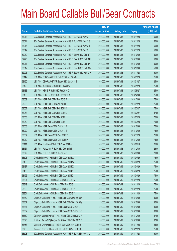|       |                                                                | No. of        |                     |               | <b>Amount raised</b> |
|-------|----------------------------------------------------------------|---------------|---------------------|---------------|----------------------|
| Code  | <b>Callable Bull/Bear Contracts</b>                            | issue (units) | <b>Listing date</b> | <b>Expiry</b> | $(HK$$ mil.)         |
| 63013 | SGA Societe Generale Acceptance N.V. - HSI R Bull CBBC Nov13 R | 200,000,000   | 2013/07/18          | 2013/11/28    | 50.00                |
| 63014 | SGA Societe Generale Acceptance N.V. - HSI R Bull CBBC Nov13 S | 200,000,000   | 2013/07/18          | 2013/11/28    | 50.00                |
| 63015 | SGA Societe Generale Acceptance N.V. - HSI R Bull CBBC Nov13 T | 200,000,000   | 2013/07/18          | 2013/11/28    | 50.00                |
| 63042 | SGA Societe Generale Acceptance N.V. - HSI R Bull CBBC Nov13 U | 200,000,000   | 2013/07/18          | 2013/11/28    | 50.00                |
| 62989 | SGA Societe Generale Acceptance N.V. - HSI R Bear CBBC Oct13 T | 200,000,000   | 2013/07/18          | 2013/10/30    | 50.00                |
| 62990 | SGA Societe Generale Acceptance N.V. - HSI R Bear CBBC Oct13 U | 200,000,000   | 2013/07/18          | 2013/10/30    | 50.00                |
| 63011 | SGA Societe Generale Acceptance N.V. - HSI R Bear CBBC Oct13 V | 200,000,000   | 2013/07/18          | 2013/10/30    | 50.00                |
| 63012 | SGA Societe Generale Acceptance N.V. - HSI R Bear CBBC Oct13 W | 200,000,000   | 2013/07/18          | 2013/10/30    | 50.00                |
| 62996 | SGA Societe Generale Acceptance N.V. - HSI R Bear CBBC Nov13 A | 200,000,000   | 2013/07/18          | 2013/11/28    | 50.00                |
| 63142 | UBS AG - CSOP A50 ETF R Bull CBBC Jan 2014 C                   | 100,000,000   | 2013/07/18          | 2014/01/20    | 25.00                |
| 63150 | UBS AG - CSOP A50 ETF R Bear CBBC Jan 2014 B                   | 100,000,000   | 2013/07/18          | 2014/01/27    | 25.00                |
| 63129 | UBS AG - A50 China R Bull CBBC Jan 2014 F                      | 100,000,000   | 2013/07/18          | 2014/01/20    | 25.00                |
| 63183 | UBS AG - HSCEI R Bull CBBC Jun 2014 D                          | 100,000,000   | 2013/07/18          | 2014/06/27    | 25.00                |
| 63190 | UBS AG - HSCEI R Bear CBBC Dec 2013 A                          | 100,000,000   | 2013/07/18          | 2013/12/30    | 25.00                |
| 63069 | UBS AG - HSI R Bull CBBC Dec 2013 F                            | 300,000,000   | 2013/07/18          | 2013/12/30    | 75.00                |
| 63056 | UBS AG - HSI R Bull CBBC Jan 2014 L                            | 300,000,000   | 2013/07/18          | 2014/01/29    | 75.00                |
| 63052 | UBS AG - HSI R Bull CBBC Feb 2014 D                            | 300,000,000   | 2013/07/18          | 2014/02/27    | 75.00                |
| 63063 | UBS AG - HSI R Bull CBBC Feb 2014 E                            | 350,000,000   | 2013/07/18          | 2014/02/27    | 87.50                |
| 63058 | UBS AG - HSI R Bull CBBC Mar 2014 J                            | 300,000,000   | 2013/07/18          | 2014/03/28    | 75.00                |
| 63050 | UBS AG - HSI R Bull CBBC Mar 2014 T                            | 300,000,000   | 2013/07/18          | 2014/03/28    | 75.00                |
| 63008 | UBS AG - HSI R Bear CBBC Oct 2013 R                            | 300,000,000   | 2013/07/18          | 2013/10/30    | 75.00                |
| 63029 | UBS AG - HSI R Bear CBBC Oct 2013 T                            | 300,000,000   | 2013/07/18          | 2013/10/30    | 75.00                |
| 63007 | UBS AG - HSI R Bear CBBC Nov 2013 X                            | 300,000,000   | 2013/07/18          | 2013/11/28    | 75.00                |
| 63010 | UBS AG - HSI R Bear CBBC Dec 2013 P                            | 300,000,000   | 2013/07/18          | 2013/12/30    | 75.00                |
| 63111 | UBS AG - Hutchison R Bull CBBC Jun 2014 A                      | 100,000,000   | 2013/07/18          | 2014/06/16    | 25.00                |
| 63161 | UBS AG - Petrochina R Bull CBBC Dec 2013 B                     | 100,000,000   | 2013/07/18          | 2013/12/30    | 25.00                |
| 63079 | UBS AG - TCH R Bull CBBC Jun 2014 B                            | 100,000,000   | 2013/07/18          | 2014/06/30    | 29.00                |
| 63503 | Credit Suisse AG - HSI R Bull CBBC Apr 2014 A                  | 300,000,000   | 2013/07/19          | 2014/04/29    | 75.00                |
| 63456 | Credit Suisse AG - HSI R Bull CBBC Apr 2014 W                  | 300,000,000   | 2013/07/19          | 2014/04/29    | 75.00                |
| 63487 | Credit Suisse AG - HSI R Bull CBBC Apr 2014 X                  | 300,000,000   | 2013/07/19          | 2014/04/29    | 75.00                |
| 63488 | Credit Suisse AG - HSI R Bull CBBC Apr 2014 Y                  | 300,000,000   | 2013/07/19          | 2014/04/29    | 75.00                |
| 63496 | Credit Suisse AG - HSI R Bull CBBC Apr 2014 Z                  | 300,000,000   | 2013/07/19          | 2014/04/29    | 75.00                |
| 63821 | Credit Suisse AG - HSI R Bear CBBC Nov 2013 K                  | 300,000,000   | 2013/07/19          | 2013/11/28    | 75.00                |
| 63849 | Credit Suisse AG - HSI R Bear CBBC Nov 2013 L                  | 300,000,000   | 2013/07/19          | 2013/11/28    | 75.00                |
| 63850 | Credit Suisse AG - HSI R Bear CBBC Nov 2013 P                  | 300,000,000   | 2013/07/19          | 2013/11/28    | 75.00                |
| 63851 | Credit Suisse AG - HSI R Bear CBBC Nov 2013 Y                  | 300,000,000   | 2013/07/19          | 2013/11/28    | 75.00                |
| 63862 | Citigroup Global Mkt H Inc. - HSI R Bull CBBC Oct 2013 O       | 120,000,000   | 2013/07/19          | 2013/10/30    | 30.00                |
| 63867 | Citigroup Global Mkt H Inc. - HSI R Bull CBBC Oct 2013 Q       | 120,000,000   | 2013/07/19          | 2013/10/30    | 30.00                |
| 63881 | Citigroup Global Mkt H Inc. - HSI R Bear CBBC Oct 2013 R       | 120,000,000   | 2013/07/19          | 2013/10/30    | 30.00                |
| 63882 | Citigroup Global Mkt H Inc. - HSI R Bear CBBC Oct 2013 S       | 120,000,000   | 2013/07/19          | 2013/10/30    | 30.00                |
| 63889 | Goldman Sachs SP (Asia) - HSI R Bear CBBC Dec 2013 A           | 150,000,000   | 2013/07/19          | 2013/12/30    | 37.95                |
| 63890 | Goldman Sachs SP (Asia) - HSI R Bear CBBC Dec 2013 B           | 150,000,000   | 2013/07/19          | 2013/12/30    | 37.80                |
| 63758 | Standard Chartered Bank - HSI R Bull CBBC Nov 2013 R           | 100,000,000   | 2013/07/19          | 2013/11/28    | 25.00                |
| 63765 | Standard Chartered Bank - HSI R Bull CBBC Nov 2013 S           | 100,000,000   | 2013/07/19          | 2013/11/28    | 25.00                |
| 63508 | SGA Societe Generale Acceptance N.V. - HSI R Bull CBBC Nov13 V | 200,000,000   | 2013/07/19          | 2013/11/28    | 50.00                |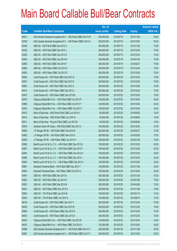|       |                                                                | No. of        |                     |               | <b>Amount raised</b> |
|-------|----------------------------------------------------------------|---------------|---------------------|---------------|----------------------|
| Code  | <b>Callable Bull/Bear Contracts</b>                            | issue (units) | <b>Listing date</b> | <b>Expiry</b> | $(HK$$ mil.)         |
| 63610 | SGA Societe Generale Acceptance N.V. - HSI R Bull CBBC Nov13 W | 200,000,000   | 2013/07/19          | 2013/11/28    | 50.00                |
| 63768 | SGA Societe Generale Acceptance N.V. - HSI R Bear CBBC Oct13 X | 200,000,000   | 2013/07/19          | 2013/10/30    | 50.00                |
| 63348 | UBS AG - HSI R Bull CBBC Nov 2013 U                            | 300,000,000   | 2013/07/19          | 2013/11/28    | 75.00                |
| 63322 | UBS AG - HSI R Bull CBBC Dec 2013 J                            | 300,000,000   | 2013/07/19          | 2013/12/30    | 75.00                |
| 63359 | UBS AG - HSI R Bull CBBC Dec 2013 K                            | 300,000,000   | 2013/07/19          | 2013/12/30    | 75.00                |
| 63404 | UBS AG - HSI R Bull CBBC Jan 2014 M                            | 300,000,000   | 2013/07/19          | 2014/01/29    | 75.00                |
| 63858 | UBS AG - HSI R Bull CBBC Feb 2014 F                            | 300,000,000   | 2013/07/19          | 2014/02/27    | 75.00                |
| 63852 | UBS AG - HSI R Bear CBBC Oct 2013 K                            | 300,000,000   | 2013/07/19          | 2013/10/30    | 75.00                |
| 63855 | UBS AG - HSI R Bear CBBC Oct 2013 O                            | 300,000,000   | 2013/07/19          | 2013/10/30    | 75.00                |
| 63945 | Credit Suisse AG - HSI R Bull CBBC Dec 2013 Q                  | 300,000,000   | 2013/07/22          | 2013/12/30    | 75.00                |
| 63947 | Credit Suisse AG - HSI R Bull CBBC Dec 2013 R                  | 300,000,000   | 2013/07/22          | 2013/12/30    | 75.00                |
| 63953 | Credit Suisse AG - HSI R Bull CBBC Dec 2013 S                  | 300,000,000   | 2013/07/22          | 2013/12/30    | 75.00                |
| 63914 | Credit Suisse AG - HSI R Bear CBBC Dec 2013 L                  | 300,000,000   | 2013/07/22          | 2013/12/30    | 75.00                |
| 63916 | Credit Suisse AG - HSI R Bear CBBC Dec 2013 M                  | 300,000,000   | 2013/07/22          | 2013/12/30    | 75.00                |
| 63970 | Citigroup Global Mkt H Inc. - HSI R Bull CBBC Oct 2013 P       | 120,000,000   | 2013/07/22          | 2013/10/30    | 30.00                |
| 63966 | Citigroup Global Mkt H Inc. - HSI R Bull CBBC Oct 2013 Y       | 120,000,000   | 2013/07/22          | 2013/10/30    | 30.00                |
| 63974 | Citigroup Global Mkt H Inc. - HSI R Bear CBBC Oct 2013 T       | 120,000,000   | 2013/07/22          | 2013/10/30    | 30.00                |
| 63912 | Bank of East Asia - A50 China R Bull CBBC Jun 2014 A           | 60,000,000    | 2013/07/22          | 2014/06/26    | 15.00                |
| 63913 | Bank of East Asia - ICBC R Bull CBBC Jun 2014 A                | 60,000,000    | 2013/07/22          | 2014/06/26    | 15.00                |
| 63911 | Bank of East Asia - Ping An R Bull CBBC Jun 2014 B             | 60,000,000    | 2013/07/22          | 2014/06/26    | 15.00                |
| 63978 | Goldman Sachs SP (Asia) - HSI R Bull CBBC Dec 2013 C           | 150,000,000   | 2013/07/22          | 2013/12/30    | 37.95                |
| 63960 | J P Morgan SP BV - HSI R Bull CBBC Feb 2014 B                  | 300,000,000   | 2013/07/22          | 2014/02/27    | 75.00                |
| 63962 | J P Morgan SP BV - HSI R Bull CBBC Mar 2014 U                  | 300,000,000   | 2013/07/22          | 2014/03/28    | 75.00                |
| 63959 | J P Morgan SP BV - HSI R Bear CBBC Jan 2014 H                  | 300,000,000   | 2013/07/22          | 2014/01/29    | 75.00                |
| 63956 | Merrill Lynch Int'l & Co. C.V. - HSI R Bull CBBC Dec 2013 E    | 100,000,000   | 2013/07/22          | 2013/12/30    | 25.00                |
| 63957 | Merrill Lynch Int'l & Co. C.V. - HSI R Bull CBBC Dec 2013 F    | 100,000,000   | 2013/07/22          | 2013/12/30    | 25.00                |
| 63955 | Merrill Lynch Int'l & Co. C.V. - HSI R Bull CBBC Dec 2013 H    | 100,000,000   | 2013/07/22          | 2013/12/30    | 25.00                |
| 63958 | Merrill Lynch Int'l & Co. C.V. - HSI R Bull CBBC Dec 2013 I    | 100,000,000   | 2013/07/22          | 2013/12/30    | 25.00                |
| 63954 | Merrill Lynch Int'l & Co. C.V. - HSI R Bear CBBC Dec 2013 V    | 100,000,000   | 2013/07/22          | 2013/12/30    | 25.00                |
| 63891 | Standard Chartered Bank - HSI R Bull CBBC Nov 2013 T           | 100,000,000   | 2013/07/22          | 2013/11/28    | 25.00                |
| 63904 | Standard Chartered Bank - HSI R Bear CBBC Oct 2013 U           | 100,000,000   | 2013/07/22          | 2013/10/30    | 25.00                |
| 63941 | UBS AG - HSI R Bull CBBC Nov 2013 A                            | 300,000,000   | 2013/07/22          | 2013/11/28    | 75.00                |
| 63922 | UBS AG - HSI R Bull CBBC Jan 2014 N                            | 300,000,000   | 2013/07/22          | 2014/01/29    | 75.00                |
| 63923 | UBS AG - HSI R Bull CBBC Mar 2014 M                            | 300,000,000   | 2013/07/22          | 2014/03/28    | 75.00                |
| 63921 | UBS AG - HSI R Bear CBBC Nov 2013 N                            | 300,000,000   | 2013/07/22          | 2013/11/28    | 75.00                |
| 63943 | UBS AG - TCH R Bull CBBC Jan 2014 B                            | 100,000,000   | 2013/07/22          | 2014/01/13    | 31.00                |
| 63942 | UBS AG - TCH R Bear CBBC Jun 2014 A                            | 100,000,000   | 2013/07/22          | 2014/06/16    | 37.00                |
| 64018 | Credit Suisse AG - HSI R Bull CBBC Dec 2013 T                  | 300,000,000   | 2013/07/23          | 2013/12/30    | 75.00                |
| 64020 | Credit Suisse AG - HSI R Bull CBBC Dec 2013 W                  | 300,000,000   | 2013/07/23          | 2013/12/30    | 75.00                |
| 63994 | Credit Suisse AG - HSI R Bear CBBC Dec 2013 N                  | 300,000,000   | 2013/07/23          | 2013/12/30    | 75.00                |
| 64003 | Credit Suisse AG - HSI R Bear CBBC Dec 2013 O                  | 300,000,000   | 2013/07/23          | 2013/12/30    | 75.00                |
| 64030 | Citigroup Global Mkt H Inc. - HSI R Bull CBBC Oct 2013 B       | 120,000,000   | 2013/07/23          | 2013/10/30    | 30.00                |
| 64033 | Citigroup Global Mkt H Inc. - HSI R Bear CBBC Oct 2013 V       | 120,000,000   | 2013/07/23          | 2013/10/30    | 30.00                |
| 63989 | SGA Societe Generale Acceptance N.V. - HSI R Bull CBBC Nov13 X | 200,000,000   | 2013/07/23          | 2013/11/28    | 50.00                |
| 63991 | SGA Societe Generale Acceptance N.V. - HSI R Bear CBBC Oct13 Y | 200,000,000   | 2013/07/23          | 2013/10/30    | 50.00                |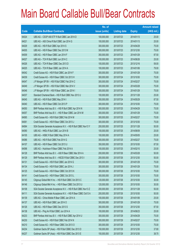|       |                                                                | No. of        |                     |               | <b>Amount raised</b> |
|-------|----------------------------------------------------------------|---------------|---------------------|---------------|----------------------|
| Code  | <b>Callable Bull/Bear Contracts</b>                            | issue (units) | <b>Listing date</b> | <b>Expiry</b> | $(HK$$ mil.)         |
| 64024 | UBS AG - CSOP A50 ETF R Bull CBBC Jan 2014 D                   | 100,000,000   | 2013/07/23          | 2014/01/13    | 25.00                |
| 64021 | UBS AG - A50 China R Bull CBBC Jan 2014 G                      | 100,000,000   | 2013/07/23          | 2014/01/13    | 25.00                |
| 64029 | UBS AG - HSI R Bull CBBC Apr 2014 S                            | 300,000,000   | 2013/07/23          | 2014/04/29    | 75.00                |
| 64005 | UBS AG - HSI R Bear CBBC Dec 2013 M                            | 300,000,000   | 2013/07/23          | 2013/12/30    | 75.00                |
| 64009 | UBS AG - HSI R Bear CBBC Jan 2014 F                            | 350,000,000   | 2013/07/23          | 2014/01/29    | 87.50                |
| 64027 | UBS AG - TCH R Bull CBBC Jun 2014 C                            | 100,000,000   | 2013/07/23          | 2014/06/26    | 25.00                |
| 64026 | UBS AG - TCH R Bear CBBC Dec 2013 D                            | 100,000,000   | 2013/07/23          | 2013/12/16    | 59.00                |
| 64025 | UBS AG - TCH R Bear CBBC Jan 2014 A                            | 100,000,000   | 2013/07/23          | 2014/01/06    | 79.00                |
| 64042 | Credit Suisse AG - HSI R Bull CBBC Jan 2014 F                  | 300,000,000   | 2013/07/24          | 2014/01/29    | 75.00                |
| 64039 | Credit Suisse AG - HSI R Bear CBBC Oct 2013 H                  | 300,000,000   | 2013/07/24          | 2013/10/30    | 75.00                |
| 64047 | J P Morgan SP BV - HSI R Bull CBBC Feb 2014 C                  | 300,000,000   | 2013/07/24          | 2014/02/27    | 75.00                |
| 64049 | J P Morgan SP BV - HSI R Bull CBBC Mar 2014 V                  | 300,000,000   | 2013/07/24          | 2014/03/28    | 75.00                |
| 64046 | J P Morgan SP BV - HSI R Bear CBBC Jan 2014 I                  | 300,000,000   | 2013/07/24          | 2014/01/29    | 75.00                |
| 64037 | Standard Chartered Bank - HSI R Bull CBBC Nov 2013 U           | 100,000,000   | 2013/07/24          | 2013/11/28    | 25.00                |
| 64045 | UBS AG - HSI R Bull CBBC May 2014 I                            | 350,000,000   | 2013/07/24          | 2014/05/29    | 87.50                |
| 64040 | UBS AG - HSI R Bear CBBC Oct 2013 P                            | 300,000,000   | 2013/07/24          | 2013/10/30    | 75.00                |
| 64050 | BNP Paribas Arbit Issu B.V. - HSI R Bull CBBC Apr 2014 N       | 300,000,000   | 2013/07/25          | 2014/04/29    | 75.00                |
| 64057 | BNP Paribas Arbit Issu B.V. - HSI R Bear CBBC Jan 2014 M       | 300,000,000   | 2013/07/25          | 2014/01/29    | 75.00                |
| 64065 | Credit Suisse AG - HSI R Bull CBBC Feb 2014 M                  | 300,000,000   | 2013/07/25          | 2014/02/27    | 75.00                |
| 64061 | Credit Suisse AG - HSI R Bear CBBC Oct 2013 J                  | 300,000,000   | 2013/07/25          | 2013/10/30    | 75.00                |
| 64064 | SGA Societe Generale Acceptance N.V. - HSI R Bull CBBC Nov13 Y | 200,000,000   | 2013/07/25          | 2013/11/28    | 50.00                |
| 64090 | UBS AG - HKEx R Bull CBBC Jun 2014 B                           | 100,000,000   | 2013/07/25          | 2014/06/09    | 25.00                |
| 64105 | UBS AG - HSBC R Bull CBBC May 2014 A                           | 100,000,000   | 2013/07/25          | 2014/05/05    | 25.00                |
| 64086 | UBS AG - HSI R Bull CBBC Feb 2014 G                            | 300,000,000   | 2013/07/25          | 2014/02/27    | 75.00                |
| 64107 | UBS AG - HSI R Bear CBBC Oct 2013 U                            | 350,000,000   | 2013/07/25          | 2013/10/30    | 87.50                |
| 64098 | UBS AG - Hutchison R Bear CBBC Feb 2014 A                      | 100,000,000   | 2013/07/25          | 2014/02/10    | 25.00                |
| 64128 | BNP Paribas Arbit Issu B.V. - A50 R Bear CBBC Mar 2014 A       | 200,000,000   | 2013/07/26          | 2014/03/28    | 50.00                |
| 64129 | BNP Paribas Arbit Issu B.V. - HSCEI R Bull CBBC Dec 2013 I     | 200,000,000   | 2013/07/26          | 2013/12/30    | 50.00                |
| 64131 | Credit Suisse AG - HSI R Bull CBBC Jan 2014 G                  | 300,000,000   | 2013/07/26          | 2014/01/29    | 75.00                |
| 64134 | Credit Suisse AG - HSI R Bull CBBC Jan 2014 J                  | 300,000,000   | 2013/07/26          | 2014/01/29    | 75.00                |
| 64125 | Credit Suisse AG - HSI R Bear CBBC Oct 2013 K                  | 300,000,000   | 2013/07/26          | 2013/10/30    | 75.00                |
| 64141 | Credit Suisse AG - HSI R Bear CBBC Oct 2013 L                  | 300,000,000   | 2013/07/26          | 2013/10/30    | 75.00                |
| 64145 | Citigroup Global Mkt H Inc. - HSI R Bull CBBC Oct 2013 C       | 120,000,000   | 2013/07/26          | 2013/10/30    | 30.00                |
| 64146 | Citigroup Global Mkt H Inc. - HSI R Bear CBBC Oct 2013 U       | 120,000,000   | 2013/07/26          | 2013/10/30    | 30.00                |
| 64108 | SGA Societe Generale Acceptance N.V. - HSI R Bull CBBC Nov13 Z | 200,000,000   | 2013/07/26          | 2013/11/28    | 50.00                |
| 64111 | SGA Societe Generale Acceptance N.V. - HSI R Bear CBBC Oct13 A | 200,000,000   | 2013/07/26          | 2013/10/30    | 50.00                |
| 64139 | UBS AG - China Mobile R Bear CBBC Jan 2014 A                   | 100,000,000   | 2013/07/26          | 2014/01/06    | 25.00                |
| 64137 | UBS AG - HSI R Bull CBBC Jan 2014 O                            | 300,000,000   | 2013/07/26          | 2014/01/29    | 75.00                |
| 64126 | UBS AG - HSI R Bear CBBC Dec 2013 S                            | 350,000,000   | 2013/07/26          | 2013/12/30    | 87.50                |
| 64138 | UBS AG - Ping An R Bull CBBC Jun 2014 A                        | 100,000,000   | 2013/07/26          | 2014/06/23    | 25.00                |
| 64233 | BNP Paribas Arbit Issu B.V. - HSI R Bull CBBC Apr 2014 U       | 300,000,000   | 2013/07/29          | 2014/04/29    | 75.00                |
| 64230 | Credit Suisse AG - HSI R Bull CBBC Feb 2014 N                  | 300,000,000   | 2013/07/29          | 2014/02/27    | 75.00                |
| 64210 | Credit Suisse AG - HSI R Bear CBBC Oct 2013 O                  | 300,000,000   | 2013/07/29          | 2013/10/30    | 75.00                |
| 64234 | Goldman Sachs SP (Asia) - HSI R Bull CBBC Dec 2013 D           | 150,000,000   | 2013/07/29          | 2013/12/30    | 37.80                |
| 64237 | Goldman Sachs SP (Asia) - HSI R Bull CBBC Dec 2013 E           | 150,000,000   | 2013/07/29          | 2013/12/30    | 38.70                |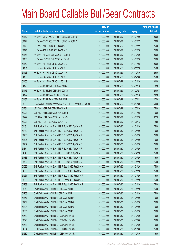|       |                                                                | No. of        |                     |               | <b>Amount raised</b> |
|-------|----------------------------------------------------------------|---------------|---------------------|---------------|----------------------|
| Code  | <b>Callable Bull/Bear Contracts</b>                            | issue (units) | <b>Listing date</b> | <b>Expiry</b> | $(HK$$ mil.)         |
| 64172 | HK Bank - CSOP A50 ETF R Bull CBBC Jan 2014 B                  | 80,000,000    | 2013/07/29          | 2014/01/20    | 20.00                |
| 64174 | HK Bank - CSOP A50 ETF R Bull CBBC Jan 2014 C                  | 80,000,000    | 2013/07/29          | 2014/01/27    | 20.00                |
| 64170 | HK Bank - A50 R Bull CBBC Jan 2014 D                           | 100,000,000   | 2013/07/29          | 2014/01/22    | 25.00                |
| 64171 | HK Bank - A50 R Bull CBBC Jan 2014 E                           | 100,000,000   | 2013/07/29          | 2014/01/20    | 25.00                |
| 64168 | HK Bank - HSCEI R Bull CBBC Dec 2013 D                         | 100,000,000   | 2013/07/29          | 2013/12/30    | 25.00                |
| 64166 | HK Bank - HSCEI R Bull CBBC Jan 2014 B                         | 100,000,000   | 2013/07/29          | 2014/01/29    | 25.00                |
| 64160 | HK Bank - HSI R Bull CBBC Nov 2013 Q                           | 100,000,000   | 2013/07/29          | 2013/11/28    | 25.00                |
| 64161 | HK Bank - HSI R Bull CBBC Nov 2013 R                           | 100,000,000   | 2013/07/29          | 2013/11/28    | 25.00                |
| 64153 | HK Bank - HSI R Bull CBBC Dec 2013 N                           | 100,000,000   | 2013/07/29          | 2013/12/30    | 25.00                |
| 64158 | HK Bank - HSI R Bull CBBC Dec 2013 O                           | 100,000,000   | 2013/07/29          | 2013/12/30    | 25.00                |
| 64165 | HK Bank - HSI R Bull CBBC Jan 2014 G                           | 400,000,000   | 2013/07/29          | 2014/01/29    | 100.00               |
| 64175 | HK Bank - TCH R Bull CBBC Jan 2014 A                           | 50,000,000    | 2013/07/29          | 2014/01/13    | 18.50                |
| 64176 | HK Bank - TCH R Bull CBBC Feb 2014 A                           | 50,000,000    | 2013/07/29          | 2014/02/24    | 29.00                |
| 64177 | HK Bank - TCH R Bear CBBC Jan 2014 A                           | 50,000,000    | 2013/07/29          | 2014/01/13    | 20.50                |
| 64182 | HK Bank - TCH R Bear CBBC Feb 2014 A                           | 50,000,000    | 2013/07/29          | 2014/02/24    | 27.50                |
| 64208 | SGA Societe Generale Acceptance N.V. - HSI R Bear CBBC Oct13 L | 200,000,000   | 2013/07/29          | 2013/10/30    | 50.00                |
| 64231 | UBS AG - HSI R Bull CBBC May 2014 J                            | 300,000,000   | 2013/07/29          | 2014/05/29    | 75.00                |
| 64221 | UBS AG - HSI R Bear CBBC Nov 2013 R                            | 300,000,000   | 2013/07/29          | 2013/11/28    | 75.00                |
| 64222 | UBS AG - HSI R Bear CBBC Jan 2014 G                            | 350,000,000   | 2013/07/29          | 2014/01/29    | 87.50                |
| 64223 | UBS AG - TCH R Bull CBBC Jun 2014 D                            | 50,000,000    | 2013/07/29          | 2014/06/16    | 12.50                |
| 64484 | BNP Paribas Arbit Issu B.V. - HSI R Bull CBBC Apr 2014 B       | 300,000,000   | 2013/07/30          | 2014/04/29    | 75.00                |
| 64489 | BNP Paribas Arbit Issu B.V. - HSI R Bull CBBC Apr 2014 C       | 300,000,000   | 2013/07/30          | 2014/04/29    | 75.00                |
| 64736 | BNP Paribas Arbit Issu B.V. - HSI R Bull CBBC Apr 2014 J       | 300,000,000   | 2013/07/30          | 2014/04/29    | 75.00                |
| 64706 | BNP Paribas Arbit Issu B.V. - HSI R Bull CBBC Apr 2014 K       | 300,000,000   | 2013/07/30          | 2014/04/29    | 75.00                |
| 64707 | BNP Paribas Arbit Issu B.V. - HSI R Bull CBBC Apr 2014 O       | 300,000,000   | 2013/07/30          | 2014/04/29    | 75.00                |
| 64874 | BNP Paribas Arbit Issu B.V. - HSI R Bull CBBC Apr 2014 R       | 300,000,000   | 2013/07/30          | 2014/04/29    | 75.00                |
| 64849 | BNP Paribas Arbit Issu B.V. - HSI R Bull CBBC Apr 2014 S       | 300,000,000   | 2013/07/30          | 2014/04/29    | 75.00                |
| 64733 | BNP Paribas Arbit Issu B.V. - HSI R Bull CBBC Apr 2014 T       | 300,000,000   | 2013/07/30          | 2014/04/29    | 75.00                |
| 64482 | BNP Paribas Arbit Issu B.V. - HSI R Bull CBBC Apr 2014 V       | 300,000,000   | 2013/07/30          | 2014/04/29    | 75.00                |
| 64523 | BNP Paribas Arbit Issu B.V. - HSI R Bear CBBC Jan 2014 N       | 300,000,000   | 2013/07/30          | 2014/01/29    | 75.00                |
| 64556 | BNP Paribas Arbit Issu B.V. - HSI R Bear CBBC Jan 2014 O       | 300,000,000   | 2013/07/30          | 2014/01/29    | 75.00                |
| 64567 | BNP Paribas Arbit Issu B.V. - HSI R Bear CBBC Jan 2014 P       | 300,000,000   | 2013/07/30          | 2014/01/29    | 75.00                |
| 64583 | BNP Paribas Arbit Issu B.V. - HSI R Bear CBBC Jan 2014 Q       | 300,000,000   | 2013/07/30          | 2014/01/29    | 75.00                |
| 64739 | BNP Paribas Arbit Issu B.V. - HSI R Bear CBBC Jan 2014 R       | 300,000,000   | 2013/07/30          | 2014/01/29    | 75.00                |
| 64640 | Credit Suisse AG - HSI R Bull CBBC Apr 2014 F                  | 300,000,000   | 2013/07/30          | 2014/04/29    | 75.00                |
| 64753 | Credit Suisse AG - HSI R Bull CBBC Apr 2014 J                  | 300,000,000   | 2013/07/30          | 2014/04/29    | 75.00                |
| 64757 | Credit Suisse AG - HSI R Bull CBBC Apr 2014 P                  | 300,000,000   | 2013/07/30          | 2014/04/29    | 75.00                |
| 64754 | Credit Suisse AG - HSI R Bull CBBC Apr 2014 Q                  | 300,000,000   | 2013/07/30          | 2014/04/29    | 75.00                |
| 64804 | Credit Suisse AG - HSI R Bull CBBC Apr 2014 W                  | 300,000,000   | 2013/07/30          | 2014/04/29    | 75.00                |
| 64805 | Credit Suisse AG - HSI R Bull CBBC Apr 2014 X                  | 300,000,000   | 2013/07/30          | 2014/04/29    | 75.00                |
| 64589 | Credit Suisse AG - HSI R Bear CBBC Oct 2013 E                  | 300,000,000   | 2013/07/30          | 2013/10/30    | 75.00                |
| 64590 | Credit Suisse AG - HSI R Bear CBBC Oct 2013 G                  | 300,000,000   | 2013/07/30          | 2013/10/30    | 75.00                |
| 64633 | Credit Suisse AG - HSI R Bear CBBC Oct 2013 P                  | 300,000,000   | 2013/07/30          | 2013/10/30    | 75.00                |
| 64584 | Credit Suisse AG - HSI R Bear CBBC Oct 2013 Q                  | 300,000,000   | 2013/07/30          | 2013/10/30    | 75.00                |
| 64639 | Credit Suisse AG - HSI R Bear CBBC Oct 2013 R                  | 300,000,000   | 2013/07/30          | 2013/10/30    | 75.00                |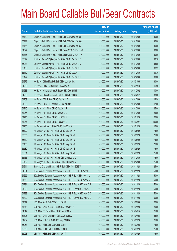|       |                                                                | No. of        |                     |               | <b>Amount raised</b> |
|-------|----------------------------------------------------------------|---------------|---------------------|---------------|----------------------|
| Code  | <b>Callable Bull/Bear Contracts</b>                            | issue (units) | <b>Listing date</b> | <b>Expiry</b> | $(HK$$ mil.)         |
| 65130 | Citigroup Global Mkt H Inc. - HSI R Bull CBBC Oct 2013 D       | 120,000,000   | 2013/07/30          | 2013/10/30    | 30.00                |
| 65141 | Citigroup Global Mkt H Inc. - HSI R Bull CBBC Oct 2013 W       | 120,000,000   | 2013/07/30          | 2013/10/30    | 30.00                |
| 65165 | Citigroup Global Mkt H Inc. - HSI R Bull CBBC Oct 2013 Z       | 120,000,000   | 2013/07/30          | 2013/10/30    | 30.00                |
| 64327 | Citigroup Global Mkt H Inc. - HSI R Bear CBBC Oct 2013 W       | 120,000,000   | 2013/07/30          | 2013/10/30    | 30.00                |
| 64336 | Citigroup Global Mkt H Inc. - HSI R Bear CBBC Oct 2013 X       | 120,000,000   | 2013/07/30          | 2013/10/30    | 30.00                |
| 65079 | Goldman Sachs SP (Asia) - HSI R Bull CBBC Dec 2013 F           | 150,000,000   | 2013/07/30          | 2013/12/30    | 38.70                |
| 65083 | Goldman Sachs SP (Asia) - HSI R Bull CBBC Dec 2013 G           | 150,000,000   | 2013/07/30          | 2013/12/30    | 38.85                |
| 65108 | Goldman Sachs SP (Asia) - HSI R Bull CBBC Dec 2013 H           | 150,000,000   | 2013/07/30          | 2013/12/30    | 38.55                |
| 65110 | Goldman Sachs SP (Asia) - HSI R Bull CBBC Dec 2013 I           | 150,000,000   | 2013/07/30          | 2013/12/30    | 39.30                |
| 65127 | Goldman Sachs SP (Asia) - HSI R Bull CBBC Dec 2013 J           | 150,000,000   | 2013/07/30          | 2013/12/30    | 39.00                |
| 64272 | HK Bank - China Mobile R Bull CBBC Jan 2014 A                  | 120,000,000   | 2013/07/30          | 2014/01/06    | 30.00                |
| 64286 | HK Bank - COVS R Bull CBBC Jan 2014 A                          | 50,000,000    | 2013/07/30          | 2014/01/13    | 16.50                |
| 64283 | HK Bank - Minsheng Bank R Bear CBBC Dec 2013 B                 | 40,000,000    | 2013/07/30          | 2013/12/02    | 10.00                |
| 64289 | HK Bank - China Shenhua R Bull CBBC Feb 2014 B                 | 60,000,000    | 2013/07/30          | 2014/02/17    | 33.60                |
| 64259 | HK Bank - A50 R Bear CBBC Dec 2013 A                           | 50,000,000    | 2013/07/30          | 2013/12/09    | 12.50                |
| 64256 | HK Bank - HSCEI R Bear CBBC Dec 2013 D                         | 68,000,000    | 2013/07/30          | 2013/12/30    | 17.00                |
| 64246 | HK Bank - HSI R Bull CBBC Dec 2013 P                           | 100,000,000   | 2013/07/30          | 2013/12/30    | 25.00                |
| 64255 | HK Bank - HSI R Bull CBBC Dec 2013 Q                           | 100,000,000   | 2013/07/30          | 2013/12/30    | 25.00                |
| 64245 | HK Bank - HSI R Bull CBBC Jan 2014 H                           | 100,000,000   | 2013/07/30          | 2014/01/29    | 25.00                |
| 64254 | HK Bank - HSI R Bull CBBC Feb 2014 C                           | 400,000,000   | 2013/07/30          | 2014/02/27    | 100.00               |
| 64280 | HK Bank - Hutchison R Bull CBBC Jan 2014 A                     | 60,000,000    | 2013/07/30          | 2014/01/20    | 15.00                |
| 65199 | J P Morgan SP BV - HSI R Bull CBBC May 2014 A                  | 300,000,000   | 2013/07/30          | 2014/05/29    | 75.00                |
| 65335 | J P Morgan SP BV - HSI R Bull CBBC May 2014 B                  | 300,000,000   | 2013/07/30          | 2014/05/29    | 75.00                |
| 65340 | J P Morgan SP BV - HSI R Bull CBBC May 2014 C                  | 300,000,000   | 2013/07/30          | 2014/05/29    | 75.00                |
| 65466 | J P Morgan SP BV - HSI R Bull CBBC May 2014 D                  | 300,000,000   | 2013/07/30          | 2014/05/29    | 75.00                |
| 65530 | J P Morgan SP BV - HSI R Bull CBBC May 2014 E                  | 300,000,000   | 2013/07/30          | 2014/05/29    | 75.00                |
| 65531 | J P Morgan SP BV - HSI R Bull CBBC May 2014 F                  | 300,000,000   | 2013/07/30          | 2014/05/29    | 75.00                |
| 65166 | JP Morgan SP BV - HSIR Bear CBBC Dec 2013 U                    | 300,000,000   | 2013/07/30          | 2013/12/30    | 75.00                |
| 65182 | J P Morgan SP BV - HSI R Bear CBBC Dec 2013 V                  | 300,000,000   | 2013/07/30          | 2013/12/30    | 75.00                |
| 64244 | Standard Chartered Bank - HSI R Bull CBBC Nov 2013 V           | 100,000,000   | 2013/07/30          | 2013/11/28    | 25.00                |
| 64654 | SGA Societe Generale Acceptance N.V. - HSI R Bull CBBC Nov13 F | 200,000,000   | 2013/07/30          | 2013/11/28    | 50.00                |
| 64655 | SGA Societe Generale Acceptance N.V. - HSI R Bull CBBC Nov13 U | 200,000,000   | 2013/07/30          | 2013/11/28    | 50.00                |
| 64659 | SGA Societe Generale Acceptance N.V. - HSI R Bull CBBC Nov13 V | 200,000,000   | 2013/07/30          | 2013/11/28    | 50.00                |
| 64291 | SGA Societe Generale Acceptance N.V. - HSI R Bear CBBC Nov13 B | 200,000,000   | 2013/07/30          | 2013/11/28    | 50.00                |
| 64295 | SGA Societe Generale Acceptance N.V. - HSI R Bear CBBC Nov13 C | 200,000,000   | 2013/07/30          | 2013/11/28    | 50.00                |
| 64299 | SGA Societe Generale Acceptance N.V. - HSI R Bear CBBC Nov13 D | 200,000,000   | 2013/07/30          | 2013/11/28    | 50.00                |
| 64322 | SGA Societe Generale Acceptance N.V. - HSI R Bear CBBC Nov13 E | 200,000,000   | 2013/07/30          | 2013/11/28    | 50.00                |
| 64817 | UBS AG - AIA R Bull CBBC Jun 2014 C                            | 100,000,000   | 2013/07/30          | 2014/06/09    | 25.00                |
| 64843 | UBS AG - China Mobile R Bull CBBC Apr 2014 A                   | 100,000,000   | 2013/07/30          | 2014/04/28    | 25.00                |
| 64847 | UBS AG - CC Bank R Bull CBBC Apr 2014 A                        | 100,000,000   | 2013/07/30          | 2014/04/14    | 25.00                |
| 64806 | UBS AG - China Life R Bull CBBC Apr 2014 A                     | 100,000,000   | 2013/07/30          | 2014/04/28    | 25.00                |
| 64962 | UBS AG - HSCEI R Bull CBBC May 2014 D                          | 100,000,000   | 2013/07/30          | 2014/05/29    | 25.00                |
| 65054 | UBS AG - HSI R Bull CBBC Mar 2014 F                            | 300,000,000   | 2013/07/30          | 2014/03/28    | 75.00                |
| 65036 | UBS AG - HSI R Bull CBBC Mar 2014 U                            | 300,000,000   | 2013/07/30          | 2014/03/28    | 75.00                |
| 65023 | UBS AG - HSI R Bull CBBC Apr 2014 T                            | 300,000,000   | 2013/07/30          | 2014/04/29    | 75.00                |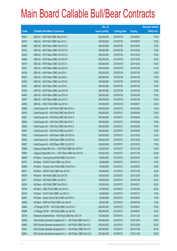|       |                                                                | No. of        |                     |               | <b>Amount raised</b> |
|-------|----------------------------------------------------------------|---------------|---------------------|---------------|----------------------|
| Code  | <b>Callable Bull/Bear Contracts</b>                            | issue (units) | <b>Listing date</b> | <b>Expiry</b> | (HK\$ mil.)          |
| 65024 | UBS AG - HSI R Bull CBBC May 2014 K                            | 300,000,000   | 2013/07/30          | 2014/05/29    | 75.00                |
| 65072 | UBS AG - HSI R Bull CBBC May 2014 L                            | 300,000,000   | 2013/07/30          | 2014/05/29    | 75.00                |
| 64480 | UBS AG - HSI R Bear CBBC Oct 2013 G                            | 300,000,000   | 2013/07/30          | 2013/10/30    | 75.00                |
| 64472 | UBS AG - HSI R Bear CBBC Oct 2013 O                            | 300,000,000   | 2013/07/30          | 2013/10/30    | 75.00                |
| 64459 | UBS AG - HSI R Bear CBBC Oct 2013 Q                            | 300,000,000   | 2013/07/30          | 2013/10/30    | 75.00                |
| 64466 | UBS AG - HSI R Bear CBBC Oct 2013 R                            | 300,000,000   | 2013/07/30          | 2013/10/30    | 75.00                |
| 64479 | UBS AG - HSI R Bear CBBC Oct 2013 T                            | 300,000,000   | 2013/07/30          | 2013/10/30    | 75.00                |
| 64337 | UBS AG - HSI R Bear CBBC Jan 2014 H                            | 300,000,000   | 2013/07/30          | 2014/01/29    | 81.00                |
| 64338 | UBS AG - HSI R Bear CBBC Jan 2014 I                            | 300,000,000   | 2013/07/30          | 2014/01/29    | 76.50                |
| 64351 | UBS AG - HSI R Bear CBBC Jan 2014 J                            | 300,000,000   | 2013/07/30          | 2014/01/29    | 75.00                |
| 64364 | UBS AG - HSI R Bear CBBC Jan 2014 K                            | 300,000,000   | 2013/07/30          | 2014/01/29    | 75.00                |
| 64382 | UBS AG - HSI R Bear CBBC Jan 2014 L                            | 300,000,000   | 2013/07/30          | 2014/01/29    | 75.00                |
| 64393 | UBS AG - HSI R Bear CBBC Jan 2014 M                            | 300,000,000   | 2013/07/30          | 2014/01/29    | 75.00                |
| 64400 | UBS AG - HSI R Bear CBBC Jan 2014 N                            | 300,000,000   | 2013/07/30          | 2014/01/29    | 75.00                |
| 64457 | UBS AG - HSI R Bear CBBC Jan 2014 O                            | 300,000,000   | 2013/07/30          | 2014/01/29    | 75.00                |
| 64808 | UBS AG - ICBC R Bull CBBC Apr 2014 A                           | 100,000,000   | 2013/07/30          | 2014/04/07    | 25.00                |
| 65958 | Credit Suisse AG - HSI R Bull CBBC Mar 2014 A                  | 300,000,000   | 2013/07/31          | 2014/03/28    | 75.00                |
| 65819 | Credit Suisse AG - HSI R Bull CBBC Mar 2014 W                  | 300,000,000   | 2013/07/31          | 2014/03/28    | 75.00                |
| 65821 | Credit Suisse AG - HSI R Bull CBBC Mar 2014 X                  | 300,000,000   | 2013/07/31          | 2014/03/28    | 75.00                |
| 65834 | Credit Suisse AG - HSI R Bull CBBC Mar 2014 Y                  | 300,000,000   | 2013/07/31          | 2014/03/28    | 75.00                |
| 65835 | Credit Suisse AG - HSI R Bull CBBC Mar 2014 Z                  | 300,000,000   | 2013/07/31          | 2014/03/28    | 75.00                |
| 65957 | Credit Suisse AG - HSI R Bull CBBC Apr 2014 Y                  | 300,000,000   | 2013/07/31          | 2014/04/29    | 75.00                |
| 65932 | Credit Suisse AG - HSI R Bear CBBC Oct 2013 A                  | 300,000,000   | 2013/07/31          | 2013/10/30    | 75.00                |
| 65952 | Credit Suisse AG - HSI R Bear CBBC Oct 2013 B                  | 300,000,000   | 2013/07/31          | 2013/10/30    | 75.00                |
| 65927 | Credit Suisse AG - HSI R Bear CBBC Oct 2013 S                  | 300,000,000   | 2013/07/31          | 2013/10/30    | 75.00                |
| 65988 | Citigroup Global Mkt H Inc. - HSI R Bull CBBC Nov 2013 N       | 120,000,000   | 2013/07/31          | 2013/11/28    | 30.00                |
| 65989 | Citigroup Global Mkt H Inc. - HSI R Bear CBBC Nov 2013 N       | 120,000,000   | 2013/07/31          | 2013/11/28    | 30.00                |
| 65688 | HK Bank - Cheung Kong R Bull CBBC Feb 2014 A                   | 60,000,000    | 2013/07/31          | 2014/02/24    | 15.00                |
| 65701 | HK Bank - CNOOC R Bull CBBC Jan 2014 A                         | 60,000,000    | 2013/07/31          | 2014/01/27    | 15.00                |
| 65699 | HK Bank - Sinopec Corp R Bull CBBC Feb 2014 A                  | 80,000,000    | 2013/07/31          | 2014/02/24    | 20.00                |
| 65611 | HK Bank - HSCEI R Bull CBBC Nov 2013 E                         | 100,000,000   | 2013/07/31          | 2013/11/28    | 25.00                |
| 65576 | HK Bank - HSI R Bull CBBC Dec 2013 R                           | 100,000,000   | 2013/07/31          | 2013/12/30    | 25.00                |
| 65571 | HK Bank - HSI R Bull CBBC Jan 2014 I                           | 100,000,000   | 2013/07/31          | 2014/01/29    | 25.00                |
| 65536 | HK Bank - HSI R Bull CBBC Feb 2014 D                           | 100,000,000   | 2013/07/31          | 2014/02/27    | 25.00                |
| 65704 | HK Bank - ICBC R Bull CBBC Jan 2014 A                          | 80,000,000    | 2013/07/31          | 2014/01/20    | 20.00                |
| 65700 | HK Bank - PetCh R Bull CBBC Jan 2014 A                         | 60,000,000    | 2013/07/31          | 2014/01/27    | 15.00                |
| 65691 | HK Bank - Sands China R Bull CBBC Apr 2014 A                   | 60,000,000    | 2013/07/31          | 2014/04/24    | 15.00                |
| 65695 | HK Bank - SHK Ppt R Bull CBBC Jan 2014 B                       | 60,000,000    | 2013/07/31          | 2014/01/20    | 15.00                |
| 65994 | J P Morgan SP BV - HSI R Bull CBBC Jun 2014 A                  | 300,000,000   | 2013/07/31          | 2014/06/27    | 75.00                |
| 65996 | J P Morgan SP BV - HSI R Bull CBBC Jun 2014 B                  | 300,000,000   | 2013/07/31          | 2014/06/27    | 75.00                |
| 65708 | Standard Chartered Bank - HSI R Bull CBBC Nov 2013 W           | 100,000,000   | 2013/07/31          | 2013/11/28    | 25.00                |
| 65839 | SGA Societe Generale Acceptance N.V. - HSI R Bull CBBC Dec13 A | 200,000,000   | 2013/07/31          | 2013/12/30    | 50.00                |
| 65840 | SGA Societe Generale Acceptance N.V. - HSI R Bull CBBC Dec13 B | 200,000,000   | 2013/07/31          | 2013/12/30    | 50.00                |
| 65841 | SGA Societe Generale Acceptance N.V. - HSI R Bear CBBC Nov13 F | 200,000,000   | 2013/07/31          | 2013/11/28    | 50.00                |
| 65842 | SGA Societe Generale Acceptance N.V. - HSI R Bear CBBC Nov13 G | 200,000,000   | 2013/07/31          | 2013/11/28    | 50.00                |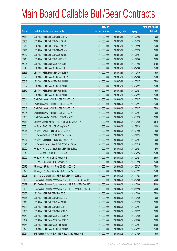|       |                                                                | No. of        |                     |               | <b>Amount raised</b> |
|-------|----------------------------------------------------------------|---------------|---------------------|---------------|----------------------|
| Code  | <b>Callable Bull/Bear Contracts</b>                            | issue (units) | <b>Listing date</b> | <b>Expiry</b> | (HK\$ mil.)          |
| 65719 | UBS AG - HSI R Bull CBBC Mar 2014 K                            | 300,000,000   | 2013/07/31          | 2014/03/28    | 75.00                |
| 65735 | UBS AG - HSI R Bull CBBC Apr 2014 U                            | 300,000,000   | 2013/07/31          | 2014/04/29    | 75.00                |
| 65742 | UBS AG - HSI R Bull CBBC Apr 2014 V                            | 300,000,000   | 2013/07/31          | 2014/04/29    | 75.00                |
| 65741 | UBS AG - HSI R Bull CBBC May 2014 M                            | 300,000,000   | 2013/07/31          | 2014/05/29    | 75.00                |
| 65982 | UBS AG - HSI R Bull CBBC Jun 2014 K                            | 300,000,000   | 2013/07/31          | 2014/06/27    | 75.00                |
| 65713 | UBS AG - HSI R Bull CBBC Jul 2014 F                            | 300,000,000   | 2013/07/31          | 2014/07/30    | 75.00                |
| 65906 | UBS AG - HSI R Bear CBBC Nov 2013 Y                            | 350,000,000   | 2013/07/31          | 2013/11/28    | 87.50                |
| 65845 | UBS AG - HSI R Bear CBBC Dec 2013 T                            | 300,000,000   | 2013/07/31          | 2013/12/30    | 75.00                |
| 65856 | UBS AG - HSI R Bear CBBC Dec 2013 U                            | 300,000,000   | 2013/07/31          | 2013/12/30    | 75.00                |
| 65873 | UBS AG - HSI R Bear CBBC Dec 2013 V                            | 300,000,000   | 2013/07/31          | 2013/12/30    | 75.00                |
| 65843 | UBS AG - HSI R Bear CBBC Feb 2014 H                            | 300,000,000   | 2013/07/31          | 2014/02/27    | 75.00                |
| 65852 | UBS AG - HSI R Bear CBBC Feb 2014 I                            | 300,000,000   | 2013/07/31          | 2014/02/27    | 75.00                |
| 65872 | UBS AG - HSI R Bear CBBC Feb 2014 J                            | 300,000,000   | 2013/07/31          | 2014/02/27    | 75.00                |
| 65886 | UBS AG - HSI R Bear CBBC Feb 2014 K                            | 300,000,000   | 2013/07/31          | 2014/02/27    | 75.00                |
| 66041 | Credit Suisse AG - HSI R Bull CBBC Feb 2014 O                  | 300,000,000   | 2013/08/01          | 2014/02/27    | 75.00                |
| 66061 | Credit Suisse AG - HSI R Bull CBBC Feb 2014 P                  | 300,000,000   | 2013/08/01          | 2014/02/27    | 75.00                |
| 66043 | Credit Suisse AG - HSI R Bull CBBC Feb 2014 Q                  | 300,000,000   | 2013/08/01          | 2014/02/27    | 75.00                |
| 66045 | Credit Suisse AG - HSI R Bull CBBC Feb 2014 R                  | 300,000,000   | 2013/08/01          | 2014/02/27    | 75.00                |
| 66133 | Credit Suisse AG - HSI R Bear CBBC Nov 2013 H                  | 300,000,000   | 2013/08/01          | 2013/11/28    | 75.00                |
| 66171 | Goldman Sachs SP (Asia) - HSI R Bull CBBC Dec 2013 K           | 150,000,000   | 2013/08/01          | 2013/12/30    | 38.10                |
| 66034 | HK Bank - BOCL R Bull CBBC Aug 2014 A                          | 80,000,000    | 2013/08/01          | 2014/08/28    | 20.00                |
| 66016 | HK Bank - COVS R Bear CBBC Jan 2014 A                          | 40,000,000    | 2013/08/01          | 2014/01/20    | 12.00                |
| 66030 | HK Bank - CC Bank R Bull CBBC Feb 2014 A                       | 80,000,000    | 2013/08/01          | 2014/02/24    | 20.00                |
| 66037 | HK Bank - China Life R Bull CBBC Feb 2014 A                    | 60,000,000    | 2013/08/01          | 2014/02/24    | 15.00                |
| 66021 | HK Bank - Minsheng Bank R Bull CBBC Jan 2014 A                 | 40,000,000    | 2013/08/01          | 2014/01/13    | 10.00                |
| 66029 | HK Bank - Minsheng Bank R Bull CBBC Mar 2014 A                 | 40,000,000    | 2013/08/01          | 2014/03/24    | 12.40                |
| 66015 | HK Bank - A50 R Bull CBBC Feb 2014 A                           | 100,000,000   | 2013/08/01          | 2014/02/24    | 25.00                |
| 66000 | HK Bank - HSI R Bull CBBC Feb 2014 E                           | 100,000,000   | 2013/08/01          | 2014/02/27    | 25.00                |
| 65999 | HK Bank - HSI R Bull CBBC Mar 2014 A                           | 100,000,000   | 2013/08/01          | 2014/03/28    | 25.00                |
| 66172 | J P Morgan SP BV - HSI R Bull CBBC Jun 2014 C                  | 300,000,000   | 2013/08/01          | 2014/06/27    | 75.00                |
| 66173 | J P Morgan SP BV - HSI R Bull CBBC Jun 2014 D                  | 300,000,000   | 2013/08/01          | 2014/06/27    | 75.00                |
| 66098 | Standard Chartered Bank - HSI R Bull CBBC Nov 2013 X           | 100,000,000   | 2013/08/01          | 2013/11/28    | 25.00                |
| 66125 | SGA Societe Generale Acceptance N.V. - HSI R Bull CBBC Dec 13C | 200,000,000   | 2013/08/01          | 2013/12/30    | 50.00                |
| 66127 | SGA Societe Generale Acceptance N.V. - HSI R Bull CBBC Dec 13D | 200,000,000   | 2013/08/01          | 2013/12/30    | 50.00                |
| 66129 | SGA Societe Generale Acceptance N.V. - HSI R Bear CBBC Nov 13H | 200,000,000   | 2013/08/01          | 2013/11/28    | 50.00                |
| 66102 | UBS AG - HSI R Bull CBBC Dec 2013 L                            | 300,000,000   | 2013/08/01          | 2013/12/30    | 75.00                |
| 66116 | UBS AG - HSI R Bull CBBC Dec 2013 Z                            | 300,000,000   | 2013/08/01          | 2013/12/30    | 75.00                |
| 66113 | UBS AG - HSI R Bull CBBC Jan 2014 P                            | 300,000,000   | 2013/08/01          | 2014/01/29    | 75.00                |
| 66103 | UBS AG - HSI R Bull CBBC Feb 2014 I                            | 300,000,000   | 2013/08/01          | 2014/02/27    | 75.00                |
| 66105 | UBS AG - HSI R Bull CBBC Feb 2014 O                            | 300,000,000   | 2013/08/01          | 2014/02/27    | 75.00                |
| 66163 | UBS AG - HSI R Bear CBBC Dec 2013 W                            | 300,000,000   | 2013/08/01          | 2013/12/30    | 75.00                |
| 66167 | UBS AG - HSI R Bear CBBC Dec 2013 X                            | 300,000,000   | 2013/08/01          | 2013/12/30    | 75.00                |
| 66164 | UBS AG - HSI R Bear CBBC Feb 2014 L                            | 300,000,000   | 2013/08/01          | 2014/02/27    | 84.00                |
| 66170 | UBS AG - HSI R Bear CBBC Feb 2014 M                            | 300,000,000   | 2013/08/01          | 2014/02/27    | 75.00                |
| 66261 | BNP Paribas Arbit Issu B.V. - HSI R Bear CBBC Jan 2014 E       | 300,000,000   | 2013/08/02          | 2014/01/29    | 75.00                |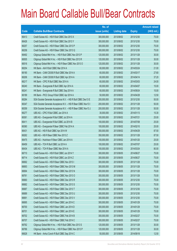|       |                                                                | No. of        |                     |               | <b>Amount raised</b> |
|-------|----------------------------------------------------------------|---------------|---------------------|---------------|----------------------|
| Code  | <b>Callable Bull/Bear Contracts</b>                            | issue (units) | <b>Listing date</b> | <b>Expiry</b> | (HK\$ mil.)          |
| 66413 | Credit Suisse AG - HSI R Bull CBBC Dec 2013 X                  | 300,000,000   | 2013/08/02          | 2013/12/30    | 75.00                |
| 66426 | Credit Suisse AG - HSI R Bull CBBC Dec 2013 Y                  | 300,000,000   | 2013/08/02          | 2013/12/30    | 75.00                |
| 66257 | Credit Suisse AG - HSI R Bear CBBC Dec 2013 P                  | 300,000,000   | 2013/08/02          | 2013/12/30    | 75.00                |
| 66258 | Credit Suisse AG - HSI R Bear CBBC Dec 2013 Q                  | 300,000,000   | 2013/08/02          | 2013/12/30    | 75.00                |
| 66492 | Citigroup Global Mkt H Inc. - HSI R Bull CBBC Nov 2013 P       | 120,000,000   | 2013/08/02          | 2013/11/28    | 30.00                |
| 66505 | Citigroup Global Mkt H Inc. - HSI R Bull CBBC Nov 2013 R       | 120,000,000   | 2013/08/02          | 2013/11/28    | 30.00                |
| 66516 | Citigroup Global Mkt H Inc. - HSI R Bear CBBC Nov 2013 O       | 120,000,000   | 2013/08/02          | 2013/11/28    | 30.00                |
| 66254 | HK Bank - AIA R Bull CBBC Mar 2014 A                           | 60,000,000    | 2013/08/02          | 2014/03/24    | 21.00                |
| 66190 | HK Bank - CAM CSI300 R Bull CBBC Mar 2014 A                    | 60,000,000    | 2013/08/02          | 2014/03/17    | 27.60                |
| 66206 | HK Bank - CAM CSI300 R Bull CBBC Apr 2014 A                    | 60,000,000    | 2013/08/02          | 2014/04/14    | 37.20                |
| 66217 | HK Bank - CPIC R Bull CBBC Mar 2014 A                          | 60,000,000    | 2013/08/02          | 2014/03/03    | 24.00                |
| 66240 | HK Bank - Evergrande R Bull CBBC Apr 2014 A                    | 60,000,000    | 2013/08/02          | 2014/04/07    | 15.00                |
| 66241 | HK Bank - Evergrande R Bull CBBC Sep 2014 A                    | 60,000,000    | 2013/08/02          | 2014/09/24    | 15.00                |
| 66189 | HK Bank - PICC Group R Bull CBBC Apr 2014 A                    | 50,000,000    | 2013/08/02          | 2014/04/28    | 12.50                |
| 66284 | SGA Societe Generale Acceptance N.V. - HSI R Bull CBBC Dec13 E | 200,000,000   | 2013/08/02          | 2013/12/30    | 50.00                |
| 66347 | SGA Societe Generale Acceptance N.V. - HSI R Bear CBBC Nov13 I | 200,000,000   | 2013/08/02          | 2013/11/28    | 50.00                |
| 66359 | SGA Societe Generale Acceptance N.V. - HSI R Bear CBBC Nov13 J | 200,000,000   | 2013/08/02          | 2013/11/28    | 50.00                |
| 66277 | UBS AG - CPIC R Bull CBBC Jan 2014 A                           | 30,000,000    | 2013/08/02          | 2014/01/13    | 15.30                |
| 66361 | UBS AG - Evergrande R Bull CBBC Jul 2014 A                     | 100,000,000   | 2013/08/02          | 2014/07/21    | 25.00                |
| 66411 | UBS AG - Evergrande R Bull CBBC Jul 2014 B                     | 100,000,000   | 2013/08/02          | 2014/07/08    | 25.00                |
| 66360 | UBS AG - Evergrande R Bear CBBC Feb 2014 A                     | 100,000,000   | 2013/08/02          | 2014/02/10    | 25.00                |
| 66431 | UBS AG - HSI R Bull CBBC Apr 2014 W                            | 350,000,000   | 2013/08/02          | 2014/04/29    | 87.50                |
| 66262 | UBS AG - HSI R Bear CBBC Nov 2013 Z                            | 350,000,000   | 2013/08/02          | 2013/11/28    | 87.50                |
| 66475 | UBS AG - Hutchison R Bear CBBC Jan 2014 A                      | 100,000,000   | 2013/08/02          | 2014/01/20    | 25.00                |
| 66459 | UBS AG - TCH R Bull CBBC Jul 2014 A                            | 100,000,000   | 2013/08/02          | 2014/07/07    | 25.00                |
| 66434 | UBS AG - TCH R Bear CBBC Mar 2014 A                            | 100,000,000   | 2013/08/02          | 2014/03/24    | 80.00                |
| 66710 | Credit Suisse AG - HSI R Bull CBBC Jun 2014 Y                  | 300,000,000   | 2013/08/05          | 2014/06/27    | 75.00                |
| 66714 | Credit Suisse AG - HSI R Bull CBBC Jun 2014 Z                  | 300,000,000   | 2013/08/05          | 2014/06/27    | 75.00                |
| 66692 | Credit Suisse AG - HSI R Bear CBBC Nov 2013 I                  | 300,000,000   | 2013/08/05          | 2013/11/28    | 75.00                |
| 66693 | Credit Suisse AG - HSI R Bear CBBC Nov 2013 M                  | 300,000,000   | 2013/08/05          | 2013/11/28    | 75.00                |
| 66694 | Credit Suisse AG - HSI R Bear CBBC Nov 2013 N                  | 300,000,000   | 2013/08/05          | 2013/11/28    | 75.00                |
| 66761 | Credit Suisse AG - HSI R Bear CBBC Nov 2013 O                  | 300,000,000   | 2013/08/05          | 2013/11/28    | 75.00                |
| 66660 | Credit Suisse AG - HSI R Bear CBBC Dec 2013 R                  | 300,000,000   | 2013/08/05          | 2013/12/30    | 75.00                |
| 66682 | Credit Suisse AG - HSI R Bear CBBC Dec 2013 S                  | 300,000,000   | 2013/08/05          | 2013/12/30    | 75.00                |
| 66687 | Credit Suisse AG - HSI R Bear CBBC Dec 2013 T                  | 300,000,000   | 2013/08/05          | 2013/12/30    | 75.00                |
| 66689 | Credit Suisse AG - HSI R Bear CBBC Dec 2013 U                  | 300,000,000   | 2013/08/05          | 2013/12/30    | 75.00                |
| 66691 | Credit Suisse AG - HSI R Bear CBBC Dec 2013 V                  | 300,000,000   | 2013/08/05          | 2013/12/30    | 75.00                |
| 66695 | Credit Suisse AG - HSI R Bear CBBC Jan 2014 C                  | 300,000,000   | 2013/08/05          | 2014/01/29    | 75.00                |
| 66700 | Credit Suisse AG - HSI R Bear CBBC Jan 2014 D                  | 300,000,000   | 2013/08/05          | 2014/01/29    | 75.00                |
| 66701 | Credit Suisse AG - HSI R Bear CBBC Jan 2014 E                  | 300,000,000   | 2013/08/05          | 2014/01/29    | 75.00                |
| 66702 | Credit Suisse AG - HSI R Bear CBBC Feb 2014 B                  | 300,000,000   | 2013/08/05          | 2014/02/27    | 75.00                |
| 66707 | Credit Suisse AG - HSI R Bear CBBC Feb 2014 C                  | 300,000,000   | 2013/08/05          | 2014/02/27    | 75.00                |
| 66762 | Citigroup Global Mkt H Inc. - HSI R Bull CBBC Nov 2013 S       | 120,000,000   | 2013/08/05          | 2013/11/28    | 30.00                |
| 66766 | Citigroup Global Mkt H Inc. - HSI R Bear CBBC Nov 2013 P       | 120,000,000   | 2013/08/05          | 2013/11/28    | 30.00                |
| 66628 | HK Bank - Anhui Conch R Bull CBBC Sep 2014 C                   | 50,000,000    | 2013/08/05          | 2014/09/18    | 12.50                |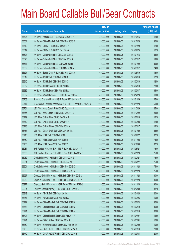|       |                                                                | No. of        |                     |               | <b>Amount raised</b> |
|-------|----------------------------------------------------------------|---------------|---------------------|---------------|----------------------|
| Code  | <b>Callable Bull/Bear Contracts</b>                            | issue (units) | <b>Listing date</b> | <b>Expiry</b> | (HK\$ mil.)          |
| 66626 | HK Bank - Anhui Conch R Bull CBBC Oct 2014 A                   | 50,000,000    | 2013/08/05          | 2014/10/16    | 12.50                |
| 66561 | HK Bank - China Mobile R Bull CBBC Dec 2013 E                  | 120,000,000   | 2013/08/05          | 2013/12/23    | 30.00                |
| 66519 | HK Bank - CNBM R Bull CBBC Jan 2014 A                          | 50,000,000    | 2013/08/05          | 2014/01/20    | 12.50                |
| 66517 | HK Bank - CNBM R Bull CBBC Feb 2014 A                          | 50,000,000    | 2013/08/05          | 2014/02/24    | 12.50                |
| 66624 | HK Bank - Galaxy Ent R Bull CBBC Jan 2014 A                    | 50,000,000    | 2013/08/05          | 2014/01/16    | 35.00                |
| 66623 | HK Bank - Galaxy Ent R Bull CBBC Mar 2014 A                    | 50,000,000    | 2013/08/05          | 2014/03/17    | 19.00                |
| 66641 | HK Bank - Galaxy Ent R Bear CBBC Jan 2014 B                    | 40,000,000    | 2013/08/05          | 2014/01/22    | 36.80                |
| 66659 | HK Bank - Galaxy Ent R Bear CBBC Mar 2014 A                    | 40,000,000    | 2013/08/05          | 2014/03/17    | 24.80                |
| 66527 | HK Bank - Sands China R Bull CBBC May 2014 A                   | 60,000,000    | 2013/08/05          | 2014/05/19    | 15.00                |
| 66619 | HK Bank - TCH R Bull CBBC Feb 2014 B                           | 50,000,000    | 2013/08/05          | 2014/02/10    | 17.50                |
| 66640 | HK Bank - TCH R Bull CBBC Feb 2014 C                           | 50,000,000    | 2013/08/05          | 2014/02/10    | 12.50                |
| 66632 | HK Bank - TCH R Bear CBBC Feb 2014 B                           | 50,000,000    | 2013/08/05          | 2014/02/10    | 28.00                |
| 66639 | HK Bank - TCH R Bear CBBC Mar 2014 A                           | 50,000,000    | 2013/08/05          | 2014/03/17    | 36.00                |
| 66592 | HK Bank - Wharf Holdings R Bull CBBC Dec 2013 A                | 40,000,000    | 2013/08/05          | 2013/12/23    | 10.00                |
| 66708 | Standard Chartered Bank - HSI R Bear CBBC Jan 2014 A           | 100,000,000   | 2013/08/05          | 2014/01/29    | 25.00                |
| 66717 | SGA Societe Generale Acceptance N.V. - HSI R Bear CBBC Nov13 K | 200,000,000   | 2013/08/05          | 2013/11/28    | 50.00                |
| 66754 | UBS AG - Anhui Conch R Bull CBBC Dec 2014 A                    | 100,000,000   | 2013/08/05          | 2014/12/29    | 25.00                |
| 66755 | UBS AG - Anhui Conch R Bull CBBC Dec 2014 B                    | 100,000,000   | 2013/08/05          | 2014/12/22    | 25.00                |
| 66719 | UBS AG - CNBM R Bull CBBC Feb 2014 A                           | 50,000,000    | 2013/08/05          | 2014/02/10    | 12.50                |
| 66742 | UBS AG - CNBM R Bull CBBC Mar 2014 A                           | 50,000,000    | 2013/08/05          | 2014/03/03    | 12.50                |
| 66718 | UBS AG - CNBM R Bear CBBC Mar 2014 A                           | 50,000,000    | 2013/08/05          | 2014/03/17    | 12.50                |
| 66757 | UBS AG - Galaxy Ent R Bull CBBC Jan 2014 A                     | 50,000,000    | 2013/08/05          | 2014/01/20    | 28.50                |
| 66716 | UBS AG - HSI R Bull CBBC Feb 2014 J                            | 350,000,000   | 2013/08/05          | 2014/02/27    | 87.50                |
| 66759 | UBS AG - HSI R Bear CBBC Nov 2013 D                            | 300,000,000   | 2013/08/05          | 2013/11/28    | 75.00                |
| 66760 | UBS AG - HSI R Bear CBBC Dec 2013 Y                            | 350,000,000   | 2013/08/05          | 2013/12/30    | 87.50                |
| 66931 | BNP Paribas Arbit Issu B.V. - HSI R Bull CBBC Jun 2014 A       | 300,000,000   | 2013/08/06          | 2014/06/27    | 75.00                |
| 66860 | BNP Paribas Arbit Issu B.V. - HSI R Bear CBBC Jan 2014 F       | 300,000,000   | 2013/08/06          | 2014/01/29    | 75.00                |
| 66932 | Credit Suisse AG - HSI R Bull CBBC Feb 2014 S                  | 300,000,000   | 2013/08/06          | 2014/02/27    | 75.00                |
| 66934 | Credit Suisse AG - HSI R Bull CBBC Feb 2014 T                  | 300,000,000   | 2013/08/06          | 2014/02/27    | 75.00                |
| 66901 | Credit Suisse AG - HSI R Bear CBBC Nov 2013 Q                  | 300,000,000   | 2013/08/06          | 2013/11/28    | 75.00                |
| 66905 | Credit Suisse AG - HSI R Bear CBBC Nov 2013 R                  | 300,000,000   | 2013/08/06          | 2013/11/28    | 75.00                |
| 66957 | Citigroup Global Mkt H Inc. - HSI R Bull CBBC Nov 2013 U       | 120,000,000   | 2013/08/06          | 2013/11/28    | 30.00                |
| 66960 | Citigroup Global Mkt H Inc. - HSI R Bull CBBC Nov 2013 V       | 120,000,000   | 2013/08/06          | 2013/11/28    | 30.00                |
| 66972 | Citigroup Global Mkt H Inc. - HSI R Bear CBBC Nov 2013 Q       | 120,000,000   | 2013/08/06          | 2013/11/28    | 30.00                |
| 66954 | Goldman Sachs SP (Asia) - HSI R Bull CBBC Dec 2013 L           | 150,000,000   | 2013/08/06          | 2013/12/30    | 38.10                |
| 66849 | HK Bank - ABC R Bull CBBC Apr 2014 A                           | 80,000,000    | 2013/08/06          | 2014/04/28    | 20.00                |
| 66851 | HK Bank - ABC R Bear CBBC Mar 2014 A                           | 40,000,000    | 2013/08/06          | 2014/03/26    | 10.00                |
| 66772 | HK Bank - China Mobile R Bull CBBC Feb 2014 B                  | 120,000,000   | 2013/08/06          | 2014/02/24    | 30.00                |
| 66773 | HK Bank - China Mobile R Bull CBBC Feb 2014 C                  | 120,000,000   | 2013/08/06          | 2014/02/10    | 30.00                |
| 66771 | HK Bank - China Mobile R Bull CBBC Mar 2014 A                  | 120,000,000   | 2013/08/06          | 2014/03/10    | 30.00                |
| 66794 | HK Bank - China Mobile R Bear CBBC Apr 2014 A                  | 50,000,000    | 2013/08/06          | 2014/04/07    | 12.50                |
| 66791 | HK Bank - COVS R Bear CBBC Mar 2014 A                          | 40,000,000    | 2013/08/06          | 2014/03/31    | 12.00                |
| 66859 | HK Bank - Minsheng Bank R Bear CBBC Feb 2014 A                 | 40,000,000    | 2013/08/06          | 2014/02/20    | 10.00                |
| 66769 | HK Bank - CSOP A50 ETF R Bull CBBC Mar 2014 A                  | 80,000,000    | 2013/08/06          | 2014/03/10    | 20.00                |
| 66770 | HK Bank - CSOP A50 ETF R Bull CBBC Mar 2014 B                  | 80,000,000    | 2013/08/06          | 2014/03/31    | 20.00                |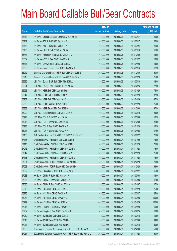|       |                                                                | No. of        |                     |               | <b>Amount raised</b> |
|-------|----------------------------------------------------------------|---------------|---------------------|---------------|----------------------|
| Code  | <b>Callable Bull/Bear Contracts</b>                            | issue (units) | <b>Listing date</b> | <b>Expiry</b> | (HK\$ mil.)          |
| 66848 | HK Bank - China Shenhua R Bear CBBC Mar 2014 A                 | 40,000,000    | 2013/08/06          | 2014/03/17    | 20.80                |
| 66767 | HK Bank - A50 R Bull CBBC Feb 2014 B                           | 100,000,000   | 2013/08/06          | 2014/02/17    | 25.00                |
| 66768 | HK Bank - A50 R Bull CBBC Mar 2014 A                           | 100,000,000   | 2013/08/06          | 2014/03/24    | 25.00                |
| 66783 | HK Bank - HKEx R Bull CBBC Jan 2014 A                          | 60,000,000    | 2013/08/06          | 2014/01/13    | 15.00                |
| 66777 | HK Bank - Hutchison R Bull CBBC Dec 2013 C                     | 60,000,000    | 2013/08/06          | 2013/12/30    | 15.00                |
| 66852 | HK Bank - ICBC R Bear CBBC Jan 2014 A                          | 40,000,000    | 2013/08/06          | 2014/01/27    | 10.00                |
| 66847 | HK Bank - Lenovo R Bull CBBC Apr 2014 A                        | 60,000,000    | 2013/08/06          | 2014/04/28    | 15.00                |
| 66855 | HK Bank - Sands China R Bear CBBC Jan 2014 A                   | 50,000,000    | 2013/08/06          | 2014/01/13    | 12.50                |
| 66912 | Standard Chartered Bank - HSI R Bull CBBC Dec 2013 E           | 200,000,000   | 2013/08/06          | 2013/12/30    | 50.00                |
| 66916 | Standard Chartered Bank - HSI R Bear CBBC Jan 2014 B           | 100,000,000   | 2013/08/06          | 2014/01/29    | 25.00                |
| 66925 | UBS AG - Galaxy Ent R Bull CBBC Mar 2014 A                     | 50,000,000    | 2013/08/06          | 2014/03/10    | 18.00                |
| 66924 | UBS AG - Galaxy Ent R Bear CBBC Feb 2014 A                     | 50,000,000    | 2013/08/06          | 2014/02/24    | 27.50                |
| 66953 | UBS AG - HSI R Bull CBBC Jan 2014 Q                            | 300,000,000   | 2013/08/06          | 2014/01/29    | 75.00                |
| 66947 | UBS AG - HSI R Bull CBBC Mar 2014 V                            | 350,000,000   | 2013/08/06          | 2014/03/28    | 87.50                |
| 66952 | UBS AG - HSI R Bull CBBC Apr 2014 X                            | 350,000,000   | 2013/08/06          | 2014/04/29    | 87.50                |
| 66883 | UBS AG - HSI R Bear CBBC Nov 2013 E                            | 300,000,000   | 2013/08/06          | 2013/11/28    | 75.00                |
| 66863 | UBS AG - HSI R Bear CBBC Dec 2013 D                            | 350,000,000   | 2013/08/06          | 2013/12/30    | 87.50                |
| 66929 | UBS AG - Hutchison R Bull CBBC Feb 2014 A                      | 100,000,000   | 2013/08/06          | 2014/02/10    | 25.00                |
| 66923 | UBS AG - TCH R Bull CBBC Mar 2014 A                            | 50,000,000    | 2013/08/06          | 2014/03/03    | 12.50                |
| 66943 | UBS AG - TCH R Bear CBBC Dec 2013 E                            | 50,000,000    | 2013/08/06          | 2013/12/30    | 22.50                |
| 66918 | UBS AG - TCH R Bear CBBC Jan 2014 B                            | 50,000,000    | 2013/08/06          | 2014/01/20    | 12.50                |
| 66917 | UBS AG - TCH R Bear CBBC Apr 2014 A                            | 50,000,000    | 2013/08/06          | 2014/04/28    | 47.50                |
| 67103 | BNP Paribas Arbit Issu B.V. - HSI R Bull CBBC Jun 2014 B       | 300,000,000   | 2013/08/07          | 2014/06/27    | 75.00                |
| 67116 | Credit Suisse AG - HSI R Bull CBBC Jan 2014 H                  | 300,000,000   | 2013/08/07          | 2014/01/29    | 75.00                |
| 67115 | Credit Suisse AG - HSI R Bull CBBC Jan 2014 L                  | 300,000,000   | 2013/08/07          | 2014/01/29    | 75.00                |
| 67046 | Credit Suisse AG - HSI R Bear CBBC Nov 2013 S                  | 300,000,000   | 2013/08/07          | 2013/11/28    | 75.00                |
| 67047 | Credit Suisse AG - HSI R Bear CBBC Nov 2013 T                  | 300,000,000   | 2013/08/07          | 2013/11/28    | 75.00                |
| 67118 | Credit Suisse AG - HSI R Bear CBBC Nov 2013 U                  | 300,000,000   | 2013/08/07          | 2013/11/28    | 75.00                |
| 67051 | Credit Suisse AG - TCH R Bear CBBC Dec 2013 C                  | 80,000,000    | 2013/08/07          | 2013/12/20    | 20.00                |
| 67053 | Credit Suisse AG - TCH R Bear CBBC Dec 2013 D                  | 80,000,000    | 2013/08/07          | 2013/12/20    | 33.60                |
| 67032 | HK Bank - China Life R Bear CBBC Jan 2014 A                    | 50,000,000    | 2013/08/07          | 2014/01/27    | 15.00                |
| 67038 | HK Bank - CNBM R Bull CBBC Mar 2014 A                          | 50,000,000    | 2013/08/07          | 2014/03/03    | 13.00                |
| 67035 | HK Bank - CNBM R Bear CBBC Mar 2014 A                          | 50,000,000    | 2013/08/07          | 2014/03/03    | 12.50                |
| 67036 | HK Bank - CNBM R Bear CBBC Apr 2014 A                          | 50,000,000    | 2013/08/07          | 2014/04/07    | 17.50                |
| 66973 | HK Bank - HSI R Bull CBBC Jan 2014 J                           | 100,000,000   | 2013/08/07          | 2014/01/29    | 25.00                |
| 66976 | HK Bank - HSI R Bull CBBC Feb 2014 F                           | 100,000,000   | 2013/08/07          | 2014/02/27    | 25.00                |
| 66978 | HK Bank - HSI R Bull CBBC Mar 2014 B                           | 400,000,000   | 2013/08/07          | 2014/03/28    | 100.00               |
| 66979 | HK Bank - HSI R Bull CBBC Apr 2014 A                           | 400,000,000   | 2013/08/07          | 2014/04/29    | 100.00               |
| 67016 | HK Bank - Ping An R Bull CBBC Apr 2014 A                       | 60,000,000    | 2013/08/07          | 2014/04/28    | 15.00                |
| 66982 | HK Bank - Ping An R Bear CBBC Feb 2014 A                       | 40,000,000    | 2013/08/07          | 2014/02/24    | 10.00                |
| 67039 | HK Bank - TCH R Bull CBBC Mar 2014 A                           | 50,000,000    | 2013/08/07          | 2014/03/18    | 19.50                |
| 67040 | HK Bank - TCH R Bear CBBC Mar 2014 B                           | 50,000,000    | 2013/08/07          | 2014/03/06    | 34.00                |
| 67041 | HK Bank - TCH R Bear CBBC Mar 2014 C                           | 50,000,000    | 2013/08/07          | 2014/03/18    | 39.50                |
| 67055 | SGA Societe Generale Acceptance N.V. - HSI R Bull CBBC Dec13 F | 200,000,000   | 2013/08/07          | 2013/12/30    | 50.00                |
| 67057 | SGA Societe Generale Acceptance N.V. - HSI R Bear CBBC Nov13 L | 200,000,000   | 2013/08/07          | 2013/11/28    | 50.00                |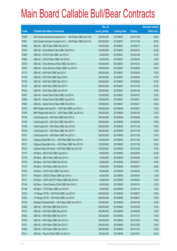|       |                                                                | No. of        |                     |               | <b>Amount raised</b> |
|-------|----------------------------------------------------------------|---------------|---------------------|---------------|----------------------|
| Code  | <b>Callable Bull/Bear Contracts</b>                            | issue (units) | <b>Listing date</b> | <b>Expiry</b> | (HK\$ mil.)          |
| 67059 | SGA Societe Generale Acceptance N.V. - HSI R Bear CBBC Nov13 M | 200,000,000   | 2013/08/07          | 2013/11/28    | 50.00                |
| 67061 | SGA Societe Generale Acceptance N.V. - HSI R Bear CBBC Nov13 N | 200,000,000   | 2013/08/07          | 2013/11/28    | 50.00                |
| 67069 | UBS AG - ABC R Bear CBBC Mar 2014 A                            | 100,000,000   | 2013/08/07          | 2014/03/17    | 25.00                |
| 67078 | UBS AG - China Mobile R Bull CBBC Feb 2014 A                   | 100,000,000   | 2013/08/07          | 2014/02/10    | 25.00                |
| 67089 | UBS AG - COVS R Bull CBBC Jan 2014 A                           | 50,000,000    | 2013/08/07          | 2014/01/06    | 27.00                |
| 67082 | UBS AG - COVS R Bear CBBC Feb 2014 A                           | 50,000,000    | 2013/08/07          | 2014/02/24    | 19.00                |
| 67076 | UBS AG - China Shenhua R Bull CBBC Dec 2014 A                  | 100,000,000   | 2013/08/07          | 2014/12/15    | 25.00                |
| 67075 | UBS AG - China Shenhua R Bear CBBC Jun 2014 A                  | 100,000,000   | 2013/08/07          | 2014/06/09    | 25.00                |
| 67110 | UBS AG - HSI R Bull CBBC Apr 2014 Y                            | 300,000,000   | 2013/08/07          | 2014/04/29    | 75.00                |
| 67104 | UBS AG - HSI R Bull CBBC May 2014 N                            | 350,000,000   | 2013/08/07          | 2014/05/29    | 87.50                |
| 67105 | UBS AG - HSI R Bull CBBC May 2014 O                            | 350,000,000   | 2013/08/07          | 2014/05/29    | 87.50                |
| 67120 | UBS AG - HSI R Bear CBBC Nov 2013 F                            | 350,000,000   | 2013/08/07          | 2013/11/28    | 87.50                |
| 67043 | UBS AG - HSI R Bear CBBC Jan 2014 P                            | 300,000,000   | 2013/08/07          | 2014/01/29    | 75.00                |
| 67067 | UBS AG - Sands China R Bull CBBC Jul 2014 A                    | 100,000,000   | 2013/08/07          | 2014/07/07    | 25.00                |
| 67068 | UBS AG - Sands China R Bull CBBC Aug 2014 A                    | 100,000,000   | 2013/08/07          | 2014/08/11    | 25.00                |
| 67065 | UBS AG - Sands China R Bear CBBC Feb 2014 A                    | 100,000,000   | 2013/08/07          | 2014/02/17    | 25.00                |
| 67163 | BNP Paribas Arbit Issu B.V. - HSI R Bull CBBC Jun 2014 C       | 300,000,000   | 2013/08/08          | 2014/06/27    | 75.00                |
| 67165 | BNP Paribas Arbit Issu B.V. - HSI R Bear CBBC Jan 2014 G       | 300,000,000   | 2013/08/08          | 2014/01/29    | 75.00                |
| 67194 | Credit Suisse AG - HSI R Bull CBBC Mar 2014 G                  | 300,000,000   | 2013/08/08          | 2014/03/28    | 75.00                |
| 67195 | Credit Suisse AG - HSI R Bull CBBC Mar 2014 H                  | 300,000,000   | 2013/08/08          | 2014/03/28    | 75.00                |
| 67188 | Credit Suisse AG - HSI R Bear CBBC Nov 2013 B                  | 300,000,000   | 2013/08/08          | 2013/11/28    | 75.00                |
| 67169 | Credit Suisse AG - HSI R Bear CBBC Nov 2013 F                  | 300,000,000   | 2013/08/08          | 2013/11/28    | 75.00                |
| 67167 | Credit Suisse AG - HSI R Bear CBBC Nov 2013 V                  | 300,000,000   | 2013/08/08          | 2013/11/28    | 75.00                |
| 67216 | Citigroup Global Mkt H Inc. - HSI R Bull CBBC Nov 2013 W       | 120,000,000   | 2013/08/08          | 2013/11/28    | 30.00                |
| 67217 | Citigroup Global Mkt H Inc. - HSI R Bear CBBC Nov 2013 R       | 120,000,000   | 2013/08/08          | 2013/11/28    | 30.00                |
| 67215 | Goldman Sachs SP (Asia) - HSI R Bull CBBC Dec 2013 M           | 150,000,000   | 2013/08/08          | 2013/12/30    | 37.80                |
| 67137 | HK Bank - ABC R Bull CBBC Aug 2014 A                           | 80,000,000    | 2013/08/08          | 2014/08/28    | 20.00                |
| 67139 | HK Bank - ABC R Bear CBBC Apr 2014 A                           | 40,000,000    | 2013/08/08          | 2014/04/28    | 10.00                |
| 67136 | HK Bank - AIA R Bull CBBC Mar 2014 B                           | 60,000,000    | 2013/08/08          | 2014/03/17    | 18.60                |
| 67127 | HK Bank - AIA R Bear CBBC Apr 2014 A                           | 50,000,000    | 2013/08/08          | 2014/04/07    | 26.00                |
| 67162 | HK Bank - COVS R Bull CBBC Feb 2014 A                          | 50,000,000    | 2013/08/08          | 2014/02/24    | 17.00                |
| 67147 | HK Bank - CNOOC R Bear CBBC Apr 2014 A                         | 40,000,000    | 2013/08/08          | 2014/04/07    | 12.80                |
| 67121 | HK Bank - CSOP A50 ETF R Bear CBBC Mar 2014 A                  | 40,000,000    | 2013/08/08          | 2014/03/24    | 10.00                |
| 67146 | HK Bank - China Shenhua R Bull CBBC Mar 2014 C                 | 60,000,000    | 2013/08/08          | 2014/03/10    | 22.20                |
| 67148 | HK Bank - TCH R Bear CBBC Jan 2014 B                           | 50,000,000    | 2013/08/08          | 2014/01/13    | 12.50                |
| 67219 | J P Morgan SP BV - HSI R Bull CBBC Jun 2014 E                  | 300,000,000   | 2013/08/08          | 2014/06/27    | 75.00                |
| 67222 | J P Morgan SP BV - HSI R Bull CBBC Jun 2014 F                  | 300,000,000   | 2013/08/08          | 2014/06/27    | 75.00                |
| 67192 | Standard Chartered Bank - HSI R Bear CBBC Jan 2014 C           | 100,000,000   | 2013/08/08          | 2014/01/29    | 25.00                |
| 67206 | UBS AG - HSI R Bull CBBC Mar 2014 W                            | 300,000,000   | 2013/08/08          | 2014/03/28    | 75.00                |
| 67213 | UBS AG - HSI R Bull CBBC May 2014 P                            | 300,000,000   | 2013/08/08          | 2014/05/29    | 75.00                |
| 67202 | UBS AG - HSI R Bull CBBC Nov 2014 A                            | 300,000,000   | 2013/08/08          | 2014/11/27    | 75.00                |
| 67190 | UBS AG - HSI R Bear CBBC Dec 2013 G                            | 300,000,000   | 2013/08/08          | 2013/12/30    | 75.00                |
| 67191 | UBS AG - HSI R Bear CBBC Dec 2013 Z                            | 300,000,000   | 2013/08/08          | 2013/12/30    | 75.00                |
| 67200 | UBS AG - HSI R Bear CBBC Nov 2014 A                            | 300,000,000   | 2013/08/08          | 2014/11/27    | 75.00                |
| 67214 | UBS AG - Ping An R Bull CBBC Oct 2014 A                        | 100,000,000   | 2013/08/08          | 2014/10/21    | 25.00                |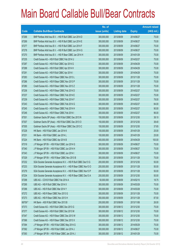|         |                                                                | No. of        |                     |               | <b>Amount raised</b> |
|---------|----------------------------------------------------------------|---------------|---------------------|---------------|----------------------|
| Code    | <b>Callable Bull/Bear Contracts</b>                            | issue (units) | <b>Listing date</b> | <b>Expiry</b> | $(HK$$ mil.)         |
| 67268   | BNP Paribas Arbit Issu B.V. - HSI R Bull CBBC Jun 2014 D       | 300,000,000   | 2013/08/09          | 2014/06/27    | 75.00                |
| 67269   | BNP Paribas Arbit Issu B.V. - HSI R Bull CBBC Jun 2014 E       | 300,000,000   | 2013/08/09          | 2014/06/27    | 75.00                |
| 67277   | BNP Paribas Arbit Issu B.V. - HSI R Bull CBBC Jun 2014 F       | 300,000,000   | 2013/08/09          | 2014/06/27    | 75.00                |
| 67278   | BNP Paribas Arbit Issu B.V. - HSI R Bull CBBC Jun 2014 G       | 300,000,000   | 2013/08/09          | 2014/06/27    | 75.00                |
| 67270   | BNP Paribas Arbit Issu B.V. - HSI R Bear CBBC Jan 2014 H       | 300,000,000   | 2013/08/09          | 2014/01/29    | 75.00                |
| 67235   | Credit Suisse AG - HSI R Bull CBBC Feb 2014 U                  | 300,000,000   | 2013/08/09          | 2014/02/27    | 75.00                |
| 67287   | Credit Suisse AG - HSI R Bull CBBC Apr 2014 G                  | 300,000,000   | 2013/08/09          | 2014/04/29    | 75.00                |
| 67288   | Credit Suisse AG - HSI R Bull CBBC Apr 2014 H                  | 300,000,000   | 2013/08/09          | 2014/04/29    | 75.00                |
| 67291   | Credit Suisse AG - HSI R Bull CBBC Apr 2014 I                  | 300,000,000   | 2013/08/09          | 2014/04/29    | 75.00                |
| 67283   | Credit Suisse AG - HSI R Bear CBBC Nov 2013 L                  | 300,000,000   | 2013/08/09          | 2013/11/28    | 75.00                |
| 67286   | Credit Suisse AG - HSI R Bear CBBC Nov 2013 P                  | 300,000,000   | 2013/08/09          | 2013/11/28    | 75.00                |
| 67280   | Credit Suisse AG - HSI R Bear CBBC Nov 2013 Z                  | 300,000,000   | 2013/08/09          | 2013/11/28    | 75.00                |
| 67236   | Credit Suisse AG - HSI R Bear CBBC Feb 2014 D                  | 300,000,000   | 2013/08/09          | 2014/02/27    | 75.00                |
| 67237   | Credit Suisse AG - HSI R Bear CBBC Feb 2014 E                  | 300,000,000   | 2013/08/09          | 2014/02/27    | 75.00                |
| 67239   | Credit Suisse AG - HSI R Bear CBBC Feb 2014 F                  | 300,000,000   | 2013/08/09          | 2014/02/27    | 78.00                |
| 67243   | Credit Suisse AG - HSI R Bear CBBC Feb 2014 G                  | 300,000,000   | 2013/08/09          | 2014/02/27    | 84.00                |
| 67245   | Credit Suisse AG - HSI R Bear CBBC Feb 2014 H                  | 300,000,000   | 2013/08/09          | 2014/02/27    | 90.00                |
| 67246   | Credit Suisse AG - HSI R Bear CBBC Feb 2014 I                  | 300,000,000   | 2013/08/09          | 2014/02/27    | 96.00                |
| 67301   | Goldman Sachs SP (Asia) - HSI R Bull CBBC Dec 2013 N           | 150,000,000   | 2013/08/09          | 2013/12/30    | 38.10                |
| 67307   | Goldman Sachs SP (Asia) - HSI R Bull CBBC Dec 2013 O           | 150,000,000   | 2013/08/09          | 2013/12/30    | 38.40                |
| 67305   | Goldman Sachs SP (Asia) - HSI R Bear CBBC Dec 2013 C           | 150,000,000   | 2013/08/09          | 2013/12/30    | 37.65                |
| 67228   | HK Bank - HSI R Bull CBBC Jan 2014 K                           | 100,000,000   | 2013/08/09          | 2014/01/29    | 25.00                |
| 67231   | HK Bank - HSI R Bull CBBC Jan 2014 L                           | 100,000,000   | 2013/08/09          | 2014/01/29    | 25.00                |
| 67224   | HK Bank - HSI R Bull CBBC Apr 2014 B                           | 400,000,000   | 2013/08/09          | 2014/04/29    | 100.00               |
| 67319   | J P Morgan SP BV - HSI R Bull CBBC Jun 2014 G                  | 300,000,000   | 2013/08/09          | 2014/06/27    | 75.00                |
| 67340   | J P Morgan SP BV - HSI R Bull CBBC Jun 2014 H                  | 300,000,000   | 2013/08/09          | 2014/06/27    | 75.00                |
| 67343   | J P Morgan SP BV - HSI R Bull CBBC Jun 2014 I                  | 300,000,000   | 2013/08/09          | 2014/06/27    | 75.00                |
| 67329   | J P Morgan SP BV - HSI R Bear CBBC Nov 2013 B                  | 300,000,000   | 2013/08/09          | 2013/11/28    | 75.00                |
| 67232   | SGA Societe Generale Acceptance N.V. - HSI R Bull CBBC Dec13 G | 200,000,000   | 2013/08/09          | 2013/12/30    | 50.00                |
| 67233   | SGA Societe Generale Acceptance N.V. - HSI R Bear CBBC Nov13 O | 200,000,000   | 2013/08/09          | 2013/11/28    | 50.00                |
| 67279   | SGA Societe Generale Acceptance N.V. - HSI R Bear CBBC Nov13 P | 200,000,000   | 2013/08/09          | 2013/11/28    | 50.00                |
| 67234   | SGA Societe Generale Acceptance N.V. - HSI R Bear CBBC Dec13 A | 200,000,000   | 2013/08/09          | 2013/12/30    | 50.00                |
| 67298   | UBS AG - COVS R Bull CBBC Feb 2014 A                           | 50,000,000    | 2013/08/09          | 2014/02/10    | 18.75                |
| 67295   | UBS AG - HSI R Bull CBBC Mar 2014 X                            | 300,000,000   | 2013/08/09          | 2014/03/28    | 75.00                |
| 67296   | UBS AG - HSI R Bull CBBC Mar 2014 Y                            | 300,000,000   | 2013/08/09          | 2014/03/28    | 75.00                |
| 67272   | UBS AG - HSI R Bear CBBC Nov 2013 G                            | 300,000,000   | 2013/08/09          | 2013/11/28    | 75.00                |
| 67273   | UBS AG - HSI R Bear CBBC Nov 2013 H                            | 350,000,000   | 2013/08/09          | 2013/11/28    | 87.50                |
| 66709 # | HK Bank - A50 R Bull CBBC Nov 2013 B                           | 200,000,000   | 2013/08/09          | 2013/11/06    | 26.00                |
| 67373   | Credit Suisse AG - HSI R Bull CBBC Dec 2013 G                  | 300,000,000   | 2013/08/12          | 2013/12/30    | 75.00                |
| 67377   | Credit Suisse AG - HSI R Bull CBBC Dec 2013 M                  | 300,000,000   | 2013/08/12          | 2013/12/30    | 75.00                |
| 67347   | Credit Suisse AG - HSI R Bear CBBC Dec 2013 W                  | 300,000,000   | 2013/08/12          | 2013/12/30    | 75.00                |
| 67366   | Credit Suisse AG - HSI R Bear CBBC Dec 2013 X                  | 300,000,000   | 2013/08/12          | 2013/12/30    | 75.00                |
| 67394   | J P Morgan SP BV - HSI R Bull CBBC May 2014 G                  | 300,000,000   | 2013/08/12          | 2014/05/29    | 75.00                |
| 67392   | J P Morgan SP BV - HSI R Bull CBBC Jun 2014 J                  | 300,000,000   | 2013/08/12          | 2014/06/27    | 75.00                |
| 67393   | J P Morgan SP BV - HSI R Bear CBBC Jan 2014 J                  | 300,000,000   | 2013/08/12          | 2014/01/29    | 75.00                |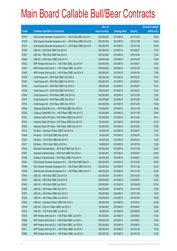|       |                                                                | No. of        |                     |               | <b>Amount raised</b> |
|-------|----------------------------------------------------------------|---------------|---------------------|---------------|----------------------|
| Code  | <b>Callable Bull/Bear Contracts</b>                            | issue (units) | <b>Listing date</b> | <b>Expiry</b> | (HK\$ mil.)          |
| 67370 | SGA Societe Generale Acceptance N.V. - HSI R Bull CBBC Dec13 H | 200,000,000   | 2013/08/12          | 2013/12/30    | 50.00                |
| 67345 | SGA Societe Generale Acceptance N.V. - HSI R Bear CBBC Nov13 Q | 200,000,000   | 2013/08/12          | 2013/11/28    | 50.00                |
| 67372 | SGA Societe Generale Acceptance N.V. - HSI R Bear CBBC Nov13 R | 200,000,000   | 2013/08/12          | 2013/11/28    | 50.00                |
| 67380 | UBS AG - HSI R Bull CBBC Feb 2014 K                            | 300,000,000   | 2013/08/12          | 2014/02/27    | 75.00                |
| 67391 | UBS AG - HSI R Bull CBBC Dec 2014 C                            | 300,000,000   | 2013/08/12          | 2014/12/30    | 75.00                |
| 67369 | UBS AG - HSI R Bear CBBC Dec 2013 C                            | 300,000,000   | 2013/08/12          | 2013/12/30    | 75.00                |
| 67423 | BNP Paribas Arbit Issu B.V. - HSI R Bull CBBC Jun 2014 H       | 300,000,000   | 2013/08/13          | 2014/06/27    | 75.00                |
| 67491 | BNP Paribas Arbit Issu B.V. - HSI R Bear CBBC Jan 2014 I       | 300,000,000   | 2013/08/13          | 2014/01/29    | 75.00                |
| 67495 | BNP Paribas Arbit Issu B.V. - HSI R Bear CBBC Jan 2014 S       | 300,000,000   | 2013/08/13          | 2014/01/29    | 75.00                |
| 67426 | Credit Suisse AG - HSI R Bull CBBC Feb 2014 A                  | 300,000,000   | 2013/08/13          | 2014/02/27    | 75.00                |
| 67429 | Credit Suisse AG - HSI R Bull CBBC Feb 2014 B                  | 300,000,000   | 2013/08/13          | 2014/02/27    | 75.00                |
| 67438 | Credit Suisse AG - HSI R Bull CBBC Feb 2014 C                  | 300,000,000   | 2013/08/13          | 2014/02/27    | 75.00                |
| 67439 | Credit Suisse AG - HSI R Bull CBBC Feb 2014 D                  | 300,000,000   | 2013/08/13          | 2014/02/27    | 75.00                |
| 67483 | Credit Suisse AG - HSI R Bear CBBC Dec 2013 E                  | 300,000,000   | 2013/08/13          | 2013/12/30    | 75.00                |
| 67472 | Credit Suisse AG - HSI R Bear CBBC Dec 2013 Y                  | 300,000,000   | 2013/08/13          | 2013/12/30    | 75.00                |
| 67474 | Credit Suisse AG - HSI R Bear CBBC Dec 2013 Z                  | 300,000,000   | 2013/08/13          | 2013/12/30    | 75.00                |
| 67524 | Citigroup Global Mkt H Inc. - HSI R Bull CBBC Nov 2013 X       | 120,000,000   | 2013/08/13          | 2013/11/28    | 30.00                |
| 67525 | Citigroup Global Mkt H Inc. - HSI R Bear CBBC Nov 2013 S       | 120,000,000   | 2013/08/13          | 2013/11/28    | 30.00                |
| 67521 | Goldman Sachs SP (Asia) - HSI R Bear CBBC Dec 2013 D           | 150,000,000   | 2013/08/13          | 2013/12/30    | 38.10                |
| 67522 | Goldman Sachs SP (Asia) - HSI R Bear CBBC Dec 2013 E           | 150,000,000   | 2013/08/13          | 2013/12/30    | 37.50                |
| 67523 | Goldman Sachs SP (Asia) - HSI R Bear CBBC Dec 2013 F           | 150,000,000   | 2013/08/13          | 2013/12/30    | 37.80                |
| 67413 | HK Bank - Hutchison R Bear CBBC Feb 2014 A                     | 50,000,000    | 2013/08/13          | 2014/02/07    | 12.50                |
| 67404 | HK Bank - TCH R Bull CBBC Mar 2014 B                           | 50,000,000    | 2013/08/13          | 2014/03/10    | 17.50                |
| 67467 | HK Bank - TCH R Bull CBBC Mar 2014 C                           | 50,000,000    | 2013/08/13          | 2014/03/10    | 15.00                |
| 67471 | HK Bank - TCH R Bull CBBC Jul 2014 A                           | 50,000,000    | 2013/08/13          | 2014/07/18    | 12.50                |
| 67425 | Standard Chartered Bank - HSI R Bull CBBC Nov 2013 Y           | 100,000,000   | 2013/08/13          | 2013/11/28    | 25.00                |
| 67487 | Standard Chartered Bank - HSI R Bull CBBC Feb 2014 A           | 100,000,000   | 2013/08/13          | 2014/02/27    | 25.00                |
| 67488 | Standard Chartered Bank - HSI R Bear CBBC Feb 2014 A           | 100,000,000   | 2013/08/13          | 2014/02/27    | 25.00                |
| 67424 | SGA Societe Generale Acceptance N.V. - HSI R Bull CBBC Dec13 I | 200,000,000   | 2013/08/13          | 2013/12/30    | 50.00                |
| 67446 | SGA Societe Generale Acceptance N.V. - HSI R Bear CBBC Nov13 S | 200,000,000   | 2013/08/13          | 2013/11/28    | 50.00                |
| 67448 | SGA Societe Generale Acceptance N.V. - HSI R Bear CBBC Nov13 T | 200,000,000   | 2013/08/13          | 2013/11/28    | 50.00                |
| 67440 | UBS AG - HSI R Bull CBBC Dec 2013 A                            | 300,000,000   | 2013/08/13          | 2013/12/30    | 75.00                |
| 67441 | UBS AG - HSI R Bull CBBC Feb 2014 M                            | 350,000,000   | 2013/08/13          | 2014/02/27    | 87.50                |
| 67442 | UBS AG - HSI R Bull CBBC Apr 2014 Z                            | 350,000,000   | 2013/08/13          | 2014/04/29    | 87.50                |
| 67505 | UBS AG - HSI R Bear CBBC Nov 2013 I                            | 300,000,000   | 2013/08/13          | 2013/11/28    | 75.00                |
| 67507 | UBS AG - HSI R Bear CBBC Nov 2013 S                            | 300,000,000   | 2013/08/13          | 2013/11/28    | 75.00                |
| 67503 | UBS AG - HSI R Bear CBBC Jan 2014 Q                            | 300,000,000   | 2013/08/13          | 2014/01/29    | 75.00                |
| 67520 | UBS AG - Hutchison R Bear CBBC Mar 2014 A                      | 100,000,000   | 2013/08/13          | 2014/03/31    | 25.00                |
| 67516 | UBS AG - Ping An R Bear CBBC Apr 2014 A                        | 100,000,000   | 2013/08/13          | 2014/04/07    | 25.00                |
| 67518 | UBS AG - TCH R Bull CBBC Jun 2014 E                            | 50,000,000    | 2013/08/13          | 2014/06/23    | 12.50                |
| 67578 | BNP Paribas Arbit Issu B.V. - HSI R Bull CBBC Jun 2014 I       | 300,000,000   | 2013/08/14          | 2014/06/27    | 75.00                |
| 67608 | BNP Paribas Arbit Issu B.V. - HSI R Bull CBBC Jun 2014 J       | 300,000,000   | 2013/08/14          | 2014/06/27    | 75.00                |
| 67609 | BNP Paribas Arbit Issu B.V. - HSI R Bull CBBC Jun 2014 K       | 300,000,000   | 2013/08/14          | 2014/06/27    | 75.00                |
| 67611 | BNP Paribas Arbit Issu B.V. - HSI R Bear CBBC Jan 2014 T       | 300,000,000   | 2013/08/14          | 2014/01/29    | 75.00                |
| 67698 | BNP Paribas Arbit Issu B.V. - HSI R Bear CBBC Jan 2014 U       | 300,000,000   | 2013/08/14          | 2014/01/29    | 75.00                |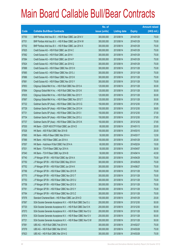|       |                                                                | No. of        |                     |               | <b>Amount raised</b> |
|-------|----------------------------------------------------------------|---------------|---------------------|---------------|----------------------|
| Code  | <b>Callable Bull/Bear Contracts</b>                            | issue (units) | <b>Listing date</b> | <b>Expiry</b> | (HK\$ mil.)          |
| 67700 | BNP Paribas Arbit Issu B.V. - HSI R Bear CBBC Jan 2014 V       | 300,000,000   | 2013/08/14          | 2014/01/29    | 75.00                |
| 67701 | BNP Paribas Arbit Issu B.V. - HSI R Bear CBBC Jan 2014 W       | 300,000,000   | 2013/08/14          | 2014/01/29    | 75.00                |
| 67702 | BNP Paribas Arbit Issu B.V. - HSI R Bear CBBC Jan 2014 X       | 300,000,000   | 2013/08/14          | 2014/01/29    | 75.00                |
| 67625 | Credit Suisse AG - HSI R Bull CBBC Jan 2014 C                  | 300,000,000   | 2013/08/14          | 2014/01/29    | 75.00                |
| 67582 | Credit Suisse AG - HSI R Bull CBBC Jan 2014 I                  | 300,000,000   | 2013/08/14          | 2014/01/29    | 75.00                |
| 67584 | Credit Suisse AG - HSI R Bull CBBC Jan 2014 P                  | 300,000,000   | 2013/08/14          | 2014/01/29    | 75.00                |
| 67624 | Credit Suisse AG - HSI R Bull CBBC Jan 2014 Q                  | 300,000,000   | 2013/08/14          | 2014/01/29    | 75.00                |
| 67688 | Credit Suisse AG - HSI R Bear CBBC Nov 2013 H                  | 300,000,000   | 2013/08/14          | 2013/11/28    | 75.00                |
| 67685 | Credit Suisse AG - HSI R Bear CBBC Nov 2013 J                  | 300,000,000   | 2013/08/14          | 2013/11/28    | 75.00                |
| 67686 | Credit Suisse AG - HSI R Bear CBBC Nov 2013 K                  | 300,000,000   | 2013/08/14          | 2013/11/28    | 75.00                |
| 67681 | Credit Suisse AG - HSI R Bear CBBC Nov 2013 Y                  | 300,000,000   | 2013/08/14          | 2013/11/28    | 75.00                |
| 67653 | Citigroup Global Mkt H Inc. - HSI R Bull CBBC Nov 2013 A       | 120,000,000   | 2013/08/14          | 2013/11/28    | 30.00                |
| 67694 | Citigroup Global Mkt H Inc. - HSI R Bull CBBC Nov 2013 K       | 120,000,000   | 2013/08/14          | 2013/11/28    | 30.00                |
| 67635 | Citigroup Global Mkt H Inc. - HSI R Bull CBBC Nov 2013 Y       | 120,000,000   | 2013/08/14          | 2013/11/28    | 30.00                |
| 67697 | Citigroup Global Mkt H Inc. - HSI R Bear CBBC Nov 2013 T       | 120,000,000   | 2013/08/14          | 2013/11/28    | 30.00                |
| 67722 | Goldman Sachs SP (Asia) - HSI R Bear CBBC Dec 2013 G           | 150,000,000   | 2013/08/14          | 2013/12/30    | 37.95                |
| 67729 | Goldman Sachs SP (Asia) - HSI R Bear CBBC Dec 2013 H           | 150,000,000   | 2013/08/14          | 2013/12/30    | 38.85                |
| 67731 | Goldman Sachs SP (Asia) - HSI R Bear CBBC Dec 2013 I           | 150,000,000   | 2013/08/14          | 2013/12/30    | 37.50                |
| 67734 | Goldman Sachs SP (Asia) - HSI R Bear CBBC Dec 2013 J           | 150,000,000   | 2013/08/14          | 2013/12/30    | 37.65                |
| 67737 | Goldman Sachs SP (Asia) - HSI R Bear CBBC Dec 2013 K           | 150,000,000   | 2013/08/14          | 2013/12/30    | 37.65                |
| 67530 | HK Bank - CSOP A50 ETF R Bull CBBC Jan 2014 D                  | 80,000,000    | 2013/08/14          | 2014/01/13    | 20.00                |
| 67526 | HK Bank - A50 R Bull CBBC Mar 2014 B                           | 100,000,000   | 2013/08/14          | 2014/03/10    | 25.00                |
| 67565 | HK Bank – HKEx R Bear CBBC Mar 2014 A                          | 50,000,000    | 2013/08/14          | 2014/03/17    | 12.50                |
| 67566 | HK Bank - HSI R Bear CBBC Jan 2014 A                           | 100,000,000   | 2013/08/14          | 2014/01/29    | 25.00                |
| 67557 | HK Bank - Hutchison R Bull CBBC Feb 2014 A                     | 60,000,000    | 2013/08/14          | 2014/02/24    | 15.00                |
| 67531 | HK Bank - TCH R Bear CBBC Apr 2014 A                           | 50,000,000    | 2013/08/14          | 2014/04/07    | 38.50                |
| 67540 | HK Bank - TCH R Bear CBBC Apr 2014 B                           | 50,000,000    | 2013/08/14          | 2014/04/14    | 43.50                |
| 67740 | J P Morgan SP BV - HSI R Bull CBBC Apr 2014 A                  | 300,000,000   | 2013/08/14          | 2014/04/29    | 75.00                |
| 67750 | J P Morgan SP BV - HSI R Bull CBBC May 2014 H                  | 300,000,000   | 2013/08/14          | 2014/05/29    | 75.00                |
| 67752 | J P Morgan SP BV - HSI R Bull CBBC Jun 2014 K                  | 300,000,000   | 2013/08/14          | 2014/06/27    | 75.00                |
| 67766 | J P Morgan SP BV - HSI R Bear CBBC Nov 2013 R                  | 300,000,000   | 2013/08/14          | 2013/11/28    | 75.00                |
| 67770 | J P Morgan SP BV - HSI R Bear CBBC Nov 2013 T                  | 300,000,000   | 2013/08/14          | 2013/11/28    | 75.00                |
| 67753 | J P Morgan SP BV - HSI R Bear CBBC Nov 2013 U                  | 300,000,000   | 2013/08/14          | 2013/11/28    | 75.00                |
| 67758 | J P Morgan SP BV - HSI R Bear CBBC Nov 2013 X                  | 300,000,000   | 2013/08/14          | 2013/11/28    | 75.00                |
| 67761 | J P Morgan SP BV - HSI R Bear CBBC Nov 2013 Y                  | 300,000,000   | 2013/08/14          | 2013/11/28    | 75.00                |
| 67764 | J P Morgan SP BV - HSI R Bear CBBC Nov 2013 Z                  | 300,000,000   | 2013/08/14          | 2013/11/28    | 75.00                |
| 67576 | Standard Chartered Bank - HSI R Bear CBBC Jan 2014 D           | 100,000,000   | 2013/08/14          | 2014/01/29    | 25.00                |
| 67567 | SGA Societe Generale Acceptance N.V. - HSI R Bull CBBC Dec13 J | 200,000,000   | 2013/08/14          | 2013/12/30    | 50.00                |
| 67720 | SGA Societe Generale Acceptance N.V. - HSI R Bull CBBC Dec13 K | 200,000,000   | 2013/08/14          | 2013/12/30    | 50.00                |
| 67573 | SGA Societe Generale Acceptance N.V. - HSI R Bear CBBC Nov13 U | 200,000,000   | 2013/08/14          | 2013/11/28    | 50.00                |
| 67574 | SGA Societe Generale Acceptance N.V. - HSI R Bear CBBC Nov13 V | 200,000,000   | 2013/08/14          | 2013/11/28    | 50.00                |
| 67721 | SGA Societe Generale Acceptance N.V. - HSI R Bear CBBC Nov13 W | 200,000,000   | 2013/08/14          | 2013/11/28    | 50.00                |
| 67581 | UBS AG - HSI R Bull CBBC Feb 2014 N                            | 300,000,000   | 2013/08/14          | 2014/02/27    | 75.00                |
| 67579 | UBS AG - HSI R Bull CBBC Mar 2014 E                            | 300,000,000   | 2013/08/14          | 2014/03/28    | 75.00                |
| 67623 | UBS AG - HSI R Bull CBBC Mar 2014 G                            | 300,000,000   | 2013/08/14          | 2014/03/28    | 75.00                |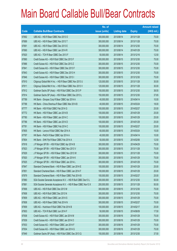|       |                                                                | No. of        |                     |               | <b>Amount raised</b> |
|-------|----------------------------------------------------------------|---------------|---------------------|---------------|----------------------|
| Code  | <b>Callable Bull/Bear Contracts</b>                            | issue (units) | <b>Listing date</b> | <b>Expiry</b> | (HK\$ mil.)          |
| 67692 | UBS AG - HSI R Bear CBBC Nov 2013 O                            | 300,000,000   | 2013/08/14          | 2013/11/28    | 75.00                |
| 67689 | UBS AG - HSI R Bear CBBC Nov 2013 T                            | 300,000,000   | 2013/08/14          | 2013/11/28    | 75.00                |
| 67691 | UBS AG - HSI R Bear CBBC Dec 2013 E                            | 300,000,000   | 2013/08/14          | 2013/12/30    | 75.00                |
| 67690 | UBS AG - HSI R Bear CBBC Jan 2014 R                            | 300,000,000   | 2013/08/14          | 2014/01/29    | 75.00                |
| 67620 | UBS AG - TCH R Bear CBBC Dec 2013 F                            | 50,000,000    | 2013/08/14          | 2013/12/16    | 12.50                |
| 67890 | Credit Suisse AG - HSI R Bull CBBC Dec 2013 F                  | 300,000,000   | 2013/08/15          | 2013/12/30    | 75.00                |
| 67886 | Credit Suisse AG - HSI R Bull CBBC Dec 2013 Z                  | 300,000,000   | 2013/08/15          | 2013/12/30    | 75.00                |
| 67841 | Credit Suisse AG - HSI R Bear CBBC Dec 2013 F                  | 300,000,000   | 2013/08/15          | 2013/12/30    | 75.00                |
| 67843 | Credit Suisse AG - HSI R Bear CBBC Dec 2013 H                  | 300,000,000   | 2013/08/15          | 2013/12/30    | 75.00                |
| 67846 | Credit Suisse AG - HSI R Bear CBBC Dec 2013 I                  | 300,000,000   | 2013/08/15          | 2013/12/30    | 75.00                |
| 67910 | Citigroup Global Mkt H Inc. - HSI R Bear CBBC Nov 2013 U       | 120,000,000   | 2013/08/15          | 2013/11/28    | 30.00                |
| 67911 | Citigroup Global Mkt H Inc. - HSI R Bear CBBC Nov 2013 V       | 120,000,000   | 2013/08/15          | 2013/11/28    | 30.00                |
| 67912 | Goldman Sachs SP (Asia) - HSI R Bull CBBC Dec 2013 P           | 150,000,000   | 2013/08/15          | 2013/12/30    | 38.55                |
| 67914 | Goldman Sachs SP (Asia) - HSI R Bear CBBC Dec 2013 L           | 150,000,000   | 2013/08/15          | 2013/12/30    | 37.65                |
| 67789 | HK Bank - Sinopec Corp R Bear CBBC Apr 2014 A                  | 40,000,000    | 2013/08/15          | 2014/04/14    | 10.00                |
| 67788 | HK Bank - China Shenhua R Bear CBBC Mar 2014 B                 | 40,000,000    | 2013/08/15          | 2014/03/24    | 18.00                |
| 67777 | HK Bank - HSI R Bull CBBC Feb 2014 G                           | 100,000,000   | 2013/08/15          | 2014/02/27    | 25.00                |
| 67772 | HK Bank - HSI R Bear CBBC Jan 2014 B                           | 100,000,000   | 2013/08/15          | 2014/01/29    | 25.00                |
| 67780 | HK Bank - HSI R Bear CBBC Jan 2014 C                           | 100,000,000   | 2013/08/15          | 2014/01/29    | 25.00                |
| 67786 | HK Bank - HSI R Bear CBBC Jan 2014 D                           | 100,000,000   | 2013/08/15          | 2014/01/29    | 25.00                |
| 67781 | HK Bank - HSI R Bear CBBC Feb 2014 C                           | 100,000,000   | 2013/08/15          | 2014/02/27    | 25.00                |
| 67805 | HK Bank - Lenovo R Bull CBBC Mar 2014 A                        | 60,000,000    | 2013/08/15          | 2014/03/24    | 15.00                |
| 67797 | HK Bank - PetCh R Bear CBBC Apr 2014 A                         | 40,000,000    | 2013/08/15          | 2014/04/14    | 10.00                |
| 67804 | HK Bank - SHK Ppt R Bear CBBC Feb 2014 A                       | 50,000,000    | 2013/08/15          | 2014/02/06    | 12.50                |
| 67918 | J P Morgan SP BV - HSI R Bull CBBC Apr 2014 B                  | 300,000,000   | 2013/08/15          | 2014/04/29    | 75.00                |
| 67923 | J P Morgan SP BV - HSI R Bear CBBC Nov 2013 V                  | 300,000,000   | 2013/08/15          | 2013/11/28    | 75.00                |
| 67929 | J P Morgan SP BV - HSI R Bear CBBC Nov 2013 W                  | 300,000,000   | 2013/08/15          | 2013/11/28    | 75.00                |
| 67920 | J P Morgan SP BV - HSI R Bear CBBC Jan 2014 K                  | 300,000,000   | 2013/08/15          | 2014/01/29    | 75.00                |
| 67925 | J P Morgan SP BV - HSI R Bear CBBC Jan 2014 L                  | 300,000,000   | 2013/08/15          | 2014/01/29    | 75.00                |
| 67847 | Standard Chartered Bank - HSI R Bear CBBC Jan 2014 E           | 100,000,000   | 2013/08/15          | 2014/01/29    | 25.00                |
| 67851 | Standard Chartered Bank - HSI R Bear CBBC Jan 2014 F           | 100,000,000   | 2013/08/15          | 2014/01/29    | 25.00                |
| 67879 | Standard Chartered Bank - HSI R Bear CBBC Feb 2014 B           | 100,000,000   | 2013/08/15          | 2014/02/27    | 25.00                |
| 67880 | SGA Societe Generale Acceptance N.V. - HSI R Bull CBBC Dec13 L | 200,000,000   | 2013/08/15          | 2013/12/30    | 50.00                |
| 67881 | SGA Societe Generale Acceptance N.V. - HSI R Bear CBBC Nov13 X | 200,000,000   | 2013/08/15          | 2013/11/28    | 50.00                |
| 67906 | UBS AG - HSI R Bull CBBC Dec 2013 M                            | 300,000,000   | 2013/08/15          | 2013/12/30    | 75.00                |
| 67908 | UBS AG - HSI R Bull CBBC Dec 2013 N                            | 300,000,000   | 2013/08/15          | 2013/12/30    | 75.00                |
| 67809 | UBS AG - HSI R Bear CBBC Jan 2014 S                            | 300,000,000   | 2013/08/15          | 2014/01/29    | 75.00                |
| 67808 | UBS AG - HSI R Bear CBBC Feb 2014 N                            | 300,000,000   | 2013/08/15          | 2014/02/27    | 75.00                |
| 67909 | UBS AG - Hutchison R Bull CBBC Feb 2014 B                      | 100,000,000   | 2013/08/15          | 2014/02/17    | 25.00                |
| 67903 | UBS AG - TCH R Bull CBBC Jun 2014 F                            | 50,000,000    | 2013/08/15          | 2014/06/09    | 17.50                |
| 67938 | Credit Suisse AG - HSI R Bull CBBC Jan 2014 M                  | 300,000,000   | 2013/08/16          | 2014/01/29    | 75.00                |
| 67939 | Credit Suisse AG - HSI R Bull CBBC Jan 2014 O                  | 300,000,000   | 2013/08/16          | 2014/01/29    | 75.00                |
| 67933 | Credit Suisse AG - HSI R Bear CBBC Jan 2014 F                  | 300,000,000   | 2013/08/16          | 2014/01/29    | 75.00                |
| 67934 | Credit Suisse AG - HSI R Bear CBBC Jan 2014 G                  | 300,000,000   | 2013/08/16          | 2014/01/29    | 75.00                |
| 67949 | Goldman Sachs SP (Asia) - HSI R Bull CBBC Dec 2013 Q           | 150,000,000   | 2013/08/16          | 2013/12/30    | 37.50                |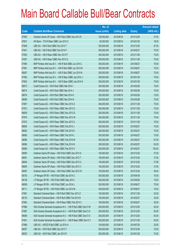|             |                                                                | No. of        |                     |               | <b>Amount raised</b> |
|-------------|----------------------------------------------------------------|---------------|---------------------|---------------|----------------------|
| <b>Code</b> | <b>Callable Bull/Bear Contracts</b>                            | issue (units) | <b>Listing date</b> | <b>Expiry</b> | (HK\$ mil.)          |
| 67950       | Goldman Sachs SP (Asia) - HSI R Bull CBBC Dec 2013 R           | 150,000,000   | 2013/08/16          | 2013/12/30    | 37.50                |
| 67931       | HK Bank – TCH R Bear CBBC Jan 2014 C                           | 50,000,000    | 2013/08/16          | 2014/01/20    | 18.00                |
| 67948       | UBS AG - HSI R Bull CBBC Dec 2013 T                            | 350,000,000   | 2013/08/16          | 2013/12/30    | 87.50                |
| 67941       | UBS AG - HSI R Bull CBBC Feb 2014 P                            | 300,000,000   | 2013/08/16          | 2014/02/27    | 75.00                |
| 67935       | UBS AG - HSI R Bear CBBC Nov 2013 P                            | 300,000,000   | 2013/08/16          | 2013/11/28    | 75.00                |
| 67937       | UBS AG - HSI R Bear CBBC Nov 2013 Q                            | 300,000,000   | 2013/08/16          | 2013/11/28    | 75.00                |
| 67990       | BNP Paribas Arbit Issu B.V. - HSI R Bull CBBC Jun 2014 L       | 300,000,000   | 2013/08/19          | 2014/06/27    | 75.00                |
| 67991       | BNP Paribas Arbit Issu B.V. - HSI R Bull CBBC Jun 2014 M       | 300,000,000   | 2013/08/19          | 2014/06/27    | 75.00                |
| 68087       | BNP Paribas Arbit Issu B.V. - HSI R Bull CBBC Jun 2014 N       | 300,000,000   | 2013/08/19          | 2014/06/27    | 75.00                |
| 67952       | BNP Paribas Arbit Issu B.V. - HSI R Bear CBBC Jan 2014 J       | 300,000,000   | 2013/08/19          | 2014/01/29    | 75.00                |
| 67953       | BNP Paribas Arbit Issu B.V. - HSI R Bear CBBC Jan 2014 K       | 300,000,000   | 2013/08/19          | 2014/01/29    | 75.00                |
| 68073       | Credit Suisse AG - HSI R Bull CBBC Mar 2014 I                  | 300,000,000   | 2013/08/19          | 2014/03/28    | 75.00                |
| 68074       | Credit Suisse AG - HSI R Bull CBBC Mar 2014 J                  | 300,000,000   | 2013/08/19          | 2014/03/28    | 75.00                |
| 68078       | Credit Suisse AG - HSI R Bull CBBC Mar 2014 K                  | 300,000,000   | 2013/08/19          | 2014/03/28    | 75.00                |
| 68085       | Credit Suisse AG - HSI R Bull CBBC Mar 2014 N                  | 300,000,000   | 2013/08/19          | 2014/03/28    | 75.00                |
| 67957       | Credit Suisse AG - HSI R Bear CBBC Nov 2013 A                  | 300,000,000   | 2013/08/19          | 2013/11/28    | 75.00                |
| 67973       | Credit Suisse AG - HSI R Bear CBBC Nov 2013 O                  | 300,000,000   | 2013/08/19          | 2013/11/28    | 75.00                |
| 68059       | Credit Suisse AG - HSI R Bear CBBC Nov 2013 Q                  | 300,000,000   | 2013/08/19          | 2013/11/28    | 75.00                |
| 67970       | Credit Suisse AG - HSI R Bear CBBC Nov 2013 W                  | 300,000,000   | 2013/08/19          | 2013/11/28    | 75.00                |
| 67972       | Credit Suisse AG - HSI R Bear CBBC Nov 2013 X                  | 300,000,000   | 2013/08/19          | 2013/11/28    | 75.00                |
| 68060       | Credit Suisse AG - HSI R Bear CBBC Feb 2014 J                  | 300,000,000   | 2013/08/19          | 2014/02/27    | 75.00                |
| 68062       | Credit Suisse AG - HSI R Bear CBBC Feb 2014 K                  | 300,000,000   | 2013/08/19          | 2014/02/27    | 75.00                |
| 68065       | Credit Suisse AG - HSI R Bear CBBC Feb 2014 L                  | 300,000,000   | 2013/08/19          | 2014/02/27    | 75.00                |
| 68066       | Credit Suisse AG - HSI R Bear CBBC Feb 2014 M                  | 300,000,000   | 2013/08/19          | 2014/02/27    | 87.00                |
| 68068       | Credit Suisse AG - HSI R Bear CBBC Feb 2014 N                  | 300,000,000   | 2013/08/19          | 2014/02/27    | 93.00                |
| 68069       | Credit Suisse AG - HSI R Bear CBBC Feb 2014 O                  | 300,000,000   | 2013/08/19          | 2014/02/27    | 102.00               |
| 68090       | Goldman Sachs SP (Asia) - HSI R Bull CBBC Dec 2013 S           | 150,000,000   | 2013/08/19          | 2013/12/30    | 37.50                |
| 68091       | Goldman Sachs SP (Asia) - HSI R Bull CBBC Dec 2013 T           | 150,000,000   | 2013/08/19          | 2013/12/30    | 37.50                |
| 68094       | Goldman Sachs SP (Asia) - HSI R Bull CBBC Dec 2013 U           | 150,000,000   | 2013/08/19          | 2013/12/30    | 37.95                |
| 68095       | Goldman Sachs SP (Asia) - HSI R Bull CBBC Dec 2013 V           | 150,000,000   | 2013/08/19          | 2013/12/30    | 37.95                |
| 68097       | Goldman Sachs SP (Asia) - HSI R Bull CBBC Dec 2013 W           | 150,000,000   | 2013/08/19          | 2013/12/30    | 38.40                |
| 68105       | J P Morgan SP BV - HSI R Bull CBBC Apr 2014 C                  | 300,000,000   | 2013/08/19          | 2014/04/29    | 75.00                |
| 68128       | J P Morgan SP BV - HSI R Bull CBBC May 2014 I                  | 300,000,000   | 2013/08/19          | 2014/05/29    | 75.00                |
| 68098       | J P Morgan SP BV - HSI R Bull CBBC Jun 2014 L                  | 300,000,000   | 2013/08/19          | 2014/06/27    | 75.00                |
| 68111       | J P Morgan SP BV - HSI R Bull CBBC Jun 2014 M                  | 300,000,000   | 2013/08/19          | 2014/06/27    | 75.00                |
| 67981       | Standard Chartered Bank - HSI R Bull CBBC Nov 2013 Z           | 100,000,000   | 2013/08/19          | 2013/11/28    | 25.00                |
| 68133       | Standard Chartered Bank - HSI R Bull CBBC Feb 2014 B           | 100,000,000   | 2013/08/19          | 2014/02/27    | 25.00                |
| 67983       | Standard Chartered Bank - HSI R Bear CBBC Feb 2014 C           | 100,000,000   | 2013/08/19          | 2014/02/27    | 25.00                |
| 67986       | SGA Societe Generale Acceptance N.V. - HSI R Bull CBBC Dec13 M | 200,000,000   | 2013/08/19          | 2013/12/30    | 50.00                |
| 67987       | SGA Societe Generale Acceptance N.V. - HSI R Bull CBBC Dec13 N | 200,000,000   | 2013/08/19          | 2013/12/30    | 50.00                |
| 68086       | SGA Societe Generale Acceptance N.V. - HSI R Bull CBBC Dec13 O | 200,000,000   | 2013/08/19          | 2013/12/30    | 50.00                |
| 67951       | SGA Societe Generale Acceptance N.V. - HSI R Bear CBBC Nov13 Y | 200,000,000   | 2013/08/19          | 2013/11/28    | 50.00                |
| 67998       | UBS AG - HSCEI R Bull CBBC Jul 2014 A                          | 100,000,000   | 2013/08/19          | 2014/07/30    | 25.00                |
| 68057       | UBS AG - HSI R Bull CBBC Dec 2013 Y                            | 300,000,000   | 2013/08/19          | 2013/12/30    | 75.00                |
| 68035       | UBS AG - HSI R Bull CBBC Jan 2014 R                            | 300,000,000   | 2013/08/19          | 2014/01/29    | 75.00                |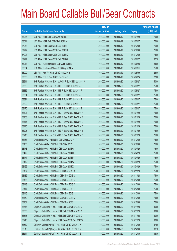|       |                                                             | No. of        |                     |               | <b>Amount raised</b> |
|-------|-------------------------------------------------------------|---------------|---------------------|---------------|----------------------|
| Code  | <b>Callable Bull/Bear Contracts</b>                         | issue (units) | <b>Listing date</b> | <b>Expiry</b> | (HK\$ mil.)          |
| 68036 | UBS AG - HSI R Bull CBBC Jan 2014 S                         | 300,000,000   | 2013/08/19          | 2014/01/29    | 75.00                |
| 68044 | UBS AG - HSI R Bull CBBC Feb 2014 A                         | 300,000,000   | 2013/08/19          | 2014/02/27    | 75.00                |
| 67978 | UBS AG - HSI R Bear CBBC Dec 2013 F                         | 300,000,000   | 2013/08/19          | 2013/12/30    | 75.00                |
| 67979 | UBS AG - HSI R Bear CBBC Dec 2013 H                         | 300,000,000   | 2013/08/19          | 2013/12/30    | 75.00                |
| 67993 | UBS AG - HSI R Bear CBBC Dec 2013 K                         | 300,000,000   | 2013/08/19          | 2013/12/30    | 75.00                |
| 67974 | UBS AG - HSI R Bear CBBC Feb 2014 O                         | 350,000,000   | 2013/08/19          | 2014/02/27    | 87.50                |
| 68013 | UBS AG - Hutchison R Bull CBBC Jun 2014 B                   | 100,000,000   | 2013/08/19          | 2014/06/23    | 25.00                |
| 68004 | UBS AG - Hutchison R Bear CBBC Aug 2014 A                   | 100,000,000   | 2013/08/19          | 2014/08/11    | 25.00                |
| 68000 | UBS AG - Ping An R Bull CBBC Jun 2014 B                     | 100,000,000   | 2013/08/19          | 2014/06/09    | 25.00                |
| 68003 | UBS AG - TCH R Bear CBBC Feb 2014 B                         | 50,000,000    | 2013/08/19          | 2014/02/24    | 27.00                |
| 68211 | BNP Paribas Arbit Issu B.V. - A50 Ch R Bull CBBC Jun 2014 A | 200,000,000   | 2013/08/20          | 2014/06/27    | 50.00                |
| 68330 | BNP Paribas Arbit Issu B.V. - HSI R Bull CBBC Jun 2014 O    | 300,000,000   | 2013/08/20          | 2014/06/27    | 75.00                |
| 68335 | BNP Paribas Arbit Issu B.V. - HSI R Bull CBBC Jun 2014 P    | 300,000,000   | 2013/08/20          | 2014/06/27    | 75.00                |
| 68384 | BNP Paribas Arbit Issu B.V. - HSI R Bull CBBC Jun 2014 Q    | 300,000,000   | 2013/08/20          | 2014/06/27    | 75.00                |
| 68391 | BNP Paribas Arbit Issu B.V. - HSI R Bull CBBC Jun 2014 R    | 300,000,000   | 2013/08/20          | 2014/06/27    | 75.00                |
| 68392 | BNP Paribas Arbit Issu B.V. - HSI R Bull CBBC Jun 2014 S    | 300,000,000   | 2013/08/20          | 2014/06/27    | 75.00                |
| 68470 | BNP Paribas Arbit Issu B.V. - HSI R Bull CBBC Jun 2014 T    | 300,000,000   | 2013/08/20          | 2014/06/27    | 75.00                |
| 68401 | BNP Paribas Arbit Issu B.V. - HSI R Bear CBBC Jan 2014 A    | 300,000,000   | 2013/08/20          | 2014/01/29    | 75.00                |
| 68408 | BNP Paribas Arbit Issu B.V. - HSI R Bear CBBC Jan 2014 B    | 300,000,000   | 2013/08/20          | 2014/01/29    | 75.00                |
| 68414 | BNP Paribas Arbit Issu B.V. - HSI R Bear CBBC Jan 2014 C    | 300,000,000   | 2013/08/20          | 2014/01/29    | 75.00                |
| 68415 | BNP Paribas Arbit Issu B.V. - HSI R Bear CBBC Jan 2014 D    | 300,000,000   | 2013/08/20          | 2014/01/29    | 75.00                |
| 68205 | BNP Paribas Arbit Issu B.V. - HSI R Bear CBBC Jan 2014 Y    | 300,000,000   | 2013/08/20          | 2014/01/29    | 75.00                |
| 68210 | BNP Paribas Arbit Issu B.V. - HSI R Bear CBBC Jan 2014 Z    | 300,000,000   | 2013/08/20          | 2014/01/29    | 75.00                |
| 68467 | Credit Suisse AG - HSI R Bull CBBC Dec 2013 H               | 300,000,000   | 2013/08/20          | 2013/12/30    | 75.00                |
| 68468 | Credit Suisse AG - HSI R Bull CBBC Dec 2013 I               | 300,000,000   | 2013/08/20          | 2013/12/30    | 75.00                |
| 68473 | Credit Suisse AG - HSI R Bull CBBC Apr 2014 G               | 300,000,000   | 2013/08/20          | 2014/04/29    | 75.00                |
| 68479 | Credit Suisse AG - HSI R Bull CBBC Apr 2014 H               | 300,000,000   | 2013/08/20          | 2014/04/29    | 75.00                |
| 68471 | Credit Suisse AG - HSI R Bull CBBC Apr 2014 P               | 300,000,000   | 2013/08/20          | 2014/04/29    | 75.00                |
| 68472 | Credit Suisse AG - HSI R Bull CBBC Apr 2014 W               | 300,000,000   | 2013/08/20          | 2014/04/29    | 75.00                |
| 68469 | Credit Suisse AG - HSI R Bull CBBC Apr 2014 X               | 300,000,000   | 2013/08/20          | 2014/04/29    | 75.00                |
| 68187 | Credit Suisse AG - HSI R Bear CBBC Nov 2013 B               | 300,000,000   | 2013/08/20          | 2013/11/28    | 75.00                |
| 68182 | Credit Suisse AG - HSI R Bear CBBC Nov 2013 U               | 300,000,000   | 2013/08/20          | 2013/11/28    | 75.00                |
| 68466 | Credit Suisse AG - HSI R Bear CBBC Dec 2013 C               | 300,000,000   | 2013/08/20          | 2013/12/30    | 75.00                |
| 68418 | Credit Suisse AG - HSI R Bear CBBC Dec 2013 D               | 300,000,000   | 2013/08/20          | 2013/12/30    | 75.00                |
| 68417 | Credit Suisse AG - HSI R Bear CBBC Dec 2013 G               | 300,000,000   | 2013/08/20          | 2013/12/30    | 75.00                |
| 68446 | Credit Suisse AG - HSI R Bear CBBC Dec 2013 J               | 300,000,000   | 2013/08/20          | 2013/12/30    | 75.00                |
| 68459 | Credit Suisse AG - HSI R Bear CBBC Dec 2013 K               | 300,000,000   | 2013/08/20          | 2013/12/30    | 75.00                |
| 68464 | Credit Suisse AG - HSI R Bear CBBC Dec 2013 L               | 300,000,000   | 2013/08/20          | 2013/12/30    | 75.00                |
| 68546 | Citigroup Global Mkt H Inc. - HSI R Bull CBBC Nov 2013 C    | 120,000,000   | 2013/08/20          | 2013/11/28    | 30.00                |
| 68553 | Citigroup Global Mkt H Inc. - HSI R Bull CBBC Nov 2013 D    | 120,000,000   | 2013/08/20          | 2013/11/28    | 30.00                |
| 68545 | Citigroup Global Mkt H Inc. - HSI R Bull CBBC Nov 2013 Z    | 120,000,000   | 2013/08/20          | 2013/11/28    | 30.00                |
| 68248 | Citigroup Global Mkt H Inc. - HSI R Bear CBBC Nov 2013 W    | 120,000,000   | 2013/08/20          | 2013/11/28    | 30.00                |
| 68512 | Goldman Sachs SP (Asia) - HSI R Bull CBBC Dec 2013 X        | 150,000,000   | 2013/08/20          | 2013/12/30    | 37.50                |
| 68513 | Goldman Sachs SP (Asia) - HSI R Bull CBBC Dec 2013 Y        | 150,000,000   | 2013/08/20          | 2013/12/30    | 38.10                |
| 68514 | Goldman Sachs SP (Asia) - HSI R Bull CBBC Dec 2013 Z        | 150,000,000   | 2013/08/20          | 2013/12/30    | 38.85                |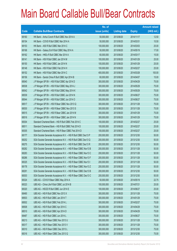|             |                                                                | No. of        |                     |               | <b>Amount raised</b> |
|-------------|----------------------------------------------------------------|---------------|---------------------|---------------|----------------------|
| <b>Code</b> | <b>Callable Bull/Bear Contracts</b>                            | issue (units) | <b>Listing date</b> | <b>Expiry</b> | (HK\$ mil.)          |
| 68160       | HK Bank - Anhui Conch R Bull CBBC Nov 2014 A                   | 50,000,000    | 2013/08/20          | 2014/11/17    | 12.50                |
| 68154       | HK Bank - COVS R Bull CBBC Mar 2014 A                          | 50,000,000    | 2013/08/20          | 2014/03/31    | 15.50                |
| 68153       | HK Bank - A50 R Bull CBBC Mar 2014 C                           | 100,000,000   | 2013/08/20          | 2014/03/03    | 25.00                |
| 68168       | HK Bank - Galaxy Ent R Bull CBBC May 2014 A                    | 50,000,000    | 2013/08/20          | 2014/05/19    | 17.00                |
| 68162       | HK Bank - HKEx R Bull CBBC Mar 2014 A                          | 60,000,000    | 2013/08/20          | 2014/03/17    | 15.00                |
| 68141       | HK Bank - HSI R Bull CBBC Jan 2014 M                           | 100,000,000   | 2013/08/20          | 2014/01/29    | 25.00                |
| 68150       | HK Bank - HSI R Bull CBBC Jan 2014 N                           | 100,000,000   | 2013/08/20          | 2014/01/29    | 25.00                |
| 68148       | HK Bank - HSI R Bull CBBC Feb 2014 H                           | 100,000,000   | 2013/08/20          | 2014/02/27    | 25.00                |
| 68152       | HK Bank - HSI R Bull CBBC Mar 2014 C                           | 400,000,000   | 2013/08/20          | 2014/03/28    | 100.00               |
| 68156       | HK Bank - Sands China R Bull CBBC Apr 2014 B                   | 60,000,000    | 2013/08/20          | 2014/04/07    | 15.00                |
| 68540       | J P Morgan SP BV - HSI R Bull CBBC Apr 2014 D                  | 300,000,000   | 2013/08/20          | 2014/04/29    | 75.00                |
| 68538       | J P Morgan SP BV - HSI R Bull CBBC May 2014 J                  | 300,000,000   | 2013/08/20          | 2014/05/29    | 75.00                |
| 68542       | J P Morgan SP BV - HSI R Bull CBBC May 2014 K                  | 300,000,000   | 2013/08/20          | 2014/05/29    | 75.00                |
| 68539       | J P Morgan SP BV - HSI R Bull CBBC Jun 2014 N                  | 300,000,000   | 2013/08/20          | 2014/06/27    | 75.00                |
| 68544       | J P Morgan SP BV - HSI R Bull CBBC Jun 2014 O                  | 300,000,000   | 2013/08/20          | 2014/06/27    | 75.00                |
| 68517       | J P Morgan SP BV - HSI R Bear CBBC Nov 2013 Q                  | 300,000,000   | 2013/08/20          | 2013/11/28    | 75.00                |
| 68530       | J P Morgan SP BV - HSI R Bear CBBC Nov 2013 S                  | 300,000,000   | 2013/08/20          | 2013/11/28    | 75.00                |
| 68515       | J P Morgan SP BV - HSI R Bear CBBC Jan 2014 M                  | 300,000,000   | 2013/08/20          | 2014/01/29    | 75.00                |
| 68516       | J P Morgan SP BV - HSI R Bear CBBC Jan 2014 N                  | 300,000,000   | 2013/08/20          | 2014/01/29    | 75.00                |
| 68304       | Standard Chartered Bank - HSI R Bull CBBC Feb 2014 C           | 100,000,000   | 2013/08/20          | 2014/02/27    | 25.00                |
| 68511       | Standard Chartered Bank - HSI R Bull CBBC Feb 2014 D           | 100,000,000   | 2013/08/20          | 2014/02/27    | 25.00                |
| 68305       | Standard Chartered Bank - HSI R Bear CBBC Feb 2014 D           | 100,000,000   | 2013/08/20          | 2014/02/27    | 25.00                |
| 68177       | SGA Societe Generale Acceptance N.V. - HSI R Bull CBBC Dec13 P | 200,000,000   | 2013/08/20          | 2013/12/30    | 50.00                |
| 68252       | SGA Societe Generale Acceptance N.V. - HSI R Bull CBBC Dec13 Q | 200,000,000   | 2013/08/20          | 2013/12/30    | 50.00                |
| 68275       | SGA Societe Generale Acceptance N.V. - HSI R Bull CBBC Dec13 R | 200,000,000   | 2013/08/20          | 2013/12/30    | 50.00                |
| 68282       | SGA Societe Generale Acceptance N.V. - HSI R Bear CBBC Nov13 B | 200,000,000   | 2013/08/20          | 2013/11/28    | 50.00                |
| 68283       | SGA Societe Generale Acceptance N.V. - HSI R Bear CBBC Nov13 C | 200,000,000   | 2013/08/20          | 2013/11/28    | 50.00                |
| 68286       | SGA Societe Generale Acceptance N.V. - HSI R Bear CBBC Nov13 F | 200,000,000   | 2013/08/20          | 2013/11/28    | 50.00                |
| 68325       | SGA Societe Generale Acceptance N.V. - HSI R Bear CBBC Nov13 I | 200,000,000   | 2013/08/20          | 2013/11/28    | 50.00                |
| 68178       | SGA Societe Generale Acceptance N.V. - HSI R Bear CBBC Nov13 Z | 200,000,000   | 2013/08/20          | 2013/11/28    | 50.00                |
| 68291       | SGA Societe Generale Acceptance N.V. - HSI R Bear CBBC Dec13 B | 200,000,000   | 2013/08/20          | 2013/12/30    | 50.00                |
| 68303       | SGA Societe Generale Acceptance N.V. - HSI R Bear CBBC Dec13 C | 200,000,000   | 2013/08/20          | 2013/12/30    | 50.00                |
| 68324       | UBS AG - COVS R Bear CBBC May 2014 A                           | 50,000,000    | 2013/08/20          | 2014/05/19    | 22.75                |
| 68323       | UBS AG - China Life R Bull CBBC Jul 2014 B                     | 100,000,000   | 2013/08/20          | 2014/07/21    | 25.00                |
| 68320       | UBS AG - HSCEI R Bull CBBC Jun 2014 E                          | 100,000,000   | 2013/08/20          | 2014/06/27    | 25.00                |
| 68490       | UBS AG - HSI R Bull CBBC Nov 2013 X                            | 300,000,000   | 2013/08/20          | 2013/11/28    | 75.00                |
| 68503       | UBS AG - HSI R Bull CBBC Jan 2014 T                            | 300,000,000   | 2013/08/20          | 2014/01/29    | 75.00                |
| 68502       | UBS AG - HSI R Bull CBBC Feb 2014 L                            | 300,000,000   | 2013/08/20          | 2014/02/27    | 75.00                |
| 68508       | UBS AG - HSI R Bull CBBC Apr 2014 C                            | 300,000,000   | 2013/08/20          | 2014/04/29    | 75.00                |
| 68510       | UBS AG - HSI R Bull CBBC Apr 2014 D                            | 300,000,000   | 2013/08/20          | 2014/04/29    | 75.00                |
| 68487       | UBS AG - HSI R Bull CBBC Jun 2014 L                            | 300,000,000   | 2013/08/20          | 2014/06/27    | 75.00                |
| 68213       | UBS AG - HSI R Bear CBBC Nov 2013 U                            | 300,000,000   | 2013/08/20          | 2013/11/28    | 75.00                |
| 68317       | UBS AG - HSI R Bear CBBC Nov 2013 V                            | 300,000,000   | 2013/08/20          | 2013/11/28    | 75.00                |
| 68310       | UBS AG - HSI R Bear CBBC Dec 2013 L                            | 300,000,000   | 2013/08/20          | 2013/12/30    | 75.00                |
| 68316       | UBS AG - HSI R Bear CBBC Dec 2013 Q                            | 300,000,000   | 2013/08/20          | 2013/12/30    | 75.00                |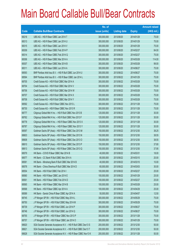|             |                                                                | No. of        |                     |               | <b>Amount raised</b> |
|-------------|----------------------------------------------------------------|---------------|---------------------|---------------|----------------------|
| <b>Code</b> | <b>Callable Bull/Bear Contracts</b>                            | issue (units) | <b>Listing date</b> | <b>Expiry</b> | (HK\$ mil.)          |
| 68218       | UBS AG - HSI R Bear CBBC Jan 2014 T                            | 300,000,000   | 2013/08/20          | 2014/01/29    | 75.00                |
| 68313       | UBS AG - HSI R Bear CBBC Jan 2014 U                            | 300,000,000   | 2013/08/20          | 2014/01/29    | 75.00                |
| 68315       | UBS AG - HSI R Bear CBBC Jan 2014 V                            | 300,000,000   | 2013/08/20          | 2014/01/29    | 75.00                |
| 68309       | UBS AG - HSI R Bear CBBC Feb 2014 P                            | 300,000,000   | 2013/08/20          | 2014/02/27    | 84.00                |
| 68314       | UBS AG - HSI R Bear CBBC Feb 2014 Q                            | 300,000,000   | 2013/08/20          | 2014/02/27    | 75.00                |
| 68306       | UBS AG - HSI R Bear CBBC Mar 2014 A                            | 300,000,000   | 2013/08/20          | 2014/03/28    | 114.00               |
| 68307       | UBS AG - HSI R Bear CBBC Mar 2014 B                            | 300,000,000   | 2013/08/20          | 2014/03/28    | 99.00                |
| 68311       | UBS AG - HSI R Bear CBBC Jun 2014 A                            | 300,000,000   | 2013/08/20          | 2014/06/27    | 75.00                |
| 68593       | BNP Paribas Arbit Issu B.V. - HSI R Bull CBBC Jun 2014 U       | 300,000,000   | 2013/08/22          | 2014/06/27    | 75.00                |
| 68594       | BNP Paribas Arbit Issu B.V. - HSI R Bear CBBC Jan 2014 L       | 300,000,000   | 2013/08/22          | 2014/01/29    | 75.00                |
| 68705       | Credit Suisse AG - HSI R Bull CBBC Mar 2014 A                  | 300,000,000   | 2013/08/22          | 2014/03/28    | 75.00                |
| 68704       | Credit Suisse AG - HSI R Bull CBBC Mar 2014 V                  | 300,000,000   | 2013/08/22          | 2014/03/28    | 75.00                |
| 68706       | Credit Suisse AG - HSI R Bull CBBC Mar 2014 W                  | 300,000,000   | 2013/08/22          | 2014/03/28    | 75.00                |
| 68707       | Credit Suisse AG - HSI R Bull CBBC Mar 2014 X                  | 300,000,000   | 2013/08/22          | 2014/03/28    | 75.00                |
| 68708       | Credit Suisse AG - HSI R Bull CBBC Mar 2014 Y                  | 300,000,000   | 2013/08/22          | 2014/03/28    | 75.00                |
| 68592       | Credit Suisse AG - HSI R Bear CBBC Nov 2013 L                  | 300,000,000   | 2013/08/22          | 2013/11/28    | 75.00                |
| 68730       | Credit Suisse AG - HSI R Bear CBBC Nov 2013 R                  | 300,000,000   | 2013/08/22          | 2013/11/28    | 75.00                |
| 68777       | Citigroup Global Mkt H Inc. - HSI R Bull CBBC Nov 2013 B       | 120,000,000   | 2013/08/22          | 2013/11/28    | 30.00                |
| 68762       | Citigroup Global Mkt H Inc. - HSI R Bull CBBC Nov 2013 F       | 120,000,000   | 2013/08/22          | 2013/11/28    | 30.00                |
| 68778       | Citigroup Global Mkt H Inc. - HSI R Bear CBBC Nov 2013 X       | 120,000,000   | 2013/08/22          | 2013/11/28    | 30.00                |
| 68787       | Citigroup Global Mkt H Inc. - HSI R Bear CBBC Nov 2013 Y       | 120,000,000   | 2013/08/22          | 2013/11/28    | 30.00                |
| 68597       | Goldman Sachs SP (Asia) - HSI R Bear CBBC Dec 2013 M           | 150,000,000   | 2013/08/22          | 2013/12/30    | 38.25                |
| 68603       | Goldman Sachs SP (Asia) - HSI R Bear CBBC Dec 2013 N           | 150,000,000   | 2013/08/22          | 2013/12/30    | 38.55                |
| 68608       | Goldman Sachs SP (Asia) - HSI R Bear CBBC Dec 2013 O           | 150,000,000   | 2013/08/22          | 2013/12/30    | 38.55                |
| 68610       | Goldman Sachs SP (Asia) - HSI R Bear CBBC Dec 2013 P           | 150,000,000   | 2013/08/22          | 2013/12/30    | 37.80                |
| 68613       | Goldman Sachs SP (Asia) - HSI R Bear CBBC Dec 2013 Q           | 150,000,000   | 2013/08/22          | 2013/12/30    | 37.95                |
| 68579       | HK Bank - COVS R Bear CBBC Mar 2014 B                          | 40,000,000    | 2013/08/22          | 2014/03/31    | 18.00                |
| 68577       | HK Bank - CC Bank R Bull CBBC Mar 2014 A                       | 80,000,000    | 2013/08/22          | 2014/03/10    | 20.00                |
| 68581       | HK Bank - Minsheng Bank R Bull CBBC Mar 2014 B                 | 40,000,000    | 2013/08/22          | 2014/03/10    | 10.00                |
| 68578       | HK Bank - China Shenhua R Bull CBBC Mar 2014 D                 | 60,000,000    | 2013/08/22          | 2014/03/03    | 30.00                |
| 68554       | HK Bank - HSI R Bull CBBC Feb 2014 I                           | 100,000,000   | 2013/08/22          | 2014/02/27    | 25.00                |
| 68560       | HK Bank - HSI R Bear CBBC Jan 2014 E                           | 100,000,000   | 2013/08/22          | 2014/01/29    | 25.00                |
| 68561       | HK Bank - HSI R Bear CBBC Feb 2014 D                           | 100,000,000   | 2013/08/22          | 2014/02/27    | 25.00                |
| 68565       | HK Bank - HSI R Bear CBBC Mar 2014 B                           | 100,000,000   | 2013/08/22          | 2014/03/28    | 25.00                |
| 68568       | HK Bank - HSI R Bear CBBC Apr 2014 A                           | 100,000,000   | 2013/08/22          | 2014/04/29    | 25.00                |
| 68589       | HK Bank - Sands China R Bear CBBC Apr 2014 A                   | 50,000,000    | 2013/08/22          | 2014/04/07    | 12.50                |
| 68745       | J P Morgan SP BV - HSI R Bull CBBC May 2014 L                  | 300,000,000   | 2013/08/22          | 2014/05/29    | 75.00                |
| 68750       | J P Morgan SP BV - HSI R Bull CBBC May 2014 M                  | 300,000,000   | 2013/08/22          | 2014/05/29    | 75.00                |
| 68739       | J P Morgan SP BV - HSI R Bull CBBC Jun 2014 P                  | 300,000,000   | 2013/08/22          | 2014/06/27    | 75.00                |
| 68746       | J P Morgan SP BV - HSI R Bull CBBC Jun 2014 Q                  | 300,000,000   | 2013/08/22          | 2014/06/27    | 75.00                |
| 68755       | J P Morgan SP BV - HSI R Bear CBBC Nov 2013 P                  | 300,000,000   | 2013/08/22          | 2013/11/28    | 75.00                |
| 68757       | J P Morgan SP BV - HSI R Bear CBBC Jan 2014 O                  | 300,000,000   | 2013/08/22          | 2014/01/29    | 75.00                |
| 68620       | SGA Societe Generale Acceptance N.V. - HSI R Bull CBBC Dec13 S | 200,000,000   | 2013/08/22          | 2013/12/30    | 50.00                |
| 68621       | SGA Societe Generale Acceptance N.V. - HSI R Bull CBBC Dec13 T | 200,000,000   | 2013/08/22          | 2013/12/30    | 50.00                |
| 68628       | SGA Societe Generale Acceptance N.V. - HSI R Bear CBBC Nov13 K | 200,000,000   | 2013/08/22          | 2013/11/28    | 50.00                |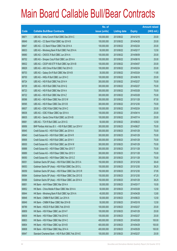|       |                                                          | No. of        |                     |               | <b>Amount raised</b> |
|-------|----------------------------------------------------------|---------------|---------------------|---------------|----------------------|
| Code  | <b>Callable Bull/Bear Contracts</b>                      | issue (units) | <b>Listing date</b> | <b>Expiry</b> | $(HK$$ mil.)         |
| 68671 | UBS AG - Anhui Conch R Bull CBBC Dec 2014 C              | 100,000,000   | 2013/08/22          | 2014/12/15    | 25.00                |
| 68649 | UBS AG - CC Bank R Bull CBBC Apr 2014 B                  | 100,000,000   | 2013/08/22          | 2014/04/28    | 25.00                |
| 68647 | UBS AG - CC Bank R Bear CBBC Feb 2014 A                  | 100,000,000   | 2013/08/22          | 2014/02/24    | 25.00                |
| 68633 | UBS AG - Minsheng Bank R Bull CBBC Feb 2014 A            | 50,000,000    | 2013/08/22          | 2014/02/17    | 12.50                |
| 68680 | UBS AG - CNOOC R Bull CBBC Jun 2014 A                    | 100,000,000   | 2013/08/22          | 2014/06/09    | 25.00                |
| 68702 | UBS AG - Sinopec Corp R Bull CBBC Jun 2014 A             | 100,000,000   | 2013/08/22          | 2014/06/16    | 25.00                |
| 68632 | UBS AG - CSOP A50 ETF R Bull CBBC Apr 2014 B             | 100,000,000   | 2013/08/22          | 2014/04/07    | 25.00                |
| 68629 | UBS AG - A50 China R Bull CBBC Feb 2014 D                | 100,000,000   | 2013/08/22          | 2014/02/24    | 25.00                |
| 68703 | UBS AG - Galaxy Ent R Bull CBBC Mar 2014 B               | 30,000,000    | 2013/08/22          | 2014/03/24    | 11.85                |
| 68700 | UBS AG - HKEx R Bull CBBC Jun 2014 C                     | 100,000,000   | 2013/08/22          | 2014/06/16    | 25.00                |
| 68724 | UBS AG - HSI R Bull CBBC Feb 2014 H                      | 300,000,000   | 2013/08/22          | 2014/02/27    | 75.00                |
| 68729 | UBS AG - HSI R Bull CBBC Feb 2014 Q                      | 300,000,000   | 2013/08/22          | 2014/02/27    | 75.00                |
| 68723 | UBS AG - HSI R Bull CBBC Mar 2014 A                      | 300,000,000   | 2013/08/22          | 2014/03/28    | 75.00                |
| 68722 | UBS AG - HSI R Bull CBBC Mar 2014 Z                      | 300,000,000   | 2013/08/22          | 2014/03/28    | 75.00                |
| 68596 | UBS AG - HSI R Bear CBBC Nov 2013 W                      | 350,000,000   | 2013/08/22          | 2013/11/28    | 87.50                |
| 68595 | UBS AG - HSI R Bear CBBC Dec 2013 B                      | 300,000,000   | 2013/08/22          | 2013/12/30    | 75.00                |
| 68637 | UBS AG - ICBC R Bull CBBC Feb 2014 C                     | 100,000,000   | 2013/08/22          | 2014/02/24    | 25.00                |
| 68636 | UBS AG - ICBC R Bear CBBC Apr 2014 A                     | 100,000,000   | 2013/08/22          | 2014/04/14    | 25.00                |
| 68635 | UBS AG - Sands China R Bull CBBC Jul 2014 B              | 100,000,000   | 2013/08/22          | 2014/07/14    | 25.00                |
| 68681 | UBS AG - TCH R Bull CBBC Jun 2014 G                      | 50,000,000    | 2013/08/22          | 2014/06/23    | 12.50                |
| 68956 | BNP Paribas Arbit Issu B.V. - HSI R Bull CBBC Jun 2014 V | 300,000,000   | 2013/08/23          | 2014/06/27    | 75.00                |
| 68945 | Credit Suisse AG - HSI R Bull CBBC Jan 2014 A            | 300,000,000   | 2013/08/23          | 2014/01/29    | 75.00                |
| 68940 | Credit Suisse AG - HSI R Bull CBBC Jan 2014 R            | 300,000,000   | 2013/08/23          | 2014/01/29    | 75.00                |
| 68906 | Credit Suisse AG - HSI R Bull CBBC Jan 2014 V            | 300,000,000   | 2013/08/23          | 2014/01/29    | 75.00                |
| 68930 | Credit Suisse AG - HSI R Bull CBBC Jan 2014 W            | 300,000,000   | 2013/08/23          | 2014/01/29    | 75.00                |
| 68888 | Credit Suisse AG - HSI R Bear CBBC Nov 2013 T            | 300,000,000   | 2013/08/23          | 2013/11/28    | 75.00                |
| 68889 | Credit Suisse AG - HSI R Bear CBBC Nov 2013 V            | 300,000,000   | 2013/08/23          | 2013/11/28    | 75.00                |
| 69050 | Credit Suisse AG - HSI R Bear CBBC Nov 2013 Z            | 300,000,000   | 2013/08/23          | 2013/11/28    | 75.00                |
| 69051 | Goldman Sachs SP (Asia) - HSI R Bull CBBC Dec 2013 A     | 150,000,000   | 2013/08/23          | 2013/12/30    | 38.40                |
| 69053 | Goldman Sachs SP (Asia) - HSI R Bull CBBC Dec 2013 L     | 150,000,000   | 2013/08/23          | 2013/12/30    | 38.25                |
| 69059 | Goldman Sachs SP (Asia) - HSI R Bear CBBC Dec 2013 R     | 150,000,000   | 2013/08/23          | 2013/12/30    | 37.95                |
| 69064 | Goldman Sachs SP (Asia) - HSI R Bear CBBC Dec 2013 S     | 150,000,000   | 2013/08/23          | 2013/12/30    | 47.25                |
| 69068 | Goldman Sachs SP (Asia) - HSI R Bear CBBC Jan 2014 A     | 150,000,000   | 2013/08/23          | 2014/01/29    | 38.25                |
| 68851 | HK Bank - AIA R Bear CBBC Mar 2014 A                     | 50,000,000    | 2013/08/23          | 2014/03/17    | 15.00                |
| 68852 | HK Bank - China Mobile R Bear CBBC Mar 2014 A            | 50,000,000    | 2013/08/23          | 2014/03/28    | 12.50                |
| 68844 | HK Bank - Minsheng Bank R Bull CBBC Apr 2014 A           | 40,000,000    | 2013/08/23          | 2014/04/28    | 12.80                |
| 68848 | HK Bank - CNBM R Bull CBBC Jun 2014 A                    | 50,000,000    | 2013/08/23          | 2014/06/23    | 12.50                |
| 68849 | HK Bank - CNBM R Bear CBBC Mar 2014 B                    | 50,000,000    | 2013/08/23          | 2014/03/18    | 12.50                |
| 68789 | HK Bank - HSCEI R Bull CBBC Feb 2014 B                   | 100,000,000   | 2013/08/23          | 2014/02/27    | 25.00                |
| 68809 | HK Bank - HSI R Bear CBBC Jan 2014 F                     | 100,000,000   | 2013/08/23          | 2014/01/29    | 25.00                |
| 68839 | HK Bank - HSI R Bear CBBC Feb 2014 E                     | 100,000,000   | 2013/08/23          | 2014/02/27    | 25.00                |
| 68803 | HK Bank - HSI R Bear CBBC Mar 2014 C                     | 400,000,000   | 2013/08/23          | 2014/03/28    | 100.00               |
| 68804 | HK Bank - HSI R Bear CBBC Apr 2014 B                     | 400,000,000   | 2013/08/23          | 2014/04/29    | 100.00               |
| 68808 | HK Bank - HSI R Bear CBBC May 2014 A                     | 400,000,000   | 2013/08/23          | 2014/05/29    | 100.00               |
| 68947 | Standard Chartered Bank - HSI R Bull CBBC Feb 2014 E     | 100,000,000   | 2013/08/23          | 2014/02/27    | 25.00                |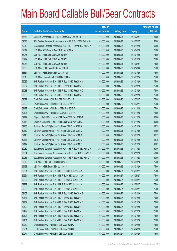|       |                                                                | No. of        |                     |               | <b>Amount raised</b> |
|-------|----------------------------------------------------------------|---------------|---------------------|---------------|----------------------|
| Code  | <b>Callable Bull/Bear Contracts</b>                            | issue (units) | <b>Listing date</b> | <b>Expiry</b> | (HK\$ mil.)          |
| 68863 | Standard Chartered Bank - HSI R Bear CBBC Feb 2014 E           | 100,000,000   | 2013/08/23          | 2014/02/27    | 25.00                |
| 69018 | SGA Societe Generale Acceptance N.V. - HSI R Bull CBBC Feb14 A | 200,000,000   | 2013/08/23          | 2014/02/27    | 50.00                |
| 69019 | SGA Societe Generale Acceptance N.V. - HSI R Bear CBBC Nov13 A | 200,000,000   | 2013/08/23          | 2013/11/28    | 50.00                |
| 69017 | UBS AG - A50 China R Bear CBBC Apr 2014 A                      | 100,000,000   | 2013/08/23          | 2014/04/28    | 25.00                |
| 68976 | UBS AG - HSI R Bull CBBC Jan 2014 U                            | 300,000,000   | 2013/08/23          | 2014/01/29    | 75.00                |
| 68979 | UBS AG - HSI R Bull CBBC Jan 2014 V                            | 300,000,000   | 2013/08/23          | 2014/01/29    | 75.00                |
| 68978 | UBS AG - HSI R Bull CBBC Jun 2014 M                            | 300,000,000   | 2013/08/23          | 2014/06/27    | 75.00                |
| 69033 | UBS AG - HSI R Bear CBBC Dec 2013 N                            | 300,000,000   | 2013/08/23          | 2013/12/30    | 75.00                |
| 68864 | UBS AG - HSI R Bear CBBC Jan 2014 W                            | 300,000,000   | 2013/08/23          | 2014/01/29    | 75.00                |
| 69016 | UBS AG - Lenovo R Bull CBBC Mar 2014 A                         | 100,000,000   | 2013/08/23          | 2014/03/24    | 25.00                |
| 69086 | BNP Paribas Arbit Issu B.V. - HSI R Bear CBBC Jan 2014 M       | 300,000,000   | 2013/08/26          | 2014/01/29    | 75.00                |
| 69087 | BNP Paribas Arbit Issu B.V. - HSI R Bear CBBC Jan 2014 N       | 300,000,000   | 2013/08/26          | 2014/01/29    | 75.00                |
| 69088 | BNP Paribas Arbit Issu B.V. - HSI R Bear CBBC Jan 2014 O       | 300,000,000   | 2013/08/26          | 2014/01/29    | 75.00                |
| 69089 | BNP Paribas Arbit Issu B.V. - HSI R Bear CBBC Jan 2014 P       | 300,000,000   | 2013/08/26          | 2014/01/29    | 75.00                |
| 69077 | Credit Suisse AG - HSI R Bull CBBC Feb 2014 F                  | 300,000,000   | 2013/08/26          | 2014/02/27    | 75.00                |
| 69090 | Credit Suisse AG - HSI R Bull CBBC Feb 2014 W                  | 300,000,000   | 2013/08/26          | 2014/02/27    | 75.00                |
| 69127 | Credit Suisse AG - HSI R Bear CBBC Nov 2013 F                  | 300,000,000   | 2013/08/26          | 2013/11/28    | 75.00                |
| 69124 | Credit Suisse AG - HSI R Bear CBBC Nov 2013 P                  | 300,000,000   | 2013/08/26          | 2013/11/28    | 75.00                |
| 69149 | Citigroup Global Mkt H Inc. - HSI R Bear CBBC Nov 2013 G       | 120,000,000   | 2013/08/26          | 2013/11/28    | 30.00                |
| 69143 | Citigroup Global Mkt H Inc. - HSI R Bear CBBC Nov 2013 Z       | 120,000,000   | 2013/08/26          | 2013/11/28    | 30.00                |
| 69138 | Goldman Sachs SP (Asia) - HSI R Bear CBBC Jan 2014 B           | 150,000,000   | 2013/08/26          | 2014/01/29    | 43.35                |
| 69139 | Goldman Sachs SP (Asia) - HSI R Bear CBBC Jan 2014 C           | 150,000,000   | 2013/08/26          | 2014/01/29    | 41.55                |
| 69140 | Goldman Sachs SP (Asia) - HSI R Bear CBBC Jan 2014 D           | 150,000,000   | 2013/08/26          | 2014/01/29    | 42.75                |
| 69141 | Goldman Sachs SP (Asia) - HSI R Bear CBBC Jan 2014 E           | 150,000,000   | 2013/08/26          | 2014/01/29    | 42.75                |
| 69142 | Goldman Sachs SP (Asia) - HSI R Bear CBBC Jan 2014 F           | 150,000,000   | 2013/08/26          | 2014/01/29    | 41.85                |
| 69080 | SGA Societe Generale Acceptance N.V. - HSI R Bear CBBC Nov13 P | 200,000,000   | 2013/08/26          | 2013/11/28    | 50.00                |
| 69084 | SGA Societe Generale Acceptance N.V. - HSI R Bear CBBC Nov13 S | 200,000,000   | 2013/08/26          | 2013/11/28    | 50.00                |
| 69085 | SGA Societe Generale Acceptance N.V. - HSI R Bear CBBC Nov13 T | 200,000,000   | 2013/08/26          | 2013/11/28    | 50.00                |
| 69079 | UBS AG - HSI R Bull CBBC May 2014 Q                            | 300,000,000   | 2013/08/26          | 2014/05/29    | 75.00                |
| 69128 | UBS AG - HSI R Bear CBBC Jan 2014 X                            | 300,000,000   | 2013/08/26          | 2014/01/29    | 75.00                |
| 69391 | BNP Paribas Arbit Issu B.V. - HSI R Bull CBBC Jun 2014 A       | 300,000,000   | 2013/08/27          | 2014/06/27    | 75.00                |
| 69221 | BNP Paribas Arbit Issu B.V. - HSI R Bull CBBC Jun 2014 W       | 300,000,000   | 2013/08/27          | 2014/06/27    | 75.00                |
| 69222 | BNP Paribas Arbit Issu B.V. - HSI R Bull CBBC Jun 2014 X       | 300,000,000   | 2013/08/27          | 2014/06/27    | 75.00                |
| 69227 | BNP Paribas Arbit Issu B.V. - HSI R Bull CBBC Jun 2014 Y       | 300,000,000   | 2013/08/27          | 2014/06/27    | 75.00                |
| 69228 | BNP Paribas Arbit Issu B.V. - HSI R Bull CBBC Jun 2014 Z       | 300,000,000   | 2013/08/27          | 2014/06/27    | 75.00                |
| 69402 | BNP Paribas Arbit Issu B.V. - HSI R Bear CBBC Jan 2014 E       | 300,000,000   | 2013/08/27          | 2014/01/29    | 75.00                |
| 69481 | BNP Paribas Arbit Issu B.V. - HSI R Bear CBBC Jan 2014 F       | 300,000,000   | 2013/08/27          | 2014/01/29    | 75.00                |
| 69482 | BNP Paribas Arbit Issu B.V. - HSI R Bear CBBC Jan 2014 G       | 300,000,000   | 2013/08/27          | 2014/01/29    | 75.00                |
| 69490 | BNP Paribas Arbit Issu B.V. - HSI R Bear CBBC Jan 2014 H       | 300,000,000   | 2013/08/27          | 2014/01/29    | 75.00                |
| 69499 | BNP Paribas Arbit Issu B.V. - HSI R Bear CBBC Jan 2014 I       | 300,000,000   | 2013/08/27          | 2014/01/29    | 75.00                |
| 69394 | BNP Paribas Arbit Issu B.V. - HSI R Bear CBBC Jan 2014 Q       | 300,000,000   | 2013/08/27          | 2014/01/29    | 75.00                |
| 69401 | BNP Paribas Arbit Issu B.V. - HSI R Bear CBBC Jan 2014 R       | 300,000,000   | 2013/08/27          | 2014/01/29    | 75.00                |
| 69280 | Credit Suisse AG - HSI R Bull CBBC Apr 2014 G                  | 300,000,000   | 2013/08/27          | 2014/04/29    | 75.00                |
| 69281 | Credit Suisse AG - HSI R Bull CBBC Apr 2014 H                  | 300,000,000   | 2013/08/27          | 2014/04/29    | 75.00                |
| 69274 | Credit Suisse AG - HSI R Bull CBBC Apr 2014 I                  | 300,000,000   | 2013/08/27          | 2014/04/29    | 75.00                |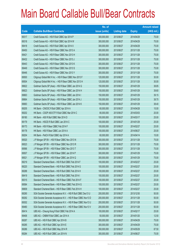|       |                                                                | No. of        |                     |               | <b>Amount raised</b> |
|-------|----------------------------------------------------------------|---------------|---------------------|---------------|----------------------|
| Code  | <b>Callable Bull/Bear Contracts</b>                            | issue (units) | <b>Listing date</b> | <b>Expiry</b> | $(HK$$ mil.)         |
| 69317 | Credit Suisse AG - HSI R Bull CBBC Apr 2014 P                  | 300,000,000   | 2013/08/27          | 2014/04/29    | 75.00                |
| 69318 | Credit Suisse AG - HSI R Bull CBBC Apr 2014 W                  | 300,000,000   | 2013/08/27          | 2014/04/29    | 75.00                |
| 69418 | Credit Suisse AG - HSI R Bull CBBC Apr 2014 X                  | 300,000,000   | 2013/08/27          | 2014/04/29    | 75.00                |
| 69450 | Credit Suisse AG - HSI R Bear CBBC Nov 2013 A                  | 300,000,000   | 2013/08/27          | 2013/11/28    | 75.00                |
| 69421 | Credit Suisse AG - HSI R Bear CBBC Nov 2013 H                  | 300,000,000   | 2013/08/27          | 2013/11/28    | 75.00                |
| 69432 | Credit Suisse AG - HSI R Bear CBBC Nov 2013 J                  | 300,000,000   | 2013/08/27          | 2013/11/28    | 75.00                |
| 69443 | Credit Suisse AG - HSI R Bear CBBC Nov 2013 K                  | 300,000,000   | 2013/08/27          | 2013/11/28    | 75.00                |
| 69449 | Credit Suisse AG - HSI R Bear CBBC Nov 2013 S                  | 300,000,000   | 2013/08/27          | 2013/11/28    | 75.00                |
| 69446 | Credit Suisse AG - HSI R Bear CBBC Nov 2013 Y                  | 300,000,000   | 2013/08/27          | 2013/11/28    | 75.00                |
| 69500 | Citigroup Global Mkt H Inc. - HSI R Bear CBBC Nov 2013 F       | 120,000,000   | 2013/08/27          | 2013/11/28    | 30.00                |
| 69504 | Citigroup Global Mkt H Inc. - HSI R Bear CBBC Nov 2013 H       | 120,000,000   | 2013/08/27          | 2013/11/28    | 30.00                |
| 69622 | Goldman Sachs SP (Asia) - HSI R Bear CBBC Jan 2014 G           | 150,000,000   | 2013/08/27          | 2014/01/29    | 38.85                |
| 69623 | Goldman Sachs SP (Asia) - HSI R Bear CBBC Jan 2014 H           | 150,000,000   | 2013/08/27          | 2014/01/29    | 39.60                |
| 69663 | Goldman Sachs SP (Asia) - HSI R Bear CBBC Jan 2014 I           | 150,000,000   | 2013/08/27          | 2014/01/29    | 39.15                |
| 69664 | Goldman Sachs SP (Asia) - HSI R Bear CBBC Jan 2014 J           | 150,000,000   | 2013/08/27          | 2014/01/29    | 38.70                |
| 69683 | Goldman Sachs SP (Asia) - HSI R Bear CBBC Jan 2014 K           | 150,000,000   | 2013/08/27          | 2014/01/29    | 38.40                |
| 69205 | HK Bank - CNOOC R Bull CBBC Apr 2014 A                         | 60,000,000    | 2013/08/27          | 2014/04/28    | 15.00                |
| 69202 | HK Bank - CSOP A50 ETF R Bull CBBC Mar 2014 C                  | 80,000,000    | 2013/08/27          | 2014/03/03    | 20.00                |
| 69180 | HK Bank - A50 R Bull CBBC Mar 2014 D                           | 100,000,000   | 2013/08/27          | 2014/03/17    | 25.00                |
| 69179 | HK Bank - HSCEI R Bull CBBC Jan 2014 C                         | 100,000,000   | 2013/08/27          | 2014/01/29    | 25.00                |
| 69173 | HK Bank - HSI R Bear CBBC Feb 2014 F                           | 100,000,000   | 2013/08/27          | 2014/02/27    | 25.00                |
| 69178 | HK Bank - HSI R Bear CBBC Jun 2014 A                           | 100,000,000   | 2013/08/27          | 2014/06/27    | 25.00                |
| 69204 | HK Bank - PetCh R Bull CBBC Apr 2014 A                         | 60,000,000    | 2013/08/27          | 2014/04/14    | 15.00                |
| 69520 | J P Morgan SP BV - HSI R Bear CBBC Nov 2013 N                  | 300,000,000   | 2013/08/27          | 2013/11/28    | 75.00                |
| 69523 | J P Morgan SP BV - HSI R Bear CBBC Nov 2013 R                  | 300,000,000   | 2013/08/27          | 2013/11/28    | 75.00                |
| 69566 | J P Morgan SP BV - HSI R Bear CBBC Nov 2013 T                  | 300,000,000   | 2013/08/27          | 2013/11/28    | 75.00                |
| 69507 | J P Morgan SP BV - HSI R Bear CBBC Jan 2014 P                  | 300,000,000   | 2013/08/27          | 2014/01/29    | 75.00                |
| 69521 | J P Morgan SP BV - HSI R Bear CBBC Jan 2014 Q                  | 300,000,000   | 2013/08/27          | 2014/01/29    | 75.00                |
| 69219 | Standard Chartered Bank - HSI R Bull CBBC Feb 2014 F           | 100,000,000   | 2013/08/27          | 2014/02/27    | 25.00                |
| 69220 | Standard Chartered Bank - HSI R Bull CBBC Feb 2014 G           | 100,000,000   | 2013/08/27          | 2014/02/27    | 25.00                |
| 69288 | Standard Chartered Bank - HSI R Bull CBBC Feb 2014 H           | 100,000,000   | 2013/08/27          | 2014/02/27    | 25.00                |
| 69419 | Standard Chartered Bank - HSI R Bull CBBC Feb 2014 I           | 100,000,000   | 2013/08/27          | 2014/02/27    | 25.00                |
| 69315 | Standard Chartered Bank - HSI R Bear CBBC Feb 2014 F           | 100,000,000   | 2013/08/27          | 2014/02/27    | 25.00                |
| 69584 | Standard Chartered Bank - HSI R Bear CBBC Feb 2014 G           | 100,000,000   | 2013/08/27          | 2014/02/27    | 25.00                |
| 69609 | Standard Chartered Bank - HSI R Bear CBBC Feb 2014 H           | 100,000,000   | 2013/08/27          | 2014/02/27    | 25.00                |
| 69290 | SGA Societe Generale Acceptance N.V. - HSI R Bull CBBC Dec13 U | 200,000,000   | 2013/08/27          | 2013/12/30    | 50.00                |
| 69292 | SGA Societe Generale Acceptance N.V. - HSI R Bear CBBC Nov13 D | 200,000,000   | 2013/08/27          | 2013/11/28    | 50.00                |
| 69302 | SGA Societe Generale Acceptance N.V. - HSI R Bear CBBC Nov13 U | 200,000,000   | 2013/08/27          | 2013/11/28    | 50.00                |
| 69480 | SGA Societe Generale Acceptance N.V. - HSI R Bear CBBC Nov13 V | 200,000,000   | 2013/08/27          | 2013/11/28    | 50.00                |
| 69414 | UBS AG - Cheung Kong R Bull CBBC Feb 2014 A                    | 100,000,000   | 2013/08/27          | 2014/02/17    | 25.00                |
| 69406 | UBS AG - CNBM R Bull CBBC Jan 2014 A                           | 50,000,000    | 2013/08/27          | 2014/01/20    | 12.50                |
| 69287 | UBS AG - HSI R Bull CBBC Apr 2014 B                            | 300,000,000   | 2013/08/27          | 2014/04/29    | 75.00                |
| 69285 | UBS AG - HSI R Bull CBBC Apr 2014 E                            | 300,000,000   | 2013/08/27          | 2014/04/29    | 75.00                |
| 69286 | UBS AG - HSI R Bull CBBC May 2014 R                            | 350,000,000   | 2013/08/27          | 2014/05/29    | 87.50                |
| 69284 | UBS AG - HSI R Bull CBBC Jun 2014 N                            | 300,000,000   | 2013/08/27          | 2014/06/27    | 75.00                |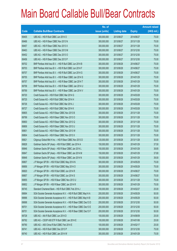|             |                                                                | No. of        |                     |               | <b>Amount raised</b> |
|-------------|----------------------------------------------------------------|---------------|---------------------|---------------|----------------------|
| <b>Code</b> | <b>Callable Bull/Bear Contracts</b>                            | issue (units) | <b>Listing date</b> | <b>Expiry</b> | (HK\$ mil.)          |
| 69405       | UBS AG - HSI R Bull CBBC Jun 2014 O                            | 300,000,000   | 2013/08/27          | 2014/06/27    | 75.00                |
| 69466       | UBS AG - HSI R Bear CBBC Nov 2013 N                            | 300,000,000   | 2013/08/27          | 2013/11/28    | 75.00                |
| 69457       | UBS AG - HSI R Bear CBBC Nov 2013 X                            | 300,000,000   | 2013/08/27          | 2013/11/28    | 75.00                |
| 69463       | UBS AG - HSI R Bear CBBC Dec 2013 M                            | 300,000,000   | 2013/08/27          | 2013/12/30    | 75.00                |
| 69452       | UBS AG - HSI R Bear CBBC Dec 2013 O                            | 300,000,000   | 2013/08/27          | 2013/12/30    | 75.00                |
| 69456       | UBS AG - HSI R Bear CBBC Dec 2013 P                            | 300,000,000   | 2013/08/27          | 2013/12/30    | 75.00                |
| 69702       | BNP Paribas Arbit Issu B.V. - HSI R Bull CBBC Jun 2014 B       | 300,000,000   | 2013/08/28          | 2014/06/27    | 75.00                |
| 69703       | BNP Paribas Arbit Issu B.V. - HSI R Bull CBBC Jun 2014 F       | 300,000,000   | 2013/08/28          | 2014/06/27    | 75.00                |
| 69707       | BNP Paribas Arbit Issu B.V. - HSI R Bull CBBC Jun 2014 G       | 300,000,000   | 2013/08/28          | 2014/06/27    | 75.00                |
| 69755       | BNP Paribas Arbit Issu B.V. - HSI R Bear CBBC Jan 2014 S       | 300,000,000   | 2013/08/28          | 2014/01/29    | 75.00                |
| 69757       | BNP Paribas Arbit Issu B.V. - HSI R Bear CBBC Jan 2014 T       | 300,000,000   | 2013/08/28          | 2014/01/29    | 75.00                |
| 69758       | BNP Paribas Arbit Issu B.V. - HSI R Bear CBBC Jan 2014 U       | 300,000,000   | 2013/08/28          | 2014/01/29    | 75.00                |
| 69769       | BNP Paribas Arbit Issu B.V. - HSI R Bear CBBC Jan 2014 V       | 300,000,000   | 2013/08/28          | 2014/01/29    | 75.00                |
| 69720       | Credit Suisse AG - HSI R Bull CBBC Mar 2014 G                  | 300,000,000   | 2013/08/28          | 2014/03/28    | 75.00                |
| 69725       | Credit Suisse AG - HSI R Bull CBBC Mar 2014 H                  | 300,000,000   | 2013/08/28          | 2014/03/28    | 75.00                |
| 69726       | Credit Suisse AG - HSI R Bull CBBC Mar 2014 J                  | 300,000,000   | 2013/08/28          | 2014/03/28    | 75.00                |
| 69727       | Credit Suisse AG - HSI R Bull CBBC Mar 2014 K                  | 300,000,000   | 2013/08/28          | 2014/03/28    | 75.00                |
| 69805       | Credit Suisse AG - HSI R Bear CBBC Nov 2013 B                  | 300,000,000   | 2013/08/28          | 2013/11/28    | 75.00                |
| 69799       | Credit Suisse AG - HSI R Bear CBBC Nov 2013 O                  | 300,000,000   | 2013/08/28          | 2013/11/28    | 75.00                |
| 69800       | Credit Suisse AG - HSI R Bear CBBC Nov 2013 Q                  | 300,000,000   | 2013/08/28          | 2013/11/28    | 75.00                |
| 69806       | Credit Suisse AG - HSI R Bear CBBC Nov 2013 U                  | 300,000,000   | 2013/08/28          | 2013/11/28    | 75.00                |
| 69801       | Credit Suisse AG - HSI R Bear CBBC Nov 2013 W                  | 300,000,000   | 2013/08/28          | 2013/11/28    | 75.00                |
| 69804       | Credit Suisse AG - HSI R Bear CBBC Nov 2013 X                  | 300,000,000   | 2013/08/28          | 2013/11/28    | 75.00                |
| 69821       | Citigroup Global Mkt H Inc. - HSI R Bear CBBC Nov 2013 D       | 120,000,000   | 2013/08/28          | 2013/11/28    | 30.00                |
| 69828       | Goldman Sachs SP (Asia) - HSI R Bull CBBC Jan 2014 A           | 150,000,000   | 2013/08/28          | 2014/01/29    | 37.50                |
| 69846       | Goldman Sachs SP (Asia) - HSI R Bear CBBC Jan 2014 L           | 150,000,000   | 2013/08/28          | 2014/01/29    | 38.85                |
| 69847       | Goldman Sachs SP (Asia) – HSI R Bear CBBC Jan 2014 M           | 150,000,000   | 2013/08/28          | 2014/01/29    | 37.80                |
| 69848       | Goldman Sachs SP (Asia) - HSI R Bear CBBC Jan 2014 N           | 150,000,000   | 2013/08/28          | 2014/01/29    | 39.00                |
| 69807       | J P Morgan SP BV - HSI R Bull CBBC May 2014 N                  | 300,000,000   | 2013/08/28          | 2014/05/29    | 75.00                |
| 69856       | J P Morgan SP BV - HSI R Bull CBBC May 2014 O                  | 300,000,000   | 2013/08/28          | 2014/05/29    | 75.00                |
| 69820       | J P Morgan SP BV - HSI R Bull CBBC Jun 2014 R                  | 300,000,000   | 2013/08/28          | 2014/06/27    | 75.00                |
| 69857       | J P Morgan SP BV - HSI R Bull CBBC Jun 2014 S                  | 300,000,000   | 2013/08/28          | 2014/06/27    | 75.00                |
| 69855       | J P Morgan SP BV - HSI R Bear CBBC Nov 2013 U                  | 300,000,000   | 2013/08/28          | 2013/11/28    | 75.00                |
| 69852       | J P Morgan SP BV - HSI R Bear CBBC Jan 2014 R                  | 300,000,000   | 2013/08/28          | 2014/01/29    | 75.00                |
| 69745       | Standard Chartered Bank - HSI R Bull CBBC Feb 2014 J           | 100,000,000   | 2013/08/28          | 2014/02/27    | 25.00                |
| 69694       | SGA Societe Generale Acceptance N.V. - HSI R Bull CBBC May14 A | 200,000,000   | 2013/08/28          | 2014/05/29    | 50.00                |
| 69696       | SGA Societe Generale Acceptance N.V. - HSI R Bull CBBC May14 B | 200,000,000   | 2013/08/28          | 2014/05/29    | 50.00                |
| 69698       | SGA Societe Generale Acceptance N.V. - HSI R Bear CBBC Dec13 D | 200,000,000   | 2013/08/28          | 2013/12/30    | 50.00                |
| 69701       | SGA Societe Generale Acceptance N.V. - HSI R Bear CBBC Dec13 E | 200,000,000   | 2013/08/28          | 2013/12/30    | 50.00                |
| 69751       | SGA Societe Generale Acceptance N.V. - HSI R Bear CBBC Dec13 F | 200,000,000   | 2013/08/28          | 2013/12/30    | 50.00                |
| 69728       | UBS AG - AIA R Bull CBBC Jun 2014 D                            | 100,000,000   | 2013/08/28          | 2014/06/09    | 25.00                |
| 69792       | UBS AG - CSOP A50 ETF R Bull CBBC Jan 2014 E                   | 100,000,000   | 2013/08/28          | 2014/01/06    | 25.00                |
| 69790       | UBS AG - A50 China R Bull CBBC Feb 2014 E                      | 100,000,000   | 2013/08/28          | 2014/02/17    | 25.00                |
| 69741       | UBS AG - HSI R Bull CBBC Dec 2013 P                            | 300,000,000   | 2013/08/28          | 2013/12/30    | 75.00                |
| 69740       | UBS AG - HSI R Bull CBBC Jan 2014 W                            | 300,000,000   | 2013/08/28          | 2014/01/29    | 75.00                |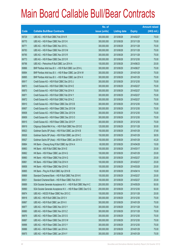|             |                                                                | No. of        |                     |               | <b>Amount raised</b> |
|-------------|----------------------------------------------------------------|---------------|---------------------|---------------|----------------------|
| <b>Code</b> | <b>Callable Bull/Bear Contracts</b>                            | issue (units) | <b>Listing date</b> | <b>Expiry</b> | (HK\$ mil.)          |
| 69729       | UBS AG - HSI R Bull CBBC Feb 2014 R                            | 300,000,000   | 2013/08/28          | 2014/02/27    | 75.00                |
| 69770       | UBS AG - HSI R Bear CBBC Nov 2013 K                            | 300,000,000   | 2013/08/28          | 2013/11/28    | 75.00                |
| 69771       | UBS AG - HSI R Bear CBBC Nov 2013 L                            | 300,000,000   | 2013/08/28          | 2013/11/28    | 75.00                |
| 69783       | UBS AG - HSI R Bear CBBC Nov 2013 M                            | 300,000,000   | 2013/08/28          | 2013/11/28    | 75.00                |
| 69785       | UBS AG - HSI R Bear CBBC Nov 2013 R                            | 300,000,000   | 2013/08/28          | 2013/11/28    | 75.00                |
| 69773       | UBS AG - HSI R Bear CBBC Dec 2013 R                            | 300,000,000   | 2013/08/28          | 2013/12/30    | 75.00                |
| 69796       | UBS AG - Petrochina R Bull CBBC Jun 2014 A                     | 100,000,000   | 2013/08/28          | 2014/06/23    | 25.00                |
| 69866       | BNP Paribas Arbit Issu B.V. - HSI R Bull CBBC Jun 2014 L       | 300,000,000   | 2013/08/29          | 2014/06/27    | 75.00                |
| 69894       | BNP Paribas Arbit Issu B.V. - HSI R Bear CBBC Jan 2014 W       | 300,000,000   | 2013/08/29          | 2014/01/29    | 75.00                |
| 69895       | BNP Paribas Arbit Issu B.V. - HSI R Bear CBBC Jan 2014 X       | 300,000,000   | 2013/08/29          | 2014/01/29    | 75.00                |
| 69917       | Credit Suisse AG - HSI R Bull CBBC Dec 2013 J                  | 300,000,000   | 2013/08/29          | 2013/12/30    | 75.00                |
| 69873       | Credit Suisse AG - HSI R Bull CBBC Feb 2014 E                  | 300,000,000   | 2013/08/29          | 2014/02/27    | 75.00                |
| 69870       | Credit Suisse AG - HSI R Bull CBBC Feb 2014 X                  | 300,000,000   | 2013/08/29          | 2014/02/27    | 75.00                |
| 69871       | Credit Suisse AG - HSI R Bull CBBC Feb 2014 Y                  | 300,000,000   | 2013/08/29          | 2014/02/27    | 75.00                |
| 69872       | Credit Suisse AG - HSI R Bull CBBC Feb 2014 Z                  | 300,000,000   | 2013/08/29          | 2014/02/27    | 75.00                |
| 69910       | Credit Suisse AG - HSI R Bear CBBC Dec 2013 B                  | 300,000,000   | 2013/08/29          | 2013/12/30    | 75.00                |
| 69907       | Credit Suisse AG - HSI R Bear CBBC Dec 2013 M                  | 300,000,000   | 2013/08/29          | 2013/12/30    | 75.00                |
| 69908       | Credit Suisse AG - HSI R Bear CBBC Dec 2013 N                  | 300,000,000   | 2013/08/29          | 2013/12/30    | 75.00                |
| 69909       | Credit Suisse AG - HSI R Bear CBBC Dec 2013 O                  | 300,000,000   | 2013/08/29          | 2013/12/30    | 75.00                |
| 69915       | Credit Suisse AG - HSI R Bear CBBC Dec 2013 P                  | 300,000,000   | 2013/08/29          | 2013/12/30    | 75.00                |
| 69919       | Citigroup Global Mkt H Inc. - HSI R Bull CBBC Nov 2013 E       | 120,000,000   | 2013/08/29          | 2013/11/28    | 30.00                |
| 69923       | Goldman Sachs SP (Asia) - HSI R Bull CBBC Jan 2014 B           | 150,000,000   | 2013/08/29          | 2014/01/29    | 37.80                |
| 69926       | Goldman Sachs SP (Asia) - HSI R Bull CBBC Jan 2014 C           | 150,000,000   | 2013/08/29          | 2014/01/29    | 38.55                |
| 69927       | Goldman Sachs SP (Asia) - HSI R Bear CBBC Jan 2014 O           | 150,000,000   | 2013/08/29          | 2014/01/29    | 43.20                |
| 69864       | HK Bank - Cheung Kong R Bull CBBC Apr 2014 A                   | 60,000,000    | 2013/08/29          | 2014/04/28    | 15.00                |
| 69863       | HK Bank - A50 R Bull CBBC Mar 2014 E                           | 100,000,000   | 2013/08/29          | 2014/03/17    | 25.00                |
| 69862       | HK Bank - HSI R Bear CBBC Jan 2014 G                           | 100,000,000   | 2013/08/29          | 2014/01/29    | 25.00                |
| 69860       | HK Bank – HSI R Bear CBBC Feb 2014 G                           | 100,000,000   | 2013/08/29          | 2014/02/27    | 25.00                |
| 69861       | HK Bank - HSI R Bear CBBC Feb 2014 H                           | 100,000,000   | 2013/08/29          | 2014/02/27    | 25.00                |
| 69858       | HK Bank - HSI R Bear CBBC Mar 2014 D                           | 100,000,000   | 2013/08/29          | 2014/03/28    | 25.00                |
| 69865       | HK Bank - Ping An R Bull CBBC Apr 2014 B                       | 60,000,000    | 2013/08/29          | 2014/04/14    | 15.00                |
| 69869       | Standard Chartered Bank - HSI R Bull CBBC Feb 2014 K           | 100,000,000   | 2013/08/29          | 2014/02/27    | 25.00                |
| 69931       | Standard Chartered Bank - HSI R Bear CBBC Feb 2014 I           | 100,000,000   | 2013/08/29          | 2014/02/27    | 25.00                |
| 69889       | SGA Societe Generale Acceptance N.V. - HSI R Bull CBBC May14 C | 200,000,000   | 2013/08/29          | 2014/05/29    | 50.00                |
| 69890       | SGA Societe Generale Acceptance N.V. - HSI R Bear CBBC Dec13 G | 200,000,000   | 2013/08/29          | 2013/12/30    | 50.00                |
| 69874       | UBS AG - HSCEI R Bear CBBC Nov 2013 C                          | 100,000,000   | 2013/08/29          | 2013/11/28    | 25.00                |
| 69918       | UBS AG - HSI R Bull CBBC Dec 2013 V                            | 300,000,000   | 2013/08/29          | 2013/12/30    | 75.00                |
| 69867       | UBS AG - HSI R Bull CBBC Jan 2014 X                            | 300,000,000   | 2013/08/29          | 2014/01/29    | 75.00                |
| 69877       | UBS AG - HSI R Bear CBBC Nov 2013 Y                            | 300,000,000   | 2013/08/29          | 2013/11/28    | 75.00                |
| 69880       | UBS AG - HSI R Bear CBBC Nov 2013 Z                            | 300,000,000   | 2013/08/29          | 2013/11/28    | 75.00                |
| 69879       | UBS AG - HSI R Bear CBBC Dec 2013 S                            | 300,000,000   | 2013/08/29          | 2013/12/30    | 75.00                |
| 69887       | UBS AG - HSI R Bear CBBC Dec 2013 W                            | 300,000,000   | 2013/08/29          | 2013/12/30    | 75.00                |
| 69896       | UBS AG - HSI R Bear CBBC Dec 2013 Y                            | 300,000,000   | 2013/08/29          | 2013/12/30    | 75.00                |
| 69886       | UBS AG - HSI R Bear CBBC Jan 2014 A                            | 300,000,000   | 2013/08/29          | 2014/01/29    | 75.00                |
| 69875       | UBS AG - HSI R Bear CBBC Jan 2014 Y                            | 300,000,000   | 2013/08/29          | 2014/01/29    | 75.00                |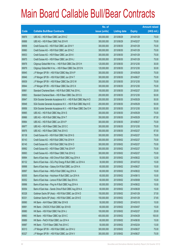|             |                                                                | No. of        |                     |               | <b>Amount raised</b> |
|-------------|----------------------------------------------------------------|---------------|---------------------|---------------|----------------------|
| <b>Code</b> | <b>Callable Bull/Bear Contracts</b>                            | issue (units) | <b>Listing date</b> | <b>Expiry</b> | (HK\$ mil.)          |
| 69876       | UBS AG - HSI R Bear CBBC Jan 2014 Z                            | 300,000,000   | 2013/08/29          | 2014/01/29    | 75.00                |
| 69888       | UBS AG - HSI R Bear CBBC Feb 2014 R                            | 300,000,000   | 2013/08/29          | 2014/02/27    | 75.00                |
| 69958       | Credit Suisse AG - HSI R Bull CBBC Jan 2014 Y                  | 300,000,000   | 2013/08/30          | 2014/01/29    | 75.00                |
| 69960       | Credit Suisse AG - HSI R Bull CBBC Jan 2014 Z                  | 300,000,000   | 2013/08/30          | 2014/01/29    | 75.00                |
| 69933       | Credit Suisse AG - HSI R Bear CBBC Jan 2014 I                  | 300,000,000   | 2013/08/30          | 2014/01/29    | 75.00                |
| 69975       | Credit Suisse AG - HSI R Bear CBBC Jan 2014 J                  | 300,000,000   | 2013/08/30          | 2014/01/29    | 75.00                |
| 69978       | Citigroup Global Mkt H Inc. - HSI R Bull CBBC Dec 2013 H       | 120,000,000   | 2013/08/30          | 2013/12/30    | 30.00                |
| 69979       | Citigroup Global Mkt H Inc. - HSI R Bear CBBC Dec 2013 N       | 120,000,000   | 2013/08/30          | 2013/12/30    | 30.00                |
| 69945       | J P Morgan SP BV - HSI R Bull CBBC May 2014 P                  | 300,000,000   | 2013/08/30          | 2014/05/29    | 75.00                |
| 69946       | J P Morgan SP BV - HSI R Bull CBBC Jun 2014 T                  | 300,000,000   | 2013/08/30          | 2014/06/27    | 75.00                |
| 69939       | J P Morgan SP BV - HSI R Bear CBBC Dec 2013 W                  | 300,000,000   | 2013/08/30          | 2013/12/30    | 75.00                |
| 69944       | J P Morgan SP BV - HSI R Bear CBBC Dec 2013 X                  | 300,000,000   | 2013/08/30          | 2013/12/30    | 75.00                |
| 69961       | Standard Chartered Bank - HSI R Bull CBBC Feb 2014 L           | 100,000,000   | 2013/08/30          | 2014/02/27    | 25.00                |
| 69963       | Standard Chartered Bank - HSI R Bear CBBC Dec 2013 G           | 200,000,000   | 2013/08/30          | 2013/12/30    | 50.00                |
| 69947       | SGA Societe Generale Acceptance N.V. - HSI R Bull CBBC May14 D | 200,000,000   | 2013/08/30          | 2014/05/29    | 50.00                |
| 69948       | SGA Societe Generale Acceptance N.V. - HSI R Bull CBBC May14 E | 200,000,000   | 2013/08/30          | 2014/05/29    | 50.00                |
| 69956       | SGA Societe Generale Acceptance N.V. - HSI R Bear CBBC Dec13 H | 200,000,000   | 2013/08/30          | 2013/12/30    | 50.00                |
| 69965       | UBS AG - HSI R Bull CBBC May 2014 S                            | 300,000,000   | 2013/08/30          | 2014/05/29    | 75.00                |
| 69966       | UBS AG - HSI R Bull CBBC May 2014 T                            | 350,000,000   | 2013/08/30          | 2014/05/29    | 87.50                |
| 69964       | UBS AG - HSI R Bull CBBC Jun 2014 P                            | 300,000,000   | 2013/08/30          | 2014/06/27    | 75.00                |
| 69977       | UBS AG - HSI R Bear CBBC Dec 2013 C                            | 300,000,000   | 2013/08/30          | 2013/12/30    | 75.00                |
| 69976       | UBS AG - HSI R Bear CBBC Feb 2014 S                            | 350,000,000   | 2013/08/30          | 2014/02/27    | 87.50                |
| 60138       | Credit Suisse AG - HSI R Bull CBBC Feb 2014 G                  | 300,000,000   | 2013/09/02          | 2014/02/27    | 75.00                |
| 60143       | Credit Suisse AG - HSI R Bull CBBC Feb 2014 H                  | 300,000,000   | 2013/09/02          | 2014/02/27    | 75.00                |
| 60145       | Credit Suisse AG - HSI R Bull CBBC Feb 2014 O                  | 300,000,000   | 2013/09/02          | 2014/02/27    | 75.00                |
| 69992       | Credit Suisse AG - HSI R Bear CBBC Feb 2014 P                  | 300,000,000   | 2013/09/02          | 2014/02/27    | 75.00                |
| 69993       | Credit Suisse AG - HSI R Bear CBBC Feb 2014 Q                  | 300,000,000   | 2013/09/02          | 2014/02/27    | 75.00                |
| 69994       | Bank of East Asia - A50 China R Bull CBBC Aug 2014 A           | 50,000,000    | 2013/09/02          | 2014/08/22    | 12.50                |
| 60132       | Bank of East Asia - GCL-Poly Energy R Bull CBBC Jul 2014 A     | 30,000,000    | 2013/09/02          | 2014/07/22    | 15.00                |
| 69998       | Bank of East Asia - Galaxy Ent R Bull CBBC Jun 2014 A          | 60,000,000    | 2013/09/02          | 2014/06/27    | 15.00                |
| 69997       | Bank of East Asia - HKEx R Bull CBBC Aug 2014 A                | 60,000,000    | 2013/09/02          | 2014/08/22    | 15.00                |
| 60055       | Bank of East Asia - Hutchison R Bull CBBC Jun 2014 A           | 60,000,000    | 2013/09/02          | 2014/06/13    | 15.00                |
| 60052       | Bank of East Asia - Lenovo R Bull CBBC Sep 2014 A              | 60,000,000    | 2013/09/02          | 2014/09/08    | 15.00                |
| 69996       | Bank of East Asia - Ping An R Bull CBBC Aug 2014 A             | 60,000,000    | 2013/09/02          | 2014/08/22    | 15.00                |
| 60054       | Bank of East Asia - Sands China R Bull CBBC Aug 2014 A         | 60,000,000    | 2013/09/02          | 2014/08/28    | 15.00                |
| 60328       | Goldman Sachs SP (Asia) - HSI R Bull CBBC Jan 2014 D           | 150,000,000   | 2013/09/02          | 2014/01/29    | 37.50                |
| 60331       | Goldman Sachs SP (Asia) - HSI R Bull CBBC Jan 2014 E           | 150,000,000   | 2013/09/02          | 2014/01/29    | 37.65                |
| 69990       | HK Bank - AIA R Bear CBBC Mar 2014 B                           | 50,000,000    | 2013/09/02          | 2014/03/10    | 15.00                |
| 69991       | HK Bank - CNOOC R Bull CBBC Apr 2014 B                         | 60,000,000    | 2013/09/02          | 2014/04/07    | 15.00                |
| 69980       | HK Bank - HSI R Bull CBBC Feb 2014 J                           | 100,000,000   | 2013/09/02          | 2014/02/27    | 25.00                |
| 69983       | HK Bank - HSI R Bear CBBC Apr 2014 C                           | 400,000,000   | 2013/09/02          | 2014/04/29    | 100.00               |
| 69989       | HK Bank - PetCh R Bull CBBC Jun 2014 A                         | 60,000,000    | 2013/09/02          | 2014/06/30    | 15.00                |
| 69987       | HK Bank - TCH R Bear CBBC Feb 2014 C                           | 50,000,000    | 2013/09/02          | 2014/02/24    | 13.00                |
| 60313       | J P Morgan SP BV - HSI R Bull CBBC Jun 2014 U                  | 300,000,000   | 2013/09/02          | 2014/06/27    | 75.00                |
| 60327       | J P Morgan SP BV - HSI R Bull CBBC Jun 2014 V                  | 300,000,000   | 2013/09/02          | 2014/06/27    | 75.00                |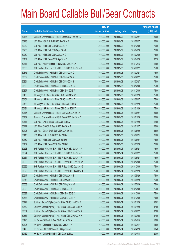|       |                                                          | No. of        |                     |               | <b>Amount raised</b> |
|-------|----------------------------------------------------------|---------------|---------------------|---------------|----------------------|
| Code  | <b>Callable Bull/Bear Contracts</b>                      | issue (units) | <b>Listing date</b> | <b>Expiry</b> | $(HK$$ mil.)         |
| 60136 | Standard Chartered Bank - HSI R Bear CBBC Feb 2014 J     | 100,000,000   | 2013/09/02          | 2014/02/27    | 25.00                |
| 60218 | UBS AG - HSCEI R Bull CBBC Jun 2014 F                    | 100,000,000   | 2013/09/02          | 2014/06/27    | 25.00                |
| 60232 | UBS AG - HSI R Bull CBBC Dec 2013 W                      | 300,000,000   | 2013/09/02          | 2013/12/30    | 75.00                |
| 60263 | UBS AG - HSI R Bull CBBC Apr 2014 F                      | 300,000,000   | 2013/09/02          | 2014/04/29    | 75.00                |
| 60260 | UBS AG - HSI R Bull CBBC Jul 2014 G                      | 300,000,000   | 2013/09/02          | 2014/07/30    | 75.00                |
| 60134 | UBS AG - HSI R Bear CBBC Apr 2014 C                      | 350,000,000   | 2013/09/02          | 2014/04/29    | 87.50                |
| 60311 | UBS AG - Wharf Holdings R Bull CBBC Dec 2013 A           | 50,000,000    | 2013/09/02          | 2013/12/16    | 12.50                |
| 60353 | BNP Paribas Arbit Issu B.V. - HSI R Bull CBBC Jun 2014 M | 300,000,000   | 2013/09/03          | 2014/06/27    | 75.00                |
| 60375 | Credit Suisse AG - HSI R Bull CBBC Feb 2014 Q            | 300,000,000   | 2013/09/03          | 2014/02/27    | 75.00                |
| 60389 | Credit Suisse AG - HSI R Bull CBBC Feb 2014 R            | 300,000,000   | 2013/09/03          | 2014/02/27    | 75.00                |
| 60354 | Credit Suisse AG - HSI R Bull CBBC Feb 2014 S            | 300,000,000   | 2013/09/03          | 2014/02/27    | 75.00                |
| 60390 | Credit Suisse AG - HSI R Bear CBBC Dec 2013 Q            | 300,000,000   | 2013/09/03          | 2013/12/30    | 75.00                |
| 60397 | Credit Suisse AG - HSI R Bear CBBC Dec 2013 W            | 300,000,000   | 2013/09/03          | 2013/12/30    | 75.00                |
| 60435 | J P Morgan SP BV - HSI R Bull CBBC Mar 2014 W            | 300,000,000   | 2013/09/03          | 2014/03/28    | 75.00                |
| 60461 | J P Morgan SP BV - HSI R Bull CBBC Jun 2014 W            | 300,000,000   | 2013/09/03          | 2014/06/27    | 75.00                |
| 60433 | J P Morgan SP BV - HSI R Bear CBBC Jan 2014 S            | 300,000,000   | 2013/09/03          | 2014/01/29    | 75.00                |
| 60434 | J P Morgan SP BV - HSI R Bear CBBC Jan 2014 T            | 300,000,000   | 2013/09/03          | 2014/01/29    | 75.00                |
| 60415 | Standard Chartered Bank - HSI R Bull CBBC Jun 2014 A     | 100,000,000   | 2013/09/03          | 2014/06/27    | 25.00                |
| 60432 | Standard Chartered Bank - HSI R Bear CBBC Jan 2014 G     | 100,000,000   | 2013/09/03          | 2014/01/29    | 25.00                |
| 60411 | UBS AG - CNBM R Bear CBBC Jan 2014 A                     | 50,000,000    | 2013/09/03          | 2014/01/20    | 12.50                |
| 60412 | UBS AG - CNOOC R Bear CBBC Jan 2014 A                    | 100,000,000   | 2013/09/03          | 2014/01/27    | 25.00                |
| 60406 | UBS AG - Galaxy Ent R Bull CBBC Jun 2014 A               | 100,000,000   | 2013/09/03          | 2014/06/09    | 25.00                |
| 60413 | UBS AG - HKEx R Bull CBBC Jul 2014 A                     | 100,000,000   | 2013/09/03          | 2014/07/21    | 25.00                |
| 60352 | UBS AG - HSI R Bull CBBC Jun 2014 Q                      | 300,000,000   | 2013/09/03          | 2014/06/27    | 75.00                |
| 60407 | UBS AG - HSI R Bear CBBC Mar 2014 C                      | 300,000,000   | 2013/09/03          | 2014/03/28    | 75.00                |
| 60523 | BNP Paribas Arbit Issu B.V. - HSI R Bull CBBC Jun 2014 N | 300,000,000   | 2013/09/04          | 2014/06/27    | 75.00                |
| 60524 | BNP Paribas Arbit Issu B.V. - HSI R Bull CBBC Jun 2014 Q | 300,000,000   | 2013/09/04          | 2014/06/27    | 75.00                |
| 60561 | BNP Paribas Arbit Issu B.V. - HSI R Bull CBBC Jun 2014 R | 300,000,000   | 2013/09/04          | 2014/06/27    | 75.00                |
| 60566 | BNP Paribas Arbit Issu B.V. - HSI R Bear CBBC Dec 2013 Y | 300,000,000   | 2013/09/04          | 2013/12/30    | 75.00                |
| 60565 | BNP Paribas Arbit Issu B.V. - HSI R Bear CBBC Dec 2013 Z | 300,000,000   | 2013/09/04          | 2013/12/30    | 75.00                |
| 60525 | BNP Paribas Arbit Issu B.V. - HSI R Bear CBBC Jan 2014 J | 300,000,000   | 2013/09/04          | 2014/01/29    | 75.00                |
| 60547 | Credit Suisse AG - HSI R Bull CBBC May 2014 T            | 300,000,000   | 2013/09/04          | 2014/05/29    | 75.00                |
| 60548 | Credit Suisse AG - HSI R Bull CBBC May 2014 U            | 300,000,000   | 2013/09/04          | 2014/05/29    | 75.00                |
| 60558 | Credit Suisse AG - HSI R Bull CBBC May 2014 W            | 300,000,000   | 2013/09/04          | 2014/05/29    | 75.00                |
| 60608 | Credit Suisse AG - HSI R Bear CBBC Dec 2013 E            | 300,000,000   | 2013/09/04          | 2013/12/30    | 75.00                |
| 60632 | Credit Suisse AG - HSI R Bear CBBC Dec 2013 X            | 300,000,000   | 2013/09/04          | 2013/12/30    | 75.00                |
| 60638 | Credit Suisse AG - HSI R Bear CBBC Dec 2013 Y            | 300,000,000   | 2013/09/04          | 2013/12/30    | 75.00                |
| 60724 | Goldman Sachs SP (Asia) - HSI R Bull CBBC Jan 2014 F     | 150,000,000   | 2013/09/04          | 2014/01/29    | 40.05                |
| 60562 | Goldman Sachs SP (Asia) - HSI R Bear CBBC Jan 2014 P     | 150,000,000   | 2013/09/04          | 2014/01/29    | 37.80                |
| 60564 | Goldman Sachs SP (Asia) - HSI R Bear CBBC Feb 2014 A     | 150,000,000   | 2013/09/04          | 2014/02/27    | 37.80                |
| 60563 | Goldman Sachs SP (Asia) - HSI R Bear CBBC Mar 2014 A     | 150,000,000   | 2013/09/04          | 2014/03/28    | 37.95                |
| 60495 | HK Bank - CC Bank R Bear CBBC Apr 2014 A                 | 40,000,000    | 2013/09/04          | 2014/04/14    | 10.00                |
| 60496 | HK Bank - China Life R Bull CBBC Mar 2014 A              | 60,000,000    | 2013/09/04          | 2014/03/17    | 15.00                |
| 60476 | HK Bank - CNOOC R Bear CBBC Apr 2014 B                   | 40,000,000    | 2013/09/04          | 2014/04/28    | 10.40                |
| 60462 | HK Bank - Galaxy Ent R Bull CBBC Apr 2014 A              | 50,000,000    | 2013/09/04          | 2014/04/14    | 20.00                |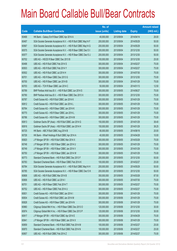|       |                                                                | No. of        |                     |               | <b>Amount raised</b> |
|-------|----------------------------------------------------------------|---------------|---------------------|---------------|----------------------|
| Code  | <b>Callable Bull/Bear Contracts</b>                            | issue (units) | <b>Listing date</b> | <b>Expiry</b> | (HK\$ mil.)          |
| 60468 | HK Bank - Galaxy Ent R Bear CBBC Apr 2014 A                    | 40,000,000    | 2013/09/04          | 2014/04/14    | 26.00                |
| 60497 | SGA Societe Generale Acceptance N.V. - HSI R Bull CBBC May14 F | 200,000,000   | 2013/09/04          | 2014/05/29    | 50.00                |
| 60567 | SGA Societe Generale Acceptance N.V. - HSI R Bull CBBC May14 G | 200,000,000   | 2013/09/04          | 2014/05/29    | 50.00                |
| 60575 | SGA Societe Generale Acceptance N.V. - HSI R Bear CBBC Dec13 I | 200,000,000   | 2013/09/04          | 2013/12/30    | 50.00                |
| 60577 | SGA Societe Generale Acceptance N.V. - HSI R Bear CBBC Dec13 J | 200,000,000   | 2013/09/04          | 2013/12/30    | 50.00                |
| 60702 | UBS AG - HSCEIR Bear CBBC Dec 2013 B                           | 100,000,000   | 2013/09/04          | 2013/12/30    | 25.00                |
| 60498 | UBS AG - HSI R Bull CBBC Feb 2014 S                            | 300,000,000   | 2013/09/04          | 2014/02/27    | 75.00                |
| 60503 | UBS AG - HSI R Bull CBBC Feb 2014 Y                            | 300,000,000   | 2013/09/04          | 2014/02/27    | 75.00                |
| 60502 | UBS AG - HSI R Bull CBBC Jul 2014 H                            | 300,000,000   | 2013/09/04          | 2014/07/30    | 75.00                |
| 60701 | UBS AG - HSI R Bear CBBC Dec 2013 G                            | 300,000,000   | 2013/09/04          | 2013/12/30    | 75.00                |
| 60700 | UBS AG - HSI R Bear CBBC Jan 2014 B                            | 300,000,000   | 2013/09/04          | 2014/01/29    | 75.00                |
| 60703 | UBS AG - TCH R Bear CBBC Jan 2014 C                            | 50,000,000    | 2013/09/04          | 2014/01/13    | 12.50                |
| 60789 | BNP Paribas Arbit Issu B.V. - HSI R Bull CBBC Jun 2014 S       | 300,000,000   | 2013/09/05          | 2014/06/27    | 75.00                |
| 60790 | BNP Paribas Arbit Issu B.V. - HSI R Bear CBBC Dec 2013 X       | 300,000,000   | 2013/09/05          | 2013/12/30    | 75.00                |
| 60787 | Credit Suisse AG - HSI R Bull CBBC Jan 2014 K                  | 300,000,000   | 2013/09/05          | 2014/01/29    | 75.00                |
| 60812 | Credit Suisse AG - HSI R Bull CBBC Jan 2014 L                  | 300,000,000   | 2013/09/05          | 2014/01/29    | 75.00                |
| 60764 | Credit Suisse AG - HSI R Bear CBBC Jan 2014 K                  | 300,000,000   | 2013/09/05          | 2014/01/29    | 75.00                |
| 60770 | Credit Suisse AG - HSI R Bear CBBC Jan 2014 L                  | 300,000,000   | 2013/09/05          | 2014/01/29    | 75.00                |
| 60786 | Credit Suisse AG - HSI R Bear CBBC Jan 2014 M                  | 300,000,000   | 2013/09/05          | 2014/01/29    | 75.00                |
| 60813 | Goldman Sachs SP (Asia) - HSI R Bull CBBC Jan 2014 G           | 150,000,000   | 2013/09/05          | 2014/01/29    | 38.40                |
| 60816 | Goldman Sachs SP (Asia) - HSI R Bull CBBC Jan 2014 H           | 150,000,000   | 2013/09/05          | 2014/01/29    | 38.25                |
| 60725 | HK Bank - ABC R Bull CBBC Aug 2014 B                           | 80,000,000    | 2013/09/05          | 2014/08/18    | 20.00                |
| 60726 | HK Bank - Wharf Holdings R Bull CBBC Apr 2014 A                | 40,000,000    | 2013/09/05          | 2014/04/28    | 10.00                |
| 60820 | J P Morgan SP BV - HSI R Bull CBBC Mar 2014 X                  | 300,000,000   | 2013/09/05          | 2014/03/28    | 75.00                |
| 60748 | J P Morgan SP BV - HSI R Bear CBBC Jan 2014 U                  | 300,000,000   | 2013/09/05          | 2014/01/29    | 75.00                |
| 60749 | J P Morgan SP BV - HSI R Bear CBBC Jan 2014 V                  | 300,000,000   | 2013/09/05          | 2014/01/29    | 75.00                |
| 60750 | J P Morgan SP BV - HSI R Bear CBBC Jan 2014 W                  | 300,000,000   | 2013/09/05          | 2014/01/29    | 75.00                |
| 60773 | Standard Chartered Bank - HSI R Bull CBBC Dec 2013 F           | 200,000,000   | 2013/09/05          | 2013/12/30    | 50.00                |
| 60783 | Standard Chartered Bank - HSI R Bear CBBC Feb 2014 K           | 100,000,000   | 2013/09/05          | 2014/02/27    | 25.00                |
| 60784 | SGA Societe Generale Acceptance N.V. - HSI R Bull CBBC May14 H | 200,000,000   | 2013/09/05          | 2014/05/29    | 50.00                |
| 60785 | SGA Societe Generale Acceptance N.V. - HSI R Bear CBBC Dec13 K | 200,000,000   | 2013/09/05          | 2013/12/30    | 50.00                |
| 60808 | UBS AG - HSI R Bull CBBC Mar 2014 B                            | 350,000,000   | 2013/09/05          | 2014/03/28    | 87.50                |
| 60806 | UBS AG - HSI R Bull CBBC Jul 2014 I                            | 300,000,000   | 2013/09/05          | 2014/07/30    | 75.00                |
| 60751 | UBS AG - HSI R Bear CBBC Feb 2014 T                            | 300,000,000   | 2013/09/05          | 2014/02/27    | 75.00                |
| 60752 | UBS AG - HSI R Bear CBBC Feb 2014 U                            | 300,000,000   | 2013/09/05          | 2014/02/27    | 75.00                |
| 60831 | Credit Suisse AG - HSI R Bull CBBC Jan 2014 I                  | 300,000,000   | 2013/09/06          | 2014/01/29    | 75.00                |
| 60834 | Credit Suisse AG - HSI R Bull CBBC Jan 2014 M                  | 300,000,000   | 2013/09/06          | 2014/01/29    | 75.00                |
| 60828 | Credit Suisse AG - HSI R Bear CBBC Jan 2014 N                  | 300,000,000   | 2013/09/06          | 2014/01/29    | 75.00                |
| 60960 | Citigroup Global Mkt H Inc. - HSI R Bear CBBC Dec 2013 O       | 120,000,000   | 2013/09/06          | 2013/12/30    | 30.00                |
| 60974 | Citigroup Global Mkt H Inc. - HSI R Bear CBBC Dec 2013 P       | 120,000,000   | 2013/09/06          | 2013/12/30    | 30.00                |
| 60917 | J P Morgan SP BV - HSI R Bull CBBC Apr 2014 E                  | 300,000,000   | 2013/09/06          | 2014/04/29    | 75.00                |
| 60941 | J P Morgan SP BV - HSI R Bear CBBC Jan 2014 X                  | 300,000,000   | 2013/09/06          | 2014/01/29    | 75.00                |
| 60859 | Standard Chartered Bank - HSI R Bull CBBC Feb 2014 M           | 100,000,000   | 2013/09/06          | 2014/02/27    | 25.00                |
| 60870 | Standard Chartered Bank - HSI R Bull CBBC Feb 2014 N           | 100,000,000   | 2013/09/06          | 2014/02/27    | 25.00                |
| 60857 | UBS AG - HSI R Bull CBBC Feb 2014 Z                            | 300,000,000   | 2013/09/06          | 2014/02/27    | 75.00                |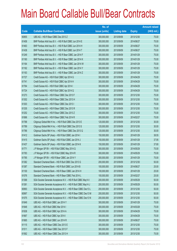|       |                                                                | No. of        |                     |               | <b>Amount raised</b> |
|-------|----------------------------------------------------------------|---------------|---------------------|---------------|----------------------|
| Code  | <b>Callable Bull/Bear Contracts</b>                            | issue (units) | <b>Listing date</b> | <b>Expiry</b> | $(HK$$ mil.)         |
| 60855 | UBS AG - HSI R Bear CBBC Dec 2013 Z                            | 300,000,000   | 2013/09/06          | 2013/12/30    | 75.00                |
| 61458 | BNP Paribas Arbit Issu B.V. - HSI R Bull CBBC Jun 2014 E       | 300,000,000   | 2013/09/09          | 2014/06/27    | 75.00                |
| 61463 | BNP Paribas Arbit Issu B.V. - HSI R Bull CBBC Jun 2014 H       | 300,000,000   | 2013/09/09          | 2014/06/27    | 75.00                |
| 61438 | BNP Paribas Arbit Issu B.V. - HSI R Bull CBBC Jun 2014 T       | 300,000,000   | 2013/09/09          | 2014/06/27    | 75.00                |
| 61249 | BNP Paribas Arbit Issu B.V. - HSI R Bear CBBC Jan 2014 F       | 300,000,000   | 2013/09/09          | 2014/01/29    | 75.00                |
| 61160 | BNP Paribas Arbit Issu B.V. - HSI R Bear CBBC Jan 2014 K       | 300,000,000   | 2013/09/09          | 2014/01/29    | 75.00                |
| 61164 | BNP Paribas Arbit Issu B.V. - HSI R Bear CBBC Jan 2014 W       | 300,000,000   | 2013/09/09          | 2014/01/29    | 75.00                |
| 61162 | BNP Paribas Arbit Issu B.V. - HSI R Bear CBBC Jan 2014 Y       | 300,000,000   | 2013/09/09          | 2014/01/29    | 75.00                |
| 61163 | BNP Paribas Arbit Issu B.V. - HSI R Bear CBBC Jan 2014 Z       | 300,000,000   | 2013/09/09          | 2014/01/29    | 75.00                |
| 61727 | Credit Suisse AG - HSI R Bull CBBC Apr 2014 G                  | 300,000,000   | 2013/09/09          | 2014/04/29    | 75.00                |
| 61741 | Credit Suisse AG - HSI R Bull CBBC Apr 2014 H                  | 300,000,000   | 2013/09/09          | 2014/04/29    | 75.00                |
| 61764 | Credit Suisse AG - HSI R Bull CBBC Apr 2014 I                  | 300,000,000   | 2013/09/09          | 2014/04/29    | 75.00                |
| 61724 | Credit Suisse AG - HSI R Bull CBBC Apr 2014 Q                  | 300,000,000   | 2013/09/09          | 2014/04/29    | 75.00                |
| 61273 | Credit Suisse AG - HSI R Bear CBBC Dec 2013 F                  | 300,000,000   | 2013/09/09          | 2013/12/30    | 75.00                |
| 61302 | Credit Suisse AG - HSI R Bear CBBC Dec 2013 H                  | 300,000,000   | 2013/09/09          | 2013/12/30    | 75.00                |
| 61303 | Credit Suisse AG - HSI R Bear CBBC Dec 2013 I                  | 300,000,000   | 2013/09/09          | 2013/12/30    | 75.00                |
| 61335 | Credit Suisse AG - HSI R Bear CBBC Dec 2013 R                  | 300,000,000   | 2013/09/09          | 2013/12/30    | 75.00                |
| 61252 | Credit Suisse AG - HSI R Bear CBBC Dec 2013 Z                  | 300,000,000   | 2013/09/09          | 2013/12/30    | 75.00                |
| 61696 | Credit Suisse AG - HSI R Bear CBBC Feb 2014 R                  | 300,000,000   | 2013/09/09          | 2014/02/27    | 75.00                |
| 61788 | Citigroup Global Mkt H Inc. - HSI R Bull CBBC Dec 2013 E       | 120,000,000   | 2013/09/09          | 2013/12/30    | 30.00                |
| 61789 | Citigroup Global Mkt H Inc. - HSI R Bull CBBC Dec 2013 S       | 120,000,000   | 2013/09/09          | 2013/12/30    | 30.00                |
| 61786 | Citigroup Global Mkt H Inc. - HSI R Bear CBBC Dec 2013 Q       | 120,000,000   | 2013/09/09          | 2013/12/30    | 30.00                |
| 61412 | Goldman Sachs SP (Asia) - HSI R Bull CBBC Jan 2014 I           | 150,000,000   | 2013/09/09          | 2014/01/29    | 38.55                |
| 61415 | Goldman Sachs SP (Asia) - HSI R Bull CBBC Jan 2014 J           | 150,000,000   | 2013/09/09          | 2014/01/29    | 37.95                |
| 61437 | Goldman Sachs SP (Asia) - HSI R Bull CBBC Jan 2014 K           | 150,000,000   | 2013/09/09          | 2014/01/29    | 37.80                |
| 61771 | J P Morgan SP BV - HSI R Bull CBBC May 2014 Q                  | 300,000,000   | 2013/09/09          | 2014/05/29    | 75.00                |
| 61783 | J P Morgan SP BV - HSI R Bull CBBC May 2014 R                  | 300,000,000   | 2013/09/09          | 2014/05/29    | 75.00                |
| 61785 | J P Morgan SP BV - HSI R Bear CBBC Jan 2014 Y                  | 300,000,000   | 2013/09/09          | 2014/01/29    | 75.00                |
| 61382 | Standard Chartered Bank - HSI R Bull CBBC Dec 2013 G           | 200,000,000   | 2013/09/09          | 2013/12/30    | 50.00                |
| 61387 | Standard Chartered Bank - HSI R Bull CBBC Jun 2014 B           | 100,000,000   | 2013/09/09          | 2014/06/27    | 25.00                |
| 61100 | Standard Chartered Bank - HSI R Bear CBBC Jan 2014 H           | 100,000,000   | 2013/09/09          | 2014/01/29    | 25.00                |
| 61076 | Standard Chartered Bank - HSI R Bear CBBC Feb 2014 L           | 100,000,000   | 2013/09/09          | 2014/02/27    | 25.00                |
| 61368 | SGA Societe Generale Acceptance N.V. - HSI R Bull CBBC May14 I | 200,000,000   | 2013/09/09          | 2014/05/29    | 50.00                |
| 61381 | SGA Societe Generale Acceptance N.V. - HSI R Bull CBBC May14 J | 200,000,000   | 2013/09/09          | 2014/05/29    | 50.00                |
| 60993 | SGA Societe Generale Acceptance N.V. - HSI R Bear CBBC Dec13 L | 200,000,000   | 2013/09/09          | 2013/12/30    | 50.00                |
| 60997 | SGA Societe Generale Acceptance N.V. - HSI R Bear CBBC Dec13 M | 200,000,000   | 2013/09/09          | 2013/12/30    | 50.00                |
| 61075 | SGA Societe Generale Acceptance N.V. - HSI R Bear CBBC Dec13 N | 200,000,000   | 2013/09/09          | 2013/12/30    | 50.00                |
| 61649 | UBS AG - HSI R Bull CBBC Jan 2014 Y                            | 300,000,000   | 2013/09/09          | 2014/01/29    | 75.00                |
| 61648 | UBS AG - HSI R Bull CBBC Mar 2014 I                            | 300,000,000   | 2013/09/09          | 2014/03/28    | 75.00                |
| 61638 | UBS AG - HSI R Bull CBBC Apr 2014 A                            | 300,000,000   | 2013/09/09          | 2014/04/29    | 75.00                |
| 61667 | UBS AG - HSI R Bull CBBC Apr 2014 I                            | 300,000,000   | 2013/09/09          | 2014/04/29    | 75.00                |
| 61665 | UBS AG - HSI R Bull CBBC Jun 2014 R                            | 300,000,000   | 2013/09/09          | 2014/06/27    | 75.00                |
| 61115 | UBS AG - HSI R Bear CBBC Dec 2013 E                            | 300,000,000   | 2013/09/09          | 2013/12/30    | 75.00                |
| 61511 | UBS AG - HSI R Bear CBBC Dec 2013 F                            | 300,000,000   | 2013/09/09          | 2013/12/30    | 75.00                |
| 61562 | UBS AG - HSI R Bear CBBC Dec 2013 H                            | 300,000,000   | 2013/09/09          | 2013/12/30    | 75.00                |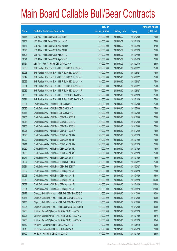|       |                                                          | No. of        |                     |               | <b>Amount raised</b> |
|-------|----------------------------------------------------------|---------------|---------------------|---------------|----------------------|
| Code  | <b>Callable Bull/Bear Contracts</b>                      | issue (units) | <b>Listing date</b> | <b>Expiry</b> | (HK\$ mil.)          |
| 61114 | UBS AG - HSI R Bear CBBC Dec 2013 I                      | 300,000,000   | 2013/09/09          | 2013/12/30    | 75.00                |
| 61101 | UBS AG - HSI R Bear CBBC Jan 2014 C                      | 300,000,000   | 2013/09/09          | 2014/01/29    | 75.00                |
| 61137 | UBS AG - HSI R Bear CBBC Mar 2014 D                      | 350,000,000   | 2013/09/09          | 2014/03/28    | 87.50                |
| 61595 | UBS AG - HSI R Bear CBBC Mar 2014 E                      | 300,000,000   | 2013/09/09          | 2014/03/28    | 75.00                |
| 61604 | UBS AG - HSI R Bear CBBC Apr 2014 D                      | 300,000,000   | 2013/09/09          | 2014/04/29    | 75.00                |
| 61621 | UBS AG - HSI R Bear CBBC Apr 2014 E                      | 300,000,000   | 2013/09/09          | 2014/04/29    | 75.00                |
| 61464 | UBS AG - Ping An R Bear CBBC Feb 2014 A                  | 100,000,000   | 2013/09/09          | 2014/02/10    | 25.00                |
| 62038 | BNP Paribas Arbit Issu B.V. - HSI R Bull CBBC Jun 2014 D | 300,000,000   | 2013/09/10          | 2014/06/27    | 75.00                |
| 62028 | BNP Paribas Arbit Issu B.V. - HSI R Bull CBBC Jun 2014 I | 300,000,000   | 2013/09/10          | 2014/06/27    | 75.00                |
| 62042 | BNP Paribas Arbit Issu B.V. - HSI R Bull CBBC Jun 2014 J | 300,000,000   | 2013/09/10          | 2014/06/27    | 75.00                |
| 62029 | BNP Paribas Arbit Issu B.V. - HSI R Bull CBBC Jun 2014 K | 300,000,000   | 2013/09/10          | 2014/06/27    | 75.00                |
| 62034 | BNP Paribas Arbit Issu B.V. - HSI R Bull CBBC Jun 2014 O | 300,000,000   | 2013/09/10          | 2014/06/27    | 75.00                |
| 62035 | BNP Paribas Arbit Issu B.V. - HSI R Bull CBBC Jun 2014 P | 300,000,000   | 2013/09/10          | 2014/06/27    | 75.00                |
| 61889 | BNP Paribas Arbit Issu B.V. - HSI R Bear CBBC Jan 2014 G | 300,000,000   | 2013/09/10          | 2014/01/29    | 75.00                |
| 61891 | BNP Paribas Arbit Issu B.V. - HSI R Bear CBBC Jan 2014 Q | 300,000,000   | 2013/09/10          | 2014/01/29    | 75.00                |
| 62091 | Credit Suisse AG - HSI R Bull CBBC Jul 2014 C            | 300,000,000   | 2013/09/10          | 2014/07/30    | 75.00                |
| 62096 | Credit Suisse AG - HSI R Bull CBBC Jul 2014 D            | 300,000,000   | 2013/09/10          | 2014/07/30    | 75.00                |
| 62117 | Credit Suisse AG - HSI R Bull CBBC Jul 2014 E            | 300,000,000   | 2013/09/10          | 2014/07/30    | 75.00                |
| 61965 | Credit Suisse AG - HSI R Bear CBBC Dec 2013 B            | 300,000,000   | 2013/09/10          | 2013/12/30    | 75.00                |
| 61918 | Credit Suisse AG - HSI R Bear CBBC Dec 2013 G            | 300,000,000   | 2013/09/10          | 2013/12/30    | 75.00                |
| 61968 | Credit Suisse AG - HSI R Bear CBBC Dec 2013 N            | 300,000,000   | 2013/09/10          | 2013/12/30    | 75.00                |
| 61928 | Credit Suisse AG - HSI R Bear CBBC Dec 2013 P            | 300,000,000   | 2013/09/10          | 2013/12/30    | 75.00                |
| 61896 | Credit Suisse AG - HSI R Bear CBBC Jan 2014 O            | 300,000,000   | 2013/09/10          | 2014/01/29    | 75.00                |
| 61900 | Credit Suisse AG - HSI R Bear CBBC Jan 2014 P            | 300,000,000   | 2013/09/10          | 2014/01/29    | 75.00                |
| 61911 | Credit Suisse AG - HSI R Bear CBBC Jan 2014 Q            | 300,000,000   | 2013/09/10          | 2014/01/29    | 75.00                |
| 61959 | Credit Suisse AG - HSI R Bear CBBC Jan 2014 R            | 300,000,000   | 2013/09/10          | 2014/01/29    | 75.00                |
| 61960 | Credit Suisse AG - HSI R Bear CBBC Jan 2014 S            | 300,000,000   | 2013/09/10          | 2014/01/29    | 75.00                |
| 61971 | Credit Suisse AG - HSI R Bear CBBC Jan 2014 T            | 300,000,000   | 2013/09/10          | 2014/01/29    | 75.00                |
| 61927 | Credit Suisse AG - HSI R Bear CBBC Feb 2014 S            | 300,000,000   | 2013/09/10          | 2014/02/27    | 75.00                |
| 61931 | Credit Suisse AG - HSI R Bear CBBC Feb 2014 T            | 300,000,000   | 2013/09/10          | 2014/02/27    | 75.00                |
| 62052 | Credit Suisse AG - HSI R Bear CBBC Apr 2014 A            | 300,000,000   | 2013/09/10          | 2014/04/29    | 78.00                |
| 62058 | Credit Suisse AG - HSI R Bear CBBC Apr 2014 B            | 300,000,000   | 2013/09/10          | 2014/04/29    | 96.00                |
| 62070 | Credit Suisse AG - HSI R Bear CBBC Apr 2014 C            | 300,000,000   | 2013/09/10          | 2014/04/29    | 105.00               |
| 62082 | Credit Suisse AG - HSI R Bear CBBC Apr 2014 D            | 300,000,000   | 2013/09/10          | 2014/04/29    | 114.00               |
| 62084 | Credit Suisse AG - HSI R Bear CBBC Apr 2014 E            | 300,000,000   | 2013/09/10          | 2014/04/29    | 120.00               |
| 62172 | Citigroup Global Mkt H Inc. - HSI R Bull CBBC Dec 2013 Q | 120,000,000   | 2013/09/10          | 2013/12/30    | 30.00                |
| 62187 | Citigroup Global Mkt H Inc. - HSI R Bull CBBC Dec 2013 U | 120,000,000   | 2013/09/10          | 2013/12/30    | 30.00                |
| 62186 | Citigroup Global Mkt H Inc. - HSI R Bull CBBC Dec 2013 V | 120,000,000   | 2013/09/10          | 2013/12/30    | 30.00                |
| 62205 | Citigroup Global Mkt H Inc. - HSI R Bear CBBC Dec 2013 R | 120,000,000   | 2013/09/10          | 2013/12/30    | 30.00                |
| 62206 | Goldman Sachs SP (Asia) - HSI R Bull CBBC Jan 2014 L     | 150,000,000   | 2013/09/10          | 2014/01/29    | 38.25                |
| 62207 | Goldman Sachs SP (Asia) - HSI R Bull CBBC Jan 2014 M     | 150,000,000   | 2013/09/10          | 2014/01/29    | 38.40                |
| 62208 | Goldman Sachs SP (Asia) - HSI R Bull CBBC Jan 2014 N     | 150,000,000   | 2013/09/10          | 2014/01/29    | 38.40                |
| 61810 | HK Bank - Galaxy Ent R Bull CBBC May 2014 B              | 40,000,000    | 2013/09/10          | 2014/05/19    | 20.00                |
| 61819 | HK Bank - Galaxy Ent R Bear CBBC Jul 2014 A              | 80,000,000    | 2013/09/10          | 2014/07/28    | 20.00                |
| 61790 | HK Bank - HSI R Bull CBBC Jan 2014 O                     | 100,000,000   | 2013/09/10          | 2014/01/29    | 25.00                |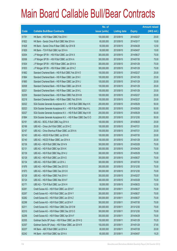|       |                                                                | No. of        |                     |               | <b>Amount raised</b> |
|-------|----------------------------------------------------------------|---------------|---------------------|---------------|----------------------|
| Code  | <b>Callable Bull/Bear Contracts</b>                            | issue (units) | <b>Listing date</b> | <b>Expiry</b> | $(HK$$ mil.)         |
| 61791 | HK Bank - HSI R Bear CBBC Feb 2014 I                           | 100,000,000   | 2013/09/10          | 2014/02/27    | 25.00                |
| 61822 | HK Bank - Sands China R Bull CBBC Mar 2014 A                   | 60,000,000    | 2013/09/10          | 2014/03/17    | 15.00                |
| 61828 | HK Bank - Sands China R Bear CBBC Apr 2014 B                   | 50,000,000    | 2013/09/10          | 2014/04/28    | 12.50                |
| 61829 | HK Bank - TCH R Bull CBBC Apr 2014 A                           | 50,000,000    | 2013/09/10          | 2014/04/07    | 15.00                |
| 62004 | J P Morgan SP BV - HSI R Bull CBBC Jun 2014 X                  | 300,000,000   | 2013/09/10          | 2014/06/27    | 75.00                |
| 62006 | J P Morgan SP BV - HSI R Bull CBBC Jul 2014 A                  | 300,000,000   | 2013/09/10          | 2014/07/30    | 75.00                |
| 61834 | J P Morgan SP BV - HSI R Bear CBBC Jan 2014 A                  | 300,000,000   | 2013/09/10          | 2014/01/29    | 75.00                |
| 61833 | J P Morgan SP BV - HSI R Bear CBBC Jan 2014 Z                  | 300,000,000   | 2013/09/10          | 2014/01/29    | 75.00                |
| 61862 | Standard Chartered Bank - HSI R Bull CBBC Feb 2014 O           | 100,000,000   | 2013/09/10          | 2014/02/27    | 25.00                |
| 61864 | Standard Chartered Bank - HSI R Bear CBBC Jan 2014 I           | 100,000,000   | 2013/09/10          | 2014/01/29    | 25.00                |
| 61865 | Standard Chartered Bank - HSI R Bear CBBC Jan 2014 J           | 100,000,000   | 2013/09/10          | 2014/01/29    | 25.00                |
| 62008 | Standard Chartered Bank - HSI R Bear CBBC Jan 2014 K           | 100,000,000   | 2013/09/10          | 2014/01/29    | 25.00                |
| 62021 | Standard Chartered Bank - HSI R Bear CBBC Jan 2014 L           | 100,000,000   | 2013/09/10          | 2014/01/29    | 25.00                |
| 62209 | Standard Chartered Bank - HSI R Bear CBBC Feb 2014 M           | 100,000,000   | 2013/09/10          | 2014/02/27    | 25.00                |
| 62218 | Standard Chartered Bank - HSI R Bear CBBC Feb 2014 N           | 100,000,000   | 2013/09/10          | 2014/02/27    | 25.00                |
| 62022 | SGA Societe Generale Acceptance N.V. - HSI R Bull CBBC May14 K | 200,000,000   | 2013/09/10          | 2014/05/29    | 50.00                |
| 62023 | SGA Societe Generale Acceptance N.V. - HSI R Bull CBBC May14 L | 200,000,000   | 2013/09/10          | 2014/05/29    | 50.00                |
| 62027 | SGA Societe Generale Acceptance N.V. - HSI R Bull CBBC May14 M | 200,000,000   | 2013/09/10          | 2014/05/29    | 50.00                |
| 61894 | SGA Societe Generale Acceptance N.V. - HSI R Bear CBBC Dec13 O | 200,000,000   | 2013/09/10          | 2013/12/30    | 50.00                |
| 62161 | UBS AG - BOCL R Bull CBBC Aug 2014 A                           | 100,000,000   | 2013/09/10          | 2014/08/25    | 25.00                |
| 62166 | UBS AG - China Life R Bull CBBC Jul 2014 C                     | 100,000,000   | 2013/09/10          | 2014/07/21    | 25.00                |
| 62167 | UBS AG - China Shenhua R Bear CBBC Jul 2014 A                  | 100,000,000   | 2013/09/10          | 2014/07/21    | 25.00                |
| 62143 | UBS AG - HSCEI R Bull CBBC Jul 2014 B                          | 100,000,000   | 2013/09/10          | 2014/07/30    | 25.00                |
| 62140 | UBS AG - HSCEI R Bear CBBC Jan 2014 A                          | 100,000,000   | 2013/09/10          | 2014/01/29    | 25.00                |
| 62136 | UBS AG - HSI R Bull CBBC Mar 2014 N                            | 300,000,000   | 2013/09/10          | 2014/03/28    | 75.00                |
| 62131 | UBS AG - HSI R Bull CBBC Apr 2014 K                            | 300,000,000   | 2013/09/10          | 2014/04/29    | 75.00                |
| 62139 | UBS AG - HSI R Bull CBBC May 2014 U                            | 300,000,000   | 2013/09/10          | 2014/05/29    | 75.00                |
| 62129 | UBS AG - HSI R Bull CBBC Jun 2014 S                            | 300,000,000   | 2013/09/10          | 2014/06/27    | 75.00                |
| 62134 | UBS AG - HSI R Bull CBBC Jul 2014 J                            | 300,000,000   | 2013/09/10          | 2014/07/30    | 75.00                |
| 61976 | UBS AG - HSI R Bear CBBC Dec 2013 D                            | 300,000,000   | 2013/09/10          | 2013/12/30    | 75.00                |
| 61973 | UBS AG - HSI R Bear CBBC Dec 2013 K                            | 300,000,000   | 2013/09/10          | 2013/12/30    | 75.00                |
| 62128 | UBS AG - HSI R Bear CBBC Feb 2014 V                            | 300,000,000   | 2013/09/10          | 2014/02/27    | 75.00                |
| 62124 | UBS AG - HSI R Bear CBBC Mar 2014 F                            | 300,000,000   | 2013/09/10          | 2014/03/28    | 75.00                |
| 62171 | UBS AG - TCH R Bull CBBC Jun 2014 H                            | 50,000,000    | 2013/09/10          | 2014/06/23    | 12.50                |
| 62261 | Credit Suisse AG - HSI R Bull CBBC Jun 2014 F                  | 300,000,000   | 2013/09/11          | 2014/06/27    | 75.00                |
| 62267 | Credit Suisse AG - HSI R Bull CBBC Jun 2014 Y                  | 300,000,000   | 2013/09/11          | 2014/06/27    | 75.00                |
| 62282 | Credit Suisse AG - HSI R Bull CBBC Jun 2014 Z                  | 300,000,000   | 2013/09/11          | 2014/06/27    | 75.00                |
| 62298 | Credit Suisse AG - HSI R Bull CBBC Jul 2014 F                  | 300,000,000   | 2013/09/11          | 2014/07/30    | 75.00                |
| 62311 | Credit Suisse AG - HSI R Bear CBBC Dec 2013 M                  | 300,000,000   | 2013/09/11          | 2013/12/30    | 75.00                |
| 62310 | Credit Suisse AG - HSI R Bear CBBC Dec 2013 O                  | 300,000,000   | 2013/09/11          | 2013/12/30    | 75.00                |
| 62256 | Credit Suisse AG - HSI R Bear CBBC Apr 2014 F                  | 300,000,000   | 2013/09/11          | 2014/04/29    | 75.00                |
| 62305 | Goldman Sachs SP (Asia) - HSI R Bear CBBC Jan 2014 Q           | 150,000,000   | 2013/09/11          | 2014/01/29    | 70.20                |
| 62307 | Goldman Sachs SP (Asia) - HSI R Bear CBBC Jan 2014 R           | 150,000,000   | 2013/09/11          | 2014/01/29    | 37.65                |
| 62237 | HK Bank - ABC R Bull CBBC Jul 2014 A                           | 80,000,000    | 2013/09/11          | 2014/07/28    | 20.00                |
| 62242 | HK Bank - AIA R Bull CBBC Apr 2014 A                           | 60,000,000    | 2013/09/11          | 2014/04/07    | 19.20                |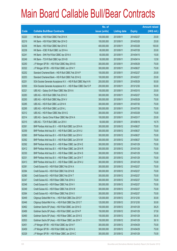|       |                                                                | No. of        |                     |               | <b>Amount raised</b> |
|-------|----------------------------------------------------------------|---------------|---------------------|---------------|----------------------|
| Code  | <b>Callable Bull/Bear Contracts</b>                            | issue (units) | <b>Listing date</b> | <b>Expiry</b> | $(HK$$ mil.)         |
| 62220 | HK Bank - HSI R Bull CBBC Feb 2014 K                           | 100,000,000   | 2013/09/11          | 2014/02/27    | 25.00                |
| 62219 | HK Bank - HSI R Bull CBBC Mar 2014 D                           | 100,000,000   | 2013/09/11          | 2014/03/28    | 25.00                |
| 62236 | HK Bank - HSI R Bull CBBC Mar 2014 E                           | 400,000,000   | 2013/09/11          | 2014/03/28    | 100.00               |
| 62238 | HK Bank - ICBC R Bull CBBC Jul 2014 A                          | 80,000,000    | 2013/09/11          | 2014/07/28    | 20.00                |
| 62241 | HK Bank - SHK Ppt R Bull CBBC Apr 2014 A                       | 60,000,000    | 2013/09/11          | 2014/04/15    | 15.00                |
| 62249 | HK Bank - TCH R Bull CBBC Apr 2014 B                           | 50,000,000    | 2013/09/11          | 2014/04/14    | 12.50                |
| 62250 | J P Morgan SP BV - HSI R Bull CBBC May 2014 S                  | 300,000,000   | 2013/09/11          | 2014/05/29    | 75.00                |
| 62322 | J P Morgan SP BV - HSI R Bull CBBC Jun 2014 Y                  | 300,000,000   | 2013/09/11          | 2014/06/27    | 75.00                |
| 62252 | Standard Chartered Bank - HSI R Bull CBBC Feb 2014 P           | 100,000,000   | 2013/09/11          | 2014/02/27    | 25.00                |
| 62253 | Standard Chartered Bank - HSI R Bull CBBC Feb 2014 Q           | 100,000,000   | 2013/09/11          | 2014/02/27    | 25.00                |
| 62251 | SGA Societe Generale Acceptance N.V. - HSI R Bull CBBC May14 N | 200,000,000   | 2013/09/11          | 2014/05/29    | 50.00                |
| 62300 | SGA Societe Generale Acceptance N.V. - HSI R Bear CBBC Dec13 P | 200,000,000   | 2013/09/11          | 2013/12/30    | 50.00                |
| 62321 | UBS AG - Galaxy Ent R Bear CBBC Mar 2014 A                     | 100,000,000   | 2013/09/11          | 2014/03/10    | 25.00                |
| 62283 | UBS AG - HSI R Bull CBBC Feb 2014 D                            | 300,000,000   | 2013/09/11          | 2014/02/27    | 75.00                |
| 62293 | UBS AG - HSI R Bull CBBC May 2014 V                            | 300,000,000   | 2013/09/11          | 2014/05/29    | 75.00                |
| 62285 | UBS AG - HSI R Bull CBBC Jul 2014 K                            | 300,000,000   | 2013/09/11          | 2014/07/30    | 75.00                |
| 62295 | UBS AG - HSI R Bull CBBC Jul 2014 L                            | 300,000,000   | 2013/09/11          | 2014/07/30    | 75.00                |
| 62312 | UBS AG - HSI R Bear CBBC Mar 2014 G                            | 300,000,000   | 2013/09/11          | 2014/03/28    | 75.00                |
| 62314 | UBS AG - Sands China R Bear CBBC Mar 2014 A                    | 100,000,000   | 2013/09/11          | 2014/03/17    | 25.00                |
| 62315 | UBS AG - TCH R Bull CBBC Jun 2014 I                            | 50,000,000    | 2013/09/11          | 2014/06/16    | 16.75                |
| 62361 | BNP Paribas Arbit Issu B.V. - HSI R Bull CBBC Jun 2014 A       | 300,000,000   | 2013/09/12          | 2014/06/27    | 75.00                |
| 62359 | BNP Paribas Arbit Issu B.V. - HSI R Bull CBBC Jun 2014 U       | 300,000,000   | 2013/09/12          | 2014/06/27    | 75.00                |
| 62360 | BNP Paribas Arbit Issu B.V. - HSI R Bull CBBC Jun 2014 V       | 300,000,000   | 2013/09/12          | 2014/06/27    | 75.00                |
| 62362 | BNP Paribas Arbit Issu B.V. - HSI R Bull CBBC Jun 2014 W       | 300,000,000   | 2013/09/12          | 2014/06/27    | 75.00                |
| 62392 | BNP Paribas Arbit Issu B.V. - HSI R Bear CBBC Jan 2014 E       | 300,000,000   | 2013/09/12          | 2014/01/29    | 75.00                |
| 62412 | BNP Paribas Arbit Issu B.V. - HSI R Bear CBBC Jan 2014 R       | 300,000,000   | 2013/09/12          | 2014/01/29    | 75.00                |
| 62330 | BNP Paribas Arbit Issu B.V. - HSI R Bear CBBC Jan 2014 S       | 300,000,000   | 2013/09/12          | 2014/01/29    | 75.00                |
| 62331 | BNP Paribas Arbit Issu B.V. - HSI R Bear CBBC Jan 2014 T       | 300,000,000   | 2013/09/12          | 2014/01/29    | 75.00                |
| 62413 | BNP Paribas Arbit Issu B.V. - HSI R Bear CBBC Jan 2014 U       | 300,000,000   | 2013/09/12          | 2014/01/29    | 75.00                |
| 62381 | Credit Suisse AG - HSI R Bull CBBC Feb 2014 A                  | 300,000,000   | 2013/09/12          | 2014/02/27    | 75.00                |
| 62384 | Credit Suisse AG - HSI R Bull CBBC Feb 2014 B                  | 300,000,000   | 2013/09/12          | 2014/02/27    | 75.00                |
| 62380 | Credit Suisse AG - HSI R Bull CBBC Feb 2014 T                  | 300,000,000   | 2013/09/12          | 2014/02/27    | 75.00                |
| 62347 | Credit Suisse AG - HSI R Bear CBBC Feb 2014 U                  | 300,000,000   | 2013/09/12          | 2014/02/27    | 75.00                |
| 62348 | Credit Suisse AG - HSI R Bear CBBC Feb 2014 V                  | 300,000,000   | 2013/09/12          | 2014/02/27    | 75.00                |
| 62349 | Credit Suisse AG - HSI R Bear CBBC Feb 2014 W                  | 300,000,000   | 2013/09/12          | 2014/02/27    | 75.00                |
| 62364 | Credit Suisse AG - HSI R Bear CBBC Feb 2014 X                  | 300,000,000   | 2013/09/12          | 2014/02/27    | 75.00                |
| 62449 | Citigroup Global Mkt H Inc. - HSI R Bull CBBC Dec 2013 F       | 120,000,000   | 2013/09/12          | 2013/12/30    | 30.00                |
| 62446 | Citigroup Global Mkt H Inc. - HSI R Bull CBBC Dec 2013 T       | 120,000,000   | 2013/09/12          | 2013/12/30    | 30.00                |
| 62462 | Goldman Sachs SP (Asia) - HSI R Bull CBBC Jan 2014 O           | 150,000,000   | 2013/09/12          | 2014/01/29    | 38.25                |
| 62489 | Goldman Sachs SP (Asia) - HSI R Bull CBBC Jan 2014 P           | 150,000,000   | 2013/09/12          | 2014/01/29    | 37.50                |
| 62490 | Goldman Sachs SP (Asia) - HSI R Bear CBBC Jan 2014 S           | 150,000,000   | 2013/09/12          | 2014/01/29    | 39.30                |
| 62503 | Goldman Sachs SP (Asia) - HSI R Bear CBBC Jan 2014 T           | 150,000,000   | 2013/09/12          | 2014/01/29    | 38.10                |
| 62451 | J P Morgan SP BV - HSI R Bull CBBC Apr 2014 F                  | 300,000,000   | 2013/09/12          | 2014/04/29    | 75.00                |
| 62459 | J P Morgan SP BV - HSI R Bull CBBC Apr 2014 G                  | 300,000,000   | 2013/09/12          | 2014/04/29    | 75.00                |
| 62329 | J P Morgan SP BV - HSI R Bear CBBC Jan 2014 C                  | 300,000,000   | 2013/09/12          | 2014/01/29    | 75.00                |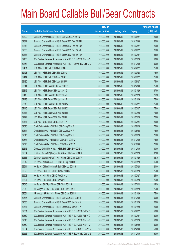|       |                                                                | No. of        |                     |               | <b>Amount raised</b> |
|-------|----------------------------------------------------------------|---------------|---------------------|---------------|----------------------|
| Code  | <b>Callable Bull/Bear Contracts</b>                            | issue (units) | <b>Listing date</b> | <b>Expiry</b> | $(HK$$ mil.)         |
| 62390 | Standard Chartered Bank - HSI R Bull CBBC Jun 2014 C           | 100,000,000   | 2013/09/12          | 2014/06/27    | 25.00                |
| 62342 | Standard Chartered Bank - HSI R Bear CBBC Dec 2013 H           | 200,000,000   | 2013/09/12          | 2013/12/30    | 50.00                |
| 62343 | Standard Chartered Bank - HSI R Bear CBBC Feb 2014 O           | 100,000,000   | 2013/09/12          | 2014/02/27    | 25.00                |
| 62386 | Standard Chartered Bank - HSI R Bear CBBC Feb 2014 P           | 100,000,000   | 2013/09/12          | 2014/02/27    | 25.00                |
| 62387 | Standard Chartered Bank - HSI R Bear CBBC Feb 2014 Q           | 100,000,000   | 2013/09/12          | 2014/02/27    | 25.00                |
| 62438 | SGA Societe Generale Acceptance N.V. - HSI R Bull CBBC May14 O | 200,000,000   | 2013/09/12          | 2014/05/29    | 50.00                |
| 62353 | SGA Societe Generale Acceptance N.V. - HSI R Bear CBBC Dec13 Q | 200,000,000   | 2013/09/12          | 2013/12/30    | 50.00                |
| 62431 | UBS AG - HSI R Bull CBBC Feb 2014 J                            | 300,000,000   | 2013/09/12          | 2014/02/27    | 75.00                |
| 62428 | UBS AG - HSI R Bull CBBC Mar 2014 Q                            | 300,000,000   | 2013/09/12          | 2014/03/28    | 75.00                |
| 62414 | UBS AG - HSI R Bull CBBC Jun 2014 T                            | 300,000,000   | 2013/09/12          | 2014/06/27    | 75.00                |
| 62430 | UBS AG - HSI R Bull CBBC Jun 2014 U                            | 300,000,000   | 2013/09/12          | 2014/06/27    | 75.00                |
| 62344 | UBS AG - HSI R Bear CBBC Dec 2013 Y                            | 300,000,000   | 2013/09/12          | 2013/12/30    | 75.00                |
| 62346 | UBS AG - HSI R Bear CBBC Jan 2014 D                            | 350,000,000   | 2013/09/12          | 2014/01/29    | 87.50                |
| 62415 | UBS AG - HSI R Bear CBBC Jan 2014 E                            | 300,000,000   | 2013/09/12          | 2014/01/29    | 76.50                |
| 62423 | UBS AG - HSI R Bear CBBC Jan 2014 F                            | 300,000,000   | 2013/09/12          | 2014/01/29    | 75.00                |
| 62345 | UBS AG - HSI R Bear CBBC Feb 2014 W                            | 300,000,000   | 2013/09/12          | 2014/02/27    | 75.00                |
| 62416 | UBS AG - HSI R Bear CBBC Feb 2014 X                            | 300,000,000   | 2013/09/12          | 2014/02/27    | 75.00                |
| 62417 | UBS AG - HSI R Bear CBBC Mar 2014 H                            | 300,000,000   | 2013/09/12          | 2014/03/28    | 75.00                |
| 62424 | UBS AG - HSI R Bear CBBC Mar 2014 I                            | 300,000,000   | 2013/09/12          | 2014/03/28    | 75.00                |
| 62437 | UBS AG - ICBC R Bull CBBC Jul 2014 A                           | 100,000,000   | 2013/09/12          | 2014/07/21    | 25.00                |
| 62576 | Credit Suisse AG - HSI R Bull CBBC Aug 2014 E                  | 300,000,000   | 2013/09/13          | 2014/08/28    | 75.00                |
| 62644 | Credit Suisse AG - HSI R Bull CBBC Aug 2014 F                  | 300,000,000   | 2013/09/13          | 2014/08/28    | 75.00                |
| 62645 | Credit Suisse AG - HSI R Bull CBBC Aug 2014 G                  | 300,000,000   | 2013/09/13          | 2014/08/28    | 75.00                |
| 62577 | Credit Suisse AG - HSI R Bear CBBC Dec 2013 Q                  | 300,000,000   | 2013/09/13          | 2013/12/30    | 75.00                |
| 62578 | Credit Suisse AG - HSI R Bear CBBC Dec 2013 W                  | 300,000,000   | 2013/09/13          | 2013/12/30    | 75.00                |
| 62646 | Citigroup Global Mkt H Inc. - HSI R Bull CBBC Dec 2013 K       | 120,000,000   | 2013/09/13          | 2013/12/30    | 30.00                |
| 62654 | Goldman Sachs SP (Asia) - HSI R Bear CBBC Jan 2014 U           | 150,000,000   | 2013/09/13          | 2014/01/29    | 37.80                |
| 62663 | Goldman Sachs SP (Asia) - HSI R Bear CBBC Jan 2014 V           | 150,000,000   | 2013/09/13          | 2014/01/29    | 38.70                |
| 62512 | HK Bank - Anhui Conch R Bull CBBC Sep 2014 D                   | 60,000,000    | 2013/09/13          | 2014/09/29    | 15.00                |
| 62511 | HK Bank - China Shenhua R Bull CBBC Jul 2014 B                 | 60,000,000    | 2013/09/13          | 2014/07/28    | 21.00                |
| 62526 | HK Bank - HSCEI R Bull CBBC Mar 2014 B                         | 100,000,000   | 2013/09/13          | 2014/03/28    | 25.00                |
| 62508 | HK Bank - HSI R Bull CBBC Feb 2014 L                           | 100,000,000   | 2013/09/13          | 2014/02/27    | 25.00                |
| 62507 | HK Bank - HSI R Bull CBBC Mar 2014 F                           | 100,000,000   | 2013/09/13          | 2014/03/28    | 25.00                |
| 62510 | HK Bank - SHK Ppt R Bear CBBC Feb 2014 B                       | 50,000,000    | 2013/09/13          | 2014/02/24    | 12.50                |
| 62676 | J P Morgan SP BV - HSI R Bull CBBC Apr 2014 H                  | 300,000,000   | 2013/09/13          | 2014/04/29    | 75.00                |
| 62564 | J P Morgan SP BV - HSI R Bear CBBC Jan 2014 D                  | 300,000,000   | 2013/09/13          | 2014/01/29    | 75.00                |
| 62535 | Standard Chartered Bank - HSI R Bull CBBC Dec 2013 H           | 200,000,000   | 2013/09/13          | 2013/12/30    | 50.00                |
| 62536 | Standard Chartered Bank - HSI R Bear CBBC Jan 2014 M           | 100,000,000   | 2013/09/13          | 2014/01/29    | 25.00                |
| 62537 | Standard Chartered Bank - HSI R Bear CBBC Jan 2014 N           | 100,000,000   | 2013/09/13          | 2014/01/29    | 25.00                |
| 62551 | SGA Societe Generale Acceptance N.V. - HSI R Bull CBBC Feb14 B | 200,000,000   | 2013/09/13          | 2014/02/27    | 50.00                |
| 62552 | SGA Societe Generale Acceptance N.V. - HSI R Bull CBBC Feb14 C | 200,000,000   | 2013/09/13          | 2014/02/27    | 50.00                |
| 62546 | SGA Societe Generale Acceptance N.V. - HSI R Bull CBBC May14 P | 200,000,000   | 2013/09/13          | 2014/05/29    | 50.00                |
| 62550 | SGA Societe Generale Acceptance N.V. - HSI R Bull CBBC May14 Q | 200,000,000   | 2013/09/13          | 2014/05/29    | 50.00                |
| 62554 | SGA Societe Generale Acceptance N.V. - HSI R Bear CBBC Dec13 R | 200,000,000   | 2013/09/13          | 2013/12/30    | 50.00                |
| 62556 | SGA Societe Generale Acceptance N.V. - HSI R Bear CBBC Dec13 S | 200,000,000   | 2013/09/13          | 2013/12/30    | 50.00                |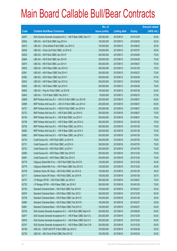|       |                                                                | No. of        |                     |               | <b>Amount raised</b> |
|-------|----------------------------------------------------------------|---------------|---------------------|---------------|----------------------|
| Code  | <b>Callable Bull/Bear Contracts</b>                            | issue (units) | <b>Listing date</b> | <b>Expiry</b> | $(HK$$ mil.)         |
| 62557 | SGA Societe Generale Acceptance N.V. - HSI R Bear CBBC Dec13 T | 200,000,000   | 2013/09/13          | 2013/12/30    | 50.00                |
| 62642 | UBS AG - AIA R Bull CBBC Aug 2014 A                            | 100,000,000   | 2013/09/13          | 2014/08/25    | 25.00                |
| 62615 | UBS AG - China Mobile R Bull CBBC Jun 2014 C                   | 100,000,000   | 2013/09/13          | 2014/06/23    | 25.00                |
| 62639 | UBS AG - China Life R Bull CBBC Jul 2014 D                     | 100,000,000   | 2013/09/13          | 2014/07/07    | 25.00                |
| 62635 | UBS AG - HSI R Bull CBBC Apr 2014 P                            | 300,000,000   | 2013/09/13          | 2014/04/29    | 75.00                |
| 62664 | UBS AG - HSI R Bull CBBC Apr 2014 R                            | 300,000,000   | 2013/09/13          | 2014/04/29    | 75.00                |
| 62674 | UBS AG - HSI R Bull CBBC Jun 2014 V                            | 300,000,000   | 2013/09/13          | 2014/06/27    | 75.00                |
| 62632 | UBS AG - HSI R Bear CBBC Jan 2014 G                            | 300,000,000   | 2013/09/13          | 2014/01/29    | 75.00                |
| 62561 | UBS AG - HSI R Bear CBBC Feb 2014 Y                            | 300,000,000   | 2013/09/13          | 2014/02/27    | 75.00                |
| 62562 | UBS AG - HSI R Bear CBBC Apr 2014 F                            | 350,000,000   | 2013/09/13          | 2014/04/29    | 87.50                |
| 62633 | UBS AG - HSI R Bear CBBC Apr 2014 G                            | 300,000,000   | 2013/09/13          | 2014/04/29    | 75.00                |
| 62634 | UBS AG - HSI R Bear CBBC Apr 2014 H                            | 300,000,000   | 2013/09/13          | 2014/04/29    | 75.00                |
| 62605 | UBS AG - Ping An R Bull CBBC Jul 2014 B                        | 100,000,000   | 2013/09/13          | 2014/07/28    | 25.00                |
| 62643 | UBS AG - TCH R Bear CBBC Feb 2014 C                            | 50,000,000    | 2013/09/13          | 2014/02/10    | 27.00                |
| 62688 | BNP Paribas Arbit Issu B.V. - A50 Ch R Bull CBBC Jun 2014 B    | 200,000,000   | 2013/09/16          | 2014/06/27    | 50.00                |
| 62689 | BNP Paribas Arbit Issu B.V. - A50 Ch R Bull CBBC Jun 2014 C    | 200,000,000   | 2013/09/16          | 2014/06/27    | 50.00                |
| 62727 | BNP Paribas Arbit Issu B.V. - HSCEI R Bull CBBC Jun 2014 A     | 200,000,000   | 2013/09/16          | 2014/06/27    | 50.00                |
| 62723 | BNP Paribas Arbit Issu B.V. - HSI R Bull CBBC Jun 2014 X       | 300,000,000   | 2013/09/16          | 2014/06/27    | 75.00                |
| 62724 | BNP Paribas Arbit Issu B.V. - HSI R Bull CBBC Jun 2014 Y       | 300,000,000   | 2013/09/16          | 2014/06/27    | 75.00                |
| 62726 | BNP Paribas Arbit Issu B.V. - HSI R Bear CBBC Jan 2014 A       | 300,000,000   | 2013/09/16          | 2014/01/29    | 75.00                |
| 62725 | BNP Paribas Arbit Issu B.V. - HSI R Bear CBBC Jan 2014 J       | 300,000,000   | 2013/09/16          | 2014/01/29    | 75.00                |
| 62682 | BNP Paribas Arbit Issu B.V. - HSI R Bear CBBC Jan 2014 V       | 300,000,000   | 2013/09/16          | 2014/01/29    | 75.00                |
| 62683 | BNP Paribas Arbit Issu B.V. - HSI R Bear CBBC Jan 2014 X       | 300,000,000   | 2013/09/16          | 2014/01/29    | 75.00                |
| 62730 | Credit Suisse AG - HSI R Bull CBBC Jul 2014 G                  | 300,000,000   | 2013/09/16          | 2014/07/30    | 75.00                |
| 62731 | Credit Suisse AG - HSI R Bull CBBC Jul 2014 H                  | 300,000,000   | 2013/09/16          | 2014/07/30    | 75.00                |
| 62732 | Credit Suisse AG - HSI R Bull CBBC Jul 2014 I                  | 300,000,000   | 2013/09/16          | 2014/07/30    | 75.00                |
| 62690 | Credit Suisse AG - HSI R Bear CBBC Dec 2013 E                  | 300,000,000   | 2013/09/16          | 2013/12/30    | 75.00                |
| 62691 | Credit Suisse AG - HSI R Bear CBBC Dec 2013 X                  | 300,000,000   | 2013/09/16          | 2013/12/30    | 75.00                |
| 62778 | Citigroup Global Mkt H Inc. - HSI R Bull CBBC Dec 2013 R       | 120,000,000   | 2013/09/16          | 2013/12/30    | 30.00                |
| 62779 | Citigroup Global Mkt H Inc. - HSI R Bear CBBC Dec 2013 S       | 120,000,000   | 2013/09/16          | 2013/12/30    | 30.00                |
| 62709 | Goldman Sachs SP (Asia) - HSI R Bull CBBC Jan 2014 Q           | 150,000,000   | 2013/09/16          | 2014/01/29    | 38.25                |
| 62717 | Goldman Sachs SP (Asia) - HSI R Bull CBBC Jan 2014 R           | 150,000,000   | 2013/09/16          | 2014/01/29    | 38.70                |
| 62737 | J P Morgan SP BV - HSI R Bull CBBC Jun 2014 Z                  | 300,000,000   | 2013/09/16          | 2014/06/27    | 75.00                |
| 62722 | J P Morgan SP BV - HSI R Bear CBBC Jan 2014 E                  | 300,000,000   | 2013/09/16          | 2014/01/29    | 75.00                |
| 62729 | Standard Chartered Bank - HSI R Bull CBBC Feb 2014 R           | 100,000,000   | 2013/09/16          | 2014/02/27    | 25.00                |
| 62679 | Standard Chartered Bank - HSI R Bear CBBC Dec 2013 I           | 200,000,000   | 2013/09/16          | 2013/12/30    | 50.00                |
| 62728 | Standard Chartered Bank - HSI R Bear CBBC Jan 2014 O           | 100,000,000   | 2013/09/16          | 2014/01/29    | 25.00                |
| 62680 | Standard Chartered Bank - HSI R Bear CBBC Feb 2014 R           | 100,000,000   | 2013/09/16          | 2014/02/27    | 25.00                |
| 62681 | Standard Chartered Bank - HSI R Bear CBBC Feb 2014 S           | 100,000,000   | 2013/09/16          | 2014/02/27    | 25.00                |
| 62705 | SGA Societe Generale Acceptance N.V. - HSI R Bull CBBC May14 R | 200,000,000   | 2013/09/16          | 2014/05/29    | 50.00                |
| 62677 | SGA Societe Generale Acceptance N.V. - HSI R Bear CBBC Dec13 U | 200,000,000   | 2013/09/16          | 2013/12/30    | 50.00                |
| 62678 | SGA Societe Generale Acceptance N.V. - HSI R Bear CBBC Dec13 V | 200,000,000   | 2013/09/16          | 2013/12/30    | 50.00                |
| 62707 | SGA Societe Generale Acceptance N.V. - HSI R Bear CBBC Dec13 W | 200,000,000   | 2013/09/16          | 2013/12/30    | 50.00                |
| 62748 | UBS AG - CSOP A50 ETF R Bull CBBC Apr 2014 C                   | 100,000,000   | 2013/09/16          | 2014/04/28    | 25.00                |
| 62738 | UBS AG - A50 China R Bull CBBC Mar 2014 D                      | 100,000,000   | 2013/09/16          | 2014/03/24    | 25.00                |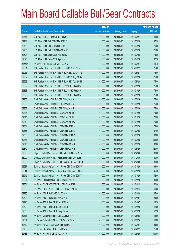|        |                                                          | No. of        |                     |               | <b>Amount raised</b> |
|--------|----------------------------------------------------------|---------------|---------------------|---------------|----------------------|
| Code   | <b>Callable Bull/Bear Contracts</b>                      | issue (units) | <b>Listing date</b> | <b>Expiry</b> | $(HK$$ mil.)         |
| 62777  | UBS AG - HSCEI R Bear CBBC Feb 2014 A                    | 100,000,000   | 2013/09/16          | 2014/02/27    | 25.00                |
| 62734  | UBS AG - HSI R Bull CBBC Mar 2014 F                      | 350,000,000   | 2013/09/16          | 2014/03/28    | 87.50                |
| 62733  | UBS AG - HSI R Bull CBBC Mar 2014 T                      | 300,000,000   | 2013/09/16          | 2014/03/28    | 75.00                |
| 62735  | UBS AG - HSI R Bull CBBC May 2014 W                      | 300,000,000   | 2013/09/16          | 2014/05/29    | 75.00                |
| 62694  | UBS AG - HSI R Bear CBBC Mar 2014 J                      | 300,000,000   | 2013/09/16          | 2014/03/28    | 75.00                |
| 62695  | UBS AG - HSI R Bear CBBC Apr 2014 I                      | 350,000,000   | 2013/09/16          | 2014/04/29    | 87.50                |
| 68561# | HK Bank - HSI R Bear CBBC Feb 2014 D                     | 180,000,000   | 2013/09/16          | 2014/02/27    | 14.76                |
| 62981  | BNP Paribas Arbit Issu B.V. - HSI R Bull CBBC Jun 2014 B | 300,000,000   | 2013/09/17          | 2014/06/27    | 75.00                |
| 62955  | BNP Paribas Arbit Issu B.V. - HSI R Bull CBBC Jun 2014 Z | 300,000,000   | 2013/09/17          | 2014/06/27    | 75.00                |
| 62952  | BNP Paribas Arbit Issu B.V. - HSI R Bull CBBC Aug 2014 A | 300,000,000   | 2013/09/17          | 2014/08/28    | 75.00                |
| 62953  | BNP Paribas Arbit Issu B.V. - HSI R Bull CBBC Aug 2014 B | 300,000,000   | 2013/09/17          | 2014/08/28    | 75.00                |
| 62822  | BNP Paribas Arbit Issu B.V. - HSI R Bear CBBC Jan 2014 H | 300,000,000   | 2013/09/17          | 2014/01/29    | 75.00                |
| 62823  | BNP Paribas Arbit Issu B.V. - HSI R Bear CBBC Jan 2014 I | 300,000,000   | 2013/09/17          | 2014/01/29    | 75.00                |
| 62825  | BNP Paribas Arbit Issu B.V. - HSI R Bear CBBC Jan 2014 L | 300,000,000   | 2013/09/17          | 2014/01/29    | 75.00                |
| 62958  | Credit Suisse AG - HSI R Bull CBBC May 2014 X            | 300,000,000   | 2013/09/17          | 2014/05/29    | 75.00                |
| 62959  | Credit Suisse AG - HSI R Bull CBBC May 2014 Y            | 300,000,000   | 2013/09/17          | 2014/05/29    | 75.00                |
| 62962  | Credit Suisse AG - HSI R Bull CBBC May 2014 Z            | 300,000,000   | 2013/09/17          | 2014/05/29    | 75.00                |
| 62834  | Credit Suisse AG - HSI R Bear CBBC Jan 2014 U            | 300,000,000   | 2013/09/17          | 2014/01/29    | 75.00                |
| 62845  | Credit Suisse AG - HSI R Bear CBBC Jan 2014 V            | 300,000,000   | 2013/09/17          | 2014/01/29    | 75.00                |
| 62849  | Credit Suisse AG - HSI R Bear CBBC Jan 2014 W            | 300,000,000   | 2013/09/17          | 2014/01/29    | 75.00                |
| 62864  | Credit Suisse AG - HSI R Bear CBBC Mar 2014 A            | 300,000,000   | 2013/09/17          | 2014/03/28    | 78.00                |
| 62865  | Credit Suisse AG - HSI R Bear CBBC Mar 2014 B            | 300,000,000   | 2013/09/17          | 2014/03/28    | 87.00                |
| 62868  | Credit Suisse AG - HSI R Bear CBBC Mar 2014 C            | 300,000,000   | 2013/09/17          | 2014/03/28    | 93.00                |
| 62871  | Credit Suisse AG - HSI R Bear CBBC Mar 2014 D            | 300,000,000   | 2013/09/17          | 2014/03/28    | 102.00               |
| 62870  | Credit Suisse AG - HSI R Bear CBBC May 2014 A            | 300,000,000   | 2013/09/17          | 2014/05/29    | 96.00                |
| 62879  | Credit Suisse AG - HSI R Bear CBBC May 2014 B            | 300,000,000   | 2013/09/17          | 2014/05/29    | 129.00               |
| 62993  | Citigroup Global Mkt H Inc. - HSI R Bull CBBC Dec 2013 A | 120,000,000   | 2013/09/17          | 2013/12/30    | 30.00                |
| 63009  | Citigroup Global Mkt H Inc. - HSI R Bear CBBC Dec 2013 T | 120,000,000   | 2013/09/17          | 2013/12/30    | 30.00                |
| 63020  | Citigroup Global Mkt H Inc. - HSI R Bear CBBC Dec 2013 U | 120,000,000   | 2013/09/17          | 2013/12/30    | 30.00                |
| 62937  | Goldman Sachs SP (Asia) - HSI R Bear CBBC Jan 2014 W     | 150,000,000   | 2013/09/17          | 2014/01/29    | 39.00                |
| 62944  | Goldman Sachs SP (Asia) - HSI R Bear CBBC Jan 2014 X     | 150,000,000   | 2013/09/17          | 2014/01/29    | 45.30                |
| 62945  | Goldman Sachs SP (Asia) - HSI R Bear CBBC Jan 2014 Y     | 150,000,000   | 2013/09/17          | 2014/01/29    | 42.90                |
| 62821  | HK Bank - China Mobile R Bull CBBC Apr 2014 A            | 120,000,000   | 2013/09/17          | 2014/04/28    | 30.00                |
| 62801  | HK Bank - CSOP A50 ETF R Bull CBBC Apr 2014 A            | 80,000,000    | 2013/09/17          | 2014/04/14    | 20.00                |
| 62802  | HK Bank - CSOP A50 ETF R Bear CBBC Apr 2014 A            | 40,000,000    | 2013/09/17          | 2014/04/14    | 10.00                |
| 62790  | HK Bank - A50 R Bull CBBC Apr 2014 A                     | 100,000,000   | 2013/09/17          | 2014/04/28    | 25.00                |
| 62793  | HK Bank - A50 R Bull CBBC Apr 2014 B                     | 100,000,000   | 2013/09/17          | 2014/04/07    | 25.00                |
| 62796  | HK Bank - A50 R Bear CBBC Apr 2014 A                     | 50,000,000    | 2013/09/17          | 2014/04/07    | 12.50                |
| 62799  | HK Bank - A50 R Bear CBBC Apr 2014 B                     | 50,000,000    | 2013/09/17          | 2014/04/28    | 12.50                |
| 62800  | HK Bank - A50 R Bear CBBC May 2014 A                     | 50,000,000    | 2013/09/17          | 2014/05/26    | 12.50                |
| 62813  | HK Bank - Galaxy Ent R Bull CBBC Aug 2014 A              | 50,000,000    | 2013/09/17          | 2014/08/25    | 12.50                |
| 62804  | HK Bank - Galaxy Ent R Bear CBBC Aug 2014 A              | 40,000,000    | 2013/09/17          | 2014/08/25    | 10.00                |
| 62789  | HK Bank - HSCEI R Bull CBBC Feb 2014 C                   | 100,000,000   | 2013/09/17          | 2014/02/27    | 25.00                |
| 62780  | HK Bank - HSI R Bull CBBC Feb 2014 M                     | 100,000,000   | 2013/09/17          | 2014/02/27    | 25.00                |
| 62783  | HK Bank - HSI R Bull CBBC May 2014 A                     | 400,000,000   | 2013/09/17          | 2014/05/29    | 100.00               |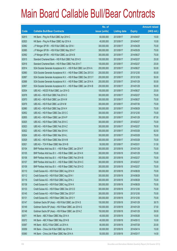|       |                                                                   | No. of        |                     |               | <b>Amount raised</b> |
|-------|-------------------------------------------------------------------|---------------|---------------------|---------------|----------------------|
| Code  | <b>Callable Bull/Bear Contracts</b>                               | issue (units) | <b>Listing date</b> | <b>Expiry</b> | $(HK$$ mil.)         |
| 62815 | HK Bank - Ping An R Bull CBBC Apr 2014 C                          | 60,000,000    | 2013/09/17          | 2014/04/07    | 15.00                |
| 62820 | HK Bank - Ping An R Bear CBBC Apr 2014 A                          | 40,000,000    | 2013/09/17          | 2014/04/07    | 10.00                |
| 62982 | J P Morgan SP BV - HSI R Bull CBBC Apr 2014 I                     | 300,000,000   | 2013/09/17          | 2014/04/29    | 75.00                |
| 62985 | J P Morgan SP BV - HSI R Bull CBBC May 2014 T                     | 300,000,000   | 2013/09/17          | 2014/05/29    | 75.00                |
| 62992 | J P Morgan SP BV - HSI R Bull CBBC Jun 2014 B                     | 300,000,000   | 2013/09/17          | 2014/06/27    | 75.00                |
| 62915 | Standard Chartered Bank - HSI R Bull CBBC Feb 2014 S              | 100,000,000   | 2013/09/17          | 2014/02/27    | 25.00                |
| 62918 | Standard Chartered Bank - HSI R Bear CBBC Feb 2014 T              | 100,000,000   | 2013/09/17          | 2014/02/27    | 25.00                |
| 62914 | SGA Societe Generale Acceptance N.V. - HSI R Bull CBBC Jun 2014 A | 200,000,000   | 2013/09/17          | 2014/06/27    | 50.00                |
| 62880 | SGA Societe Generale Acceptance N.V. - HSI R Bear CBBC Dec 2013 X | 200,000,000   | 2013/09/17          | 2013/12/30    | 50.00                |
| 62887 | SGA Societe Generale Acceptance N.V. - HSI R Bear CBBC Dec 2013 Y | 200,000,000   | 2013/09/17          | 2013/12/30    | 50.00                |
| 62888 | SGA Societe Generale Acceptance N.V. - HSI R Bear CBBC Jan 2014 A | 200,000,000   | 2013/09/17          | 2014/01/29    | 50.00                |
| 62907 | SGA Societe Generale Acceptance N.V. - HSI R Bear CBBC Jan 2014 B | 200,000,000   | 2013/09/17          | 2014/01/29    | 50.00                |
| 62934 | UBS AG - HSCEI R Bull CBBC Jun 2014 G                             | 100,000,000   | 2013/09/17          | 2014/06/27    | 25.00                |
| 62978 | UBS AG - HSI R Bull CBBC Feb 2014 O                               | 300,000,000   | 2013/09/17          | 2014/02/27    | 75.00                |
| 62970 | UBS AG - HSI R Bull CBBC Jun 2014 W                               | 300,000,000   | 2013/09/17          | 2014/06/27    | 75.00                |
| 62979 | UBS AG - HSI R Bull CBBC Jul 2014 M                               | 300,000,000   | 2013/09/17          | 2014/07/30    | 75.00                |
| 62980 | UBS AG - HSI R Bull CBBC Sep 2014 H                               | 300,000,000   | 2013/09/17          | 2014/09/29    | 75.00                |
| 62852 | UBS AG - HSI R Bear CBBC Dec 2013 C                               | 300,000,000   | 2013/09/17          | 2013/12/30    | 75.00                |
| 62855 | UBS AG - HSI R Bear CBBC Jan 2014 P                               | 350,000,000   | 2013/09/17          | 2014/01/29    | 87.50                |
| 62925 | UBS AG - HSI R Bear CBBC Feb 2014 C                               | 300,000,000   | 2013/09/17          | 2014/02/27    | 75.00                |
| 62923 | UBS AG - HSI R Bear CBBC Feb 2014 Z                               | 300,000,000   | 2013/09/17          | 2014/02/27    | 76.50                |
| 62922 | UBS AG - HSI R Bear CBBC Mar 2014 K                               | 300,000,000   | 2013/09/17          | 2014/03/28    | 82.50                |
| 62924 | UBS AG - HSI R Bear CBBC Mar 2014 L                               | 300,000,000   | 2013/09/17          | 2014/03/28    | 75.00                |
| 62929 | UBS AG - HSI R Bear CBBC Mar 2014 M                               | 300,000,000   | 2013/09/17          | 2014/03/28    | 75.00                |
| 62921 | UBS AG - TCH R Bear CBBC Mar 2014 B                               | 50,000,000    | 2013/09/17          | 2014/03/31    | 31.50                |
| 63104 | BNP Paribas Arbit Issu B.V. - HSI R Bear CBBC Jan 2014 F          | 300,000,000   | 2013/09/18          | 2014/01/29    | 75.00                |
| 63105 | BNP Paribas Arbit Issu B.V. - HSI R Bear CBBC Jan 2014 K          | 300,000,000   | 2013/09/18          | 2014/01/29    | 75.00                |
| 63106 | BNP Paribas Arbit Issu B.V. - HSI R Bear CBBC Feb 2014 B          | 300,000,000   | 2013/09/18          | 2014/02/27    | 75.00                |
| 63107 | BNP Paribas Arbit Issu B.V. - HSI R Bear CBBC Feb 2014 C          | 300,000,000   | 2013/09/18          | 2014/02/27    | 75.00                |
| 63109 | BNP Paribas Arbit Issu B.V. - HSI R Bear CBBC Feb 2014 D          | 300,000,000   | 2013/09/18          | 2014/02/27    | 75.00                |
| 63110 | Credit Suisse AG - HSI R Bull CBBC Aug 2014 H                     | 300,000,000   | 2013/09/18          | 2014/08/28    | 75.00                |
| 63112 | Credit Suisse AG - HSI R Bull CBBC Aug 2014 I                     | 300,000,000   | 2013/09/18          | 2014/08/28    | 75.00                |
| 63116 | Credit Suisse AG - HSI R Bull CBBC Aug 2014 J                     | 300,000,000   | 2013/09/18          | 2014/08/28    | 75.00                |
| 63138 | Credit Suisse AG - HSI R Bull CBBC Aug 2014 K                     | 300,000,000   | 2013/09/18          | 2014/08/28    | 75.00                |
| 63133 | Credit Suisse AG - HSI R Bear CBBC Dec 2013 D                     | 300,000,000   | 2013/09/18          | 2013/12/30    | 75.00                |
| 63145 | Credit Suisse AG - HSI R Bear CBBC Dec 2013 F                     | 300,000,000   | 2013/09/18          | 2013/12/30    | 75.00                |
| 63131 | Credit Suisse AG - HSI R Bear CBBC Dec 2013 Y                     | 300,000,000   | 2013/09/18          | 2013/12/30    | 75.00                |
| 63147 | Goldman Sachs SP (Asia) - HSI R Bull CBBC Jan 2014 S              | 150,000,000   | 2013/09/18          | 2014/01/29    | 38.70                |
| 63149 | Goldman Sachs SP (Asia) - HSI R Bear CBBC Jan 2014 G              | 150,000,000   | 2013/09/18          | 2014/01/29    | 37.50                |
| 63148 | Goldman Sachs SP (Asia) - HSI R Bear CBBC Jan 2014 Z              | 150,000,000   | 2013/09/18          | 2014/01/29    | 39.00                |
| 63071 | HK Bank - ABC R Bear CBBC May 2014 A                              | 40,000,000    | 2013/09/18          | 2014/05/26    | 10.00                |
| 63072 | HK Bank - ABC R Bear CBBC May 2014 B                              | 40,000,000    | 2013/09/18          | 2014/05/12    | 10.00                |
| 63067 | HK Bank - BOCL R Bull CBBC Jul 2014 A                             | 80,000,000    | 2013/09/18          | 2014/07/28    | 20.00                |
| 63059 | HK Bank - China Life R Bull CBBC Apr 2014 A                       | 60,000,000    | 2013/09/18          | 2014/04/14    | 15.00                |
| 63060 | HK Bank - China Life R Bear CBBC Mar 2014 A                       | 50,000,000    | 2013/09/18          | 2014/03/17    | 14.50                |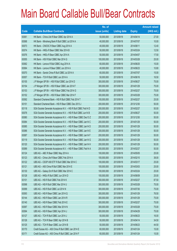|       |                                                                | No. of        |                     |               | <b>Amount raised</b> |
|-------|----------------------------------------------------------------|---------------|---------------------|---------------|----------------------|
| Code  | <b>Callable Bull/Bear Contracts</b>                            | issue (units) | <b>Listing date</b> | <b>Expiry</b> | $(HK$$ mil.)         |
| 63061 | HK Bank - China Life R Bear CBBC Apr 2014 A                    | 50,000,000    | 2013/09/18          | 2014/04/14    | 27.00                |
| 63068 | HK Bank - Minsheng Bank R Bull CBBC Jul 2014 A                 | 40,000,000    | 2013/09/18          | 2014/07/07    | 10.00                |
| 63073 | HK Bank - CNOOC R Bear CBBC Aug 2014 A                         | 40,000,000    | 2013/09/18          | 2014/08/11    | 12.40                |
| 63074 | HK Bank - HKEx R Bear CBBC Mar 2014 B                          | 50,000,000    | 2013/09/18          | 2014/03/24    | 12.50                |
| 63076 | HK Bank - HKEx R Bear CBBC Apr 2014 A                          | 50,000,000    | 2013/09/18          | 2014/04/07    | 17.50                |
| 63055 | HK Bank - HSI R Bull CBBC Mar 2014 G                           | 100,000,000   | 2013/09/18          | 2014/03/28    | 25.00                |
| 63062 | HK Bank - Lenovo R Bull CBBC Aug 2014 A                        | 60,000,000    | 2013/09/18          | 2014/08/25    | 15.00                |
| 63064 | HK Bank - Lenovo R Bear CBBC Jun 2014 A                        | 40,000,000    | 2013/09/18          | 2014/06/23    | 10.80                |
| 63070 | HK Bank - Sands China R Bull CBBC Jul 2014 A                   | 60,000,000    | 2013/09/18          | 2014/07/07    | 15.00                |
| 63057 | HK Bank - TCH R Bull CBBC Jun 2014 A                           | 50,000,000    | 2013/09/18          | 2014/06/16    | 16.50                |
| 63155 | J P Morgan SP BV - HSI R Bull CBBC Jun 2014 D                  | 300,000,000   | 2013/09/18          | 2014/06/27    | 75.00                |
| 63154 | J P Morgan SP BV - HSI R Bear CBBC Jan 2014 F                  | 300,000,000   | 2013/09/18          | 2014/01/29    | 75.00                |
| 63153 | J P Morgan SP BV - HSI R Bear CBBC Feb 2014 G                  | 300,000,000   | 2013/09/18          | 2014/02/27    | 75.00                |
| 63152 | J P Morgan SP BV - HSI R Bear CBBC Mar 2014 F                  | 300,000,000   | 2013/09/18          | 2014/03/28    | 75.00                |
| 63092 | Standard Chartered Bank - HSI R Bull CBBC Feb 2014 T           | 100,000,000   | 2013/09/18          | 2014/02/27    | 25.00                |
| 63151 | Standard Chartered Bank - HSI R Bear CBBC Dec 2013 J           | 200,000,000   | 2013/09/18          | 2013/12/30    | 50.00                |
| 63118 | SGA Societe Generale Acceptance N.V. - HSI R Bull CBBC Feb14 D | 200,000,000   | 2013/09/18          | 2014/02/27    | 50.00                |
| 63078 | SGA Societe Generale Acceptance N.V. - HSI R Bull CBBC Jun14 B | 200,000,000   | 2013/09/18          | 2014/06/27    | 50.00                |
| 63080 | SGA Societe Generale Acceptance N.V. - HSI R Bear CBBC Dec13 Z | 200,000,000   | 2013/09/18          | 2013/12/30    | 50.00                |
| 63084 | SGA Societe Generale Acceptance N.V. - HSI R Bear CBBC Jan14 C | 200,000,000   | 2013/09/18          | 2014/01/29    | 50.00                |
| 63085 | SGA Societe Generale Acceptance N.V. - HSI R Bear CBBC Jan14 D | 200,000,000   | 2013/09/18          | 2014/01/29    | 50.00                |
| 63086 | SGA Societe Generale Acceptance N.V. - HSI R Bear CBBC Jan14 E | 200,000,000   | 2013/09/18          | 2014/01/29    | 50.00                |
| 63087 | SGA Societe Generale Acceptance N.V. - HSI R Bear CBBC Jan14 F | 200,000,000   | 2013/09/18          | 2014/01/29    | 50.00                |
| 63119 | SGA Societe Generale Acceptance N.V. - HSI R Bear CBBC Jan14 G | 200,000,000   | 2013/09/18          | 2014/01/29    | 50.00                |
| 63120 | SGA Societe Generale Acceptance N.V. - HSI R Bear CBBC Jan14 H | 200,000,000   | 2013/09/18          | 2014/01/29    | 50.00                |
| 63089 | SGA Societe Generale Acceptance N.V. - HSI R Bear CBBC Feb14 A | 200,000,000   | 2013/09/18          | 2014/02/27    | 50.00                |
| 63124 | UBS AG - ABC R Bear CBBC May 2014 A                            | 100,000,000   | 2013/09/18          | 2014/05/05    | 25.00                |
| 63123 | UBS AG - China Life R Bear CBBC Feb 2014 A                     | 100,000,000   | 2013/09/18          | 2014/02/10    | 38.00                |
| 63122 | UBS AG - CSOP A50 ETF R Bull CBBC Mar 2014 C                   | 100,000,000   | 2013/09/18          | 2014/03/17    | 25.00                |
| 63121 | UBS AG - A50 China R Bull CBBC Mar 2014 E                      | 100,000,000   | 2013/09/18          | 2014/03/03    | 25.00                |
| 63130 | UBS AG - Galaxy Ent R Bull CBBC Mar 2014 C                     | 100,000,000   | 2013/09/18          | 2014/03/24    | 25.00                |
| 63128 | UBS AG - HKEx R Bull CBBC Jun 2014 D                           | 100,000,000   | 2013/09/18          | 2014/06/09    | 25.00                |
| 63101 | UBS AG - HSI R Bull CBBC Feb 2014 K                            | 350,000,000   | 2013/09/18          | 2014/02/27    | 87.50                |
| 63098 | UBS AG - HSI R Bull CBBC Mar 2014 U                            | 300,000,000   | 2013/09/18          | 2014/03/28    | 75.00                |
| 63099 | UBS AG - HSI R Bull CBBC Jul 2014 N                            | 300,000,000   | 2013/09/18          | 2014/07/30    | 75.00                |
| 63093 | UBS AG - HSI R Bear CBBC Jan 2014 Q                            | 300,000,000   | 2013/09/18          | 2014/01/29    | 76.50                |
| 63144 | UBS AG - HSI R Bear CBBC Jan 2014 R                            | 300,000,000   | 2013/09/18          | 2014/01/29    | 75.00                |
| 63140 | UBS AG - HSI R Bear CBBC Feb 2014 E                            | 300,000,000   | 2013/09/18          | 2014/02/27    | 75.00                |
| 63097 | UBS AG - HSI R Bear CBBC Mar 2014 N                            | 300,000,000   | 2013/09/18          | 2014/03/28    | 75.00                |
| 63094 | UBS AG - HSI R Bear CBBC Apr 2014 J                            | 300,000,000   | 2013/09/18          | 2014/04/29    | 75.00                |
| 63127 | UBS AG - TCH R Bull CBBC Jun 2014 J                            | 50,000,000    | 2013/09/18          | 2014/06/23    | 16.00                |
| 63126 | UBS AG - TCH R Bear CBBC Apr 2014 B                            | 50,000,000    | 2013/09/18          | 2014/04/14    | 34.50                |
| 63125 | UBS AG - TCH R Bear CBBC Jun 2014 B                            | 50,000,000    | 2013/09/18          | 2014/06/23    | 44.50                |
| 63170 | Credit Suisse AG - A50 China R Bull CBBC Jan 2014 E            | 60,000,000    | 2013/09/19          | 2014/01/24    | 15.00                |
| 63171 | Credit Suisse AG - A50 China R Bull CBBC Jan 2014 F            | 60,000,000    | 2013/09/19          | 2014/01/24    | 15.00                |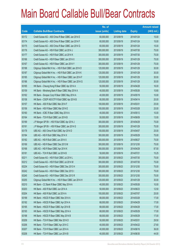|       |                                                          | No. of        |                     |               | <b>Amount raised</b> |
|-------|----------------------------------------------------------|---------------|---------------------|---------------|----------------------|
| Code  | <b>Callable Bull/Bear Contracts</b>                      | issue (units) | <b>Listing date</b> | <b>Expiry</b> | $(HK$$ mil.)         |
| 63172 | Credit Suisse AG - A50 China R Bear CBBC Jan 2014 E      | 60,000,000    | 2013/09/19          | 2014/01/24    | 15.00                |
| 63174 | Credit Suisse AG - A50 China R Bear CBBC Jan 2014 F      | 60,000,000    | 2013/09/19          | 2014/01/24    | 15.00                |
| 63175 | Credit Suisse AG - A50 China R Bear CBBC Jan 2014 G      | 60,000,000    | 2013/09/19          | 2014/01/24    | 15.00                |
| 63176 | Credit Suisse AG - HSI R Bull CBBC Jul 2014 J            | 300,000,000   | 2013/09/19          | 2014/07/30    | 75.00                |
| 63177 | Credit Suisse AG - HSI R Bull CBBC Jul 2014 K            | 300,000,000   | 2013/09/19          | 2014/07/30    | 75.00                |
| 63166 | Credit Suisse AG - HSI R Bear CBBC Jan 2014 X            | 300,000,000   | 2013/09/19          | 2014/01/29    | 75.00                |
| 63167 | Credit Suisse AG - HSI R Bear CBBC Jan 2014 Y            | 300,000,000   | 2013/09/19          | 2014/01/29    | 75.00                |
| 63188 | Citigroup Global Mkt H Inc. - HSI R Bull CBBC Jan 2014 D | 120,000,000   | 2013/09/19          | 2014/01/29    | 30.00                |
| 63187 | Citigroup Global Mkt H Inc. - HSI R Bull CBBC Jan 2014 K | 120,000,000   | 2013/09/19          | 2014/01/29    | 30.00                |
| 63185 | Citigroup Global Mkt H Inc. - HSI R Bear CBBC Jan 2014 F | 120,000,000   | 2013/09/19          | 2014/01/29    | 30.00                |
| 63186 | Citigroup Global Mkt H Inc. - HSI R Bear CBBC Jan 2014 G | 120,000,000   | 2013/09/19          | 2014/01/29    | 30.00                |
| 63165 | HK Bank - Cheung Kong R Bear CBBC Apr 2014 A             | 50,000,000    | 2013/09/19          | 2014/04/28    | 16.00                |
| 63159 | HK Bank - Minsheng Bank R Bear CBBC May 2014 A           | 40,000,000    | 2013/09/19          | 2014/05/26    | 10.80                |
| 63162 | HK Bank - Sinopec Corp R Bear CBBC May 2014 A            | 40,000,000    | 2013/09/19          | 2014/05/19    | 10.00                |
| 63158 | HK Bank - CSOP A50 ETF R Bull CBBC Apr 2014 B            | 80,000,000    | 2013/09/19          | 2014/04/14    | 20.00                |
| 63157 | HK Bank - A50 R Bull CBBC Mar 2014 F                     | 100,000,000   | 2013/09/19          | 2014/03/31    | 25.00                |
| 63156 | HK Bank - HSI R Bear CBBC Mar 2014 E                     | 100,000,000   | 2013/09/19          | 2014/03/28    | 25.00                |
| 63160 | HK Bank - ICBC R Bear CBBC May 2014 A                    | 40,000,000    | 2013/09/19          | 2014/05/12    | 10.00                |
| 63164 | HK Bank - TCH R Bull CBBC Jun 2014 B                     | 50,000,000    | 2013/09/19          | 2014/06/09    | 13.00                |
| 63189 | J P Morgan SP BV - HSI R Bull CBBC Apr 2014 J            | 300,000,000   | 2013/09/19          | 2014/04/29    | 75.00                |
| 63191 | J P Morgan SP BV - HSI R Bear CBBC Jan 2014 G            | 300,000,000   | 2013/09/19          | 2014/01/29    | 75.00                |
| 63178 | UBS AG - A50 China R Bull CBBC Apr 2014 D                | 100,000,000   | 2013/09/19          | 2014/04/07    | 25.00                |
| 63184 | UBS AG - HSI R Bull CBBC May 2014 X                      | 300,000,000   | 2013/09/19          | 2014/05/29    | 75.00                |
| 63182 | UBS AG - HSI R Bull CBBC Jun 2014 X                      | 300,000,000   | 2013/09/19          | 2014/06/27    | 75.00                |
| 63169 | UBS AG - HSI R Bear CBBC Dec 2013 M                      | 300,000,000   | 2013/09/19          | 2013/12/30    | 75.00                |
| 63168 | UBS AG - HSI R Bear CBBC Apr 2014 K                      | 350,000,000   | 2013/09/19          | 2014/04/29    | 87.50                |
| 63181 | UBS AG - TCH R Bull CBBC Jul 2014 B                      | 50,000,000    | 2013/09/19          | 2014/07/21    | 15.25                |
| 63211 | Credit Suisse AG - HSI R Bull CBBC Jul 2014 L            | 300,000,000   | 2013/09/23          | 2014/07/30    | 75.00                |
| 63212 | Credit Suisse AG - HSI R Bull CBBC Jul 2014 M            | 300,000,000   | 2013/09/23          | 2014/07/30    | 75.00                |
| 63234 | Credit Suisse AG - HSI R Bear CBBC Dec 2013 H            | 300,000,000   | 2013/09/23          | 2013/12/30    | 75.00                |
| 63242 | Credit Suisse AG - HSI R Bear CBBC Dec 2013 I            | 300,000,000   | 2013/09/23          | 2013/12/30    | 75.00                |
| 63245 | Credit Suisse AG - HSI R Bear CBBC Dec 2013 R            | 300,000,000   | 2013/09/23          | 2013/12/30    | 75.00                |
| 63255 | Citigroup Global Mkt H Inc. - HSI R Bear CBBC Jan 2014 H | 120,000,000   | 2013/09/23          | 2014/01/29    | 30.00                |
| 63210 | HK Bank - CC Bank R Bear CBBC May 2014 A                 | 40,000,000    | 2013/09/23          | 2014/05/26    | 10.00                |
| 63203 | HK Bank - A50 R Bull CBBC Jun 2014 A                     | 50,000,000    | 2013/09/23          | 2014/06/23    | 12.50                |
| 63204 | HK Bank - A50 R Bull CBBC Jul 2014 A                     | 100,000,000   | 2013/09/23          | 2014/07/07    | 25.00                |
| 63199 | HK Bank – HSCEI R Bear CBBC Mar 2014 A                   | 68,000,000    | 2013/09/23          | 2014/03/28    | 17.00                |
| 63192 | HK Bank - HSCEI R Bear CBBC Apr 2014 A                   | 68,000,000    | 2013/09/23          | 2014/04/29    | 17.00                |
| 63195 | HK Bank - HSCEI R Bear CBBC Apr 2014 B                   | 68,000,000    | 2013/09/23          | 2014/04/29    | 17.00                |
| 63193 | HK Bank - HSCEI R Bear CBBC May 2014 A                   | 68,000,000    | 2013/09/23          | 2014/05/29    | 17.00                |
| 63198 | HK Bank - HSCEI R Bear CBBC May 2014 B                   | 68,000,000    | 2013/09/23          | 2014/05/29    | 17.00                |
| 63209 | HK Bank - TCH R Bear CBBC Mar 2014 D                     | 50,000,000    | 2013/09/23          | 2014/03/31    | 29.50                |
| 63206 | HK Bank - TCH R Bear CBBC Apr 2014 C                     | 40,000,000    | 2013/09/23          | 2014/04/22    | 27.60                |
| 63207 | HK Bank - TCH R Bear CBBC Jun 2014 A                     | 40,000,000    | 2013/09/23          | 2014/06/16    | 36.00                |
| 63208 | HK Bank - TCH R Bear CBBC Jun 2014 B                     | 40,000,000    | 2013/09/23          | 2014/06/30    | 44.00                |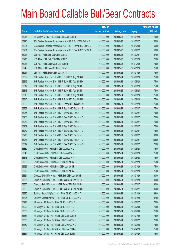|       |                                                                | No. of        |                     |               | <b>Amount raised</b> |
|-------|----------------------------------------------------------------|---------------|---------------------|---------------|----------------------|
| Code  | <b>Callable Bull/Bear Contracts</b>                            | issue (units) | <b>Listing date</b> | <b>Expiry</b> | $(HK$$ mil.)         |
| 63216 | J P Morgan SP BV - HSI R Bear CBBC Jan 2014 B                  | 300,000,000   | 2013/09/23          | 2014/01/29    | 75.00                |
| 63220 | SGA Societe Generale Acceptance N.V. - HSI R Bull CBBC Feb14 E | 200,000,000   | 2013/09/23          | 2014/02/27    | 50.00                |
| 63224 | SGA Societe Generale Acceptance N.V. - HSI R Bear CBBC Dec13 D | 200,000,000   | 2013/09/23          | 2013/12/30    | 50.00                |
| 63231 | SGA Societe Generale Acceptance N.V. - HSI R Bear CBBC Feb14 B | 200,000,000   | 2013/09/23          | 2014/02/27    | 50.00                |
| 63213 | UBS AG - HSI R Bull CBBC Feb 2014 A                            | 350,000,000   | 2013/09/23          | 2014/02/27    | 87.50                |
| 63215 | UBS AG - HSI R Bull CBBC Mar 2014 V                            | 300,000,000   | 2013/09/23          | 2014/03/28    | 75.00                |
| 63247 | UBS AG - HSI R Bear CBBC Dec 2013 R                            | 300,000,000   | 2013/09/23          | 2013/12/30    | 75.00                |
| 63249 | UBS AG - HSI R Bear CBBC Jan 2014 S                            | 300,000,000   | 2013/09/23          | 2014/01/29    | 75.00                |
| 63251 | UBS AG - HSI R Bear CBBC Jan 2014 T                            | 300,000,000   | 2013/09/23          | 2014/01/29    | 75.00                |
| 63309 | BNP Paribas Arbit Issu B.V. - HSI R Bull CBBC Aug 2014 C       | 300,000,000   | 2013/09/24          | 2014/08/28    | 75.00                |
| 63316 | BNP Paribas Arbit Issu B.V. - HSI R Bull CBBC Aug 2014 D       | 300,000,000   | 2013/09/24          | 2014/08/28    | 75.00                |
| 63317 | BNP Paribas Arbit Issu B.V. - HSI R Bull CBBC Aug 2014 E       | 300,000,000   | 2013/09/24          | 2014/08/28    | 75.00                |
| 63318 | BNP Paribas Arbit Issu B.V. - HSI R Bull CBBC Aug 2014 F       | 300,000,000   | 2013/09/24          | 2014/08/28    | 75.00                |
| 63319 | BNP Paribas Arbit Issu B.V. - HSI R Bull CBBC Aug 2014 G       | 300,000,000   | 2013/09/24          | 2014/08/28    | 75.00                |
| 63346 | BNP Paribas Arbit Issu B.V. - HSI R Bull CBBC Aug 2014 H       | 300,000,000   | 2013/09/24          | 2014/08/28    | 75.00                |
| 63259 | BNP Paribas Arbit Issu B.V. - HSI R Bear CBBC Jan 2014 W       | 300,000,000   | 2013/09/24          | 2014/01/29    | 75.00                |
| 63262 | BNP Paribas Arbit Issu B.V. - HSI R Bear CBBC Feb 2014 E       | 300,000,000   | 2013/09/24          | 2014/02/27    | 75.00                |
| 63265 | BNP Paribas Arbit Issu B.V. - HSI R Bear CBBC Feb 2014 F       | 300,000,000   | 2013/09/24          | 2014/02/27    | 75.00                |
| 63266 | BNP Paribas Arbit Issu B.V. - HSI R Bear CBBC Feb 2014 G       | 300,000,000   | 2013/09/24          | 2014/02/27    | 75.00                |
| 63268 | BNP Paribas Arbit Issu B.V. - HSI R Bear CBBC Feb 2014 H       | 300,000,000   | 2013/09/24          | 2014/02/27    | 75.00                |
| 63269 | BNP Paribas Arbit Issu B.V. - HSI R Bear CBBC Feb 2014 I       | 300,000,000   | 2013/09/24          | 2014/02/27    | 75.00                |
| 63272 | BNP Paribas Arbit Issu B.V. - HSI R Bear CBBC Feb 2014 J       | 300,000,000   | 2013/09/24          | 2014/02/27    | 75.00                |
| 63273 | BNP Paribas Arbit Issu B.V. - HSI R Bear CBBC Feb 2014 K       | 300,000,000   | 2013/09/24          | 2014/02/27    | 90.00                |
| 63277 | BNP Paribas Arbit Issu B.V. - HSI R Bear CBBC Feb 2014 L       | 300,000,000   | 2013/09/24          | 2014/02/27    | 105.00               |
| 63349 | BNP Paribas Arbit Issu B.V. - HSI R Bear CBBC Feb 2014 M       | 300,000,000   | 2013/09/24          | 2014/02/27    | 75.00                |
| 63339 | Credit Suisse AG - HSI R Bull CBBC Aug 2014 L                  | 300,000,000   | 2013/09/24          | 2014/08/28    | 75.00                |
| 63340 | Credit Suisse AG - HSI R Bull CBBC Aug 2014 M                  | 300,000,000   | 2013/09/24          | 2014/08/28    | 75.00                |
| 63343 | Credit Suisse AG - HSI R Bull CBBC Aug 2014 N                  | 300,000,000   | 2013/09/24          | 2014/08/28    | 75.00                |
| 63280 | Credit Suisse AG - HSI R Bear CBBC Jan 2014 A                  | 300,000,000   | 2013/09/24          | 2014/01/29    | 75.00                |
| 63282 | Credit Suisse AG - HSI R Bear CBBC Jan 2014 B                  | 300,000,000   | 2013/09/24          | 2014/01/29    | 75.00                |
| 63278 | Credit Suisse AG - HSI R Bear CBBC Jan 2014 Z                  | 300,000,000   | 2013/09/24          | 2014/01/29    | 75.00                |
| 63364 | Citigroup Global Mkt H Inc. - HSI R Bull CBBC Jan 2014 L       | 120,000,000   | 2013/09/24          | 2014/01/29    | 30.00                |
| 63365 | Citigroup Global Mkt H Inc. - HSI R Bear CBBC Jan 2014 I       | 120,000,000   | 2013/09/24          | 2014/01/29    | 30.00                |
| 63366 | Citigroup Global Mkt H Inc. - HSI R Bear CBBC Feb 2014 A       | 120,000,000   | 2013/09/24          | 2014/02/27    | 30.00                |
| 63368 | Citigroup Global Mkt H Inc. - HSI R Bear CBBC Feb 2014 B       | 120,000,000   | 2013/09/24          | 2014/02/27    | 30.00                |
| 63320 | Goldman Sachs SP (Asia) - HSI R Bull CBBC Jan 2014 T           | 150,000,000   | 2013/09/24          | 2014/01/29    | 39.00                |
| 63325 | Goldman Sachs SP (Asia) - HSI R Bull CBBC Jan 2014 U           | 150,000,000   | 2013/09/24          | 2014/01/29    | 37.50                |
| 63298 | J P Morgan SP BV - HSI R Bull CBBC Jun 2014 F                  | 300,000,000   | 2013/09/24          | 2014/06/27    | 75.00                |
| 63292 | J P Morgan SP BV - HSI R Bull CBBC Jul 2014 B                  | 300,000,000   | 2013/09/24          | 2014/07/30    | 75.00                |
| 63355 | J P Morgan SP BV - HSI R Bull CBBC Jul 2014 C                  | 300,000,000   | 2013/09/24          | 2014/07/30    | 75.00                |
| 63354 | J P Morgan SP BV - HSI R Bear CBBC Jan 2014 H                  | 300,000,000   | 2013/09/24          | 2014/01/29    | 75.00                |
| 63353 | J P Morgan SP BV - HSI R Bear CBBC Feb 2014 H                  | 300,000,000   | 2013/09/24          | 2014/02/27    | 75.00                |
| 63352 | J P Morgan SP BV - HSI R Bear CBBC Mar 2014 G                  | 300,000,000   | 2013/09/24          | 2014/03/28    | 75.00                |
| 63350 | J P Morgan SP BV - HSI R Bear CBBC Apr 2014 A                  | 300,000,000   | 2013/09/24          | 2014/04/29    | 75.00                |
| 63351 | J P Morgan SP BV - HSI R Bear CBBC Apr 2014 B                  | 300,000,000   | 2013/09/24          | 2014/04/29    | 75.00                |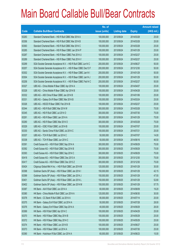|       |                                                                | No. of        |                     |               | <b>Amount raised</b> |
|-------|----------------------------------------------------------------|---------------|---------------------|---------------|----------------------|
| Code  | <b>Callable Bull/Bear Contracts</b>                            | issue (units) | <b>Listing date</b> | <b>Expiry</b> | $(HK$$ mil.)         |
| 63283 | Standard Chartered Bank - HSI R Bull CBBC Mar 2014 A           | 100,000,000   | 2013/09/24          | 2014/03/28    | 25.00                |
| 63356 | Standard Chartered Bank - HSI R Bull CBBC Mar 2014 B           | 100,000,000   | 2013/09/24          | 2014/03/28    | 25.00                |
| 63363 | Standard Chartered Bank - HSI R Bull CBBC Mar 2014 C           | 100,000,000   | 2013/09/24          | 2014/03/28    | 25.00                |
| 63285 | Standard Chartered Bank - HSI R Bear CBBC Jan 2014 P           | 100,000,000   | 2013/09/24          | 2014/01/29    | 25.00                |
| 63287 | Standard Chartered Bank - HSI R Bear CBBC Feb 2014 U           | 100,000,000   | 2013/09/24          | 2014/02/27    | 25.00                |
| 63289 | Standard Chartered Bank - HSI R Bear CBBC Feb 2014 V           | 100,000,000   | 2013/09/24          | 2014/02/27    | 25.00                |
| 63299 | SGA Societe Generale Acceptance N.V. - HSI R Bull CBBC Jun14 C | 200,000,000   | 2013/09/24          | 2014/06/27    | 50.00                |
| 63257 | SGA Societe Generale Acceptance N.V. - HSI R Bear CBBC Dec13 F | 200,000,000   | 2013/09/24          | 2013/12/30    | 50.00                |
| 63302 | SGA Societe Generale Acceptance N.V. - HSI R Bear CBBC Jan14 I | 200,000,000   | 2013/09/24          | 2014/01/29    | 50.00                |
| 63304 | SGA Societe Generale Acceptance N.V. - HSI R Bear CBBC Jan14 J | 200,000,000   | 2013/09/24          | 2014/01/29    | 50.00                |
| 63258 | SGA Societe Generale Acceptance N.V. - HSI R Bear CBBC Feb14 C | 200,000,000   | 2013/09/24          | 2014/02/27    | 50.00                |
| 63327 | UBS AG - China Mobile R Bear CBBC Apr 2014 A                   | 100,000,000   | 2013/09/24          | 2014/04/07    | 25.00                |
| 63328 | UBS AG - China Mobile R Bear CBBC Apr 2014 B                   | 100,000,000   | 2013/09/24          | 2014/04/28    | 25.00                |
| 63332 | UBS AG - A50 China R Bear CBBC Jan 2014 B                      | 100,000,000   | 2013/09/24          | 2014/01/06    | 25.00                |
| 63331 | UBS AG - Galaxy Ent R Bear CBBC Mar 2014 B                     | 100,000,000   | 2013/09/24          | 2014/03/24    | 25.00                |
| 63326 | UBS AG - HSCEI R Bear CBBC Feb 2014 B                          | 100,000,000   | 2013/09/24          | 2014/02/27    | 25.00                |
| 63344 | UBS AG - HSI R Bull CBBC Mar 2014 W                            | 300,000,000   | 2013/09/24          | 2014/03/28    | 75.00                |
| 63345 | UBS AG - HSI R Bull CBBC Jul 2014 O                            | 300,000,000   | 2013/09/24          | 2014/07/30    | 75.00                |
| 63291 | UBS AG - HSI R Bear CBBC Jan 2014 A                            | 300,000,000   | 2013/09/24          | 2014/01/29    | 75.00                |
| 63290 | UBS AG - HSI R Bear CBBC Mar 2014 O                            | 300,000,000   | 2013/09/24          | 2014/03/28    | 75.00                |
| 63329 | UBS AG - ICBC R Bull CBBC Jul 2014 B                           | 100,000,000   | 2013/09/24          | 2014/07/07    | 25.00                |
| 63330 | UBS AG - Sands China R Bull CBBC Jul 2014 C                    | 100,000,000   | 2013/09/24          | 2014/07/21    | 25.00                |
| 63337 | UBS AG - TCH R Bull CBBC Jul 2014 C                            | 50,000,000    | 2013/09/24          | 2014/07/07    | 14.00                |
| 63338 | UBS AG - TCH R Bear CBBC Jun 2014 C                            | 50,000,000    | 2013/09/24          | 2014/06/16    | 46.50                |
| 63391 | Credit Suisse AG - HSI R Bull CBBC Sep 2014 A                  | 300,000,000   | 2013/09/25          | 2014/09/29    | 75.00                |
| 63392 | Credit Suisse AG - HSI R Bull CBBC Sep 2014 B                  | 300,000,000   | 2013/09/25          | 2014/09/29    | 75.00                |
| 63393 | Credit Suisse AG - HSI R Bull CBBC Sep 2014 C                  | 300,000,000   | 2013/09/25          | 2014/09/29    | 75.00                |
| 63418 | Credit Suisse AG - HSI R Bear CBBC Dec 2013 A                  | 300,000,000   | 2013/09/25          | 2013/12/30    | 75.00                |
| 63417 | Credit Suisse AG - HSI R Bear CBBC Dec 2013 Z                  | 300,000,000   | 2013/09/25          | 2013/12/30    | 75.00                |
| 63424 | Citigroup Global Mkt H Inc. - HSI R Bull CBBC Jan 2014 M       | 120,000,000   | 2013/09/25          | 2014/01/29    | 30.00                |
| 63398 | Goldman Sachs SP (Asia) - HSI R Bear CBBC Jan 2014 I           | 150,000,000   | 2013/09/25          | 2014/01/29    | 42.15                |
| 63399 | Goldman Sachs SP (Asia) - HSI R Bear CBBC Jan 2014 J           | 150,000,000   | 2013/09/25          | 2014/01/29    | 47.55                |
| 63401 | Goldman Sachs SP (Asia) - HSI R Bear CBBC Jan 2014 L           | 150,000,000   | 2013/09/25          | 2014/01/29    | 52.80                |
| 63402 | Goldman Sachs SP (Asia) - HSI R Bear CBBC Jan 2014 M           | 150,000,000   | 2013/09/25          | 2014/01/29    | 57.75                |
| 63387 | HK Bank - AIA R Bull CBBC Jun 2014 A                           | 60,000,000    | 2013/09/25          | 2014/06/09    | 19.20                |
| 63380 | HK Bank - China Mobile R Bull CBBC Jun 2014 A                  | 120,000,000   | 2013/09/25          | 2014/06/30    | 30.00                |
| 63378 | HK Bank - CC Bank R Bull CBBC Jul 2014 A                       | 80,000,000    | 2013/09/25          | 2014/07/14    | 20.00                |
| 63375 | HK Bank - Galaxy Ent R Bull CBBC Jul 2014 A                    | 50,000,000    | 2013/09/25          | 2014/07/28    | 28.00                |
| 63376 | HK Bank - Galaxy Ent R Bear CBBC Sep 2014 A                    | 40,000,000    | 2013/09/25          | 2014/09/29    | 26.00                |
| 63369 | HK Bank - HSI R Bull CBBC Apr 2014 C                           | 100,000,000   | 2013/09/25          | 2014/04/29    | 25.00                |
| 63370 | HK Bank - HSI R Bear CBBC May 2014 B                           | 100,000,000   | 2013/09/25          | 2014/05/29    | 25.00                |
| 63372 | HK Bank - HSI R Bear CBBC May 2014 C                           | 100,000,000   | 2013/09/25          | 2014/05/29    | 25.00                |
| 63374 | HK Bank - HSI R Bear CBBC Jun 2014 B                           | 100,000,000   | 2013/09/25          | 2014/06/27    | 25.00                |
| 63373 | HK Bank - HSI R Bear CBBC Jul 2014 A                           | 100,000,000   | 2013/09/25          | 2014/07/30    | 25.00                |
| 63390 | HK Bank - Hutchison R Bull CBBC Jun 2014 A                     | 60,000,000    | 2013/09/25          | 2014/06/23    | 15.00                |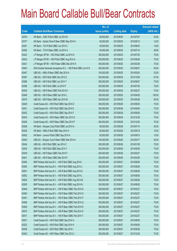|       |                                                                | No. of        |                     |               | <b>Amount raised</b> |
|-------|----------------------------------------------------------------|---------------|---------------------|---------------|----------------------|
| Code  | <b>Callable Bull/Bear Contracts</b>                            | issue (units) | <b>Listing date</b> | <b>Expiry</b> | (HK\$ mil.)          |
| 63379 | HK Bank - ICBC R Bull CBBC Jul 2014 B                          | 80,000,000    | 2013/09/25          | 2014/07/07    | 20.00                |
| 63377 | HK Bank - Sands China R Bear CBBC May 2014 A                   | 50,000,000    | 2013/09/25          | 2014/05/12    | 12.50                |
| 63381 | HK Bank - TCH R Bull CBBC Jun 2014 C                           | 40,000,000    | 2013/09/25          | 2014/06/03    | 14.80                |
| 63382 | HK Bank - TCH R Bear CBBC Jul 2014 A                           | 40,000,000    | 2013/09/25          | 2014/07/14    | 48.80                |
| 63423 | J P Morgan SP BV - HSI R Bull CBBC Jul 2014 D                  | 300,000,000   | 2013/09/25          | 2014/07/30    | 75.00                |
| 63422 | J P Morgan SP BV - HSI R Bull CBBC Aug 2014 A                  | 300,000,000   | 2013/09/25          | 2014/08/28    | 75.00                |
| 63421 | J P Morgan SP BV - HSI R Bear CBBC Mar 2014 H                  | 300,000,000   | 2013/09/25          | 2014/03/28    | 75.00                |
| 63403 | SGA Societe Generale Acceptance N.V. - HSI R Bull CBBC Jun14 D | 200,000,000   | 2013/09/25          | 2014/06/27    | 50.00                |
| 63407 | UBS AG - HKEx R Bear CBBC Mar 2014 A                           | 100,000,000   | 2013/09/25          | 2014/03/03    | 25.00                |
| 63397 | UBS AG - HSI R Bull CBBC Dec 2013 Z                            | 350,000,000   | 2013/09/25          | 2013/12/30    | 87.50                |
| 63396 | UBS AG - HSI R Bull CBBC Jun 2014 Y                            | 300,000,000   | 2013/09/25          | 2014/06/27    | 75.00                |
| 63395 | UBS AG - HSI R Bull CBBC Jul 2014 P                            | 300,000,000   | 2013/09/25          | 2014/07/30    | 75.00                |
| 63420 | UBS AG - HSI R Bear CBBC Feb 2014 D                            | 300,000,000   | 2013/09/25          | 2014/02/27    | 75.00                |
| 63408 | UBS AG - HSI R Bear CBBC Apr 2014 L                            | 300,000,000   | 2013/09/25          | 2014/04/29    | 106.50               |
| 63415 | UBS AG - HSI R Bear CBBC Apr 2014 M                            | 300,000,000   | 2013/09/25          | 2014/04/29    | 85.50                |
| 63429 | Credit Suisse AG - HSI R Bull CBBC Sep 2014 D                  | 300,000,000   | 2013/09/26          | 2014/09/29    | 75.00                |
| 63431 | Credit Suisse AG - HSI R Bull CBBC Sep 2014 E                  | 300,000,000   | 2013/09/26          | 2014/09/29    | 75.00                |
| 63432 | Credit Suisse AG - HSI R Bull CBBC Sep 2014 F                  | 300,000,000   | 2013/09/26          | 2014/09/29    | 75.00                |
| 63433 | Credit Suisse AG - HSI R Bear CBBC Dec 2013 G                  | 300,000,000   | 2013/09/26          | 2013/12/30    | 75.00                |
| 63436 | Credit Suisse AG - HSI R Bear CBBC Dec 2013 P                  | 300,000,000   | 2013/09/26          | 2013/12/30    | 75.00                |
| 63428 | HK Bank - Sinopec Corp R Bull CBBC Jul 2014 A                  | 80,000,000    | 2013/09/26          | 2014/07/14    | 20.00                |
| 63426 | HK Bank - HKEx R Bull CBBC May 2014 A                          | 60,000,000    | 2013/09/26          | 2014/05/19    | 15.00                |
| 63425 | HK Bank - Lenovo R Bull CBBC Sep 2014 A                        | 60,000,000    | 2013/09/26          | 2014/09/15    | 15.00                |
| 63440 | UBS AG - Sinopec Corp R Bear CBBC Mar 2014 A                   | 100,000,000   | 2013/09/26          | 2014/03/17    | 25.00                |
| 63434 | UBS AG - HSI R Bull CBBC Jan 2014 Z                            | 300,000,000   | 2013/09/26          | 2014/01/29    | 75.00                |
| 63435 | UBS AG - HSI R Bull CBBC May 2014 Y                            | 300,000,000   | 2013/09/26          | 2014/05/29    | 75.00                |
| 63439 | UBS AG - HSI R Bear CBBC Feb 2014 F                            | 300,000,000   | 2013/09/26          | 2014/02/27    | 75.00                |
| 63441 | UBS AG - HSI R Bear CBBC Mar 2014 P                            | 300,000,000   | 2013/09/26          | 2014/03/28    | 75.00                |
| 63490 | BNP Paribas Arbit Issu B.V. - HSI R Bull CBBC Aug 2014 I       | 300,000,000   | 2013/09/27          | 2014/08/28    | 75.00                |
| 63492 | BNP Paribas Arbit Issu B.V. - HSI R Bull CBBC Aug 2014 J       | 300,000,000   | 2013/09/27          | 2014/08/28    | 75.00                |
| 63501 | BNP Paribas Arbit Issu B.V. - HSI R Bull CBBC Aug 2014 K       | 300,000,000   | 2013/09/27          | 2014/08/28    | 75.00                |
| 63502 | BNP Paribas Arbit Issu B.V. - HSI R Bull CBBC Aug 2014 L       | 300,000,000   | 2013/09/27          | 2014/08/28    | 75.00                |
| 63504 | BNP Paribas Arbit Issu B.V. - HSI R Bull CBBC Aug 2014 M       | 300,000,000   | 2013/09/27          | 2014/08/28    | 75.00                |
| 63505 | BNP Paribas Arbit Issu B.V. - HSI R Bull CBBC Aug 2014 N       | 300,000,000   | 2013/09/27          | 2014/08/28    | 75.00                |
| 63449 | BNP Paribas Arbit Issu B.V. - HSI R Bear CBBC Feb 2014 N       | 300,000,000   | 2013/09/27          | 2014/02/27    | 75.00                |
| 63450 | BNP Paribas Arbit Issu B.V. - HSI R Bear CBBC Feb 2014 O       | 300,000,000   | 2013/09/27          | 2014/02/27    | 75.00                |
| 63451 | BNP Paribas Arbit Issu B.V. - HSI R Bear CBBC Feb 2014 P       | 300,000,000   | 2013/09/27          | 2014/02/27    | 75.00                |
| 63506 | BNP Paribas Arbit Issu B.V. - HSI R Bear CBBC Feb 2014 Q       | 300,000,000   | 2013/09/27          | 2014/02/27    | 75.00                |
| 63509 | BNP Paribas Arbit Issu B.V. - HSI R Bear CBBC Feb 2014 R       | 300,000,000   | 2013/09/27          | 2014/02/27    | 75.00                |
| 63510 | BNP Paribas Arbit Issu B.V. - HSI R Bear CBBC Feb 2014 S       | 300,000,000   | 2013/09/27          | 2014/02/27    | 75.00                |
| 63517 | BNP Paribas Arbit Issu B.V. - HSI R Bear CBBC Feb 2014 T       | 300,000,000   | 2013/09/27          | 2014/02/27    | 75.00                |
| 63521 | Credit Suisse AG - HSI R Bull CBBC Sep 2014 G                  | 300,000,000   | 2013/09/27          | 2014/09/29    | 75.00                |
| 63522 | Credit Suisse AG - HSI R Bull CBBC Sep 2014 H                  | 300,000,000   | 2013/09/27          | 2014/09/29    | 75.00                |
| 63539 | Credit Suisse AG - HSI R Bull CBBC Sep 2014 I                  | 300,000,000   | 2013/09/27          | 2014/09/29    | 75.00                |
| 63442 | Credit Suisse AG - HSI R Bear CBBC Dec 2013 J                  | 300,000,000   | 2013/09/27          | 2013/12/30    | 75.00                |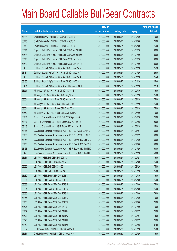|       |                                                                | No. of        |                     |               | <b>Amount raised</b> |
|-------|----------------------------------------------------------------|---------------|---------------------|---------------|----------------------|
| Code  | <b>Callable Bull/Bear Contracts</b>                            | issue (units) | <b>Listing date</b> | <b>Expiry</b> | $(HK$$ mil.)         |
| 63444 | Credit Suisse AG - HSI R Bear CBBC Dec 2013 M                  | 300,000,000   | 2013/09/27          | 2013/12/30    | 75.00                |
| 63445 | Credit Suisse AG - HSI R Bear CBBC Dec 2013 O                  | 300,000,000   | 2013/09/27          | 2013/12/30    | 75.00                |
| 63446 | Credit Suisse AG - HSI R Bear CBBC Dec 2013 S                  | 300,000,000   | 2013/09/27          | 2013/12/30    | 75.00                |
| 63541 | Citigroup Global Mkt H Inc. - HSI R Bull CBBC Jan 2014 N       | 120,000,000   | 2013/09/27          | 2014/01/29    | 30.00                |
| 63544 | Citigroup Global Mkt H Inc. - HSI R Bull CBBC Jan 2014 O       | 120,000,000   | 2013/09/27          | 2014/01/29    | 30.00                |
| 63548 | Citigroup Global Mkt H Inc. - HSI R Bear CBBC Jan 2014 J       | 120,000,000   | 2013/09/27          | 2014/01/29    | 30.00                |
| 63549 | Citigroup Global Mkt H Inc. - HSI R Bear CBBC Jan 2014 K       | 120,000,000   | 2013/09/27          | 2014/01/29    | 30.00                |
| 63483 | Goldman Sachs SP (Asia) - HSI R Bull CBBC Jan 2014 V           | 100,000,000   | 2013/09/27          | 2014/01/29    | 25.30                |
| 63484 | Goldman Sachs SP (Asia) - HSI R Bull CBBC Jan 2014 W           | 100,000,000   | 2013/09/27          | 2014/01/29    | 25.00                |
| 63485 | Goldman Sachs SP (Asia) - HSI R Bull CBBC Jan 2014 X           | 100,000,000   | 2013/09/27          | 2014/01/29    | 25.40                |
| 63486 | Goldman Sachs SP (Asia) - HSI R Bull CBBC Jan 2014 Y           | 100,000,000   | 2013/09/27          | 2014/01/29    | 25.40                |
| 63481 | Goldman Sachs SP (Asia) - HSI R Bear CBBC Jan 2014 H           | 100,000,000   | 2013/09/27          | 2014/01/29    | 27.70                |
| 63557 | J P Morgan SP BV - HSI R Bull CBBC Jul 2014 E                  | 300,000,000   | 2013/09/27          | 2014/07/30    | 75.00                |
| 63553 | J P Morgan SP BV - HSI R Bull CBBC Aug 2014 B                  | 300,000,000   | 2013/09/27          | 2014/08/28    | 75.00                |
| 63561 | J P Morgan SP BV - HSI R Bull CBBC Aug 2014 C                  | 300,000,000   | 2013/09/27          | 2014/08/28    | 75.00                |
| 63552 | J P Morgan SP BV - HSI R Bear CBBC Jan 2014 I                  | 300,000,000   | 2013/09/27          | 2014/01/29    | 75.00                |
| 63551 | J P Morgan SP BV - HSI R Bear CBBC Mar 2014 I                  | 300,000,000   | 2013/09/27          | 2014/03/28    | 75.00                |
| 63550 | J P Morgan SP BV - HSI R Bear CBBC Apr 2014 C                  | 300,000,000   | 2013/09/27          | 2014/04/29    | 75.00                |
| 63461 | Standard Chartered Bank - HSI R Bull CBBC Apr 2014 A           | 100,000,000   | 2013/09/27          | 2014/04/29    | 25.00                |
| 63447 | Standard Chartered Bank - HSI R Bear CBBC Mar 2014 A           | 100,000,000   | 2013/09/27          | 2014/03/28    | 25.00                |
| 63448 | Standard Chartered Bank - HSI R Bear CBBC Mar 2014 B           | 100,000,000   | 2013/09/27          | 2014/03/28    | 25.00                |
| 63476 | SGA Societe Generale Acceptance N.V. - HSI R Bull CBBC Jun14 E | 200,000,000   | 2013/09/27          | 2014/06/27    | 50.00                |
| 63480 | SGA Societe Generale Acceptance N.V. - HSI R Bull CBBC Jun14 F | 200,000,000   | 2013/09/27          | 2014/06/27    | 50.00                |
| 63454 | SGA Societe Generale Acceptance N.V. - HSI R Bear CBBC Dec13 E | 200,000,000   | 2013/09/27          | 2013/12/30    | 50.00                |
| 63453 | SGA Societe Generale Acceptance N.V. - HSI R Bear CBBC Dec13 G | 200,000,000   | 2013/09/27          | 2013/12/30    | 50.00                |
| 63468 | SGA Societe Generale Acceptance N.V. - HSI R Bear CBBC Jan14 K | 200,000,000   | 2013/09/27          | 2014/01/29    | 50.00                |
| 63475 | SGA Societe Generale Acceptance N.V. - HSI R Bear CBBC Jan14 L | 200,000,000   | 2013/09/27          | 2014/01/29    | 50.00                |
| 63537 | UBS AG - HSI R Bull CBBC Feb 2014 L                            | 300,000,000   | 2013/09/27          | 2014/02/27    | 75.00                |
| 63538 | UBS AG - HSI R Bull CBBC Jul 2014 Q                            | 300,000,000   | 2013/09/27          | 2014/07/30    | 75.00                |
| 63535 | UBS AG - HSI R Bull CBBC Sep 2014 I                            | 300,000,000   | 2013/09/27          | 2014/09/29    | 75.00                |
| 63536 | UBS AG - HSI R Bull CBBC Sep 2014 J                            | 300,000,000   | 2013/09/27          | 2014/09/29    | 75.00                |
| 63532 | UBS AG - HSI R Bear CBBC Dec 2013 B                            | 300,000,000   | 2013/09/27          | 2013/12/30    | 75.00                |
| 63531 | UBS AG - HSI R Bear CBBC Dec 2013 G                            | 300,000,000   | 2013/09/27          | 2013/12/30    | 75.00                |
| 63533 | UBS AG - HSI R Bear CBBC Dec 2013 N                            | 300,000,000   | 2013/09/27          | 2013/12/30    | 75.00                |
| 63534 | UBS AG - HSI R Bear CBBC Dec 2013 O                            | 300,000,000   | 2013/09/27          | 2013/12/30    | 75.00                |
| 63530 | UBS AG - HSI R Bear CBBC Dec 2013 P                            | 300,000,000   | 2013/09/27          | 2013/12/30    | 78.00                |
| 63455 | UBS AG - HSI R Bear CBBC Dec 2013 S                            | 300,000,000   | 2013/09/27          | 2013/12/30    | 75.00                |
| 63458 | UBS AG - HSI R Bear CBBC Dec 2013 W                            | 300,000,000   | 2013/09/27          | 2013/12/30    | 75.00                |
| 63526 | UBS AG - HSI R Bear CBBC Jan 2014 B                            | 300,000,000   | 2013/09/27          | 2014/01/29    | 75.00                |
| 63457 | UBS AG - HSI R Bear CBBC Feb 2014 B                            | 300,000,000   | 2013/09/27          | 2014/02/27    | 75.00                |
| 63523 | UBS AG - HSI R Bear CBBC Feb 2014 G                            | 300,000,000   | 2013/09/27          | 2014/02/27    | 78.00                |
| 63528 | UBS AG - HSI R Bear CBBC Feb 2014 N                            | 300,000,000   | 2013/09/27          | 2014/02/27    | 75.00                |
| 63459 | UBS AG - HSI R Bear CBBC Mar 2014 Q                            | 350,000,000   | 2013/09/27          | 2014/03/28    | 87.50                |
| 63567 | Credit Suisse AG - HSI R Bull CBBC Sep 2014 J                  | 300,000,000   | 2013/09/30          | 2014/09/29    | 75.00                |
| 63587 | Credit Suisse AG - HSI R Bull CBBC Sep 2014 K                  | 300,000,000   | 2013/09/30          | 2014/09/29    | 75.00                |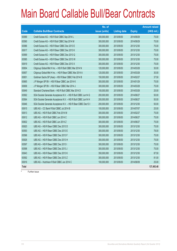|             |                                                                | No. of        |                     |               | <b>Amount raised</b> |
|-------------|----------------------------------------------------------------|---------------|---------------------|---------------|----------------------|
| <b>Code</b> | <b>Callable Bull/Bear Contracts</b>                            | issue (units) | <b>Listing date</b> | <b>Expiry</b> | $(HK$$ mil.)         |
| 63589       | Credit Suisse AG - HSI R Bull CBBC Sep 2014 L                  | 300,000,000   | 2013/09/30          | 2014/09/29    | 75.00                |
| 63590       | Credit Suisse AG - HSI R Bull CBBC Sep 2014 M                  | 300,000,000   | 2013/09/30          | 2014/09/29    | 75.00                |
| 63586       | Credit Suisse AG - HSI R Bear CBBC Dec 2013 E                  | 300,000,000   | 2013/09/30          | 2013/12/30    | 75.00                |
| 63617       | Credit Suisse AG - HSI R Bear CBBC Dec 2013 K                  | 300,000,000   | 2013/09/30          | 2013/12/30    | 75.00                |
| 63569       | Credit Suisse AG - HSI R Bear CBBC Dec 2013 Q                  | 300,000,000   | 2013/09/30          | 2013/12/30    | 75.00                |
| 63585       | Credit Suisse AG - HSI R Bear CBBC Dec 2013 W                  | 300,000,000   | 2013/09/30          | 2013/12/30    | 75.00                |
| 63619       | Credit Suisse AG - HSI R Bear CBBC Dec 2013 X                  | 300,000,000   | 2013/09/30          | 2013/12/30    | 75.00                |
| 63654       | Citigroup Global Mkt H Inc. - HSI R Bull CBBC Mar 2014 N       | 120,000,000   | 2013/09/30          | 2014/03/28    | 30.00                |
| 63657       | Citigroup Global Mkt H Inc. - HSI R Bear CBBC Mar 2014 A       | 120,000,000   | 2013/09/30          | 2014/03/28    | 30.00                |
| 63651       | Goldman Sachs SP (Asia) - HSI R Bear CBBC Feb 2014 B           | 150,000,000   | 2013/09/30          | 2014/02/27    | 37.50                |
| 63665       | J P Morgan SP BV - HSI R Bear CBBC Jan 2014 K                  | 300,000,000   | 2013/09/30          | 2014/01/29    | 75.00                |
| 63658       | J P Morgan SP BV - HSI R Bear CBBC Mar 2014 J                  | 300,000,000   | 2013/09/30          | 2014/03/28    | 75.00                |
| 63649       | Standard Chartered Bank - HSI R Bull CBBC Mar 2014 D           | 100,000,000   | 2013/09/30          | 2014/03/28    | 25.00                |
| 63562       | SGA Societe Generale Acceptance N.V. - HSI R Bull CBBC Jun14 G | 200,000,000   | 2013/09/30          | 2014/06/27    | 50.00                |
| 63564       | SGA Societe Generale Acceptance N.V. - HSI R Bull CBBC Jun14 H | 200,000,000   | 2013/09/30          | 2014/06/27    | 50.00                |
| 63646       | SGA Societe Generale Acceptance N.V. - HSI R Bear CBBC Dec13 I | 200,000,000   | 2013/09/30          | 2013/12/30    | 50.00                |
| 63615       | UBS AG - CC Bank R Bull CBBC Jul 2014 B                        | 100,000,000   | 2013/09/30          | 2014/07/07    | 25.00                |
| 63613       | UBS AG - HSI R Bull CBBC Feb 2014 M                            | 300,000,000   | 2013/09/30          | 2014/02/27    | 75.00                |
| 63612       | UBS AG - HSI R Bull CBBC Jun 2014 C                            | 300,000,000   | 2013/09/30          | 2014/06/27    | 75.00                |
| 63602       | UBS AG - HSI R Bull CBBC Jun 2014 Z                            | 300,000,000   | 2013/09/30          | 2014/06/27    | 75.00                |
| 63620       | UBS AG - HSI R Bear CBBC Dec 2013 D                            | 300,000,000   | 2013/09/30          | 2013/12/30    | 75.00                |
| 63593       | UBS AG - HSI R Bear CBBC Dec 2013 E                            | 300,000,000   | 2013/09/30          | 2013/12/30    | 78.00                |
| 63596       | UBS AG - HSI R Bear CBBC Dec 2013 F                            | 300,000,000   | 2013/09/30          | 2013/12/30    | 75.00                |
| 63626       | UBS AG - HSI R Bear CBBC Dec 2013 H                            | 300,000,000   | 2013/09/30          | 2013/12/30    | 75.00                |
| 63597       | UBS AG - HSI R Bear CBBC Dec 2013 I                            | 300,000,000   | 2013/09/30          | 2013/12/30    | 75.00                |
| 63598       | UBS AG - HSI R Bear CBBC Dec 2013 J                            | 300,000,000   | 2013/09/30          | 2013/12/30    | 75.00                |
| 63643       | UBS AG - HSI R Bear CBBC Dec 2013 K                            | 350,000,000   | 2013/09/30          | 2013/12/30    | 87.50                |
| 63592       | UBS AG - HSI R Bear CBBC Dec 2013 Z                            | 300,000,000   | 2013/09/30          | 2013/12/30    | 81.00                |
| 63616       | UBS AG - Hutchison R Bull CBBC Jun 2014 C                      | 100,000,000   | 2013/09/30          | 2014/06/09    | 25.00                |
| Total       |                                                                |               |                     |               | 137,493.48           |
|             | Eurthor inque                                                  |               |                     |               |                      |

Further issue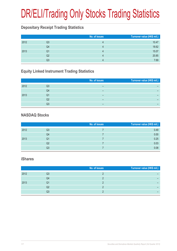# DR/ELI/Trading Only Stocks Trading Statistics

### **Depositary Receipt Trading Statistics**

|      |    | No. of issues | Turnover value (HK\$ mil.) |
|------|----|---------------|----------------------------|
| 2012 | Q3 |               | 10.47                      |
|      | Q4 |               | 18.62                      |
| 2013 | Q1 |               | 15.07                      |
|      | Q2 | Д             | 20.85                      |
|      | Q3 |               | 7.69                       |

### **Equity Linked Instrument Trading Statistics**

|      |    | No. of issues | Turnover value (HK\$ mil.) |
|------|----|---------------|----------------------------|
| 2012 | Q3 |               |                            |
|      | Q4 | -             |                            |
| 2013 | Q1 | –             | -                          |
|      | Q2 | -             | -                          |
|      | Q3 | -             | -                          |

#### **NASDAQ Stocks**

|      |    | No. of issues | Turnover value (HK\$ mil.) |
|------|----|---------------|----------------------------|
| 2012 | Q3 |               | 0.49                       |
|      | Q4 |               | 0.00                       |
| 2013 | Q1 |               | 0.25                       |
|      | Q2 |               | 0.03                       |
|      | Q3 |               | 0.08                       |

#### **iShares**

|      |    | No. of issues | Turnover value (HK\$ mil.) |
|------|----|---------------|----------------------------|
| 2012 | Q3 |               |                            |
|      | Q4 |               |                            |
| 2013 | Q1 |               |                            |
|      | Q2 |               |                            |
|      | Q3 |               |                            |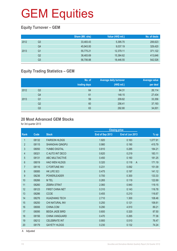### **Equity Turnover – GEM**

|      |    | Share (Mil. shs) | Value (HK\$ mil.) | No. of deals |
|------|----|------------------|-------------------|--------------|
| 2012 | Q3 | 33,483.43        | 5,395.70          | 206,623      |
|      | Q4 | 45,943.00        | 9,037.19          | 329,420      |
| 2013 | Q1 | 55,775.21        | 12,379.11         | 371,122      |
|      | Q2 | 38,483.69        | 15,384.62         | 413,646      |
|      | Q3 | 56,706.88        | 18,446.55         | 542,526      |

### **Equity Trading Statistics – GEM**

|      |                | No. of<br>trading days | <b>Average daily turnover</b><br>(HK\$ mil.) | <b>Average value</b><br>per deal |
|------|----------------|------------------------|----------------------------------------------|----------------------------------|
| 2012 | Q <sub>3</sub> | 64                     | 84.31                                        | 26,114                           |
|      | Q4             | 61                     | 148.15                                       | 27,434                           |
| 2013 | Q <sub>1</sub> | 59                     | 209.82                                       | 33,356                           |
|      | Q <sub>2</sub> | 60                     | 256.41                                       | 37,193                           |
|      | Q3             | 63                     | 292.80                                       | 34,001                           |

#### **20 Most Advanced GEM Stocks**

for 3rd quarter 2013

|                |       |                        | <b>Closing price</b> |                         |          |
|----------------|-------|------------------------|----------------------|-------------------------|----------|
| Rank           | Code  | <b>Stock</b>           | End of Sep 2013      | End of Jun 2013         | $%$ up   |
| $\mathbf{1}$   | 08132 | <b>FAIRSON HLDGS</b>   | 1.920                | 0.163                   | 1,077.91 |
| $\overline{2}$ | 08115 | <b>SHANGHAI QINGPU</b> | 0.980                | 0.190                   | 415.79   |
| 3              | 08050 | <b>YUNBO DIGITAL</b>   | 0.810                | 0.285                   | 184.21   |
| 4              | 08321 | C AUTO INT DECO        | 0.620                | 0.219                   | 183.11   |
| 5              | 08131 | <b>ABC MULTIACTIVE</b> | 0.450                | 0.160                   | 181.25   |
| 6              | 08019 | <b>HAO WEN HLDGS</b>   | 0.320                | 0.118<br>$\overline{A}$ | 171.19   |
| $\overline{7}$ | 08116 | C FORTUNE INV          | 0.231                | 0.092                   | 151.09   |
| 8              | 08085 | <b>HK LIFE SCI</b>     | 0.475                | 0.197                   | 141.12   |
| 9              | 08236 | <b>POWERLEADER</b>     | 0.700                | 0.300                   | 133.33   |
| 10             | 08266 | M TEL                  | 0.265                | 0.119                   | 122.69   |
| 11             | 08260 | <b>ZEBRA STRAT</b>     | 2.060                | 0.940                   | 119.15   |
| 12             | 08123 | <b>FIRST CHINA NET</b> | 0.310                | 0.143                   | 116.78   |
| 13             | 08286 | <b>CCOE</b>            | 0.455                | 0.210                   | 116.67   |
| 14             | 08276 | <b>HUAZHANG TECH</b>   | 2.710                | 1.300                   | 108.46   |
| 15             | 08250 | CHI NATURAL INV        | 0.250                | 0.121                   | 106.61   |
| 16             | 08006 | CHINA.COM              | 9.290                | 4.910                   | 89.21    |
| 17             | 08095 | <b>BEIDA JADE BIRD</b> | 0.600                | 0.320                   | 87.50    |
| 18             | 08156 | <b>CHINA VANGUARD</b>  | 0.470                | 0.265                   | 77.36    |
| 19             | 08212 | <b>CELEBRATE INT</b>   | 0.900                | 0.510                   | 76.47    |
| 20             | 08179 | <b>GAYETY HLDGS</b>    | 0.230                | 0.132                   | 74.24    |
|                |       |                        |                      |                         |          |

A Adjusted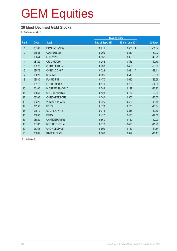#### **20 Most Declined GEM Stocks**

for 3rd quarter 2013

|                |       |                        | <b>Closing price</b> |                         |          |
|----------------|-------|------------------------|----------------------|-------------------------|----------|
| Rank           | Code  | <b>Stock</b>           | End of Sep 2013      | End of Jun 2013         | % down   |
| 1              | 08108 | <b>FAVA INT'L-NEW</b>  | 0.211                | 0.550<br>$\overline{A}$ | $-61.64$ |
| $\overline{2}$ | 08081 | <b>COMPUTECH</b>       | 0.209                | 0.510                   | $-59.02$ |
| 3              | 08041 | LUXEY INT'L            | 0.032                | 0.063                   | $-49.21$ |
| 4              | 08120 | <b>ORI UNICORN</b>     | 0.255                | 0.445                   | $-42.70$ |
| $\overline{5}$ | 08270 | <b>CHINA LEASON</b>    | 0.330                | 0.495                   | $-33.33$ |
| $6\phantom{.}$ | 08078 | <b>CHINA3D DIGIT</b>   | 0.024                | 0.034<br>$\overline{A}$ | $-29.41$ |
| $\overline{7}$ | 08029 | <b>SUN INT'L</b>       | 0.395                | 0.540                   | $-26.85$ |
| 8              | 08030 | <b>FLYING FIN</b>      | 0.470                | 0.640                   | $-26.56$ |
| 9              | 08112 | <b>FOCUS MEDIA</b>     | 0.570                | 0.750                   | $-24.00$ |
| 10             | 08100 | <b>M DREAM INWORLD</b> | 0.089                | 0.117                   | $-23.93$ |
| 11             | 08055 | <b>CHI E-LEARNING</b>  | 0.128                | 0.162                   | $-20.99$ |
| 12             | 08306 | <b>CH NONFERROUS</b>   | 0.280                | 0.350                   | $-20.00$ |
| 13             | 08225 | <b>VENTUREPHARM</b>    | 0.325                | 0.400                   | $-18.75$ |
| 14             | 08256 | <b>NETEL</b>           | 0.128                | 0.153                   | $-16.34$ |
| 15             | 08079 | <b>UL CREATIVITY</b>   | 0.275                | 0.315                   | $-12.70$ |
| 16             | 08086 | <b>EPRO</b>            | 0.420                | 0.480                   | $-12.50$ |
| 17             | 08020 | <b>CHANCETON FIN</b>   | 0.660                | 0.750                   | $-12.00$ |
| 18             | 08167 | <b>NEO TELEMEDIA</b>   | 0.370                | 0.420                   | $-11.90$ |
| 19             | 08356 | <b>CNC HOLDINGS</b>    | 0.690                | 0.780                   | $-11.54$ |
| 20             | 08082 | <b>SAGE INT'L GP</b>   | 0.088                | 0.099                   | $-11.11$ |

A Adjusted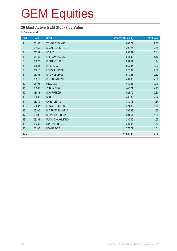### **20 Most Active GEM Stocks by Value**

for 3rd quarter 2013

| Rank             | Code  | <b>Stock</b>           | Turnover (HK\$ mil.) | % of total |
|------------------|-------|------------------------|----------------------|------------|
| $\mathbf{1}$     | 08138 | TONGRENTANGCM          | 1,663.71             | 9.02       |
| $\overline{2}$   | 08150 | <b>SEAMLESS GREEN</b>  | 1,392.27             | 7.55       |
| $\mathfrak{S}$   | 08292 | <b>HC INTL</b>         | 997.51               | 5.41       |
| 4                | 08132 | <b>FAIRSON HLDGS</b>   | 956.80               | 5.19       |
| 5                | 08078 | <b>CHINA3D DIGIT</b>   | 634.51               | 3.44       |
| $\,6\,$          | 08085 | <b>HK LIFE SCI</b>     | 569.85               | 3.09       |
| $\overline{7}$   | 08017 | <b>LONG SUCCESS</b>    | 526.84               | 2.86       |
| $\,8\,$          | 08356 | <b>CNC HOLDINGS</b>    | 519.58               | 2.82       |
| $\boldsymbol{9}$ | 08212 | <b>CELEBRATE INT</b>   | 491.35               | 2.66       |
| 10               | 08198 | <b>MELCOLOT</b>        | 459.58               | 2.49       |
| 11               | 08260 | <b>ZEBRA STRAT</b>     | 447.71               | 2.43       |
| 12               | 08081 | <b>COMPUTECH</b>       | 424.70               | 2.30       |
| 13               | 08266 | M TEL                  | 409.97               | 2.22       |
| 14               | 08270 | <b>CHINA LEASON</b>    | 340.18               | 1.84       |
| 15               | 08037 | <b>LONGLIFE GROUP</b>  | 324.83               | 1.76       |
| 16               | 08100 | <b>M DREAM INWORLD</b> | 306.89               | 1.66       |
| 17               | 08102 | <b>SHANGHAI FUDAN</b>  | 294.54               | 1.60       |
| 18               | 08231 | <b>FUDANZHANGJIANG</b> | 285.45               | 1.55       |
| 19               | 08239 | <b>MING KEI HOLD</b>   | 281.96               | 1.53       |
| 20               | 08137 | <b>HONBRIDGE</b>       | 277.71               | 1.51       |
| <b>Total</b>     |       |                        | 11,605.93            | 62.92      |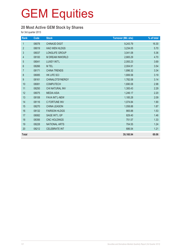### **20 Most Active GEM Stock by Shares**

for 3rd quarter 2013

| Rank           | Code  | <b>Stock</b>           | <b>Turnover (Mil. shs)</b> | % of total |
|----------------|-------|------------------------|----------------------------|------------|
| $\mathbf{1}$   | 08078 | CHINA3D DIGIT          | 9,243.79                   | 16.30      |
| $\overline{2}$ | 08019 | <b>HAO WEN HLDGS</b>   | 3,234.05                   | 5.70       |
| 3              | 08037 | LONGLIFE GROUP         | 3,041.08                   | 5.36       |
| $\overline{4}$ | 08100 | <b>M DREAM INWORLD</b> | 2,665.29                   | 4.70       |
| 5              | 08041 | LUXEY INT'L            | 2,093.23                   | 3.69       |
| 6              | 08266 | M TEL                  | 2,004.91                   | 3.54       |
| $\overline{7}$ | 08171 | <b>CHINA TRENDS</b>    | 1,896.32                   | 3.34       |
| 8              | 08085 | <b>HK LIFE SCI</b>     | 1,806.58                   | 3.19       |
| 9              | 08161 | <b>CHINALOTSYNERGY</b> | 1,782.08                   | 3.14       |
| 10             | 08081 | <b>COMPUTECH</b>       | 1,690.08                   | 2.98       |
| 11             | 08250 | CHI NATURAL INV        | 1,300.43                   | 2.29       |
| 12             | 08075 | <b>MEDIA ASIA</b>      | 1,246.17                   | 2.20       |
| 13             | 08108 | <b>FAVA INT'L-NEW</b>  | 1,185.28                   | 2.09       |
| 14             | 08116 | C FORTUNE INV          | 1,074.84                   | 1.90       |
| 15             | 08270 | <b>CHINA LEASON</b>    | 1,058.88                   | 1.87       |
| 16             | 08132 | <b>FAIRSON HLDGS</b>   | 865.88                     | 1.53       |
| 17             | 08082 | <b>SAGE INT'L GP</b>   | 829.40                     | 1.46       |
| 18             | 08356 | <b>CNC HOLDINGS</b>    | 751.57                     | 1.33       |
| 19             | 08228 | <b>NATIONAL ARTS</b>   | 704.55                     | 1.24       |
| 20             | 08212 | <b>CELEBRATE INT</b>   | 686.54                     | 1.21       |
| <b>Total</b>   |       |                        | 39,160.94                  | 69.06      |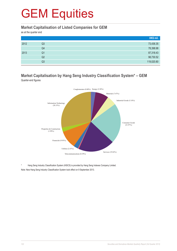#### **Market Capitalisation of Listed Companies for GEM**

as at the quarter end

|      |                | HK\$ mil.  |
|------|----------------|------------|
| 2012 | Q3             | 73,436.35  |
|      | Q4             | 78,398.98  |
| 2013 | Q1             | 87,318.43  |
|      | Q2             | 98,730.52  |
|      | Q <sub>3</sub> | 119,020.80 |

#### **Market Capitalisation by Hang Seng Industry Classification System\* – GEM** Quarter-end figures



Hang Seng Industry Classification System (HSICS) is provided by Hang Seng Indexes Company Limited. Note: New Hang Seng Industry Classification System took effect on 9 September 2013.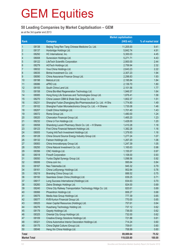#### **50 Leading Companies by Market Capitalisation – GEM**

as at the 3rd quarter end 2013

|                     |       | <b>Market capitalisation</b>                                 |             |                   |
|---------------------|-------|--------------------------------------------------------------|-------------|-------------------|
| Rank                |       | <b>Company</b>                                               | (HK\$ mil.) | % of market total |
| $\mathbf{1}$        | 08138 | Beijing Tong Ren Tang Chinese Medicine Co. Ltd.              | 11,205.00   | 9.41              |
| $\overline{2}$      | 08137 | Honbridge Holdings Ltd.                                      | 5,842.74    | 4.91              |
| $\mathfrak{S}$      | 08292 | HC International, Inc.                                       | 5,300.03    | 4.45              |
| $\overline{4}$      | 08008 | Sunevision Holdings Ltd.                                     | 5,271.71    | 4.43              |
| 5                   | 08122 | LifeTech Scientific Corporation                              | 2,900.00    | 2.44              |
| $6\phantom{1}6$     | 08279 | AGTech Holdings Ltd.                                         | 2,759.94    | 2.32              |
| $\overline{7}$      | 08032 | Viva China Holdings Ltd.                                     | 2,643.23    | 2.22              |
| 8                   | 08035 | Binhai Investment Co. Ltd.                                   | 2,307.23    | 1.94              |
| 9                   | 08090 | China Assurance Finance Group Ltd.                           | 2,298.83    | 1.93              |
| 10                  | 08198 | MelcoLot Ltd.                                                | 2,195.84    | 1.84              |
| 11                  | 08086 | ePRO Ltd.                                                    | 2,139.70    | 1.80              |
| 12                  | 08155 | South China Land Ltd.                                        | 2,101.56    | 1.77              |
| 13                  | 08158 | China Bio-Med Regeneration Technology Ltd.                   | 1,946.57    | 1.64              |
| 14                  | 08085 | Hong Kong Life Sciences and Technologies Group Ltd.          | 1,876.41    | 1.58              |
| 15                  | 08270 | China Leason CBM & Shale Gas Group Co. Ltd.                  | 1,802.37    | 1.51              |
| 16                  | 08231 | Shanghai Fudan-Zhangjiang Bio-Pharmaceutical Co. Ltd. -H Shs | 1,774.80    | 1.49              |
| 17                  | 08102 | Shanghai Fudan Microelectronics Group Co. Ltd. - H Shares    | 1,735.08    | 1.46              |
| 18                  | 08207 | Credit China Holdings Ltd.                                   | 1,701.40    | 1.43              |
| 19                  | 08072 | Roma Group Ltd.                                              | 1,480.00    | 1.24              |
| 20                  | 08020 | Chanceton Financial Group Ltd.                               | 1,465.20    | 1.23              |
| 21                  | 08232 | China U-Ton Holdings Ltd.                                    | 1,428.00    | 1.20              |
| 22                  | 08058 | Shandong Luoxin Pharmacy Stock Co. Ltd. - H Shares           | 1,410.28    | 1.18              |
| 23                  | 08123 | First China Financial Network Holdings Ltd.                  | 1,382.28    | 1.16              |
| 24                  | 08005 | Yuxing InfoTech Investment Holdings Ltd.                     | 1,379.93    | 1.16              |
| 25                  | 08128 | China Ground Source Energy Industry Group Ltd.               | 1,277.24    | 1.07              |
| 26                  | 08132 | Fairson Holdings Ltd.                                        | 1,267.20    | 1.06              |
| 27                  | 08083 | China Innovationpay Group Ltd.                               | 1,247.39    | 1.05              |
| 28                  | 08250 | China Natural Investment Co. Ltd.                            | 1,165.63    | 0.98              |
| 29                  | 08356 | CNC Holdings Ltd.                                            | 1,155.57    | 0.97              |
| 30                  | 08018 | <b>Finsoft Corporation</b>                                   | 1,108.00    | 0.93              |
| 31                  | 08050 | Yunbo Digital Synergy Group Ltd.                             | 1,098.56    | 0.92              |
| 32                  | 08006 | China.com Inc.                                               | 995.64      | 0.84              |
| 33                  | 08167 | Neo Telemedia Ltd.                                           | 945.32      | 0.79              |
| 34                  | 08161 | China LotSynergy Holdings Ltd.                               | 902.84      | 0.76              |
| 35                  | 08219 | Branding China Group Ltd.                                    | 888.52      | 0.75              |
| 36                  | 08150 | Seamless Green China (Holdings) Ltd.                         | 839.25      | 0.71              |
| 37                  | 08017 | Long Success International (Holdings) Ltd.                   | 834.63      | 0.70              |
| 38                  | 08260 | Zebra Strategic Holdings Ltd.                                | 824.00      | 0.69              |
| 39                  | 08240 | China City Railway Transportation Technology HIdgs Co. Ltd.  | 820.61      | 0.69              |
| 40                  | 08066 | Phoenitron Holdings Ltd.                                     | 806.27      | 0.68              |
| 41                  | 08075 | Media Asia Group Holdings Ltd.                               | 777.39      | 0.65              |
| 42                  | 08077 | KVB Kunlun Financial Group Ltd.                              | 770.00      | 0.65              |
| 43                  | 08025 | Asian Capital Resources (Holdings) Ltd.                      | 757.61      | 0.64              |
| 44                  | 08276 | Huazhang Technology Holding Ltd.                             | 737.12      | 0.62              |
| 45                  | 08179 | Gayety Holdings Ltd.                                         | 736.00      | 0.62              |
| 46                  | 08325 | Oriental City Group Holdings Ltd.                            | 732.00      | 0.62              |
| 47                  | 08109 | Creative Energy Solutions Holdings Ltd.                      | 721.88      | 0.61              |
| 48                  | 08321 | China Automotive Interior Decoration Holdings Ltd.           | 714.24      | 0.60              |
| 49                  | 08175 | China Digital Culture (Group) Ltd.                           | 709.61      | 0.60              |
| 50                  | 08046 | Heng Xin China Holdings Ltd.                                 | 708.99      | 0.60              |
| <b>Total</b>        |       |                                                              | 89,889.64   | 75.52             |
| <b>Market Total</b> |       |                                                              | 119,020.80  | 100.00            |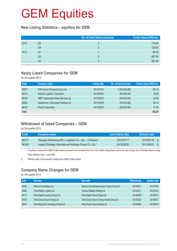#### **New Listing Statistics – equities for GEM**

|      |    | No. of newly listed companies | Funds raised (HK\$ mil.) |
|------|----|-------------------------------|--------------------------|
| 2012 | Q3 |                               | 179.40                   |
|      | Q4 |                               | 139.50                   |
| 2013 | Q1 |                               | 60.00                    |
|      | Q2 | 5                             | 887.80                   |
|      | Q3 | 5                             | 362.29                   |

#### **Newly Listed Companies for GEM**

for 3rd quarter 2013

| Code         | Company name                        | <b>Listing date</b> | No. of issued shares | Funds raised (HK\$ mil.) |
|--------------|-------------------------------------|---------------------|----------------------|--------------------------|
| 08077        | KVB Kunlun Financial Group Ltd.     | 2013/07/03          | 2,000,000,000        | 155.19                   |
| 08310        | Gamma Logistics Corporation         | 2013/08/22          | 800,000,000          | 50.00                    |
| 08135        | ZMFY Automobile Glass Services Ltd. | 2013/09/03          | 400,000,000          | 54.00                    |
| 08036        | Goldenmars Technology Holdings Ltd. | 2013/09/09          | 249,000,000          | 62.10                    |
| 08018        | <b>Finsoft Corporation</b>          | 2013/09/26          | 200,000,000          | 41.00                    |
| <b>Total</b> |                                     |                     |                      | 362.29                   |

### **Withdrawal of listed Companies – GEM**

for 3rd quarter 2013

| Code  | <b>Company name</b>                                     | Last trading date \ | Delisted date |    |
|-------|---------------------------------------------------------|---------------------|---------------|----|
| 08217 | Changan Minsheng APLL Logistics Co., Ltd. - H Shares *  | 2013/07/17          | 2013/07/18    | 8  |
| 08160 | Legend Strategy International Holdings Group Co. Ltd. * | 2013/08/20          | 2013/08/21    | ι. |

\* Transfers of listing from GEM to Main Board pursuant to the revised Rule 9.24 of the GEM Listing Rules and to the new Chapter 9A of the Main Board Listing Rules effective from 1 July 2008.

§ Effective date of the transfer of listing from GEM to Main Board.

### **Company Name Changes for GEM**

for 3rd quarter 2013

| Code  | Old name                                | New name                                           | <b>Effective date</b> | <b>Adoption date</b> |
|-------|-----------------------------------------|----------------------------------------------------|-----------------------|----------------------|
| 08228 | National Arts Holdings Ltd.             | National Arts Entertainment and Culture Group Ltd. | 2013/06/21            | 2013/07/04           |
| 08089 | China Railway Logistics Ltd.            | Chinese Strategic Holdings Ltd.                    | 2013/06/12            | 2013/07/22           |
| 08175 | China Digital Licensing (Group) Ltd.    | China Digital Culture (Group) Ltd.                 | 2013/06/28            | 2013/08/14           |
| 08128 | China Ground Source Energy Ltd.         | China Ground Source Energy Industry Group Ltd.     | 2013/06/25            | 2013/08/27           |
| 08047 | China Neng Xiao Technology (Group) Ltd. | Rising Power Group Holdings Ltd.                   | 2013/08/06            | 2013/09/18           |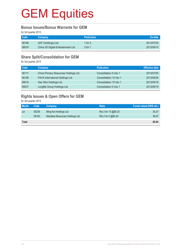#### **Bonus Issues/Bonus Warrants for GEM**

for 3rd quarter 2013

| <b>Code</b> | Company                             | <b>Particulars</b> | Ex-date    |
|-------------|-------------------------------------|--------------------|------------|
| 08168       | UKF (Holdings) Ltd.                 | 1 for $5$          | 2013/07/03 |
| 08078       | China 3D Digital Entertainment Ltd. | 5 for 1            | 2013/09/10 |

#### **Share Split/Consolidation for GEM**

for 3rd quarter 2013

| Code  | Company                               | <b>Particulars</b>      | <b>Effective date</b> |
|-------|---------------------------------------|-------------------------|-----------------------|
| 08117 | China Primary Resources Holdings Ltd. | Consolidation 5 into 1  | 2013/07/05            |
| 08108 | FAVA International Holdings Ltd.      | Consolidation 10 into 1 | 2013/08/29            |
| 08019 | Hao Wen Holdings Ltd.                 | Consolidation 10 into 1 | 2013/09/18            |
| 08037 | Longlife Group Holdings Ltd.          | Consolidation 5 into 1  | 2013/09/19            |

### **Rights Issues & Open Offers for GEM**

for 3rd quarter 2013

| <b>Month</b> | Code  | <b>Company</b>                  | <b>Ratio</b>         | Funds raised (HK\$ mil.) |
|--------------|-------|---------------------------------|----------------------|--------------------------|
| Jul          | 08239 | Ming Kei Holdings Ltd.          | Rts 3 for 10 @\$0.20 | 30.27                    |
|              | 08163 | Merdeka Resources Holdings Ltd. | Rts 2 for 5 $@$0.40$ | 36.67                    |
| <b>Total</b> |       |                                 |                      | 66.94                    |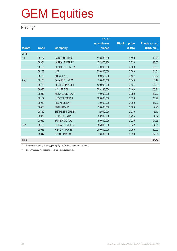### **Placing\***

|              |             |                        | No. of      |                      |                     |
|--------------|-------------|------------------------|-------------|----------------------|---------------------|
|              |             |                        | new shares  | <b>Placing price</b> | <b>Funds raised</b> |
| <b>Month</b> | <b>Code</b> | <b>Company</b>         | placed      | (HK\$)               | (HK\$ mil.)         |
| 2013         |             |                        |             |                      |                     |
| Jul          | 08132       | <b>FAIRSON HLDGS</b>   | 110,000,000 | 0.120                | 13.20               |
|              | 08351       | <b>LARRY JEWELRY</b>   | 172,970,900 | 0.220                | 38.05               |
|              | 08150       | <b>SEAMLESS GREEN</b>  | 70,000,000  | 0.800                | 56.00               |
|              | 08168       | <b>UKF</b>             | 230,400,000 | 0.280                | 64.51               |
|              | 08130       | <b>ZHI CHENG H</b>     | 59,060,000  | 0.427                | 25.22               |
| Aug          | 08108       | <b>FAVA INT'L-NEW</b>  | 70,000,000  | 0.045                | 3.12                |
|              | 08123       | <b>FIRST CHINA NET</b> | 429,996,000 | 0.121                | 52.03               |
|              | 08085       | <b>HK LIFE SCI</b>     | 658,380,000 | 0.160                | 105.34              |
|              | 08242       | <b>MEGALOGICTECH</b>   | 40,000,000  | 0.250                | 10.00               |
|              | 08167       | <b>NEO TELEMEDIA</b>   | 109,000,000 | 0.330                | 35.97               |
|              | 08039       | <b>PEGASUS ENT</b>     | 70,000,000  | 0.900                | 63.00               |
|              | 08053       | <b>PIZU GROUP</b>      | 50,000,000  | 0.185                | 9.25                |
|              | 08150       | <b>SEAMLESS GREEN</b>  | 2,900,000   | 2.230                | 6.47                |
|              | 08079       | <b>UL CREATIVITY</b>   | 20,960,000  | 0.225                | 4.72                |
|              | 08050       | YUNBO DIGITAL          | 450,000,000 | 0.225                | 101.25              |
| Sep          | 08166       | <b>CHINA ECO-FARM</b>  | 586,000,000 | 0.042                | 24.61               |
|              | 08046       | <b>HENG XIN CHINA</b>  | 200,000,000 | 0.250                | 50.00               |
|              | 08047       | <b>RISING PWR GP</b>   | 73,000,000  | 0.850                | 62.05               |
| <b>Total</b> |             |                        |             |                      | 724.79              |

Due to the reporting time-lag, placing figures for the quarter are provisional.

\*\* Supplementary information update for previous quarters.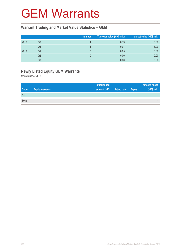### GEM Warrants

#### **Warrant Trading and Market Value Statistics – GEM**

|      |    | <b>Number</b> | Turnover value (HK\$ mil.) | Market value (HK\$ mil.) |
|------|----|---------------|----------------------------|--------------------------|
| 2012 | Q3 |               | 0.13                       | 8.00                     |
|      | Q4 |               | 0.01                       | 8.00                     |
| 2013 | Q1 |               | 0.85                       | 0.00                     |
|      | Q2 |               | 0.00                       | 0.00                     |
|      | Q3 |               | 0.00                       | 0.00                     |

### **Newly Listed Equity GEM Warrants**

for 3rd quarter 2013

|              |                        | <b>Initial issued</b> |                     |               | <b>Amount raised</b> |
|--------------|------------------------|-----------------------|---------------------|---------------|----------------------|
| <b>Code</b>  | <b>Equity warrants</b> | amount (HK)           | <b>Listing date</b> | <b>Expiry</b> | (HK\$ mil.)          |
| Nil          |                        |                       |                     |               |                      |
| <b>Total</b> |                        |                       |                     |               | -                    |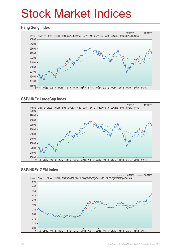# Stock Market Indices

#### **Hang Seng Index**



#### **S&P/HKEx LargeCap Index**



#### **S&P/HKEx GEM Index**

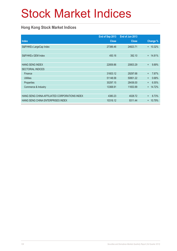# Stock Market Indices

### **Hong Kong Stock Market Indices**

|                                               | End of Sep 2013 | End of Jun 2013 |                    |
|-----------------------------------------------|-----------------|-----------------|--------------------|
| <b>Index</b>                                  | <b>Close</b>    | <b>Close</b>    | Change %           |
| S&P/HKEx LargeCap Index                       | 27386.46        | 24823.71        | $+ 10.32%$         |
|                                               |                 |                 |                    |
| S&P/HKEx GEM Index                            | 450.16          | 392.10          | $+ 14.81%$         |
|                                               |                 |                 |                    |
| <b>HANG SENG INDEX</b>                        | 22859.86        | 20803.29        | 9.89%<br>$+$       |
| <b>SECTORIAL INDICES</b>                      |                 |                 |                    |
| Finance                                       | 31603.12        | 29297.68        | 7.87%<br>$+$       |
| <b>Utilities</b>                              | 51148.58        | 50801.22        | 0.68%<br>$\ddot{}$ |
| Properties                                    | 30297.15        | 28436.00        | 6.55%<br>$+$       |
| Commerce & Industry                           | 13368.91        | 11653.99        | 14.72%<br>$+$      |
|                                               |                 |                 |                    |
| HANG SENG CHINA-AFFILIATED CORPORATIONS INDEX | 4380.23         | 4028.72         | 8.73%<br>$+$       |
| HANG SENG CHINA ENTERPRISES INDEX             | 10316.12        | 9311.44         | 10.79%<br>$+$      |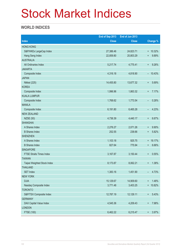# Stock Market Indices

### **WORLD INDICES**

|                                 | End of Sep 2013 | End of Jun 2013 |                           |
|---------------------------------|-----------------|-----------------|---------------------------|
| <b>Index</b>                    | <b>Close</b>    | <b>Close</b>    | Change %                  |
| <b>HONG KONG</b>                |                 |                 |                           |
| S&P/HKEx LargeCap Index         | 27,386.46       | 24,823.71       | $+ 10.32%$                |
| Hang Seng Index                 | 22,859.80       | 20,803.29       | 9.89%<br>$\ddot{}$        |
| <b>AUSTRALIA</b>                |                 |                 |                           |
| All Ordinaries Index            | 5,217.74        | 4,775.41        | 9.26%<br>$\boldsymbol{+}$ |
| <b>JAKARTA</b>                  |                 |                 |                           |
| Composite Index                 | 4,316.18        | 4,818.90        | $-10.43%$                 |
| <b>JAPAN</b>                    |                 |                 |                           |
| Nikkei (225)                    | 14,455.80       | 13,677.32       | 5.69%<br>$\ddot{}$        |
| <b>KOREA</b>                    |                 |                 |                           |
| Composite Index                 | 1,996.96        | 1,863.32        | 7.17%<br>$\ddot{}$        |
| <b>KUALA LUMPUR</b>             |                 |                 |                           |
| Composite Index                 | 1,768.62        | 1,773.54        | 0.28%<br>-                |
| <b>MANILA</b>                   |                 |                 |                           |
| Composite Index                 | 6,191.80        | 6,465.28        | 4.23%<br>-                |
| <b>NEW ZEALAND</b>              |                 |                 |                           |
| <b>NZSE (50)</b>                | 4,736.39        | 4,440.17        | 6.67%<br>$\ddot{}$        |
| <b>SHANGHAI</b>                 |                 |                 |                           |
| A Shares Index                  | 2,276.27        | 2,071.26        | 9.90%<br>$\ddot{}$        |
| <b>B</b> Shares Index           | 252.55          | 238.66          | 5.82%<br>$\ddot{}$        |
| <b>SHENZHEN</b>                 |                 |                 |                           |
| A Shares Index                  | 1,103.18        | 925.75          | + 19.17%                  |
| <b>B</b> Shares Index           | 827.64          | 775.94          | 6.66%<br>$\ddot{}$        |
| <b>SINGAPORE</b>                |                 |                 |                           |
| <b>FTSE Straits Times Index</b> | 3,167.87        | 3,150.44        | 0.55%<br>$\ddot{}$        |
| <b>TAIWAN</b>                   |                 |                 |                           |
| Taipei Weighted Stock Index     | 8,173.87        | 8,062.21        | 1.38%<br>$\ddot{}$        |
| <b>THAILAND</b>                 |                 |                 |                           |
| <b>SET Index</b>                | 1,383.16        | 1,451.90        | 4.73%<br>-                |
| <b>NEW YORK</b>                 |                 |                 |                           |
| <b>DJIA</b>                     | 15,129.67       | 14,909.60       | 1.48%<br>$\ddagger$       |
| Nasdaq Composite Index          | 3,771.48        | 3,403.25        | 10.82%<br>$+$             |
| <b>TORONTO</b>                  |                 |                 |                           |
| S&P/TSX Composite Index         | 12,787.19       | 12,129.11       | 5.43%<br>$^{\rm +}$       |
| <b>GERMANY</b>                  |                 |                 |                           |
| DAX Capital Value Index         | 4,545.36        | 4,209.43        | 7.98%<br>$\ddot{}$        |
| <b>LONDON</b>                   |                 |                 |                           |
| FTSE (100)                      | 6,462.22        | 6,215.47        | 3.97%<br>$^{\rm +}$       |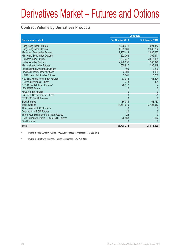#### **Contract Volume by Derivatives Products**

|                                                     |                  | <b>Contracts</b> |
|-----------------------------------------------------|------------------|------------------|
| <b>Derivatives product</b>                          | 3rd Quarter 2013 | 3rd Quarter 2012 |
| Hang Seng Index Futures                             | 4,926,071        | 4,924,352        |
| Hang Seng Index Options                             | 1,959,869        | 2,289,204        |
| Mini-Hang Seng Index Futures                        | 2,237,418        | 2,086,235        |
| Mini-Hang Seng Index Options                        | 292,768          | 309,341          |
| <b>H-shares Index Futures</b>                       | 5,534,747        | 3,813,494        |
| H-shares Index Options                              | 2,240,055        | 1,536,898        |
| Mini H-shares Index Futures                         | 655,817          | 335,449          |
| Flexible Hang Seng Index Options                    | 100              | 2,200            |
| Flexible H-shares Index Options                     | 3,300            | 1,956            |
| <b>HSI Dividend Point Index Futures</b>             | 3,701            | 10,760           |
| <b>HSCEI Dividend Point Index Futures</b>           | 33,075           | 68,524           |
| <b>HSI Volatility Index Futures</b>                 | 378              | 324              |
| CES China 120 Index Futures <sup>2</sup>            | 26,312           |                  |
| <b>IBOVESPA Futures</b>                             | 0                | $\mathbf 0$      |
| <b>MICEX Index Futures</b>                          | 0                | $\Omega$         |
| <b>S&amp;P BSE Sensex Index Futures</b>             | 0                | 21               |
| FTSE/JSE Top40 Futures                              |                  | $\Omega$         |
| <b>Stock Futures</b>                                | 86,034           | 68,787           |
| <b>Stock Options</b>                                | 13,681,676       | 13,428,912       |
| Three-month HIBOR Futures                           |                  |                  |
| One-month HIBOR Futures                             | 20               | 0                |
| Three-year Exchange Fund Note Futures               | 25               | $\Omega$         |
| RMB Currency Futures - USD/CNH Futures <sup>1</sup> | 26,868           | 2,172            |
| <b>Gold Futures</b>                                 | 0                | $\Omega$         |
| <b>Total</b>                                        | 31,708,234       | 28,878,629       |

1 Trading in RMB Currency Futures – USD/CNH Futures commenced on 17 Sep 2012

2 Trading in CES China 120 Index Futures commenced on 12 Aug 2013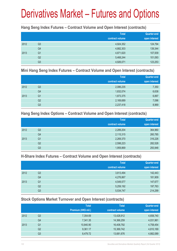#### **Hang Seng Index Futures – Contract Volume and Open Interest (contracts)**

|      |                | <b>Total</b><br>contract volume | <b>Quarter-end</b><br>open interest |
|------|----------------|---------------------------------|-------------------------------------|
| 2012 | Q <sub>3</sub> | 4,924,352                       | 124,794                             |
|      | Q4             | 4,882,303                       | 139,344                             |
| 2013 | Q <sub>1</sub> | 4,871,620                       | 107,939                             |
|      | Q <sub>2</sub> | 5,468,244                       | 101,093                             |
|      | Q <sub>3</sub> | 4,926,071                       | 123,253                             |

#### **Mini Hang Seng Index Futures – Contract Volume and Open Interest (contracts)**

|      |                | <b>Total</b><br>contract volume | <b>Quarter-end</b><br>open interest |
|------|----------------|---------------------------------|-------------------------------------|
| 2012 | Q <sub>3</sub> | 2,086,235                       | 7,350                               |
|      | Q4             | 1,832,074                       | 6,638                               |
| 2013 | Q <sub>1</sub> | 1,873,375                       | 6,897                               |
|      | Q <sub>2</sub> | 2,169,689                       | 7,096                               |
|      | Q <sub>3</sub> | 2,237,418                       | 8,969                               |

#### **Hang Seng Index Options – Contract Volume and Open Interest (contracts)**

|      |                | <b>Total</b>    | Quarter-end   |
|------|----------------|-----------------|---------------|
|      |                | contract volume | open interest |
| 2012 | Q <sub>3</sub> | 2,289,204       | 364,960       |
|      | Q4             | 2,115,315       | 260,785       |
| 2013 | Q <sub>1</sub> | 2,269,370       | 316,226       |
|      | Q <sub>2</sub> | 2,598,223       | 282,528       |
|      | Q <sub>3</sub> | 1,959,869       | 293,948       |

#### **H-Share Index Futures – Contract Volume and Open Interest (contracts)**

|      |                | <b>Total</b>    | <b>Quarter-end</b> |
|------|----------------|-----------------|--------------------|
|      |                | contract volume | open interest      |
| 2012 | Q <sub>3</sub> | 3,813,494       | 142,443            |
|      | Q4             | 4,276,867       | 181,909            |
| 2013 | Q1             | 4,549,577       | 147,677            |
|      | Q2             | 5,259,192       | 197,763            |
|      | Q3             | 5,534,747       | 214,299            |

### **Stock Options Market Turnover and Open Interest (contracts)**

|    | <b>Total</b>        | <b>Total</b>    | <b>Quarter-end</b> |
|----|---------------------|-----------------|--------------------|
|    | Premium (HK\$ mil.) | contract volume | open interest      |
| Q3 | 7,354.69            | 13,428,912      | 4,658,740          |
| Q4 | 7,341.35            | 14,366,259      | 4,031,961          |
| Q1 | 10,840.90           | 16,408,792      | 4,758,454          |
| Q2 | 9,361.17            | 15,369,742      | 4,810,169          |
| Q3 | 8,479.72            | 13,681,676      | 4,882,089          |
|    |                     |                 |                    |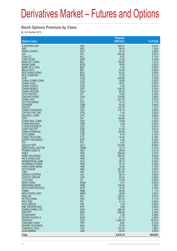#### **Stock Options Premium by Class**

for 3rd Quarter 2013

| <b>Options class</b>                                |                          | <b>Premium</b><br>(HK\$ mil.) | % of total     |
|-----------------------------------------------------|--------------------------|-------------------------------|----------------|
| X ISHARES A50                                       | A50                      | 529.01                        | 6.24%          |
| <b>ABC</b>                                          | <b>ABC</b>               | 98.45                         | 1.16%          |
| <b>ANHUI CONCH</b><br>AIA                           | <b>ACC</b><br><b>AIA</b> | 76.14<br>302.62               | 0.90%<br>3.57% |
| <b>CHALCO</b>                                       | <b>ALC</b>               | 9.97                          | 0.12%          |
| CAM CSI300                                          | <b>AMC</b>               | 37.03                         | 0.44%          |
| <b>BANK OF CHINA</b><br><b>BANKCOMM</b>             | <b>BCL</b><br><b>BCM</b> | 102.95<br>16.90               | 1.21%<br>0.20% |
| <b>BANK OF E ASIA</b>                               | <b>BEA</b>               | 7.44                          | 0.09%          |
| <b>BELLE INT'L</b>                                  | <b>BIH</b>               | 55.05                         | 0.65%<br>0.50% |
| <b>BOC HONG KONG</b><br><b>BYD COMPANY</b>          | <b>BOC</b><br><b>BYD</b> | 42.30<br>17.52                | 0.21%          |
| <b>CCB</b>                                          | <b>CCB</b>               | 228.85                        | 2.70%          |
| CHINA COMM CONS<br><b>CHINA COAL</b>                | CCC<br><b>CCE</b>        | 16.60<br>38.51                | 0.20%<br>0.45% |
| <b>CHINA COSCO</b>                                  | CCS                      | 3.03                          | 0.04%          |
| <b>CHINA MOBILE</b>                                 | <b>CHT</b>               | 439.70                        | 5.19%          |
| <b>CHINA UNICOM</b><br><b>CITIC PACIFIC</b>         | <b>CHU</b><br><b>CIT</b> | 46.05<br>15.82                | 0.54%<br>0.19% |
| <b>CHEUNG KONG</b>                                  | <b>CKH</b>               | 218.98                        | 2.58%          |
| <b>CHINA I IFF</b><br><b>CLP HOLDINGS</b>           | <b>CLI</b><br><b>CLP</b> | 331.50<br>14.13               | 3.91%<br>0.17% |
| <b>CM BANK</b>                                      | <b>CMB</b>               | 50.26                         | 0.59%          |
| <b>CNOOC</b>                                        | <b>CNC</b>               | 110.70                        | 1.31%          |
| <b>CHINA OVERSEAS</b><br><b>CATHAY PAC AIR</b>      | COL<br><b>CPA</b>        | 176.14<br>1.93                | 2.08%<br>0.02% |
| <b>SINOPEC CORP</b>                                 | <b>CPC</b>               | 75.35                         | 0.89%          |
| <b>CPIC</b><br><b>CHINA RAIL CONS</b>               | <b>CPI</b><br><b>CRC</b> | 104.65<br>16.89               | 1.23%<br>0.20% |
| <b>CHINA RAILWAY</b>                                | <b>CRG</b>               | 3.80                          | 0.04%          |
| X WISECSI300ETF                                     | CS <sub>3</sub>          | 1.33                          | 0.02%          |
| CSOP A50 ETF<br><b>CHINA SHENHUA</b>                | <b>CSA</b><br><b>CSE</b> | 51.56<br>109.93               | 0.61%<br>1.30% |
| <b>CITIC BANK</b>                                   | <b>CTB</b>               | 8.75                          | 0.10%          |
| <b>CHINA TELECOM</b><br><b>ESPRIT HOLDINGS</b>      | <b>CTC</b><br><b>ESP</b> | 16.34<br>4.45                 | 0.19%<br>0.05% |
| <b>FIH</b>                                          | <b>FIH</b>               | 4.37                          | 0.05%          |
| <b>GALAXY ENT</b>                                   | <b>GLX</b>               | 513.60                        | 6.06%          |
| <b>GREATWALL MOTOR</b><br><b>POWER ASSETS</b>       | <b>GWM</b><br><b>HEH</b> | 12.13<br>26.64                | 0.14%<br>0.31% |
| <b>HKEX</b>                                         | <b>HEX</b>               | 209.44                        | 2.47%          |
| <b>HSBC HOLDINGS</b><br><b>HK &amp; CHINA GAS</b>   | <b>HKB</b>               | 393.87                        | 4.64%<br>0.19% |
| <b>HENDERSON LAND</b>                               | <b>HKG</b><br><b>HLD</b> | 16.50<br>36.10                | 0.43%          |
| <b>HUANENG POWER</b>                                | <b>HNP</b>               | 23.74                         | 0.28%          |
| <b>HANG SENG BANK</b><br><b>HUTCHISON</b>           | <b>HSB</b><br><b>HWL</b> | 16.38<br>301.38               | 0.19%<br>3.55% |
| <b>ICBC</b>                                         | <b>ICB</b>               | 187.67                        | 2.21%          |
| <b>JIANGXI COPPER</b>                               | <b>JXC</b>               | 58.70<br>22.22                | 0.69%<br>0.26% |
| <b>LENOVO GROUP</b><br>LI & FUNG                    | <b>LEN</b><br>LIF        | 73.00                         | 0.86%          |
| <b>MGM CHINA</b>                                    | <b>MGM</b>               | 4.01                          | 0.05%          |
| <b>MINSHENG BANK</b><br><b>MTR CORPORATION</b>      | <b>MSB</b><br><b>MTR</b> | 108.46<br>15.04               | 1.28%<br>0.18% |
| <b>CNBM</b>                                         | <b>NBM</b>               | 98.84                         | 1.17%          |
| <b>NEW WORLD DEV</b>                                | <b>NWD</b>               | 29.68                         | 0.35%          |
| <b>PING AN</b><br><b>PETROCHINA</b>                 | PAI<br>PEC               | 430.01<br>183.78              | 5.07%<br>2.17% |
| PICC P&C                                            | <b>PIC</b>               | 41.13                         | 0.48%          |
| <b>PICC GROUP</b>                                   | <b>PIN</b>               | 7.20                          | 0.08%<br>0.04% |
| <b>R&amp;F PROPERTIES</b><br><b>SANDS CHINA LTD</b> | <b>RFP</b><br>SAN        | 3.68<br>266.39                | 3.14%          |
| <b>SHK PPT</b>                                      | <b>SHK</b>               | 286.92                        | 3.38%          |
| <b>STANCHART</b><br><b>SWIRE PACIFIC A</b>          | <b>STC</b><br><b>SWA</b> | 7.29<br>41.15                 | 0.09%<br>0.49% |
| <b>TENCENT</b>                                      | <b>TCH</b>               | 1,408.16                      | 16.61%         |
| <b>TRACKER FUND</b>                                 | <b>TRF</b>               | 8.87                          | 0.10%          |
| <b>WHARF HOLDINGS</b><br>YANZHOU COAL               | <b>WHL</b><br><b>YZC</b> | 75.83<br>140.35               | 0.89%<br>1.66% |
| <b>ZIJIN MINING</b>                                 | <b>ZJM</b>               | 46.54                         | 0.55%          |
| <b>Total</b>                                        |                          | 8,479.72                      | 100.00%        |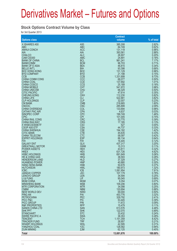#### **Stock Options Contract Volume by Class**

for 3rd Quarter 2013

|                                                   |                          | <b>Contract</b>      |                |
|---------------------------------------------------|--------------------------|----------------------|----------------|
| <b>Options class</b>                              |                          | volume               | % of total     |
| X ISHARES A50<br><b>ABC</b>                       | A50<br><b>ABC</b>        | 385,308<br>84,749    | 2.82%<br>0.62% |
| <b>ANHUI CONCH</b>                                | <b>ACC</b>               | 131,119              | 0.96%          |
| AIA<br><b>CHALCO</b>                              | <b>AIA</b><br><b>ALC</b> | 393,561              | 2.88%<br>0.20% |
| CAM CSI300                                        | <b>AMC</b>               | 26,907<br>24,891     | 0.18%          |
| <b>BANK OF CHINA</b>                              | <b>BCL</b>               | 981,241              | 7.17%          |
| <b>BANKCOMM</b><br><b>BANK OF E ASIA</b>          | <b>BCM</b><br><b>BEA</b> | 96,703<br>46,815     | 0.71%<br>0.34% |
| <b>BELLE INT'L</b>                                | <b>BIH</b>               | 93,398               | 0.68%          |
| <b>BOC HONG KONG</b><br><b>BYD COMPANY</b>        | <b>BOC</b><br><b>BYD</b> | 131,129<br>21,198    | 0.96%<br>0.15% |
| <b>CCB</b>                                        | <b>CCB</b>               | 1,331,699            | 9.73%          |
| CHINA COMM CONS                                   | CCC                      | 68,077               | 0.50%          |
| <b>CHINA COAL</b><br><b>CHINA COSCO</b>           | <b>CCE</b><br><b>CCS</b> | 137,692<br>25,189    | 1.01%<br>0.18% |
| <b>CHINA MOBILE</b>                               | <b>CHT</b>               | 541,972              | 3.96%          |
| <b>CHINA UNICOM</b><br><b>CITIC PACIFIC</b>       | <b>CHU</b><br><b>CIT</b> | 68,329<br>47,614     | 0.50%<br>0.35% |
| <b>CHEUNG KONG</b>                                | <b>CKH</b>               | 112,230              | 0.82%          |
| <b>CHINA LIFE</b><br><b>CLP HOLDINGS</b>          | <b>CLI</b><br><b>CLP</b> | 522,881<br>32,007    | 3.82%<br>0.23% |
| <b>CM BANK</b>                                    | <b>CMB</b>               | 218,665              | 1.60%          |
| <b>CNOOC</b>                                      | <b>CNC</b>               | 285,899              | 2.09%          |
| <b>CHINA OVERSEAS</b><br><b>CATHAY PAC AIR</b>    | COL<br><b>CPA</b>        | 133,694<br>4,637     | 0.98%<br>0.03% |
| SINOPEC CORP                                      | <b>CPC</b>               | 199,749              | 1.46%          |
| <b>CPIC</b><br><b>CHINA RAIL CONS</b>             | <b>CPI</b><br><b>CRC</b> | 101,005<br>53,770    | 0.74%<br>0.39% |
| <b>CHINA RAILWAY</b>                              | <b>CRG</b>               | 17,185               | 0.13%          |
| X WISECSI300ETF                                   | CS <sub>3</sub>          | 527                  | 0.00%          |
| CSOP A50 ETF<br><b>CHINA SHENHUA</b>              | <b>CSA</b><br><b>CSE</b> | 44.737<br>194,182    | 0.33%<br>1.42% |
| <b>CITIC BANK</b>                                 | <b>CTB</b>               | 45,635               | 0.33%          |
| <b>CHINA TELECOM</b><br><b>ESPRIT HOLDINGS</b>    | <b>CTC</b><br><b>ESP</b> | 58,097<br>88,134     | 0.42%<br>0.64% |
| <b>FIH</b>                                        | <b>FIH</b>               | 16,445               | 0.12%          |
| <b>GALAXY ENT</b><br><b>GREATWALL MOTOR</b>       | <b>GLX</b><br><b>GWM</b> | 437,317<br>15,313    | 3.20%<br>0.11% |
| <b>POWER ASSETS</b>                               | <b>HEH</b>               | 43,811               | 0.32%          |
| <b>HKEX</b>                                       | <b>HEX</b>               | 631,726              | 4.62%<br>5.06% |
| <b>HSBC HOLDINGS</b><br><b>HK &amp; CHINA GAS</b> | <b>HKB</b><br><b>HKG</b> | 691,649<br>38,593    | 0.28%          |
| <b>HENDERSON LAND</b>                             | <b>HLD</b>               | 37,329               | 0.27%          |
| <b>HUANENG POWER</b><br><b>HANG SENG BANK</b>     | <b>HNP</b><br><b>HSB</b> | 40,880<br>50,678     | 0.30%<br>0.37% |
| <b>HUTCHISON</b>                                  | <b>HWL</b>               | 180,973              | 1.32%          |
| <b>ICBC</b><br><b>JIANGXI COPPER</b>              | <b>ICB</b><br><b>JXC</b> | 1,081,954<br>107,179 | 7.91%<br>0.78% |
| LENOVO GROUP                                      | LEN                      | 34,594               | 0.25%          |
| LI & FUNG                                         | <b>LIF</b>               | 95,045               | 0.69%          |
| <b>MGM CHINA</b><br><b>MINSHENG BANK</b>          | <b>MGM</b><br><b>MSB</b> | 9,354<br>109,206     | 0.07%<br>0.80% |
| <b>MTR CORPORATION</b>                            | <b>MTR</b>               | 34,098               | 0.25%          |
| <b>CNBM</b><br><b>NEW WORLD DEV</b>               | <b>NBM</b><br><b>NWD</b> | 120,694<br>69,000    | 0.88%<br>0.50% |
| <b>PING AN</b>                                    | PAI                      | 453,776              | 3.32%          |
| <b>PETROCHINA</b><br>PICC P&C                     | <b>PEC</b><br><b>PIC</b> | 329,792<br>53,445    | 2.41%<br>0.39% |
| <b>PICC GROUP</b>                                 | <b>PIN</b>               | 11,672               | 0.09%          |
| <b>R&amp;F PROPERTIES</b>                         | <b>RFP</b>               | 15,479               | 0.11%          |
| <b>SANDS CHINA LTD</b><br><b>SHK PPT</b>          | <b>SAN</b><br><b>SHK</b> | 613,576<br>122,070   | 4.48%<br>0.89% |
| <b>STANCHART</b>                                  | <b>STC</b>               | 33,432               | 0.24%          |
| <b>SWIRE PACIFIC A</b><br><b>TENCENT</b>          | <b>SWA</b><br><b>TCH</b> | 38,353<br>1,151,359  | 0.28%<br>8.42% |
| <b>TRACKER FUND</b>                               | <b>TRF</b>               | 28,957               | 0.21%          |
| <b>WHARF HOLDINGS</b>                             | <b>WHL</b>               | 42,595               | 0.31%          |
| YANZHOU COAL<br><b>ZIJIN MINING</b>               | YZC<br><b>ZJM</b>        | 128,582<br>62,125    | 0.94%<br>0.45% |
| <b>Total</b>                                      |                          | 13,681,676           | 100.00%        |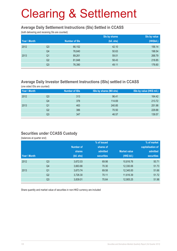#### **Average Daily Settlement Instructions (SIs) Settled in CCASS**

(both delivering and receiving SIs are counted)

|              |                |                      | Sis by shares | Sis by value |
|--------------|----------------|----------------------|---------------|--------------|
| Year \ Month |                | <b>Number of SIs</b> | (bil. shs)    | (HK\$bil.)   |
| 2012         | Q <sub>3</sub> | 66,152               | 42.10         | 156.14       |
|              | Q4             | 76,640               | 50.63         | 198.54       |
| 2013         | Q <sub>1</sub> | 89,261               | 59.01         | 268.79       |
|              | Q <sub>2</sub> | 81,848               | 58.43         | 218.85       |
|              | Q <sub>3</sub> | 76,390               | 49.11         | 176.60       |

#### **Average Daily Investor Settlement Instructions (ISIs) settled in CCASS**

(one sided ISIs are counted)

| Year \ Month |    | <b>Number of ISIs</b> | ISIs by shares (Mil shs) | ISIs by value (HK\$ mil.) |
|--------------|----|-----------------------|--------------------------|---------------------------|
| 2012         | Q3 | 313                   | 96.41                    | 164.42                    |
|              | Q4 | 378                   | 114.69                   | 213.72                    |
| 2013         | Q1 | 463                   | 240.85                   | 251.98                    |
|              | Q2 | 386                   | 70.50                    | 229.88                    |
|              | Q3 | 347                   | 46.57                    | 139.57                    |

#### **Securities under CCASS Custody**

(balances at quarter end)

|              |                |                  | % of issued       |                     | % of market       |
|--------------|----------------|------------------|-------------------|---------------------|-------------------|
|              |                | <b>Number of</b> | shares of         |                     | capitalisation of |
|              |                | <b>shares</b>    | admitted          | <b>Market value</b> | admitted          |
| Year \ Month |                | (bil. shs)       | <b>securities</b> | (HK\$ bil.)         | <b>securities</b> |
| 2012         | Q <sub>3</sub> | 3,672.03         | 69.98             | 10,816.76           | 50.71             |
|              | Q4             | 3,663.66         | 70.30             | 12,330.06           | 51.73             |
| 2013         | Q <sub>1</sub> | 3,673.74         | 69.58             | 12,345.00           | 51.66             |
|              | Q <sub>2</sub> | 3,726.30         | 70.11             | 11,616.39           | 51.72             |
|              | Q <sub>3</sub> | 3,839.01         | 70.64             | 12,905.25           | 51.98             |

Share quantity and market value of securities in non-HKD currency are included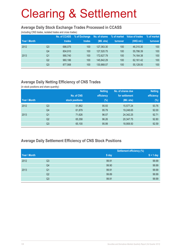#### **Average Daily Stock Exchange Trades Processed in CCASS**

(including CNS trades, isolated trades and cross trades)

| Year \ Month |                | <b>No. of CCASS</b><br>trades | % of Exchange<br>trades | No. of shares<br>(Mil. shs) | % of market<br>turnover | Value of trades<br>(HK\$ mil.) | % of market<br>turnover |
|--------------|----------------|-------------------------------|-------------------------|-----------------------------|-------------------------|--------------------------------|-------------------------|
| 2012         | Q3             | 686.075                       | 100                     | 127,363,30                  | 100                     | 46.310.30                      | 100                     |
|              | Q <sub>4</sub> | 804.910                       | 100                     | 127.520.75                  | 100                     | 55,786.39                      | 100                     |
| 2013         | Q1             | 990.740                       | 100                     | 172,627.79                  | 100                     | 74.164.38                      | 100                     |
|              | Q2             | 960.186                       | 100                     | 145.842.29                  | 100                     | 62.161.42                      | 100                     |
|              | Q3             | 877.568                       | 100                     | 130,868.07                  | 100                     | 55,128.00                      | 100                     |

### **Average Daily Netting Efficiency of CNS Trades**

(in stock positions and share quantity)

|              |                |                 | <b>Netting</b> | No. of shares due | <b>Netting</b> |
|--------------|----------------|-----------------|----------------|-------------------|----------------|
|              |                | No. of CNS      | efficiency     | for settlement    | efficiency     |
| Year \ Month |                | stock positions | $(\%)$         | (Mil. shs)        | $(\%)$         |
| 2012         | Q <sub>3</sub> | 51,862          | 95.93          | 15,577.24         | 93.76          |
|              | Q4             | 61,879          | 95.79          | 19,248.65         | 92.00          |
| 2013         | Q <sub>1</sub> | 71,626          | 96.07          | 24,342.25         | 92.71          |
|              | Q <sub>2</sub> | 65,358          | 96.26          | 20,347.75         | 92.80          |
|              | Q3             | 65,100          | 95.99          | 18,908.50         | 92.59          |

#### **Average Daily Settlement Efficiency of CNS Stock Positions**

|              |                |       | <b>Settlement efficiency (%)</b> |
|--------------|----------------|-------|----------------------------------|
| Year \ Month |                | S day | $S + 1$ day                      |
| 2012         | Q3             | 99.91 | 99.99                            |
|              | Q4             | 99.90 | 99.99                            |
| 2013         | Q <sub>1</sub> | 99.91 | 99.99                            |
|              | Q2             | 99.89 | 99.99                            |
|              | Q3             | 99.91 | 99.99                            |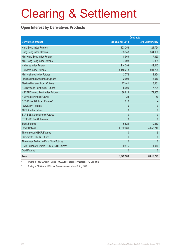#### **Open Interest by Derivatives Products**

| <b>Contracts</b>                                    |                  |                  |
|-----------------------------------------------------|------------------|------------------|
| <b>Derivatives product</b>                          | 3rd Quarter 2013 | 3rd Quarter 2012 |
| Hang Seng Index Futures                             | 123,253          | 124,794          |
| Hang Seng Index Options                             | 293,948          | 364,960          |
| Mini-Hang Seng Index Futures                        | 8,969            | 7,350            |
| Mini-Hang Seng Index Options                        | 4,698            | 10,384           |
| <b>H-shares Index Futures</b>                       | 214,299          | 142,443          |
| H-shares Index Options                              | 1,140,213        | 591,725          |
| Mini H-shares Index Futures                         | 2,772            | 2,354            |
| Flexible Hang Seng Index Options                    | 2,694            | 13,010           |
| Flexible H-shares Index Options                     | 27,441           | 8,431            |
| <b>HSI Dividend Point Index Futures</b>             | 8,009            | 7,724            |
| <b>HSCEI Dividend Point Index Futures</b>           | 88,814           | 72,355           |
| <b>HSI Volatility Index Futures</b>                 | 128              | 69               |
| CES China 120 Index Futures <sup>2</sup>            | 216              |                  |
| <b>IBOVESPA Futures</b>                             | $\mathbf{0}$     | $\theta$         |
| <b>MICEX Index Futures</b>                          | $\mathbf{0}$     | $\mathbf{0}$     |
| S&P BSE Sensex Index Futures                        | $\mathbf{0}$     | $\mathbf{0}$     |
| FTSE/JSE Top40 Futures                              | $\overline{0}$   | $\mathbf{0}$     |
| <b>Stock Futures</b>                                | 15,524           | 10,353           |
| <b>Stock Options</b>                                | 4,882,089        | 4,658,740        |
| Three-month HIBOR Futures                           | $\mathbf{0}$     | 5                |
| One-month HIBOR Futures                             | 6                | $\theta$         |
| Three-year Exchange Fund Note Futures               | $\overline{0}$   | $\mathbf{0}$     |
| RMB Currency Futures - USD/CNH Futures <sup>1</sup> | 9,515            | 1,076            |
| <b>Gold Futures</b>                                 | $\mathbf{0}$     | $\theta$         |
| <b>Total</b>                                        | 6,822,588        | 6,015,773        |

1 Trading in RMB Currency Futures – USD/CNH Futures commenced on 17 Sep 2012

2 Trading in CES China 120 Index Futures commenced on 12 Aug 2013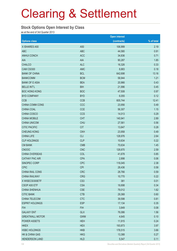#### **Stock Options Open Interest by Class**

as at the end of 3rd Quarter 2013

|                        |                 | <b>Open interest</b> |            |
|------------------------|-----------------|----------------------|------------|
| <b>Options class</b>   |                 | (contracts)          | % of total |
| X ISHARES A50          | A50             | 106,999              | 2.19       |
| <b>ABC</b>             | <b>ABC</b>      | 44,580               | 0.91       |
| <b>ANHUI CONCH</b>     | <b>ACC</b>      | 34,836               | 0.71       |
| AIA                    | <b>AIA</b>      | 90,287               | 1.85       |
| <b>CHALCO</b>          | <b>ALC</b>      | 16,326               | 0.33       |
| CAM CSI300             | AMC             | 8,883                | 0.18       |
| <b>BANK OF CHINA</b>   | <b>BCL</b>      | 642,698              | 13.16      |
| <b>BANKCOMM</b>        | <b>BCM</b>      | 58,944               | 1.21       |
| <b>BANK OF E ASIA</b>  | <b>BEA</b>      | 20,966               | 0.43       |
| <b>BELLE INT'L</b>     | <b>BIH</b>      | 21,996               | 0.45       |
| <b>BOC HONG KONG</b>   | <b>BOC</b>      | 47,508               | 0.97       |
| <b>BYD COMPANY</b>     | <b>BYD</b>      | 6,055                | 0.12       |
| <b>CCB</b>             | <b>CCB</b>      | 605,744              | 12.41      |
| CHINA COMM CONS        | CCC             | 23,956               | 0.49       |
| CHINA COAL             | CCE             | 56,307               | 1.15       |
| CHINA COSCO            | CCS             | 14,013               | 0.29       |
| <b>CHINA MOBILE</b>    | <b>CHT</b>      | 140,941              | 2.89       |
| <b>CHINA UNICOM</b>    | <b>CHU</b>      | 27,561               | 0.56       |
| <b>CITIC PACIFIC</b>   | <b>CIT</b>      | 13,847               | 0.28       |
| <b>CHEUNG KONG</b>     | <b>CKH</b>      | 23,958               | 0.49       |
| <b>CHINA LIFE</b>      | <b>CLI</b>      | 128,976              | 2.64       |
| <b>CLP HOLDINGS</b>    | <b>CLP</b>      | 10,634               | 0.22       |
| <b>CM BANK</b>         | <b>CMB</b>      | 70,634               | 1.45       |
| <b>CNOOC</b>           | <b>CNC</b>      | 126,670              | 2.59       |
| CHINA OVERSEAS         | COL             | 41,678               | 0.85       |
| <b>CATHAY PAC AIR</b>  | <b>CPA</b>      | 2,898                | 0.06       |
| SINOPEC CORP           | <b>CPC</b>      | 116,045              | 2.38       |
| <b>CPIC</b>            | <b>CPI</b>      | 28,436               | 0.58       |
| CHINA RAIL CONS        | <b>CRC</b>      | 28,766               | 0.59       |
| <b>CHINA RAILWAY</b>   | <b>CRG</b>      | 10,770               | 0.22       |
| X WISECSI300ETF        | CS <sub>3</sub> | 381                  | 0.01       |
| CSOP A50 ETF           | <b>CSA</b>      | 16,698               | 0.34       |
| <b>CHINA SHENHUA</b>   | <b>CSE</b>      | 79,012               | 1.62       |
| <b>CITIC BANK</b>      | <b>CTB</b>      | 29,368               | 0.60       |
| CHINA TELECOM          | <b>CTC</b>      | 39,598               | 0.81       |
| <b>ESPRIT HOLDINGS</b> | <b>ESP</b>      | 17,134               | 0.35       |
| <b>FIH</b>             | <b>FIH</b>      | 3,849                | 0.08       |
| <b>GALAXY ENT</b>      | <b>GLX</b>      | 76,086               | 1.56       |
| <b>GREATWALL MOTOR</b> | <b>GWM</b>      | 4,645                | 0.10       |
| <b>POWER ASSETS</b>    | <b>HEH</b>      | 11,915               | 0.24       |
| <b>HKEX</b>            | <b>HEX</b>      | 193,873              | 3.97       |
| <b>HSBC HOLDINGS</b>   | <b>HKB</b>      | 178,515              | 3.66       |
| HK & CHINA GAS         | <b>HKG</b>      | 13,388               | 0.27       |
| <b>HENDERSON LAND</b>  | <b>HLD</b>      | 5,547                | 0.11       |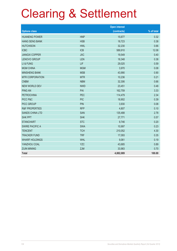|                           |            | <b>Open interest</b> |            |
|---------------------------|------------|----------------------|------------|
| <b>Options class</b>      |            | (contracts)          | % of total |
| <b>HUANENG POWER</b>      | <b>HNP</b> | 15,677               | 0.32       |
| <b>HANG SENG BANK</b>     | <b>HSB</b> | 18,723               | 0.38       |
| <b>HUTCHISON</b>          | <b>HWL</b> | 32,230               | 0.66       |
| <b>ICBC</b>               | <b>ICB</b> | 589,910              | 12.08      |
| <b>JIANGXI COPPER</b>     | <b>JXC</b> | 19,549               | 0.40       |
| <b>LENOVO GROUP</b>       | LEN        | 18,348               | 0.38       |
| LI & FUNG                 | LIF        | 29,025               | 0.59       |
| <b>MGM CHINA</b>          | <b>MGM</b> | 3,970                | 0.08       |
| <b>MINSHENG BANK</b>      | <b>MSB</b> | 43,990               | 0.90       |
| <b>MTR CORPORATION</b>    | <b>MTR</b> | 10,236               | 0.21       |
| <b>CNBM</b>               | <b>NBM</b> | 32,306               | 0.66       |
| <b>NEW WORLD DEV</b>      | <b>NWD</b> | 23,451               | 0.48       |
| <b>PING AN</b>            | PAI        | 162,759              | 3.33       |
| <b>PETROCHINA</b>         | <b>PEC</b> | 114,479              | 2.34       |
| PICC P&C                  | <b>PIC</b> | 18,902               | 0.39       |
| PICC GROUP                | <b>PIN</b> | 3,930                | 0.08       |
| <b>R&amp;F PROPERTIES</b> | <b>RFP</b> | 4,807                | 0.10       |
| <b>SANDS CHINA LTD</b>    | <b>SAN</b> | 135,488              | 2.78       |
| <b>SHK PPT</b>            | <b>SHK</b> | 27,771               | 0.57       |
| <b>STANCHART</b>          | <b>STC</b> | 9,746                | 0.20       |
| <b>SWIRE PACIFIC A</b>    | <b>SWA</b> | 10,997               | 0.23       |
| <b>TENCENT</b>            | <b>TCH</b> | 210,052              | 4.30       |
| <b>TRACKER FUND</b>       | <b>TRF</b> | 17,093               | 0.35       |
| <b>WHARF HOLDINGS</b>     | <b>WHL</b> | 9,061                | 0.19       |
| YANZHOU COAL              | <b>YZC</b> | 43,685               | 0.89       |
| <b>ZIJIN MINING</b>       | <b>ZJM</b> | 33,983               | 0.70       |
| <b>Total</b>              |            | 4,882,089            | 100.00     |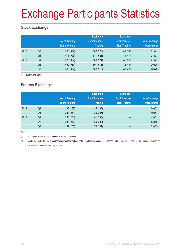# Exchange Participants Statistics

### **Stock Exchange**

|      |                | No. of Trading<br><b>Right Holders</b> | <b>Exchange</b><br><b>Participants -</b><br><b>Trading</b> | <b>Exchange</b><br><b>Participants -</b><br>Non-Trading | Non-Exchange<br><b>Participants</b> |
|------|----------------|----------------------------------------|------------------------------------------------------------|---------------------------------------------------------|-------------------------------------|
| 2012 | Q <sub>3</sub> | 568 (994)                              | 506 (923)                                                  | 41 (50)                                                 | 21(21)                              |
|      | Q4             | 571 (996)                              | 511 (928)                                                  | 39(47)                                                  | 21(21)                              |
| 2013 | Q <sub>1</sub> | 572 (997)                              | 509 (924)                                                  | 42 (52)                                                 | 21(21)                              |
|      | Q <sub>2</sub> | 569 (987)                              | 507 (918)                                                  | 42 (49)                                                 | 20(20)                              |
|      | Q <sub>3</sub> | 566 (982)                              | 506 (915)                                                  | 40 (47)                                                 | 20(20)                              |

( ) No. of trading rights

### **Futures Exchange**

|      |                | No. of Trading<br><b>Right Holders</b> | <b>Exchange</b><br><b>Participants -</b><br><b>Trading</b> | <b>Exchange</b><br><b>Participants -</b><br>Non-Trading | Non-Exchange<br><b>Participants</b> |
|------|----------------|----------------------------------------|------------------------------------------------------------|---------------------------------------------------------|-------------------------------------|
| 2012 | Q <sub>3</sub> | 235 (259)                              | 185 (207)                                                  | -                                                       | 50(52)                              |
|      | Q4             | 234 (258)                              | 185 (207)                                                  | $\overline{\phantom{0}}$                                | 49 (51)                             |
| 2013 | Q <sub>1</sub> | 230 (254)                              | 181 (203)                                                  | $\qquad \qquad$                                         | 49 (51)                             |
|      | Q2             | 233 (257)                              | 180 (202)                                                  | $\overline{\phantom{0}}$                                | 53(55)                              |
|      | Q3             | 232 (256)                              | 179 (201)                                                  | -                                                       | 53(55)                              |

Notes:

(1) The figures in blanket is the number of trading rights held.

(2) An Exchange Participant is a corporation who may trade on or through the Exchange and is licensed under the Securities and Futures Ordinance to carry on securities/futures/options dealing activity.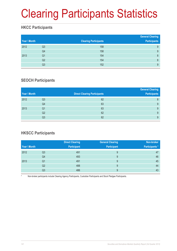# Clearing Participants Statistics

### **HKCC Participants**

| Year \ Month |                | <b>Clearing Participants</b> | <b>General Clearing</b><br><b>Participants</b> |
|--------------|----------------|------------------------------|------------------------------------------------|
| 2012         | Q <sub>3</sub> | 158                          | 9                                              |
|              | Q4             | 158                          | 9                                              |
| 2013         | Q <sub>1</sub> | 154                          | 8                                              |
|              | Q2             | 154                          | 8                                              |
|              | Q3             | 152                          | 9                                              |

### **SEOCH Participants**

|                |                                     | <b>General Clearing</b> |
|----------------|-------------------------------------|-------------------------|
|                | <b>Direct Clearing Participants</b> | <b>Participants</b>     |
| Q3             | 62                                  | 8                       |
| Q4             | 63                                  | 9                       |
| Q <sub>1</sub> | 63                                  | 9                       |
| Q <sub>2</sub> | 62                                  | 9                       |
| Q3             | 62                                  | 9                       |
|                |                                     |                         |

### **HKSCC Participants**

|              |    | <b>Direct Clearing</b> | <b>General Clearing</b> | Non-broker           |
|--------------|----|------------------------|-------------------------|----------------------|
| Year \ Month |    | <b>Participant</b>     | <b>Participant</b>      | <b>Participants*</b> |
| 2012         | Q3 | 491                    | 9                       | 47                   |
|              | Q4 | 493                    | 9                       | 46                   |
| 2013         | Q1 | 491                    | 9                       | 45                   |
|              | Q2 | 488                    | 9                       | 44                   |
|              | Q3 | 486                    | 9                       | 43                   |

Non-broker participants include Clearing Agency Participants, Custodian Participants and Stock Pledgee Participants.